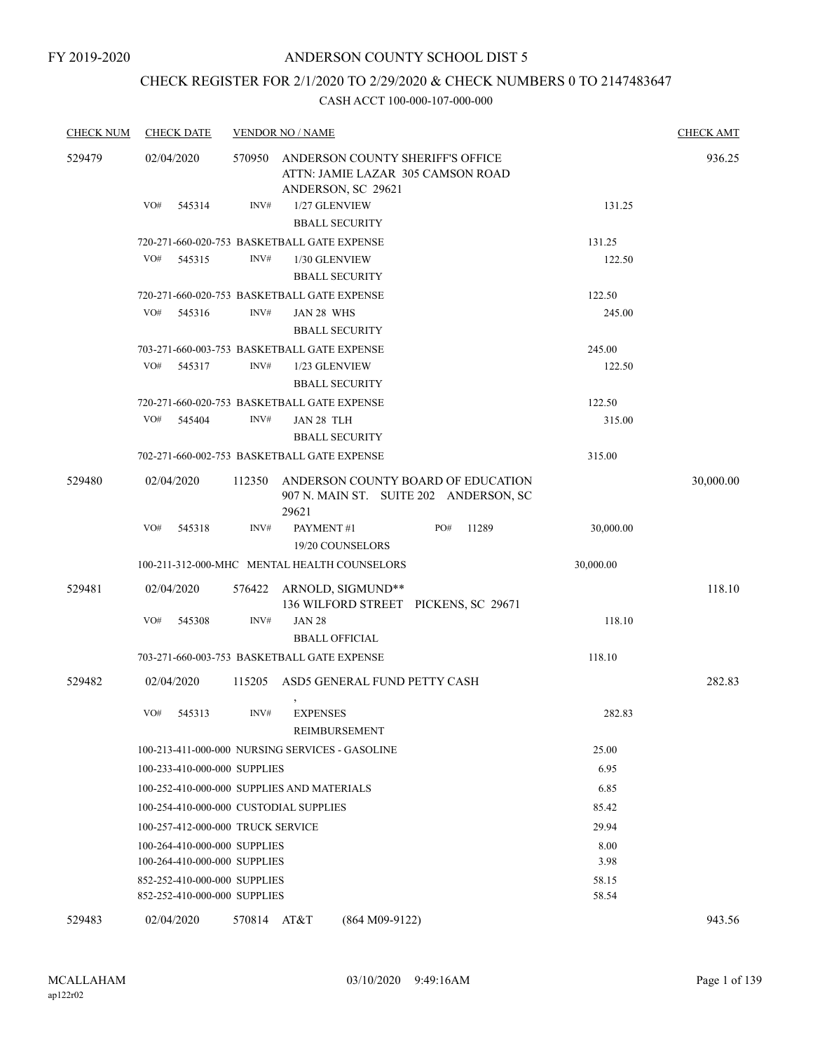## CHECK REGISTER FOR 2/1/2020 TO 2/29/2020 & CHECK NUMBERS 0 TO 2147483647

| <b>CHECK NUM</b> | <b>CHECK DATE</b>                                            |             | <b>VENDOR NO / NAME</b>                                                                     |              |                | <b>CHECK AMT</b> |
|------------------|--------------------------------------------------------------|-------------|---------------------------------------------------------------------------------------------|--------------|----------------|------------------|
| 529479           | 02/04/2020                                                   | 570950      | ANDERSON COUNTY SHERIFF'S OFFICE<br>ATTN: JAMIE LAZAR 305 CAMSON ROAD<br>ANDERSON, SC 29621 |              |                | 936.25           |
|                  | VO#<br>545314                                                | INV#        | 1/27 GLENVIEW<br><b>BBALL SECURITY</b>                                                      |              | 131.25         |                  |
|                  |                                                              |             | 720-271-660-020-753 BASKETBALL GATE EXPENSE                                                 |              | 131.25         |                  |
|                  | VO#<br>545315                                                | INV#        | 1/30 GLENVIEW<br><b>BBALL SECURITY</b>                                                      |              | 122.50         |                  |
|                  |                                                              |             | 720-271-660-020-753 BASKETBALL GATE EXPENSE                                                 |              | 122.50         |                  |
|                  | VO#<br>545316                                                | INV#        | JAN 28 WHS<br><b>BBALL SECURITY</b>                                                         |              | 245.00         |                  |
|                  |                                                              |             | 703-271-660-003-753 BASKETBALL GATE EXPENSE                                                 |              | 245.00         |                  |
|                  | VO#<br>545317                                                | INV#        | 1/23 GLENVIEW<br><b>BBALL SECURITY</b>                                                      |              | 122.50         |                  |
|                  |                                                              |             | 720-271-660-020-753 BASKETBALL GATE EXPENSE                                                 |              | 122.50         |                  |
|                  | VO#<br>545404                                                | INV#        | JAN 28 TLH<br><b>BBALL SECURITY</b>                                                         |              | 315.00         |                  |
|                  |                                                              |             | 702-271-660-002-753 BASKETBALL GATE EXPENSE                                                 |              | 315.00         |                  |
| 529480           | 02/04/2020                                                   | 112350      | ANDERSON COUNTY BOARD OF EDUCATION<br>907 N. MAIN ST. SUITE 202 ANDERSON, SC<br>29621       |              |                | 30,000.00        |
|                  | VO#<br>545318                                                | INV#        | PAYMENT#1<br>19/20 COUNSELORS                                                               | PO#<br>11289 | 30,000.00      |                  |
|                  |                                                              |             | 100-211-312-000-MHC MENTAL HEALTH COUNSELORS                                                |              | 30,000.00      |                  |
| 529481           | 02/04/2020                                                   |             | 576422 ARNOLD, SIGMUND**<br>136 WILFORD STREET PICKENS, SC 29671                            |              |                | 118.10           |
|                  | VO#<br>545308                                                | INV#        | <b>JAN 28</b><br><b>BBALL OFFICIAL</b>                                                      |              | 118.10         |                  |
|                  |                                                              |             | 703-271-660-003-753 BASKETBALL GATE EXPENSE                                                 |              | 118.10         |                  |
| 529482           | 02/04/2020                                                   | 115205      | ASD5 GENERAL FUND PETTY CASH<br>$\,$                                                        |              |                | 282.83           |
|                  | VO#<br>545313                                                | INV#        | <b>EXPENSES</b><br>REIMBURSEMENT                                                            |              | 282.83         |                  |
|                  |                                                              |             | 100-213-411-000-000 NURSING SERVICES - GASOLINE                                             |              | 25.00          |                  |
|                  | 100-233-410-000-000 SUPPLIES                                 |             |                                                                                             |              | 6.95           |                  |
|                  |                                                              |             | 100-252-410-000-000 SUPPLIES AND MATERIALS                                                  |              | 6.85           |                  |
|                  | 100-254-410-000-000 CUSTODIAL SUPPLIES                       |             |                                                                                             |              | 85.42          |                  |
|                  | 100-257-412-000-000 TRUCK SERVICE                            |             |                                                                                             |              | 29.94          |                  |
|                  | 100-264-410-000-000 SUPPLIES<br>100-264-410-000-000 SUPPLIES |             |                                                                                             |              | 8.00<br>3.98   |                  |
|                  | 852-252-410-000-000 SUPPLIES<br>852-252-410-000-000 SUPPLIES |             |                                                                                             |              | 58.15<br>58.54 |                  |
| 529483           | 02/04/2020                                                   | 570814 AT&T | $(864 M09-9122)$                                                                            |              |                | 943.56           |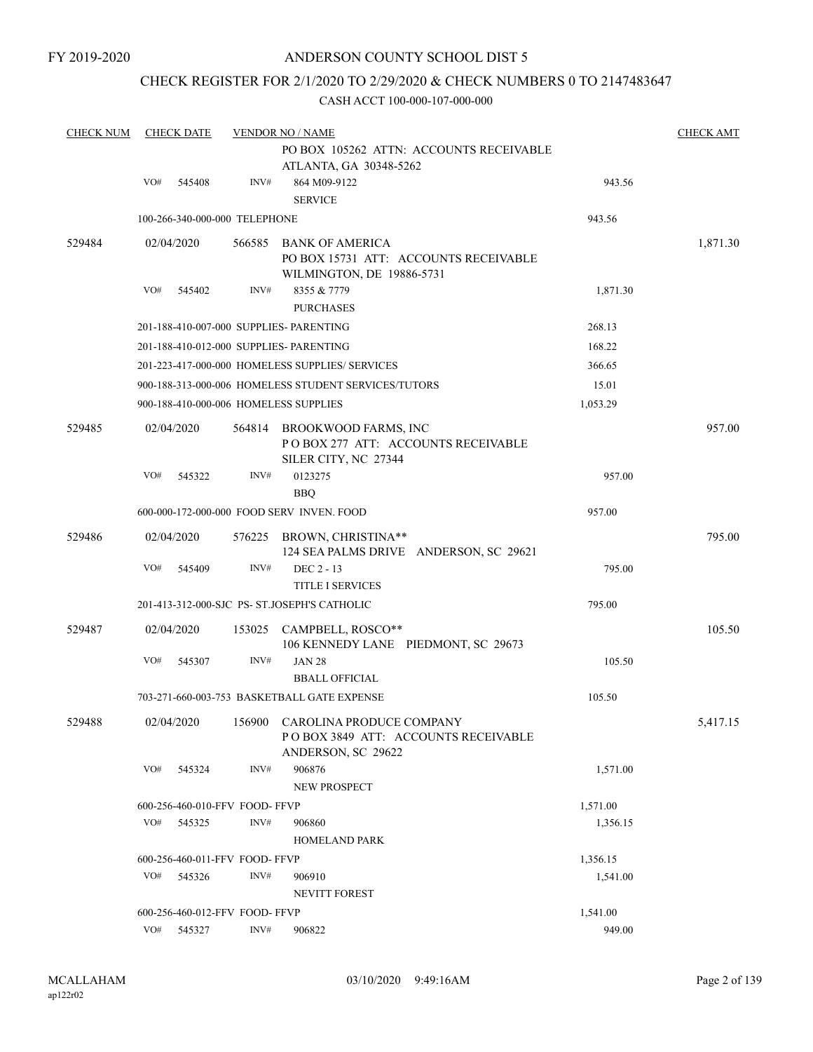## CHECK REGISTER FOR 2/1/2020 TO 2/29/2020 & CHECK NUMBERS 0 TO 2147483647

| <b>CHECK NUM</b> |     | <b>CHECK DATE</b> |                               | <b>VENDOR NO / NAME</b>                                                                                 |          | <b>CHECK AMT</b> |
|------------------|-----|-------------------|-------------------------------|---------------------------------------------------------------------------------------------------------|----------|------------------|
|                  |     |                   |                               | PO BOX 105262 ATTN: ACCOUNTS RECEIVABLE<br>ATLANTA, GA 30348-5262                                       |          |                  |
|                  | VO# | 545408            | INV#                          | 864 M09-9122<br><b>SERVICE</b>                                                                          | 943.56   |                  |
|                  |     |                   | 100-266-340-000-000 TELEPHONE |                                                                                                         | 943.56   |                  |
| 529484           |     | 02/04/2020        |                               | 566585 BANK OF AMERICA<br>PO BOX 15731 ATT: ACCOUNTS RECEIVABLE<br>WILMINGTON, DE 19886-5731            |          | 1,871.30         |
|                  | VO# | 545402            | INV#                          | 8355 & 7779<br><b>PURCHASES</b>                                                                         | 1,871.30 |                  |
|                  |     |                   |                               | 201-188-410-007-000 SUPPLIES- PARENTING                                                                 | 268.13   |                  |
|                  |     |                   |                               | 201-188-410-012-000 SUPPLIES- PARENTING                                                                 | 168.22   |                  |
|                  |     |                   |                               | 201-223-417-000-000 HOMELESS SUPPLIES/ SERVICES                                                         | 366.65   |                  |
|                  |     |                   |                               | 900-188-313-000-006 HOMELESS STUDENT SERVICES/TUTORS                                                    | 15.01    |                  |
|                  |     |                   |                               | 900-188-410-000-006 HOMELESS SUPPLIES                                                                   | 1,053.29 |                  |
| 529485           |     | 02/04/2020        |                               | 564814 BROOKWOOD FARMS, INC<br>PO BOX 277 ATT: ACCOUNTS RECEIVABLE<br>SILER CITY, NC 27344              |          | 957.00           |
|                  | VO# | 545322            | INV#                          | 0123275<br><b>BBQ</b>                                                                                   | 957.00   |                  |
|                  |     |                   |                               | 600-000-172-000-000 FOOD SERV INVEN. FOOD                                                               | 957.00   |                  |
| 529486           |     | 02/04/2020        |                               | 576225 BROWN, CHRISTINA**<br>124 SEA PALMS DRIVE ANDERSON, SC 29621                                     |          | 795.00           |
|                  | VO# | 545409            | INV#                          | DEC 2 - 13<br><b>TITLE I SERVICES</b>                                                                   | 795.00   |                  |
|                  |     |                   |                               | 201-413-312-000-SJC PS- ST.JOSEPH'S CATHOLIC                                                            | 795.00   |                  |
|                  |     |                   |                               |                                                                                                         |          |                  |
| 529487           |     | 02/04/2020        |                               | 153025 CAMPBELL, ROSCO**<br>106 KENNEDY LANE PIEDMONT, SC 29673                                         |          | 105.50           |
|                  | VO# | 545307            | INV#                          | <b>JAN 28</b><br><b>BBALL OFFICIAL</b>                                                                  | 105.50   |                  |
|                  |     |                   |                               | 703-271-660-003-753 BASKETBALL GATE EXPENSE                                                             | 105.50   |                  |
| 529488           |     |                   |                               | 02/04/2020 156900 CAROLINA PRODUCE COMPANY<br>POBOX 3849 ATT: ACCOUNTS RECEIVABLE<br>ANDERSON, SC 29622 |          | 5,417.15         |
|                  | VO# | 545324            | INV#                          | 906876                                                                                                  | 1,571.00 |                  |
|                  |     |                   |                               | NEW PROSPECT                                                                                            |          |                  |
|                  |     |                   | 600-256-460-010-FFV FOOD-FFVP |                                                                                                         | 1,571.00 |                  |
|                  | VO# | 545325            | INV#                          | 906860<br><b>HOMELAND PARK</b>                                                                          | 1,356.15 |                  |
|                  |     |                   | 600-256-460-011-FFV FOOD-FFVP |                                                                                                         | 1,356.15 |                  |
|                  | VO# | 545326            | INV#                          | 906910<br><b>NEVITT FOREST</b>                                                                          | 1,541.00 |                  |
|                  |     |                   | 600-256-460-012-FFV FOOD-FFVP |                                                                                                         | 1,541.00 |                  |
|                  | VO# | 545327            | INV#                          | 906822                                                                                                  | 949.00   |                  |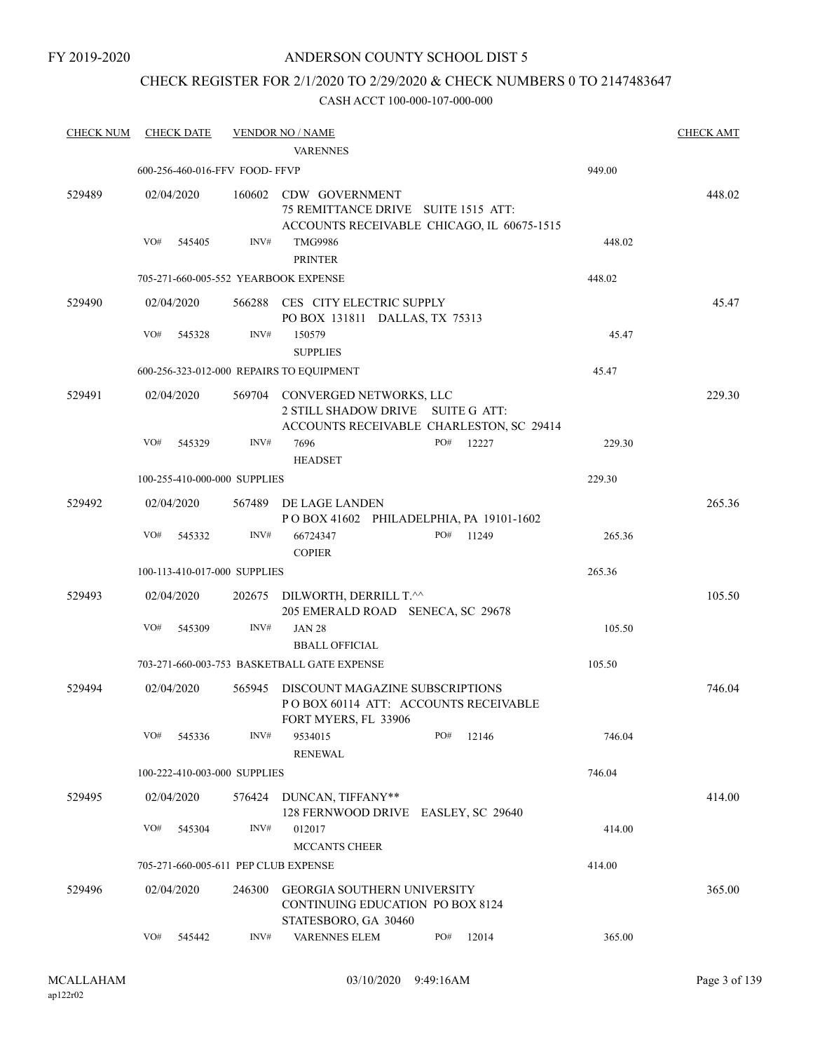#### FY 2019-2020

## ANDERSON COUNTY SCHOOL DIST 5

## CHECK REGISTER FOR 2/1/2020 TO 2/29/2020 & CHECK NUMBERS 0 TO 2147483647

| <b>CHECK NUM</b> | <b>CHECK DATE</b>                    |        | <b>VENDOR NO / NAME</b><br><b>VARENNES</b>                                                             |                                            |        | <b>CHECK AMT</b> |
|------------------|--------------------------------------|--------|--------------------------------------------------------------------------------------------------------|--------------------------------------------|--------|------------------|
|                  | 600-256-460-016-FFV FOOD-FFVP        |        |                                                                                                        |                                            | 949.00 |                  |
| 529489           | 02/04/2020                           | 160602 | CDW GOVERNMENT<br>75 REMITTANCE DRIVE SUITE 1515 ATT:                                                  | ACCOUNTS RECEIVABLE CHICAGO, IL 60675-1515 |        | 448.02           |
|                  | VO#<br>545405                        | INV#   | <b>TMG9986</b><br><b>PRINTER</b>                                                                       |                                            | 448.02 |                  |
|                  | 705-271-660-005-552 YEARBOOK EXPENSE |        |                                                                                                        |                                            | 448.02 |                  |
| 529490           | 02/04/2020                           |        | 566288 CES CITY ELECTRIC SUPPLY<br>PO BOX 131811 DALLAS, TX 75313                                      |                                            |        | 45.47            |
|                  | VO#<br>545328                        | INV#   | 150579<br><b>SUPPLIES</b>                                                                              |                                            | 45.47  |                  |
|                  |                                      |        | 600-256-323-012-000 REPAIRS TO EQUIPMENT                                                               |                                            | 45.47  |                  |
| 529491           | 02/04/2020                           |        | 569704 CONVERGED NETWORKS, LLC<br>2 STILL SHADOW DRIVE SUITE G ATT:                                    | ACCOUNTS RECEIVABLE CHARLESTON, SC 29414   |        | 229.30           |
|                  | VO#<br>545329                        | INV#   | 7696<br><b>HEADSET</b>                                                                                 | PO#<br>12227                               | 229.30 |                  |
|                  | 100-255-410-000-000 SUPPLIES         |        |                                                                                                        |                                            | 229.30 |                  |
| 529492           | 02/04/2020                           |        | 567489 DE LAGE LANDEN<br>POBOX 41602 PHILADELPHIA, PA 19101-1602                                       |                                            |        | 265.36           |
|                  | VO#<br>545332                        | INV#   | 66724347<br><b>COPIER</b>                                                                              | PO#<br>11249                               | 265.36 |                  |
|                  | 100-113-410-017-000 SUPPLIES         |        |                                                                                                        |                                            | 265.36 |                  |
| 529493           | 02/04/2020                           |        | 202675 DILWORTH, DERRILL T.^^<br>205 EMERALD ROAD SENECA, SC 29678                                     |                                            |        | 105.50           |
|                  | VO#<br>545309                        | INV#   | <b>JAN 28</b><br><b>BBALL OFFICIAL</b>                                                                 |                                            | 105.50 |                  |
|                  |                                      |        | 703-271-660-003-753 BASKETBALL GATE EXPENSE                                                            |                                            | 105.50 |                  |
| 529494           | 02/04/2020                           |        | 565945 DISCOUNT MAGAZINE SUBSCRIPTIONS<br>POBOX 60114 ATT: ACCOUNTS RECEIVABLE<br>FORT MYERS, FL 33906 |                                            |        | 746.04           |
|                  | VO#<br>545336                        | INV#   | 9534015<br><b>RENEWAL</b>                                                                              | PO#<br>12146                               | 746.04 |                  |
|                  | 100-222-410-003-000 SUPPLIES         |        |                                                                                                        |                                            | 746.04 |                  |
| 529495           | 02/04/2020                           | 576424 | DUNCAN, TIFFANY**<br>128 FERNWOOD DRIVE EASLEY, SC 29640                                               |                                            |        | 414.00           |
|                  | VO#<br>545304                        | INV#   | 012017<br><b>MCCANTS CHEER</b>                                                                         |                                            | 414.00 |                  |
|                  | 705-271-660-005-611 PEP CLUB EXPENSE |        |                                                                                                        |                                            | 414.00 |                  |
| 529496           | 02/04/2020                           | 246300 | <b>GEORGIA SOUTHERN UNIVERSITY</b><br><b>CONTINUING EDUCATION PO BOX 8124</b><br>STATESBORO, GA 30460  |                                            |        | 365.00           |
|                  | VO#<br>545442                        | INV#   | <b>VARENNES ELEM</b>                                                                                   | PO#<br>12014                               | 365.00 |                  |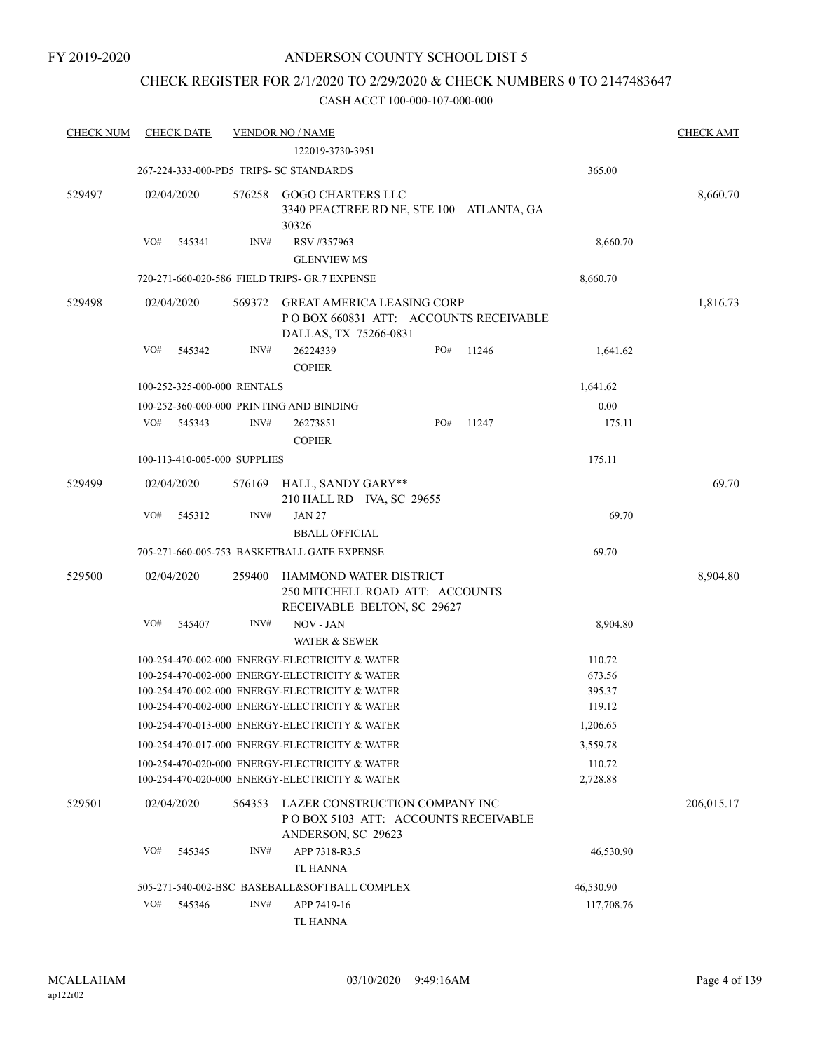## CHECK REGISTER FOR 2/1/2020 TO 2/29/2020 & CHECK NUMBERS 0 TO 2147483647

| <b>CHECK NUM</b> | <b>CHECK DATE</b>                        |        | <b>VENDOR NO / NAME</b>                                                                                                                                                                              |     |       |                                      | <b>CHECK AMT</b> |
|------------------|------------------------------------------|--------|------------------------------------------------------------------------------------------------------------------------------------------------------------------------------------------------------|-----|-------|--------------------------------------|------------------|
|                  |                                          |        | 122019-3730-3951                                                                                                                                                                                     |     |       |                                      |                  |
|                  | 267-224-333-000-PD5 TRIPS- SC STANDARDS  |        |                                                                                                                                                                                                      |     |       | 365.00                               |                  |
| 529497           | 02/04/2020                               | 576258 | <b>GOGO CHARTERS LLC</b><br>3340 PEACTREE RD NE, STE 100 ATLANTA, GA<br>30326                                                                                                                        |     |       |                                      | 8,660.70         |
|                  | VO#<br>545341                            | INV#   | RSV #357963                                                                                                                                                                                          |     |       | 8,660.70                             |                  |
|                  |                                          |        | <b>GLENVIEW MS</b>                                                                                                                                                                                   |     |       |                                      |                  |
|                  |                                          |        | 720-271-660-020-586 FIELD TRIPS- GR.7 EXPENSE                                                                                                                                                        |     |       | 8,660.70                             |                  |
| 529498           | 02/04/2020                               | 569372 | <b>GREAT AMERICA LEASING CORP</b><br>PO BOX 660831 ATT: ACCOUNTS RECEIVABLE<br>DALLAS, TX 75266-0831                                                                                                 |     |       |                                      | 1,816.73         |
|                  | VO#<br>545342                            | INV#   | 26224339<br><b>COPIER</b>                                                                                                                                                                            | PO# | 11246 | 1,641.62                             |                  |
|                  | 100-252-325-000-000 RENTALS              |        |                                                                                                                                                                                                      |     |       | 1,641.62                             |                  |
|                  | 100-252-360-000-000 PRINTING AND BINDING |        |                                                                                                                                                                                                      |     |       | 0.00                                 |                  |
|                  | VO#<br>545343                            | INV#   | 26273851<br><b>COPIER</b>                                                                                                                                                                            | PO# | 11247 | 175.11                               |                  |
|                  | 100-113-410-005-000 SUPPLIES             |        |                                                                                                                                                                                                      |     |       | 175.11                               |                  |
| 529499           | 02/04/2020                               | 576169 | HALL, SANDY GARY**<br>210 HALL RD IVA, SC 29655                                                                                                                                                      |     |       |                                      | 69.70            |
|                  | VO#<br>545312                            | INV#   | <b>JAN 27</b><br><b>BBALL OFFICIAL</b>                                                                                                                                                               |     |       | 69.70                                |                  |
|                  |                                          |        | 705-271-660-005-753 BASKETBALL GATE EXPENSE                                                                                                                                                          |     |       | 69.70                                |                  |
| 529500           | 02/04/2020                               | 259400 | HAMMOND WATER DISTRICT<br>250 MITCHELL ROAD ATT: ACCOUNTS<br>RECEIVABLE BELTON, SC 29627                                                                                                             |     |       |                                      | 8,904.80         |
|                  | VO#<br>545407                            | INV#   | NOV - JAN<br><b>WATER &amp; SEWER</b>                                                                                                                                                                |     |       | 8,904.80                             |                  |
|                  |                                          |        | 100-254-470-002-000 ENERGY-ELECTRICITY & WATER<br>100-254-470-002-000 ENERGY-ELECTRICITY & WATER<br>100-254-470-002-000 ENERGY-ELECTRICITY & WATER<br>100-254-470-002-000 ENERGY-ELECTRICITY & WATER |     |       | 110.72<br>673.56<br>395.37<br>119.12 |                  |
|                  |                                          |        | 100-254-470-013-000 ENERGY-ELECTRICITY & WATER                                                                                                                                                       |     |       | 1,206.65                             |                  |
|                  |                                          |        | 100-254-470-017-000 ENERGY-ELECTRICITY & WATER                                                                                                                                                       |     |       | 3,559.78                             |                  |
|                  |                                          |        | 100-254-470-020-000 ENERGY-ELECTRICITY & WATER<br>100-254-470-020-000 ENERGY-ELECTRICITY & WATER                                                                                                     |     |       | 110.72<br>2,728.88                   |                  |
| 529501           | 02/04/2020                               | 564353 | LAZER CONSTRUCTION COMPANY INC<br>POBOX 5103 ATT: ACCOUNTS RECEIVABLE<br>ANDERSON, SC 29623                                                                                                          |     |       |                                      | 206,015.17       |
|                  | VO#<br>545345                            | INV#   | APP 7318-R3.5                                                                                                                                                                                        |     |       | 46,530.90                            |                  |
|                  |                                          |        | <b>TL HANNA</b>                                                                                                                                                                                      |     |       |                                      |                  |
|                  |                                          |        | 505-271-540-002-BSC BASEBALL&SOFTBALL COMPLEX                                                                                                                                                        |     |       | 46,530.90                            |                  |
|                  | VO#<br>545346                            | INV#   | APP 7419-16<br>TL HANNA                                                                                                                                                                              |     |       | 117,708.76                           |                  |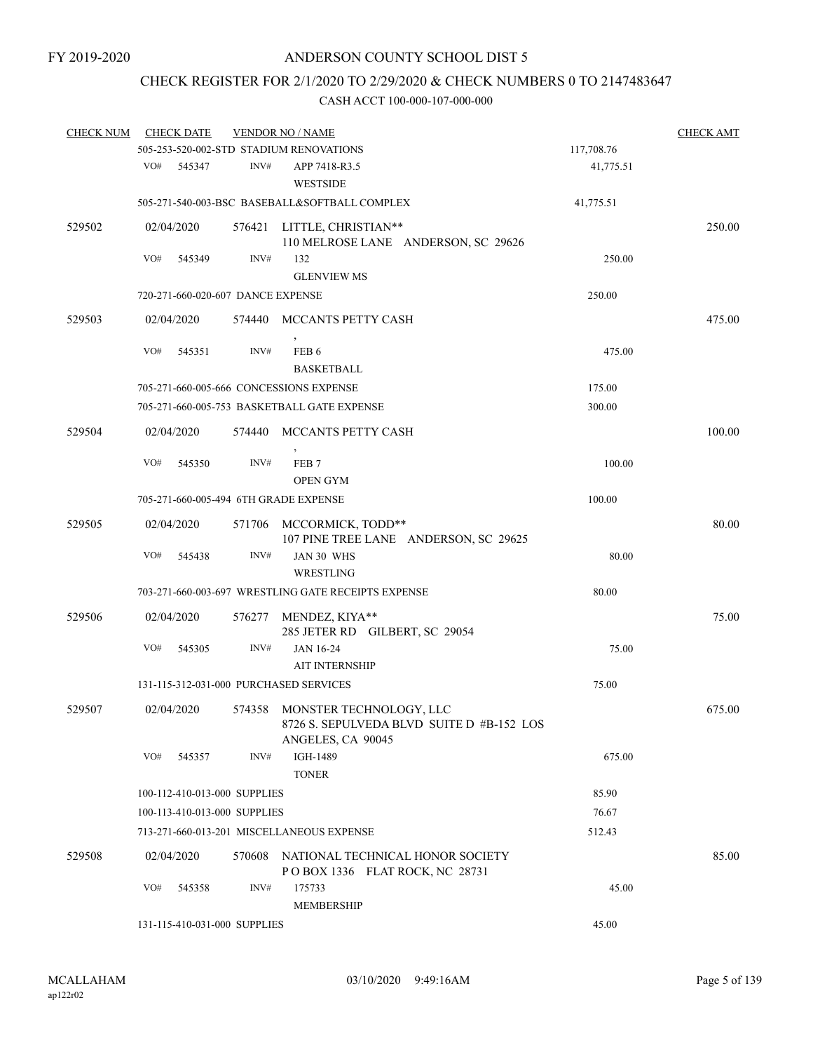## CHECK REGISTER FOR 2/1/2020 TO 2/29/2020 & CHECK NUMBERS 0 TO 2147483647

| <b>CHECK NUM</b> |     | <b>CHECK DATE</b>                 |                              | <b>VENDOR NO / NAME</b>                                            |            | <b>CHECK AMT</b> |
|------------------|-----|-----------------------------------|------------------------------|--------------------------------------------------------------------|------------|------------------|
|                  |     |                                   |                              | 505-253-520-002-STD STADIUM RENOVATIONS                            | 117,708.76 |                  |
|                  | VO# | 545347                            | INV#                         | APP 7418-R3.5<br><b>WESTSIDE</b>                                   | 41,775.51  |                  |
|                  |     |                                   |                              | 505-271-540-003-BSC BASEBALL&SOFTBALL COMPLEX                      | 41,775.51  |                  |
| 529502           |     | 02/04/2020                        |                              | 576421 LITTLE, CHRISTIAN**                                         |            | 250.00           |
|                  |     |                                   |                              | 110 MELROSE LANE ANDERSON, SC 29626                                |            |                  |
|                  | VO# | 545349                            | INV#                         | 132                                                                | 250.00     |                  |
|                  |     |                                   |                              | <b>GLENVIEW MS</b>                                                 |            |                  |
|                  |     | 720-271-660-020-607 DANCE EXPENSE |                              |                                                                    | 250.00     |                  |
| 529503           |     | 02/04/2020                        |                              | 574440 MCCANTS PETTY CASH                                          |            | 475.00           |
|                  | VO# | 545351                            | INV#                         | FEB <sub>6</sub>                                                   | 475.00     |                  |
|                  |     |                                   |                              | <b>BASKETBALL</b>                                                  |            |                  |
|                  |     |                                   |                              | 705-271-660-005-666 CONCESSIONS EXPENSE                            | 175.00     |                  |
|                  |     |                                   |                              | 705-271-660-005-753 BASKETBALL GATE EXPENSE                        | 300.00     |                  |
|                  |     |                                   |                              | 574440 MCCANTS PETTY CASH                                          |            | 100.00           |
| 529504           |     | 02/04/2020                        |                              |                                                                    |            |                  |
|                  | VO# | 545350                            | INV#                         | FEB <sub>7</sub>                                                   | 100.00     |                  |
|                  |     |                                   |                              | <b>OPEN GYM</b>                                                    |            |                  |
|                  |     |                                   |                              | 705-271-660-005-494 6TH GRADE EXPENSE                              | 100.00     |                  |
| 529505           |     | 02/04/2020                        |                              |                                                                    |            | 80.00            |
|                  |     |                                   |                              | 571706 MCCORMICK, TODD**<br>107 PINE TREE LANE ANDERSON, SC 29625  |            |                  |
|                  | VO# | 545438                            | INV#                         | JAN 30 WHS                                                         | 80.00      |                  |
|                  |     |                                   |                              | WRESTLING                                                          |            |                  |
|                  |     |                                   |                              | 703-271-660-003-697 WRESTLING GATE RECEIPTS EXPENSE                | 80.00      |                  |
|                  |     |                                   |                              |                                                                    |            |                  |
| 529506           |     | 02/04/2020                        |                              | 576277 MENDEZ, KIYA**<br>285 JETER RD GILBERT, SC 29054            |            | 75.00            |
|                  | VO# | 545305                            | INV#                         | <b>JAN 16-24</b>                                                   | 75.00      |                  |
|                  |     |                                   |                              | <b>AIT INTERNSHIP</b>                                              |            |                  |
|                  |     |                                   |                              | 131-115-312-031-000 PURCHASED SERVICES                             | 75.00      |                  |
| 529507           |     | 02/04/2020                        |                              | 574358 MONSTER TECHNOLOGY, LLC                                     |            | 675.00           |
|                  |     |                                   |                              | 8726 S. SEPULVEDA BLVD SUITE D #B-152 LOS<br>ANGELES, CA 90045     |            |                  |
|                  | VO# | 545357                            | INV#                         | IGH-1489                                                           | 675.00     |                  |
|                  |     |                                   |                              | <b>TONER</b>                                                       |            |                  |
|                  |     | 100-112-410-013-000 SUPPLIES      |                              |                                                                    | 85.90      |                  |
|                  |     | 100-113-410-013-000 SUPPLIES      |                              |                                                                    | 76.67      |                  |
|                  |     |                                   |                              | 713-271-660-013-201 MISCELLANEOUS EXPENSE                          | 512.43     |                  |
|                  |     |                                   |                              |                                                                    |            |                  |
| 529508           |     | 02/04/2020                        | 570608                       | NATIONAL TECHNICAL HONOR SOCIETY<br>POBOX 1336 FLAT ROCK, NC 28731 |            | 85.00            |
|                  | VO# | 545358                            | INV#                         | 175733                                                             | 45.00      |                  |
|                  |     |                                   |                              | MEMBERSHIP                                                         |            |                  |
|                  |     |                                   | 131-115-410-031-000 SUPPLIES | 45.00                                                              |            |                  |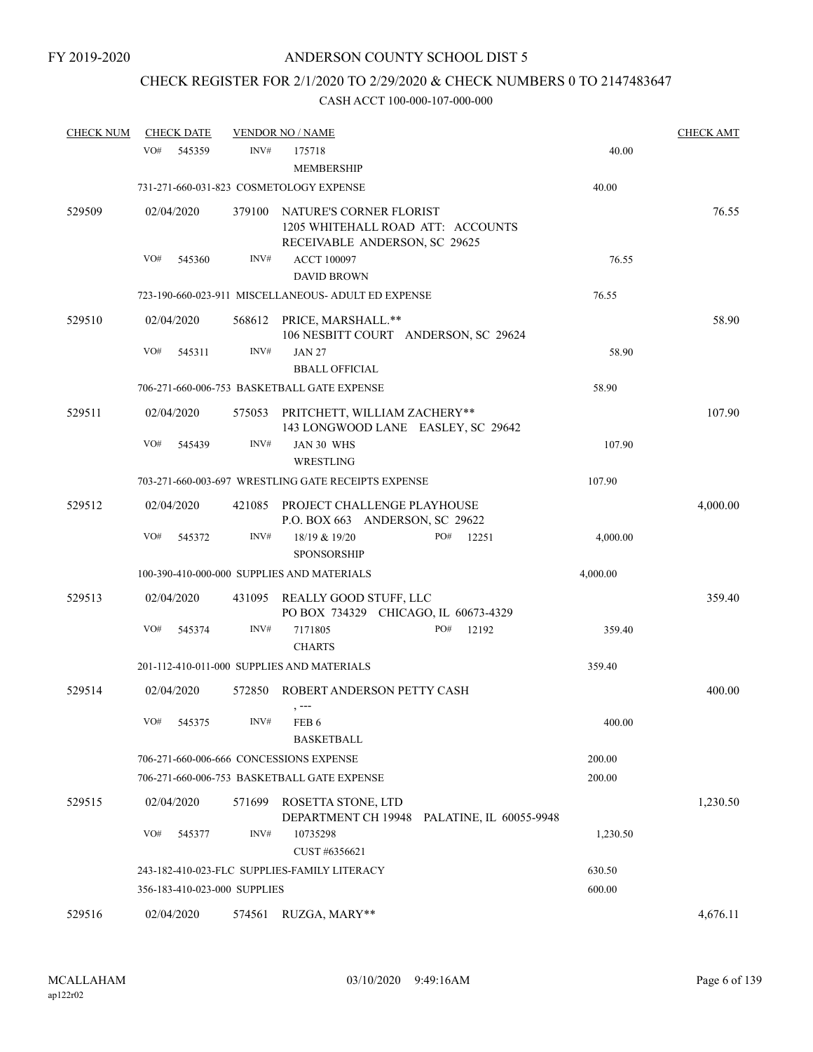# CHECK REGISTER FOR 2/1/2020 TO 2/29/2020 & CHECK NUMBERS 0 TO 2147483647

| <b>CHECK NUM</b> |                      | <b>CHECK DATE</b>            |        | <b>VENDOR NO / NAME</b>                                                   |                                             |          | <b>CHECK AMT</b> |
|------------------|----------------------|------------------------------|--------|---------------------------------------------------------------------------|---------------------------------------------|----------|------------------|
|                  | VO#                  | 545359                       | INV#   | 175718<br><b>MEMBERSHIP</b>                                               |                                             | 40.00    |                  |
|                  |                      |                              |        | 731-271-660-031-823 COSMETOLOGY EXPENSE                                   |                                             | 40.00    |                  |
| 529509           | 02/04/2020<br>379100 |                              |        | NATURE'S CORNER FLORIST<br>1205 WHITEHALL ROAD ATT: ACCOUNTS              |                                             | 76.55    |                  |
|                  | VO#                  | 545360                       | INV#   | RECEIVABLE ANDERSON, SC 29625<br><b>ACCT 100097</b><br><b>DAVID BROWN</b> |                                             | 76.55    |                  |
|                  |                      |                              |        | 723-190-660-023-911 MISCELLANEOUS- ADULT ED EXPENSE                       |                                             | 76.55    |                  |
| 529510           |                      | 02/04/2020                   |        | 568612 PRICE, MARSHALL.**<br>106 NESBITT COURT ANDERSON, SC 29624         |                                             |          | 58.90            |
|                  | VO#                  | 545311                       | INV#   | <b>JAN 27</b>                                                             |                                             | 58.90    |                  |
|                  |                      |                              |        | <b>BBALL OFFICIAL</b>                                                     |                                             |          |                  |
|                  |                      |                              |        | 706-271-660-006-753 BASKETBALL GATE EXPENSE                               |                                             | 58.90    |                  |
| 529511           |                      | 02/04/2020                   |        | 575053 PRITCHETT, WILLIAM ZACHERY**<br>143 LONGWOOD LANE EASLEY, SC 29642 |                                             |          | 107.90           |
|                  | VO#                  | 545439                       | INV#   | JAN 30 WHS<br>WRESTLING                                                   |                                             | 107.90   |                  |
|                  |                      |                              |        | 703-271-660-003-697 WRESTLING GATE RECEIPTS EXPENSE                       |                                             | 107.90   |                  |
| 529512           |                      | 02/04/2020                   | 421085 | PROJECT CHALLENGE PLAYHOUSE<br>P.O. BOX 663 ANDERSON, SC 29622            |                                             |          | 4,000.00         |
|                  | VO#                  | 545372                       | INV#   | 18/19 & 19/20<br><b>SPONSORSHIP</b>                                       | PO#<br>12251                                | 4,000.00 |                  |
|                  |                      |                              |        | 100-390-410-000-000 SUPPLIES AND MATERIALS                                |                                             | 4,000.00 |                  |
| 529513           |                      | 02/04/2020                   |        | 431095 REALLY GOOD STUFF, LLC<br>PO BOX 734329 CHICAGO, IL 60673-4329     |                                             |          | 359.40           |
|                  | VO#                  | 545374                       | INV#   | 7171805<br><b>CHARTS</b>                                                  | PO#<br>12192                                | 359.40   |                  |
|                  |                      |                              |        | 201-112-410-011-000 SUPPLIES AND MATERIALS                                |                                             | 359.40   |                  |
| 529514           |                      | 02/04/2020                   | 572850 | ROBERT ANDERSON PETTY CASH                                                |                                             |          | 400.00           |
|                  |                      | VO# 545375                   | INV#   | FEB 6<br><b>BASKETBALL</b>                                                |                                             | 400.00   |                  |
|                  |                      |                              |        | 706-271-660-006-666 CONCESSIONS EXPENSE                                   |                                             | 200.00   |                  |
|                  |                      |                              |        | 706-271-660-006-753 BASKETBALL GATE EXPENSE                               |                                             | 200.00   |                  |
| 529515           |                      | 02/04/2020                   | 571699 | ROSETTA STONE, LTD                                                        | DEPARTMENT CH 19948 PALATINE, IL 60055-9948 |          | 1,230.50         |
|                  | VO#                  | 545377                       | INV#   | 10735298<br>CUST #6356621                                                 |                                             | 1,230.50 |                  |
|                  |                      |                              |        | 243-182-410-023-FLC SUPPLIES-FAMILY LITERACY                              |                                             | 630.50   |                  |
|                  |                      | 356-183-410-023-000 SUPPLIES |        |                                                                           |                                             | 600.00   |                  |
| 529516           |                      | 02/04/2020                   |        | 574561 RUZGA, MARY**                                                      |                                             |          | 4,676.11         |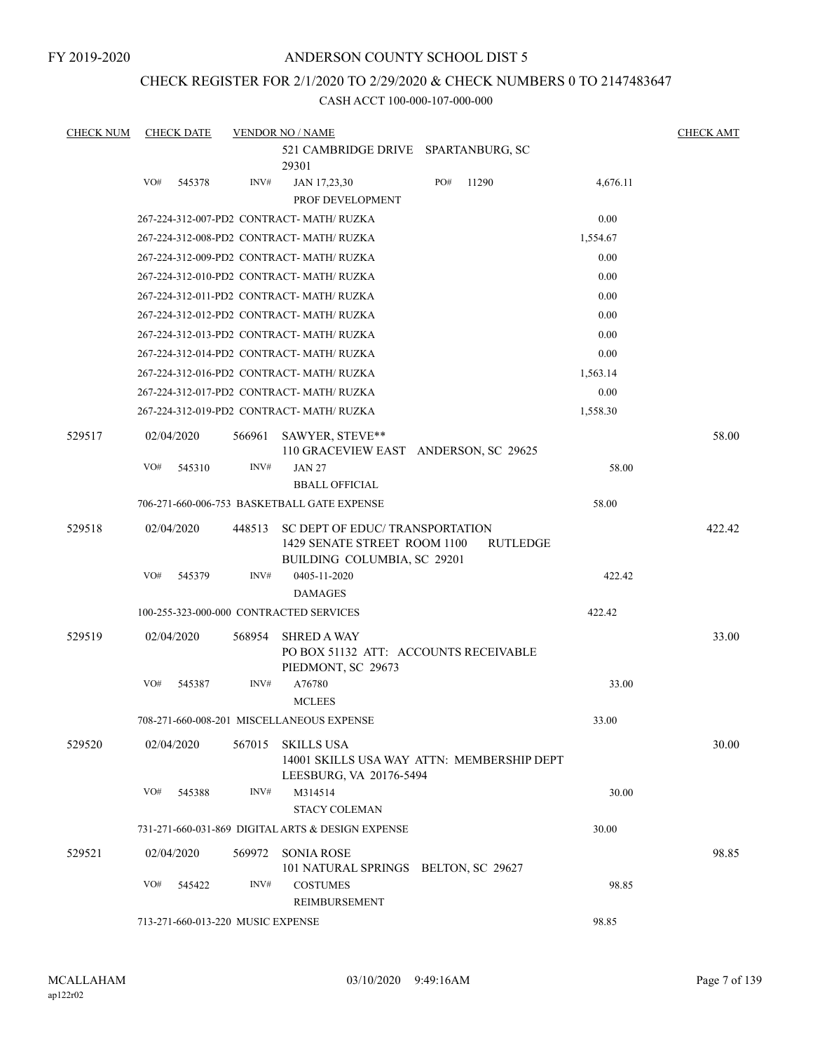FY 2019-2020

## ANDERSON COUNTY SCHOOL DIST 5

#### CHECK REGISTER FOR 2/1/2020 TO 2/29/2020 & CHECK NUMBERS 0 TO 2147483647

| <b>CHECK NUM</b> | <b>CHECK DATE</b> |                                   | <b>VENDOR NO / NAME</b>                                                                       |     |          |          | <b>CHECK AMT</b> |
|------------------|-------------------|-----------------------------------|-----------------------------------------------------------------------------------------------|-----|----------|----------|------------------|
|                  |                   |                                   | 521 CAMBRIDGE DRIVE SPARTANBURG, SC                                                           |     |          |          |                  |
|                  |                   |                                   | 29301                                                                                         |     |          |          |                  |
|                  | VO#               | 545378<br>INV#                    | JAN 17,23,30<br>PROF DEVELOPMENT                                                              | PO# | 11290    | 4,676.11 |                  |
|                  |                   |                                   | 267-224-312-007-PD2 CONTRACT- MATH/RUZKA                                                      |     |          | 0.00     |                  |
|                  |                   |                                   | 267-224-312-008-PD2 CONTRACT- MATH/ RUZKA                                                     |     |          | 1,554.67 |                  |
|                  |                   |                                   | 267-224-312-009-PD2 CONTRACT- MATH/ RUZKA                                                     |     |          | 0.00     |                  |
|                  |                   |                                   | 267-224-312-010-PD2 CONTRACT- MATH/RUZKA                                                      |     |          | 0.00     |                  |
|                  |                   |                                   | 267-224-312-011-PD2 CONTRACT- MATH/RUZKA                                                      |     |          | 0.00     |                  |
|                  |                   |                                   | 267-224-312-012-PD2 CONTRACT- MATH/RUZKA                                                      |     |          | 0.00     |                  |
|                  |                   |                                   | 267-224-312-013-PD2 CONTRACT- MATH/ RUZKA                                                     |     |          | 0.00     |                  |
|                  |                   |                                   | 267-224-312-014-PD2 CONTRACT- MATH/ RUZKA                                                     |     |          | 0.00     |                  |
|                  |                   |                                   | 267-224-312-016-PD2 CONTRACT- MATH/ RUZKA                                                     |     |          | 1,563.14 |                  |
|                  |                   |                                   | 267-224-312-017-PD2 CONTRACT- MATH/RUZKA                                                      |     |          | 0.00     |                  |
|                  |                   |                                   | 267-224-312-019-PD2 CONTRACT- MATH/ RUZKA                                                     |     |          | 1,558.30 |                  |
| 529517           | 02/04/2020        | 566961                            | SAWYER, STEVE**                                                                               |     |          |          | 58.00            |
|                  |                   |                                   | 110 GRACEVIEW EAST ANDERSON, SC 29625                                                         |     |          |          |                  |
|                  | VO#               | INV#<br>545310                    | <b>JAN 27</b>                                                                                 |     |          | 58.00    |                  |
|                  |                   |                                   | <b>BBALL OFFICIAL</b>                                                                         |     |          | 58.00    |                  |
|                  |                   |                                   | 706-271-660-006-753 BASKETBALL GATE EXPENSE                                                   |     |          |          |                  |
| 529518           | 02/04/2020        | 448513                            | SC DEPT OF EDUC/TRANSPORTATION<br>1429 SENATE STREET ROOM 1100<br>BUILDING COLUMBIA, SC 29201 |     | RUTLEDGE |          | 422.42           |
|                  | VO#               | 545379<br>INV#                    | 0405-11-2020                                                                                  |     |          | 422.42   |                  |
|                  |                   |                                   | <b>DAMAGES</b>                                                                                |     |          |          |                  |
|                  |                   |                                   | 100-255-323-000-000 CONTRACTED SERVICES                                                       |     |          | 422.42   |                  |
| 529519           | 02/04/2020        | 568954                            | <b>SHRED A WAY</b><br>PO BOX 51132 ATT: ACCOUNTS RECEIVABLE<br>PIEDMONT, SC 29673             |     |          |          | 33.00            |
|                  | VO#               | INV#<br>545387                    | A76780                                                                                        |     |          | 33.00    |                  |
|                  |                   |                                   | <b>MCLEES</b>                                                                                 |     |          |          |                  |
|                  |                   |                                   | 708-271-660-008-201 MISCELLANEOUS EXPENSE                                                     |     |          | 33.00    |                  |
| 529520           | 02/04/2020        |                                   | 567015 SKILLS USA<br>14001 SKILLS USA WAY ATTN: MEMBERSHIP DEPT<br>LEESBURG, VA 20176-5494    |     |          |          | 30.00            |
|                  | VO#               | INV#<br>545388                    | M314514                                                                                       |     |          | 30.00    |                  |
|                  |                   |                                   | <b>STACY COLEMAN</b>                                                                          |     |          |          |                  |
|                  |                   |                                   | 731-271-660-031-869 DIGITAL ARTS & DESIGN EXPENSE                                             |     |          | 30.00    |                  |
| 529521           | 02/04/2020        | 569972                            | SONIA ROSE<br>101 NATURAL SPRINGS BELTON, SC 29627                                            |     |          |          | 98.85            |
|                  | VO#               | INV#<br>545422                    | <b>COSTUMES</b><br>REIMBURSEMENT                                                              |     |          | 98.85    |                  |
|                  |                   | 713-271-660-013-220 MUSIC EXPENSE |                                                                                               |     |          | 98.85    |                  |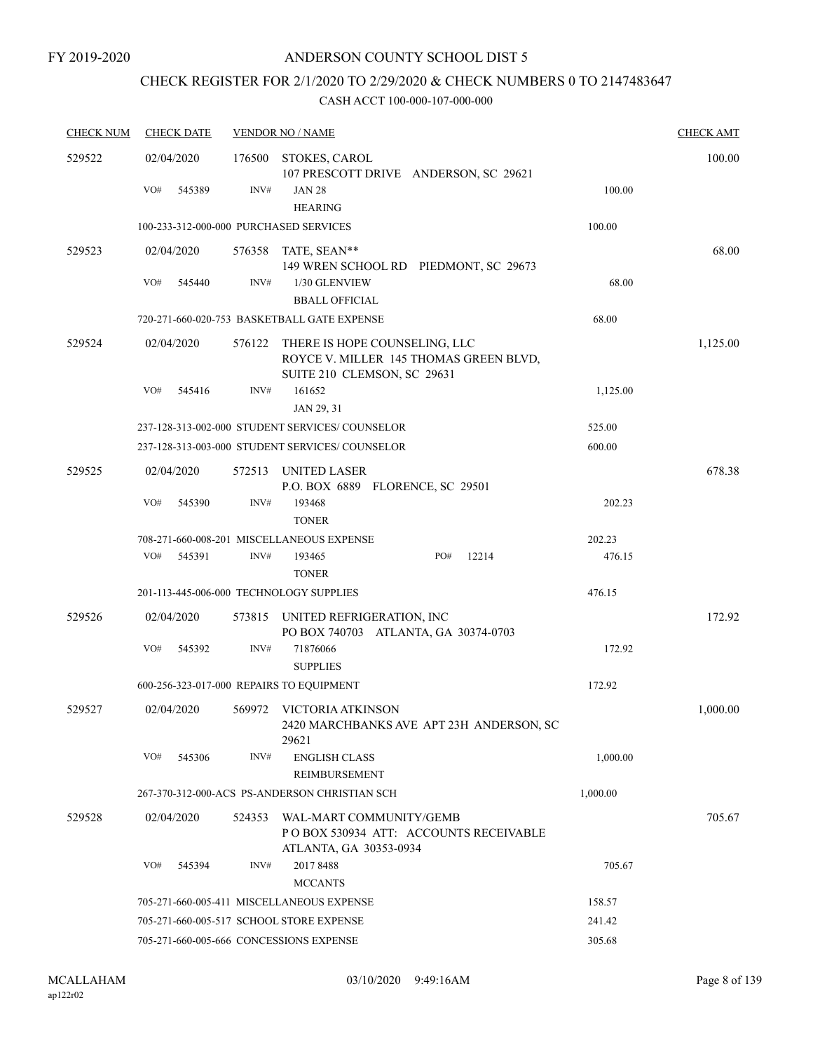# CHECK REGISTER FOR 2/1/2020 TO 2/29/2020 & CHECK NUMBERS 0 TO 2147483647

| <b>CHECK NUM</b> | <b>CHECK DATE</b>                        |        | <b>VENDOR NO / NAME</b>                                                                                |          | <b>CHECK AMT</b> |
|------------------|------------------------------------------|--------|--------------------------------------------------------------------------------------------------------|----------|------------------|
| 529522           | 02/04/2020                               | 176500 | STOKES, CAROL<br>107 PRESCOTT DRIVE ANDERSON, SC 29621                                                 |          | 100.00           |
|                  | VO#<br>545389                            | INV#   | <b>JAN 28</b><br><b>HEARING</b>                                                                        | 100.00   |                  |
|                  | 100-233-312-000-000 PURCHASED SERVICES   |        |                                                                                                        | 100.00   |                  |
| 529523           | 02/04/2020                               |        | 576358 TATE, SEAN**<br>149 WREN SCHOOL RD PIEDMONT, SC 29673                                           |          | 68.00            |
|                  | VO#<br>545440                            | INV#   | 1/30 GLENVIEW<br><b>BBALL OFFICIAL</b>                                                                 | 68.00    |                  |
|                  |                                          |        | 720-271-660-020-753 BASKETBALL GATE EXPENSE                                                            | 68.00    |                  |
| 529524           | 02/04/2020                               | 576122 | THERE IS HOPE COUNSELING, LLC<br>ROYCE V. MILLER 145 THOMAS GREEN BLVD,<br>SUITE 210 CLEMSON, SC 29631 |          | 1,125.00         |
|                  | VO#<br>545416                            | INV#   | 161652<br>JAN 29, 31                                                                                   | 1,125.00 |                  |
|                  |                                          |        | 237-128-313-002-000 STUDENT SERVICES/ COUNSELOR                                                        | 525.00   |                  |
|                  |                                          |        | 237-128-313-003-000 STUDENT SERVICES/ COUNSELOR                                                        | 600.00   |                  |
| 529525           | 02/04/2020                               | 572513 | UNITED LASER<br>P.O. BOX 6889 FLORENCE, SC 29501                                                       |          | 678.38           |
|                  | VO#<br>545390                            | INV#   | 193468<br><b>TONER</b>                                                                                 | 202.23   |                  |
|                  |                                          |        | 708-271-660-008-201 MISCELLANEOUS EXPENSE                                                              | 202.23   |                  |
|                  | VO#<br>545391                            | INV#   | PO#<br>12214<br>193465<br><b>TONER</b>                                                                 | 476.15   |                  |
|                  | 201-113-445-006-000 TECHNOLOGY SUPPLIES  |        |                                                                                                        | 476.15   |                  |
| 529526           | 02/04/2020                               |        | 573815 UNITED REFRIGERATION, INC<br>PO BOX 740703 ATLANTA, GA 30374-0703                               |          | 172.92           |
|                  | VO#<br>545392                            | INV#   | 71876066<br><b>SUPPLIES</b>                                                                            | 172.92   |                  |
|                  | 600-256-323-017-000 REPAIRS TO EQUIPMENT |        |                                                                                                        | 172.92   |                  |
| 529527           | 02/04/2020                               |        | 569972 VICTORIA ATKINSON<br>2420 MARCHBANKS AVE APT 23H ANDERSON, SC<br>29621                          |          | 1,000.00         |
|                  | VO#<br>545306                            | INV#   | <b>ENGLISH CLASS</b><br>REIMBURSEMENT                                                                  | 1,000.00 |                  |
|                  |                                          |        | 267-370-312-000-ACS PS-ANDERSON CHRISTIAN SCH                                                          | 1,000.00 |                  |
| 529528           | 02/04/2020                               | 524353 | WAL-MART COMMUNITY/GEMB<br>PO BOX 530934 ATT: ACCOUNTS RECEIVABLE<br>ATLANTA, GA 30353-0934            |          | 705.67           |
|                  | VO#<br>545394                            | INV#   | 2017 8488<br><b>MCCANTS</b>                                                                            | 705.67   |                  |
|                  |                                          |        | 705-271-660-005-411 MISCELLANEOUS EXPENSE                                                              | 158.57   |                  |
|                  | 705-271-660-005-517 SCHOOL STORE EXPENSE |        |                                                                                                        | 241.42   |                  |
|                  | 705-271-660-005-666 CONCESSIONS EXPENSE  |        | 305.68                                                                                                 |          |                  |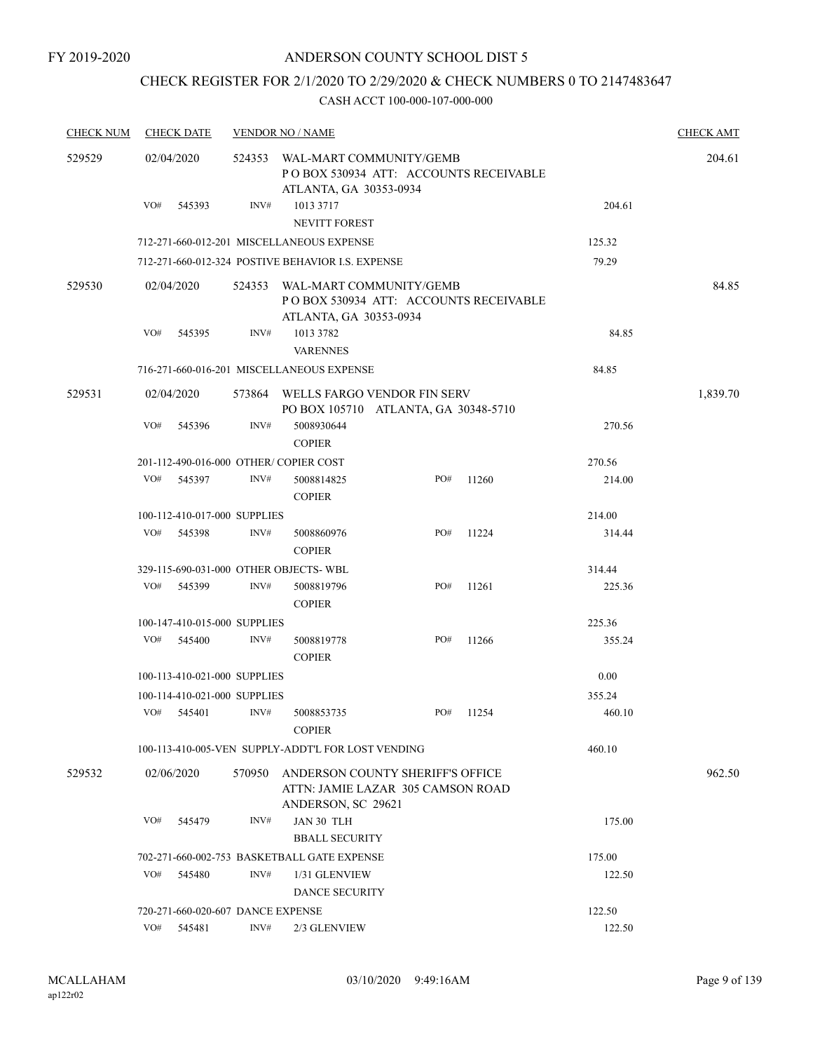## CHECK REGISTER FOR 2/1/2020 TO 2/29/2020 & CHECK NUMBERS 0 TO 2147483647

| <b>CHECK NUM</b> |     | <b>CHECK DATE</b>                 |        | <b>VENDOR NO / NAME</b>                                                                     |  |     |       |        | <b>CHECK AMT</b> |
|------------------|-----|-----------------------------------|--------|---------------------------------------------------------------------------------------------|--|-----|-------|--------|------------------|
| 529529           |     | 02/04/2020                        | 524353 | WAL-MART COMMUNITY/GEMB<br>POBOX 530934 ATT: ACCOUNTS RECEIVABLE<br>ATLANTA, GA 30353-0934  |  |     |       |        | 204.61           |
|                  | VO# | 545393                            | INV#   | 1013 3717<br>NEVITT FOREST                                                                  |  |     |       | 204.61 |                  |
|                  |     |                                   |        | 712-271-660-012-201 MISCELLANEOUS EXPENSE                                                   |  |     |       | 125.32 |                  |
|                  |     |                                   |        | 712-271-660-012-324 POSTIVE BEHAVIOR I.S. EXPENSE                                           |  |     |       | 79.29  |                  |
| 529530           |     | 02/04/2020                        | 524353 | WAL-MART COMMUNITY/GEMB<br>PO BOX 530934 ATT: ACCOUNTS RECEIVABLE<br>ATLANTA, GA 30353-0934 |  |     | 84.85 |        |                  |
|                  | VO# | 545395                            | INV#   | 1013 3782<br><b>VARENNES</b>                                                                |  |     |       | 84.85  |                  |
|                  |     |                                   |        | 716-271-660-016-201 MISCELLANEOUS EXPENSE                                                   |  |     |       | 84.85  |                  |
| 529531           |     | 02/04/2020                        | 573864 | WELLS FARGO VENDOR FIN SERV<br>PO BOX 105710 ATLANTA, GA 30348-5710                         |  |     |       |        | 1,839.70         |
|                  | VO# | 545396                            | INV#   | 5008930644<br><b>COPIER</b>                                                                 |  |     |       | 270.56 |                  |
|                  |     |                                   |        | 201-112-490-016-000 OTHER/COPIER COST                                                       |  |     |       | 270.56 |                  |
|                  | VO# | 545397                            | INV#   | 5008814825<br><b>COPIER</b>                                                                 |  | PO# | 11260 | 214.00 |                  |
|                  |     | 100-112-410-017-000 SUPPLIES      |        |                                                                                             |  |     |       | 214.00 |                  |
|                  | VO# | 545398                            | INV#   | 5008860976<br><b>COPIER</b>                                                                 |  | PO# | 11224 | 314.44 |                  |
|                  |     |                                   |        | 329-115-690-031-000 OTHER OBJECTS-WBL                                                       |  |     |       | 314.44 |                  |
|                  | VO# | 545399                            | INV#   | 5008819796<br><b>COPIER</b>                                                                 |  | PO# | 11261 | 225.36 |                  |
|                  |     | 100-147-410-015-000 SUPPLIES      |        |                                                                                             |  |     |       | 225.36 |                  |
|                  | VO# | 545400                            | INV#   | 5008819778<br><b>COPIER</b>                                                                 |  | PO# | 11266 | 355.24 |                  |
|                  |     | 100-113-410-021-000 SUPPLIES      |        |                                                                                             |  |     |       | 0.00   |                  |
|                  |     | 100-114-410-021-000 SUPPLIES      |        |                                                                                             |  |     |       | 355.24 |                  |
|                  | VO# | 545401                            | INV#   | 5008853735<br><b>COPIER</b>                                                                 |  | PO# | 11254 | 460.10 |                  |
|                  |     |                                   |        | 100-113-410-005-VEN SUPPLY-ADDT'L FOR LOST VENDING                                          |  |     |       | 460.10 |                  |
| 529532           |     | 02/06/2020                        | 570950 | ANDERSON COUNTY SHERIFF'S OFFICE<br>ATTN: JAMIE LAZAR 305 CAMSON ROAD<br>ANDERSON, SC 29621 |  |     |       |        | 962.50           |
|                  | VO# | 545479                            | INV#   | JAN 30 TLH<br><b>BBALL SECURITY</b>                                                         |  |     |       | 175.00 |                  |
|                  |     |                                   |        | 702-271-660-002-753 BASKETBALL GATE EXPENSE                                                 |  |     |       | 175.00 |                  |
|                  | VO# | 545480                            | INV#   | 1/31 GLENVIEW<br><b>DANCE SECURITY</b>                                                      |  |     |       | 122.50 |                  |
|                  |     | 720-271-660-020-607 DANCE EXPENSE |        |                                                                                             |  |     |       | 122.50 |                  |
|                  | VO# | 545481                            | INV#   | 2/3 GLENVIEW                                                                                |  |     |       | 122.50 |                  |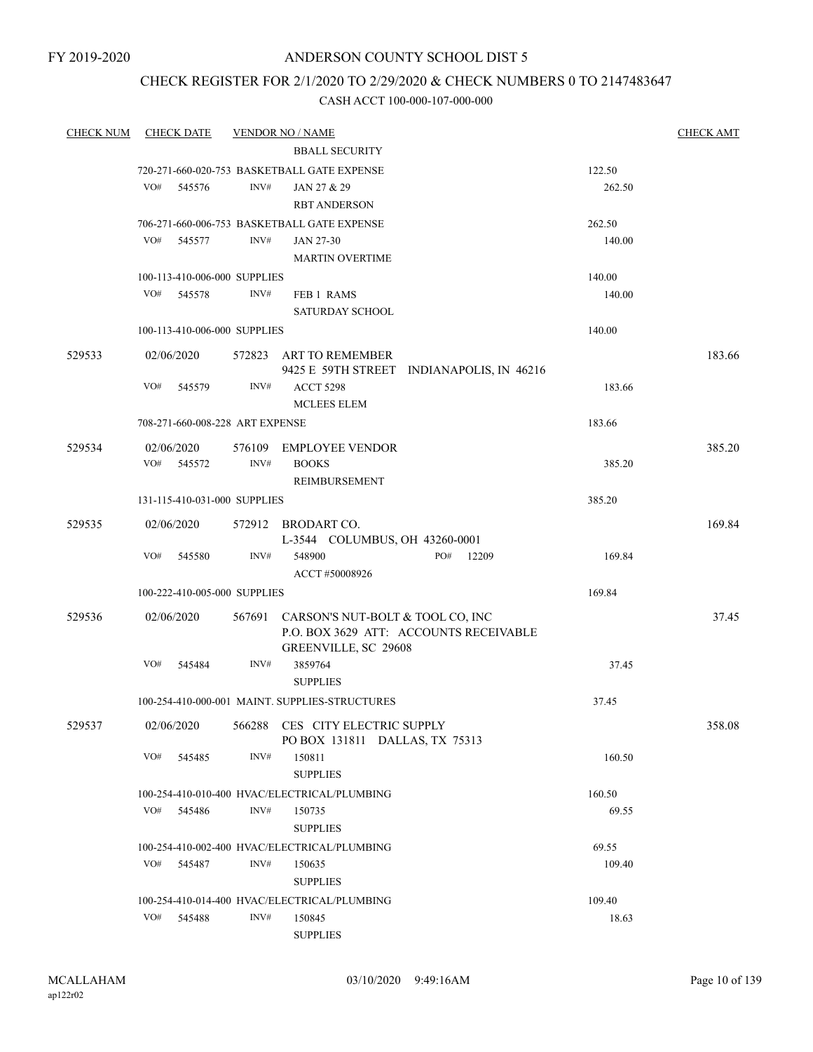FY 2019-2020

## ANDERSON COUNTY SCHOOL DIST 5

## CHECK REGISTER FOR 2/1/2020 TO 2/29/2020 & CHECK NUMBERS 0 TO 2147483647

| <b>CHECK NUM</b> | <b>CHECK DATE</b>               |                | <b>VENDOR NO / NAME</b>                                    |                                           |        | <b>CHECK AMT</b> |
|------------------|---------------------------------|----------------|------------------------------------------------------------|-------------------------------------------|--------|------------------|
|                  |                                 |                | <b>BBALL SECURITY</b>                                      |                                           |        |                  |
|                  |                                 |                | 720-271-660-020-753 BASKETBALL GATE EXPENSE                |                                           | 122.50 |                  |
|                  | VO#<br>545576                   | INV#           | JAN 27 & 29                                                |                                           | 262.50 |                  |
|                  |                                 |                | <b>RBT ANDERSON</b>                                        |                                           |        |                  |
|                  |                                 |                | 706-271-660-006-753 BASKETBALL GATE EXPENSE                |                                           | 262.50 |                  |
|                  | VO#<br>545577                   | INV#           | JAN 27-30                                                  |                                           | 140.00 |                  |
|                  |                                 |                | <b>MARTIN OVERTIME</b>                                     |                                           |        |                  |
|                  | 100-113-410-006-000 SUPPLIES    |                |                                                            |                                           | 140.00 |                  |
|                  | VO#<br>545578                   | INV#           | FEB 1 RAMS                                                 |                                           | 140.00 |                  |
|                  |                                 |                | <b>SATURDAY SCHOOL</b>                                     |                                           |        |                  |
|                  | 100-113-410-006-000 SUPPLIES    |                |                                                            |                                           | 140.00 |                  |
| 529533           | 02/06/2020                      |                | 572823 ART TO REMEMBER                                     | 9425 E 59TH STREET INDIANAPOLIS, IN 46216 |        | 183.66           |
|                  | VO#<br>545579                   | INV#           | <b>ACCT 5298</b>                                           |                                           | 183.66 |                  |
|                  |                                 |                | <b>MCLEES ELEM</b>                                         |                                           |        |                  |
|                  | 708-271-660-008-228 ART EXPENSE |                |                                                            |                                           | 183.66 |                  |
|                  |                                 |                |                                                            |                                           |        |                  |
| 529534           | 02/06/2020                      | $\text{INV}\#$ | 576109 EMPLOYEE VENDOR                                     |                                           |        | 385.20           |
|                  | VO# 545572                      |                | <b>BOOKS</b>                                               |                                           | 385.20 |                  |
|                  |                                 |                | REIMBURSEMENT                                              |                                           |        |                  |
|                  | 131-115-410-031-000 SUPPLIES    |                |                                                            |                                           | 385.20 |                  |
| 529535           | 02/06/2020                      |                | 572912 BRODART CO.<br>L-3544 COLUMBUS, OH 43260-0001       |                                           |        | 169.84           |
|                  | VO#<br>545580                   | INV#           | 548900                                                     | PO#<br>12209                              | 169.84 |                  |
|                  |                                 |                | ACCT #50008926                                             |                                           |        |                  |
|                  | 100-222-410-005-000 SUPPLIES    |                |                                                            |                                           | 169.84 |                  |
| 529536           | 02/06/2020                      |                | 567691 CARSON'S NUT-BOLT & TOOL CO, INC                    |                                           |        | 37.45            |
|                  |                                 |                | GREENVILLE, SC 29608                                       | P.O. BOX 3629 ATT: ACCOUNTS RECEIVABLE    |        |                  |
|                  | VO#<br>545484                   | INV#           | 3859764                                                    |                                           | 37.45  |                  |
|                  |                                 |                | <b>SUPPLIES</b>                                            |                                           |        |                  |
|                  |                                 |                | 100-254-410-000-001 MAINT, SUPPLIES-STRUCTURES             |                                           | 37.45  |                  |
| 529537           | 02/06/2020                      | 566288         | CES CITY ELECTRIC SUPPLY<br>PO BOX 131811 DALLAS, TX 75313 |                                           |        | 358.08           |
|                  | VO#<br>545485                   | INV#           | 150811                                                     |                                           | 160.50 |                  |
|                  |                                 |                | <b>SUPPLIES</b>                                            |                                           |        |                  |
|                  |                                 |                | 100-254-410-010-400 HVAC/ELECTRICAL/PLUMBING               |                                           | 160.50 |                  |
|                  | VO#<br>545486                   | INV#           | 150735                                                     |                                           | 69.55  |                  |
|                  |                                 |                | <b>SUPPLIES</b>                                            |                                           |        |                  |
|                  |                                 |                | 100-254-410-002-400 HVAC/ELECTRICAL/PLUMBING               |                                           | 69.55  |                  |
|                  | VO#<br>545487                   | INV#           | 150635                                                     |                                           | 109.40 |                  |
|                  |                                 |                | <b>SUPPLIES</b>                                            |                                           |        |                  |
|                  |                                 |                | 100-254-410-014-400 HVAC/ELECTRICAL/PLUMBING               |                                           | 109.40 |                  |
|                  | VO#<br>545488                   | INV#           | 150845                                                     |                                           | 18.63  |                  |
|                  |                                 |                | <b>SUPPLIES</b>                                            |                                           |        |                  |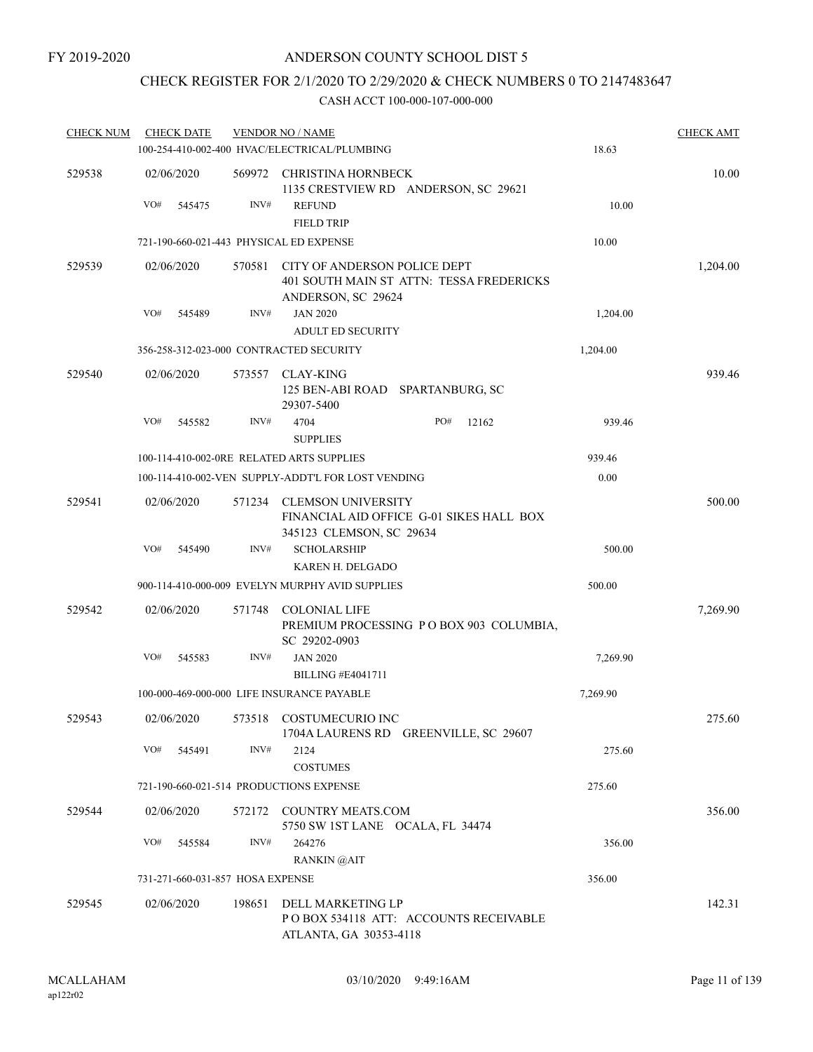## CHECK REGISTER FOR 2/1/2020 TO 2/29/2020 & CHECK NUMBERS 0 TO 2147483647

| <b>CHECK NUM</b> | <b>CHECK DATE</b> |        |                                  | <b>VENDOR NO / NAME</b>                                      |                                          |          | <b>CHECK AMT</b> |
|------------------|-------------------|--------|----------------------------------|--------------------------------------------------------------|------------------------------------------|----------|------------------|
|                  |                   |        |                                  | 100-254-410-002-400 HVAC/ELECTRICAL/PLUMBING                 |                                          | 18.63    |                  |
| 529538           | 02/06/2020        |        | 569972                           | CHRISTINA HORNBECK                                           | 1135 CRESTVIEW RD ANDERSON, SC 29621     |          | 10.00            |
|                  | VO#               | 545475 | INV#                             | <b>REFUND</b><br><b>FIELD TRIP</b>                           |                                          | 10.00    |                  |
|                  |                   |        |                                  | 721-190-660-021-443 PHYSICAL ED EXPENSE                      |                                          | 10.00    |                  |
| 529539           | 02/06/2020        |        | 570581                           | CITY OF ANDERSON POLICE DEPT<br>ANDERSON, SC 29624           | 401 SOUTH MAIN ST ATTN: TESSA FREDERICKS |          | 1,204.00         |
|                  | VO#               | 545489 | INV#                             | <b>JAN 2020</b><br><b>ADULT ED SECURITY</b>                  |                                          | 1,204.00 |                  |
|                  |                   |        |                                  | 356-258-312-023-000 CONTRACTED SECURITY                      |                                          | 1,204.00 |                  |
| 529540           | 02/06/2020        |        | 573557                           | CLAY-KING<br>125 BEN-ABI ROAD SPARTANBURG, SC<br>29307-5400  |                                          |          | 939.46           |
|                  | VO#               | 545582 | INV#                             | 4704<br><b>SUPPLIES</b>                                      | PO#<br>12162                             | 939.46   |                  |
|                  |                   |        |                                  | 100-114-410-002-0RE RELATED ARTS SUPPLIES                    |                                          | 939.46   |                  |
|                  |                   |        |                                  | 100-114-410-002-VEN SUPPLY-ADDT'L FOR LOST VENDING           |                                          | 0.00     |                  |
| 529541           | 02/06/2020        |        | 571234                           | <b>CLEMSON UNIVERSITY</b><br>345123 CLEMSON, SC 29634        | FINANCIAL AID OFFICE G-01 SIKES HALL BOX |          | 500.00           |
|                  | VO#               | 545490 | INV#                             | <b>SCHOLARSHIP</b><br>KAREN H. DELGADO                       |                                          | 500.00   |                  |
|                  |                   |        |                                  | 900-114-410-000-009 EVELYN MURPHY AVID SUPPLIES              |                                          | 500.00   |                  |
| 529542           | 02/06/2020        |        | 571748                           | <b>COLONIAL LIFE</b><br>SC 29202-0903                        | PREMIUM PROCESSING PO BOX 903 COLUMBIA,  |          | 7,269.90         |
|                  | VO#               | 545583 | INV#                             | <b>JAN 2020</b><br><b>BILLING #E4041711</b>                  |                                          | 7,269.90 |                  |
|                  |                   |        |                                  | 100-000-469-000-000 LIFE INSURANCE PAYABLE                   |                                          | 7,269.90 |                  |
| 529543           | 02/06/2020        |        |                                  | 573518 COSTUMECURIO INC                                      | 1704A LAURENS RD GREENVILLE, SC 29607    |          | 275.60           |
|                  | VO#               | 545491 | INV#                             | 2124<br><b>COSTUMES</b>                                      |                                          | 275.60   |                  |
|                  |                   |        |                                  | 721-190-660-021-514 PRODUCTIONS EXPENSE                      |                                          | 275.60   |                  |
| 529544           | 02/06/2020        |        |                                  | 572172 COUNTRY MEATS.COM<br>5750 SW 1ST LANE OCALA, FL 34474 |                                          |          | 356.00           |
|                  | VO#               | 545584 | INV#                             | 264276<br>RANKIN @AIT                                        |                                          | 356.00   |                  |
|                  |                   |        | 731-271-660-031-857 HOSA EXPENSE |                                                              |                                          | 356.00   |                  |
| 529545           | 02/06/2020        |        | 198651                           | DELL MARKETING LP<br>ATLANTA, GA 30353-4118                  | PO BOX 534118 ATT: ACCOUNTS RECEIVABLE   |          | 142.31           |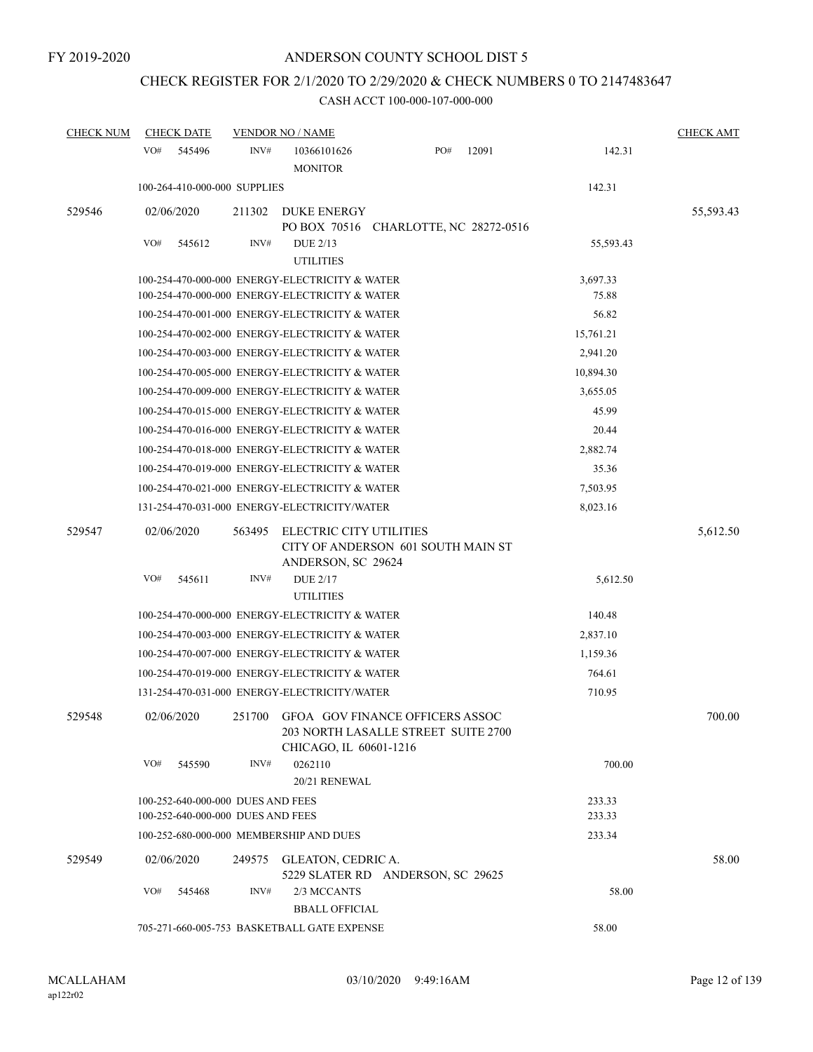# CHECK REGISTER FOR 2/1/2020 TO 2/29/2020 & CHECK NUMBERS 0 TO 2147483647

| <b>CHECK NUM</b> | <b>CHECK DATE</b>                                                                                |                | <b>VENDOR NO / NAME</b>                                          |                                                                               |       |                   | <b>CHECK AMT</b> |
|------------------|--------------------------------------------------------------------------------------------------|----------------|------------------------------------------------------------------|-------------------------------------------------------------------------------|-------|-------------------|------------------|
|                  | VO#<br>545496                                                                                    | INV#           | 10366101626<br><b>MONITOR</b>                                    | PO#                                                                           | 12091 | 142.31            |                  |
|                  | 100-264-410-000-000 SUPPLIES                                                                     |                |                                                                  |                                                                               |       | 142.31            |                  |
| 529546           | 02/06/2020                                                                                       | 211302         | <b>DUKE ENERGY</b>                                               | PO BOX 70516 CHARLOTTE, NC 28272-0516                                         |       |                   | 55,593.43        |
|                  | VO#<br>545612                                                                                    | INV#           | <b>DUE 2/13</b><br><b>UTILITIES</b>                              |                                                                               |       | 55,593.43         |                  |
|                  | 100-254-470-000-000 ENERGY-ELECTRICITY & WATER<br>100-254-470-000-000 ENERGY-ELECTRICITY & WATER |                |                                                                  |                                                                               |       | 3,697.33<br>75.88 |                  |
|                  | 100-254-470-001-000 ENERGY-ELECTRICITY & WATER                                                   |                |                                                                  |                                                                               |       | 56.82             |                  |
|                  | 100-254-470-002-000 ENERGY-ELECTRICITY & WATER                                                   |                |                                                                  |                                                                               |       | 15,761.21         |                  |
|                  | 100-254-470-003-000 ENERGY-ELECTRICITY & WATER                                                   |                |                                                                  |                                                                               |       | 2,941.20          |                  |
|                  | 100-254-470-005-000 ENERGY-ELECTRICITY & WATER                                                   |                |                                                                  |                                                                               |       | 10,894.30         |                  |
|                  | 100-254-470-009-000 ENERGY-ELECTRICITY & WATER                                                   |                |                                                                  |                                                                               |       | 3,655.05          |                  |
|                  | 100-254-470-015-000 ENERGY-ELECTRICITY & WATER                                                   |                |                                                                  |                                                                               |       | 45.99             |                  |
|                  | 100-254-470-016-000 ENERGY-ELECTRICITY & WATER                                                   |                |                                                                  |                                                                               |       | 20.44             |                  |
|                  | 100-254-470-018-000 ENERGY-ELECTRICITY & WATER                                                   |                |                                                                  |                                                                               |       | 2,882.74          |                  |
|                  | 100-254-470-019-000 ENERGY-ELECTRICITY & WATER                                                   |                |                                                                  |                                                                               |       | 35.36             |                  |
|                  | 100-254-470-021-000 ENERGY-ELECTRICITY & WATER                                                   |                |                                                                  |                                                                               |       | 7,503.95          |                  |
|                  | 131-254-470-031-000 ENERGY-ELECTRICITY/WATER                                                     |                |                                                                  |                                                                               |       | 8,023.16          |                  |
| 529547           | 02/06/2020<br>VO#<br>545611                                                                      | 563495<br>INV# | ELECTRIC CITY UTILITIES<br>ANDERSON, SC 29624<br><b>DUE 2/17</b> | CITY OF ANDERSON 601 SOUTH MAIN ST                                            |       | 5,612.50          | 5,612.50         |
|                  |                                                                                                  |                | <b>UTILITIES</b>                                                 |                                                                               |       |                   |                  |
|                  | 100-254-470-000-000 ENERGY-ELECTRICITY & WATER                                                   |                |                                                                  |                                                                               |       | 140.48            |                  |
|                  | 100-254-470-003-000 ENERGY-ELECTRICITY & WATER                                                   |                |                                                                  |                                                                               |       | 2,837.10          |                  |
|                  | 100-254-470-007-000 ENERGY-ELECTRICITY & WATER                                                   |                |                                                                  |                                                                               |       | 1,159.36          |                  |
|                  | 100-254-470-019-000 ENERGY-ELECTRICITY & WATER                                                   |                |                                                                  |                                                                               |       | 764.61            |                  |
|                  | 131-254-470-031-000 ENERGY-ELECTRICITY/WATER                                                     |                |                                                                  |                                                                               |       | 710.95            |                  |
| 529548           | 02/06/2020                                                                                       |                | CHICAGO, IL 60601-1216                                           | 251700 GFOA GOV FINANCE OFFICERS ASSOC<br>203 NORTH LASALLE STREET SUITE 2700 |       |                   | 700.00           |
|                  | VO#<br>545590                                                                                    | INV#           | 0262110<br>20/21 RENEWAL                                         |                                                                               |       | 700.00            |                  |
|                  | 100-252-640-000-000 DUES AND FEES<br>100-252-640-000-000 DUES AND FEES                           |                |                                                                  |                                                                               |       | 233.33<br>233.33  |                  |
|                  | 100-252-680-000-000 MEMBERSHIP AND DUES                                                          |                |                                                                  |                                                                               |       | 233.34            |                  |
| 529549           | 02/06/2020                                                                                       |                | 249575 GLEATON, CEDRIC A.                                        | 5229 SLATER RD ANDERSON, SC 29625                                             |       |                   | 58.00            |
|                  | VO#<br>545468                                                                                    | INV#           | 2/3 MCCANTS<br><b>BBALL OFFICIAL</b>                             |                                                                               |       | 58.00             |                  |
|                  | 705-271-660-005-753 BASKETBALL GATE EXPENSE                                                      |                |                                                                  |                                                                               |       | 58.00             |                  |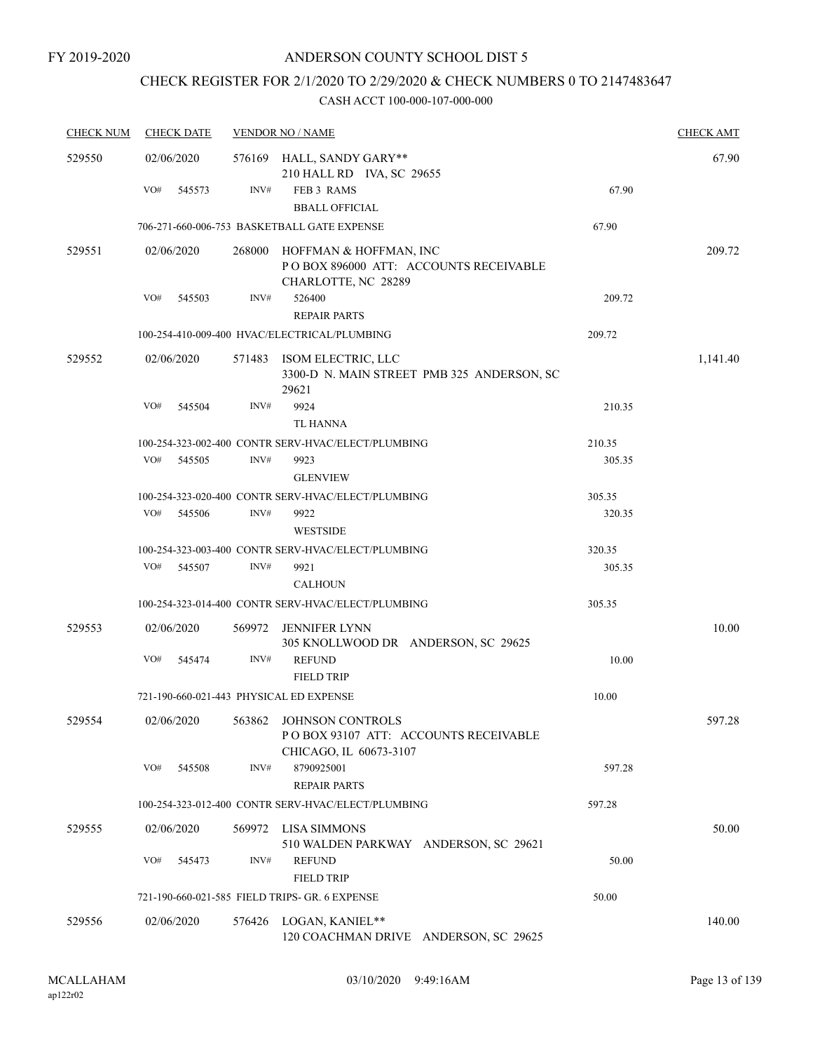## CHECK REGISTER FOR 2/1/2020 TO 2/29/2020 & CHECK NUMBERS 0 TO 2147483647

| <b>CHECK NUM</b> | <b>CHECK DATE</b>                       |                | <b>VENDOR NO / NAME</b>                                                                               |        | <b>CHECK AMT</b> |
|------------------|-----------------------------------------|----------------|-------------------------------------------------------------------------------------------------------|--------|------------------|
| 529550           | 02/06/2020                              |                | 576169 HALL, SANDY GARY**<br>210 HALL RD IVA, SC 29655                                                |        | 67.90            |
|                  | VO#<br>545573                           | INV#           | FEB 3 RAMS<br><b>BBALL OFFICIAL</b>                                                                   | 67.90  |                  |
|                  |                                         |                | 706-271-660-006-753 BASKETBALL GATE EXPENSE                                                           | 67.90  |                  |
| 529551           | 02/06/2020                              | 268000         | HOFFMAN & HOFFMAN, INC<br>POBOX 896000 ATT: ACCOUNTS RECEIVABLE<br>CHARLOTTE, NC 28289                |        | 209.72           |
|                  | VO#<br>545503                           | INV#           | 526400<br><b>REPAIR PARTS</b>                                                                         | 209.72 |                  |
|                  |                                         |                | 100-254-410-009-400 HVAC/ELECTRICAL/PLUMBING                                                          | 209.72 |                  |
| 529552           | 02/06/2020                              |                | 571483 ISOM ELECTRIC, LLC<br>3300-D N. MAIN STREET PMB 325 ANDERSON, SC<br>29621                      |        | 1,141.40         |
|                  | VO#<br>545504                           | INV#           | 9924<br><b>TL HANNA</b>                                                                               | 210.35 |                  |
|                  |                                         |                | 100-254-323-002-400 CONTR SERV-HVAC/ELECT/PLUMBING                                                    | 210.35 |                  |
|                  | VO#<br>545505                           | INV#           | 9923<br><b>GLENVIEW</b>                                                                               | 305.35 |                  |
|                  |                                         |                | 100-254-323-020-400 CONTR SERV-HVAC/ELECT/PLUMBING                                                    | 305.35 |                  |
|                  | VO#<br>545506                           | INV#           | 9922<br><b>WESTSIDE</b>                                                                               | 320.35 |                  |
|                  |                                         |                | 100-254-323-003-400 CONTR SERV-HVAC/ELECT/PLUMBING                                                    | 320.35 |                  |
|                  | VO#<br>545507                           | $\text{INV}\#$ | 9921<br><b>CALHOUN</b>                                                                                | 305.35 |                  |
|                  |                                         |                | 100-254-323-014-400 CONTR SERV-HVAC/ELECT/PLUMBING                                                    | 305.35 |                  |
| 529553           | 02/06/2020                              |                | 569972 JENNIFER LYNN<br>305 KNOLLWOOD DR ANDERSON, SC 29625                                           |        | 10.00            |
|                  | VO#<br>545474                           | INV#           | <b>REFUND</b><br><b>FIELD TRIP</b>                                                                    | 10.00  |                  |
|                  | 721-190-660-021-443 PHYSICAL ED EXPENSE |                |                                                                                                       | 10.00  |                  |
| 529554           |                                         |                | 02/06/2020  563862 JOHNSON CONTROLS<br>POBOX 93107 ATT: ACCOUNTS RECEIVABLE<br>CHICAGO, IL 60673-3107 |        | 597.28           |
|                  | VO#<br>545508                           | INV#           | 8790925001<br><b>REPAIR PARTS</b>                                                                     | 597.28 |                  |
|                  |                                         |                | 100-254-323-012-400 CONTR SERV-HVAC/ELECT/PLUMBING                                                    | 597.28 |                  |
| 529555           | 02/06/2020                              |                | 569972 LISA SIMMONS                                                                                   |        | 50.00            |
|                  | VO#<br>545473                           | INV#           | 510 WALDEN PARKWAY ANDERSON, SC 29621<br><b>REFUND</b><br><b>FIELD TRIP</b>                           | 50.00  |                  |
|                  |                                         |                | 721-190-660-021-585 FIELD TRIPS- GR. 6 EXPENSE                                                        | 50.00  |                  |
| 529556           | 02/06/2020                              |                | 576426 LOGAN, KANIEL**<br>120 COACHMAN DRIVE ANDERSON, SC 29625                                       |        | 140.00           |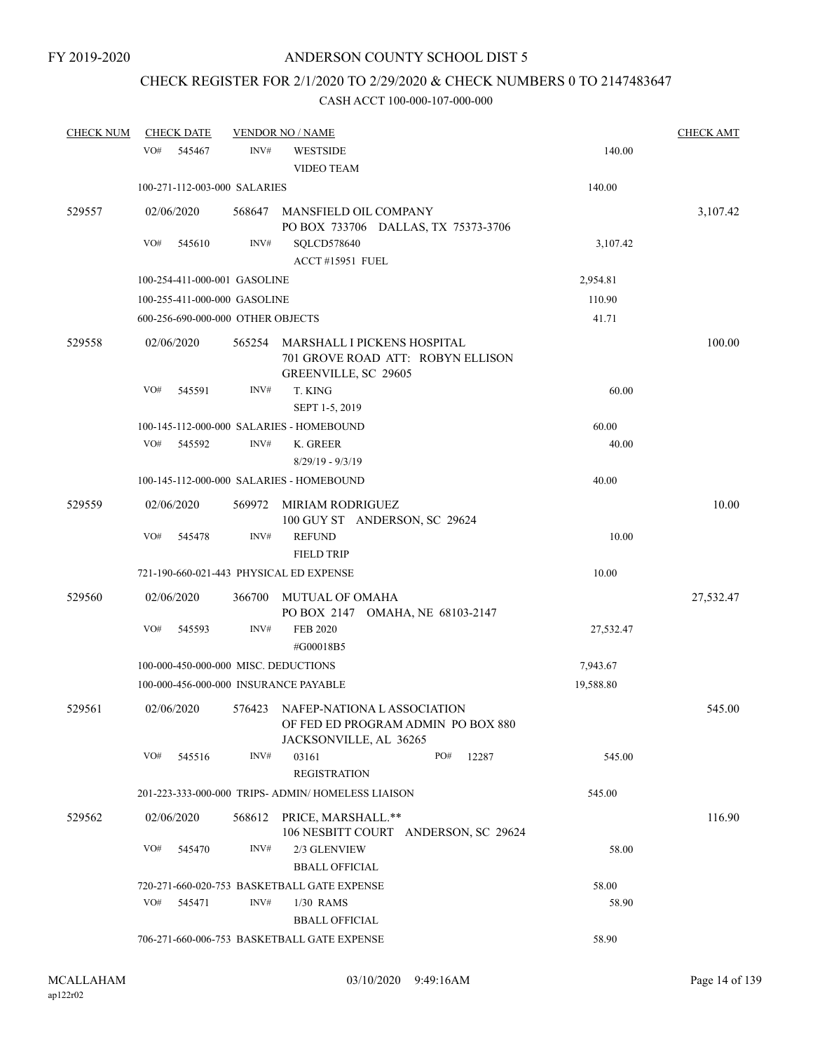# CHECK REGISTER FOR 2/1/2020 TO 2/29/2020 & CHECK NUMBERS 0 TO 2147483647

| <b>CHECK NUM</b> | <b>CHECK DATE</b>                       |        | <b>VENDOR NO / NAME</b>                                                                           |           | <b>CHECK AMT</b> |
|------------------|-----------------------------------------|--------|---------------------------------------------------------------------------------------------------|-----------|------------------|
|                  | VO#<br>545467                           | INV#   | <b>WESTSIDE</b><br><b>VIDEO TEAM</b>                                                              | 140.00    |                  |
|                  | 100-271-112-003-000 SALARIES            |        |                                                                                                   | 140.00    |                  |
| 529557           | 02/06/2020                              |        | 568647 MANSFIELD OIL COMPANY<br>PO BOX 733706 DALLAS, TX 75373-3706                               |           | 3,107.42         |
|                  | VO#<br>545610                           | INV#   | SQLCD578640<br><b>ACCT #15951 FUEL</b>                                                            | 3,107.42  |                  |
|                  | 100-254-411-000-001 GASOLINE            |        |                                                                                                   | 2,954.81  |                  |
|                  | 100-255-411-000-000 GASOLINE            |        |                                                                                                   | 110.90    |                  |
|                  | 600-256-690-000-000 OTHER OBJECTS       |        |                                                                                                   | 41.71     |                  |
| 529558           | 02/06/2020                              | 565254 | MARSHALL I PICKENS HOSPITAL<br>701 GROVE ROAD ATT: ROBYN ELLISON<br>GREENVILLE, SC 29605          |           | 100.00           |
|                  | VO#<br>545591                           | INV#   | T. KING<br>SEPT 1-5, 2019                                                                         | 60.00     |                  |
|                  |                                         |        | 100-145-112-000-000 SALARIES - HOMEBOUND                                                          | 60.00     |                  |
|                  | VO#<br>545592                           | INV#   | K. GREER<br>$8/29/19 - 9/3/19$                                                                    | 40.00     |                  |
|                  |                                         |        | 100-145-112-000-000 SALARIES - HOMEBOUND                                                          | 40.00     |                  |
| 529559           | 02/06/2020                              | 569972 | MIRIAM RODRIGUEZ<br>100 GUY ST ANDERSON, SC 29624                                                 |           | 10.00            |
|                  | VO#<br>545478                           | INV#   | <b>REFUND</b><br><b>FIELD TRIP</b>                                                                | 10.00     |                  |
|                  | 721-190-660-021-443 PHYSICAL ED EXPENSE |        |                                                                                                   | 10.00     |                  |
| 529560           | 02/06/2020                              | 366700 | <b>MUTUAL OF OMAHA</b><br>PO BOX 2147 OMAHA, NE 68103-2147                                        |           | 27,532.47        |
|                  | VO#<br>545593                           | INV#   | <b>FEB 2020</b><br>#G00018B5                                                                      | 27,532.47 |                  |
|                  | 100-000-450-000-000 MISC. DEDUCTIONS    |        |                                                                                                   | 7,943.67  |                  |
|                  | 100-000-456-000-000 INSURANCE PAYABLE   |        |                                                                                                   | 19,588.80 |                  |
| 529561           | 02/06/2020                              |        | 576423 NAFEP-NATIONA LASSOCIATION<br>OF FED ED PROGRAM ADMIN PO BOX 880<br>JACKSONVILLE, AL 36265 |           | 545.00           |
|                  | VO#<br>545516                           | INV#   | PO#<br>03161<br>12287<br><b>REGISTRATION</b>                                                      | 545.00    |                  |
|                  |                                         |        | 201-223-333-000-000 TRIPS- ADMIN/HOMELESS LIAISON                                                 | 545.00    |                  |
| 529562           | 02/06/2020                              | 568612 | PRICE, MARSHALL.**<br>106 NESBITT COURT ANDERSON, SC 29624                                        |           | 116.90           |
|                  | VO#<br>545470                           | INV#   | 2/3 GLENVIEW<br><b>BBALL OFFICIAL</b>                                                             | 58.00     |                  |
|                  |                                         |        | 720-271-660-020-753 BASKETBALL GATE EXPENSE                                                       | 58.00     |                  |
|                  | VO#<br>545471                           | INV#   | 1/30 RAMS<br><b>BBALL OFFICIAL</b>                                                                | 58.90     |                  |
|                  |                                         |        | 706-271-660-006-753 BASKETBALL GATE EXPENSE                                                       | 58.90     |                  |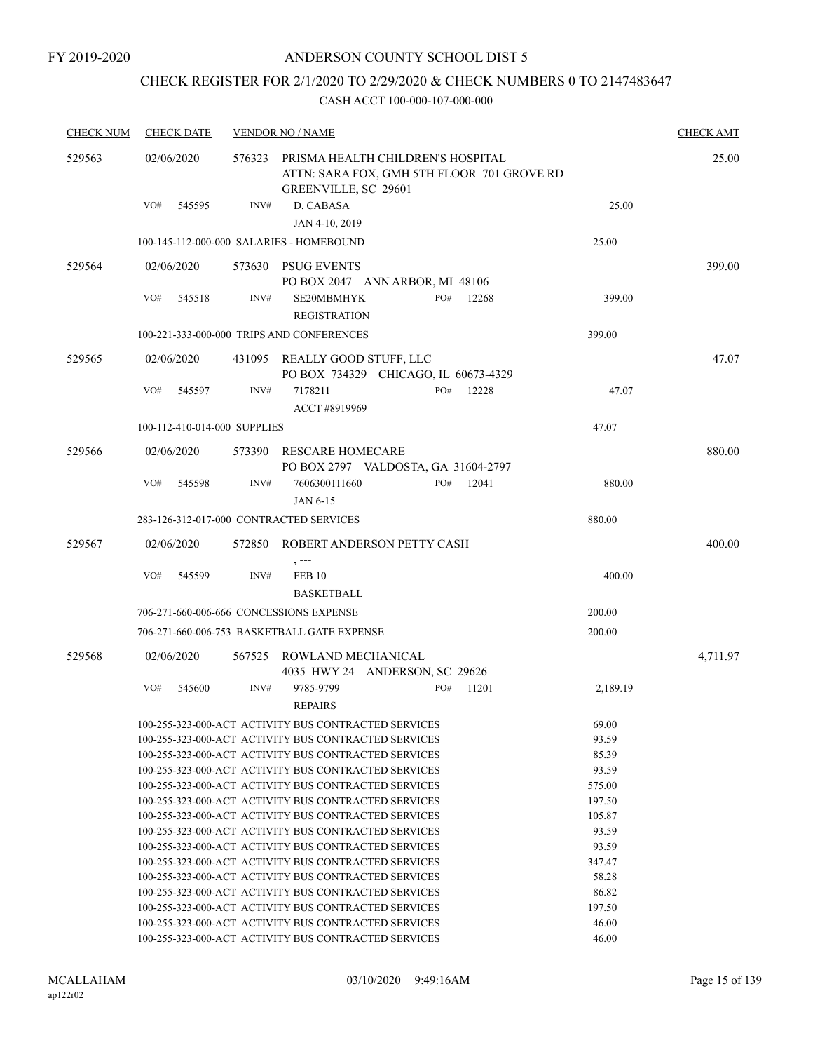## CHECK REGISTER FOR 2/1/2020 TO 2/29/2020 & CHECK NUMBERS 0 TO 2147483647

| <b>CHECK NUM</b> | <b>CHECK DATE</b>                        |        | <b>VENDOR NO / NAME</b>                                                                                 |          | <b>CHECK AMT</b> |
|------------------|------------------------------------------|--------|---------------------------------------------------------------------------------------------------------|----------|------------------|
| 529563           | 02/06/2020                               | 576323 | PRISMA HEALTH CHILDREN'S HOSPITAL<br>ATTN: SARA FOX, GMH 5TH FLOOR 701 GROVE RD<br>GREENVILLE, SC 29601 |          | 25.00            |
|                  | VO#<br>545595                            | INV#   | D. CABASA<br>JAN 4-10, 2019                                                                             | 25.00    |                  |
|                  | 100-145-112-000-000 SALARIES - HOMEBOUND |        |                                                                                                         | 25.00    |                  |
| 529564           | 02/06/2020                               | 573630 | PSUG EVENTS                                                                                             |          | 399.00           |
|                  |                                          |        | PO BOX 2047 ANN ARBOR, MI 48106                                                                         |          |                  |
|                  | VO#<br>545518                            | INV#   | PO#<br>SE20MBMHYK<br>12268<br><b>REGISTRATION</b>                                                       | 399.00   |                  |
|                  |                                          |        | 100-221-333-000-000 TRIPS AND CONFERENCES                                                               | 399.00   |                  |
| 529565           | 02/06/2020                               |        | 431095 REALLY GOOD STUFF, LLC<br>PO BOX 734329 CHICAGO, IL 60673-4329                                   |          | 47.07            |
|                  | VO#<br>545597                            | INV#   | PO#<br>7178211<br>12228<br>ACCT #8919969                                                                | 47.07    |                  |
|                  | 100-112-410-014-000 SUPPLIES             |        |                                                                                                         | 47.07    |                  |
| 529566           | 02/06/2020                               | 573390 | RESCARE HOMECARE                                                                                        |          | 880.00           |
|                  |                                          |        | PO BOX 2797 VALDOSTA, GA 31604-2797                                                                     |          |                  |
|                  | VO#<br>545598                            | INV#   | PO#<br>12041<br>7606300111660                                                                           | 880.00   |                  |
|                  |                                          |        | JAN 6-15                                                                                                |          |                  |
|                  | 283-126-312-017-000 CONTRACTED SERVICES  |        |                                                                                                         | 880.00   |                  |
| 529567           | 02/06/2020                               | 572850 | ROBERT ANDERSON PETTY CASH                                                                              |          | 400.00           |
|                  |                                          |        | $, --$                                                                                                  |          |                  |
|                  | VO#<br>545599                            | INV#   | <b>FEB 10</b><br><b>BASKETBALL</b>                                                                      | 400.00   |                  |
|                  | 706-271-660-006-666 CONCESSIONS EXPENSE  |        |                                                                                                         | 200.00   |                  |
|                  |                                          |        | 706-271-660-006-753 BASKETBALL GATE EXPENSE                                                             | 200.00   |                  |
| 529568           | 02/06/2020                               | 567525 | ROWLAND MECHANICAL<br>4035 HWY 24 ANDERSON, SC 29626                                                    |          | 4,711.97         |
|                  | VO#<br>545600                            | INV#   | 9785-9799<br>PO#<br>11201                                                                               | 2,189.19 |                  |
|                  |                                          |        | <b>REPAIRS</b>                                                                                          |          |                  |
|                  |                                          |        | 100-255-323-000-ACT ACTIVITY BUS CONTRACTED SERVICES                                                    | 69.00    |                  |
|                  |                                          |        | 100-255-323-000-ACT ACTIVITY BUS CONTRACTED SERVICES                                                    | 93.59    |                  |
|                  |                                          |        | 100-255-323-000-ACT ACTIVITY BUS CONTRACTED SERVICES                                                    | 85.39    |                  |
|                  |                                          |        | 100-255-323-000-ACT ACTIVITY BUS CONTRACTED SERVICES                                                    | 93.59    |                  |
|                  |                                          |        | 100-255-323-000-ACT ACTIVITY BUS CONTRACTED SERVICES                                                    | 575.00   |                  |
|                  |                                          |        | 100-255-323-000-ACT ACTIVITY BUS CONTRACTED SERVICES                                                    | 197.50   |                  |
|                  |                                          |        | 100-255-323-000-ACT ACTIVITY BUS CONTRACTED SERVICES                                                    | 105.87   |                  |
|                  |                                          |        | 100-255-323-000-ACT ACTIVITY BUS CONTRACTED SERVICES                                                    | 93.59    |                  |
|                  |                                          |        | 100-255-323-000-ACT ACTIVITY BUS CONTRACTED SERVICES                                                    | 93.59    |                  |
|                  |                                          |        | 100-255-323-000-ACT ACTIVITY BUS CONTRACTED SERVICES                                                    | 347.47   |                  |
|                  |                                          |        | 100-255-323-000-ACT ACTIVITY BUS CONTRACTED SERVICES                                                    | 58.28    |                  |
|                  |                                          |        | 100-255-323-000-ACT ACTIVITY BUS CONTRACTED SERVICES                                                    | 86.82    |                  |
|                  |                                          |        | 100-255-323-000-ACT ACTIVITY BUS CONTRACTED SERVICES                                                    | 197.50   |                  |
|                  |                                          |        | 100-255-323-000-ACT ACTIVITY BUS CONTRACTED SERVICES                                                    | 46.00    |                  |
|                  |                                          |        | 100-255-323-000-ACT ACTIVITY BUS CONTRACTED SERVICES                                                    | 46.00    |                  |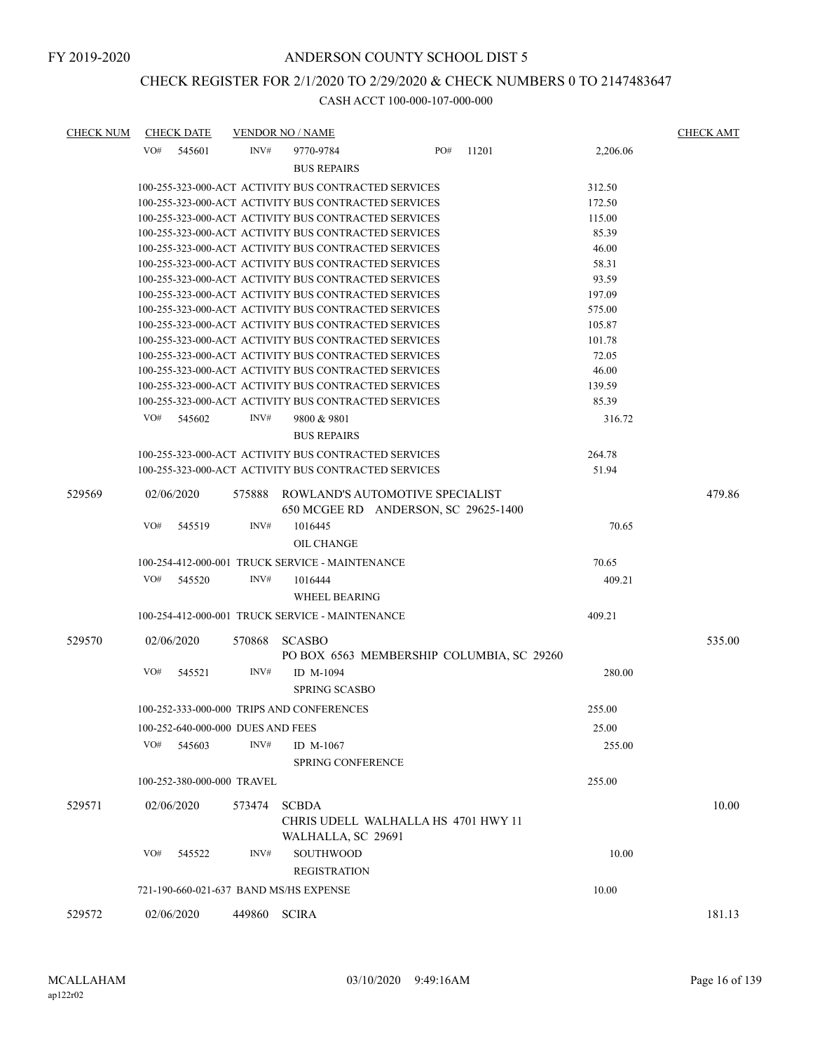## CHECK REGISTER FOR 2/1/2020 TO 2/29/2020 & CHECK NUMBERS 0 TO 2147483647

| <b>CHECK NUM</b> | <b>CHECK DATE</b>                      |        | <b>VENDOR NO / NAME</b>                              |                                                                         |       |          | <b>CHECK AMT</b> |
|------------------|----------------------------------------|--------|------------------------------------------------------|-------------------------------------------------------------------------|-------|----------|------------------|
|                  | VO#<br>545601                          | INV#   | 9770-9784                                            | PO#                                                                     | 11201 | 2,206.06 |                  |
|                  |                                        |        | <b>BUS REPAIRS</b>                                   |                                                                         |       |          |                  |
|                  |                                        |        | 100-255-323-000-ACT ACTIVITY BUS CONTRACTED SERVICES |                                                                         |       | 312.50   |                  |
|                  |                                        |        | 100-255-323-000-ACT ACTIVITY BUS CONTRACTED SERVICES |                                                                         |       | 172.50   |                  |
|                  |                                        |        | 100-255-323-000-ACT ACTIVITY BUS CONTRACTED SERVICES |                                                                         |       | 115.00   |                  |
|                  |                                        |        | 100-255-323-000-ACT ACTIVITY BUS CONTRACTED SERVICES |                                                                         |       | 85.39    |                  |
|                  |                                        |        | 100-255-323-000-ACT ACTIVITY BUS CONTRACTED SERVICES |                                                                         |       | 46.00    |                  |
|                  |                                        |        | 100-255-323-000-ACT ACTIVITY BUS CONTRACTED SERVICES |                                                                         |       | 58.31    |                  |
|                  |                                        |        | 100-255-323-000-ACT ACTIVITY BUS CONTRACTED SERVICES |                                                                         |       | 93.59    |                  |
|                  |                                        |        | 100-255-323-000-ACT ACTIVITY BUS CONTRACTED SERVICES |                                                                         |       | 197.09   |                  |
|                  |                                        |        | 100-255-323-000-ACT ACTIVITY BUS CONTRACTED SERVICES |                                                                         |       | 575.00   |                  |
|                  |                                        |        | 100-255-323-000-ACT ACTIVITY BUS CONTRACTED SERVICES |                                                                         |       | 105.87   |                  |
|                  |                                        |        | 100-255-323-000-ACT ACTIVITY BUS CONTRACTED SERVICES |                                                                         |       | 101.78   |                  |
|                  |                                        |        | 100-255-323-000-ACT ACTIVITY BUS CONTRACTED SERVICES |                                                                         |       | 72.05    |                  |
|                  |                                        |        | 100-255-323-000-ACT ACTIVITY BUS CONTRACTED SERVICES |                                                                         |       | 46.00    |                  |
|                  |                                        |        | 100-255-323-000-ACT ACTIVITY BUS CONTRACTED SERVICES |                                                                         |       | 139.59   |                  |
|                  |                                        |        | 100-255-323-000-ACT ACTIVITY BUS CONTRACTED SERVICES |                                                                         |       | 85.39    |                  |
|                  | VO#<br>545602                          | INV#   | 9800 & 9801                                          |                                                                         |       | 316.72   |                  |
|                  |                                        |        | <b>BUS REPAIRS</b>                                   |                                                                         |       |          |                  |
|                  |                                        |        | 100-255-323-000-ACT ACTIVITY BUS CONTRACTED SERVICES |                                                                         |       | 264.78   |                  |
|                  |                                        |        | 100-255-323-000-ACT ACTIVITY BUS CONTRACTED SERVICES |                                                                         |       | 51.94    |                  |
| 529569           | 02/06/2020                             | 575888 |                                                      | ROWLAND'S AUTOMOTIVE SPECIALIST<br>650 MCGEE RD ANDERSON, SC 29625-1400 |       |          | 479.86           |
|                  | VO#<br>545519                          | INV#   | 1016445                                              |                                                                         |       | 70.65    |                  |
|                  |                                        |        | OIL CHANGE                                           |                                                                         |       |          |                  |
|                  |                                        |        | 100-254-412-000-001 TRUCK SERVICE - MAINTENANCE      |                                                                         |       | 70.65    |                  |
|                  | VO#<br>545520                          | INV#   | 1016444                                              |                                                                         |       | 409.21   |                  |
|                  |                                        |        | <b>WHEEL BEARING</b>                                 |                                                                         |       |          |                  |
|                  |                                        |        | 100-254-412-000-001 TRUCK SERVICE - MAINTENANCE      |                                                                         |       | 409.21   |                  |
| 529570           | 02/06/2020                             | 570868 | <b>SCASBO</b>                                        |                                                                         |       |          | 535.00           |
|                  |                                        |        |                                                      | PO BOX 6563 MEMBERSHIP COLUMBIA, SC 29260                               |       |          |                  |
|                  | VO#<br>545521                          | INV#   | ID M-1094                                            |                                                                         |       | 280.00   |                  |
|                  |                                        |        | <b>SPRING SCASBO</b>                                 |                                                                         |       |          |                  |
|                  |                                        |        | 100-252-333-000-000 TRIPS AND CONFERENCES            |                                                                         |       | 255.00   |                  |
|                  | 100-252-640-000-000 DUES AND FEES      |        |                                                      |                                                                         |       | 25.00    |                  |
|                  | VO#                                    | INV#   |                                                      |                                                                         |       |          |                  |
|                  | 545603                                 |        | ID $M-1067$<br><b>SPRING CONFERENCE</b>              |                                                                         |       | 255.00   |                  |
|                  | 100-252-380-000-000 TRAVEL             |        |                                                      |                                                                         |       | 255.00   |                  |
| 529571           | 02/06/2020                             | 573474 | <b>SCBDA</b>                                         |                                                                         |       |          | 10.00            |
|                  |                                        |        | WALHALLA, SC 29691                                   | CHRIS UDELL WALHALLA HS 4701 HWY 11                                     |       |          |                  |
|                  | VO#<br>545522                          | INV#   | <b>SOUTHWOOD</b>                                     |                                                                         |       | 10.00    |                  |
|                  |                                        |        | <b>REGISTRATION</b>                                  |                                                                         |       |          |                  |
|                  | 721-190-660-021-637 BAND MS/HS EXPENSE |        |                                                      |                                                                         |       | 10.00    |                  |
|                  |                                        |        |                                                      |                                                                         |       |          |                  |
| 529572           | 02/06/2020                             | 449860 | <b>SCIRA</b>                                         |                                                                         |       |          | 181.13           |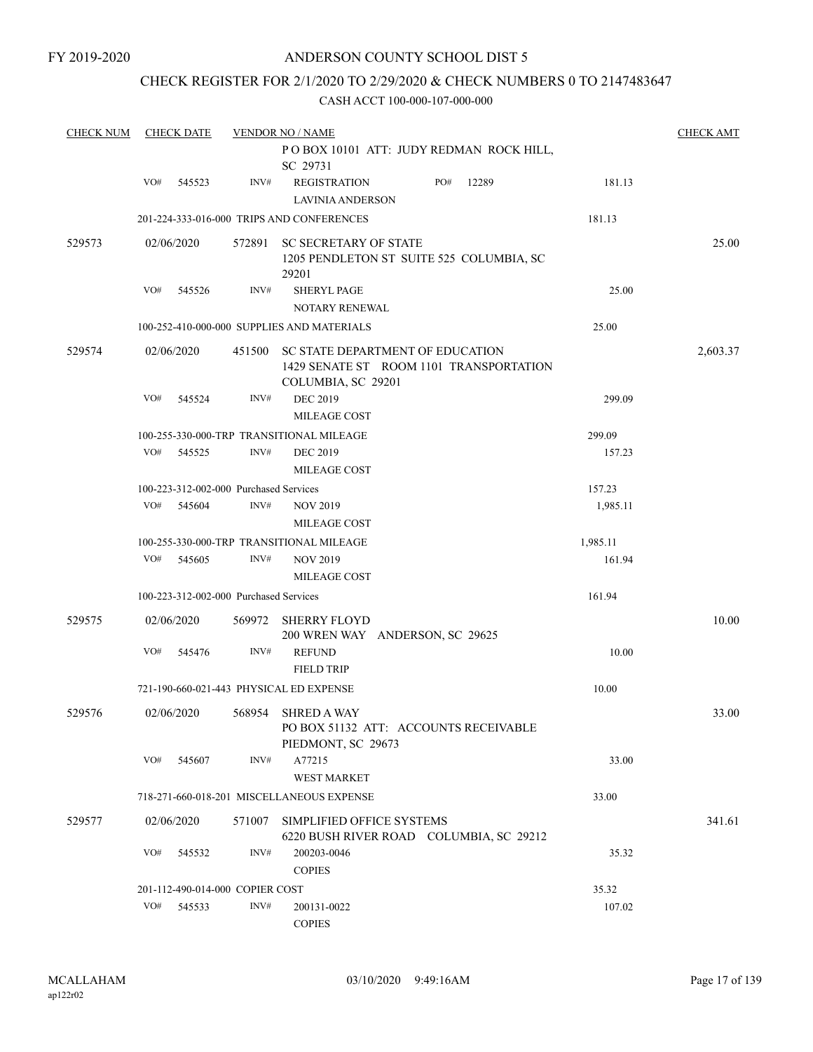## CHECK REGISTER FOR 2/1/2020 TO 2/29/2020 & CHECK NUMBERS 0 TO 2147483647

| <b>CHECK NUM</b> |            | <b>CHECK DATE</b> |                                        | <b>VENDOR NO / NAME</b>                                                                           |          | <b>CHECK AMT</b> |
|------------------|------------|-------------------|----------------------------------------|---------------------------------------------------------------------------------------------------|----------|------------------|
|                  |            |                   |                                        | POBOX 10101 ATT: JUDY REDMAN ROCK HILL,<br>SC 29731                                               |          |                  |
|                  | VO#        | 545523            | INV#                                   | PO#<br><b>REGISTRATION</b><br>12289<br><b>LAVINIA ANDERSON</b>                                    | 181.13   |                  |
|                  |            |                   |                                        | 201-224-333-016-000 TRIPS AND CONFERENCES                                                         | 181.13   |                  |
| 529573           | 02/06/2020 |                   | 572891                                 | <b>SC SECRETARY OF STATE</b><br>1205 PENDLETON ST SUITE 525 COLUMBIA, SC<br>29201                 |          | 25.00            |
|                  | VO#        | 545526            | INV#                                   | <b>SHERYL PAGE</b>                                                                                | 25.00    |                  |
|                  |            |                   |                                        | NOTARY RENEWAL                                                                                    |          |                  |
|                  |            |                   |                                        | 100-252-410-000-000 SUPPLIES AND MATERIALS                                                        | 25.00    |                  |
| 529574           | 02/06/2020 |                   | 451500                                 | SC STATE DEPARTMENT OF EDUCATION<br>1429 SENATE ST ROOM 1101 TRANSPORTATION<br>COLUMBIA, SC 29201 |          | 2,603.37         |
|                  | VO#        | 545524            | INV#                                   | <b>DEC 2019</b><br><b>MILEAGE COST</b>                                                            | 299.09   |                  |
|                  |            |                   |                                        | 100-255-330-000-TRP TRANSITIONAL MILEAGE                                                          | 299.09   |                  |
|                  | VO#        | 545525            | INV#                                   | <b>DEC 2019</b><br>MILEAGE COST                                                                   | 157.23   |                  |
|                  |            |                   | 100-223-312-002-000 Purchased Services |                                                                                                   | 157.23   |                  |
|                  | VO#        | 545604            | INV#                                   | <b>NOV 2019</b><br>MILEAGE COST                                                                   | 1,985.11 |                  |
|                  |            |                   |                                        | 100-255-330-000-TRP TRANSITIONAL MILEAGE                                                          | 1,985.11 |                  |
|                  | VO#        | 545605            | INV#                                   | <b>NOV 2019</b>                                                                                   | 161.94   |                  |
|                  |            |                   |                                        | <b>MILEAGE COST</b>                                                                               |          |                  |
|                  |            |                   | 100-223-312-002-000 Purchased Services |                                                                                                   | 161.94   |                  |
| 529575           | 02/06/2020 |                   | 569972                                 | <b>SHERRY FLOYD</b><br>200 WREN WAY ANDERSON, SC 29625                                            |          | 10.00            |
|                  | VO#        | 545476            | INV#                                   | <b>REFUND</b><br><b>FIELD TRIP</b>                                                                | 10.00    |                  |
|                  |            |                   |                                        | 721-190-660-021-443 PHYSICAL ED EXPENSE                                                           | 10.00    |                  |
| 529576           | 02/06/2020 |                   | 568954                                 | <b>SHRED A WAY</b><br>PO BOX 51132 ATT: ACCOUNTS RECEIVABLE<br>PIEDMONT, SC 29673                 |          | 33.00            |
|                  | VO#        | 545607            | INV#                                   | A77215<br><b>WEST MARKET</b>                                                                      | 33.00    |                  |
|                  |            |                   |                                        | 718-271-660-018-201 MISCELLANEOUS EXPENSE                                                         | 33.00    |                  |
|                  |            |                   |                                        |                                                                                                   |          |                  |
| 529577           | 02/06/2020 |                   | 571007                                 | SIMPLIFIED OFFICE SYSTEMS<br>6220 BUSH RIVER ROAD COLUMBIA, SC 29212                              |          | 341.61           |
|                  | VO#        | 545532            | INV#                                   | 200203-0046<br><b>COPIES</b>                                                                      | 35.32    |                  |
|                  |            |                   | 201-112-490-014-000 COPIER COST        |                                                                                                   | 35.32    |                  |
|                  | VO#        | 545533            | INV#                                   | 200131-0022<br><b>COPIES</b>                                                                      | 107.02   |                  |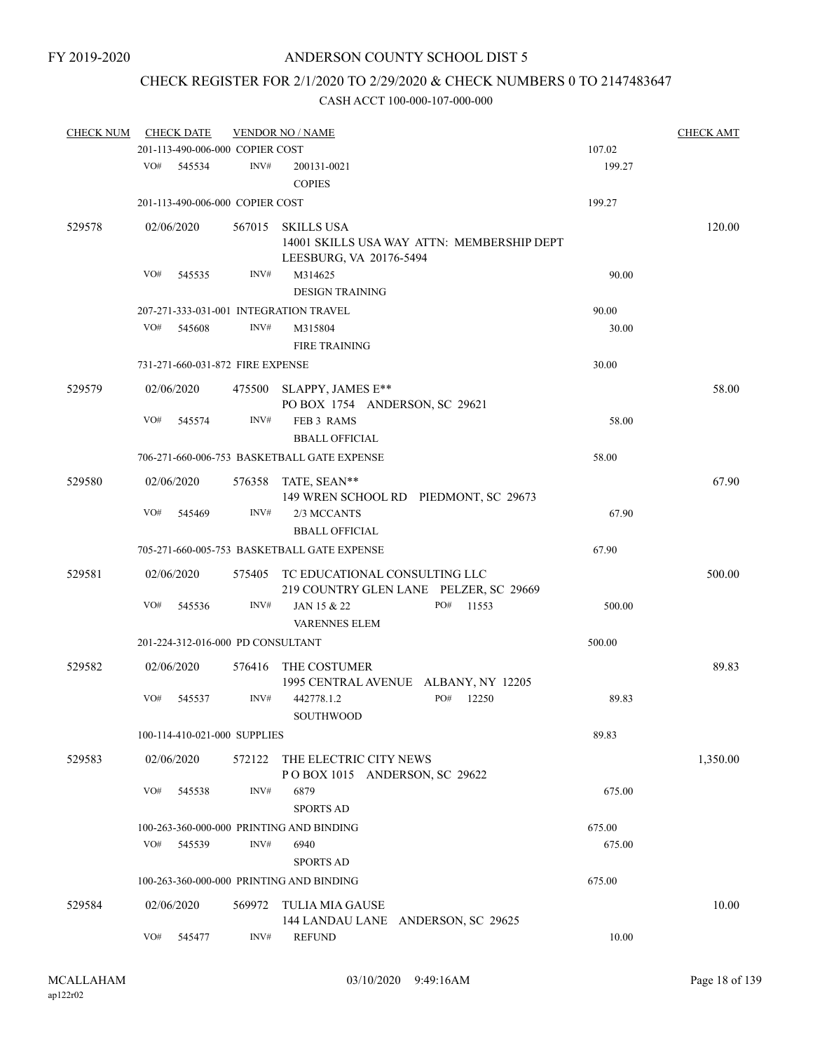# CHECK REGISTER FOR 2/1/2020 TO 2/29/2020 & CHECK NUMBERS 0 TO 2147483647

| <b>CHECK NUM</b> |                              | <b>CHECK DATE</b>                 |        | <b>VENDOR NO / NAME</b>                                                                    |  |     |        |        | <b>CHECK AMT</b> |
|------------------|------------------------------|-----------------------------------|--------|--------------------------------------------------------------------------------------------|--|-----|--------|--------|------------------|
|                  |                              | 201-113-490-006-000 COPIER COST   |        |                                                                                            |  |     |        | 107.02 |                  |
|                  | VO#                          | 545534                            | INV#   | 200131-0021<br><b>COPIES</b>                                                               |  |     |        | 199.27 |                  |
|                  |                              | 201-113-490-006-000 COPIER COST   |        |                                                                                            |  |     |        | 199.27 |                  |
| 529578           |                              | 02/06/2020                        | 567015 | <b>SKILLS USA</b><br>14001 SKILLS USA WAY ATTN: MEMBERSHIP DEPT<br>LEESBURG, VA 20176-5494 |  |     |        |        | 120.00           |
|                  | VO#                          | 545535                            | INV#   | M314625<br><b>DESIGN TRAINING</b>                                                          |  |     |        | 90.00  |                  |
|                  |                              |                                   |        | 207-271-333-031-001 INTEGRATION TRAVEL                                                     |  |     |        | 90.00  |                  |
|                  | VO#                          | 545608                            | INV#   | M315804<br><b>FIRE TRAINING</b>                                                            |  |     |        | 30.00  |                  |
|                  |                              | 731-271-660-031-872 FIRE EXPENSE  |        |                                                                                            |  |     |        | 30.00  |                  |
| 529579           |                              | 02/06/2020                        | 475500 | SLAPPY, JAMES E**<br>PO BOX 1754 ANDERSON, SC 29621                                        |  |     |        |        | 58.00            |
|                  | VO#                          | 545574                            | INV#   | FEB 3 RAMS<br><b>BBALL OFFICIAL</b>                                                        |  |     |        | 58.00  |                  |
|                  |                              |                                   |        | 706-271-660-006-753 BASKETBALL GATE EXPENSE                                                |  |     |        | 58.00  |                  |
| 529580           |                              | 02/06/2020                        |        | 576358 TATE, SEAN**<br>149 WREN SCHOOL RD PIEDMONT, SC 29673                               |  |     |        |        | 67.90            |
|                  | VO#                          | 545469                            | INV#   | 2/3 MCCANTS<br><b>BBALL OFFICIAL</b>                                                       |  |     |        | 67.90  |                  |
|                  |                              |                                   |        | 705-271-660-005-753 BASKETBALL GATE EXPENSE                                                |  |     |        | 67.90  |                  |
| 529581           |                              | 02/06/2020                        |        | 575405 TC EDUCATIONAL CONSULTING LLC                                                       |  |     |        |        | 500.00           |
|                  | VO#                          |                                   |        | 219 COUNTRY GLEN LANE PELZER, SC 29669<br>JAN 15 & 22                                      |  | PO# |        |        |                  |
|                  |                              | 545536                            | INV#   | <b>VARENNES ELEM</b>                                                                       |  |     | 11553  | 500.00 |                  |
|                  |                              | 201-224-312-016-000 PD CONSULTANT |        |                                                                                            |  |     |        | 500.00 |                  |
| 529582           |                              | 02/06/2020                        | 576416 | THE COSTUMER<br>1995 CENTRAL AVENUE ALBANY, NY 12205                                       |  |     |        |        | 89.83            |
|                  | VO#                          | 545537                            | INV#   | 442778.1.2<br><b>SOUTHWOOD</b>                                                             |  | PO# | 12250  | 89.83  |                  |
|                  | 100-114-410-021-000 SUPPLIES |                                   |        |                                                                                            |  |     |        | 89.83  |                  |
| 529583           |                              | 02/06/2020                        | 572122 | THE ELECTRIC CITY NEWS<br>POBOX 1015 ANDERSON, SC 29622                                    |  |     |        |        | 1,350.00         |
|                  | VO#                          | 545538                            | INV#   | 6879<br><b>SPORTS AD</b>                                                                   |  |     |        | 675.00 |                  |
|                  |                              |                                   |        | 100-263-360-000-000 PRINTING AND BINDING                                                   |  |     | 675.00 |        |                  |
|                  | VO#                          | 545539                            | INV#   | 6940<br><b>SPORTS AD</b>                                                                   |  |     |        | 675.00 |                  |
|                  |                              |                                   |        | 100-263-360-000-000 PRINTING AND BINDING                                                   |  |     |        | 675.00 |                  |
| 529584           |                              | 02/06/2020                        | 569972 | <b>TULIA MIA GAUSE</b>                                                                     |  |     |        |        | 10.00            |
|                  | VO#                          | 545477                            | INV#   | 144 LANDAU LANE ANDERSON, SC 29625<br><b>REFUND</b>                                        |  |     |        | 10.00  |                  |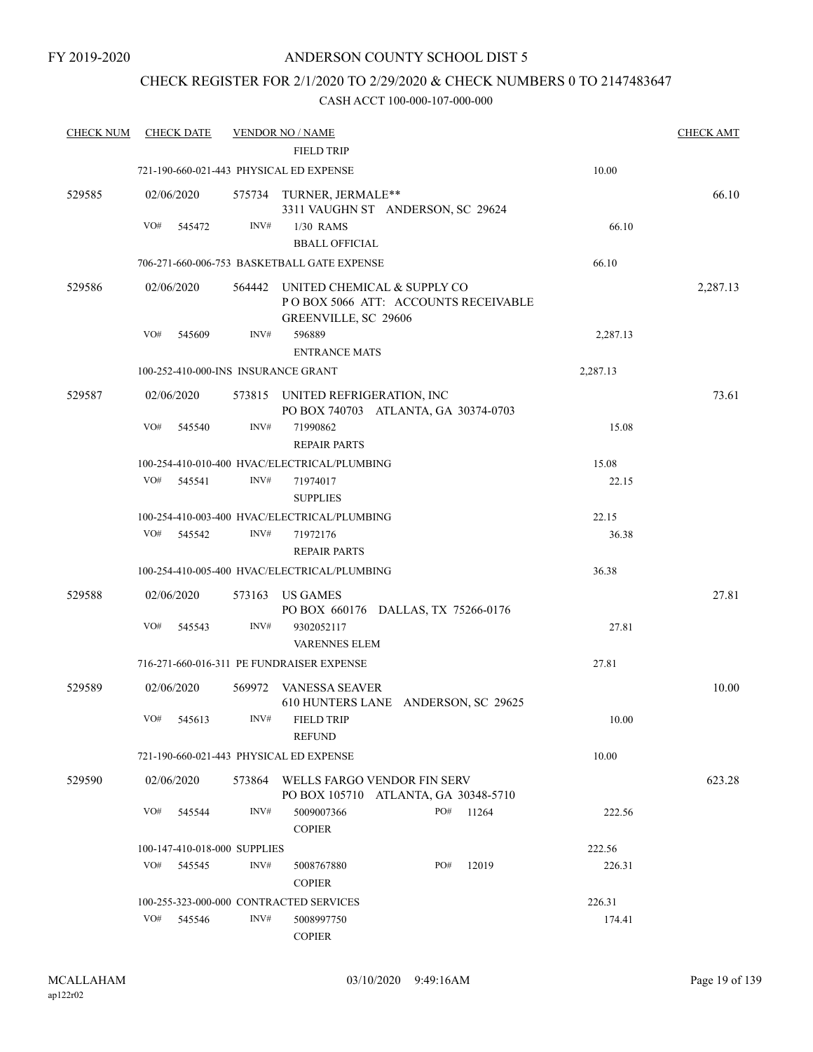## CHECK REGISTER FOR 2/1/2020 TO 2/29/2020 & CHECK NUMBERS 0 TO 2147483647

| <b>CHECK NUM</b> |     | <b>CHECK DATE</b> |                              | <b>VENDOR NO / NAME</b>                                                                           |     |       |          | <b>CHECK AMT</b> |
|------------------|-----|-------------------|------------------------------|---------------------------------------------------------------------------------------------------|-----|-------|----------|------------------|
|                  |     |                   |                              | <b>FIELD TRIP</b>                                                                                 |     |       |          |                  |
|                  |     |                   |                              | 721-190-660-021-443 PHYSICAL ED EXPENSE                                                           |     |       | 10.00    |                  |
| 529585           |     | 02/06/2020        |                              | 575734 TURNER, JERMALE**<br>3311 VAUGHN ST ANDERSON, SC 29624                                     |     |       |          | 66.10            |
|                  | VO# | 545472            | INV#                         | $1/30$ RAMS                                                                                       |     |       | 66.10    |                  |
|                  |     |                   |                              | <b>BBALL OFFICIAL</b>                                                                             |     |       |          |                  |
|                  |     |                   |                              | 706-271-660-006-753 BASKETBALL GATE EXPENSE                                                       |     |       | 66.10    |                  |
| 529586           |     | 02/06/2020        |                              | 564442 UNITED CHEMICAL & SUPPLY CO<br>POBOX 5066 ATT: ACCOUNTS RECEIVABLE<br>GREENVILLE, SC 29606 |     |       |          | 2,287.13         |
|                  | VO# | 545609            | INV#                         | 596889                                                                                            |     |       | 2,287.13 |                  |
|                  |     |                   |                              | <b>ENTRANCE MATS</b>                                                                              |     |       |          |                  |
|                  |     |                   |                              | 100-252-410-000-INS INSURANCE GRANT                                                               |     |       | 2,287.13 |                  |
| 529587           |     | 02/06/2020        |                              | 573815 UNITED REFRIGERATION, INC<br>PO BOX 740703 ATLANTA, GA 30374-0703                          |     |       |          | 73.61            |
|                  | VO# | 545540            | INV#                         | 71990862<br><b>REPAIR PARTS</b>                                                                   |     |       | 15.08    |                  |
|                  |     |                   |                              | 100-254-410-010-400 HVAC/ELECTRICAL/PLUMBING                                                      |     |       | 15.08    |                  |
|                  | VO# | 545541            | INV#                         | 71974017                                                                                          |     |       | 22.15    |                  |
|                  |     |                   |                              | <b>SUPPLIES</b>                                                                                   |     |       |          |                  |
|                  |     |                   |                              | 100-254-410-003-400 HVAC/ELECTRICAL/PLUMBING                                                      |     |       | 22.15    |                  |
|                  | VO# | 545542            | INV#                         | 71972176                                                                                          |     |       | 36.38    |                  |
|                  |     |                   |                              | <b>REPAIR PARTS</b>                                                                               |     |       |          |                  |
|                  |     |                   |                              | 100-254-410-005-400 HVAC/ELECTRICAL/PLUMBING                                                      |     |       | 36.38    |                  |
| 529588           |     | 02/06/2020        | 573163                       | US GAMES<br>PO BOX 660176 DALLAS, TX 75266-0176                                                   |     |       |          | 27.81            |
|                  | VO# | 545543            | INV#                         | 9302052117<br><b>VARENNES ELEM</b>                                                                |     |       | 27.81    |                  |
|                  |     |                   |                              | 716-271-660-016-311 PE FUNDRAISER EXPENSE                                                         |     |       | 27.81    |                  |
|                  |     |                   |                              |                                                                                                   |     |       |          |                  |
| 529589           |     | 02/06/2020        |                              | 569972 VANESSA SEAVER<br>610 HUNTERS LANE ANDERSON, SC 29625                                      |     |       |          | 10.00            |
|                  |     | VO# 545613        | INV#                         | FIELD TRIP<br><b>REFUND</b>                                                                       |     |       | 10.00    |                  |
|                  |     |                   |                              | 721-190-660-021-443 PHYSICAL ED EXPENSE                                                           |     |       | 10.00    |                  |
|                  |     |                   |                              |                                                                                                   |     |       |          |                  |
| 529590           |     | 02/06/2020        |                              | 573864 WELLS FARGO VENDOR FIN SERV<br>PO BOX 105710 ATLANTA, GA 30348-5710                        |     |       |          | 623.28           |
|                  | VO# | 545544            | INV#                         | 5009007366<br><b>COPIER</b>                                                                       | PO# | 11264 | 222.56   |                  |
|                  |     |                   | 100-147-410-018-000 SUPPLIES |                                                                                                   |     |       | 222.56   |                  |
|                  | VO# | 545545            | INV#                         | 5008767880<br><b>COPIER</b>                                                                       | PO# | 12019 | 226.31   |                  |
|                  |     |                   |                              | 100-255-323-000-000 CONTRACTED SERVICES                                                           |     |       | 226.31   |                  |
|                  | VO# | 545546            | INV#                         | 5008997750                                                                                        |     |       | 174.41   |                  |
|                  |     |                   |                              | <b>COPIER</b>                                                                                     |     |       |          |                  |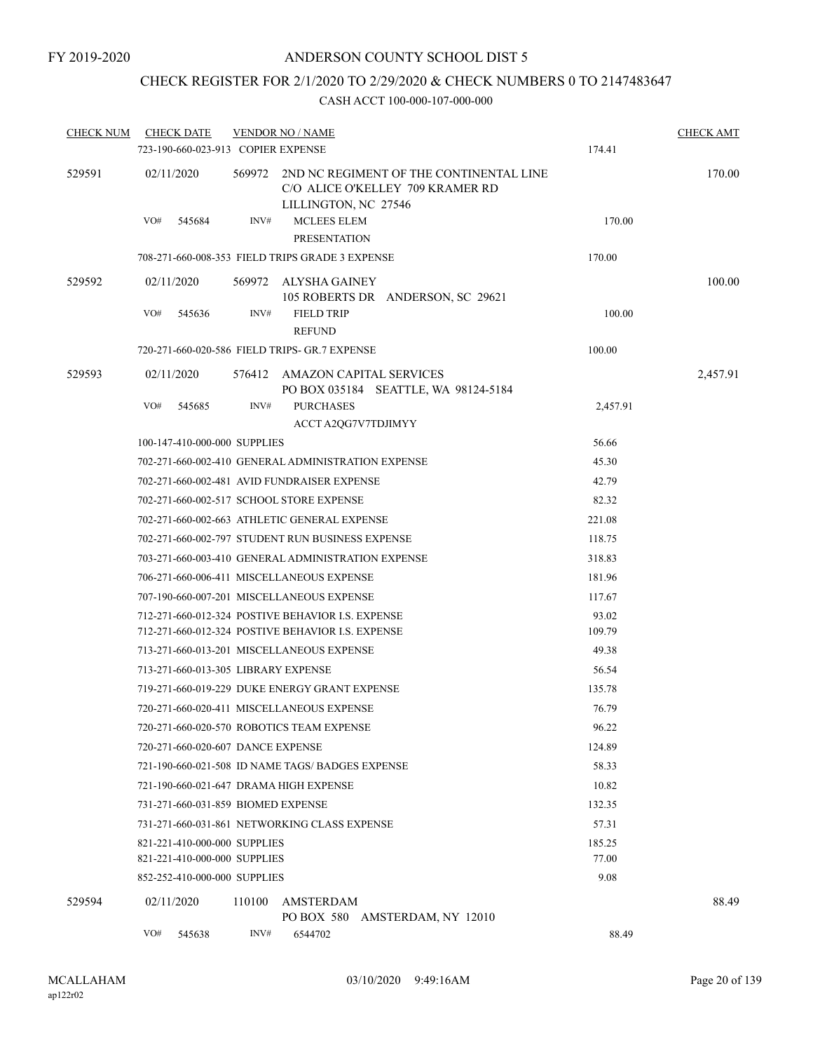## CHECK REGISTER FOR 2/1/2020 TO 2/29/2020 & CHECK NUMBERS 0 TO 2147483647

| <b>CHECK NUM</b> | <b>CHECK DATE</b><br>723-190-660-023-913 COPIER EXPENSE |        | <b>VENDOR NO / NAME</b>                                                                             | 174.41   | <b>CHECK AMT</b> |
|------------------|---------------------------------------------------------|--------|-----------------------------------------------------------------------------------------------------|----------|------------------|
| 529591           | 02/11/2020                                              | 569972 | 2ND NC REGIMENT OF THE CONTINENTAL LINE<br>C/O ALICE O'KELLEY 709 KRAMER RD<br>LILLINGTON, NC 27546 |          | 170.00           |
|                  | VO#<br>545684                                           | INV#   | <b>MCLEES ELEM</b><br><b>PRESENTATION</b>                                                           | 170.00   |                  |
|                  |                                                         |        | 708-271-660-008-353 FIELD TRIPS GRADE 3 EXPENSE                                                     | 170.00   |                  |
| 529592           | 02/11/2020                                              |        | 569972 ALYSHA GAINEY<br>105 ROBERTS DR ANDERSON, SC 29621                                           |          | 100.00           |
|                  | VO#<br>545636                                           | INV#   | <b>FIELD TRIP</b><br><b>REFUND</b>                                                                  | 100.00   |                  |
|                  |                                                         |        | 720-271-660-020-586 FIELD TRIPS- GR.7 EXPENSE                                                       | 100.00   |                  |
| 529593           | 02/11/2020                                              |        | 576412 AMAZON CAPITAL SERVICES<br>PO BOX 035184 SEATTLE, WA 98124-5184                              |          | 2,457.91         |
|                  | VO#<br>545685                                           | INV#   | <b>PURCHASES</b><br>ACCT A2QG7V7TDJIMYY                                                             | 2,457.91 |                  |
|                  | 100-147-410-000-000 SUPPLIES                            |        |                                                                                                     | 56.66    |                  |
|                  |                                                         |        | 702-271-660-002-410 GENERAL ADMINISTRATION EXPENSE                                                  | 45.30    |                  |
|                  |                                                         |        | 702-271-660-002-481 AVID FUNDRAISER EXPENSE                                                         | 42.79    |                  |
|                  |                                                         |        | 702-271-660-002-517 SCHOOL STORE EXPENSE                                                            | 82.32    |                  |
|                  |                                                         |        | 702-271-660-002-663 ATHLETIC GENERAL EXPENSE                                                        | 221.08   |                  |
|                  |                                                         |        | 702-271-660-002-797 STUDENT RUN BUSINESS EXPENSE                                                    | 118.75   |                  |
|                  |                                                         |        | 703-271-660-003-410 GENERAL ADMINISTRATION EXPENSE                                                  | 318.83   |                  |
|                  |                                                         |        | 706-271-660-006-411 MISCELLANEOUS EXPENSE                                                           | 181.96   |                  |
|                  |                                                         |        | 707-190-660-007-201 MISCELLANEOUS EXPENSE                                                           | 117.67   |                  |
|                  |                                                         |        | 712-271-660-012-324 POSTIVE BEHAVIOR I.S. EXPENSE                                                   | 93.02    |                  |
|                  |                                                         |        | 712-271-660-012-324 POSTIVE BEHAVIOR I.S. EXPENSE                                                   | 109.79   |                  |
|                  |                                                         |        | 713-271-660-013-201 MISCELLANEOUS EXPENSE                                                           | 49.38    |                  |
|                  | 713-271-660-013-305 LIBRARY EXPENSE                     |        |                                                                                                     | 56.54    |                  |
|                  |                                                         |        | 719-271-660-019-229 DUKE ENERGY GRANT EXPENSE                                                       | 135.78   |                  |
|                  |                                                         |        | 720-271-660-020-411 MISCELLANEOUS EXPENSE                                                           | 76.79    |                  |
|                  |                                                         |        | 720-271-660-020-570 ROBOTICS TEAM EXPENSE                                                           | 96.22    |                  |
|                  | 720-271-660-020-607 DANCE EXPENSE                       |        |                                                                                                     | 124.89   |                  |
|                  |                                                         |        | 721-190-660-021-508 ID NAME TAGS/ BADGES EXPENSE                                                    | 58.33    |                  |
|                  | 721-190-660-021-647 DRAMA HIGH EXPENSE                  |        |                                                                                                     | 10.82    |                  |
|                  | 731-271-660-031-859 BIOMED EXPENSE                      |        |                                                                                                     | 132.35   |                  |
|                  |                                                         |        | 731-271-660-031-861 NETWORKING CLASS EXPENSE                                                        | 57.31    |                  |
|                  | 821-221-410-000-000 SUPPLIES                            |        |                                                                                                     | 185.25   |                  |
|                  | 821-221-410-000-000 SUPPLIES                            |        |                                                                                                     | 77.00    |                  |
|                  | 852-252-410-000-000 SUPPLIES                            |        |                                                                                                     | 9.08     |                  |
| 529594           | 02/11/2020                                              | 110100 | AMSTERDAM<br>PO BOX 580 AMSTERDAM, NY 12010                                                         |          | 88.49            |
|                  | VO#<br>545638                                           | INV#   | 6544702                                                                                             | 88.49    |                  |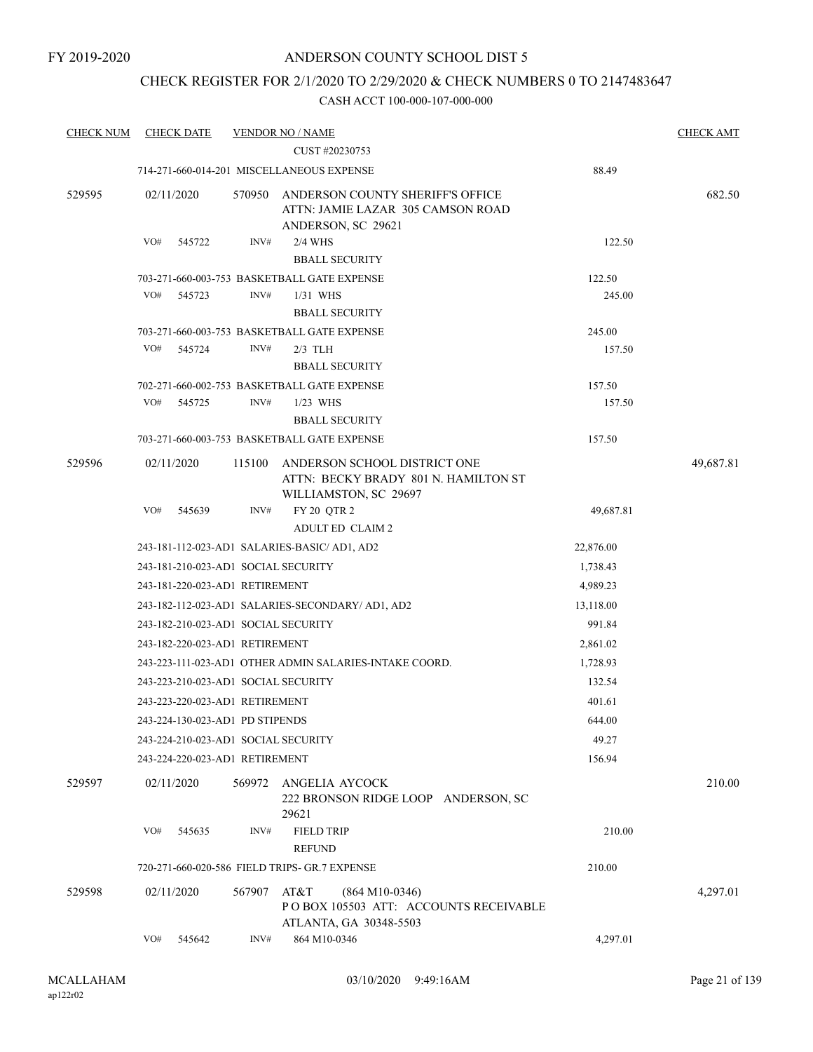## CHECK REGISTER FOR 2/1/2020 TO 2/29/2020 & CHECK NUMBERS 0 TO 2147483647

| <b>CHECK NUM</b> | <b>CHECK DATE</b> |                                     | <b>VENDOR NO / NAME</b>                                                                       |           | <b>CHECK AMT</b> |
|------------------|-------------------|-------------------------------------|-----------------------------------------------------------------------------------------------|-----------|------------------|
|                  |                   |                                     | CUST #20230753                                                                                |           |                  |
|                  |                   |                                     | 714-271-660-014-201 MISCELLANEOUS EXPENSE                                                     | 88.49     |                  |
| 529595           | 02/11/2020        | 570950                              | ANDERSON COUNTY SHERIFF'S OFFICE<br>ATTN: JAMIE LAZAR 305 CAMSON ROAD<br>ANDERSON, SC 29621   |           | 682.50           |
|                  | VO#<br>545722     | INV#                                | 2/4 WHS                                                                                       | 122.50    |                  |
|                  |                   |                                     | <b>BBALL SECURITY</b>                                                                         |           |                  |
|                  |                   |                                     | 703-271-660-003-753 BASKETBALL GATE EXPENSE                                                   | 122.50    |                  |
|                  | VO#<br>545723     | INV#                                | 1/31 WHS                                                                                      | 245.00    |                  |
|                  |                   |                                     | <b>BBALL SECURITY</b>                                                                         |           |                  |
|                  |                   |                                     | 703-271-660-003-753 BASKETBALL GATE EXPENSE                                                   | 245.00    |                  |
|                  | VO#<br>545724     | INV#                                | $2/3$ TLH                                                                                     | 157.50    |                  |
|                  |                   |                                     | <b>BBALL SECURITY</b>                                                                         |           |                  |
|                  |                   |                                     | 702-271-660-002-753 BASKETBALL GATE EXPENSE                                                   | 157.50    |                  |
|                  | VO#<br>545725     | INV#                                | $1/23$ WHS                                                                                    | 157.50    |                  |
|                  |                   |                                     | <b>BBALL SECURITY</b>                                                                         |           |                  |
|                  |                   |                                     | 703-271-660-003-753 BASKETBALL GATE EXPENSE                                                   | 157.50    |                  |
| 529596           | 02/11/2020        | 115100                              | ANDERSON SCHOOL DISTRICT ONE<br>ATTN: BECKY BRADY 801 N. HAMILTON ST<br>WILLIAMSTON, SC 29697 |           | 49,687.81        |
|                  | VO#<br>545639     | INV#                                | FY 20 QTR 2                                                                                   | 49,687.81 |                  |
|                  |                   |                                     | <b>ADULT ED CLAIM 2</b>                                                                       |           |                  |
|                  |                   |                                     | 243-181-112-023-AD1 SALARIES-BASIC/ AD1, AD2                                                  | 22,876.00 |                  |
|                  |                   | 243-181-210-023-AD1 SOCIAL SECURITY |                                                                                               | 1,738.43  |                  |
|                  |                   | 243-181-220-023-AD1 RETIREMENT      |                                                                                               | 4,989.23  |                  |
|                  |                   |                                     | 243-182-112-023-AD1 SALARIES-SECONDARY/ AD1, AD2                                              | 13,118.00 |                  |
|                  |                   | 243-182-210-023-AD1 SOCIAL SECURITY |                                                                                               | 991.84    |                  |
|                  |                   | 243-182-220-023-AD1 RETIREMENT      |                                                                                               | 2,861.02  |                  |
|                  |                   |                                     | 243-223-111-023-AD1 OTHER ADMIN SALARIES-INTAKE COORD.                                        | 1,728.93  |                  |
|                  |                   | 243-223-210-023-AD1 SOCIAL SECURITY | 132.54                                                                                        |           |                  |
|                  |                   | 243-223-220-023-AD1 RETIREMENT      |                                                                                               | 401.61    |                  |
|                  |                   | 243-224-130-023-AD1 PD STIPENDS     |                                                                                               | 644.00    |                  |
|                  |                   | 243-224-210-023-AD1 SOCIAL SECURITY |                                                                                               | 49.27     |                  |
|                  |                   | 243-224-220-023-AD1 RETIREMENT      |                                                                                               | 156.94    |                  |
| 529597           | 02/11/2020        | 569972                              | ANGELIA AYCOCK<br>222 BRONSON RIDGE LOOP ANDERSON, SC<br>29621                                |           | 210.00           |
|                  | VO#<br>545635     | INV#                                | <b>FIELD TRIP</b><br><b>REFUND</b>                                                            | 210.00    |                  |
|                  |                   |                                     | 720-271-660-020-586 FIELD TRIPS- GR.7 EXPENSE                                                 | 210.00    |                  |
| 529598           | 02/11/2020        | 567907                              | AT&T<br>$(864 M10-0346)$<br>PO BOX 105503 ATT: ACCOUNTS RECEIVABLE<br>ATLANTA, GA 30348-5503  |           | 4,297.01         |
|                  | VO#<br>545642     | INV#                                | 864 M10-0346                                                                                  | 4,297.01  |                  |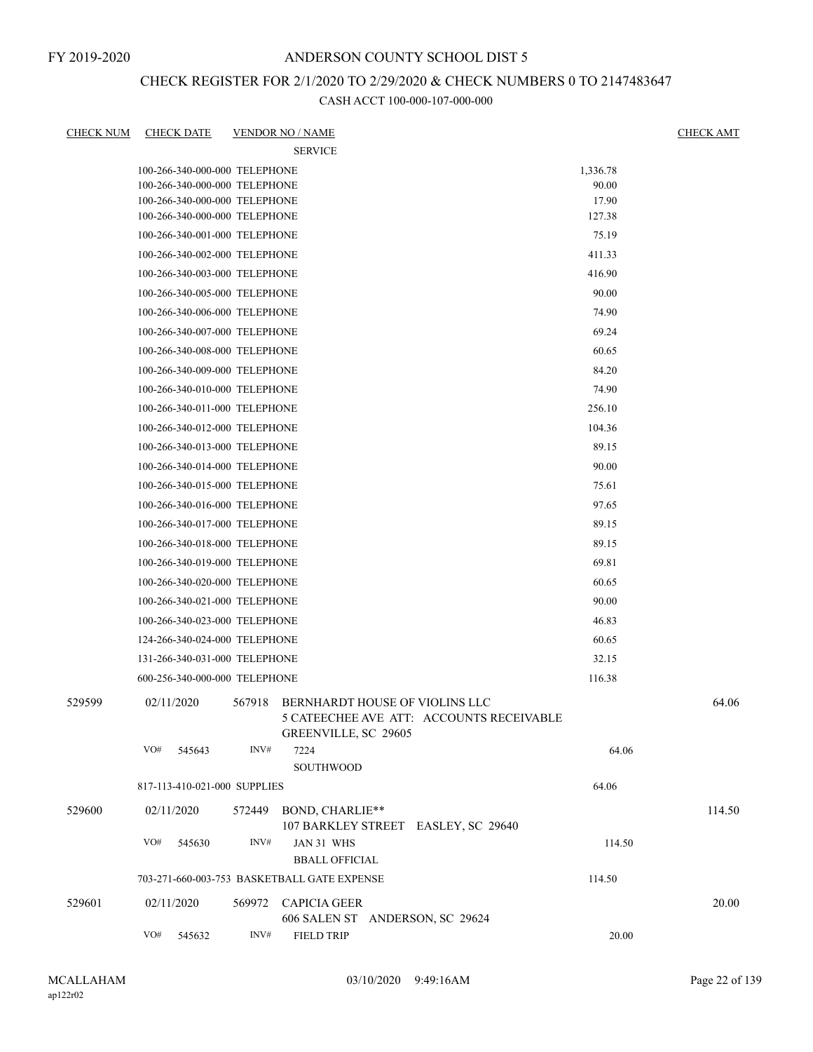## CHECK REGISTER FOR 2/1/2020 TO 2/29/2020 & CHECK NUMBERS 0 TO 2147483647

| <b>CHECK NUM</b> | <b>CHECK DATE</b>             |                | <b>VENDOR NO / NAME</b>                                                                            |          | <b>CHECK AMT</b> |
|------------------|-------------------------------|----------------|----------------------------------------------------------------------------------------------------|----------|------------------|
|                  |                               |                | <b>SERVICE</b>                                                                                     |          |                  |
|                  | 100-266-340-000-000 TELEPHONE |                |                                                                                                    | 1,336.78 |                  |
|                  | 100-266-340-000-000 TELEPHONE |                |                                                                                                    | 90.00    |                  |
|                  | 100-266-340-000-000 TELEPHONE |                |                                                                                                    | 17.90    |                  |
|                  | 100-266-340-000-000 TELEPHONE |                |                                                                                                    | 127.38   |                  |
|                  | 100-266-340-001-000 TELEPHONE |                |                                                                                                    | 75.19    |                  |
|                  | 100-266-340-002-000 TELEPHONE |                |                                                                                                    | 411.33   |                  |
|                  | 100-266-340-003-000 TELEPHONE |                |                                                                                                    | 416.90   |                  |
|                  | 100-266-340-005-000 TELEPHONE |                |                                                                                                    | 90.00    |                  |
|                  | 100-266-340-006-000 TELEPHONE |                |                                                                                                    | 74.90    |                  |
|                  | 100-266-340-007-000 TELEPHONE |                |                                                                                                    | 69.24    |                  |
|                  | 100-266-340-008-000 TELEPHONE |                |                                                                                                    | 60.65    |                  |
|                  | 100-266-340-009-000 TELEPHONE |                |                                                                                                    | 84.20    |                  |
|                  | 100-266-340-010-000 TELEPHONE |                |                                                                                                    | 74.90    |                  |
|                  | 100-266-340-011-000 TELEPHONE |                |                                                                                                    | 256.10   |                  |
|                  | 100-266-340-012-000 TELEPHONE |                |                                                                                                    | 104.36   |                  |
|                  | 100-266-340-013-000 TELEPHONE |                |                                                                                                    | 89.15    |                  |
|                  | 100-266-340-014-000 TELEPHONE |                |                                                                                                    | 90.00    |                  |
|                  | 100-266-340-015-000 TELEPHONE |                |                                                                                                    | 75.61    |                  |
|                  | 100-266-340-016-000 TELEPHONE |                |                                                                                                    | 97.65    |                  |
|                  | 100-266-340-017-000 TELEPHONE |                |                                                                                                    | 89.15    |                  |
|                  | 100-266-340-018-000 TELEPHONE |                |                                                                                                    | 89.15    |                  |
|                  | 100-266-340-019-000 TELEPHONE |                |                                                                                                    | 69.81    |                  |
|                  | 100-266-340-020-000 TELEPHONE |                |                                                                                                    | 60.65    |                  |
|                  | 100-266-340-021-000 TELEPHONE |                |                                                                                                    | 90.00    |                  |
|                  | 100-266-340-023-000 TELEPHONE |                |                                                                                                    | 46.83    |                  |
|                  | 124-266-340-024-000 TELEPHONE |                |                                                                                                    | 60.65    |                  |
|                  | 131-266-340-031-000 TELEPHONE |                |                                                                                                    | 32.15    |                  |
|                  | 600-256-340-000-000 TELEPHONE |                |                                                                                                    | 116.38   |                  |
|                  |                               |                |                                                                                                    |          |                  |
| 529599           | 02/11/2020                    | 567918         | BERNHARDT HOUSE OF VIOLINS LLC<br>5 CATEECHEE AVE ATT: ACCOUNTS RECEIVABLE<br>GREENVILLE, SC 29605 |          | 64.06            |
|                  | VO#<br>545643                 | INV#           | 7224<br>SOUTHWOOD                                                                                  | 64.06    |                  |
|                  | 817-113-410-021-000 SUPPLIES  |                |                                                                                                    | 64.06    |                  |
| 529600           | 02/11/2020                    | 572449         | BOND, CHARLIE**<br>107 BARKLEY STREET EASLEY, SC 29640                                             |          | 114.50           |
|                  | VO#<br>545630                 | INV#           | JAN 31 WHS<br><b>BBALL OFFICIAL</b>                                                                | 114.50   |                  |
|                  |                               |                | 703-271-660-003-753 BASKETBALL GATE EXPENSE                                                        | 114.50   |                  |
|                  |                               |                |                                                                                                    |          |                  |
| 529601           | 02/11/2020                    |                | 569972 CAPICIA GEER<br>606 SALEN ST ANDERSON, SC 29624                                             |          | 20.00            |
|                  | VO#<br>545632                 | $\text{INV}\#$ | <b>FIELD TRIP</b>                                                                                  | 20.00    |                  |
|                  |                               |                |                                                                                                    |          |                  |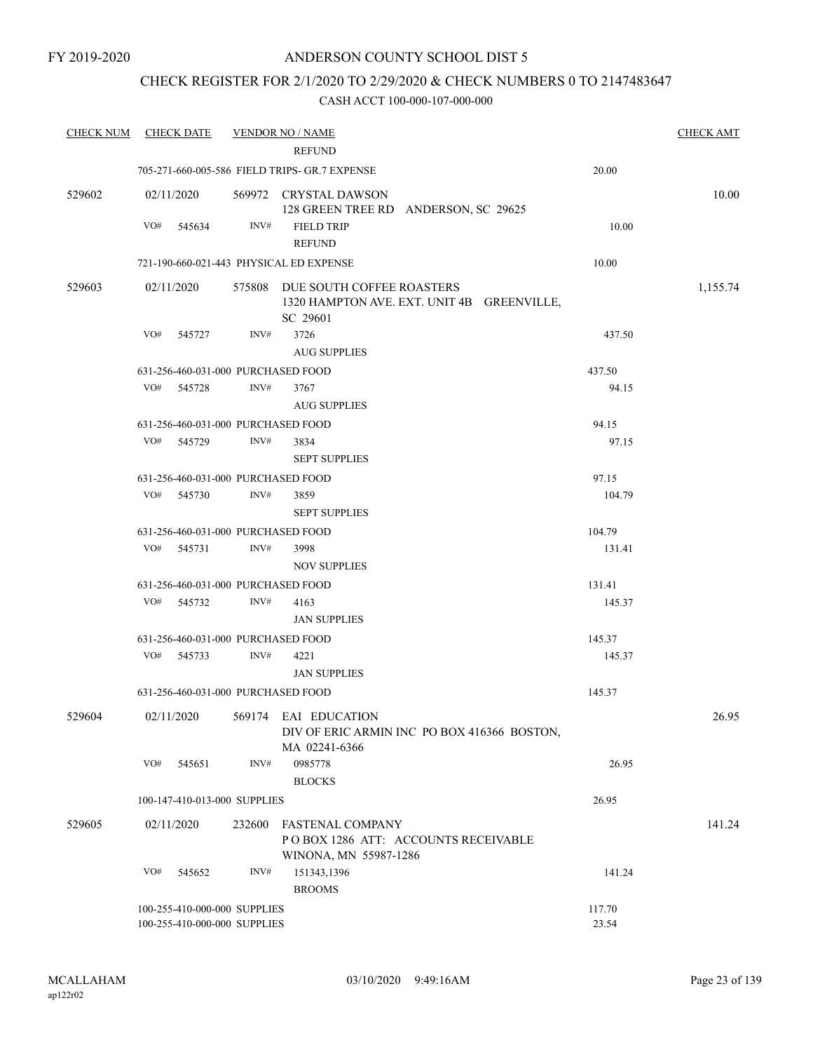## CHECK REGISTER FOR 2/1/2020 TO 2/29/2020 & CHECK NUMBERS 0 TO 2147483647

| <b>CHECK NUM</b> | <b>CHECK DATE</b>                       |        | <b>VENDOR NO / NAME</b>                                                                    |        | <b>CHECK AMT</b> |
|------------------|-----------------------------------------|--------|--------------------------------------------------------------------------------------------|--------|------------------|
|                  |                                         |        | <b>REFUND</b>                                                                              |        |                  |
|                  |                                         |        | 705-271-660-005-586 FIELD TRIPS- GR.7 EXPENSE                                              | 20.00  |                  |
| 529602           | 02/11/2020                              |        | 569972 CRYSTAL DAWSON<br>128 GREEN TREE RD ANDERSON, SC 29625                              |        | 10.00            |
|                  | VO#<br>545634                           | INV#   | <b>FIELD TRIP</b>                                                                          | 10.00  |                  |
|                  |                                         |        | <b>REFUND</b>                                                                              |        |                  |
|                  | 721-190-660-021-443 PHYSICAL ED EXPENSE |        |                                                                                            | 10.00  |                  |
| 529603           | 02/11/2020                              |        | 575808 DUE SOUTH COFFEE ROASTERS<br>1320 HAMPTON AVE. EXT. UNIT 4B GREENVILLE,<br>SC 29601 |        | 1,155.74         |
|                  | VO#<br>545727                           | INV#   | 3726                                                                                       | 437.50 |                  |
|                  |                                         |        | <b>AUG SUPPLIES</b>                                                                        |        |                  |
|                  | 631-256-460-031-000 PURCHASED FOOD      |        |                                                                                            | 437.50 |                  |
|                  | VO# 545728                              | INV#   | 3767                                                                                       | 94.15  |                  |
|                  |                                         |        | <b>AUG SUPPLIES</b>                                                                        |        |                  |
|                  | 631-256-460-031-000 PURCHASED FOOD      |        |                                                                                            | 94.15  |                  |
|                  | VO#<br>545729                           | INV#   | 3834                                                                                       | 97.15  |                  |
|                  |                                         |        | <b>SEPT SUPPLIES</b>                                                                       |        |                  |
|                  | 631-256-460-031-000 PURCHASED FOOD      |        |                                                                                            | 97.15  |                  |
|                  | VO#<br>545730                           | INV#   | 3859                                                                                       | 104.79 |                  |
|                  |                                         |        | <b>SEPT SUPPLIES</b>                                                                       |        |                  |
|                  | 631-256-460-031-000 PURCHASED FOOD      |        |                                                                                            | 104.79 |                  |
|                  | VO# 545731                              | INV#   | 3998                                                                                       |        |                  |
|                  |                                         |        | <b>NOV SUPPLIES</b>                                                                        | 131.41 |                  |
|                  | 631-256-460-031-000 PURCHASED FOOD      |        |                                                                                            | 131.41 |                  |
|                  | VO# 545732                              | INV#   | 4163                                                                                       | 145.37 |                  |
|                  |                                         |        | <b>JAN SUPPLIES</b>                                                                        |        |                  |
|                  | 631-256-460-031-000 PURCHASED FOOD      |        |                                                                                            | 145.37 |                  |
|                  | VO#<br>545733                           | INV#   | 4221                                                                                       | 145.37 |                  |
|                  |                                         |        |                                                                                            |        |                  |
|                  |                                         |        | <b>JAN SUPPLIES</b>                                                                        |        |                  |
|                  | 631-256-460-031-000 PURCHASED FOOD      |        |                                                                                            | 145.37 |                  |
| 529604           | 02/11/2020                              |        | 569174 EAI EDUCATION<br>DIV OF ERIC ARMIN INC PO BOX 416366 BOSTON,<br>MA 02241-6366       |        | 26.95            |
|                  | VO#<br>545651                           | INV#   | 0985778<br><b>BLOCKS</b>                                                                   | 26.95  |                  |
|                  |                                         |        |                                                                                            |        |                  |
|                  | 100-147-410-013-000 SUPPLIES            |        |                                                                                            | 26.95  |                  |
| 529605           | 02/11/2020                              | 232600 | <b>FASTENAL COMPANY</b><br>POBOX 1286 ATT: ACCOUNTS RECEIVABLE<br>WINONA, MN 55987-1286    |        | 141.24           |
|                  | VO#<br>545652                           | INV#   | 151343,1396<br><b>BROOMS</b>                                                               | 141.24 |                  |
|                  | 100-255-410-000-000 SUPPLIES            |        |                                                                                            | 117.70 |                  |
|                  | 100-255-410-000-000 SUPPLIES            |        |                                                                                            | 23.54  |                  |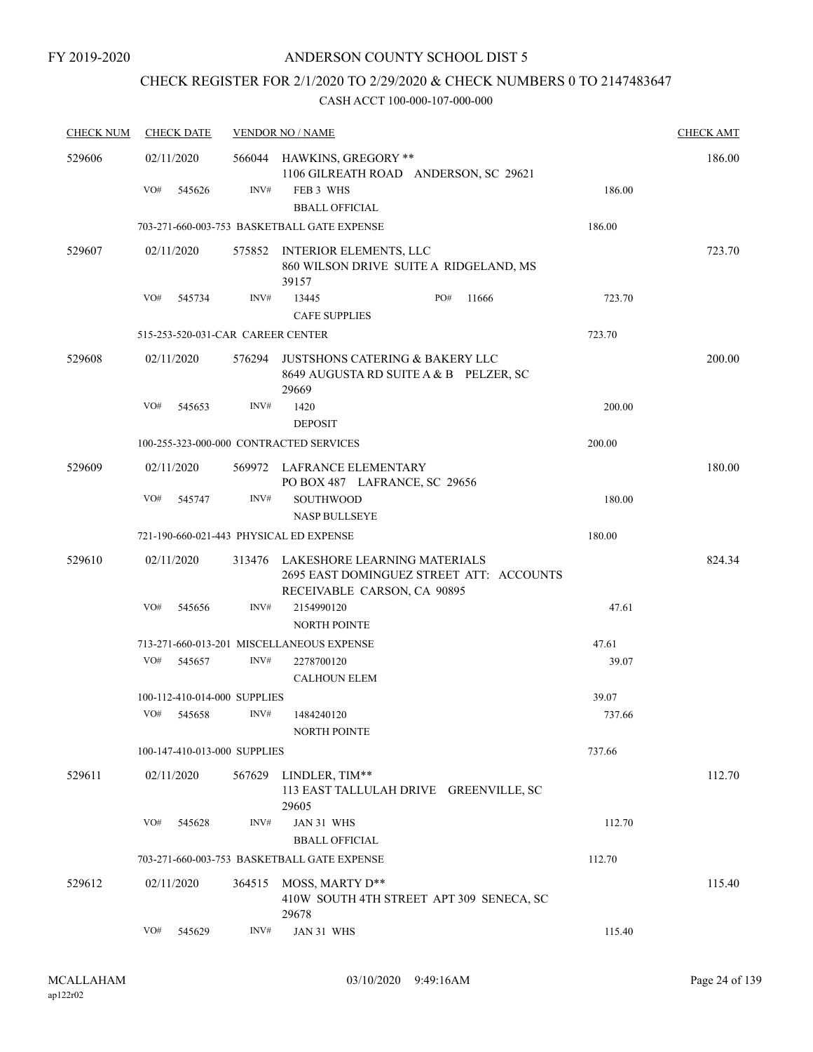## CHECK REGISTER FOR 2/1/2020 TO 2/29/2020 & CHECK NUMBERS 0 TO 2147483647

| <b>CHECK NUM</b> | <b>CHECK DATE</b>                       |        | <b>VENDOR NO / NAME</b>                                                                                 |        | <b>CHECK AMT</b> |
|------------------|-----------------------------------------|--------|---------------------------------------------------------------------------------------------------------|--------|------------------|
| 529606           | 02/11/2020                              |        | 566044 HAWKINS, GREGORY **                                                                              |        | 186.00           |
|                  | VO#<br>545626                           | INV#   | 1106 GILREATH ROAD ANDERSON, SC 29621<br>FEB 3 WHS<br><b>BBALL OFFICIAL</b>                             | 186.00 |                  |
|                  |                                         |        | 703-271-660-003-753 BASKETBALL GATE EXPENSE                                                             | 186.00 |                  |
|                  |                                         |        |                                                                                                         |        |                  |
| 529607           | 02/11/2020                              | 575852 | INTERIOR ELEMENTS, LLC<br>860 WILSON DRIVE SUITE A RIDGELAND, MS<br>39157                               |        | 723.70           |
|                  | VO#<br>545734                           | INV#   | PO#<br>13445<br>11666<br><b>CAFE SUPPLIES</b>                                                           | 723.70 |                  |
|                  | 515-253-520-031-CAR CAREER CENTER       |        |                                                                                                         | 723.70 |                  |
| 529608           | 02/11/2020                              | 576294 | <b>JUSTSHONS CATERING &amp; BAKERY LLC</b><br>8649 AUGUSTA RD SUITE A & B PELZER, SC<br>29669           |        | 200.00           |
|                  | VO#<br>545653                           | INV#   | 1420<br><b>DEPOSIT</b>                                                                                  | 200.00 |                  |
|                  |                                         |        | 100-255-323-000-000 CONTRACTED SERVICES                                                                 | 200.00 |                  |
| 529609           | 02/11/2020                              | 569972 | LAFRANCE ELEMENTARY<br>PO BOX 487 LAFRANCE, SC 29656                                                    |        | 180.00           |
|                  | VO#<br>545747                           | INV#   | <b>SOUTHWOOD</b><br><b>NASP BULLSEYE</b>                                                                | 180.00 |                  |
|                  | 721-190-660-021-443 PHYSICAL ED EXPENSE |        |                                                                                                         | 180.00 |                  |
| 529610           | 02/11/2020                              | 313476 | LAKESHORE LEARNING MATERIALS<br>2695 EAST DOMINGUEZ STREET ATT: ACCOUNTS<br>RECEIVABLE CARSON, CA 90895 |        | 824.34           |
|                  | VO#<br>545656                           | INV#   | 2154990120<br><b>NORTH POINTE</b>                                                                       | 47.61  |                  |
|                  |                                         |        | 713-271-660-013-201 MISCELLANEOUS EXPENSE                                                               | 47.61  |                  |
|                  | VO#<br>545657                           | INV#   | 2278700120<br><b>CALHOUN ELEM</b>                                                                       | 39.07  |                  |
|                  | 100-112-410-014-000 SUPPLIES            |        |                                                                                                         | 39.07  |                  |
|                  | VO#<br>545658                           | INV#   | 1484240120<br>NORTH POINTE                                                                              | 737.66 |                  |
|                  | 100-147-410-013-000 SUPPLIES            |        |                                                                                                         | 737.66 |                  |
| 529611           | 02/11/2020                              | 567629 | LINDLER, TIM**<br>113 EAST TALLULAH DRIVE GREENVILLE, SC<br>29605                                       |        | 112.70           |
|                  | VO#<br>545628                           | INV#   | JAN 31 WHS<br><b>BBALL OFFICIAL</b>                                                                     | 112.70 |                  |
|                  |                                         |        | 703-271-660-003-753 BASKETBALL GATE EXPENSE                                                             | 112.70 |                  |
| 529612           | 02/11/2020                              | 364515 | MOSS, MARTY D**<br>410W SOUTH 4TH STREET APT 309 SENECA, SC<br>29678                                    |        | 115.40           |
|                  | VO#<br>545629                           | INV#   | JAN 31 WHS                                                                                              | 115.40 |                  |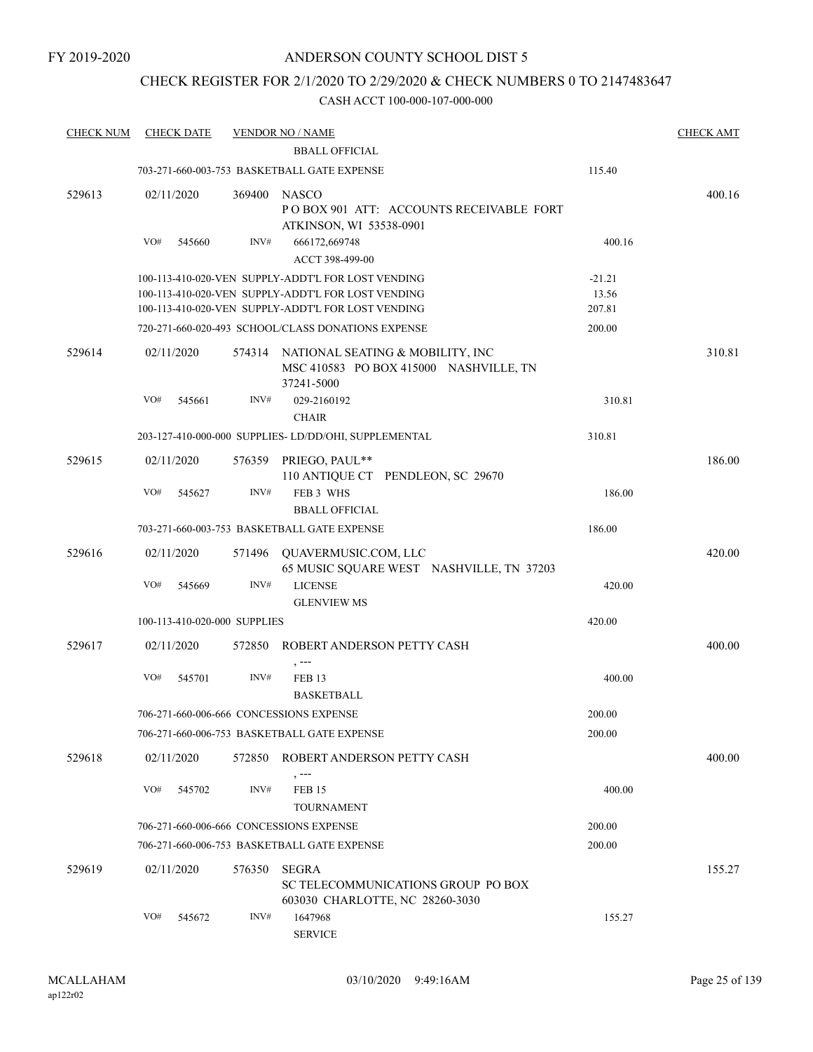## CHECK REGISTER FOR 2/1/2020 TO 2/29/2020 & CHECK NUMBERS 0 TO 2147483647

| <b>CHECK NUM</b> | <b>CHECK DATE</b>            |        | <b>VENDOR NO / NAME</b>                                                                                                                                        |                             | <b>CHECK AMT</b> |
|------------------|------------------------------|--------|----------------------------------------------------------------------------------------------------------------------------------------------------------------|-----------------------------|------------------|
|                  |                              |        | <b>BBALL OFFICIAL</b><br>703-271-660-003-753 BASKETBALL GATE EXPENSE                                                                                           | 115.40                      |                  |
|                  |                              |        |                                                                                                                                                                |                             |                  |
| 529613           | 02/11/2020                   | 369400 | NASCO<br>POBOX 901 ATT: ACCOUNTS RECEIVABLE FORT<br>ATKINSON, WI 53538-0901                                                                                    |                             | 400.16           |
|                  | VO#<br>545660                | INV#   | 666172,669748<br>ACCT 398-499-00                                                                                                                               | 400.16                      |                  |
|                  |                              |        | 100-113-410-020-VEN SUPPLY-ADDT'L FOR LOST VENDING<br>100-113-410-020-VEN SUPPLY-ADDT'L FOR LOST VENDING<br>100-113-410-020-VEN SUPPLY-ADDT'L FOR LOST VENDING | $-21.21$<br>13.56<br>207.81 |                  |
|                  |                              |        | 720-271-660-020-493 SCHOOL/CLASS DONATIONS EXPENSE                                                                                                             | 200.00                      |                  |
| 529614           | 02/11/2020                   |        | 574314 NATIONAL SEATING & MOBILITY, INC<br>MSC 410583 PO BOX 415000 NASHVILLE, TN<br>37241-5000                                                                |                             | 310.81           |
|                  | VO#<br>545661                | INV#   | 029-2160192<br><b>CHAIR</b>                                                                                                                                    | 310.81                      |                  |
|                  |                              |        | 203-127-410-000-000 SUPPLIES- LD/DD/OHI, SUPPLEMENTAL                                                                                                          | 310.81                      |                  |
| 529615           | 02/11/2020                   | 576359 | PRIEGO, PAUL**<br>110 ANTIQUE CT PENDLEON, SC 29670                                                                                                            |                             | 186.00           |
|                  | VO#<br>545627                | INV#   | FEB 3 WHS<br><b>BBALL OFFICIAL</b>                                                                                                                             | 186.00                      |                  |
|                  |                              |        | 703-271-660-003-753 BASKETBALL GATE EXPENSE                                                                                                                    | 186.00                      |                  |
| 529616           | 02/11/2020                   | 571496 | QUAVERMUSIC.COM, LLC<br>65 MUSIC SQUARE WEST NASHVILLE, TN 37203                                                                                               |                             | 420.00           |
|                  | VO#<br>545669                | INV#   | <b>LICENSE</b><br><b>GLENVIEW MS</b>                                                                                                                           | 420.00                      |                  |
|                  | 100-113-410-020-000 SUPPLIES |        |                                                                                                                                                                | 420.00                      |                  |
| 529617           | 02/11/2020                   | 572850 | ROBERT ANDERSON PETTY CASH<br>, ---                                                                                                                            |                             | 400.00           |
|                  | VO#<br>545701                | INV#   | <b>FEB 13</b><br><b>BASKETBALL</b>                                                                                                                             | 400.00                      |                  |
|                  |                              |        | 706-271-660-006-666 CONCESSIONS EXPENSE                                                                                                                        | 200.00                      |                  |
|                  |                              |        | 706-271-660-006-753 BASKETBALL GATE EXPENSE                                                                                                                    | 200.00                      |                  |
| 529618           | 02/11/2020                   | 572850 | ROBERT ANDERSON PETTY CASH<br>, ---                                                                                                                            |                             | 400.00           |
|                  | VO#<br>545702                | INV#   | <b>FEB 15</b><br><b>TOURNAMENT</b>                                                                                                                             | 400.00                      |                  |
|                  |                              |        | 706-271-660-006-666 CONCESSIONS EXPENSE                                                                                                                        | 200.00                      |                  |
|                  |                              |        | 706-271-660-006-753 BASKETBALL GATE EXPENSE                                                                                                                    | 200.00                      |                  |
| 529619           | 02/11/2020                   | 576350 | SEGRA<br>SC TELECOMMUNICATIONS GROUP PO BOX<br>603030 CHARLOTTE, NC 28260-3030                                                                                 |                             | 155.27           |
|                  | VO#<br>545672                | INV#   | 1647968<br><b>SERVICE</b>                                                                                                                                      | 155.27                      |                  |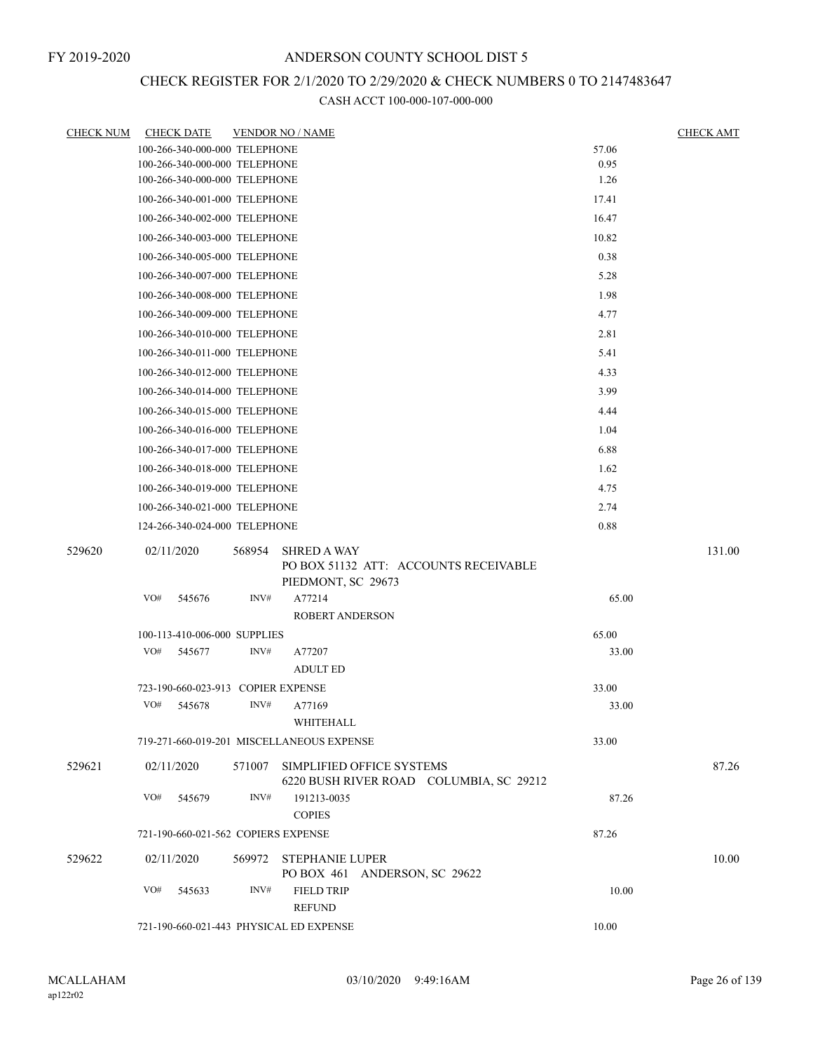# CHECK REGISTER FOR 2/1/2020 TO 2/29/2020 & CHECK NUMBERS 0 TO 2147483647

| <b>CHECK NUM</b> | <b>CHECK DATE</b>                         |        | <b>VENDOR NO / NAME</b>            |                                         |       | <b>CHECK AMT</b> |
|------------------|-------------------------------------------|--------|------------------------------------|-----------------------------------------|-------|------------------|
|                  | 100-266-340-000-000 TELEPHONE             |        |                                    |                                         | 57.06 |                  |
|                  | 100-266-340-000-000 TELEPHONE             |        |                                    |                                         | 0.95  |                  |
|                  | 100-266-340-000-000 TELEPHONE             |        |                                    |                                         | 1.26  |                  |
|                  | 100-266-340-001-000 TELEPHONE             |        |                                    |                                         | 17.41 |                  |
|                  | 100-266-340-002-000 TELEPHONE             |        |                                    |                                         | 16.47 |                  |
|                  | 100-266-340-003-000 TELEPHONE             |        |                                    |                                         | 10.82 |                  |
|                  | 100-266-340-005-000 TELEPHONE             |        |                                    |                                         | 0.38  |                  |
|                  | 100-266-340-007-000 TELEPHONE             |        |                                    |                                         | 5.28  |                  |
|                  | 100-266-340-008-000 TELEPHONE             |        |                                    |                                         | 1.98  |                  |
|                  | 100-266-340-009-000 TELEPHONE             |        |                                    |                                         | 4.77  |                  |
|                  | 100-266-340-010-000 TELEPHONE             |        |                                    |                                         | 2.81  |                  |
|                  | 100-266-340-011-000 TELEPHONE             |        |                                    |                                         | 5.41  |                  |
|                  | 100-266-340-012-000 TELEPHONE             |        |                                    |                                         | 4.33  |                  |
|                  | 100-266-340-014-000 TELEPHONE             |        |                                    |                                         | 3.99  |                  |
|                  | 100-266-340-015-000 TELEPHONE             |        |                                    |                                         | 4.44  |                  |
|                  | 100-266-340-016-000 TELEPHONE             |        |                                    |                                         | 1.04  |                  |
|                  | 100-266-340-017-000 TELEPHONE             |        |                                    |                                         | 6.88  |                  |
|                  | 100-266-340-018-000 TELEPHONE             |        |                                    |                                         | 1.62  |                  |
|                  | 100-266-340-019-000 TELEPHONE             |        |                                    |                                         | 4.75  |                  |
|                  | 100-266-340-021-000 TELEPHONE             |        |                                    |                                         | 2.74  |                  |
|                  | 124-266-340-024-000 TELEPHONE             |        |                                    |                                         | 0.88  |                  |
| 529620           | 02/11/2020                                | 568954 | <b>SHRED A WAY</b>                 | PO BOX 51132 ATT: ACCOUNTS RECEIVABLE   |       | 131.00           |
|                  |                                           |        | PIEDMONT, SC 29673                 |                                         |       |                  |
|                  | VO#<br>545676                             | INV#   | A77214<br><b>ROBERT ANDERSON</b>   |                                         | 65.00 |                  |
|                  | 100-113-410-006-000 SUPPLIES              |        |                                    |                                         | 65.00 |                  |
|                  | VO#<br>545677                             | INV#   | A77207<br><b>ADULT ED</b>          |                                         | 33.00 |                  |
|                  | 723-190-660-023-913 COPIER EXPENSE        |        |                                    |                                         | 33.00 |                  |
|                  | VO#<br>545678                             | INV#   | A77169<br>WHITEHALL                |                                         | 33.00 |                  |
|                  | 719-271-660-019-201 MISCELLANEOUS EXPENSE |        |                                    |                                         | 33.00 |                  |
| 529621           | 02/11/2020                                | 571007 | SIMPLIFIED OFFICE SYSTEMS          | 6220 BUSH RIVER ROAD COLUMBIA, SC 29212 |       | 87.26            |
|                  | VO#<br>545679                             | INV#   | 191213-0035<br><b>COPIES</b>       |                                         | 87.26 |                  |
|                  | 721-190-660-021-562 COPIERS EXPENSE       |        |                                    |                                         | 87.26 |                  |
| 529622           | 02/11/2020                                |        | 569972 STEPHANIE LUPER             |                                         |       | 10.00            |
|                  |                                           |        |                                    | PO BOX 461 ANDERSON, SC 29622           |       |                  |
|                  | VO#<br>545633                             | INV#   | <b>FIELD TRIP</b><br><b>REFUND</b> |                                         | 10.00 |                  |
|                  | 721-190-660-021-443 PHYSICAL ED EXPENSE   |        | 10.00                              |                                         |       |                  |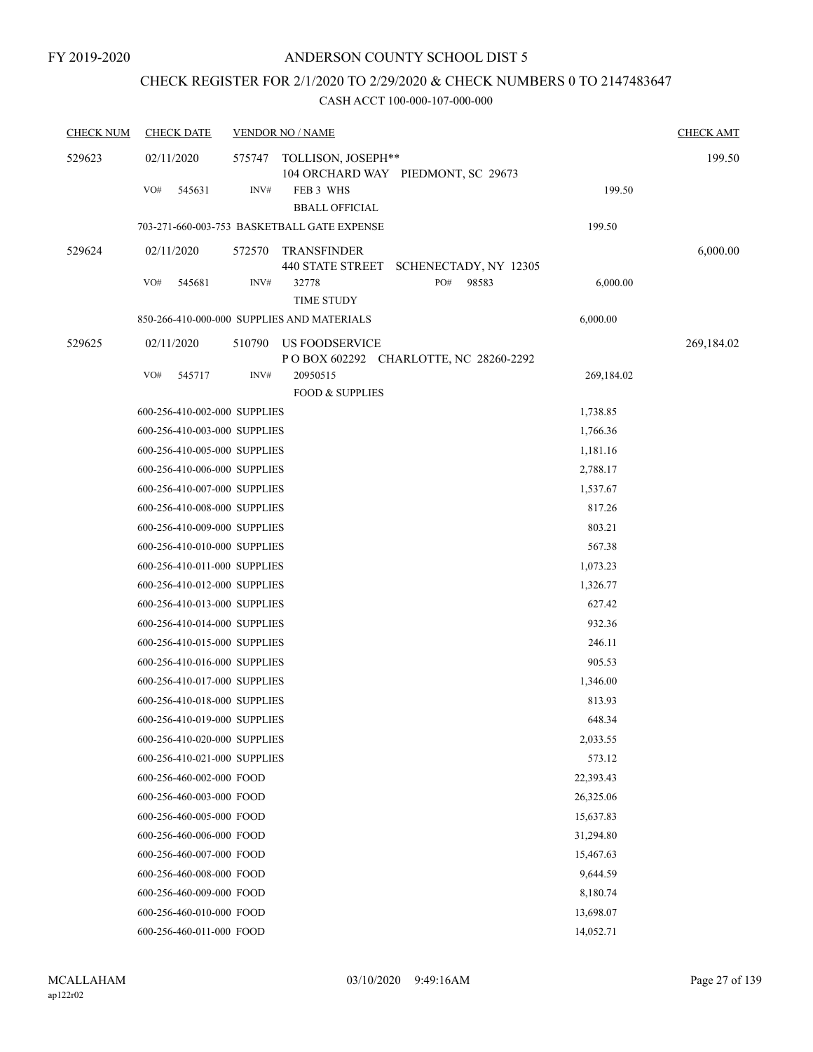## CHECK REGISTER FOR 2/1/2020 TO 2/29/2020 & CHECK NUMBERS 0 TO 2147483647

| <b>CHECK NUM</b> | <b>CHECK DATE</b>            |        | <b>VENDOR NO / NAME</b>                       |                                       |            | <b>CHECK AMT</b> |
|------------------|------------------------------|--------|-----------------------------------------------|---------------------------------------|------------|------------------|
| 529623           | 02/11/2020                   | 575747 | TOLLISON, JOSEPH**                            | 104 ORCHARD WAY PIEDMONT, SC 29673    |            | 199.50           |
|                  | VO#<br>545631                | INV#   | FEB 3 WHS<br><b>BBALL OFFICIAL</b>            |                                       | 199.50     |                  |
|                  |                              |        | 703-271-660-003-753 BASKETBALL GATE EXPENSE   |                                       | 199.50     |                  |
| 529624           | 02/11/2020                   | 572570 | <b>TRANSFINDER</b><br><b>440 STATE STREET</b> | SCHENECTADY, NY 12305                 |            | 6,000.00         |
|                  | VO#<br>545681                | INV#   | 32778<br><b>TIME STUDY</b>                    | PO#<br>98583                          | 6,000.00   |                  |
|                  |                              |        | 850-266-410-000-000 SUPPLIES AND MATERIALS    |                                       | 6,000.00   |                  |
| 529625           | 02/11/2020                   | 510790 | US FOODSERVICE                                | POBOX 602292 CHARLOTTE, NC 28260-2292 |            | 269,184.02       |
|                  | VO#<br>545717                | INV#   | 20950515<br><b>FOOD &amp; SUPPLIES</b>        |                                       | 269,184.02 |                  |
|                  | 600-256-410-002-000 SUPPLIES |        |                                               |                                       | 1,738.85   |                  |
|                  | 600-256-410-003-000 SUPPLIES |        |                                               |                                       | 1,766.36   |                  |
|                  | 600-256-410-005-000 SUPPLIES |        |                                               |                                       | 1,181.16   |                  |
|                  | 600-256-410-006-000 SUPPLIES |        |                                               |                                       | 2,788.17   |                  |
|                  | 600-256-410-007-000 SUPPLIES |        |                                               |                                       | 1,537.67   |                  |
|                  | 600-256-410-008-000 SUPPLIES |        |                                               |                                       | 817.26     |                  |
|                  | 600-256-410-009-000 SUPPLIES |        |                                               |                                       | 803.21     |                  |
|                  | 600-256-410-010-000 SUPPLIES |        |                                               |                                       | 567.38     |                  |
|                  | 600-256-410-011-000 SUPPLIES |        |                                               |                                       | 1,073.23   |                  |
|                  | 600-256-410-012-000 SUPPLIES |        |                                               |                                       | 1,326.77   |                  |
|                  | 600-256-410-013-000 SUPPLIES |        |                                               |                                       | 627.42     |                  |
|                  | 600-256-410-014-000 SUPPLIES |        |                                               |                                       | 932.36     |                  |
|                  | 600-256-410-015-000 SUPPLIES |        |                                               |                                       | 246.11     |                  |
|                  | 600-256-410-016-000 SUPPLIES |        |                                               |                                       | 905.53     |                  |
|                  | 600-256-410-017-000 SUPPLIES |        |                                               |                                       | 1,346.00   |                  |
|                  | 600-256-410-018-000 SUPPLIES |        |                                               |                                       | 813.93     |                  |
|                  | 600-256-410-019-000 SUPPLIES |        |                                               |                                       | 648.34     |                  |
|                  | 600-256-410-020-000 SUPPLIES |        |                                               |                                       | 2,033.55   |                  |
|                  | 600-256-410-021-000 SUPPLIES |        |                                               |                                       | 573.12     |                  |
|                  | 600-256-460-002-000 FOOD     |        |                                               |                                       | 22,393.43  |                  |
|                  | 600-256-460-003-000 FOOD     |        |                                               |                                       | 26,325.06  |                  |
|                  | 600-256-460-005-000 FOOD     |        |                                               |                                       | 15,637.83  |                  |
|                  | 600-256-460-006-000 FOOD     |        |                                               |                                       | 31,294.80  |                  |
|                  | 600-256-460-007-000 FOOD     |        |                                               |                                       | 15,467.63  |                  |
|                  | 600-256-460-008-000 FOOD     |        |                                               |                                       | 9,644.59   |                  |
|                  | 600-256-460-009-000 FOOD     |        |                                               |                                       | 8,180.74   |                  |
|                  | 600-256-460-010-000 FOOD     |        |                                               |                                       | 13,698.07  |                  |
|                  | 600-256-460-011-000 FOOD     |        |                                               |                                       | 14,052.71  |                  |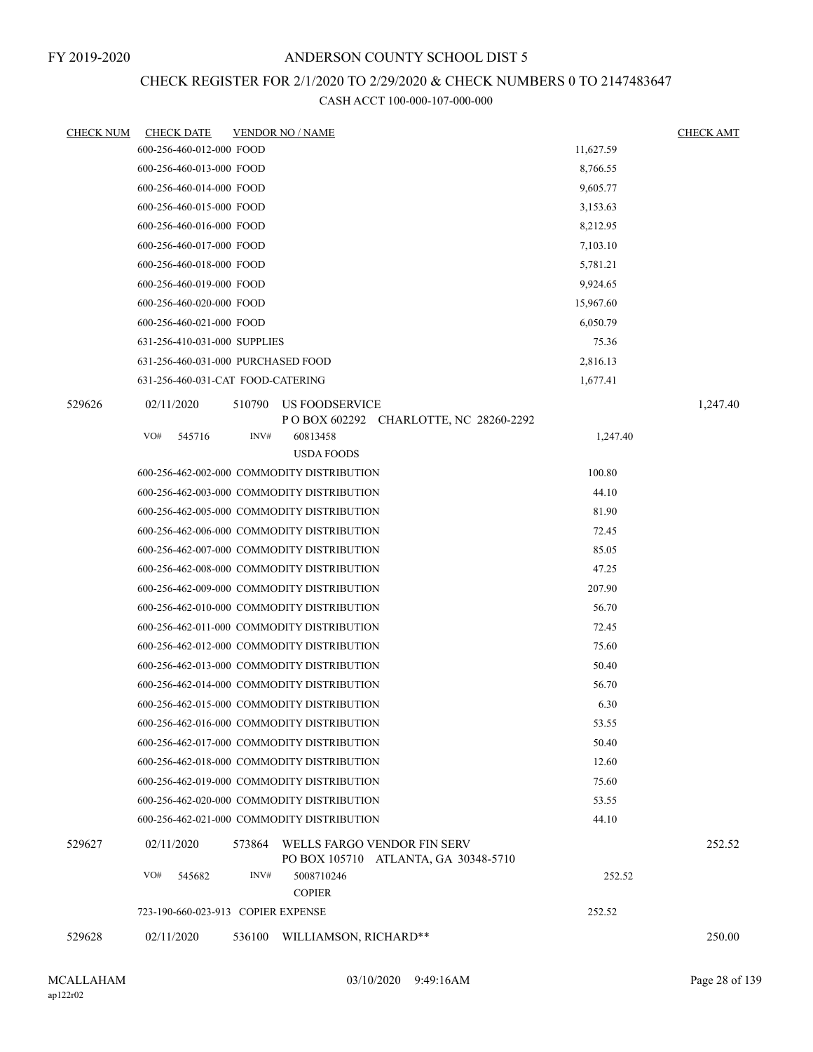# CHECK REGISTER FOR 2/1/2020 TO 2/29/2020 & CHECK NUMBERS 0 TO 2147483647

| <b>CHECK NUM</b> | <b>CHECK DATE</b>                          |        | <b>VENDOR NO / NAME</b>     |                                                                     |           | <b>CHECK AMT</b> |
|------------------|--------------------------------------------|--------|-----------------------------|---------------------------------------------------------------------|-----------|------------------|
|                  | 600-256-460-012-000 FOOD                   |        |                             |                                                                     | 11,627.59 |                  |
|                  | 600-256-460-013-000 FOOD                   |        |                             |                                                                     | 8,766.55  |                  |
|                  | 600-256-460-014-000 FOOD                   |        |                             |                                                                     | 9,605.77  |                  |
|                  | 600-256-460-015-000 FOOD                   |        |                             |                                                                     | 3,153.63  |                  |
|                  | 600-256-460-016-000 FOOD                   |        |                             |                                                                     | 8,212.95  |                  |
|                  | 600-256-460-017-000 FOOD                   |        |                             |                                                                     | 7,103.10  |                  |
|                  | 600-256-460-018-000 FOOD                   |        |                             |                                                                     | 5,781.21  |                  |
|                  | 600-256-460-019-000 FOOD                   |        |                             |                                                                     | 9,924.65  |                  |
|                  | 600-256-460-020-000 FOOD                   |        |                             |                                                                     | 15,967.60 |                  |
|                  | 600-256-460-021-000 FOOD                   |        |                             |                                                                     | 6,050.79  |                  |
|                  | 631-256-410-031-000 SUPPLIES               |        |                             |                                                                     | 75.36     |                  |
|                  | 631-256-460-031-000 PURCHASED FOOD         |        |                             |                                                                     | 2,816.13  |                  |
|                  | 631-256-460-031-CAT FOOD-CATERING          |        |                             |                                                                     | 1,677.41  |                  |
| 529626           | 02/11/2020                                 | 510790 | US FOODSERVICE              | POBOX 602292 CHARLOTTE, NC 28260-2292                               |           | 1,247.40         |
|                  | VO#<br>545716                              | INV#   | 60813458                    |                                                                     | 1,247.40  |                  |
|                  |                                            |        | <b>USDA FOODS</b>           |                                                                     |           |                  |
|                  | 600-256-462-002-000 COMMODITY DISTRIBUTION |        |                             |                                                                     | 100.80    |                  |
|                  | 600-256-462-003-000 COMMODITY DISTRIBUTION |        |                             |                                                                     | 44.10     |                  |
|                  | 600-256-462-005-000 COMMODITY DISTRIBUTION |        |                             |                                                                     | 81.90     |                  |
|                  | 600-256-462-006-000 COMMODITY DISTRIBUTION |        |                             |                                                                     | 72.45     |                  |
|                  | 600-256-462-007-000 COMMODITY DISTRIBUTION |        |                             |                                                                     | 85.05     |                  |
|                  | 600-256-462-008-000 COMMODITY DISTRIBUTION |        |                             |                                                                     | 47.25     |                  |
|                  | 600-256-462-009-000 COMMODITY DISTRIBUTION |        |                             |                                                                     | 207.90    |                  |
|                  | 600-256-462-010-000 COMMODITY DISTRIBUTION |        |                             |                                                                     | 56.70     |                  |
|                  | 600-256-462-011-000 COMMODITY DISTRIBUTION |        |                             |                                                                     | 72.45     |                  |
|                  | 600-256-462-012-000 COMMODITY DISTRIBUTION |        |                             |                                                                     | 75.60     |                  |
|                  | 600-256-462-013-000 COMMODITY DISTRIBUTION |        |                             |                                                                     | 50.40     |                  |
|                  | 600-256-462-014-000 COMMODITY DISTRIBUTION |        |                             |                                                                     | 56.70     |                  |
|                  | 600-256-462-015-000 COMMODITY DISTRIBUTION |        |                             |                                                                     | 6.30      |                  |
|                  | 600-256-462-016-000 COMMODITY DISTRIBUTION |        |                             |                                                                     | 53.55     |                  |
|                  | 600-256-462-017-000 COMMODITY DISTRIBUTION |        |                             |                                                                     | 50.40     |                  |
|                  | 600-256-462-018-000 COMMODITY DISTRIBUTION |        |                             |                                                                     | 12.60     |                  |
|                  | 600-256-462-019-000 COMMODITY DISTRIBUTION |        |                             |                                                                     | 75.60     |                  |
|                  | 600-256-462-020-000 COMMODITY DISTRIBUTION |        |                             |                                                                     | 53.55     |                  |
|                  | 600-256-462-021-000 COMMODITY DISTRIBUTION |        |                             |                                                                     | 44.10     |                  |
| 529627           | 02/11/2020                                 | 573864 |                             | WELLS FARGO VENDOR FIN SERV<br>PO BOX 105710 ATLANTA, GA 30348-5710 |           | 252.52           |
|                  | VO#<br>545682                              | INV#   | 5008710246<br><b>COPIER</b> |                                                                     | 252.52    |                  |
|                  | 723-190-660-023-913 COPIER EXPENSE         |        |                             |                                                                     | 252.52    |                  |
| 529628           | 02/11/2020                                 | 536100 | WILLIAMSON, RICHARD**       |                                                                     |           | 250.00           |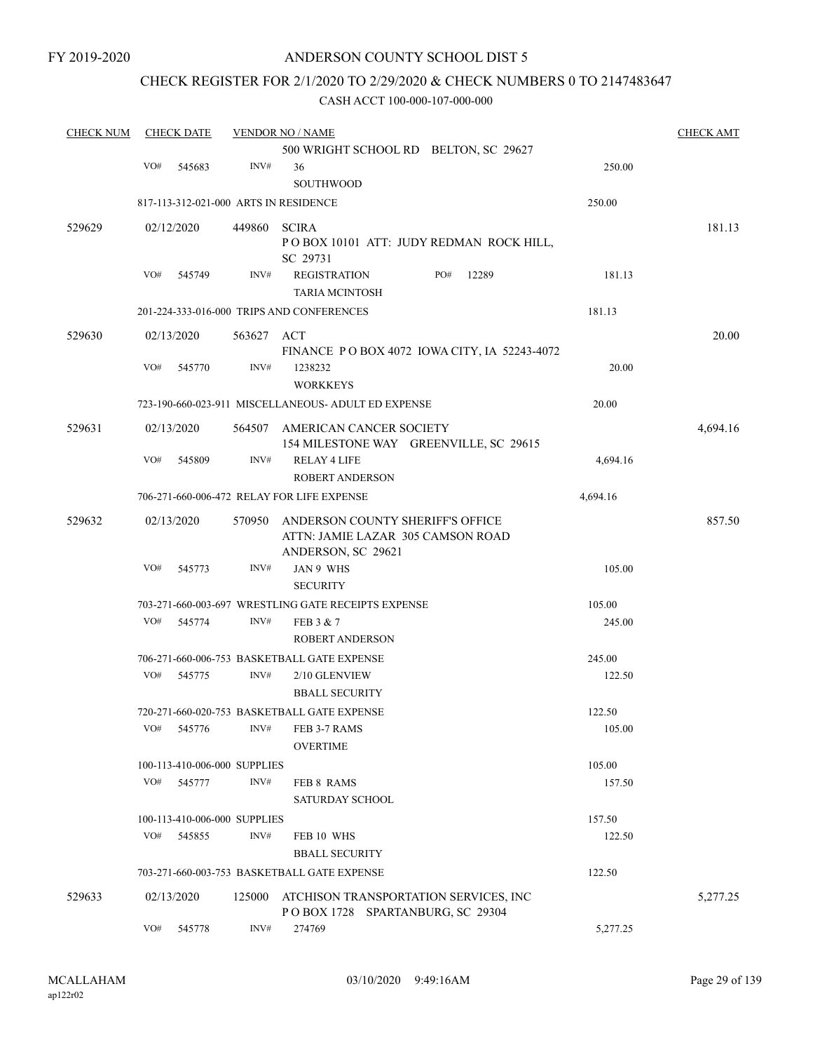FY 2019-2020

## ANDERSON COUNTY SCHOOL DIST 5

## CHECK REGISTER FOR 2/1/2020 TO 2/29/2020 & CHECK NUMBERS 0 TO 2147483647

| <b>CHECK NUM</b> | <b>CHECK DATE</b>                     |            | <b>VENDOR NO / NAME</b>                                                                     |          | <b>CHECK AMT</b> |
|------------------|---------------------------------------|------------|---------------------------------------------------------------------------------------------|----------|------------------|
|                  |                                       |            | 500 WRIGHT SCHOOL RD BELTON, SC 29627                                                       |          |                  |
|                  | VO#<br>545683                         | INV#       | 36<br><b>SOUTHWOOD</b>                                                                      | 250.00   |                  |
|                  | 817-113-312-021-000 ARTS IN RESIDENCE |            |                                                                                             | 250.00   |                  |
| 529629           | 02/12/2020                            | 449860     | <b>SCIRA</b>                                                                                |          | 181.13           |
|                  |                                       |            | POBOX 10101 ATT: JUDY REDMAN ROCK HILL,<br>SC 29731                                         |          |                  |
|                  | VO#<br>545749                         | INV#       | <b>REGISTRATION</b><br>PO#<br>12289<br><b>TARIA MCINTOSH</b>                                | 181.13   |                  |
|                  |                                       |            | 201-224-333-016-000 TRIPS AND CONFERENCES                                                   | 181.13   |                  |
| 529630           | 02/13/2020                            | 563627 ACT | FINANCE POBOX 4072 IOWA CITY, IA 52243-4072                                                 |          | 20.00            |
|                  | VO#<br>545770                         | INV#       | 1238232<br><b>WORKKEYS</b>                                                                  | 20.00    |                  |
|                  |                                       |            | 723-190-660-023-911 MISCELLANEOUS- ADULT ED EXPENSE                                         | 20.00    |                  |
| 529631           | 02/13/2020                            | 564507     | AMERICAN CANCER SOCIETY<br>154 MILESTONE WAY GREENVILLE, SC 29615                           |          | 4,694.16         |
|                  | VO#<br>545809                         | INV#       | <b>RELAY 4 LIFE</b>                                                                         | 4,694.16 |                  |
|                  |                                       |            | <b>ROBERT ANDERSON</b>                                                                      |          |                  |
|                  |                                       |            | 706-271-660-006-472 RELAY FOR LIFE EXPENSE                                                  | 4,694.16 |                  |
| 529632           | 02/13/2020                            | 570950     | ANDERSON COUNTY SHERIFF'S OFFICE<br>ATTN: JAMIE LAZAR 305 CAMSON ROAD<br>ANDERSON, SC 29621 |          | 857.50           |
|                  | VO#<br>545773                         | INV#       | JAN 9 WHS                                                                                   | 105.00   |                  |
|                  |                                       |            | <b>SECURITY</b>                                                                             |          |                  |
|                  |                                       |            | 703-271-660-003-697 WRESTLING GATE RECEIPTS EXPENSE                                         | 105.00   |                  |
|                  | VO#<br>545774                         | INV#       | FEB 3 & 7                                                                                   | 245.00   |                  |
|                  |                                       |            | <b>ROBERT ANDERSON</b>                                                                      |          |                  |
|                  |                                       |            | 706-271-660-006-753 BASKETBALL GATE EXPENSE                                                 | 245.00   |                  |
|                  | VO#<br>545775                         | INV#       | 2/10 GLENVIEW                                                                               | 122.50   |                  |
|                  |                                       |            | <b>BBALL SECURITY</b>                                                                       |          |                  |
|                  |                                       |            | 720-271-660-020-753 BASKETBALL GATE EXPENSE                                                 | 122.50   |                  |
|                  | VO#<br>545776                         | INV#       | FEB 3-7 RAMS<br><b>OVERTIME</b>                                                             | 105.00   |                  |
|                  | 100-113-410-006-000 SUPPLIES          |            |                                                                                             | 105.00   |                  |
|                  | VO#<br>545777                         | INV#       | FEB 8 RAMS                                                                                  | 157.50   |                  |
|                  |                                       |            | SATURDAY SCHOOL                                                                             |          |                  |
|                  | 100-113-410-006-000 SUPPLIES          |            |                                                                                             | 157.50   |                  |
|                  | VO#<br>545855                         | INV#       | FEB 10 WHS                                                                                  | 122.50   |                  |
|                  |                                       |            | <b>BBALL SECURITY</b>                                                                       |          |                  |
|                  |                                       |            | 703-271-660-003-753 BASKETBALL GATE EXPENSE                                                 | 122.50   |                  |
| 529633           | 02/13/2020                            | 125000     | ATCHISON TRANSPORTATION SERVICES, INC.<br>POBOX 1728 SPARTANBURG, SC 29304                  |          | 5,277.25         |
|                  | VO#<br>545778                         | INV#       | 274769                                                                                      | 5,277.25 |                  |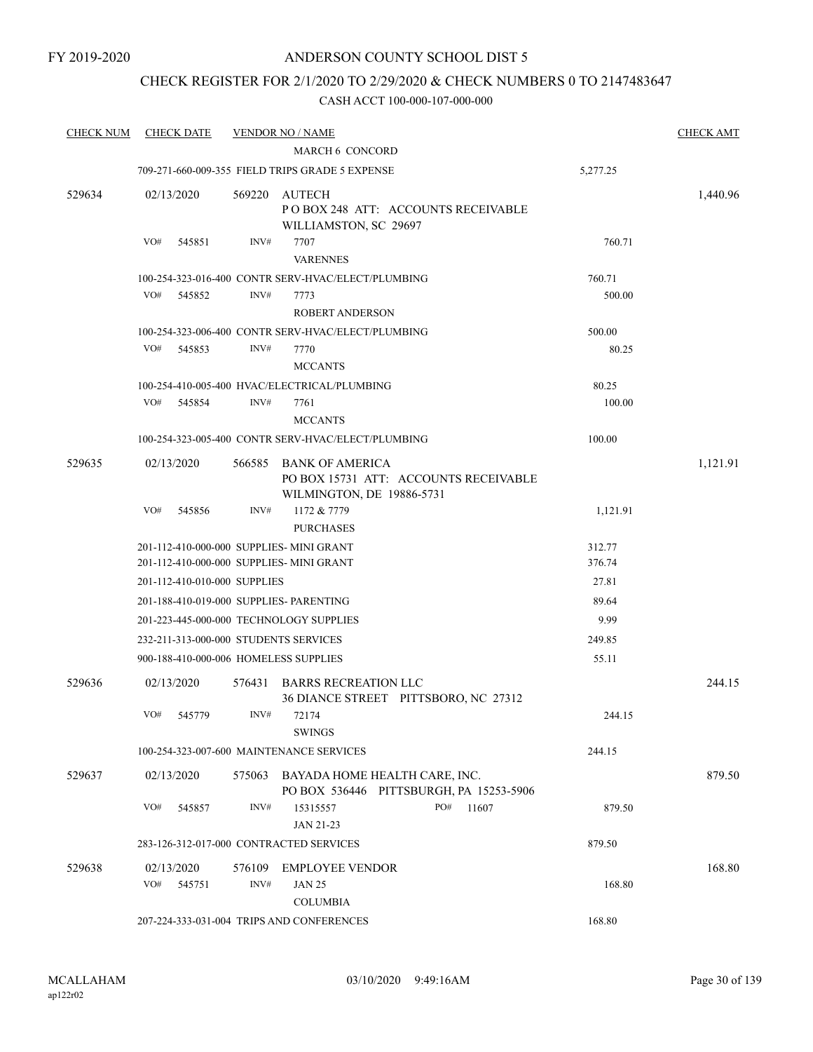## CHECK REGISTER FOR 2/1/2020 TO 2/29/2020 & CHECK NUMBERS 0 TO 2147483647

| <b>CHECK NUM</b> | <b>CHECK DATE</b> |                                           | <b>VENDOR NO / NAME</b>                                                              |                                         |                  | <b>CHECK AMT</b> |
|------------------|-------------------|-------------------------------------------|--------------------------------------------------------------------------------------|-----------------------------------------|------------------|------------------|
|                  |                   |                                           | <b>MARCH 6 CONCORD</b>                                                               |                                         |                  |                  |
|                  |                   |                                           | 709-271-660-009-355 FIELD TRIPS GRADE 5 EXPENSE                                      |                                         | 5,277.25         |                  |
| 529634           | 02/13/2020        | 569220                                    | AUTECH<br>WILLIAMSTON, SC 29697                                                      | POBOX 248 ATT: ACCOUNTS RECEIVABLE      |                  | 1,440.96         |
|                  | VO#<br>545851     | INV#                                      | 7707<br><b>VARENNES</b>                                                              |                                         | 760.71           |                  |
|                  |                   |                                           | 100-254-323-016-400 CONTR SERV-HVAC/ELECT/PLUMBING                                   |                                         | 760.71           |                  |
|                  | VO#<br>545852     | INV#                                      | 7773                                                                                 |                                         | 500.00           |                  |
|                  |                   |                                           | <b>ROBERT ANDERSON</b>                                                               |                                         |                  |                  |
|                  |                   |                                           | 100-254-323-006-400 CONTR SERV-HVAC/ELECT/PLUMBING                                   |                                         | 500.00           |                  |
|                  | VO#<br>545853     | INV#                                      | 7770<br><b>MCCANTS</b>                                                               |                                         | 80.25            |                  |
|                  |                   |                                           | 100-254-410-005-400 HVAC/ELECTRICAL/PLUMBING                                         |                                         | 80.25            |                  |
|                  | VO#<br>545854     | INV#                                      | 7761<br><b>MCCANTS</b>                                                               |                                         | 100.00           |                  |
|                  |                   |                                           | 100-254-323-005-400 CONTR SERV-HVAC/ELECT/PLUMBING                                   |                                         | 100.00           |                  |
| 529635           | 02/13/2020        | 566585                                    | <b>BANK OF AMERICA</b><br>WILMINGTON, DE 19886-5731                                  | PO BOX 15731 ATT: ACCOUNTS RECEIVABLE   |                  | 1,121.91         |
|                  | VO#<br>545856     | INV#                                      | 1172 & 7779<br><b>PURCHASES</b>                                                      |                                         | 1,121.91         |                  |
|                  |                   |                                           | 201-112-410-000-000 SUPPLIES- MINI GRANT<br>201-112-410-000-000 SUPPLIES- MINI GRANT |                                         | 312.77<br>376.74 |                  |
|                  |                   | 201-112-410-010-000 SUPPLIES              |                                                                                      |                                         | 27.81            |                  |
|                  |                   |                                           | 201-188-410-019-000 SUPPLIES- PARENTING                                              |                                         | 89.64            |                  |
|                  |                   |                                           | 201-223-445-000-000 TECHNOLOGY SUPPLIES                                              |                                         | 9.99             |                  |
|                  |                   | 232-211-313-000-000 STUDENTS SERVICES     |                                                                                      |                                         | 249.85           |                  |
|                  |                   | 900-188-410-000-006 HOMELESS SUPPLIES     |                                                                                      |                                         | 55.11            |                  |
| 529636           | 02/13/2020        | 576431                                    | <b>BARRS RECREATION LLC</b>                                                          | 36 DIANCE STREET PITTSBORO, NC 27312    |                  | 244.15           |
|                  | VO#<br>545779     | INV#                                      | 72174<br><b>SWINGS</b>                                                               |                                         | 244.15           |                  |
|                  |                   |                                           | 100-254-323-007-600 MAINTENANCE SERVICES                                             |                                         | 244.15           |                  |
| 529637           | 02/13/2020        | 575063                                    | BAYADA HOME HEALTH CARE, INC.                                                        | PO BOX 536446 PITTSBURGH, PA 15253-5906 |                  | 879.50           |
|                  | VO#<br>545857     | INV#                                      | 15315557<br>JAN 21-23                                                                | PO#<br>11607                            | 879.50           |                  |
|                  |                   |                                           | 283-126-312-017-000 CONTRACTED SERVICES                                              |                                         | 879.50           |                  |
| 529638           | 02/13/2020        | 576109                                    | <b>EMPLOYEE VENDOR</b>                                                               |                                         |                  | 168.80           |
|                  | VO#<br>545751     | INV#                                      | <b>JAN 25</b><br><b>COLUMBIA</b>                                                     |                                         | 168.80           |                  |
|                  |                   | 207-224-333-031-004 TRIPS AND CONFERENCES | 168.80                                                                               |                                         |                  |                  |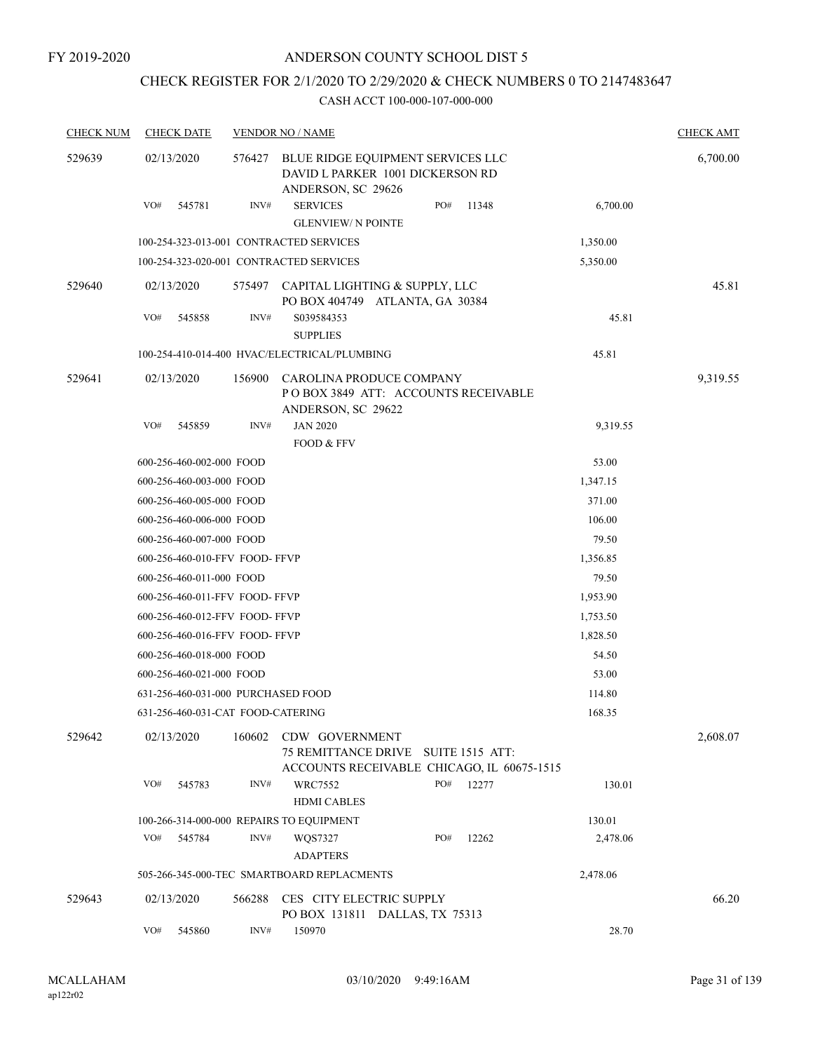## CHECK REGISTER FOR 2/1/2020 TO 2/29/2020 & CHECK NUMBERS 0 TO 2147483647

| <b>CHECK NUM</b> | <b>CHECK DATE</b>                        |        | <b>VENDOR NO / NAME</b>                                                                     |     |                        |          | <b>CHECK AMT</b> |
|------------------|------------------------------------------|--------|---------------------------------------------------------------------------------------------|-----|------------------------|----------|------------------|
| 529639           | 02/13/2020                               | 576427 | BLUE RIDGE EQUIPMENT SERVICES LLC<br>DAVID L PARKER 1001 DICKERSON RD<br>ANDERSON, SC 29626 |     |                        |          | 6,700.00         |
|                  | VO#<br>545781                            | INV#   | <b>SERVICES</b><br><b>GLENVIEW/ N POINTE</b>                                                | PO# | 11348                  | 6,700.00 |                  |
|                  | 100-254-323-013-001 CONTRACTED SERVICES  |        |                                                                                             |     |                        | 1,350.00 |                  |
|                  | 100-254-323-020-001 CONTRACTED SERVICES  |        |                                                                                             |     |                        | 5,350.00 |                  |
| 529640           | 02/13/2020                               | 575497 | CAPITAL LIGHTING & SUPPLY, LLC<br>PO BOX 404749 ATLANTA, GA 30384                           |     |                        |          | 45.81            |
|                  | VO#<br>545858                            | INV#   | S039584353<br><b>SUPPLIES</b>                                                               |     |                        | 45.81    |                  |
|                  |                                          |        | 100-254-410-014-400 HVAC/ELECTRICAL/PLUMBING                                                |     |                        | 45.81    |                  |
| 529641           | 02/13/2020                               | 156900 | CAROLINA PRODUCE COMPANY<br>POBOX 3849 ATT: ACCOUNTS RECEIVABLE<br>ANDERSON, SC 29622       |     |                        |          | 9,319.55         |
|                  | VO#<br>545859                            | INV#   | <b>JAN 2020</b>                                                                             |     |                        | 9,319.55 |                  |
|                  |                                          |        | FOOD & FFV                                                                                  |     |                        |          |                  |
|                  | 600-256-460-002-000 FOOD                 |        |                                                                                             |     |                        | 53.00    |                  |
|                  | 600-256-460-003-000 FOOD                 |        |                                                                                             |     |                        | 1,347.15 |                  |
|                  | 600-256-460-005-000 FOOD                 |        |                                                                                             |     |                        | 371.00   |                  |
|                  | 600-256-460-006-000 FOOD                 |        |                                                                                             |     |                        | 106.00   |                  |
|                  | 600-256-460-007-000 FOOD                 |        |                                                                                             |     |                        | 79.50    |                  |
|                  | 600-256-460-010-FFV FOOD-FFVP            |        |                                                                                             |     |                        | 1,356.85 |                  |
|                  | 600-256-460-011-000 FOOD                 |        |                                                                                             |     |                        | 79.50    |                  |
|                  | 600-256-460-011-FFV FOOD- FFVP           |        |                                                                                             |     |                        | 1,953.90 |                  |
|                  | 600-256-460-012-FFV FOOD- FFVP           |        |                                                                                             |     |                        | 1,753.50 |                  |
|                  | 600-256-460-016-FFV FOOD-FFVP            |        |                                                                                             |     |                        | 1,828.50 |                  |
|                  | 600-256-460-018-000 FOOD                 |        |                                                                                             |     |                        | 54.50    |                  |
|                  | 600-256-460-021-000 FOOD                 |        |                                                                                             |     |                        | 53.00    |                  |
|                  | 631-256-460-031-000 PURCHASED FOOD       |        |                                                                                             |     |                        | 114.80   |                  |
|                  | 631-256-460-031-CAT FOOD-CATERING        |        |                                                                                             |     |                        | 168.35   |                  |
| 529642           | 02/13/2020                               | 160602 | CDW GOVERNMENT<br>75 REMITTANCE DRIVE<br>ACCOUNTS RECEIVABLE CHICAGO, IL 60675-1515         |     | <b>SUITE 1515 ATT:</b> |          | 2,608.07         |
|                  | VO#<br>545783                            | INV#   | WRC7552<br><b>HDMI CABLES</b>                                                               | PO# | 12277                  | 130.01   |                  |
|                  | 100-266-314-000-000 REPAIRS TO EQUIPMENT |        |                                                                                             |     |                        | 130.01   |                  |
|                  | VO#<br>545784                            | INV#   | WQS7327<br><b>ADAPTERS</b>                                                                  | PO# | 12262                  | 2,478.06 |                  |
|                  |                                          |        | 505-266-345-000-TEC SMARTBOARD REPLACMENTS                                                  |     |                        | 2,478.06 |                  |
| 529643           | 02/13/2020                               | 566288 | CES CITY ELECTRIC SUPPLY<br>PO BOX 131811 DALLAS, TX 75313                                  |     |                        |          | 66.20            |
|                  | VO#<br>545860                            | INV#   | 150970                                                                                      |     |                        | 28.70    |                  |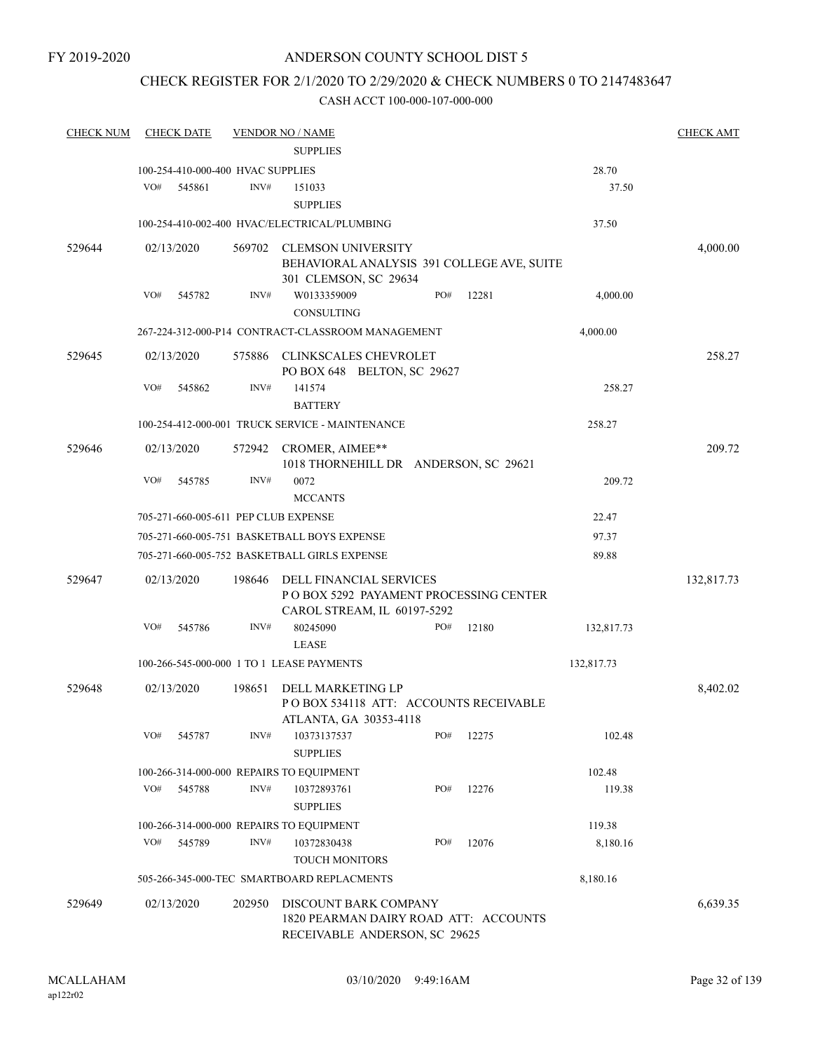## CHECK REGISTER FOR 2/1/2020 TO 2/29/2020 & CHECK NUMBERS 0 TO 2147483647

| <b>CHECK NUM</b> | <b>CHECK DATE</b>                         |        | <b>VENDOR NO / NAME</b>                                                                          |     |       |            | <b>CHECK AMT</b> |
|------------------|-------------------------------------------|--------|--------------------------------------------------------------------------------------------------|-----|-------|------------|------------------|
|                  |                                           |        | <b>SUPPLIES</b>                                                                                  |     |       |            |                  |
|                  | 100-254-410-000-400 HVAC SUPPLIES         |        |                                                                                                  |     |       | 28.70      |                  |
|                  | VO#<br>545861                             | INV#   | 151033<br><b>SUPPLIES</b>                                                                        |     |       | 37.50      |                  |
|                  |                                           |        | 100-254-410-002-400 HVAC/ELECTRICAL/PLUMBING                                                     |     |       | 37.50      |                  |
| 529644           | 02/13/2020                                | 569702 | <b>CLEMSON UNIVERSITY</b><br>BEHAVIORAL ANALYSIS 391 COLLEGE AVE, SUITE<br>301 CLEMSON, SC 29634 |     |       |            | 4,000.00         |
|                  | VO#<br>545782                             | INV#   | W0133359009<br>CONSULTING                                                                        | PO# | 12281 | 4,000.00   |                  |
|                  |                                           |        | 267-224-312-000-P14 CONTRACT-CLASSROOM MANAGEMENT                                                |     |       | 4,000.00   |                  |
| 529645           | 02/13/2020                                | 575886 | CLINKSCALES CHEVROLET<br>PO BOX 648 BELTON, SC 29627                                             |     |       |            | 258.27           |
|                  | VO#<br>545862                             | INV#   | 141574<br><b>BATTERY</b>                                                                         |     |       | 258.27     |                  |
|                  |                                           |        | 100-254-412-000-001 TRUCK SERVICE - MAINTENANCE                                                  |     |       | 258.27     |                  |
| 529646           | 02/13/2020                                | 572942 | CROMER, AIMEE**<br>1018 THORNEHILL DR ANDERSON, SC 29621                                         |     |       |            | 209.72           |
|                  | VO#<br>545785                             | INV#   | 0072<br><b>MCCANTS</b>                                                                           |     |       | 209.72     |                  |
|                  | 705-271-660-005-611 PEP CLUB EXPENSE      |        |                                                                                                  |     |       | 22.47      |                  |
|                  |                                           |        | 705-271-660-005-751 BASKETBALL BOYS EXPENSE                                                      |     |       | 97.37      |                  |
|                  |                                           |        | 705-271-660-005-752 BASKETBALL GIRLS EXPENSE                                                     |     |       | 89.88      |                  |
| 529647           | 02/13/2020                                | 198646 | DELL FINANCIAL SERVICES<br>PO BOX 5292 PAYAMENT PROCESSING CENTER<br>CAROL STREAM, IL 60197-5292 |     |       |            | 132,817.73       |
|                  | VO#<br>545786                             | INV#   | 80245090<br><b>LEASE</b>                                                                         | PO# | 12180 | 132,817.73 |                  |
|                  | 100-266-545-000-000 1 TO 1 LEASE PAYMENTS |        |                                                                                                  |     |       | 132,817.73 |                  |
| 529648           | 02/13/2020                                | 198651 | DELL MARKETING LP<br>POBOX 534118 ATT: ACCOUNTS RECEIVABLE<br>ATLANTA, GA 30353-4118             |     |       |            | 8,402.02         |
|                  | VO#<br>545787                             | INV#   | 10373137537<br><b>SUPPLIES</b>                                                                   | PO# | 12275 | 102.48     |                  |
|                  | 100-266-314-000-000 REPAIRS TO EQUIPMENT  |        |                                                                                                  |     |       | 102.48     |                  |
|                  | VO#<br>545788                             | INV#   | 10372893761<br><b>SUPPLIES</b>                                                                   | PO# | 12276 | 119.38     |                  |
|                  | 100-266-314-000-000 REPAIRS TO EQUIPMENT  |        |                                                                                                  |     |       | 119.38     |                  |
|                  | VO#<br>545789                             | INV#   | 10372830438<br><b>TOUCH MONITORS</b>                                                             | PO# | 12076 | 8,180.16   |                  |
|                  |                                           |        | 505-266-345-000-TEC SMARTBOARD REPLACMENTS                                                       |     |       | 8,180.16   |                  |
| 529649           | 02/13/2020                                | 202950 | DISCOUNT BARK COMPANY<br>1820 PEARMAN DAIRY ROAD ATT: ACCOUNTS<br>RECEIVABLE ANDERSON, SC 29625  |     |       |            | 6,639.35         |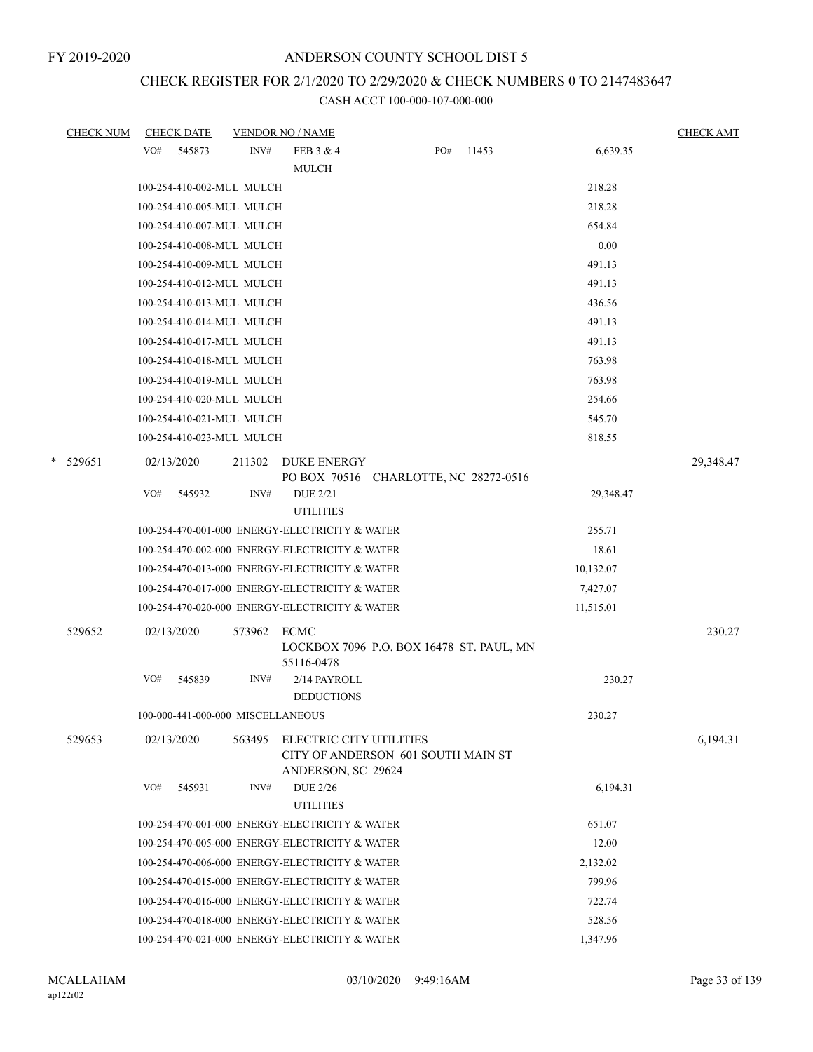# CHECK REGISTER FOR 2/1/2020 TO 2/29/2020 & CHECK NUMBERS 0 TO 2147483647

|             | <b>CHECK NUM</b> |     | <b>CHECK DATE</b>                 |        | <b>VENDOR NO / NAME</b>                                                             |     |       |           | <b>CHECK AMT</b> |
|-------------|------------------|-----|-----------------------------------|--------|-------------------------------------------------------------------------------------|-----|-------|-----------|------------------|
|             |                  | VO# | 545873                            | INV#   | FEB 3 & 4                                                                           | PO# | 11453 | 6,639.35  |                  |
|             |                  |     |                                   |        | <b>MULCH</b>                                                                        |     |       |           |                  |
|             |                  |     | 100-254-410-002-MUL MULCH         |        |                                                                                     |     |       | 218.28    |                  |
|             |                  |     | 100-254-410-005-MUL MULCH         |        |                                                                                     |     |       | 218.28    |                  |
|             |                  |     | 100-254-410-007-MUL MULCH         |        |                                                                                     |     |       | 654.84    |                  |
|             |                  |     | 100-254-410-008-MUL MULCH         |        |                                                                                     |     |       | 0.00      |                  |
|             |                  |     | 100-254-410-009-MUL MULCH         |        |                                                                                     |     |       | 491.13    |                  |
|             |                  |     | 100-254-410-012-MUL MULCH         |        |                                                                                     |     |       | 491.13    |                  |
|             |                  |     | 100-254-410-013-MUL MULCH         |        |                                                                                     |     |       | 436.56    |                  |
|             |                  |     | 100-254-410-014-MUL MULCH         |        |                                                                                     |     |       | 491.13    |                  |
|             |                  |     | 100-254-410-017-MUL MULCH         |        |                                                                                     |     |       | 491.13    |                  |
|             |                  |     | 100-254-410-018-MUL MULCH         |        |                                                                                     |     |       | 763.98    |                  |
|             |                  |     | 100-254-410-019-MUL MULCH         |        |                                                                                     |     |       | 763.98    |                  |
|             |                  |     | 100-254-410-020-MUL MULCH         |        |                                                                                     |     |       | 254.66    |                  |
|             |                  |     | 100-254-410-021-MUL MULCH         |        |                                                                                     |     |       | 545.70    |                  |
|             |                  |     | 100-254-410-023-MUL MULCH         |        |                                                                                     |     |       | 818.55    |                  |
| *<br>529651 |                  |     | 02/13/2020                        | 211302 | <b>DUKE ENERGY</b>                                                                  |     |       |           | 29,348.47        |
|             |                  |     |                                   |        | PO BOX 70516 CHARLOTTE, NC 28272-0516                                               |     |       |           |                  |
|             |                  | VO# | 545932                            | INV#   | <b>DUE 2/21</b><br><b>UTILITIES</b>                                                 |     |       | 29,348.47 |                  |
|             |                  |     |                                   |        | 100-254-470-001-000 ENERGY-ELECTRICITY & WATER                                      |     |       | 255.71    |                  |
|             |                  |     |                                   |        | 100-254-470-002-000 ENERGY-ELECTRICITY & WATER                                      |     |       | 18.61     |                  |
|             |                  |     |                                   |        | 100-254-470-013-000 ENERGY-ELECTRICITY & WATER                                      |     |       | 10,132.07 |                  |
|             |                  |     |                                   |        | 100-254-470-017-000 ENERGY-ELECTRICITY & WATER                                      |     |       | 7,427.07  |                  |
|             |                  |     |                                   |        | 100-254-470-020-000 ENERGY-ELECTRICITY & WATER                                      |     |       | 11,515.01 |                  |
| 529652      |                  |     | 02/13/2020                        | 573962 | <b>ECMC</b><br>LOCKBOX 7096 P.O. BOX 16478 ST. PAUL, MN<br>55116-0478               |     |       |           | 230.27           |
|             |                  | VO# | 545839                            | INV#   | 2/14 PAYROLL<br><b>DEDUCTIONS</b>                                                   |     |       | 230.27    |                  |
|             |                  |     | 100-000-441-000-000 MISCELLANEOUS |        |                                                                                     |     |       | 230.27    |                  |
| 529653      |                  |     | 02/13/2020                        | 563495 | ELECTRIC CITY UTILITIES<br>CITY OF ANDERSON 601 SOUTH MAIN ST<br>ANDERSON, SC 29624 |     |       |           | 6,194.31         |
|             |                  | VO# | 545931                            | INV#   | <b>DUE 2/26</b><br><b>UTILITIES</b>                                                 |     |       | 6,194.31  |                  |
|             |                  |     |                                   |        | 100-254-470-001-000 ENERGY-ELECTRICITY & WATER                                      |     |       | 651.07    |                  |
|             |                  |     |                                   |        | 100-254-470-005-000 ENERGY-ELECTRICITY & WATER                                      |     |       | 12.00     |                  |
|             |                  |     |                                   |        | 100-254-470-006-000 ENERGY-ELECTRICITY & WATER                                      |     |       | 2,132.02  |                  |
|             |                  |     |                                   |        | 100-254-470-015-000 ENERGY-ELECTRICITY & WATER                                      |     |       | 799.96    |                  |
|             |                  |     |                                   |        | 100-254-470-016-000 ENERGY-ELECTRICITY & WATER                                      |     |       | 722.74    |                  |
|             |                  |     |                                   |        | 100-254-470-018-000 ENERGY-ELECTRICITY & WATER                                      |     |       | 528.56    |                  |
|             |                  |     |                                   |        | 100-254-470-021-000 ENERGY-ELECTRICITY & WATER                                      |     |       | 1,347.96  |                  |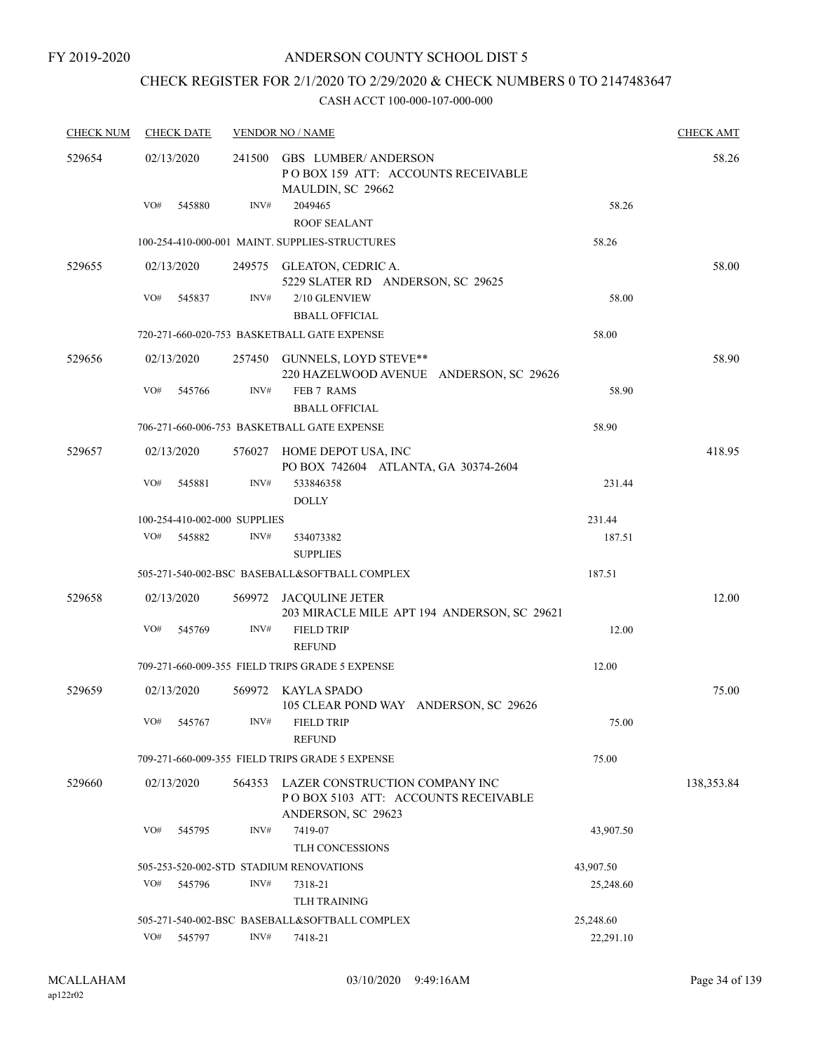## CHECK REGISTER FOR 2/1/2020 TO 2/29/2020 & CHECK NUMBERS 0 TO 2147483647

| <b>CHECK NUM</b> |            | <b>CHECK DATE</b> |                              | <b>VENDOR NO / NAME</b>                                                                     |           | <b>CHECK AMT</b> |
|------------------|------------|-------------------|------------------------------|---------------------------------------------------------------------------------------------|-----------|------------------|
| 529654           | 02/13/2020 |                   | 241500                       | <b>GBS LUMBER/ ANDERSON</b><br>POBOX 159 ATT: ACCOUNTS RECEIVABLE<br>MAULDIN, SC 29662      |           | 58.26            |
|                  | VO#        | 545880            | INV#                         | 2049465<br><b>ROOF SEALANT</b>                                                              | 58.26     |                  |
|                  |            |                   |                              | 100-254-410-000-001 MAINT. SUPPLIES-STRUCTURES                                              | 58.26     |                  |
| 529655           | 02/13/2020 |                   |                              | 249575 GLEATON, CEDRIC A.<br>5229 SLATER RD ANDERSON, SC 29625                              |           | 58.00            |
|                  | VO#        | 545837            | INV#                         | 2/10 GLENVIEW<br><b>BBALL OFFICIAL</b>                                                      | 58.00     |                  |
|                  |            |                   |                              | 720-271-660-020-753 BASKETBALL GATE EXPENSE                                                 | 58.00     |                  |
| 529656           | 02/13/2020 |                   |                              | 257450 GUNNELS, LOYD STEVE**<br>220 HAZELWOOD AVENUE ANDERSON, SC 29626                     |           | 58.90            |
|                  | VO#        | 545766            | INV#                         | FEB 7 RAMS<br><b>BBALL OFFICIAL</b>                                                         | 58.90     |                  |
|                  |            |                   |                              | 706-271-660-006-753 BASKETBALL GATE EXPENSE                                                 | 58.90     |                  |
| 529657           | 02/13/2020 |                   |                              | 576027 HOME DEPOT USA, INC<br>PO BOX 742604 ATLANTA, GA 30374-2604                          |           | 418.95           |
|                  | VO#        | 545881            | INV#                         | 533846358<br><b>DOLLY</b>                                                                   | 231.44    |                  |
|                  |            |                   | 100-254-410-002-000 SUPPLIES |                                                                                             | 231.44    |                  |
|                  | VO#        | 545882            | INV#                         | 534073382<br><b>SUPPLIES</b>                                                                | 187.51    |                  |
|                  |            |                   |                              | 505-271-540-002-BSC BASEBALL&SOFTBALL COMPLEX                                               | 187.51    |                  |
| 529658           | 02/13/2020 |                   | 569972                       | JACQULINE JETER<br>203 MIRACLE MILE APT 194 ANDERSON, SC 29621                              |           | 12.00            |
|                  | VO#        | 545769            | INV#                         | <b>FIELD TRIP</b><br><b>REFUND</b>                                                          | 12.00     |                  |
|                  |            |                   |                              | 709-271-660-009-355 FIELD TRIPS GRADE 5 EXPENSE                                             | 12.00     |                  |
| 529659           | 02/13/2020 |                   |                              | 569972 KAYLA SPADO<br>105 CLEAR POND WAY ANDERSON, SC 29626                                 |           | 75.00            |
|                  |            | VO# 545767        |                              | INV# FIELD TRIP<br><b>REFUND</b>                                                            | 75.00     |                  |
|                  |            |                   |                              | 709-271-660-009-355 FIELD TRIPS GRADE 5 EXPENSE                                             | 75.00     |                  |
| 529660           | 02/13/2020 |                   | 564353                       | LAZER CONSTRUCTION COMPANY INC<br>POBOX 5103 ATT: ACCOUNTS RECEIVABLE<br>ANDERSON, SC 29623 |           | 138,353.84       |
|                  | VO#        | 545795            | INV#                         | 7419-07                                                                                     | 43,907.50 |                  |
|                  |            |                   |                              | TLH CONCESSIONS                                                                             |           |                  |
|                  |            |                   |                              | 505-253-520-002-STD STADIUM RENOVATIONS                                                     | 43,907.50 |                  |
|                  | VO#        | 545796            | INV#                         | 7318-21<br><b>TLH TRAINING</b>                                                              | 25,248.60 |                  |
|                  |            |                   |                              | 505-271-540-002-BSC BASEBALL&SOFTBALL COMPLEX                                               | 25,248.60 |                  |
|                  | VO#        | 545797            | INV#                         | 7418-21                                                                                     | 22,291.10 |                  |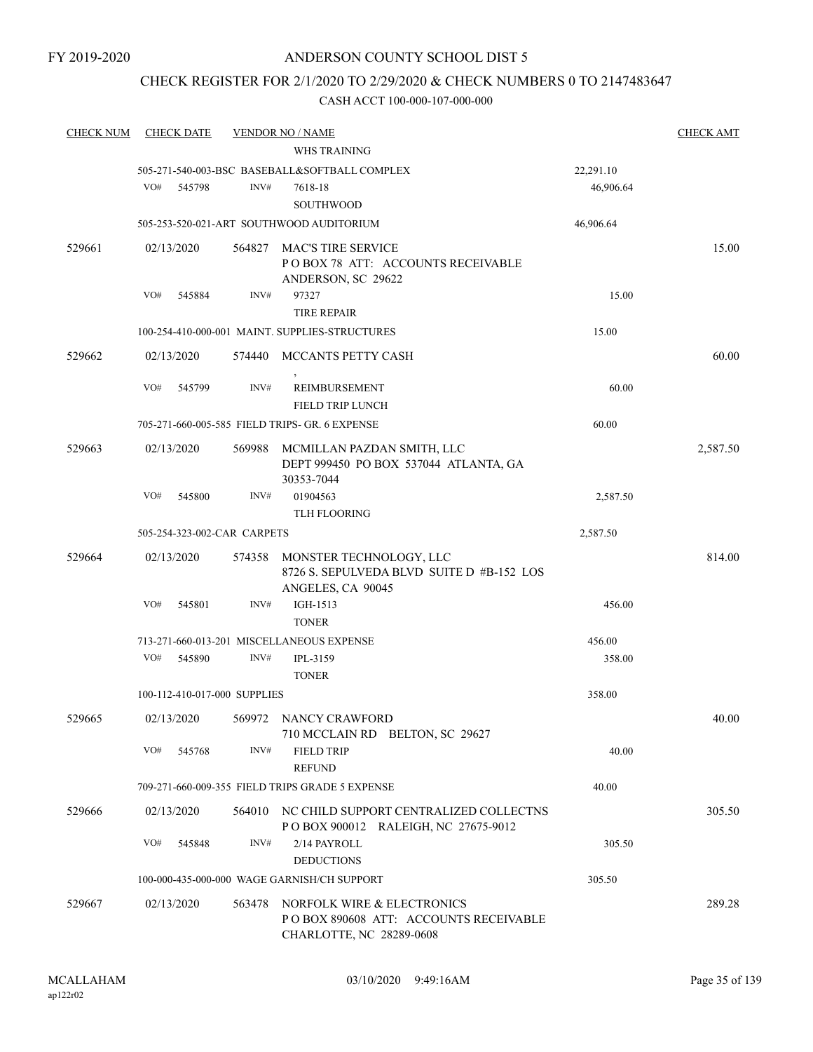## CHECK REGISTER FOR 2/1/2020 TO 2/29/2020 & CHECK NUMBERS 0 TO 2147483647

| <b>CHECK NUM</b> | <b>CHECK DATE</b>            |        | <b>VENDOR NO / NAME</b>                         |           | <b>CHECK AMT</b> |
|------------------|------------------------------|--------|-------------------------------------------------|-----------|------------------|
|                  |                              |        | WHS TRAINING                                    |           |                  |
|                  |                              |        | 505-271-540-003-BSC BASEBALL&SOFTBALL COMPLEX   | 22,291.10 |                  |
|                  | VO#<br>545798                | INV#   | 7618-18                                         | 46,906.64 |                  |
|                  |                              |        | <b>SOUTHWOOD</b>                                |           |                  |
|                  |                              |        | 505-253-520-021-ART SOUTHWOOD AUDITORIUM        | 46,906.64 |                  |
| 529661           | 02/13/2020                   | 564827 | <b>MAC'S TIRE SERVICE</b>                       |           | 15.00            |
|                  |                              |        | POBOX 78 ATT: ACCOUNTS RECEIVABLE               |           |                  |
|                  |                              |        | ANDERSON, SC 29622                              |           |                  |
|                  | VO#<br>545884                | INV#   | 97327                                           | 15.00     |                  |
|                  |                              |        | <b>TIRE REPAIR</b>                              |           |                  |
|                  |                              |        | 100-254-410-000-001 MAINT. SUPPLIES-STRUCTURES  | 15.00     |                  |
| 529662           | 02/13/2020                   |        | 574440 MCCANTS PETTY CASH                       |           | 60.00            |
|                  | VO#<br>545799                | INV#   | REIMBURSEMENT                                   | 60.00     |                  |
|                  |                              |        | <b>FIELD TRIP LUNCH</b>                         |           |                  |
|                  |                              |        | 705-271-660-005-585 FIELD TRIPS- GR. 6 EXPENSE  | 60.00     |                  |
| 529663           | 02/13/2020                   | 569988 | MCMILLAN PAZDAN SMITH, LLC                      |           | 2,587.50         |
|                  |                              |        | DEPT 999450 PO BOX 537044 ATLANTA, GA           |           |                  |
|                  |                              |        | 30353-7044                                      |           |                  |
|                  | VO#<br>545800                | INV#   | 01904563                                        | 2,587.50  |                  |
|                  |                              |        | <b>TLH FLOORING</b>                             |           |                  |
|                  | 505-254-323-002-CAR CARPETS  |        |                                                 | 2,587.50  |                  |
| 529664           | 02/13/2020                   | 574358 | MONSTER TECHNOLOGY, LLC                         |           | 814.00           |
|                  |                              |        | 8726 S. SEPULVEDA BLVD SUITE D #B-152 LOS       |           |                  |
|                  |                              |        | ANGELES, CA 90045                               |           |                  |
|                  | VO#<br>545801                | INV#   | IGH-1513<br><b>TONER</b>                        | 456.00    |                  |
|                  |                              |        | 713-271-660-013-201 MISCELLANEOUS EXPENSE       | 456.00    |                  |
|                  | VO#<br>545890                | INV#   | <b>IPL-3159</b>                                 | 358.00    |                  |
|                  |                              |        | <b>TONER</b>                                    |           |                  |
|                  | 100-112-410-017-000 SUPPLIES |        |                                                 | 358.00    |                  |
| 529665           | 02/13/2020                   |        | 569972 NANCY CRAWFORD                           |           | 40.00            |
|                  |                              |        | 710 MCCLAIN RD BELTON, SC 29627                 |           |                  |
|                  | VO#<br>545768                | INV#   | <b>FIELD TRIP</b>                               | 40.00     |                  |
|                  |                              |        | <b>REFUND</b>                                   |           |                  |
|                  |                              |        | 709-271-660-009-355 FIELD TRIPS GRADE 5 EXPENSE | 40.00     |                  |
| 529666           | 02/13/2020                   |        | 564010 NC CHILD SUPPORT CENTRALIZED COLLECTNS   |           | 305.50           |
|                  |                              |        | POBOX 900012 RALEIGH, NC 27675-9012             |           |                  |
|                  | VO#<br>545848                | INV#   | 2/14 PAYROLL                                    | 305.50    |                  |
|                  |                              |        | <b>DEDUCTIONS</b>                               |           |                  |
|                  |                              |        | 100-000-435-000-000 WAGE GARNISH/CH SUPPORT     | 305.50    |                  |
| 529667           | 02/13/2020                   | 563478 | NORFOLK WIRE & ELECTRONICS                      |           | 289.28           |
|                  |                              |        | PO BOX 890608 ATT: ACCOUNTS RECEIVABLE          |           |                  |
|                  |                              |        | CHARLOTTE, NC 28289-0608                        |           |                  |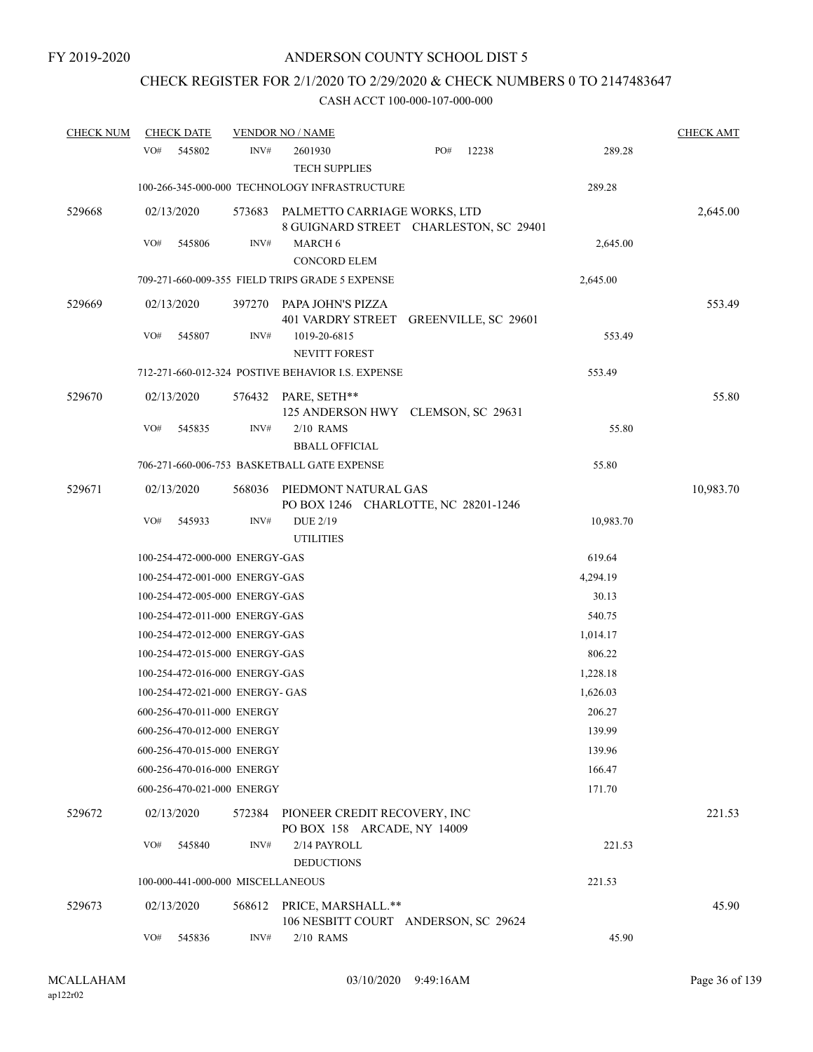## CHECK REGISTER FOR 2/1/2020 TO 2/29/2020 & CHECK NUMBERS 0 TO 2147483647

| <b>CHECK NUM</b> | <b>CHECK DATE</b>                 |        | <b>VENDOR NO / NAME</b>                                                |     |       |           | <b>CHECK AMT</b> |
|------------------|-----------------------------------|--------|------------------------------------------------------------------------|-----|-------|-----------|------------------|
|                  | VO#<br>545802                     | INV#   | 2601930<br><b>TECH SUPPLIES</b>                                        | PO# | 12238 | 289.28    |                  |
|                  |                                   |        | 100-266-345-000-000 TECHNOLOGY INFRASTRUCTURE                          |     |       | 289.28    |                  |
| 529668           | 02/13/2020                        | 573683 | PALMETTO CARRIAGE WORKS, LTD<br>8 GUIGNARD STREET CHARLESTON, SC 29401 |     |       |           | 2,645.00         |
|                  | VO#<br>545806                     | INV#   | MARCH 6<br><b>CONCORD ELEM</b>                                         |     |       | 2,645.00  |                  |
|                  |                                   |        | 709-271-660-009-355 FIELD TRIPS GRADE 5 EXPENSE                        |     |       | 2,645.00  |                  |
| 529669           | 02/13/2020                        |        | 397270 PAPA JOHN'S PIZZA<br>401 VARDRY STREET GREENVILLE, SC 29601     |     |       |           | 553.49           |
|                  | VO#<br>545807                     | INV#   | 1019-20-6815<br><b>NEVITT FOREST</b>                                   |     |       | 553.49    |                  |
|                  |                                   |        | 712-271-660-012-324 POSTIVE BEHAVIOR I.S. EXPENSE                      |     |       | 553.49    |                  |
| 529670           | 02/13/2020                        |        | 576432 PARE, SETH**<br>125 ANDERSON HWY CLEMSON, SC 29631              |     |       |           | 55.80            |
|                  | VO#<br>545835                     | INV#   | $2/10$ RAMS<br><b>BBALL OFFICIAL</b>                                   |     |       | 55.80     |                  |
|                  |                                   |        | 706-271-660-006-753 BASKETBALL GATE EXPENSE                            |     |       | 55.80     |                  |
| 529671           | 02/13/2020                        | 568036 | PIEDMONT NATURAL GAS<br>PO BOX 1246 CHARLOTTE, NC 28201-1246           |     |       |           | 10,983.70        |
|                  | VO#<br>545933                     | INV#   | DUE 2/19<br><b>UTILITIES</b>                                           |     |       | 10,983.70 |                  |
|                  | 100-254-472-000-000 ENERGY-GAS    |        |                                                                        |     |       | 619.64    |                  |
|                  | 100-254-472-001-000 ENERGY-GAS    |        |                                                                        |     |       | 4,294.19  |                  |
|                  | 100-254-472-005-000 ENERGY-GAS    |        |                                                                        |     |       | 30.13     |                  |
|                  | 100-254-472-011-000 ENERGY-GAS    |        |                                                                        |     |       | 540.75    |                  |
|                  | 100-254-472-012-000 ENERGY-GAS    |        |                                                                        |     |       | 1,014.17  |                  |
|                  | 100-254-472-015-000 ENERGY-GAS    |        |                                                                        |     |       | 806.22    |                  |
|                  | 100-254-472-016-000 ENERGY-GAS    |        |                                                                        |     |       | 1,228.18  |                  |
|                  | 100-254-472-021-000 ENERGY- GAS   |        |                                                                        |     |       | 1,626.03  |                  |
|                  | 600-256-470-011-000 ENERGY        |        |                                                                        |     |       | 206.27    |                  |
|                  | 600-256-470-012-000 ENERGY        |        |                                                                        |     |       | 139.99    |                  |
|                  | 600-256-470-015-000 ENERGY        |        |                                                                        |     |       | 139.96    |                  |
|                  | 600-256-470-016-000 ENERGY        |        |                                                                        |     |       | 166.47    |                  |
|                  | 600-256-470-021-000 ENERGY        |        |                                                                        |     |       | 171.70    |                  |
| 529672           | 02/13/2020                        | 572384 | PIONEER CREDIT RECOVERY, INC<br>PO BOX 158 ARCADE, NY 14009            |     |       |           | 221.53           |
|                  | VO#<br>545840                     | INV#   | 2/14 PAYROLL<br><b>DEDUCTIONS</b>                                      |     |       | 221.53    |                  |
|                  | 100-000-441-000-000 MISCELLANEOUS |        |                                                                        |     |       | 221.53    |                  |
| 529673           | 02/13/2020                        | 568612 | PRICE, MARSHALL.**<br>106 NESBITT COURT ANDERSON, SC 29624             |     |       |           | 45.90            |
|                  | VO#<br>545836                     | INV#   | 2/10 RAMS                                                              |     |       | 45.90     |                  |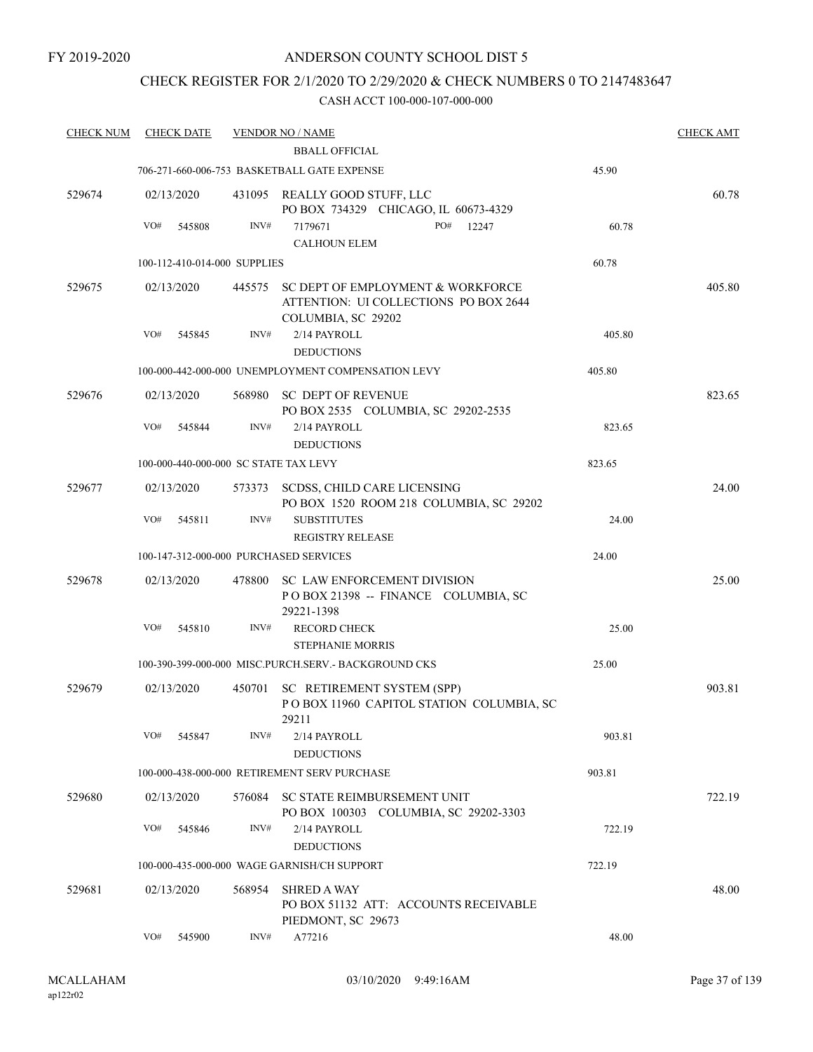FY 2019-2020

### ANDERSON COUNTY SCHOOL DIST 5

### CHECK REGISTER FOR 2/1/2020 TO 2/29/2020 & CHECK NUMBERS 0 TO 2147483647

| <b>CHECK NUM</b> | <b>CHECK DATE</b>                      |        | <b>VENDOR NO / NAME</b>                                                                                 |        | <b>CHECK AMT</b> |
|------------------|----------------------------------------|--------|---------------------------------------------------------------------------------------------------------|--------|------------------|
|                  |                                        |        | <b>BBALL OFFICIAL</b>                                                                                   |        |                  |
|                  |                                        |        | 706-271-660-006-753 BASKETBALL GATE EXPENSE                                                             | 45.90  |                  |
| 529674           | 02/13/2020                             |        | 431095 REALLY GOOD STUFF, LLC<br>PO BOX 734329 CHICAGO, IL 60673-4329                                   |        | 60.78            |
|                  | VO#<br>545808                          | INV#   | PO#<br>7179671<br>12247                                                                                 | 60.78  |                  |
|                  |                                        |        | <b>CALHOUN ELEM</b>                                                                                     |        |                  |
|                  | 100-112-410-014-000 SUPPLIES           |        |                                                                                                         | 60.78  |                  |
| 529675           | 02/13/2020                             |        | 445575 SC DEPT OF EMPLOYMENT & WORKFORCE<br>ATTENTION: UI COLLECTIONS PO BOX 2644<br>COLUMBIA, SC 29202 |        | 405.80           |
|                  | VO#<br>545845                          | INV#   | 2/14 PAYROLL<br><b>DEDUCTIONS</b>                                                                       | 405.80 |                  |
|                  |                                        |        | 100-000-442-000-000 UNEMPLOYMENT COMPENSATION LEVY                                                      | 405.80 |                  |
| 529676           | 02/13/2020                             | 568980 | SC DEPT OF REVENUE<br>PO BOX 2535 COLUMBIA, SC 29202-2535                                               |        | 823.65           |
|                  | VO#<br>545844                          | INV#   | 2/14 PAYROLL<br><b>DEDUCTIONS</b>                                                                       | 823.65 |                  |
|                  | 100-000-440-000-000 SC STATE TAX LEVY  |        |                                                                                                         | 823.65 |                  |
| 529677           | 02/13/2020                             |        | 573373 SCDSS, CHILD CARE LICENSING<br>PO BOX 1520 ROOM 218 COLUMBIA, SC 29202                           |        | 24.00            |
|                  | VO#<br>545811                          | INV#   | <b>SUBSTITUTES</b><br><b>REGISTRY RELEASE</b>                                                           | 24.00  |                  |
|                  | 100-147-312-000-000 PURCHASED SERVICES |        |                                                                                                         | 24.00  |                  |
| 529678           | 02/13/2020                             | 478800 | <b>SC LAW ENFORCEMENT DIVISION</b><br>POBOX 21398 -- FINANCE COLUMBIA, SC<br>29221-1398                 |        | 25.00            |
|                  | VO#<br>545810                          | INV#   | <b>RECORD CHECK</b><br><b>STEPHANIE MORRIS</b>                                                          | 25.00  |                  |
|                  |                                        |        | 100-390-399-000-000 MISC.PURCH.SERV. - BACKGROUND CKS                                                   | 25.00  |                  |
| 529679           | 02/13/2020                             | 450701 | SC RETIREMENT SYSTEM (SPP)<br>POBOX 11960 CAPITOL STATION COLUMBIA, SC<br>29211                         |        | 903.81           |
|                  | VO#<br>545847                          | INV#   | 2/14 PAYROLL<br><b>DEDUCTIONS</b>                                                                       | 903.81 |                  |
|                  |                                        |        | 100-000-438-000-000 RETIREMENT SERV PURCHASE                                                            | 903.81 |                  |
| 529680           | 02/13/2020                             |        | 576084 SC STATE REIMBURSEMENT UNIT<br>PO BOX 100303 COLUMBIA, SC 29202-3303                             |        | 722.19           |
|                  | VO#<br>545846                          | INV#   | 2/14 PAYROLL<br><b>DEDUCTIONS</b>                                                                       | 722.19 |                  |
|                  |                                        |        | 100-000-435-000-000 WAGE GARNISH/CH SUPPORT                                                             | 722.19 |                  |
| 529681           | 02/13/2020                             | 568954 | <b>SHRED A WAY</b><br>PO BOX 51132 ATT: ACCOUNTS RECEIVABLE                                             |        | 48.00            |
|                  | VO#<br>545900                          | INV#   | PIEDMONT, SC 29673<br>A77216                                                                            | 48.00  |                  |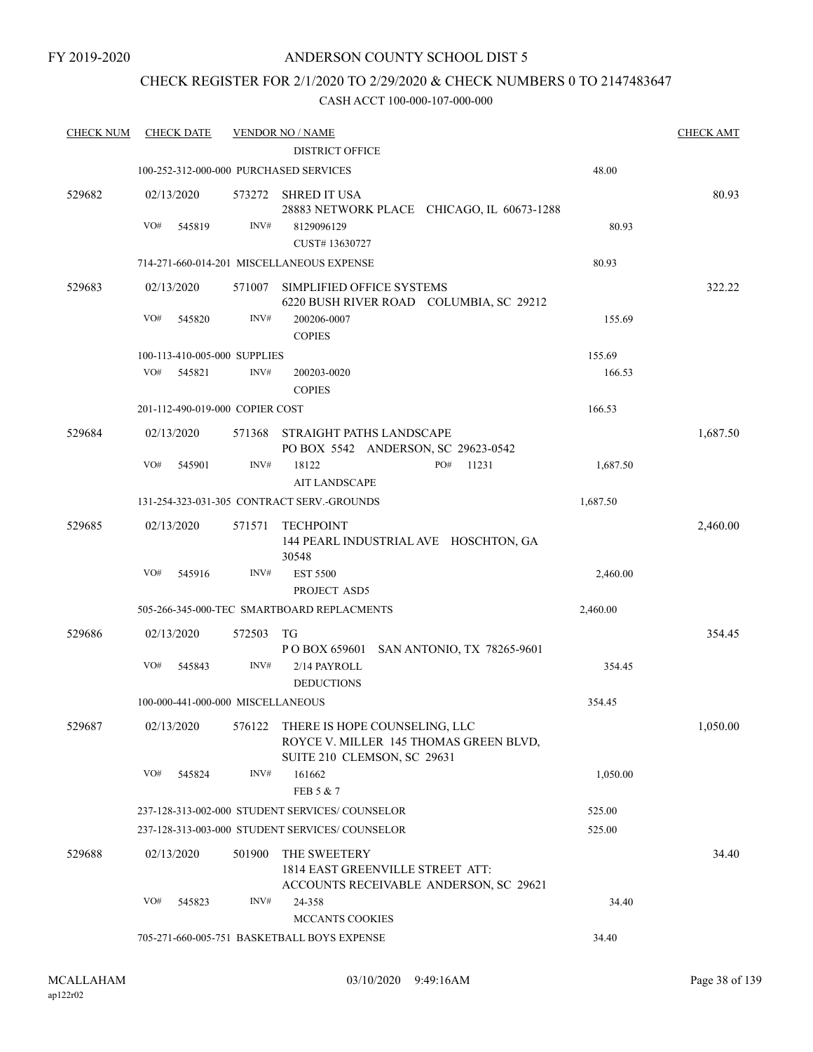### CHECK REGISTER FOR 2/1/2020 TO 2/29/2020 & CHECK NUMBERS 0 TO 2147483647

| <b>CHECK NUM</b> | <b>CHECK DATE</b>                      |        | <b>VENDOR NO / NAME</b>                                                                                |          | <b>CHECK AMT</b> |
|------------------|----------------------------------------|--------|--------------------------------------------------------------------------------------------------------|----------|------------------|
|                  |                                        |        | <b>DISTRICT OFFICE</b>                                                                                 |          |                  |
|                  | 100-252-312-000-000 PURCHASED SERVICES |        |                                                                                                        | 48.00    |                  |
| 529682           | 02/13/2020                             | 573272 | SHRED IT USA<br>28883 NETWORK PLACE CHICAGO, IL 60673-1288                                             |          | 80.93            |
|                  | VO#<br>545819                          | INV#   | 8129096129                                                                                             | 80.93    |                  |
|                  |                                        |        | CUST#13630727                                                                                          |          |                  |
|                  |                                        |        | 714-271-660-014-201 MISCELLANEOUS EXPENSE                                                              | 80.93    |                  |
| 529683           | 02/13/2020                             | 571007 | SIMPLIFIED OFFICE SYSTEMS<br>6220 BUSH RIVER ROAD COLUMBIA, SC 29212                                   |          | 322.22           |
|                  | VO#<br>545820                          | INV#   | 200206-0007<br><b>COPIES</b>                                                                           | 155.69   |                  |
|                  | 100-113-410-005-000 SUPPLIES           |        |                                                                                                        | 155.69   |                  |
|                  | VO#<br>545821                          | INV#   | 200203-0020<br><b>COPIES</b>                                                                           | 166.53   |                  |
|                  | 201-112-490-019-000 COPIER COST        |        |                                                                                                        | 166.53   |                  |
| 529684           | 02/13/2020                             | 571368 | STRAIGHT PATHS LANDSCAPE<br>PO BOX 5542 ANDERSON, SC 29623-0542                                        |          | 1,687.50         |
|                  | VO#<br>545901                          | INV#   | PO#<br>11231<br>18122<br><b>AIT LANDSCAPE</b>                                                          | 1,687.50 |                  |
|                  |                                        |        | 131-254-323-031-305 CONTRACT SERV.-GROUNDS                                                             | 1,687.50 |                  |
| 529685           | 02/13/2020                             | 571571 | TECHPOINT<br>144 PEARL INDUSTRIAL AVE HOSCHTON, GA                                                     |          | 2,460.00         |
|                  | VO#<br>545916                          | INV#   | 30548<br><b>EST 5500</b><br>PROJECT ASD5                                                               | 2,460.00 |                  |
|                  |                                        |        | 505-266-345-000-TEC SMARTBOARD REPLACMENTS                                                             | 2,460.00 |                  |
| 529686           | 02/13/2020                             | 572503 | TG<br>P O BOX 659601 SAN ANTONIO, TX 78265-9601                                                        |          | 354.45           |
|                  | VO#<br>545843                          | INV#   | 2/14 PAYROLL<br><b>DEDUCTIONS</b>                                                                      | 354.45   |                  |
|                  | 100-000-441-000-000 MISCELLANEOUS      |        |                                                                                                        | 354.45   |                  |
| 529687           | 02/13/2020                             | 576122 | THERE IS HOPE COUNSELING, LLC<br>ROYCE V. MILLER 145 THOMAS GREEN BLVD,<br>SUITE 210 CLEMSON, SC 29631 |          | 1,050.00         |
|                  | VO#<br>545824                          | INV#   | 161662<br>FEB 5 & 7                                                                                    | 1,050.00 |                  |
|                  |                                        |        | 237-128-313-002-000 STUDENT SERVICES/ COUNSELOR                                                        | 525.00   |                  |
|                  |                                        |        | 237-128-313-003-000 STUDENT SERVICES/ COUNSELOR                                                        | 525.00   |                  |
| 529688           | 02/13/2020                             | 501900 | THE SWEETERY<br>1814 EAST GREENVILLE STREET ATT:<br>ACCOUNTS RECEIVABLE ANDERSON, SC 29621             |          | 34.40            |
|                  | VO#<br>545823                          | INV#   | 24-358<br>MCCANTS COOKIES                                                                              | 34.40    |                  |
|                  |                                        |        | 705-271-660-005-751 BASKETBALL BOYS EXPENSE                                                            | 34.40    |                  |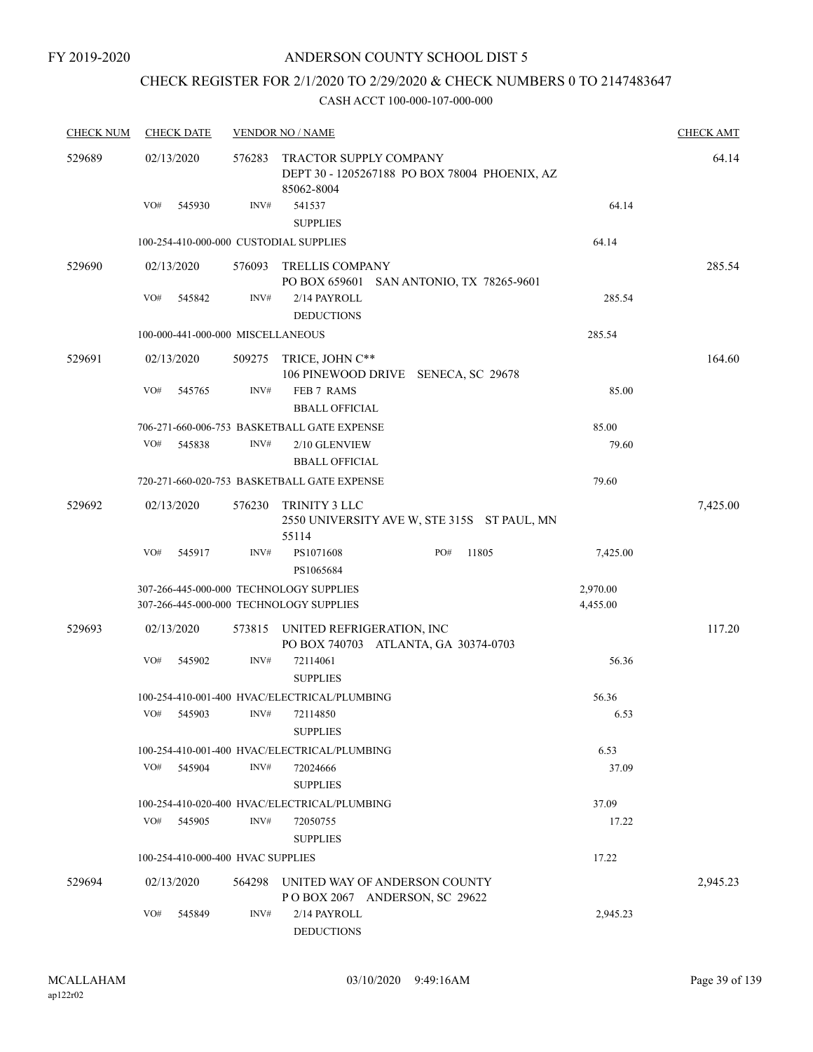# CHECK REGISTER FOR 2/1/2020 TO 2/29/2020 & CHECK NUMBERS 0 TO 2147483647

| <b>CHECK NUM</b> | <b>CHECK DATE</b>                 |        | <b>VENDOR NO / NAME</b>                                                            |                                               |                      | <b>CHECK AMT</b> |
|------------------|-----------------------------------|--------|------------------------------------------------------------------------------------|-----------------------------------------------|----------------------|------------------|
| 529689           | 02/13/2020                        | 576283 | <b>TRACTOR SUPPLY COMPANY</b><br>85062-8004                                        | DEPT 30 - 1205267188 PO BOX 78004 PHOENIX, AZ |                      | 64.14            |
|                  | VO#<br>545930                     | INV#   | 541537<br><b>SUPPLIES</b>                                                          |                                               | 64.14                |                  |
|                  |                                   |        | 100-254-410-000-000 CUSTODIAL SUPPLIES                                             |                                               | 64.14                |                  |
| 529690           | 02/13/2020                        | 576093 | <b>TRELLIS COMPANY</b>                                                             | PO BOX 659601 SAN ANTONIO, TX 78265-9601      |                      | 285.54           |
|                  | VO#<br>545842                     | INV#   | 2/14 PAYROLL<br><b>DEDUCTIONS</b>                                                  |                                               | 285.54               |                  |
|                  | 100-000-441-000-000 MISCELLANEOUS |        |                                                                                    |                                               | 285.54               |                  |
| 529691           | 02/13/2020                        | 509275 | TRICE, JOHN C**                                                                    | 106 PINEWOOD DRIVE SENECA, SC 29678           |                      | 164.60           |
|                  | VO#<br>545765                     | INV#   | FEB 7 RAMS<br><b>BBALL OFFICIAL</b>                                                |                                               | 85.00                |                  |
|                  |                                   |        | 706-271-660-006-753 BASKETBALL GATE EXPENSE                                        |                                               | 85.00                |                  |
|                  | VO#<br>545838                     | INV#   | 2/10 GLENVIEW<br><b>BBALL OFFICIAL</b>                                             |                                               | 79.60                |                  |
|                  |                                   |        | 720-271-660-020-753 BASKETBALL GATE EXPENSE                                        |                                               | 79.60                |                  |
| 529692           | 02/13/2020                        | 576230 | TRINITY 3 LLC<br>55114                                                             | 2550 UNIVERSITY AVE W, STE 315S ST PAUL, MN   |                      | 7,425.00         |
|                  | VO#<br>545917                     | INV#   | PS1071608<br>PS1065684                                                             | PO#<br>11805                                  | 7,425.00             |                  |
|                  |                                   |        | 307-266-445-000-000 TECHNOLOGY SUPPLIES<br>307-266-445-000-000 TECHNOLOGY SUPPLIES |                                               | 2,970.00<br>4,455.00 |                  |
| 529693           | 02/13/2020                        | 573815 | UNITED REFRIGERATION, INC<br>PO BOX 740703 ATLANTA, GA 30374-0703                  |                                               |                      | 117.20           |
|                  | VO#<br>545902                     | INV#   | 72114061<br><b>SUPPLIES</b>                                                        |                                               | 56.36                |                  |
|                  |                                   |        | 100-254-410-001-400 HVAC/ELECTRICAL/PLUMBING                                       |                                               | 56.36                |                  |
|                  | VO#<br>545903                     | INV#   | 72114850<br><b>SUPPLIES</b>                                                        |                                               | 6.53                 |                  |
|                  |                                   |        | 100-254-410-001-400 HVAC/ELECTRICAL/PLUMBING                                       |                                               | 6.53                 |                  |
|                  | VO#<br>545904                     | INV#   | 72024666<br><b>SUPPLIES</b>                                                        |                                               | 37.09                |                  |
|                  |                                   |        | 100-254-410-020-400 HVAC/ELECTRICAL/PLUMBING                                       |                                               | 37.09                |                  |
|                  | VO#<br>545905                     | INV#   | 72050755<br><b>SUPPLIES</b>                                                        |                                               | 17.22                |                  |
|                  | 100-254-410-000-400 HVAC SUPPLIES |        |                                                                                    |                                               | 17.22                |                  |
| 529694           | 02/13/2020                        | 564298 | UNITED WAY OF ANDERSON COUNTY<br>POBOX 2067 ANDERSON, SC 29622                     |                                               |                      | 2,945.23         |
|                  | VO#<br>545849                     | INV#   | 2/14 PAYROLL<br><b>DEDUCTIONS</b>                                                  |                                               | 2,945.23             |                  |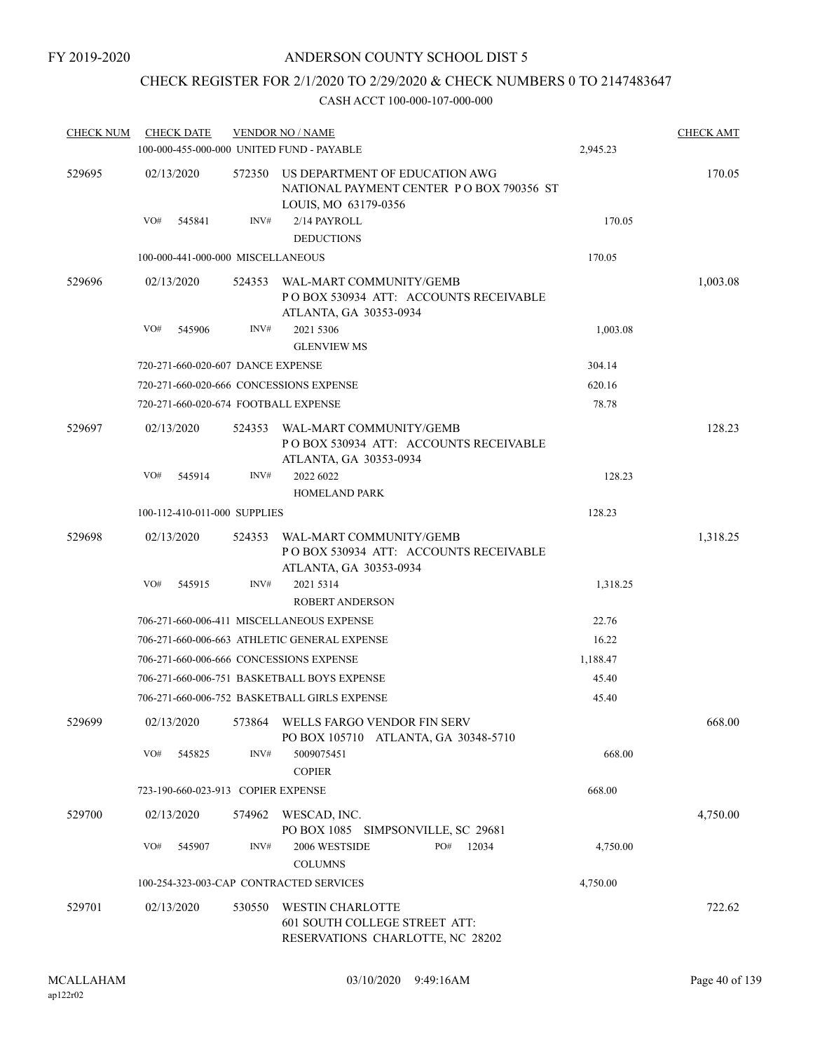### CHECK REGISTER FOR 2/1/2020 TO 2/29/2020 & CHECK NUMBERS 0 TO 2147483647

| <b>CHECK NUM</b> | <b>CHECK DATE</b>                         |                | <b>VENDOR NO / NAME</b>                                                                            |          | <b>CHECK AMT</b> |
|------------------|-------------------------------------------|----------------|----------------------------------------------------------------------------------------------------|----------|------------------|
|                  | 100-000-455-000-000 UNITED FUND - PAYABLE |                |                                                                                                    | 2,945.23 |                  |
| 529695           | 02/13/2020                                | 572350         | US DEPARTMENT OF EDUCATION AWG<br>NATIONAL PAYMENT CENTER PO BOX 790356 ST<br>LOUIS, MO 63179-0356 |          | 170.05           |
|                  | VO#<br>545841                             | INV#           | 2/14 PAYROLL<br><b>DEDUCTIONS</b>                                                                  | 170.05   |                  |
|                  | 100-000-441-000-000 MISCELLANEOUS         |                |                                                                                                    | 170.05   |                  |
| 529696           | 02/13/2020                                | 524353         | WAL-MART COMMUNITY/GEMB<br>PO BOX 530934 ATT: ACCOUNTS RECEIVABLE<br>ATLANTA, GA 30353-0934        |          | 1,003.08         |
|                  | VO#<br>545906                             | INV#           | 2021 5306<br><b>GLENVIEW MS</b>                                                                    | 1,003.08 |                  |
|                  | 720-271-660-020-607 DANCE EXPENSE         |                |                                                                                                    | 304.14   |                  |
|                  | 720-271-660-020-666 CONCESSIONS EXPENSE   |                |                                                                                                    | 620.16   |                  |
|                  | 720-271-660-020-674 FOOTBALL EXPENSE      |                |                                                                                                    | 78.78    |                  |
| 529697           | 02/13/2020                                | 524353         | WAL-MART COMMUNITY/GEMB<br>PO BOX 530934 ATT: ACCOUNTS RECEIVABLE<br>ATLANTA, GA 30353-0934        |          | 128.23           |
|                  | VO#<br>545914                             | INV#           | 2022 6022<br><b>HOMELAND PARK</b>                                                                  | 128.23   |                  |
|                  | 100-112-410-011-000 SUPPLIES              |                |                                                                                                    | 128.23   |                  |
| 529698           | 02/13/2020                                | 524353         | WAL-MART COMMUNITY/GEMB<br>PO BOX 530934 ATT: ACCOUNTS RECEIVABLE<br>ATLANTA, GA 30353-0934        |          | 1,318.25         |
|                  | VO#<br>545915                             | INV#           | 2021 5314<br><b>ROBERT ANDERSON</b>                                                                | 1,318.25 |                  |
|                  |                                           |                | 706-271-660-006-411 MISCELLANEOUS EXPENSE                                                          | 22.76    |                  |
|                  |                                           |                | 706-271-660-006-663 ATHLETIC GENERAL EXPENSE                                                       | 16.22    |                  |
|                  | 706-271-660-006-666 CONCESSIONS EXPENSE   |                |                                                                                                    | 1,188.47 |                  |
|                  |                                           |                | 706-271-660-006-751 BASKETBALL BOYS EXPENSE                                                        | 45.40    |                  |
|                  |                                           |                | 706-271-660-006-752 BASKETBALL GIRLS EXPENSE                                                       | 45.40    |                  |
| 529699           |                                           |                | 02/13/2020 573864 WELLS FARGO VENDOR FIN SERV<br>PO BOX 105710 ATLANTA, GA 30348-5710              |          | 668.00           |
|                  | VO#<br>545825                             | $\text{INV}\#$ | 5009075451<br><b>COPIER</b>                                                                        | 668.00   |                  |
|                  | 723-190-660-023-913 COPIER EXPENSE        |                |                                                                                                    | 668.00   |                  |
| 529700           | 02/13/2020                                | 574962         | WESCAD, INC.<br>PO BOX 1085 SIMPSONVILLE, SC 29681                                                 |          | 4,750.00         |
|                  | VO#<br>545907                             | INV#           | 2006 WESTSIDE<br>PO#<br>12034<br><b>COLUMNS</b>                                                    | 4,750.00 |                  |
|                  | 100-254-323-003-CAP CONTRACTED SERVICES   |                |                                                                                                    | 4,750.00 |                  |
| 529701           | 02/13/2020                                | 530550         | <b>WESTIN CHARLOTTE</b><br>601 SOUTH COLLEGE STREET ATT:<br>RESERVATIONS CHARLOTTE, NC 28202       |          | 722.62           |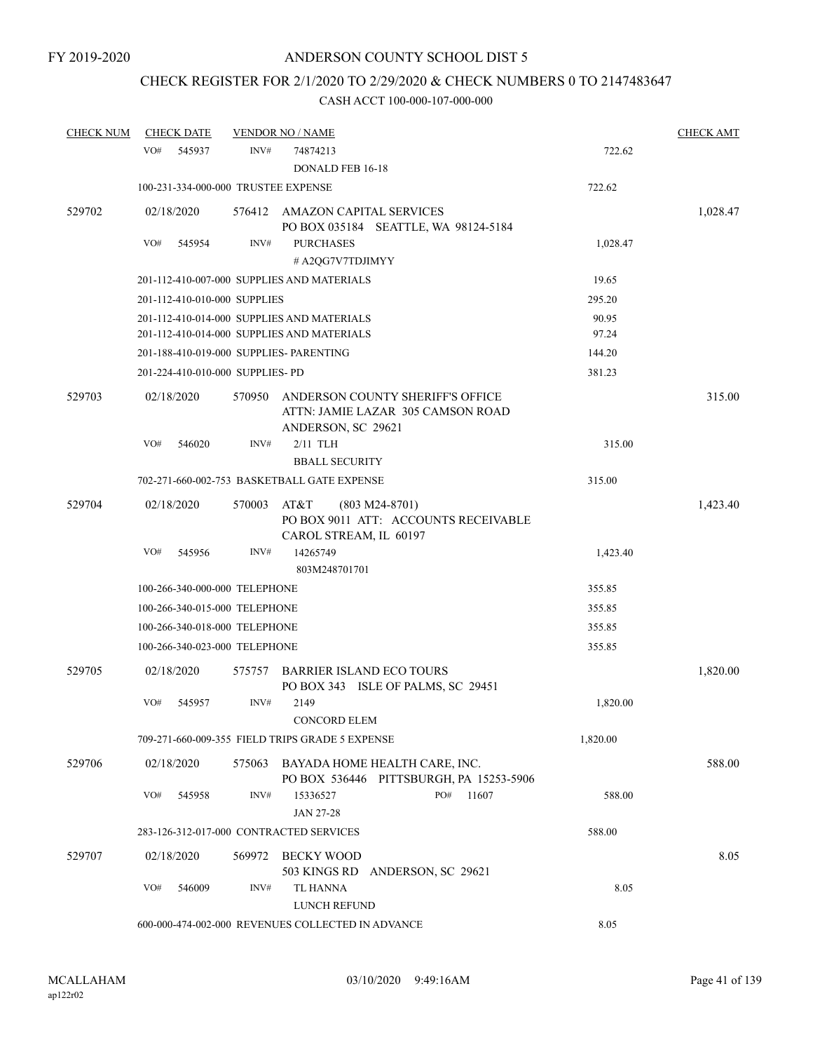# CHECK REGISTER FOR 2/1/2020 TO 2/29/2020 & CHECK NUMBERS 0 TO 2147483647

| <b>CHECK NUM</b> | <b>CHECK DATE</b> |                                         | <b>VENDOR NO / NAME</b>                                                                     |          | <b>CHECK AMT</b> |
|------------------|-------------------|-----------------------------------------|---------------------------------------------------------------------------------------------|----------|------------------|
|                  | VO#               | INV#<br>545937                          | 74874213<br><b>DONALD FEB 16-18</b>                                                         | 722.62   |                  |
|                  |                   | 100-231-334-000-000 TRUSTEE EXPENSE     |                                                                                             | 722.62   |                  |
| 529702           | 02/18/2020        |                                         | 576412 AMAZON CAPITAL SERVICES<br>PO BOX 035184 SEATTLE, WA 98124-5184                      |          | 1,028.47         |
|                  | VO#               | INV#<br>545954                          | <b>PURCHASES</b><br># A2QG7V7TDJIMYY                                                        | 1,028.47 |                  |
|                  |                   |                                         | 201-112-410-007-000 SUPPLIES AND MATERIALS                                                  | 19.65    |                  |
|                  |                   | 201-112-410-010-000 SUPPLIES            |                                                                                             | 295.20   |                  |
|                  |                   |                                         | 201-112-410-014-000 SUPPLIES AND MATERIALS                                                  | 90.95    |                  |
|                  |                   |                                         | 201-112-410-014-000 SUPPLIES AND MATERIALS                                                  | 97.24    |                  |
|                  |                   | 201-188-410-019-000 SUPPLIES- PARENTING |                                                                                             | 144.20   |                  |
|                  |                   | 201-224-410-010-000 SUPPLIES-PD         |                                                                                             | 381.23   |                  |
| 529703           | 02/18/2020        | 570950                                  | ANDERSON COUNTY SHERIFF'S OFFICE<br>ATTN: JAMIE LAZAR 305 CAMSON ROAD<br>ANDERSON, SC 29621 |          | 315.00           |
|                  | VO#               | 546020<br>INV#                          | $2/11$ TLH<br><b>BBALL SECURITY</b>                                                         | 315.00   |                  |
|                  |                   |                                         | 702-271-660-002-753 BASKETBALL GATE EXPENSE                                                 | 315.00   |                  |
| 529704           | 02/18/2020        | 570003                                  | AT&T<br>$(803 M24-8701)$<br>PO BOX 9011 ATT: ACCOUNTS RECEIVABLE<br>CAROL STREAM, IL 60197  |          | 1,423.40         |
|                  | VO#               | INV#<br>545956                          | 14265749<br>803M248701701                                                                   | 1,423.40 |                  |
|                  |                   | 100-266-340-000-000 TELEPHONE           | 355.85                                                                                      |          |                  |
|                  |                   | 100-266-340-015-000 TELEPHONE           | 355.85                                                                                      |          |                  |
|                  |                   | 100-266-340-018-000 TELEPHONE           |                                                                                             | 355.85   |                  |
|                  |                   | 100-266-340-023-000 TELEPHONE           |                                                                                             | 355.85   |                  |
| 529705           | 02/18/2020        | 575757                                  | <b>BARRIER ISLAND ECO TOURS</b><br>PO BOX 343 ISLE OF PALMS, SC 29451                       |          | 1,820.00         |
|                  | VO#               | INV#<br>545957                          | 2149<br>CONCORD ELEM                                                                        | 1,820.00 |                  |
|                  |                   |                                         | 709-271-660-009-355 FIELD TRIPS GRADE 5 EXPENSE                                             | 1,820.00 |                  |
| 529706           | 02/18/2020        |                                         | 575063 BAYADA HOME HEALTH CARE, INC.<br>PO BOX 536446 PITTSBURGH, PA 15253-5906             |          | 588.00           |
|                  | VO#               | 545958<br>INV#                          | PO#<br>11607<br>15336527<br><b>JAN 27-28</b>                                                | 588.00   |                  |
|                  |                   | 283-126-312-017-000 CONTRACTED SERVICES |                                                                                             | 588.00   |                  |
| 529707           | 02/18/2020        | 569972                                  | BECKY WOOD<br>503 KINGS RD ANDERSON, SC 29621                                               |          | 8.05             |
|                  | VO#               | 546009<br>INV#                          | TL HANNA<br>LUNCH REFUND                                                                    | 8.05     |                  |
|                  |                   |                                         | 600-000-474-002-000 REVENUES COLLECTED IN ADVANCE                                           | 8.05     |                  |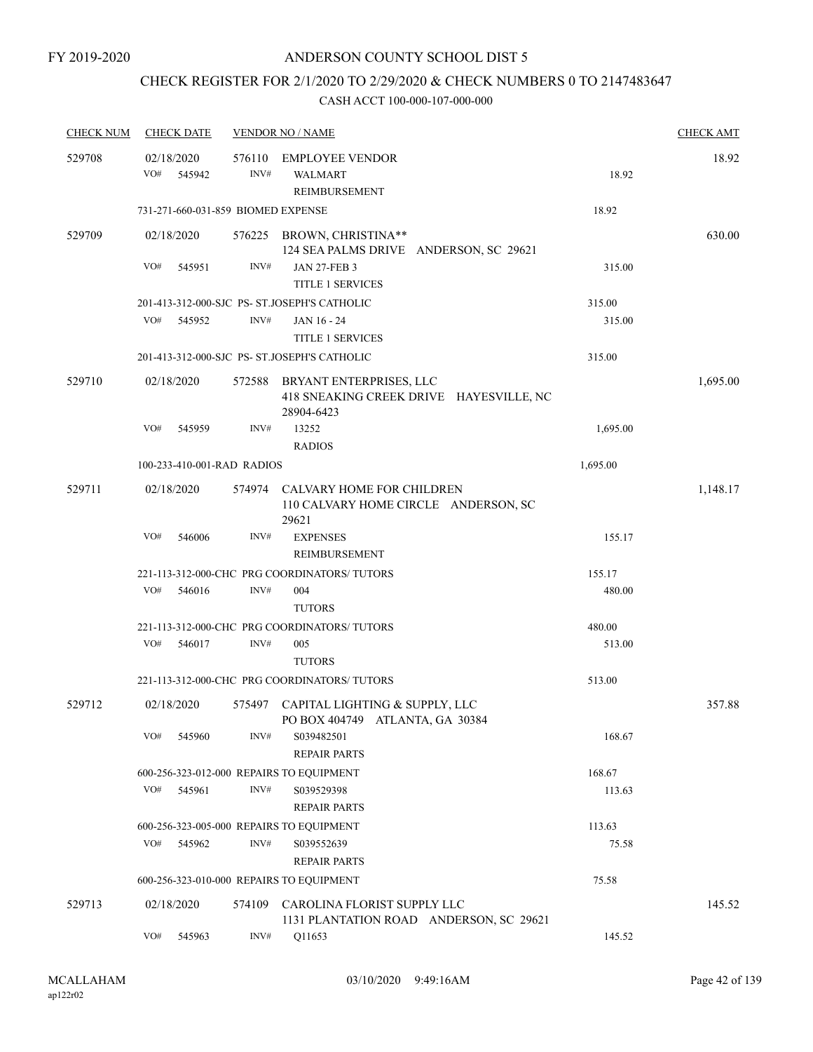# CHECK REGISTER FOR 2/1/2020 TO 2/29/2020 & CHECK NUMBERS 0 TO 2147483647

| <b>CHECK NUM</b> | <b>CHECK DATE</b>                        |                | <b>VENDOR NO / NAME</b>                                                           |          | <b>CHECK AMT</b> |
|------------------|------------------------------------------|----------------|-----------------------------------------------------------------------------------|----------|------------------|
| 529708           | 02/18/2020<br>VO#<br>545942              | 576110<br>INV# | <b>EMPLOYEE VENDOR</b><br><b>WALMART</b>                                          | 18.92    | 18.92            |
|                  |                                          |                | <b>REIMBURSEMENT</b>                                                              |          |                  |
|                  | 731-271-660-031-859 BIOMED EXPENSE       |                |                                                                                   | 18.92    |                  |
| 529709           | 02/18/2020                               |                | 576225 BROWN, CHRISTINA**<br>124 SEA PALMS DRIVE ANDERSON, SC 29621               |          | 630.00           |
|                  | VO#<br>545951                            | INV#           | <b>JAN 27-FEB 3</b><br><b>TITLE 1 SERVICES</b>                                    | 315.00   |                  |
|                  |                                          |                | 201-413-312-000-SJC PS- ST.JOSEPH'S CATHOLIC                                      | 315.00   |                  |
|                  | VO#<br>545952                            | INV#           | JAN 16 - 24                                                                       | 315.00   |                  |
|                  |                                          |                | <b>TITLE 1 SERVICES</b>                                                           |          |                  |
|                  |                                          |                | 201-413-312-000-SJC PS- ST.JOSEPH'S CATHOLIC                                      | 315.00   |                  |
| 529710           | 02/18/2020                               | 572588         | BRYANT ENTERPRISES, LLC<br>418 SNEAKING CREEK DRIVE HAYESVILLE, NC<br>28904-6423  |          | 1,695.00         |
|                  | VO#<br>545959                            | INV#           | 13252<br><b>RADIOS</b>                                                            | 1,695.00 |                  |
|                  | 100-233-410-001-RAD RADIOS               |                |                                                                                   | 1,695.00 |                  |
| 529711           | 02/18/2020                               |                | 574974 CALVARY HOME FOR CHILDREN<br>110 CALVARY HOME CIRCLE ANDERSON, SC<br>29621 |          | 1,148.17         |
|                  | VO#<br>546006                            | INV#           | <b>EXPENSES</b>                                                                   | 155.17   |                  |
|                  |                                          |                | REIMBURSEMENT                                                                     |          |                  |
|                  |                                          |                | 221-113-312-000-CHC PRG COORDINATORS/ TUTORS                                      | 155.17   |                  |
|                  | VO#<br>546016                            | INV#           | 004<br><b>TUTORS</b>                                                              | 480.00   |                  |
|                  |                                          |                | 221-113-312-000-CHC PRG COORDINATORS/ TUTORS                                      | 480.00   |                  |
|                  | VO#<br>546017                            | INV#           | 005<br><b>TUTORS</b>                                                              | 513.00   |                  |
|                  |                                          |                | 221-113-312-000-CHC PRG COORDINATORS/TUTORS                                       | 513.00   |                  |
| 529712           | 02/18/2020                               |                | 575497 CAPITAL LIGHTING & SUPPLY, LLC<br>PO BOX 404749 ATLANTA, GA 30384          |          | 357.88           |
|                  | VO#<br>545960                            | INV#           | S039482501<br><b>REPAIR PARTS</b>                                                 | 168.67   |                  |
|                  | 600-256-323-012-000 REPAIRS TO EQUIPMENT |                |                                                                                   | 168.67   |                  |
|                  | VO#<br>545961                            | INV#           | S039529398<br><b>REPAIR PARTS</b>                                                 | 113.63   |                  |
|                  | 600-256-323-005-000 REPAIRS TO EQUIPMENT |                |                                                                                   | 113.63   |                  |
|                  | VO#<br>545962                            | INV#           | S039552639<br><b>REPAIR PARTS</b>                                                 | 75.58    |                  |
|                  | 600-256-323-010-000 REPAIRS TO EQUIPMENT |                |                                                                                   | 75.58    |                  |
| 529713           | 02/18/2020                               | 574109         | CAROLINA FLORIST SUPPLY LLC<br>1131 PLANTATION ROAD ANDERSON, SC 29621            |          | 145.52           |
|                  | VO#<br>545963                            | INV#           | Q11653                                                                            | 145.52   |                  |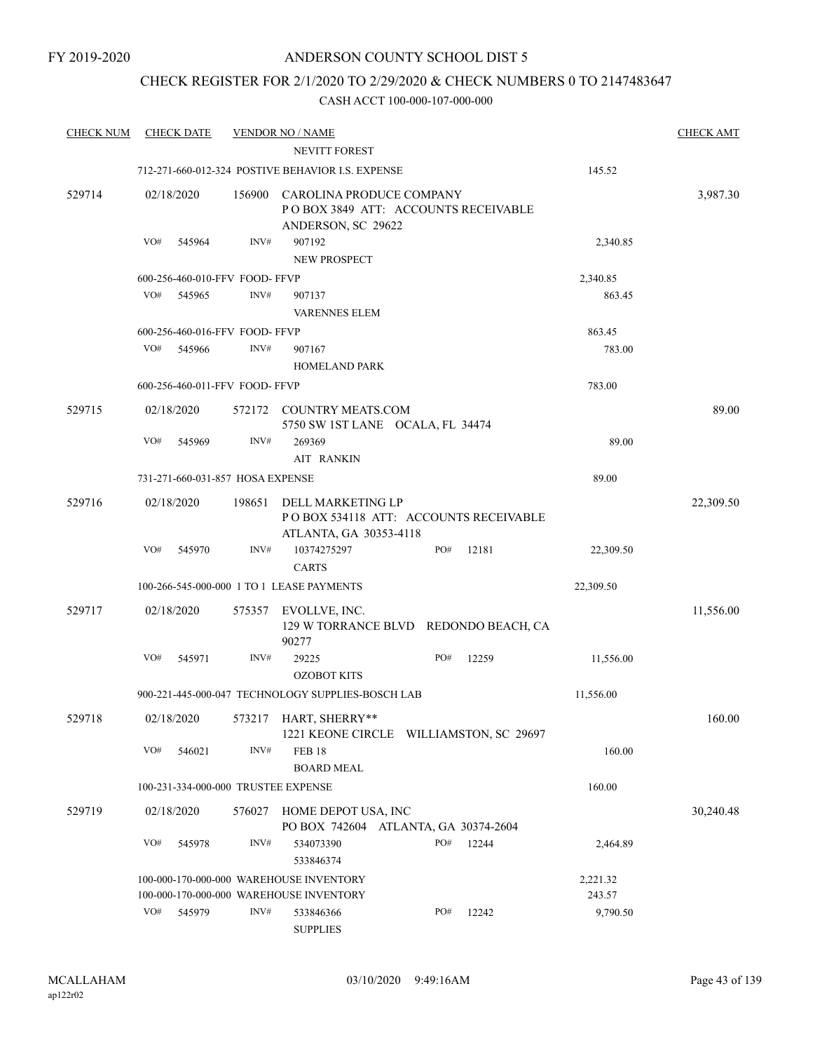### CHECK REGISTER FOR 2/1/2020 TO 2/29/2020 & CHECK NUMBERS 0 TO 2147483647

| <b>CHECK NUM</b> | <b>CHECK DATE</b>                   |        | <b>VENDOR NO / NAME</b>                                                               |     |       |                    | <b>CHECK AMT</b> |
|------------------|-------------------------------------|--------|---------------------------------------------------------------------------------------|-----|-------|--------------------|------------------|
|                  |                                     |        | <b>NEVITT FOREST</b>                                                                  |     |       |                    |                  |
|                  |                                     |        | 712-271-660-012-324 POSTIVE BEHAVIOR I.S. EXPENSE                                     |     |       | 145.52             |                  |
| 529714           | 02/18/2020                          | 156900 | CAROLINA PRODUCE COMPANY<br>POBOX 3849 ATT: ACCOUNTS RECEIVABLE<br>ANDERSON, SC 29622 |     |       |                    | 3,987.30         |
|                  | VO#<br>545964                       | INV#   | 907192<br><b>NEW PROSPECT</b>                                                         |     |       | 2,340.85           |                  |
|                  | 600-256-460-010-FFV FOOD-FFVP       |        |                                                                                       |     |       | 2,340.85           |                  |
|                  | VO#<br>545965                       | INV#   | 907137<br><b>VARENNES ELEM</b>                                                        |     |       | 863.45             |                  |
|                  | 600-256-460-016-FFV FOOD-FFVP       |        |                                                                                       |     |       | 863.45             |                  |
|                  | VO#<br>545966                       | INV#   | 907167<br><b>HOMELAND PARK</b>                                                        |     |       | 783.00             |                  |
|                  | 600-256-460-011-FFV FOOD- FFVP      |        |                                                                                       |     |       | 783.00             |                  |
| 529715           | 02/18/2020                          | 572172 | <b>COUNTRY MEATS.COM</b><br>5750 SW 1ST LANE OCALA, FL 34474                          |     |       |                    | 89.00            |
|                  | VO#<br>545969                       | INV#   | 269369<br><b>AIT RANKIN</b>                                                           |     |       | 89.00              |                  |
|                  | 731-271-660-031-857 HOSA EXPENSE    |        |                                                                                       |     |       | 89.00              |                  |
| 529716           | 02/18/2020                          | 198651 | DELL MARKETING LP<br>PO BOX 534118 ATT: ACCOUNTS RECEIVABLE<br>ATLANTA, GA 30353-4118 |     |       |                    | 22,309.50        |
|                  | VO#<br>545970                       | INV#   | 10374275297<br><b>CARTS</b>                                                           | PO# | 12181 | 22,309.50          |                  |
|                  |                                     |        | 100-266-545-000-000 1 TO 1 LEASE PAYMENTS                                             |     |       | 22,309.50          |                  |
| 529717           | 02/18/2020                          | 575357 | EVOLLVE, INC.<br>129 W TORRANCE BLVD REDONDO BEACH, CA<br>90277                       |     |       |                    | 11,556.00        |
|                  | VO#<br>545971                       | INV#   | 29225<br><b>OZOBOT KITS</b>                                                           | PO# | 12259 | 11,556.00          |                  |
|                  |                                     |        | 900-221-445-000-047 TECHNOLOGY SUPPLIES-BOSCH LAB                                     |     |       | 11,556.00          |                  |
| 529718           | 02/18/2020                          |        | 573217 HART, SHERRY**<br>1221 KEONE CIRCLE WILLIAMSTON, SC 29697                      |     |       |                    | 160.00           |
|                  | VO#<br>546021                       | INV#   | <b>FEB 18</b><br><b>BOARD MEAL</b>                                                    |     |       | 160.00             |                  |
|                  | 100-231-334-000-000 TRUSTEE EXPENSE |        |                                                                                       |     |       | 160.00             |                  |
| 529719           | 02/18/2020                          |        | 576027 HOME DEPOT USA, INC<br>PO BOX 742604 ATLANTA, GA 30374-2604                    |     |       |                    | 30,240.48        |
|                  | VO#<br>545978                       | INV#   | 534073390<br>533846374                                                                | PO# | 12244 | 2,464.89           |                  |
|                  |                                     |        | 100-000-170-000-000 WAREHOUSE INVENTORY<br>100-000-170-000-000 WAREHOUSE INVENTORY    |     |       | 2,221.32<br>243.57 |                  |
|                  | VO#<br>545979                       | INV#   | 533846366<br><b>SUPPLIES</b>                                                          | PO# | 12242 | 9,790.50           |                  |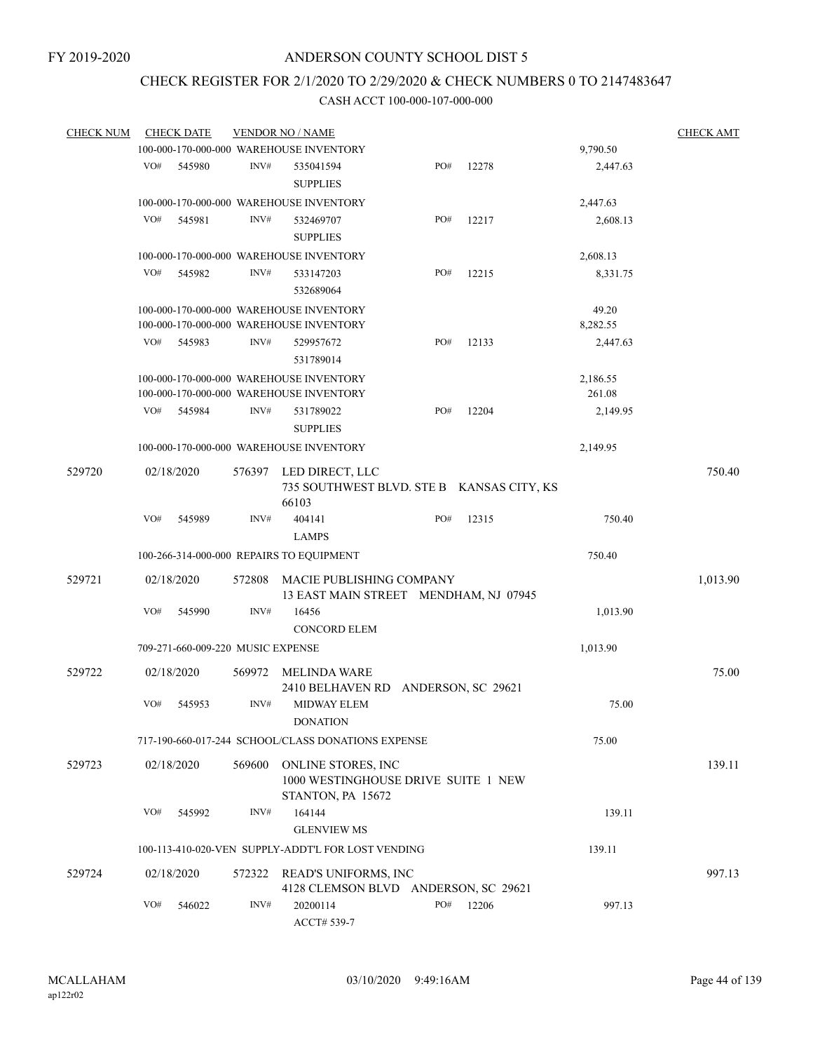# CHECK REGISTER FOR 2/1/2020 TO 2/29/2020 & CHECK NUMBERS 0 TO 2147483647

| <b>CHECK NUM</b> | <b>CHECK DATE</b>                        |        | <b>VENDOR NO / NAME</b>                                                            |     |                    |                    | <b>CHECK AMT</b> |
|------------------|------------------------------------------|--------|------------------------------------------------------------------------------------|-----|--------------------|--------------------|------------------|
|                  |                                          |        | 100-000-170-000-000 WAREHOUSE INVENTORY                                            |     |                    | 9,790.50           |                  |
|                  | VO#<br>545980                            | INV#   | 535041594<br><b>SUPPLIES</b>                                                       | PO# | 12278              | 2,447.63           |                  |
|                  |                                          |        | 100-000-170-000-000 WAREHOUSE INVENTORY                                            |     |                    | 2,447.63           |                  |
|                  | VO#<br>545981                            | INV#   | 532469707<br><b>SUPPLIES</b>                                                       | PO# | 12217              | 2,608.13           |                  |
|                  |                                          |        | 100-000-170-000-000 WAREHOUSE INVENTORY                                            |     |                    | 2,608.13           |                  |
|                  | VO#<br>545982                            | INV#   | 533147203<br>532689064                                                             | PO# | 12215              | 8,331.75           |                  |
|                  |                                          |        | 100-000-170-000-000 WAREHOUSE INVENTORY<br>100-000-170-000-000 WAREHOUSE INVENTORY |     |                    | 49.20<br>8,282.55  |                  |
|                  | VO#<br>545983                            | INV#   | 529957672<br>531789014                                                             | PO# | 12133              | 2,447.63           |                  |
|                  |                                          |        | 100-000-170-000-000 WAREHOUSE INVENTORY<br>100-000-170-000-000 WAREHOUSE INVENTORY |     |                    | 2,186.55<br>261.08 |                  |
|                  | VO#<br>545984                            | INV#   | 531789022<br><b>SUPPLIES</b>                                                       | PO# | 12204              | 2,149.95           |                  |
|                  |                                          |        | 100-000-170-000-000 WAREHOUSE INVENTORY                                            |     |                    | 2,149.95           |                  |
| 529720           | 02/18/2020                               | 576397 | LED DIRECT, LLC<br>735 SOUTHWEST BLVD. STE B KANSAS CITY, KS<br>66103              |     |                    |                    | 750.40           |
|                  | VO#<br>545989                            | INV#   | 404141<br><b>LAMPS</b>                                                             | PO# | 12315              | 750.40             |                  |
|                  | 100-266-314-000-000 REPAIRS TO EQUIPMENT |        |                                                                                    |     |                    | 750.40             |                  |
| 529721           | 02/18/2020                               | 572808 | MACIE PUBLISHING COMPANY<br>13 EAST MAIN STREET MENDHAM, NJ 07945                  |     |                    |                    | 1,013.90         |
|                  | VO#<br>545990                            | INV#   | 16456<br><b>CONCORD ELEM</b>                                                       |     |                    | 1,013.90           |                  |
|                  | 709-271-660-009-220 MUSIC EXPENSE        |        |                                                                                    |     |                    | 1,013.90           |                  |
| 529722           | 02/18/2020                               | 569972 | MELINDA WARE<br>2410 BELHAVEN RD                                                   |     | ANDERSON, SC 29621 |                    | 75.00            |
|                  | VO#<br>545953                            | INV#   | <b>MIDWAY ELEM</b><br><b>DONATION</b>                                              |     |                    | 75.00              |                  |
|                  |                                          |        | 717-190-660-017-244 SCHOOL/CLASS DONATIONS EXPENSE                                 |     |                    | 75.00              |                  |
| 529723           | 02/18/2020                               | 569600 | ONLINE STORES, INC<br>1000 WESTINGHOUSE DRIVE SUITE 1 NEW<br>STANTON, PA 15672     |     |                    |                    | 139.11           |
|                  | VO#<br>545992                            | INV#   | 164144<br><b>GLENVIEW MS</b>                                                       |     |                    | 139.11             |                  |
|                  |                                          |        | 100-113-410-020-VEN SUPPLY-ADDT'L FOR LOST VENDING                                 |     |                    | 139.11             |                  |
| 529724           | 02/18/2020                               |        | 572322 READ'S UNIFORMS, INC<br>4128 CLEMSON BLVD ANDERSON, SC 29621                |     |                    |                    | 997.13           |
|                  | VO#<br>546022                            | INV#   | 20200114<br>ACCT# 539-7                                                            | PO# | 12206              | 997.13             |                  |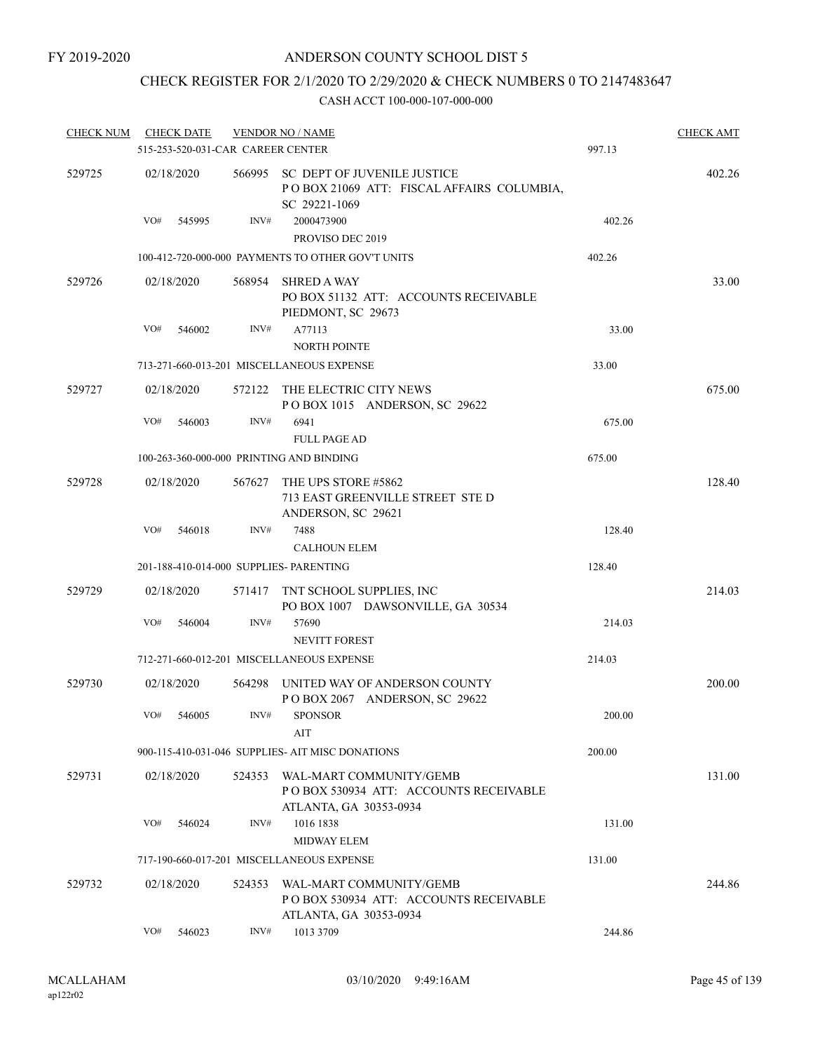## CHECK REGISTER FOR 2/1/2020 TO 2/29/2020 & CHECK NUMBERS 0 TO 2147483647

| <b>CHECK NUM</b> |     | <b>CHECK DATE</b>                 |        | <b>VENDOR NO / NAME</b>                                                                          |        | <b>CHECK AMT</b> |
|------------------|-----|-----------------------------------|--------|--------------------------------------------------------------------------------------------------|--------|------------------|
|                  |     | 515-253-520-031-CAR CAREER CENTER |        |                                                                                                  | 997.13 |                  |
| 529725           |     | 02/18/2020                        |        | 566995 SC DEPT OF JUVENILE JUSTICE<br>POBOX 21069 ATT: FISCAL AFFAIRS COLUMBIA,<br>SC 29221-1069 |        | 402.26           |
|                  | VO# | 545995                            | INV#   | 2000473900<br>PROVISO DEC 2019                                                                   | 402.26 |                  |
|                  |     |                                   |        | 100-412-720-000-000 PAYMENTS TO OTHER GOV'T UNITS                                                | 402.26 |                  |
| 529726           |     | 02/18/2020                        | 568954 | <b>SHRED A WAY</b><br>PO BOX 51132 ATT: ACCOUNTS RECEIVABLE<br>PIEDMONT, SC 29673                |        | 33.00            |
|                  | VO# | 546002                            | INV#   | A77113<br><b>NORTH POINTE</b>                                                                    | 33.00  |                  |
|                  |     |                                   |        | 713-271-660-013-201 MISCELLANEOUS EXPENSE                                                        | 33.00  |                  |
| 529727           |     | 02/18/2020                        | 572122 | THE ELECTRIC CITY NEWS<br>POBOX 1015 ANDERSON, SC 29622                                          |        | 675.00           |
|                  | VO# | 546003                            | INV#   | 6941<br><b>FULL PAGE AD</b>                                                                      | 675.00 |                  |
|                  |     |                                   |        | 100-263-360-000-000 PRINTING AND BINDING                                                         | 675.00 |                  |
| 529728           |     | 02/18/2020                        | 567627 | THE UPS STORE #5862<br>713 EAST GREENVILLE STREET STE D<br>ANDERSON, SC 29621                    |        | 128.40           |
|                  | VO# | 546018                            | INV#   | 7488<br><b>CALHOUN ELEM</b>                                                                      | 128.40 |                  |
|                  |     |                                   |        | 201-188-410-014-000 SUPPLIES- PARENTING                                                          | 128.40 |                  |
| 529729           |     | 02/18/2020                        | 571417 | TNT SCHOOL SUPPLIES, INC<br>PO BOX 1007 DAWSONVILLE, GA 30534                                    |        | 214.03           |
|                  | VO# | 546004                            | INV#   | 57690<br><b>NEVITT FOREST</b>                                                                    | 214.03 |                  |
|                  |     |                                   |        | 712-271-660-012-201 MISCELLANEOUS EXPENSE                                                        | 214.03 |                  |
| 529730           |     | 02/18/2020                        | 564298 | UNITED WAY OF ANDERSON COUNTY<br>POBOX 2067 ANDERSON, SC 29622                                   |        | 200.00           |
|                  | VO# | 546005                            | INV#   | <b>SPONSOR</b><br>AIT                                                                            | 200.00 |                  |
|                  |     |                                   |        | 900-115-410-031-046 SUPPLIES- AIT MISC DONATIONS                                                 | 200.00 |                  |
| 529731           |     | 02/18/2020                        | 524353 | WAL-MART COMMUNITY/GEMB<br>PO BOX 530934 ATT: ACCOUNTS RECEIVABLE<br>ATLANTA, GA 30353-0934      |        | 131.00           |
|                  | VO# | 546024                            | INV#   | 1016 1838<br><b>MIDWAY ELEM</b>                                                                  | 131.00 |                  |
|                  |     |                                   |        | 717-190-660-017-201 MISCELLANEOUS EXPENSE                                                        | 131.00 |                  |
| 529732           |     | 02/18/2020                        | 524353 | WAL-MART COMMUNITY/GEMB<br>POBOX 530934 ATT: ACCOUNTS RECEIVABLE<br>ATLANTA, GA 30353-0934       |        | 244.86           |
|                  | VO# | 546023                            | INV#   | 1013 3709                                                                                        | 244.86 |                  |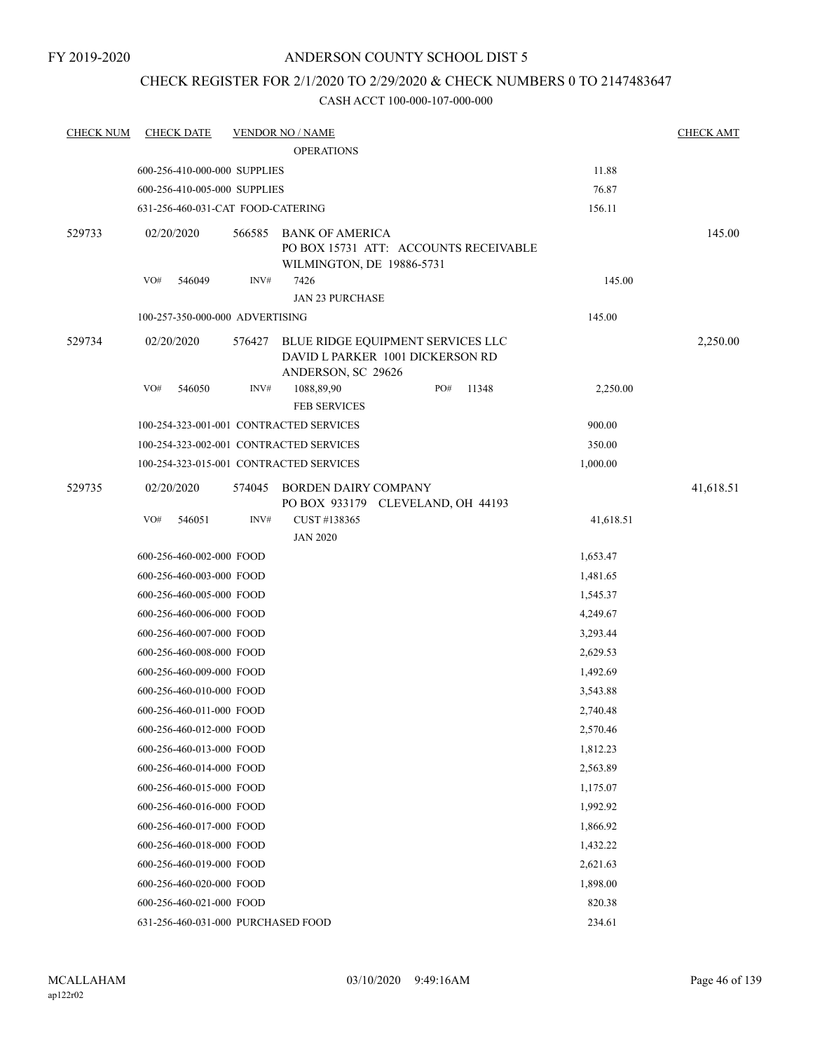# CHECK REGISTER FOR 2/1/2020 TO 2/29/2020 & CHECK NUMBERS 0 TO 2147483647

| <b>CHECK NUM</b> | <b>CHECK DATE</b>                       |        | <b>VENDOR NO / NAME</b>                                                                     |           | <b>CHECK AMT</b> |
|------------------|-----------------------------------------|--------|---------------------------------------------------------------------------------------------|-----------|------------------|
|                  |                                         |        |                                                                                             |           |                  |
|                  | 600-256-410-000-000 SUPPLIES            |        | 11.88                                                                                       |           |                  |
|                  | 600-256-410-005-000 SUPPLIES            |        |                                                                                             | 76.87     |                  |
|                  | 631-256-460-031-CAT FOOD-CATERING       |        |                                                                                             | 156.11    |                  |
| 529733           | 02/20/2020                              | 566585 | BANK OF AMERICA<br>PO BOX 15731 ATT: ACCOUNTS RECEIVABLE<br>WILMINGTON, DE 19886-5731       |           | 145.00           |
|                  | VO#<br>546049                           | INV#   | 7426<br><b>JAN 23 PURCHASE</b>                                                              | 145.00    |                  |
|                  | 100-257-350-000-000 ADVERTISING         |        |                                                                                             | 145.00    |                  |
| 529734           | 02/20/2020                              | 576427 | BLUE RIDGE EQUIPMENT SERVICES LLC<br>DAVID L PARKER 1001 DICKERSON RD<br>ANDERSON, SC 29626 |           | 2,250.00         |
|                  | VO#<br>546050                           | INV#   | 1088,89,90<br>PO#<br>11348<br><b>FEB SERVICES</b>                                           | 2,250.00  |                  |
|                  | 100-254-323-001-001 CONTRACTED SERVICES |        |                                                                                             | 900.00    |                  |
|                  | 100-254-323-002-001 CONTRACTED SERVICES |        |                                                                                             | 350.00    |                  |
|                  | 100-254-323-015-001 CONTRACTED SERVICES |        |                                                                                             | 1,000.00  |                  |
| 529735           | 02/20/2020                              | 574045 | <b>BORDEN DAIRY COMPANY</b><br>PO BOX 933179 CLEVELAND, OH 44193                            |           | 41,618.51        |
|                  | VO#<br>546051                           | INV#   | CUST #138365<br><b>JAN 2020</b>                                                             | 41,618.51 |                  |
|                  | 600-256-460-002-000 FOOD                |        |                                                                                             | 1,653.47  |                  |
|                  | 600-256-460-003-000 FOOD                |        |                                                                                             | 1,481.65  |                  |
|                  | 600-256-460-005-000 FOOD                |        |                                                                                             | 1,545.37  |                  |
|                  | 600-256-460-006-000 FOOD                |        |                                                                                             | 4,249.67  |                  |
|                  | 600-256-460-007-000 FOOD                |        |                                                                                             | 3,293.44  |                  |
|                  | 600-256-460-008-000 FOOD                |        |                                                                                             | 2,629.53  |                  |
|                  | 600-256-460-009-000 FOOD                |        |                                                                                             | 1,492.69  |                  |
|                  | 600-256-460-010-000 FOOD                |        |                                                                                             | 3,543.88  |                  |
|                  | 600-256-460-011-000 FOOD                |        |                                                                                             | 2,740.48  |                  |
|                  | 600-256-460-012-000 FOOD                |        |                                                                                             | 2,570.46  |                  |
|                  | 600-256-460-013-000 FOOD                |        |                                                                                             | 1,812.23  |                  |
|                  | 600-256-460-014-000 FOOD                |        |                                                                                             | 2,563.89  |                  |
|                  | 600-256-460-015-000 FOOD                |        |                                                                                             | 1,175.07  |                  |
|                  | 600-256-460-016-000 FOOD                |        |                                                                                             | 1,992.92  |                  |
|                  | 600-256-460-017-000 FOOD                |        |                                                                                             | 1,866.92  |                  |
|                  | 600-256-460-018-000 FOOD                |        |                                                                                             | 1,432.22  |                  |
|                  | 600-256-460-019-000 FOOD                |        |                                                                                             | 2,621.63  |                  |
|                  | 600-256-460-020-000 FOOD                |        |                                                                                             | 1,898.00  |                  |
|                  | 600-256-460-021-000 FOOD                |        |                                                                                             | 820.38    |                  |
|                  | 631-256-460-031-000 PURCHASED FOOD      |        |                                                                                             | 234.61    |                  |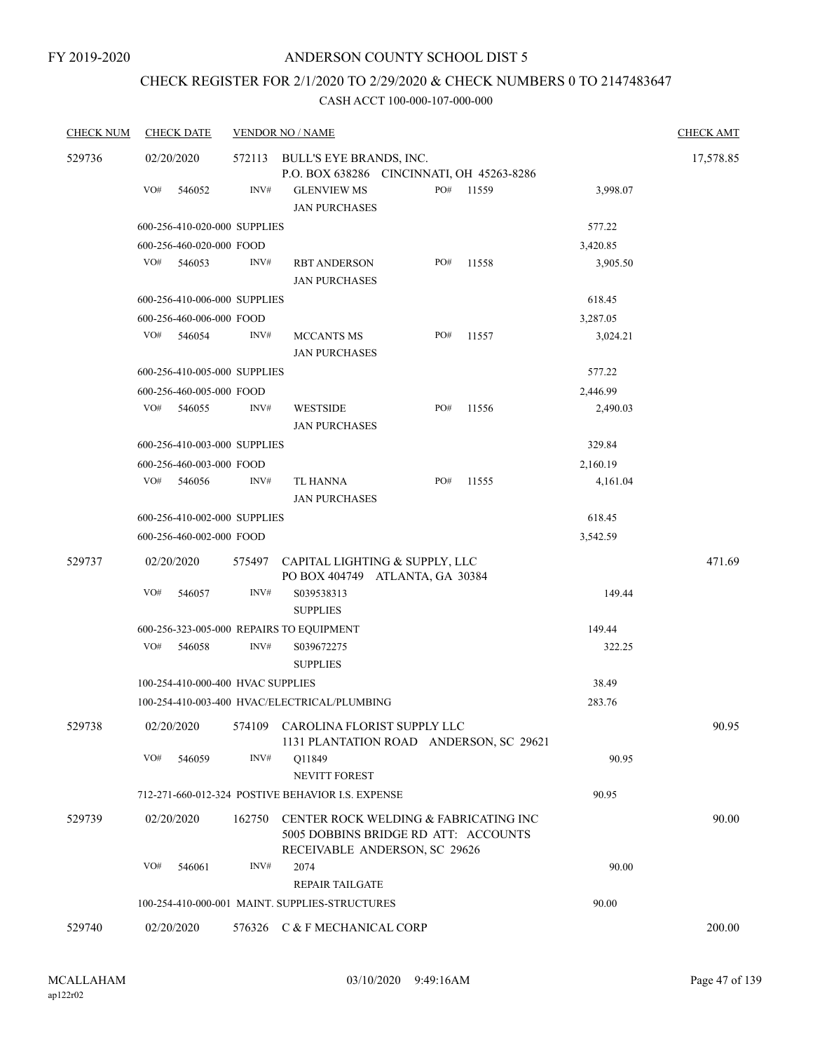# CHECK REGISTER FOR 2/1/2020 TO 2/29/2020 & CHECK NUMBERS 0 TO 2147483647

| <b>CHECK NUM</b> | <b>CHECK DATE</b>                 |        | <b>VENDOR NO / NAME</b>                                                                                        |     |       |          | <b>CHECK AMT</b> |
|------------------|-----------------------------------|--------|----------------------------------------------------------------------------------------------------------------|-----|-------|----------|------------------|
| 529736           | 02/20/2020                        |        | 572113 BULL'S EYE BRANDS, INC.                                                                                 |     |       |          | 17,578.85        |
|                  |                                   |        | P.O. BOX 638286 CINCINNATI, OH 45263-8286                                                                      |     |       |          |                  |
|                  | VO#<br>546052                     | INV#   | <b>GLENVIEW MS</b><br><b>JAN PURCHASES</b>                                                                     | PO# | 11559 | 3,998.07 |                  |
|                  | 600-256-410-020-000 SUPPLIES      |        |                                                                                                                |     |       | 577.22   |                  |
|                  | 600-256-460-020-000 FOOD          |        |                                                                                                                |     |       | 3,420.85 |                  |
|                  | VO#<br>546053                     | INV#   | <b>RBT ANDERSON</b><br><b>JAN PURCHASES</b>                                                                    | PO# | 11558 | 3,905.50 |                  |
|                  | 600-256-410-006-000 SUPPLIES      |        |                                                                                                                |     |       | 618.45   |                  |
|                  | 600-256-460-006-000 FOOD          |        |                                                                                                                |     |       | 3,287.05 |                  |
|                  | VO#<br>546054                     | INV#   | <b>MCCANTS MS</b><br><b>JAN PURCHASES</b>                                                                      | PO# | 11557 | 3,024.21 |                  |
|                  | 600-256-410-005-000 SUPPLIES      |        |                                                                                                                |     |       | 577.22   |                  |
|                  | 600-256-460-005-000 FOOD          |        |                                                                                                                |     |       | 2,446.99 |                  |
|                  | VO#<br>546055                     | INV#   | <b>WESTSIDE</b><br><b>JAN PURCHASES</b>                                                                        | PO# | 11556 | 2,490.03 |                  |
|                  | 600-256-410-003-000 SUPPLIES      |        |                                                                                                                |     |       | 329.84   |                  |
|                  | 600-256-460-003-000 FOOD          |        |                                                                                                                |     |       | 2,160.19 |                  |
|                  | VO#<br>546056                     | INV#   | TL HANNA<br><b>JAN PURCHASES</b>                                                                               | PO# | 11555 | 4,161.04 |                  |
|                  | 600-256-410-002-000 SUPPLIES      |        |                                                                                                                |     |       | 618.45   |                  |
|                  | 600-256-460-002-000 FOOD          |        |                                                                                                                |     |       | 3,542.59 |                  |
| 529737           | 02/20/2020                        |        | 575497 CAPITAL LIGHTING & SUPPLY, LLC<br>PO BOX 404749 ATLANTA, GA 30384                                       |     |       |          | 471.69           |
|                  | VO#<br>546057                     | INV#   | S039538313<br><b>SUPPLIES</b>                                                                                  |     |       | 149.44   |                  |
|                  |                                   |        | 600-256-323-005-000 REPAIRS TO EQUIPMENT                                                                       |     |       | 149.44   |                  |
|                  | VO#<br>546058                     | INV#   | S039672275<br><b>SUPPLIES</b>                                                                                  |     |       | 322.25   |                  |
|                  | 100-254-410-000-400 HVAC SUPPLIES |        |                                                                                                                |     |       | 38.49    |                  |
|                  |                                   |        | 100-254-410-003-400 HVAC/ELECTRICAL/PLUMBING                                                                   |     |       | 283.76   |                  |
| 529738           |                                   |        | 02/20/2020 574109 CAROLINA FLORIST SUPPLY LLC<br>1131 PLANTATION ROAD ANDERSON, SC 29621                       |     |       |          | 90.95            |
|                  | VO#<br>546059                     | INV#   | Q11849<br>NEVITT FOREST                                                                                        |     |       | 90.95    |                  |
|                  |                                   |        | 712-271-660-012-324 POSTIVE BEHAVIOR I.S. EXPENSE                                                              |     |       | 90.95    |                  |
| 529739           | 02/20/2020                        | 162750 | CENTER ROCK WELDING & FABRICATING INC<br>5005 DOBBINS BRIDGE RD ATT: ACCOUNTS<br>RECEIVABLE ANDERSON, SC 29626 |     |       |          | 90.00            |
|                  | VO#<br>546061                     | INV#   | 2074<br><b>REPAIR TAILGATE</b>                                                                                 |     |       | 90.00    |                  |
|                  |                                   |        | 100-254-410-000-001 MAINT. SUPPLIES-STRUCTURES                                                                 |     |       | 90.00    |                  |
| 529740           | 02/20/2020                        |        | 576326 C & F MECHANICAL CORP                                                                                   |     |       |          | 200.00           |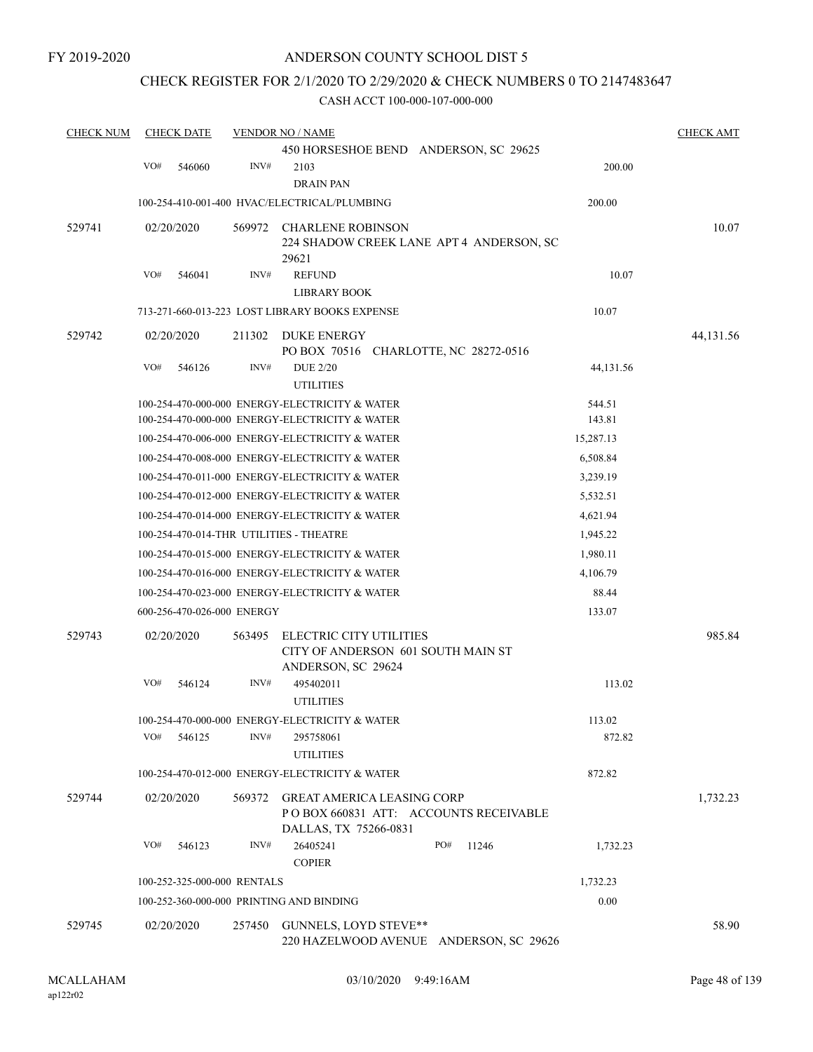### CHECK REGISTER FOR 2/1/2020 TO 2/29/2020 & CHECK NUMBERS 0 TO 2147483647

| <b>CHECK NUM</b> |     | <b>CHECK DATE</b>           |        | <b>VENDOR NO / NAME</b>                                                                              |                  | <b>CHECK AMT</b> |
|------------------|-----|-----------------------------|--------|------------------------------------------------------------------------------------------------------|------------------|------------------|
|                  |     |                             |        | 450 HORSESHOE BEND ANDERSON, SC 29625                                                                |                  |                  |
|                  | VO# | 546060                      | INV#   | 2103                                                                                                 | 200.00           |                  |
|                  |     |                             |        | <b>DRAIN PAN</b>                                                                                     |                  |                  |
|                  |     |                             |        | 100-254-410-001-400 HVAC/ELECTRICAL/PLUMBING                                                         | 200.00           |                  |
| 529741           |     | 02/20/2020                  |        | 569972 CHARLENE ROBINSON<br>224 SHADOW CREEK LANE APT 4 ANDERSON, SC<br>29621                        |                  | 10.07            |
|                  | VO# | 546041                      | INV#   | <b>REFUND</b><br><b>LIBRARY BOOK</b>                                                                 | 10.07            |                  |
|                  |     |                             |        | 713-271-660-013-223 LOST LIBRARY BOOKS EXPENSE                                                       | 10.07            |                  |
| 529742           |     | 02/20/2020                  | 211302 | DUKE ENERGY<br>PO BOX 70516 CHARLOTTE, NC 28272-0516                                                 |                  | 44,131.56        |
|                  | VO# | 546126                      | INV#   | <b>DUE 2/20</b><br><b>UTILITIES</b>                                                                  | 44,131.56        |                  |
|                  |     |                             |        | 100-254-470-000-000 ENERGY-ELECTRICITY & WATER<br>100-254-470-000-000 ENERGY-ELECTRICITY & WATER     | 544.51<br>143.81 |                  |
|                  |     |                             |        | 100-254-470-006-000 ENERGY-ELECTRICITY & WATER                                                       | 15,287.13        |                  |
|                  |     |                             |        | 100-254-470-008-000 ENERGY-ELECTRICITY & WATER                                                       | 6,508.84         |                  |
|                  |     |                             |        | 100-254-470-011-000 ENERGY-ELECTRICITY & WATER                                                       | 3,239.19         |                  |
|                  |     |                             |        | 100-254-470-012-000 ENERGY-ELECTRICITY & WATER                                                       | 5,532.51         |                  |
|                  |     |                             |        | 100-254-470-014-000 ENERGY-ELECTRICITY & WATER                                                       | 4,621.94         |                  |
|                  |     |                             |        | 100-254-470-014-THR UTILITIES - THEATRE                                                              | 1,945.22         |                  |
|                  |     |                             |        | 100-254-470-015-000 ENERGY-ELECTRICITY & WATER                                                       | 1,980.11         |                  |
|                  |     |                             |        | 100-254-470-016-000 ENERGY-ELECTRICITY & WATER                                                       | 4,106.79         |                  |
|                  |     |                             |        | 100-254-470-023-000 ENERGY-ELECTRICITY & WATER                                                       | 88.44            |                  |
|                  |     | 600-256-470-026-000 ENERGY  |        |                                                                                                      | 133.07           |                  |
| 529743           |     | 02/20/2020                  | 563495 | ELECTRIC CITY UTILITIES<br>CITY OF ANDERSON 601 SOUTH MAIN ST<br>ANDERSON, SC 29624                  |                  | 985.84           |
|                  | VO# | 546124                      | INV#   | 495402011<br><b>UTILITIES</b>                                                                        | 113.02           |                  |
|                  |     |                             |        | 100-254-470-000-000 ENERGY-ELECTRICITY & WATER                                                       | 113.02           |                  |
|                  | VO# | 546125                      | INV#   | 295758061<br><b>UTILITIES</b>                                                                        | 872.82           |                  |
|                  |     |                             |        | 100-254-470-012-000 ENERGY-ELECTRICITY & WATER                                                       | 872.82           |                  |
| 529744           |     | 02/20/2020                  |        | 569372 GREAT AMERICA LEASING CORP<br>PO BOX 660831 ATT: ACCOUNTS RECEIVABLE<br>DALLAS, TX 75266-0831 |                  | 1,732.23         |
|                  | VO# | 546123                      | INV#   | 26405241<br>PO#<br>11246<br><b>COPIER</b>                                                            | 1,732.23         |                  |
|                  |     | 100-252-325-000-000 RENTALS |        |                                                                                                      | 1,732.23         |                  |
|                  |     |                             |        | 100-252-360-000-000 PRINTING AND BINDING                                                             | 0.00             |                  |
| 529745           |     | 02/20/2020                  |        | 257450 GUNNELS, LOYD STEVE**<br>220 HAZELWOOD AVENUE ANDERSON, SC 29626                              |                  | 58.90            |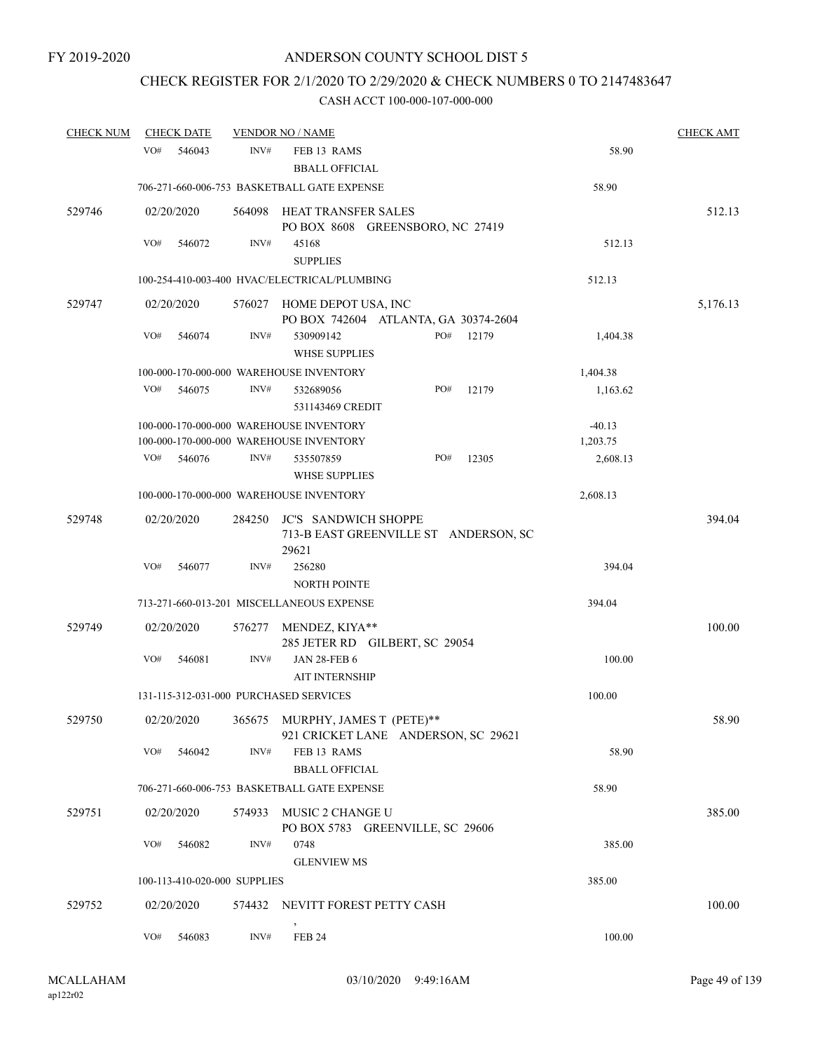# CHECK REGISTER FOR 2/1/2020 TO 2/29/2020 & CHECK NUMBERS 0 TO 2147483647

| <b>CHECK NUM</b> | <b>CHECK DATE</b> |                              | <b>VENDOR NO / NAME</b>                      |                                       |          | <b>CHECK AMT</b> |
|------------------|-------------------|------------------------------|----------------------------------------------|---------------------------------------|----------|------------------|
|                  | VO#<br>546043     | INV#                         | FEB 13 RAMS<br><b>BBALL OFFICIAL</b>         |                                       | 58.90    |                  |
|                  |                   |                              | 706-271-660-006-753 BASKETBALL GATE EXPENSE  |                                       | 58.90    |                  |
| 529746           | 02/20/2020        |                              | 564098 HEAT TRANSFER SALES                   | PO BOX 8608 GREENSBORO, NC 27419      |          | 512.13           |
|                  | VO#<br>546072     | INV#                         | 45168<br><b>SUPPLIES</b>                     |                                       | 512.13   |                  |
|                  |                   |                              | 100-254-410-003-400 HVAC/ELECTRICAL/PLUMBING |                                       | 512.13   |                  |
| 529747           | 02/20/2020        |                              | 576027 HOME DEPOT USA, INC                   | PO BOX 742604 ATLANTA, GA 30374-2604  |          | 5,176.13         |
|                  | VO#<br>546074     | INV#                         | 530909142<br><b>WHSE SUPPLIES</b>            | PO#<br>12179                          | 1,404.38 |                  |
|                  |                   |                              | 100-000-170-000-000 WAREHOUSE INVENTORY      |                                       | 1,404.38 |                  |
|                  | VO#<br>546075     | INV#                         | 532689056<br>531143469 CREDIT                | PO#<br>12179                          | 1,163.62 |                  |
|                  |                   |                              | 100-000-170-000-000 WAREHOUSE INVENTORY      |                                       | $-40.13$ |                  |
|                  |                   |                              | 100-000-170-000-000 WAREHOUSE INVENTORY      |                                       | 1,203.75 |                  |
|                  | VO#<br>546076     | INV#                         | 535507859<br><b>WHSE SUPPLIES</b>            | PO#<br>12305                          | 2,608.13 |                  |
|                  |                   |                              | 100-000-170-000-000 WAREHOUSE INVENTORY      |                                       | 2,608.13 |                  |
| 529748           | 02/20/2020        | 284250                       | <b>JC'S SANDWICH SHOPPE</b><br>29621         | 713-B EAST GREENVILLE ST ANDERSON, SC |          | 394.04           |
|                  | VO#<br>546077     | INV#                         | 256280<br><b>NORTH POINTE</b>                |                                       | 394.04   |                  |
|                  |                   |                              | 713-271-660-013-201 MISCELLANEOUS EXPENSE    |                                       | 394.04   |                  |
| 529749           | 02/20/2020        |                              | 576277 MENDEZ, KIYA**                        | 285 JETER RD GILBERT, SC 29054        |          | 100.00           |
|                  | VO#<br>546081     | INV#                         | <b>JAN 28-FEB 6</b><br><b>AIT INTERNSHIP</b> |                                       | 100.00   |                  |
|                  |                   |                              | 131-115-312-031-000 PURCHASED SERVICES       |                                       | 100.00   |                  |
| 529750           | 02/20/2020        |                              | 365675 MURPHY, JAMES T (PETE)**              | 921 CRICKET LANE ANDERSON, SC 29621   |          | 58.90            |
|                  | VO#<br>546042     | INV#                         | FEB 13 RAMS<br><b>BBALL OFFICIAL</b>         |                                       | 58.90    |                  |
|                  |                   |                              | 706-271-660-006-753 BASKETBALL GATE EXPENSE  |                                       | 58.90    |                  |
| 529751           | 02/20/2020        | 574933                       | MUSIC 2 CHANGE U                             | PO BOX 5783 GREENVILLE, SC 29606      |          | 385.00           |
|                  | VO#<br>546082     | INV#                         | 0748<br><b>GLENVIEW MS</b>                   |                                       | 385.00   |                  |
|                  |                   | 100-113-410-020-000 SUPPLIES |                                              |                                       | 385.00   |                  |
| 529752           | 02/20/2020        |                              | 574432 NEVITT FOREST PETTY CASH              |                                       |          | 100.00           |
|                  | VO#<br>546083     | INV#                         | <b>FEB 24</b>                                |                                       | 100.00   |                  |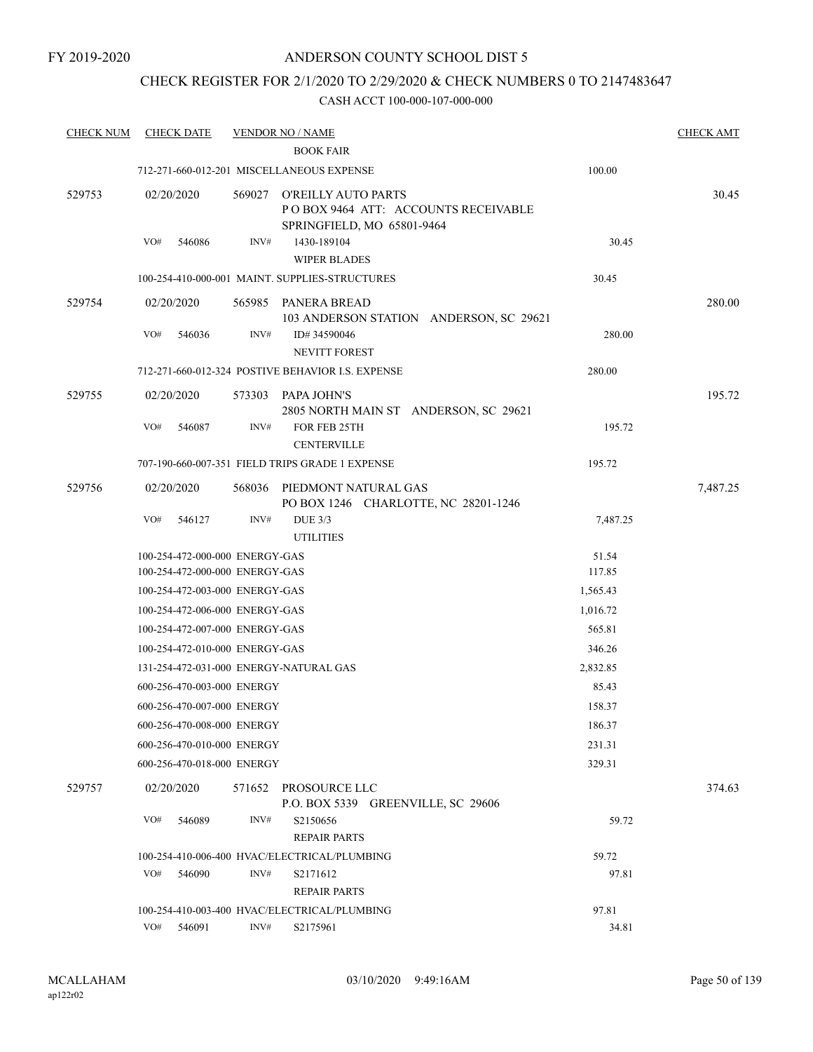### CHECK REGISTER FOR 2/1/2020 TO 2/29/2020 & CHECK NUMBERS 0 TO 2147483647

| <b>CHECK NUM</b> | <b>CHECK DATE</b> |                                | <b>VENDOR NO / NAME</b>                                                                         |          | <b>CHECK AMT</b> |
|------------------|-------------------|--------------------------------|-------------------------------------------------------------------------------------------------|----------|------------------|
|                  |                   |                                | <b>BOOK FAIR</b>                                                                                |          |                  |
|                  |                   |                                | 712-271-660-012-201 MISCELLANEOUS EXPENSE                                                       | 100.00   |                  |
| 529753           | 02/20/2020        |                                | 569027 O'REILLY AUTO PARTS<br>POBOX 9464 ATT: ACCOUNTS RECEIVABLE<br>SPRINGFIELD, MO 65801-9464 |          | 30.45            |
|                  | VO#<br>546086     | INV#                           | 1430-189104                                                                                     | 30.45    |                  |
|                  |                   |                                | <b>WIPER BLADES</b>                                                                             |          |                  |
|                  |                   |                                | 100-254-410-000-001 MAINT. SUPPLIES-STRUCTURES                                                  | 30.45    |                  |
| 529754           | 02/20/2020        |                                | 565985 PANERA BREAD<br>103 ANDERSON STATION ANDERSON, SC 29621                                  |          | 280.00           |
|                  | VO#<br>546036     | INV#                           | ID#34590046<br><b>NEVITT FOREST</b>                                                             | 280.00   |                  |
|                  |                   |                                | 712-271-660-012-324 POSTIVE BEHAVIOR I.S. EXPENSE                                               | 280.00   |                  |
| 529755           | 02/20/2020        |                                | 573303 PAPA JOHN'S<br>2805 NORTH MAIN ST ANDERSON, SC 29621                                     |          | 195.72           |
|                  | VO#<br>546087     | INV#                           | FOR FEB 25TH<br><b>CENTERVILLE</b>                                                              | 195.72   |                  |
|                  |                   |                                | 707-190-660-007-351 FIELD TRIPS GRADE 1 EXPENSE                                                 | 195.72   |                  |
| 529756           | 02/20/2020        |                                | 568036 PIEDMONT NATURAL GAS<br>PO BOX 1246 CHARLOTTE, NC 28201-1246                             |          | 7,487.25         |
|                  | VO#<br>546127     | INV#                           | <b>DUE 3/3</b><br><b>UTILITIES</b>                                                              | 7,487.25 |                  |
|                  |                   | 100-254-472-000-000 ENERGY-GAS |                                                                                                 | 51.54    |                  |
|                  |                   | 100-254-472-000-000 ENERGY-GAS |                                                                                                 | 117.85   |                  |
|                  |                   | 100-254-472-003-000 ENERGY-GAS |                                                                                                 | 1,565.43 |                  |
|                  |                   | 100-254-472-006-000 ENERGY-GAS |                                                                                                 | 1,016.72 |                  |
|                  |                   | 100-254-472-007-000 ENERGY-GAS |                                                                                                 | 565.81   |                  |
|                  |                   | 100-254-472-010-000 ENERGY-GAS |                                                                                                 | 346.26   |                  |
|                  |                   |                                | 131-254-472-031-000 ENERGY-NATURAL GAS                                                          | 2,832.85 |                  |
|                  |                   | 600-256-470-003-000 ENERGY     |                                                                                                 | 85.43    |                  |
|                  |                   | 600-256-470-007-000 ENERGY     |                                                                                                 | 158.37   |                  |
|                  |                   | 600-256-470-008-000 ENERGY     |                                                                                                 | 186.37   |                  |
|                  |                   | 600-256-470-010-000 ENERGY     |                                                                                                 | 231.31   |                  |
|                  |                   | 600-256-470-018-000 ENERGY     |                                                                                                 | 329.31   |                  |
| 529757           | 02/20/2020        | 571652                         | PROSOURCE LLC<br>P.O. BOX 5339 GREENVILLE, SC 29606                                             |          | 374.63           |
|                  | VO#<br>546089     | INV#                           | S2150656<br><b>REPAIR PARTS</b>                                                                 | 59.72    |                  |
|                  |                   |                                | 100-254-410-006-400 HVAC/ELECTRICAL/PLUMBING                                                    | 59.72    |                  |
|                  | VO#<br>546090     | INV#                           | S2171612<br><b>REPAIR PARTS</b>                                                                 | 97.81    |                  |
|                  |                   |                                | 100-254-410-003-400 HVAC/ELECTRICAL/PLUMBING                                                    | 97.81    |                  |
|                  | VO#<br>546091     | INV#                           | S2175961                                                                                        | 34.81    |                  |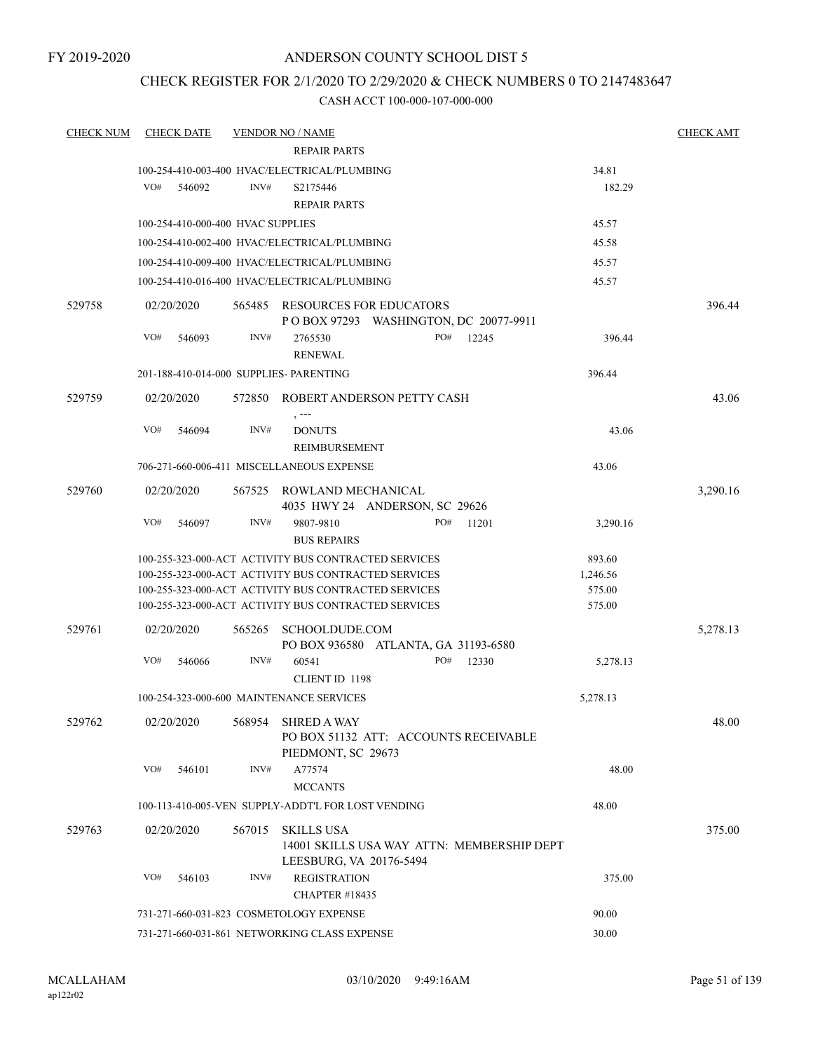### CHECK REGISTER FOR 2/1/2020 TO 2/29/2020 & CHECK NUMBERS 0 TO 2147483647

| <b>CHECK NUM</b> | <b>CHECK DATE</b> |                                   | <b>VENDOR NO / NAME</b>                              |                                            |       |          | <b>CHECK AMT</b> |
|------------------|-------------------|-----------------------------------|------------------------------------------------------|--------------------------------------------|-------|----------|------------------|
|                  |                   |                                   | <b>REPAIR PARTS</b>                                  |                                            |       |          |                  |
|                  |                   |                                   | 100-254-410-003-400 HVAC/ELECTRICAL/PLUMBING         |                                            |       | 34.81    |                  |
|                  | VO#<br>546092     | INV#                              | S2175446                                             |                                            |       | 182.29   |                  |
|                  |                   |                                   | <b>REPAIR PARTS</b>                                  |                                            |       |          |                  |
|                  |                   | 100-254-410-000-400 HVAC SUPPLIES |                                                      |                                            |       | 45.57    |                  |
|                  |                   |                                   | 100-254-410-002-400 HVAC/ELECTRICAL/PLUMBING         |                                            |       | 45.58    |                  |
|                  |                   |                                   | 100-254-410-009-400 HVAC/ELECTRICAL/PLUMBING         |                                            |       | 45.57    |                  |
|                  |                   |                                   | 100-254-410-016-400 HVAC/ELECTRICAL/PLUMBING         |                                            |       | 45.57    |                  |
| 529758           | 02/20/2020        | 565485                            | RESOURCES FOR EDUCATORS                              |                                            |       |          | 396.44           |
|                  |                   |                                   |                                                      | P O BOX 97293 WASHINGTON, DC 20077-9911    |       |          |                  |
|                  | VO#<br>546093     | INV#                              | 2765530<br><b>RENEWAL</b>                            | PO#                                        | 12245 | 396.44   |                  |
|                  |                   |                                   | 201-188-410-014-000 SUPPLIES- PARENTING              |                                            |       | 396.44   |                  |
| 529759           | 02/20/2020        | 572850                            | ROBERT ANDERSON PETTY CASH                           |                                            |       |          | 43.06            |
|                  | VO#<br>546094     | INV#                              | , ---<br><b>DONUTS</b><br>REIMBURSEMENT              |                                            |       | 43.06    |                  |
|                  |                   |                                   | 706-271-660-006-411 MISCELLANEOUS EXPENSE            |                                            |       | 43.06    |                  |
| 529760           | 02/20/2020        | 567525                            | ROWLAND MECHANICAL                                   | 4035 HWY 24 ANDERSON, SC 29626             |       |          | 3,290.16         |
|                  | VO#<br>546097     | INV#                              | 9807-9810<br><b>BUS REPAIRS</b>                      | PO#                                        | 11201 | 3,290.16 |                  |
|                  |                   |                                   | 100-255-323-000-ACT ACTIVITY BUS CONTRACTED SERVICES |                                            |       | 893.60   |                  |
|                  |                   |                                   | 100-255-323-000-ACT ACTIVITY BUS CONTRACTED SERVICES |                                            |       | 1,246.56 |                  |
|                  |                   |                                   | 100-255-323-000-ACT ACTIVITY BUS CONTRACTED SERVICES |                                            |       | 575.00   |                  |
|                  |                   |                                   | 100-255-323-000-ACT ACTIVITY BUS CONTRACTED SERVICES |                                            |       | 575.00   |                  |
| 529761           | 02/20/2020        | 565265                            | SCHOOLDUDE.COM                                       | PO BOX 936580 ATLANTA, GA 31193-6580       |       |          | 5,278.13         |
|                  | VO#<br>546066     | INV#                              | 60541                                                | PO#                                        | 12330 | 5,278.13 |                  |
|                  |                   |                                   | <b>CLIENT ID 1198</b>                                |                                            |       |          |                  |
|                  |                   |                                   | 100-254-323-000-600 MAINTENANCE SERVICES             |                                            |       | 5,278.13 |                  |
| 529762           |                   |                                   | 02/20/2020 568954 SHRED A WAY<br>PIEDMONT, SC 29673  | PO BOX 51132 ATT: ACCOUNTS RECEIVABLE      |       |          | 48.00            |
|                  | VO#<br>546101     | INV#                              | A77574<br><b>MCCANTS</b>                             |                                            |       | 48.00    |                  |
|                  |                   |                                   | 100-113-410-005-VEN SUPPLY-ADDT'L FOR LOST VENDING   |                                            |       | 48.00    |                  |
| 529763           | 02/20/2020        | 567015                            | SKILLS USA<br>LEESBURG, VA 20176-5494                | 14001 SKILLS USA WAY ATTN: MEMBERSHIP DEPT |       |          | 375.00           |
|                  | VO#<br>546103     | INV#                              | <b>REGISTRATION</b><br>CHAPTER #18435                |                                            |       | 375.00   |                  |
|                  |                   |                                   | 731-271-660-031-823 COSMETOLOGY EXPENSE              |                                            |       | 90.00    |                  |
|                  |                   |                                   | 731-271-660-031-861 NETWORKING CLASS EXPENSE         |                                            |       | 30.00    |                  |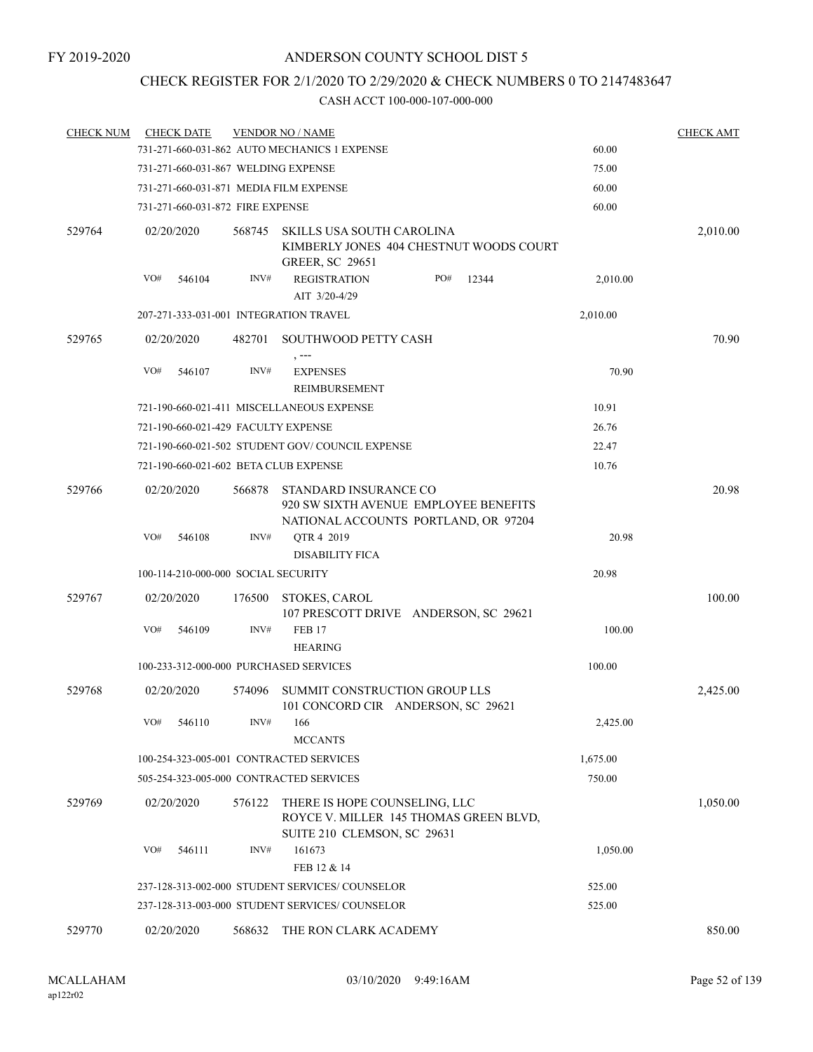# CHECK REGISTER FOR 2/1/2020 TO 2/29/2020 & CHECK NUMBERS 0 TO 2147483647

| <b>CHECK NUM</b> | <b>CHECK DATE</b>                      |        | <b>VENDOR NO / NAME</b>                                                                                |          | <b>CHECK AMT</b> |
|------------------|----------------------------------------|--------|--------------------------------------------------------------------------------------------------------|----------|------------------|
|                  |                                        |        | 731-271-660-031-862 AUTO MECHANICS 1 EXPENSE                                                           | 60.00    |                  |
|                  | 731-271-660-031-867 WELDING EXPENSE    |        |                                                                                                        | 75.00    |                  |
|                  | 731-271-660-031-871 MEDIA FILM EXPENSE |        |                                                                                                        | 60.00    |                  |
|                  | 731-271-660-031-872 FIRE EXPENSE       |        |                                                                                                        | 60.00    |                  |
| 529764           | 02/20/2020                             | 568745 | SKILLS USA SOUTH CAROLINA<br>KIMBERLY JONES 404 CHESTNUT WOODS COURT<br><b>GREER, SC 29651</b>         |          | 2,010.00         |
|                  | VO#<br>546104                          | INV#   | <b>REGISTRATION</b><br>PO#<br>12344<br>AIT 3/20-4/29                                                   | 2,010.00 |                  |
|                  | 207-271-333-031-001 INTEGRATION TRAVEL |        |                                                                                                        | 2,010.00 |                  |
| 529765           | 02/20/2020                             |        | 482701 SOUTHWOOD PETTY CASH                                                                            |          | 70.90            |
|                  | VO#<br>546107                          | INV#   | <b>EXPENSES</b><br>REIMBURSEMENT                                                                       | 70.90    |                  |
|                  |                                        |        | 721-190-660-021-411 MISCELLANEOUS EXPENSE                                                              | 10.91    |                  |
|                  | 721-190-660-021-429 FACULTY EXPENSE    |        |                                                                                                        | 26.76    |                  |
|                  |                                        |        | 721-190-660-021-502 STUDENT GOV/COUNCIL EXPENSE                                                        | 22.47    |                  |
|                  | 721-190-660-021-602 BETA CLUB EXPENSE  |        |                                                                                                        | 10.76    |                  |
| 529766           | 02/20/2020                             | 566878 | STANDARD INSURANCE CO<br>920 SW SIXTH AVENUE EMPLOYEE BENEFITS<br>NATIONAL ACCOUNTS PORTLAND, OR 97204 |          | 20.98            |
|                  | VO#<br>546108                          | INV#   | QTR 4 2019<br><b>DISABILITY FICA</b>                                                                   | 20.98    |                  |
|                  | 100-114-210-000-000 SOCIAL SECURITY    |        |                                                                                                        | 20.98    |                  |
| 529767           | 02/20/2020                             | 176500 | STOKES, CAROL<br>107 PRESCOTT DRIVE ANDERSON, SC 29621                                                 |          | 100.00           |
|                  | VO#<br>546109                          | INV#   | <b>FEB 17</b><br><b>HEARING</b>                                                                        | 100.00   |                  |
|                  | 100-233-312-000-000 PURCHASED SERVICES |        |                                                                                                        | 100.00   |                  |
| 529768           | 02/20/2020                             | 574096 | SUMMIT CONSTRUCTION GROUP LLS<br>101 CONCORD CIR ANDERSON, SC 29621                                    |          | 2,425.00         |
|                  | VO# 546110                             |        | $INV#$ 166<br><b>MCCANTS</b>                                                                           | 2,425.00 |                  |
|                  |                                        |        | 100-254-323-005-001 CONTRACTED SERVICES                                                                | 1,675.00 |                  |
|                  |                                        |        | 505-254-323-005-000 CONTRACTED SERVICES                                                                | 750.00   |                  |
| 529769           | 02/20/2020                             | 576122 | THERE IS HOPE COUNSELING, LLC<br>ROYCE V. MILLER 145 THOMAS GREEN BLVD,<br>SUITE 210 CLEMSON, SC 29631 |          | 1,050.00         |
|                  | VO#<br>546111                          | INV#   | 161673<br>FEB 12 & 14                                                                                  | 1,050.00 |                  |
|                  |                                        |        | 237-128-313-002-000 STUDENT SERVICES/COUNSELOR                                                         | 525.00   |                  |
|                  |                                        |        | 237-128-313-003-000 STUDENT SERVICES/ COUNSELOR                                                        | 525.00   |                  |
| 529770           | 02/20/2020                             |        | 568632 THE RON CLARK ACADEMY                                                                           |          | 850.00           |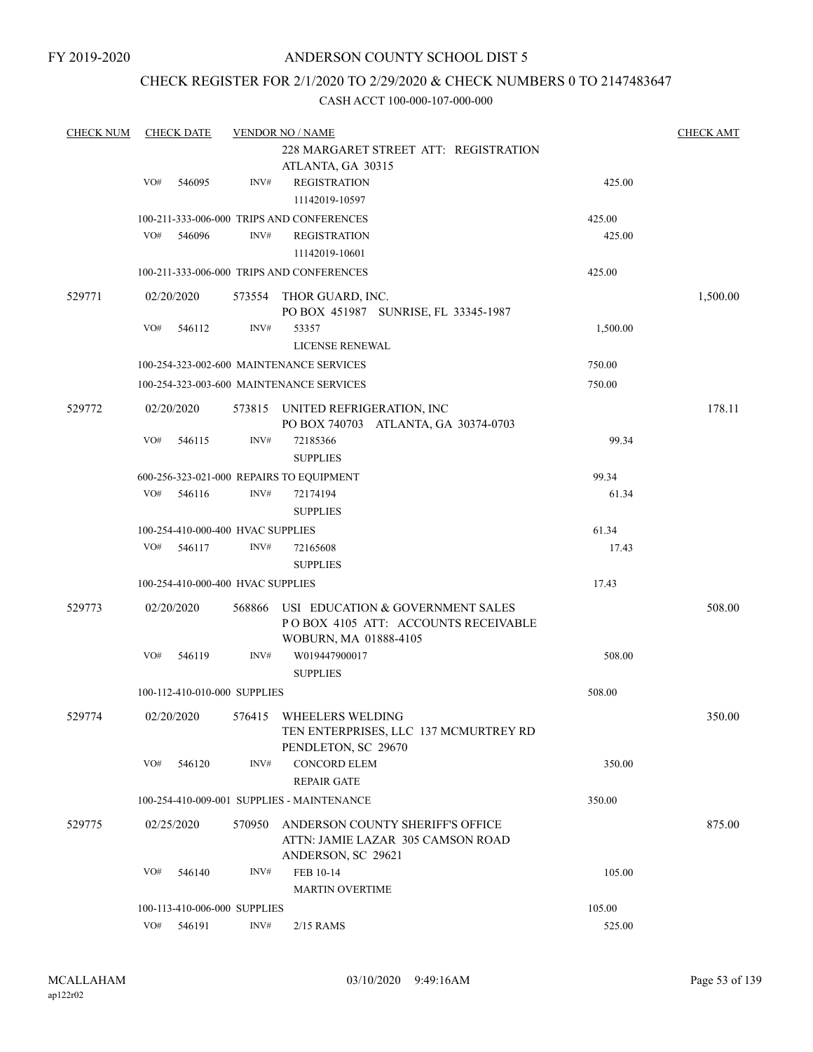### CHECK REGISTER FOR 2/1/2020 TO 2/29/2020 & CHECK NUMBERS 0 TO 2147483647

| <b>CHECK NUM</b> |     | <b>CHECK DATE</b> |                                   | <b>VENDOR NO / NAME</b>                                                  |          | <b>CHECK AMT</b> |
|------------------|-----|-------------------|-----------------------------------|--------------------------------------------------------------------------|----------|------------------|
|                  |     |                   |                                   | 228 MARGARET STREET ATT: REGISTRATION                                    |          |                  |
|                  |     |                   |                                   | ATLANTA, GA 30315                                                        |          |                  |
|                  | VO# | 546095            | INV#                              | <b>REGISTRATION</b>                                                      | 425.00   |                  |
|                  |     |                   |                                   | 11142019-10597                                                           |          |                  |
|                  |     |                   |                                   | 100-211-333-006-000 TRIPS AND CONFERENCES                                | 425.00   |                  |
|                  | VO# | 546096            | INV#                              | <b>REGISTRATION</b>                                                      | 425.00   |                  |
|                  |     |                   |                                   | 11142019-10601                                                           |          |                  |
|                  |     |                   |                                   | 100-211-333-006-000 TRIPS AND CONFERENCES                                | 425.00   |                  |
| 529771           |     | 02/20/2020        |                                   | 573554 THOR GUARD, INC.<br>PO BOX 451987 SUNRISE, FL 33345-1987          |          | 1,500.00         |
|                  | VO# | 546112            | INV#                              | 53357                                                                    | 1,500.00 |                  |
|                  |     |                   |                                   | LICENSE RENEWAL                                                          |          |                  |
|                  |     |                   |                                   |                                                                          |          |                  |
|                  |     |                   |                                   | 100-254-323-002-600 MAINTENANCE SERVICES                                 | 750.00   |                  |
|                  |     |                   |                                   | 100-254-323-003-600 MAINTENANCE SERVICES                                 | 750.00   |                  |
| 529772           |     | 02/20/2020        |                                   | 573815 UNITED REFRIGERATION, INC<br>PO BOX 740703 ATLANTA, GA 30374-0703 |          | 178.11           |
|                  | VO# | 546115            | INV#                              | 72185366                                                                 | 99.34    |                  |
|                  |     |                   |                                   | <b>SUPPLIES</b>                                                          |          |                  |
|                  |     |                   |                                   |                                                                          |          |                  |
|                  |     |                   |                                   | 600-256-323-021-000 REPAIRS TO EQUIPMENT                                 | 99.34    |                  |
|                  | VO# | 546116            | INV#                              | 72174194                                                                 | 61.34    |                  |
|                  |     |                   |                                   | <b>SUPPLIES</b>                                                          |          |                  |
|                  |     |                   | 100-254-410-000-400 HVAC SUPPLIES |                                                                          | 61.34    |                  |
|                  | VO# | 546117            | INV#                              | 72165608                                                                 | 17.43    |                  |
|                  |     |                   |                                   | <b>SUPPLIES</b>                                                          |          |                  |
|                  |     |                   | 100-254-410-000-400 HVAC SUPPLIES |                                                                          | 17.43    |                  |
| 529773           |     | 02/20/2020        | 568866                            | USI EDUCATION & GOVERNMENT SALES<br>POBOX 4105 ATT: ACCOUNTS RECEIVABLE  |          | 508.00           |
|                  |     |                   |                                   | WOBURN, MA 01888-4105                                                    |          |                  |
|                  | VO# | 546119            | INV#                              | W019447900017                                                            | 508.00   |                  |
|                  |     |                   |                                   | <b>SUPPLIES</b>                                                          |          |                  |
|                  |     |                   | 100-112-410-010-000 SUPPLIES      |                                                                          | 508.00   |                  |
| 529774           |     | 02/20/2020        | 576415                            | WHEELERS WELDING                                                         |          | 350.00           |
|                  |     |                   |                                   | TEN ENTERPRISES, LLC 137 MCMURTREY RD<br>PENDLETON, SC 29670             |          |                  |
|                  | VO# | 546120            | INV#                              | <b>CONCORD ELEM</b>                                                      | 350.00   |                  |
|                  |     |                   |                                   | <b>REPAIR GATE</b>                                                       |          |                  |
|                  |     |                   |                                   | 100-254-410-009-001 SUPPLIES - MAINTENANCE                               | 350.00   |                  |
| 529775           |     | 02/25/2020        | 570950                            | ANDERSON COUNTY SHERIFF'S OFFICE                                         |          | 875.00           |
|                  |     |                   |                                   | ATTN: JAMIE LAZAR 305 CAMSON ROAD<br>ANDERSON, SC 29621                  |          |                  |
|                  | VO# | 546140            | INV#                              | FEB 10-14                                                                | 105.00   |                  |
|                  |     |                   |                                   | <b>MARTIN OVERTIME</b>                                                   |          |                  |
|                  |     |                   | 100-113-410-006-000 SUPPLIES      |                                                                          | 105.00   |                  |
|                  | VO# | 546191            | INV#                              | 2/15 RAMS                                                                | 525.00   |                  |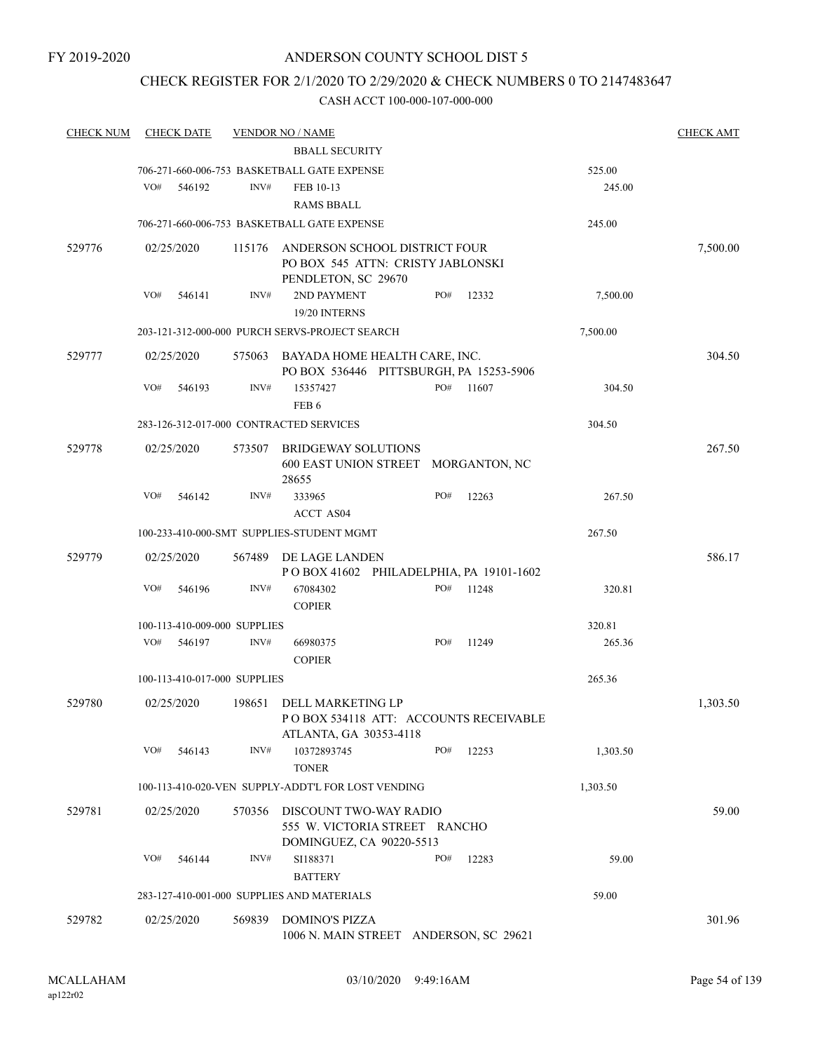### CHECK REGISTER FOR 2/1/2020 TO 2/29/2020 & CHECK NUMBERS 0 TO 2147483647

| <b>CHECK NUM</b> | <b>CHECK DATE</b>                       |        | <b>VENDOR NO / NAME</b>                                                                   |     |       |          | <b>CHECK AMT</b> |
|------------------|-----------------------------------------|--------|-------------------------------------------------------------------------------------------|-----|-------|----------|------------------|
|                  |                                         |        | <b>BBALL SECURITY</b>                                                                     |     |       |          |                  |
|                  |                                         |        | 706-271-660-006-753 BASKETBALL GATE EXPENSE                                               |     |       | 525.00   |                  |
|                  | VO#<br>546192                           | INV#   | FEB 10-13                                                                                 |     |       | 245.00   |                  |
|                  |                                         |        | <b>RAMS BBALL</b>                                                                         |     |       |          |                  |
|                  |                                         |        | 706-271-660-006-753 BASKETBALL GATE EXPENSE                                               |     |       | 245.00   |                  |
| 529776           | 02/25/2020                              | 115176 | ANDERSON SCHOOL DISTRICT FOUR<br>PO BOX 545 ATTN: CRISTY JABLONSKI<br>PENDLETON, SC 29670 |     |       |          | 7,500.00         |
|                  | VO#<br>546141                           | INV#   | 2ND PAYMENT<br>19/20 INTERNS                                                              | PO# | 12332 | 7,500.00 |                  |
|                  |                                         |        | 203-121-312-000-000 PURCH SERVS-PROJECT SEARCH                                            |     |       | 7,500.00 |                  |
| 529777           | 02/25/2020                              | 575063 | BAYADA HOME HEALTH CARE, INC.<br>PO BOX 536446 PITTSBURGH, PA 15253-5906                  |     |       |          | 304.50           |
|                  | VO#<br>546193                           | INV#   | 15357427<br>FEB <sub>6</sub>                                                              | PO# | 11607 | 304.50   |                  |
|                  | 283-126-312-017-000 CONTRACTED SERVICES |        |                                                                                           |     |       | 304.50   |                  |
| 529778           | 02/25/2020                              | 573507 | <b>BRIDGEWAY SOLUTIONS</b><br>600 EAST UNION STREET MORGANTON, NC<br>28655                |     |       |          | 267.50           |
|                  | VO#<br>546142                           | INV#   | 333965<br><b>ACCT AS04</b>                                                                | PO# | 12263 | 267.50   |                  |
|                  |                                         |        | 100-233-410-000-SMT SUPPLIES-STUDENT MGMT                                                 |     |       | 267.50   |                  |
| 529779           | 02/25/2020                              | 567489 | DE LAGE LANDEN<br>POBOX 41602 PHILADELPHIA, PA 19101-1602                                 |     |       |          | 586.17           |
|                  | VO#<br>546196                           | INV#   | 67084302<br><b>COPIER</b>                                                                 | PO# | 11248 | 320.81   |                  |
|                  | 100-113-410-009-000 SUPPLIES            |        |                                                                                           |     |       | 320.81   |                  |
|                  | VO#<br>546197                           | INV#   | 66980375<br><b>COPIER</b>                                                                 | PO# | 11249 | 265.36   |                  |
|                  | 100-113-410-017-000 SUPPLIES            |        |                                                                                           |     |       | 265.36   |                  |
| 529780           | 02/25/2020                              | 198651 | DELL MARKETING LP<br>PO BOX 534118 ATT: ACCOUNTS RECEIVABLE<br>ATLANTA, GA 30353-4118     |     |       |          | 1,303.50         |
|                  | VO#<br>546143                           | INV#   | 10372893745<br><b>TONER</b>                                                               | PO# | 12253 | 1,303.50 |                  |
|                  |                                         |        | 100-113-410-020-VEN SUPPLY-ADDT'L FOR LOST VENDING                                        |     |       | 1,303.50 |                  |
| 529781           | 02/25/2020                              | 570356 | DISCOUNT TWO-WAY RADIO<br>555 W. VICTORIA STREET RANCHO<br>DOMINGUEZ, CA 90220-5513       |     |       |          | 59.00            |
|                  | VO#<br>546144                           | INV#   | SI188371<br><b>BATTERY</b>                                                                | PO# | 12283 | 59.00    |                  |
|                  |                                         |        | 283-127-410-001-000 SUPPLIES AND MATERIALS                                                |     |       | 59.00    |                  |
| 529782           | 02/25/2020                              | 569839 | <b>DOMINO'S PIZZA</b><br>1006 N. MAIN STREET ANDERSON, SC 29621                           |     |       |          | 301.96           |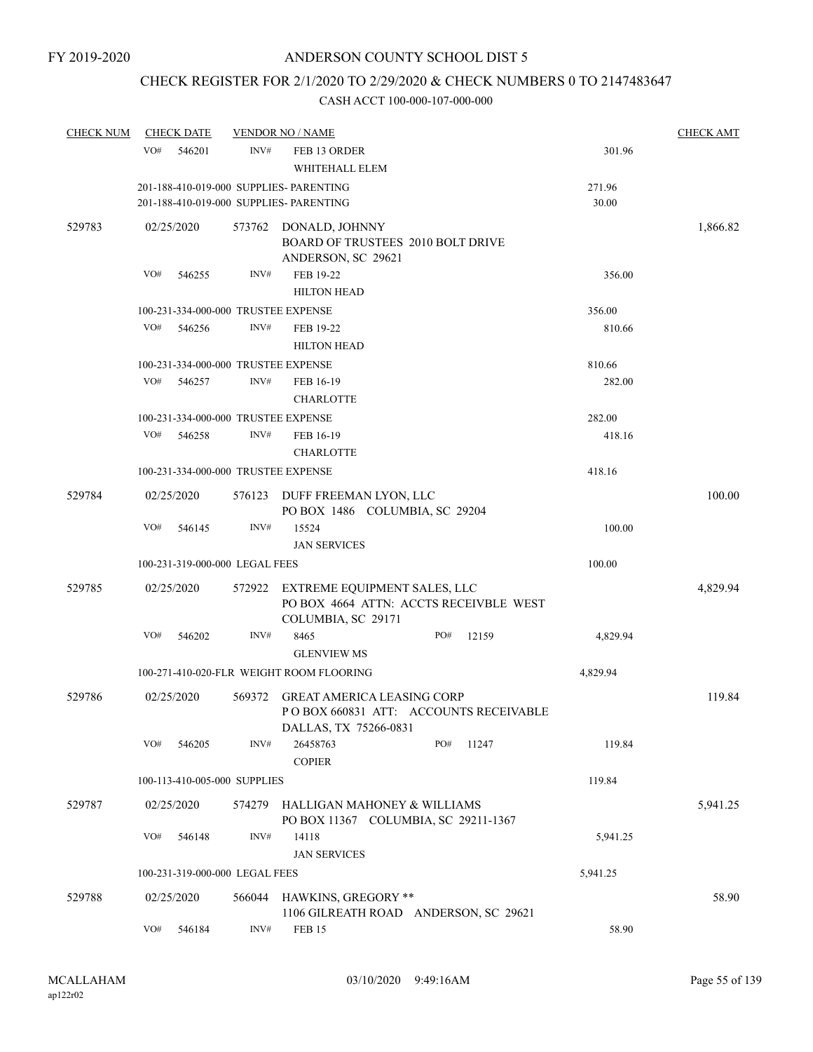# CHECK REGISTER FOR 2/1/2020 TO 2/29/2020 & CHECK NUMBERS 0 TO 2147483647

| <b>CHECK NUM</b> | <b>CHECK DATE</b> |                                |        | <b>VENDOR NO / NAME</b>                                                                             |     |       |                 | <b>CHECK AMT</b> |
|------------------|-------------------|--------------------------------|--------|-----------------------------------------------------------------------------------------------------|-----|-------|-----------------|------------------|
|                  | VO#               | 546201                         | INV#   | FEB 13 ORDER<br>WHITEHALL ELEM                                                                      |     |       | 301.96          |                  |
|                  |                   |                                |        | 201-188-410-019-000 SUPPLIES- PARENTING<br>201-188-410-019-000 SUPPLIES- PARENTING                  |     |       | 271.96<br>30.00 |                  |
| 529783           | 02/25/2020        |                                | 573762 | DONALD, JOHNNY<br>BOARD OF TRUSTEES 2010 BOLT DRIVE                                                 |     |       |                 | 1,866.82         |
|                  | VO#               | 546255                         | INV#   | ANDERSON, SC 29621<br>FEB 19-22<br><b>HILTON HEAD</b>                                               |     |       | 356.00          |                  |
|                  |                   |                                |        | 100-231-334-000-000 TRUSTEE EXPENSE                                                                 |     |       | 356.00          |                  |
|                  | VO#               | 546256                         | INV#   | FEB 19-22<br><b>HILTON HEAD</b>                                                                     |     |       | 810.66          |                  |
|                  |                   |                                |        | 100-231-334-000-000 TRUSTEE EXPENSE                                                                 |     |       | 810.66          |                  |
|                  | VO#               | 546257                         | INV#   | FEB 16-19<br><b>CHARLOTTE</b>                                                                       |     |       | 282.00          |                  |
|                  |                   |                                |        | 100-231-334-000-000 TRUSTEE EXPENSE                                                                 |     |       | 282.00          |                  |
|                  | VO#               | 546258                         | INV#   | FEB 16-19<br><b>CHARLOTTE</b>                                                                       |     |       | 418.16          |                  |
|                  |                   |                                |        | 100-231-334-000-000 TRUSTEE EXPENSE                                                                 |     |       | 418.16          |                  |
| 529784           | 02/25/2020        |                                | 576123 | DUFF FREEMAN LYON, LLC<br>PO BOX 1486 COLUMBIA, SC 29204                                            |     |       |                 | 100.00           |
|                  | VO#               | 546145                         | INV#   | 15524<br><b>JAN SERVICES</b>                                                                        |     |       | 100.00          |                  |
|                  |                   | 100-231-319-000-000 LEGAL FEES |        |                                                                                                     |     |       | 100.00          |                  |
|                  |                   |                                |        |                                                                                                     |     |       |                 |                  |
| 529785           | 02/25/2020        |                                | 572922 | EXTREME EQUIPMENT SALES, LLC<br>PO BOX 4664 ATTN: ACCTS RECEIVBLE WEST<br>COLUMBIA, SC 29171        |     |       |                 | 4,829.94         |
|                  | VO#               | 546202                         | INV#   | 8465                                                                                                | PO# | 12159 | 4,829.94        |                  |
|                  |                   |                                |        | <b>GLENVIEW MS</b>                                                                                  |     |       |                 |                  |
|                  |                   |                                |        | 100-271-410-020-FLR WEIGHT ROOM FLOORING                                                            |     |       | 4,829.94        |                  |
| 529786           | 02/25/2020        |                                | 569372 | <b>GREAT AMERICA LEASING CORP</b><br>POBOX 660831 ATT: ACCOUNTS RECEIVABLE<br>DALLAS, TX 75266-0831 |     |       |                 | 119.84           |
|                  | VO#               | 546205                         | INV#   | 26458763<br><b>COPIER</b>                                                                           | PO# | 11247 | 119.84          |                  |
|                  |                   | 100-113-410-005-000 SUPPLIES   |        |                                                                                                     |     |       | 119.84          |                  |
| 529787           | 02/25/2020        |                                | 574279 | HALLIGAN MAHONEY & WILLIAMS<br>PO BOX 11367 COLUMBIA, SC 29211-1367                                 |     |       |                 | 5,941.25         |
|                  | VO#               | 546148                         | INV#   | 14118<br><b>JAN SERVICES</b>                                                                        |     |       | 5,941.25        |                  |
|                  |                   | 100-231-319-000-000 LEGAL FEES |        |                                                                                                     |     |       | 5,941.25        |                  |
| 529788           | 02/25/2020        |                                | 566044 | HAWKINS, GREGORY **                                                                                 |     |       |                 | 58.90            |
|                  | VO#               | 546184                         | INV#   | 1106 GILREATH ROAD ANDERSON, SC 29621<br><b>FEB 15</b>                                              |     |       | 58.90           |                  |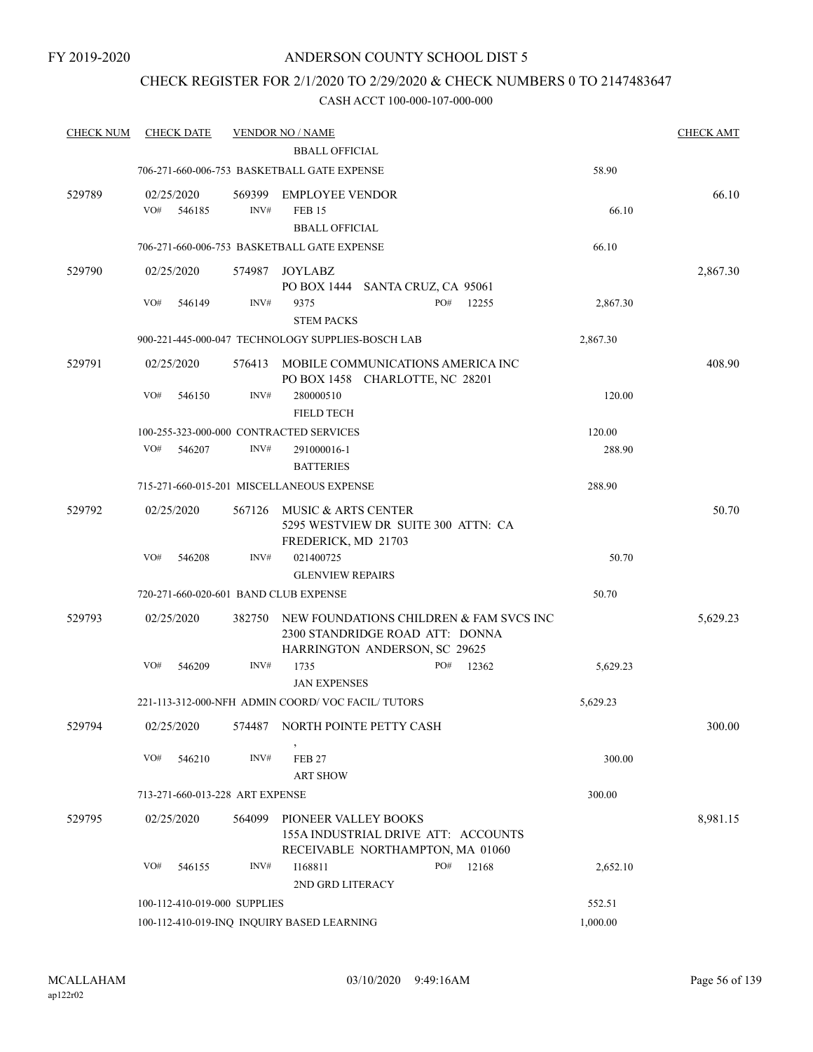### CHECK REGISTER FOR 2/1/2020 TO 2/29/2020 & CHECK NUMBERS 0 TO 2147483647

| <b>CHECK NUM</b> |                   | <b>CHECK DATE</b> |                                 | <b>VENDOR NO / NAME</b>                                                                                     |     |       |          | <b>CHECK AMT</b> |
|------------------|-------------------|-------------------|---------------------------------|-------------------------------------------------------------------------------------------------------------|-----|-------|----------|------------------|
|                  |                   |                   |                                 | <b>BBALL OFFICIAL</b>                                                                                       |     |       |          |                  |
|                  |                   |                   |                                 | 706-271-660-006-753 BASKETBALL GATE EXPENSE                                                                 |     |       | 58.90    |                  |
| 529789           | 02/25/2020<br>VO# | 546185            | 569399<br>INV#                  | <b>EMPLOYEE VENDOR</b><br><b>FEB 15</b><br><b>BBALL OFFICIAL</b>                                            |     |       | 66.10    | 66.10            |
|                  |                   |                   |                                 | 706-271-660-006-753 BASKETBALL GATE EXPENSE                                                                 |     |       | 66.10    |                  |
| 529790           | 02/25/2020        |                   | 574987                          | JOYLABZ<br>PO BOX 1444 SANTA CRUZ, CA 95061                                                                 |     |       |          | 2,867.30         |
|                  | VO#               | 546149            | INV#                            | 9375<br><b>STEM PACKS</b>                                                                                   | PO# | 12255 | 2,867.30 |                  |
|                  |                   |                   |                                 | 900-221-445-000-047 TECHNOLOGY SUPPLIES-BOSCH LAB                                                           |     |       | 2,867.30 |                  |
| 529791           | 02/25/2020        |                   | 576413                          | MOBILE COMMUNICATIONS AMERICA INC<br>PO BOX 1458 CHARLOTTE, NC 28201                                        |     |       |          | 408.90           |
|                  | VO#               | 546150            | INV#                            | 280000510<br><b>FIELD TECH</b>                                                                              |     |       | 120.00   |                  |
|                  |                   |                   |                                 | 100-255-323-000-000 CONTRACTED SERVICES                                                                     |     |       | 120.00   |                  |
|                  | VO#               | 546207            | INV#                            | 291000016-1<br><b>BATTERIES</b>                                                                             |     |       | 288.90   |                  |
|                  |                   |                   |                                 | 715-271-660-015-201 MISCELLANEOUS EXPENSE                                                                   |     |       | 288.90   |                  |
| 529792           | 02/25/2020        |                   | 567126                          | MUSIC & ARTS CENTER<br>5295 WESTVIEW DR SUITE 300 ATTN: CA<br>FREDERICK, MD 21703                           |     |       |          | 50.70            |
|                  | VO#               | 546208            | INV#                            | 021400725                                                                                                   |     |       | 50.70    |                  |
|                  |                   |                   |                                 | <b>GLENVIEW REPAIRS</b>                                                                                     |     |       |          |                  |
|                  |                   |                   |                                 | 720-271-660-020-601 BAND CLUB EXPENSE                                                                       |     |       | 50.70    |                  |
| 529793           | 02/25/2020        |                   | 382750                          | NEW FOUNDATIONS CHILDREN & FAM SVCS INC<br>2300 STANDRIDGE ROAD ATT: DONNA<br>HARRINGTON ANDERSON, SC 29625 |     |       |          | 5,629.23         |
|                  | VO#               | 546209            | INV#                            | 1735<br><b>JAN EXPENSES</b>                                                                                 | PO# | 12362 | 5,629.23 |                  |
|                  |                   |                   |                                 | 221-113-312-000-NFH ADMIN COORD/VOC FACIL/TUTORS                                                            |     |       | 5,629.23 |                  |
| 529794           | 02/25/2020        |                   | 574487                          | NORTH POINTE PETTY CASH                                                                                     |     |       |          | 300.00           |
|                  | VO#               | 546210            | INV#                            | <b>FEB 27</b><br><b>ART SHOW</b>                                                                            |     |       | 300.00   |                  |
|                  |                   |                   | 713-271-660-013-228 ART EXPENSE |                                                                                                             |     |       | 300.00   |                  |
| 529795           | 02/25/2020        |                   | 564099                          | PIONEER VALLEY BOOKS<br>155A INDUSTRIAL DRIVE ATT: ACCOUNTS<br>RECEIVABLE NORTHAMPTON, MA 01060             |     |       |          | 8,981.15         |
|                  | VO#               | 546155            | INV#                            | I168811<br>2ND GRD LITERACY                                                                                 | PO# | 12168 | 2,652.10 |                  |
|                  |                   |                   | 100-112-410-019-000 SUPPLIES    |                                                                                                             |     |       | 552.51   |                  |
|                  |                   |                   |                                 | 100-112-410-019-INQ INQUIRY BASED LEARNING                                                                  |     |       | 1,000.00 |                  |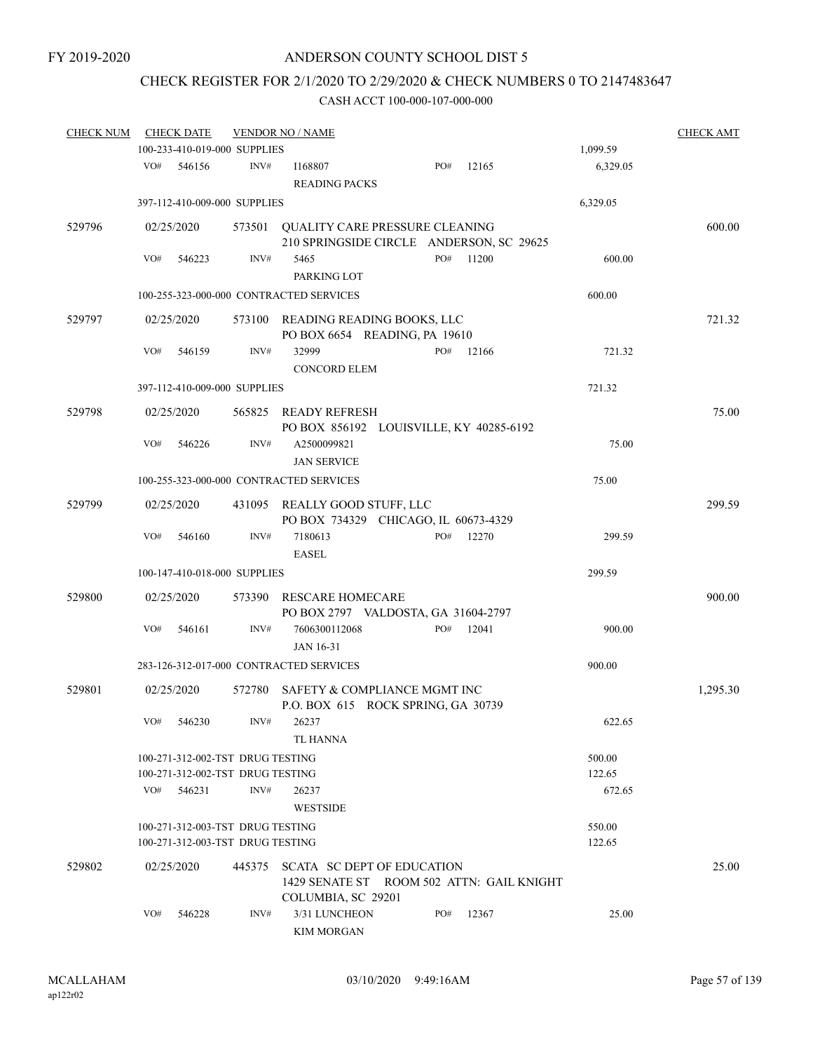# CHECK REGISTER FOR 2/1/2020 TO 2/29/2020 & CHECK NUMBERS 0 TO 2147483647

| <b>CHECK NUM</b> |     | <b>CHECK DATE</b>                |        | <b>VENDOR NO / NAME</b>                                                        |     |       |          | <b>CHECK AMT</b> |
|------------------|-----|----------------------------------|--------|--------------------------------------------------------------------------------|-----|-------|----------|------------------|
|                  |     | 100-233-410-019-000 SUPPLIES     |        |                                                                                |     |       | 1,099.59 |                  |
|                  | VO# | 546156                           | INV#   | I168807<br><b>READING PACKS</b>                                                | PO# | 12165 | 6,329.05 |                  |
|                  |     | 397-112-410-009-000 SUPPLIES     |        |                                                                                |     |       | 6,329.05 |                  |
| 529796           |     | 02/25/2020                       |        | 573501 QUALITY CARE PRESSURE CLEANING                                          |     |       |          | 600.00           |
|                  |     |                                  |        | 210 SPRINGSIDE CIRCLE ANDERSON, SC 29625                                       |     |       |          |                  |
|                  | VO# | 546223                           | INV#   | 5465<br>PARKING LOT                                                            | PO# | 11200 | 600.00   |                  |
|                  |     |                                  |        | 100-255-323-000-000 CONTRACTED SERVICES                                        |     |       | 600.00   |                  |
| 529797           |     | 02/25/2020                       | 573100 | READING READING BOOKS, LLC<br>PO BOX 6654 READING, PA 19610                    |     |       |          | 721.32           |
|                  | VO# | 546159                           | INV#   | 32999<br><b>CONCORD ELEM</b>                                                   | PO# | 12166 | 721.32   |                  |
|                  |     | 397-112-410-009-000 SUPPLIES     |        |                                                                                |     |       | 721.32   |                  |
| 529798           |     | 02/25/2020                       |        | 565825 READY REFRESH                                                           |     |       |          | 75.00            |
|                  |     |                                  |        | PO BOX 856192 LOUISVILLE, KY 40285-6192                                        |     |       |          |                  |
|                  | VO# | 546226                           | INV#   | A2500099821<br><b>JAN SERVICE</b>                                              |     |       | 75.00    |                  |
|                  |     |                                  |        | 100-255-323-000-000 CONTRACTED SERVICES                                        |     |       | 75.00    |                  |
| 529799           |     |                                  |        |                                                                                |     |       |          |                  |
|                  |     | 02/25/2020                       |        | 431095 REALLY GOOD STUFF, LLC<br>PO BOX 734329 CHICAGO, IL 60673-4329          |     |       |          | 299.59           |
|                  | VO# | 546160                           | INV#   | 7180613<br><b>EASEL</b>                                                        | PO# | 12270 | 299.59   |                  |
|                  |     | 100-147-410-018-000 SUPPLIES     |        |                                                                                |     |       | 299.59   |                  |
| 529800           |     | 02/25/2020                       | 573390 | RESCARE HOMECARE                                                               |     |       |          | 900.00           |
|                  | VO# | 546161                           | INV#   | PO BOX 2797 VALDOSTA, GA 31604-2797<br>7606300112068                           | PO# | 12041 | 900.00   |                  |
|                  |     |                                  |        | <b>JAN 16-31</b>                                                               |     |       |          |                  |
|                  |     |                                  |        | 283-126-312-017-000 CONTRACTED SERVICES                                        |     |       | 900.00   |                  |
| 529801           |     | 02/25/2020                       | 572780 | SAFETY & COMPLIANCE MGMT INC<br>P.O. BOX 615 ROCK SPRING, GA 30739             |     |       |          | 1,295.30         |
|                  |     | VO# 546230                       |        | INV# 26237                                                                     |     |       | 622.65   |                  |
|                  |     |                                  |        | <b>TL HANNA</b>                                                                |     |       |          |                  |
|                  |     | 100-271-312-002-TST DRUG TESTING |        |                                                                                |     |       | 500.00   |                  |
|                  |     | 100-271-312-002-TST DRUG TESTING |        |                                                                                |     |       | 122.65   |                  |
|                  | VO# | 546231                           | INV#   | 26237<br><b>WESTSIDE</b>                                                       |     |       | 672.65   |                  |
|                  |     | 100-271-312-003-TST DRUG TESTING |        |                                                                                |     |       | 550.00   |                  |
|                  |     | 100-271-312-003-TST DRUG TESTING |        |                                                                                |     |       | 122.65   |                  |
| 529802           |     | 02/25/2020                       | 445375 | <b>SCATA SC DEPT OF EDUCATION</b><br>1429 SENATE ST ROOM 502 ATTN: GAIL KNIGHT |     |       |          | 25.00            |
|                  | VO# | 546228                           | INV#   | COLUMBIA, SC 29201<br>3/31 LUNCHEON<br><b>KIM MORGAN</b>                       | PO# | 12367 | 25.00    |                  |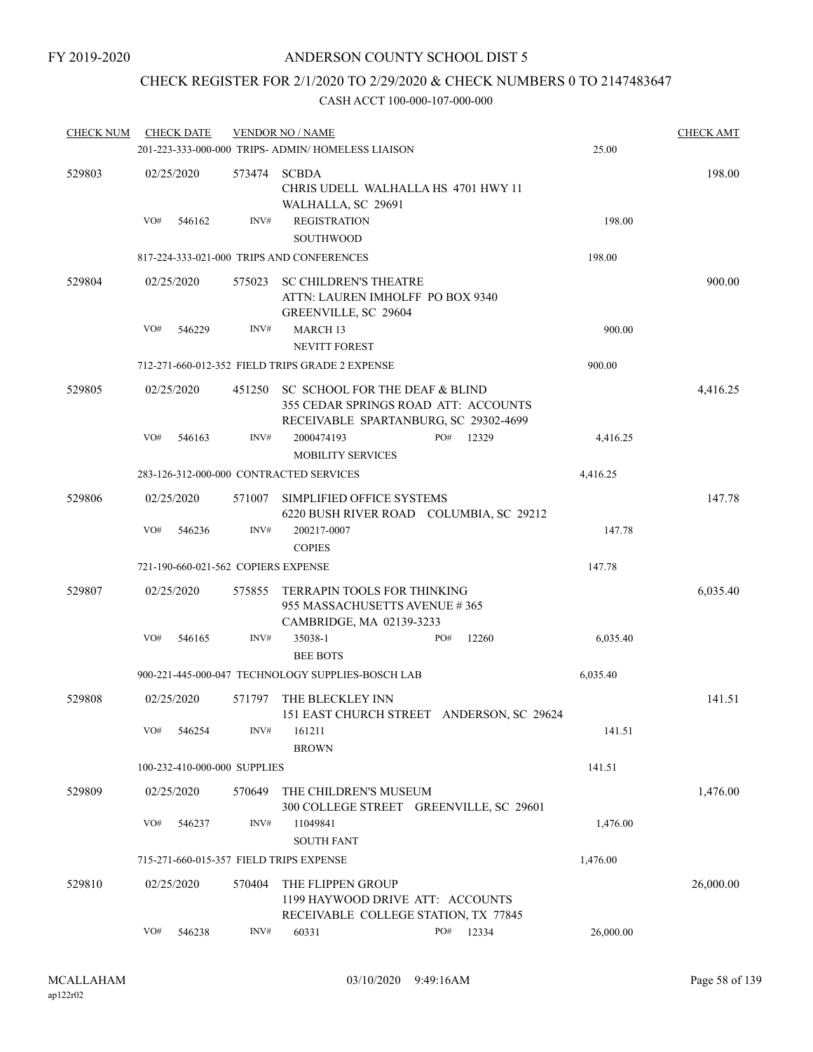### CHECK REGISTER FOR 2/1/2020 TO 2/29/2020 & CHECK NUMBERS 0 TO 2147483647

| <b>CHECK NUM</b> |     | <b>CHECK DATE</b>                   |        | <b>VENDOR NO / NAME</b>                                                                                         |     |       |           | <b>CHECK AMT</b> |
|------------------|-----|-------------------------------------|--------|-----------------------------------------------------------------------------------------------------------------|-----|-------|-----------|------------------|
|                  |     |                                     |        | 201-223-333-000-000 TRIPS- ADMIN/ HOMELESS LIAISON                                                              |     |       | 25.00     |                  |
| 529803           |     | 02/25/2020                          | 573474 | <b>SCBDA</b><br>CHRIS UDELL WALHALLA HS 4701 HWY 11<br>WALHALLA, SC 29691                                       |     |       |           | 198.00           |
|                  | VO# | 546162                              | INV#   | <b>REGISTRATION</b><br>SOUTHWOOD                                                                                |     |       | 198.00    |                  |
|                  |     |                                     |        | 817-224-333-021-000 TRIPS AND CONFERENCES                                                                       |     |       | 198.00    |                  |
| 529804           |     | 02/25/2020                          | 575023 | <b>SC CHILDREN'S THEATRE</b><br>ATTN: LAUREN IMHOLFF PO BOX 9340<br>GREENVILLE, SC 29604                        |     |       |           | 900.00           |
|                  | VO# | 546229                              | INV#   | MARCH <sub>13</sub><br><b>NEVITT FOREST</b>                                                                     |     |       | 900.00    |                  |
|                  |     |                                     |        | 712-271-660-012-352 FIELD TRIPS GRADE 2 EXPENSE                                                                 |     |       | 900.00    |                  |
| 529805           |     | 02/25/2020                          | 451250 | SC SCHOOL FOR THE DEAF & BLIND<br>355 CEDAR SPRINGS ROAD ATT: ACCOUNTS<br>RECEIVABLE SPARTANBURG, SC 29302-4699 |     |       |           | 4,416.25         |
|                  | VO# | 546163                              | INV#   | 2000474193<br><b>MOBILITY SERVICES</b>                                                                          | PO# | 12329 | 4,416.25  |                  |
|                  |     |                                     |        | 283-126-312-000-000 CONTRACTED SERVICES                                                                         |     |       | 4,416.25  |                  |
| 529806           |     | 02/25/2020                          | 571007 | SIMPLIFIED OFFICE SYSTEMS<br>6220 BUSH RIVER ROAD COLUMBIA, SC 29212                                            |     |       |           | 147.78           |
|                  | VO# | 546236                              | INV#   | 200217-0007<br><b>COPIES</b>                                                                                    |     |       | 147.78    |                  |
|                  |     | 721-190-660-021-562 COPIERS EXPENSE |        |                                                                                                                 |     |       | 147.78    |                  |
| 529807           |     | 02/25/2020                          | 575855 | TERRAPIN TOOLS FOR THINKING<br>955 MASSACHUSETTS AVENUE #365                                                    |     |       |           | 6,035.40         |
|                  | VO# | 546165                              | INV#   | CAMBRIDGE, MA 02139-3233<br>35038-1<br><b>BEE BOTS</b>                                                          | PO# | 12260 | 6,035.40  |                  |
|                  |     |                                     |        | 900-221-445-000-047 TECHNOLOGY SUPPLIES-BOSCH LAB                                                               |     |       | 6,035.40  |                  |
| 529808           |     | 02/25/2020                          | 571797 | THE BLECKLEY INN<br>151 EAST CHURCH STREET ANDERSON, SC 29624                                                   |     |       |           | 141.51           |
|                  | VO# | 546254                              | INV#   | 161211<br><b>BROWN</b>                                                                                          |     |       | 141.51    |                  |
|                  |     | 100-232-410-000-000 SUPPLIES        |        |                                                                                                                 |     |       | 141.51    |                  |
| 529809           |     | 02/25/2020                          | 570649 | THE CHILDREN'S MUSEUM<br>300 COLLEGE STREET GREENVILLE, SC 29601                                                |     |       |           | 1,476.00         |
|                  | VO# | 546237                              | INV#   | 11049841<br><b>SOUTH FANT</b>                                                                                   |     |       | 1,476.00  |                  |
|                  |     |                                     |        | 715-271-660-015-357 FIELD TRIPS EXPENSE                                                                         |     |       | 1,476.00  |                  |
| 529810           |     | 02/25/2020                          | 570404 | THE FLIPPEN GROUP<br>1199 HAYWOOD DRIVE ATT: ACCOUNTS                                                           |     |       |           | 26,000.00        |
|                  |     |                                     |        | RECEIVABLE COLLEGE STATION, TX 77845                                                                            |     |       |           |                  |
|                  | VO# | 546238                              | INV#   | 60331                                                                                                           | PO# | 12334 | 26,000.00 |                  |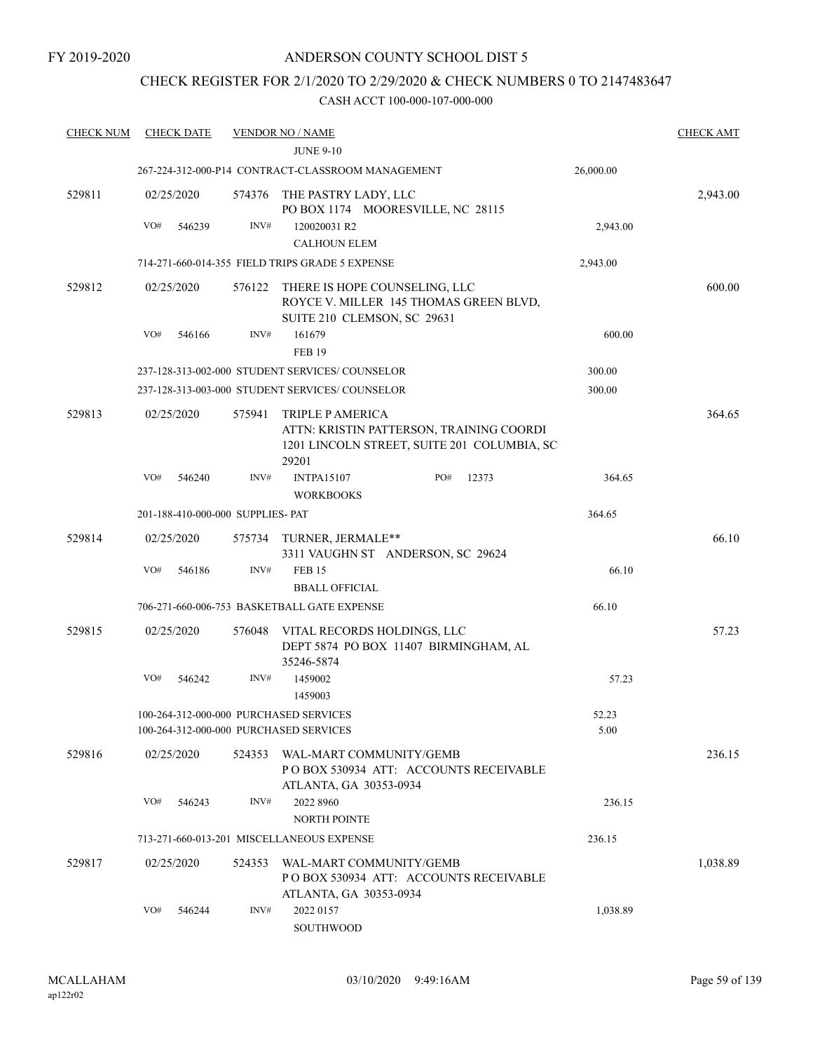# CHECK REGISTER FOR 2/1/2020 TO 2/29/2020 & CHECK NUMBERS 0 TO 2147483647

| <b>CHECK NUM</b> | <b>CHECK DATE</b> |                                        | <b>VENDOR NO / NAME</b>                                                                                                     |     |       |           | <b>CHECK AMT</b> |
|------------------|-------------------|----------------------------------------|-----------------------------------------------------------------------------------------------------------------------------|-----|-------|-----------|------------------|
|                  |                   |                                        | <b>JUNE 9-10</b>                                                                                                            |     |       |           |                  |
|                  |                   |                                        | 267-224-312-000-P14 CONTRACT-CLASSROOM MANAGEMENT                                                                           |     |       | 26,000.00 |                  |
| 529811           | 02/25/2020        | 574376                                 | THE PASTRY LADY, LLC<br>PO BOX 1174 MOORESVILLE, NC 28115                                                                   |     |       |           | 2,943.00         |
|                  | VO#               | INV#<br>546239                         | 120020031 R2                                                                                                                |     |       | 2,943.00  |                  |
|                  |                   |                                        | <b>CALHOUN ELEM</b>                                                                                                         |     |       |           |                  |
|                  |                   |                                        | 714-271-660-014-355 FIELD TRIPS GRADE 5 EXPENSE                                                                             |     |       | 2,943.00  |                  |
| 529812           | 02/25/2020        | 576122                                 | THERE IS HOPE COUNSELING, LLC<br>ROYCE V. MILLER 145 THOMAS GREEN BLVD,<br>SUITE 210 CLEMSON, SC 29631                      |     |       |           | 600.00           |
|                  | VO#               | INV#<br>546166                         | 161679<br><b>FEB 19</b>                                                                                                     |     |       | 600.00    |                  |
|                  |                   |                                        | 237-128-313-002-000 STUDENT SERVICES/COUNSELOR                                                                              |     |       | 300.00    |                  |
|                  |                   |                                        | 237-128-313-003-000 STUDENT SERVICES/COUNSELOR                                                                              |     |       | 300.00    |                  |
| 529813           | 02/25/2020        | 575941                                 | <b>TRIPLE P AMERICA</b><br>ATTN: KRISTIN PATTERSON, TRAINING COORDI<br>1201 LINCOLN STREET, SUITE 201 COLUMBIA, SC<br>29201 |     |       |           | 364.65           |
|                  | VO#               | 546240<br>INV#                         | <b>INTPA15107</b><br><b>WORKBOOKS</b>                                                                                       | PO# | 12373 | 364.65    |                  |
|                  |                   | 201-188-410-000-000 SUPPLIES- PAT      |                                                                                                                             |     |       | 364.65    |                  |
| 529814           | 02/25/2020        | 575734                                 | TURNER, JERMALE**<br>3311 VAUGHN ST ANDERSON, SC 29624                                                                      |     |       |           | 66.10            |
|                  | VO#               | INV#<br>546186                         | <b>FEB 15</b><br><b>BBALL OFFICIAL</b>                                                                                      |     |       | 66.10     |                  |
|                  |                   |                                        | 706-271-660-006-753 BASKETBALL GATE EXPENSE                                                                                 |     |       | 66.10     |                  |
| 529815           | 02/25/2020        | 576048                                 | VITAL RECORDS HOLDINGS, LLC<br>DEPT 5874 PO BOX 11407 BIRMINGHAM, AL<br>35246-5874                                          |     |       |           | 57.23            |
|                  | VO#               | INV#<br>546242                         | 1459002<br>1459003                                                                                                          |     |       | 57.23     |                  |
|                  |                   | 100-264-312-000-000 PURCHASED SERVICES |                                                                                                                             |     |       | 52.23     |                  |
|                  |                   | 100-264-312-000-000 PURCHASED SERVICES |                                                                                                                             |     |       | 5.00      |                  |
| 529816           | 02/25/2020        | 524353                                 | WAL-MART COMMUNITY/GEMB<br>POBOX 530934 ATT: ACCOUNTS RECEIVABLE<br>ATLANTA, GA 30353-0934                                  |     |       |           | 236.15           |
|                  | VO#               | INV#<br>546243                         | 2022 8960<br><b>NORTH POINTE</b>                                                                                            |     |       | 236.15    |                  |
|                  |                   |                                        | 713-271-660-013-201 MISCELLANEOUS EXPENSE                                                                                   |     |       | 236.15    |                  |
| 529817           | 02/25/2020        | 524353                                 | WAL-MART COMMUNITY/GEMB<br>POBOX 530934 ATT: ACCOUNTS RECEIVABLE<br>ATLANTA, GA 30353-0934                                  |     |       |           | 1,038.89         |
|                  | VO#               | INV#<br>546244                         | 2022 0157<br>SOUTHWOOD                                                                                                      |     |       | 1,038.89  |                  |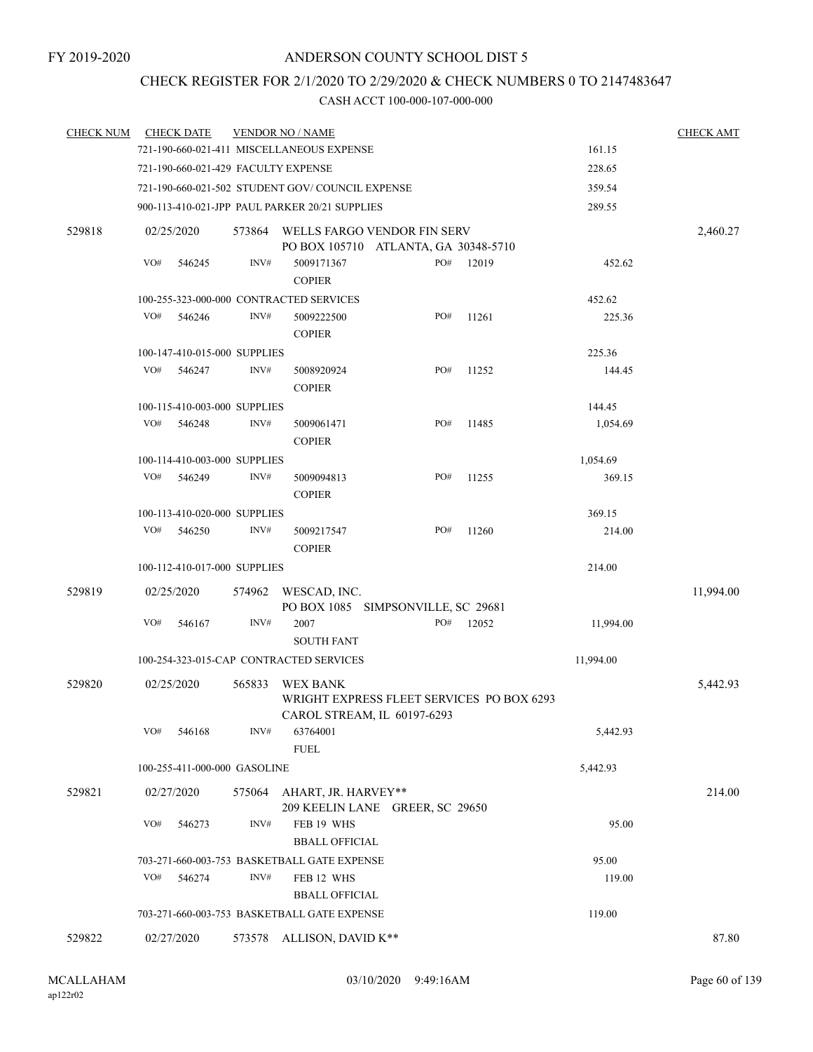# CHECK REGISTER FOR 2/1/2020 TO 2/29/2020 & CHECK NUMBERS 0 TO 2147483647

| <b>CHECK NUM</b> |     | <b>CHECK DATE</b>                   |                | <b>VENDOR NO / NAME</b>                                |     |       |           | <b>CHECK AMT</b> |
|------------------|-----|-------------------------------------|----------------|--------------------------------------------------------|-----|-------|-----------|------------------|
|                  |     |                                     |                | 721-190-660-021-411 MISCELLANEOUS EXPENSE              |     |       | 161.15    |                  |
|                  |     | 721-190-660-021-429 FACULTY EXPENSE |                |                                                        |     |       | 228.65    |                  |
|                  |     |                                     |                | 721-190-660-021-502 STUDENT GOV/COUNCIL EXPENSE        |     |       | 359.54    |                  |
|                  |     |                                     |                | 900-113-410-021-JPP PAUL PARKER 20/21 SUPPLIES         |     |       | 289.55    |                  |
| 529818           |     | 02/25/2020                          | 573864         | WELLS FARGO VENDOR FIN SERV                            |     |       |           | 2,460.27         |
|                  |     |                                     |                | PO BOX 105710 ATLANTA, GA 30348-5710                   |     |       |           |                  |
|                  | VO# | 546245                              | INV#           | 5009171367                                             | PO# | 12019 | 452.62    |                  |
|                  |     |                                     |                | <b>COPIER</b>                                          |     |       |           |                  |
|                  |     |                                     |                | 100-255-323-000-000 CONTRACTED SERVICES                |     |       | 452.62    |                  |
|                  | VO# | 546246                              | INV#           | 5009222500                                             | PO# | 11261 | 225.36    |                  |
|                  |     |                                     |                | <b>COPIER</b>                                          |     |       |           |                  |
|                  |     | 100-147-410-015-000 SUPPLIES        |                |                                                        |     |       | 225.36    |                  |
|                  | VO# | 546247                              | INV#           | 5008920924                                             | PO# | 11252 | 144.45    |                  |
|                  |     |                                     |                | <b>COPIER</b>                                          |     |       |           |                  |
|                  |     | 100-115-410-003-000 SUPPLIES        |                |                                                        |     |       | 144.45    |                  |
|                  | VO# | 546248                              | $\text{INV}\#$ | 5009061471                                             | PO# | 11485 | 1,054.69  |                  |
|                  |     |                                     |                | <b>COPIER</b>                                          |     |       |           |                  |
|                  |     | 100-114-410-003-000 SUPPLIES        |                |                                                        |     |       | 1,054.69  |                  |
|                  | VO# | 546249                              | INV#           | 5009094813                                             | PO# | 11255 | 369.15    |                  |
|                  |     |                                     |                | <b>COPIER</b>                                          |     |       |           |                  |
|                  |     | 100-113-410-020-000 SUPPLIES        |                |                                                        |     |       | 369.15    |                  |
|                  | VO# | 546250                              | INV#           | 5009217547                                             | PO# | 11260 | 214.00    |                  |
|                  |     |                                     |                | <b>COPIER</b>                                          |     |       |           |                  |
|                  |     | 100-112-410-017-000 SUPPLIES        |                |                                                        |     |       | 214.00    |                  |
| 529819           |     | 02/25/2020                          | 574962         | WESCAD, INC.                                           |     |       |           | 11,994.00        |
|                  |     |                                     |                | PO BOX 1085 SIMPSONVILLE, SC 29681                     |     |       |           |                  |
|                  | VO# | 546167                              | INV#           | 2007                                                   | PO# | 12052 | 11,994.00 |                  |
|                  |     |                                     |                | <b>SOUTH FANT</b>                                      |     |       |           |                  |
|                  |     |                                     |                | 100-254-323-015-CAP CONTRACTED SERVICES                |     |       | 11,994.00 |                  |
| 529820           |     | 02/25/2020                          | 565833         | <b>WEX BANK</b>                                        |     |       |           | 5,442.93         |
|                  |     |                                     |                | WRIGHT EXPRESS FLEET SERVICES PO BOX 6293              |     |       |           |                  |
|                  |     |                                     |                | CAROL STREAM, IL 60197-6293                            |     |       |           |                  |
|                  | VO# | 546168                              | INV#           | 63764001                                               |     |       | 5,442.93  |                  |
|                  |     |                                     |                | <b>FUEL</b>                                            |     |       |           |                  |
|                  |     | 100-255-411-000-000 GASOLINE        |                |                                                        |     |       | 5,442.93  |                  |
| 529821           |     | 02/27/2020                          | 575064         | AHART, JR. HARVEY**<br>209 KEELIN LANE GREER, SC 29650 |     |       |           | 214.00           |
|                  | VO# | 546273                              | INV#           | FEB 19 WHS                                             |     |       | 95.00     |                  |
|                  |     |                                     |                | <b>BBALL OFFICIAL</b>                                  |     |       |           |                  |
|                  |     |                                     |                | 703-271-660-003-753 BASKETBALL GATE EXPENSE            |     |       | 95.00     |                  |
|                  | VO# | 546274                              | INV#           | FEB 12 WHS                                             |     |       | 119.00    |                  |
|                  |     |                                     |                | <b>BBALL OFFICIAL</b>                                  |     |       |           |                  |
|                  |     |                                     |                | 703-271-660-003-753 BASKETBALL GATE EXPENSE            |     |       | 119.00    |                  |
|                  |     |                                     |                |                                                        |     |       |           |                  |
| 529822           |     | 02/27/2020                          | 573578         | ALLISON, DAVID K**                                     |     |       |           | 87.80            |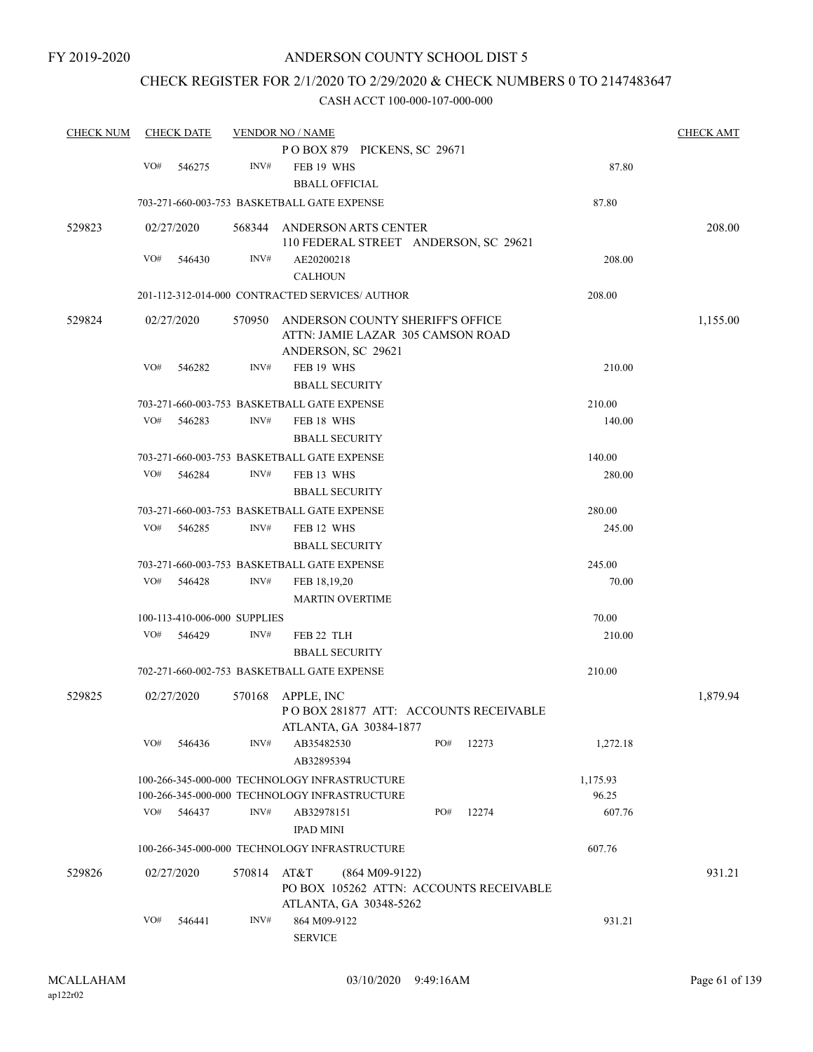### CHECK REGISTER FOR 2/1/2020 TO 2/29/2020 & CHECK NUMBERS 0 TO 2147483647

| <b>CHECK NUM</b> |     | <b>CHECK DATE</b> |                              | <b>VENDOR NO / NAME</b>                         |                  |     |       |          |          |  |
|------------------|-----|-------------------|------------------------------|-------------------------------------------------|------------------|-----|-------|----------|----------|--|
|                  |     |                   |                              | POBOX 879 PICKENS, SC 29671                     |                  |     |       |          |          |  |
|                  | VO# | 546275            | INV#                         | FEB 19 WHS                                      |                  |     |       | 87.80    |          |  |
|                  |     |                   |                              | <b>BBALL OFFICIAL</b>                           |                  |     |       |          |          |  |
|                  |     |                   |                              | 703-271-660-003-753 BASKETBALL GATE EXPENSE     |                  |     |       | 87.80    |          |  |
| 529823           |     | 02/27/2020        | 568344                       | ANDERSON ARTS CENTER                            |                  |     |       |          | 208.00   |  |
|                  |     |                   |                              | 110 FEDERAL STREET ANDERSON, SC 29621           |                  |     |       |          |          |  |
|                  | VO# | 546430            | INV#                         | AE20200218                                      |                  |     |       | 208.00   |          |  |
|                  |     |                   |                              | <b>CALHOUN</b>                                  |                  |     |       |          |          |  |
|                  |     |                   |                              | 201-112-312-014-000 CONTRACTED SERVICES/ AUTHOR |                  |     |       | 208.00   |          |  |
| 529824           |     | 02/27/2020        | 570950                       | ANDERSON COUNTY SHERIFF'S OFFICE                |                  |     |       |          | 1,155.00 |  |
|                  |     |                   |                              | ATTN: JAMIE LAZAR 305 CAMSON ROAD               |                  |     |       |          |          |  |
|                  |     |                   |                              | ANDERSON, SC 29621                              |                  |     |       |          |          |  |
|                  | VO# | 546282            | INV#                         | FEB 19 WHS                                      |                  |     |       | 210.00   |          |  |
|                  |     |                   |                              | <b>BBALL SECURITY</b>                           |                  |     |       |          |          |  |
|                  |     |                   |                              | 703-271-660-003-753 BASKETBALL GATE EXPENSE     |                  |     |       | 210.00   |          |  |
|                  | VO# | 546283            | INV#                         | FEB 18 WHS                                      |                  |     |       | 140.00   |          |  |
|                  |     |                   |                              | <b>BBALL SECURITY</b>                           |                  |     |       |          |          |  |
|                  |     |                   |                              | 703-271-660-003-753 BASKETBALL GATE EXPENSE     |                  |     |       | 140.00   |          |  |
|                  | VO# | 546284            | INV#                         | FEB 13 WHS                                      |                  |     |       | 280.00   |          |  |
|                  |     |                   |                              | <b>BBALL SECURITY</b>                           |                  |     |       |          |          |  |
|                  |     |                   |                              | 703-271-660-003-753 BASKETBALL GATE EXPENSE     |                  |     |       | 280.00   |          |  |
|                  | VO# | 546285            | INV#                         | FEB 12 WHS                                      |                  |     |       | 245.00   |          |  |
|                  |     |                   |                              | <b>BBALL SECURITY</b>                           |                  |     |       |          |          |  |
|                  |     |                   |                              | 703-271-660-003-753 BASKETBALL GATE EXPENSE     |                  |     |       | 245.00   |          |  |
|                  | VO# | 546428            | INV#                         | FEB 18,19,20                                    |                  |     |       | 70.00    |          |  |
|                  |     |                   |                              | <b>MARTIN OVERTIME</b>                          |                  |     |       |          |          |  |
|                  |     |                   |                              |                                                 |                  |     |       |          |          |  |
|                  |     |                   | 100-113-410-006-000 SUPPLIES |                                                 |                  |     |       | 70.00    |          |  |
|                  | VO# | 546429            | INV#                         | FEB 22 TLH                                      |                  |     |       | 210.00   |          |  |
|                  |     |                   |                              | <b>BBALL SECURITY</b>                           |                  |     |       |          |          |  |
|                  |     |                   |                              | 702-271-660-002-753 BASKETBALL GATE EXPENSE     |                  |     |       | 210.00   |          |  |
| 529825           |     | 02/27/2020        | 570168                       | APPLE, INC                                      |                  |     |       |          | 1,879.94 |  |
|                  |     |                   |                              | PO BOX 281877 ATT: ACCOUNTS RECEIVABLE          |                  |     |       |          |          |  |
|                  |     |                   |                              | ATLANTA, GA 30384-1877                          |                  |     |       |          |          |  |
|                  | VO# | 546436            | INV#                         | AB35482530                                      |                  | PO# | 12273 | 1,272.18 |          |  |
|                  |     |                   |                              | AB32895394                                      |                  |     |       |          |          |  |
|                  |     |                   |                              | 100-266-345-000-000 TECHNOLOGY INFRASTRUCTURE   |                  |     |       | 1,175.93 |          |  |
|                  |     |                   |                              | 100-266-345-000-000 TECHNOLOGY INFRASTRUCTURE   |                  |     |       | 96.25    |          |  |
|                  | VO# | 546437            | INV#                         | AB32978151                                      |                  | PO# | 12274 | 607.76   |          |  |
|                  |     |                   |                              | <b>IPAD MINI</b>                                |                  |     |       |          |          |  |
|                  |     |                   |                              | 100-266-345-000-000 TECHNOLOGY INFRASTRUCTURE   |                  |     |       | 607.76   |          |  |
| 529826           |     | 02/27/2020        | 570814                       | AT&T                                            | $(864 M09-9122)$ |     |       |          | 931.21   |  |
|                  |     |                   |                              | PO BOX 105262 ATTN: ACCOUNTS RECEIVABLE         |                  |     |       |          |          |  |
|                  |     |                   |                              | ATLANTA, GA 30348-5262                          |                  |     |       |          |          |  |
|                  | VO# | 546441            | INV#                         | 864 M09-9122                                    |                  |     |       | 931.21   |          |  |
|                  |     |                   |                              | <b>SERVICE</b>                                  |                  |     |       |          |          |  |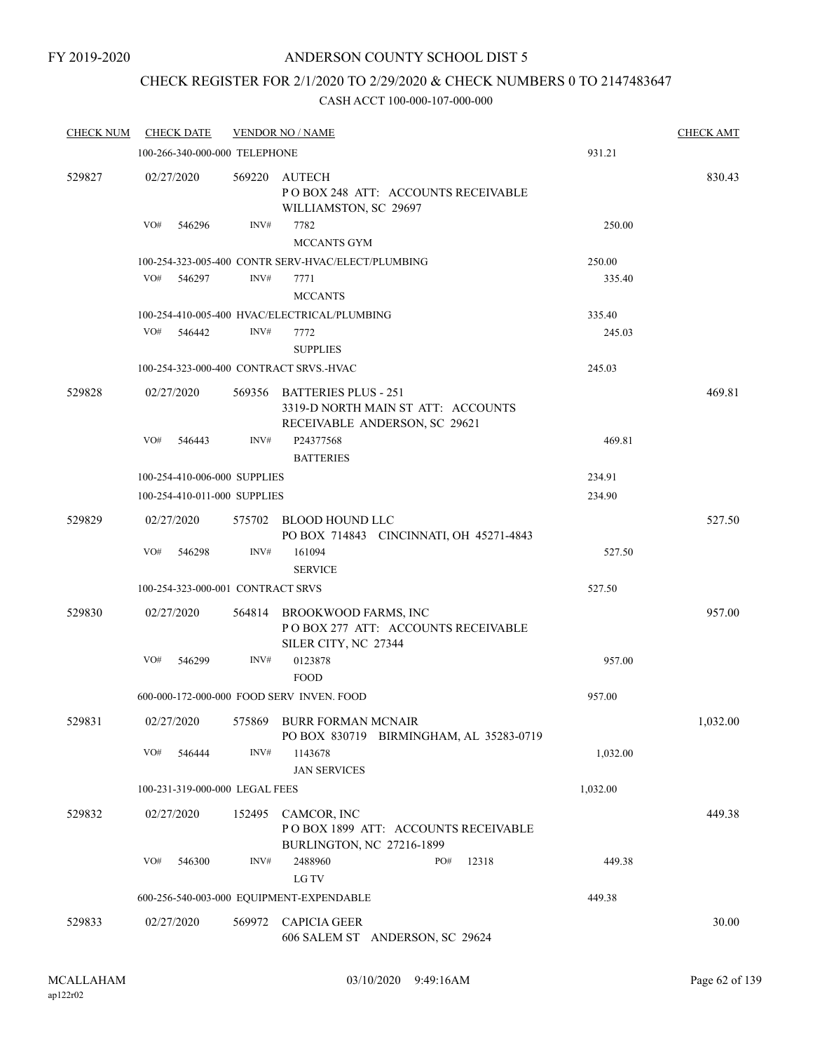### CHECK REGISTER FOR 2/1/2020 TO 2/29/2020 & CHECK NUMBERS 0 TO 2147483647

| <b>CHECK NUM</b> | <b>CHECK DATE</b>                       |        | <b>VENDOR NO / NAME</b>                                                                            |          | <b>CHECK AMT</b> |
|------------------|-----------------------------------------|--------|----------------------------------------------------------------------------------------------------|----------|------------------|
|                  | 100-266-340-000-000 TELEPHONE           |        |                                                                                                    | 931.21   |                  |
| 529827           | 02/27/2020                              | 569220 | AUTECH<br>POBOX 248 ATT: ACCOUNTS RECEIVABLE<br>WILLIAMSTON, SC 29697                              |          | 830.43           |
|                  | VO#<br>546296                           | INV#   | 7782<br><b>MCCANTS GYM</b>                                                                         | 250.00   |                  |
|                  |                                         |        | 100-254-323-005-400 CONTR SERV-HVAC/ELECT/PLUMBING                                                 | 250.00   |                  |
|                  | VO#<br>546297                           | INV#   | 7771<br><b>MCCANTS</b>                                                                             | 335.40   |                  |
|                  |                                         |        | 100-254-410-005-400 HVAC/ELECTRICAL/PLUMBING                                                       | 335.40   |                  |
|                  | VO#<br>546442                           | INV#   | 7772<br><b>SUPPLIES</b>                                                                            | 245.03   |                  |
|                  | 100-254-323-000-400 CONTRACT SRVS.-HVAC |        |                                                                                                    | 245.03   |                  |
|                  |                                         |        |                                                                                                    |          |                  |
| 529828           | 02/27/2020                              |        | 569356 BATTERIES PLUS - 251<br>3319-D NORTH MAIN ST ATT: ACCOUNTS<br>RECEIVABLE ANDERSON, SC 29621 |          | 469.81           |
|                  | VO#<br>546443                           | INV#   | P24377568<br><b>BATTERIES</b>                                                                      | 469.81   |                  |
|                  | 100-254-410-006-000 SUPPLIES            |        |                                                                                                    | 234.91   |                  |
|                  | 100-254-410-011-000 SUPPLIES            |        |                                                                                                    | 234.90   |                  |
| 529829           | 02/27/2020                              |        | 575702 BLOOD HOUND LLC<br>PO BOX 714843 CINCINNATI, OH 45271-4843                                  |          | 527.50           |
|                  | VO#<br>546298                           | INV#   | 161094<br><b>SERVICE</b>                                                                           | 527.50   |                  |
|                  | 100-254-323-000-001 CONTRACT SRVS       |        |                                                                                                    | 527.50   |                  |
| 529830           | 02/27/2020                              | 564814 | BROOKWOOD FARMS, INC<br>PO BOX 277 ATT: ACCOUNTS RECEIVABLE                                        |          | 957.00           |
|                  | VO#<br>546299                           | INV#   | SILER CITY, NC 27344<br>0123878<br><b>FOOD</b>                                                     | 957.00   |                  |
|                  |                                         |        | 600-000-172-000-000 FOOD SERV INVEN. FOOD                                                          | 957.00   |                  |
| 529831           |                                         |        | 02/27/2020 575869 BURR FORMAN MCNAIR<br>PO BOX 830719 BIRMINGHAM, AL 35283-0719                    |          | 1,032.00         |
|                  | VO#<br>546444                           | INV#   | 1143678<br><b>JAN SERVICES</b>                                                                     | 1,032.00 |                  |
|                  | 100-231-319-000-000 LEGAL FEES          |        |                                                                                                    | 1,032.00 |                  |
| 529832           | 02/27/2020                              |        | 152495 CAMCOR, INC<br>POBOX 1899 ATT: ACCOUNTS RECEIVABLE<br>BURLINGTON, NC 27216-1899             |          | 449.38           |
|                  | VO#<br>546300                           | INV#   | 2488960<br>PO#<br>12318<br>LG TV                                                                   | 449.38   |                  |
|                  |                                         |        | 600-256-540-003-000 EQUIPMENT-EXPENDABLE                                                           | 449.38   |                  |
| 529833           | 02/27/2020                              |        | 569972 CAPICIA GEER<br>606 SALEM ST ANDERSON, SC 29624                                             |          | 30.00            |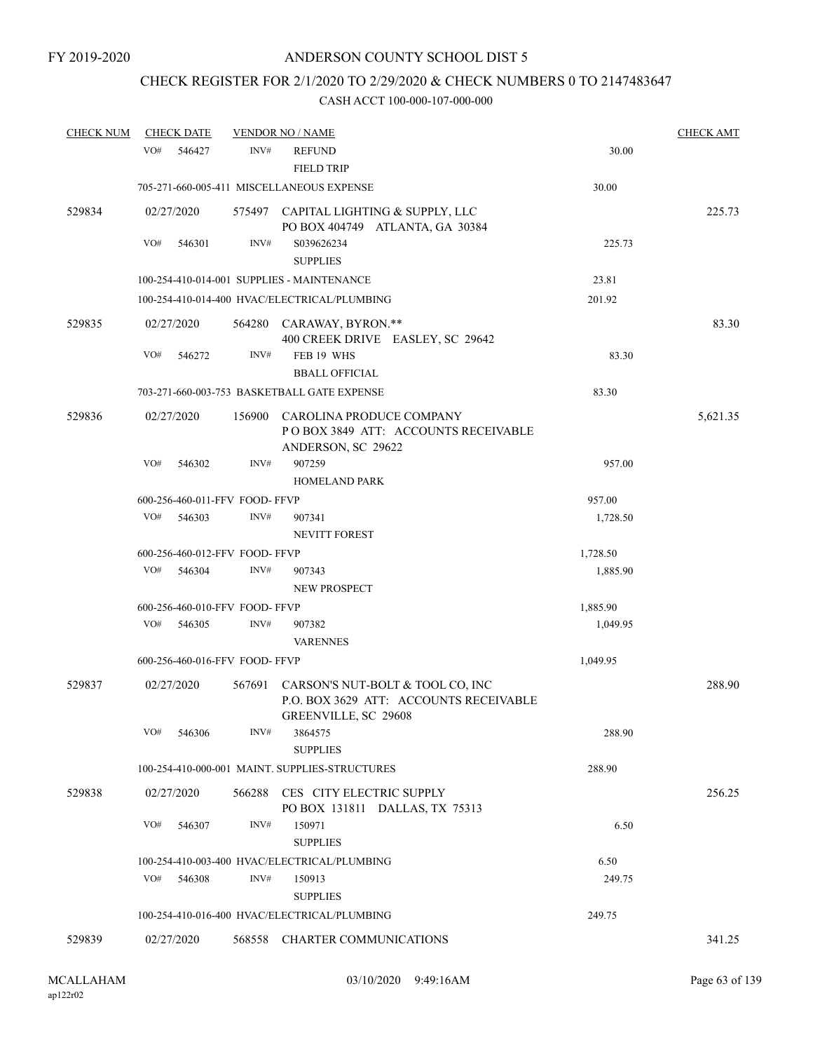# CHECK REGISTER FOR 2/1/2020 TO 2/29/2020 & CHECK NUMBERS 0 TO 2147483647

| <b>CHECK NUM</b> | <b>CHECK DATE</b> |                                | <b>VENDOR NO / NAME</b>                                                                                   |          | <b>CHECK AMT</b> |
|------------------|-------------------|--------------------------------|-----------------------------------------------------------------------------------------------------------|----------|------------------|
|                  | VO#<br>546427     | INV#                           | <b>REFUND</b><br><b>FIELD TRIP</b>                                                                        | 30.00    |                  |
|                  |                   |                                | 705-271-660-005-411 MISCELLANEOUS EXPENSE                                                                 | 30.00    |                  |
| 529834           | 02/27/2020        |                                | 575497 CAPITAL LIGHTING & SUPPLY, LLC<br>PO BOX 404749 ATLANTA, GA 30384                                  |          | 225.73           |
|                  | VO#<br>546301     | INV#                           | S039626234<br><b>SUPPLIES</b>                                                                             | 225.73   |                  |
|                  |                   |                                | 100-254-410-014-001 SUPPLIES - MAINTENANCE                                                                | 23.81    |                  |
|                  |                   |                                | 100-254-410-014-400 HVAC/ELECTRICAL/PLUMBING                                                              | 201.92   |                  |
| 529835           | 02/27/2020        | 564280                         | CARAWAY, BYRON.**<br>400 CREEK DRIVE EASLEY, SC 29642                                                     |          | 83.30            |
|                  | VO#<br>546272     | INV#                           | FEB 19 WHS                                                                                                | 83.30    |                  |
|                  |                   |                                | <b>BBALL OFFICIAL</b>                                                                                     |          |                  |
|                  |                   |                                | 703-271-660-003-753 BASKETBALL GATE EXPENSE                                                               | 83.30    |                  |
| 529836           | 02/27/2020        | 156900                         | CAROLINA PRODUCE COMPANY<br>POBOX 3849 ATT: ACCOUNTS RECEIVABLE<br>ANDERSON, SC 29622                     |          | 5,621.35         |
|                  | VO#<br>546302     | INV#                           | 907259<br><b>HOMELAND PARK</b>                                                                            | 957.00   |                  |
|                  |                   | 600-256-460-011-FFV FOOD-FFVP  |                                                                                                           | 957.00   |                  |
|                  | VO#<br>546303     | INV#                           | 907341<br><b>NEVITT FOREST</b>                                                                            | 1,728.50 |                  |
|                  |                   | 600-256-460-012-FFV FOOD-FFVP  |                                                                                                           | 1,728.50 |                  |
|                  | VO#<br>546304     | INV#                           | 907343<br>NEW PROSPECT                                                                                    | 1,885.90 |                  |
|                  |                   | 600-256-460-010-FFV FOOD-FFVP  |                                                                                                           | 1,885.90 |                  |
|                  | VO#<br>546305     | INV#                           | 907382<br><b>VARENNES</b>                                                                                 | 1,049.95 |                  |
|                  |                   | 600-256-460-016-FFV FOOD- FFVP |                                                                                                           | 1,049.95 |                  |
| 529837           | 02/27/2020        |                                | 567691 CARSON'S NUT-BOLT & TOOL CO, INC<br>P.O. BOX 3629 ATT: ACCOUNTS RECEIVABLE<br>GREENVILLE, SC 29608 |          | 288.90           |
|                  | VO#<br>546306     | INV#                           | 3864575<br><b>SUPPLIES</b>                                                                                | 288.90   |                  |
|                  |                   |                                | 100-254-410-000-001 MAINT. SUPPLIES-STRUCTURES                                                            | 288.90   |                  |
| 529838           | 02/27/2020        |                                | 566288 CES CITY ELECTRIC SUPPLY<br>PO BOX 131811 DALLAS, TX 75313                                         |          | 256.25           |
|                  | VO#<br>546307     | INV#                           | 150971<br><b>SUPPLIES</b>                                                                                 | 6.50     |                  |
|                  |                   |                                | 100-254-410-003-400 HVAC/ELECTRICAL/PLUMBING                                                              | 6.50     |                  |
|                  | VO#<br>546308     | INV#                           | 150913<br><b>SUPPLIES</b>                                                                                 | 249.75   |                  |
|                  |                   |                                | 100-254-410-016-400 HVAC/ELECTRICAL/PLUMBING                                                              | 249.75   |                  |
| 529839           | 02/27/2020        |                                | 568558 CHARTER COMMUNICATIONS                                                                             |          | 341.25           |
|                  |                   |                                |                                                                                                           |          |                  |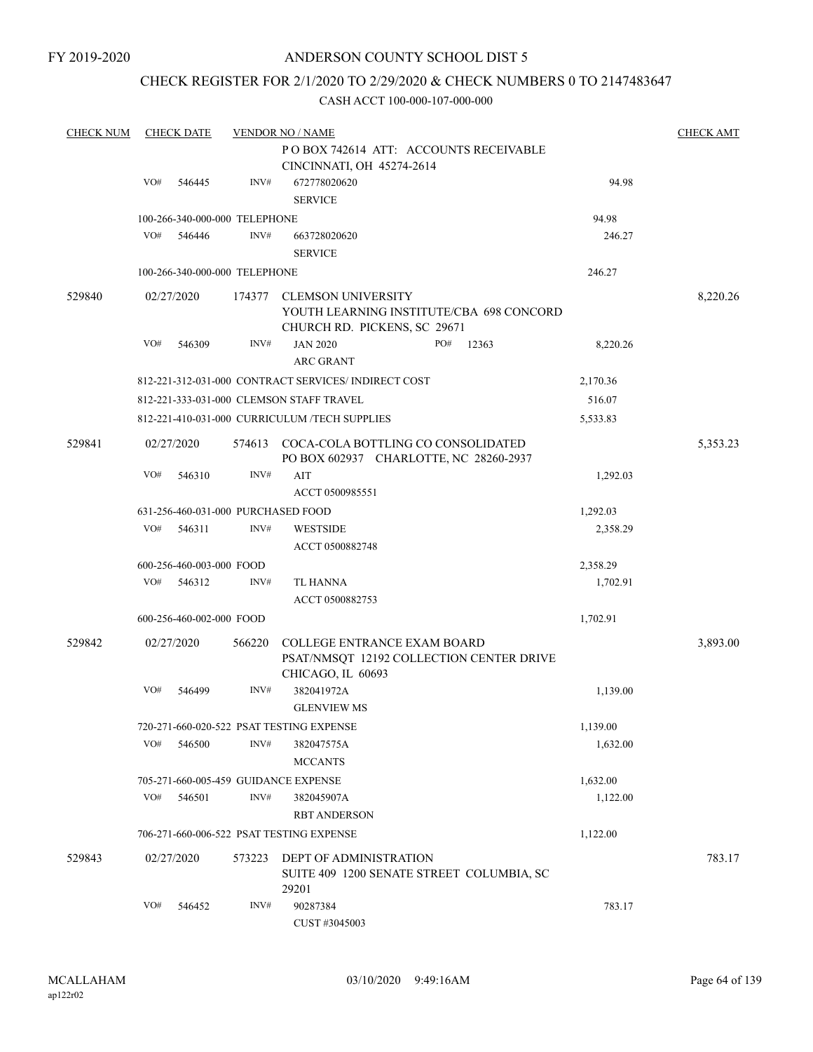### CHECK REGISTER FOR 2/1/2020 TO 2/29/2020 & CHECK NUMBERS 0 TO 2147483647

| <b>CHECK NUM</b> |     | <b>CHECK DATE</b>             |        | <b>VENDOR NO / NAME</b>                                                                               |          | <b>CHECK AMT</b> |
|------------------|-----|-------------------------------|--------|-------------------------------------------------------------------------------------------------------|----------|------------------|
|                  |     |                               |        | POBOX 742614 ATT: ACCOUNTS RECEIVABLE<br>CINCINNATI, OH 45274-2614                                    |          |                  |
|                  | VO# | 546445                        | INV#   | 672778020620<br><b>SERVICE</b>                                                                        | 94.98    |                  |
|                  |     | 100-266-340-000-000 TELEPHONE |        |                                                                                                       | 94.98    |                  |
|                  | VO# | 546446                        | INV#   | 663728020620<br><b>SERVICE</b>                                                                        | 246.27   |                  |
|                  |     | 100-266-340-000-000 TELEPHONE |        |                                                                                                       | 246.27   |                  |
| 529840           |     | 02/27/2020                    |        | 174377 CLEMSON UNIVERSITY<br>YOUTH LEARNING INSTITUTE/CBA 698 CONCORD<br>CHURCH RD. PICKENS, SC 29671 |          | 8,220.26         |
|                  | VO# | 546309                        | INV#   | <b>JAN 2020</b><br>PO#<br>12363<br><b>ARC GRANT</b>                                                   | 8,220.26 |                  |
|                  |     |                               |        | 812-221-312-031-000 CONTRACT SERVICES/INDIRECT COST                                                   | 2,170.36 |                  |
|                  |     |                               |        | 812-221-333-031-000 CLEMSON STAFF TRAVEL                                                              | 516.07   |                  |
|                  |     |                               |        | 812-221-410-031-000 CURRICULUM /TECH SUPPLIES                                                         | 5,533.83 |                  |
| 529841           |     | 02/27/2020                    |        | 574613 COCA-COLA BOTTLING CO CONSOLIDATED<br>PO BOX 602937 CHARLOTTE, NC 28260-2937                   |          | 5,353.23         |
|                  | VO# | 546310                        | INV#   | AIT<br>ACCT 0500985551                                                                                | 1,292.03 |                  |
|                  |     |                               |        | 631-256-460-031-000 PURCHASED FOOD                                                                    | 1,292.03 |                  |
|                  | VO# | 546311                        | INV#   | <b>WESTSIDE</b><br>ACCT 0500882748                                                                    | 2,358.29 |                  |
|                  |     | 600-256-460-003-000 FOOD      |        |                                                                                                       | 2,358.29 |                  |
|                  | VO# | 546312                        | INV#   | TL HANNA<br>ACCT 0500882753                                                                           | 1,702.91 |                  |
|                  |     | 600-256-460-002-000 FOOD      |        |                                                                                                       | 1,702.91 |                  |
| 529842           |     | 02/27/2020                    | 566220 | <b>COLLEGE ENTRANCE EXAM BOARD</b><br>PSAT/NMSQT 12192 COLLECTION CENTER DRIVE<br>CHICAGO, IL 60693   |          | 3,893.00         |
|                  | VO# | 546499                        | INV#   | 382041972A<br><b>GLENVIEW MS</b>                                                                      | 1,139.00 |                  |
|                  |     |                               |        | 720-271-660-020-522 PSAT TESTING EXPENSE                                                              | 1,139.00 |                  |
|                  | VO# | 546500                        | INV#   | 382047575A<br><b>MCCANTS</b>                                                                          | 1,632.00 |                  |
|                  |     |                               |        | 705-271-660-005-459 GUIDANCE EXPENSE                                                                  | 1,632.00 |                  |
|                  | VO# | 546501                        | INV#   | 382045907A<br><b>RBT ANDERSON</b>                                                                     | 1,122.00 |                  |
|                  |     |                               |        | 706-271-660-006-522 PSAT TESTING EXPENSE                                                              | 1,122.00 |                  |
| 529843           |     | 02/27/2020                    | 573223 | <b>DEPT OF ADMINISTRATION</b><br>SUITE 409 1200 SENATE STREET COLUMBIA, SC<br>29201                   |          | 783.17           |
|                  | VO# | 546452                        | INV#   | 90287384<br>CUST #3045003                                                                             | 783.17   |                  |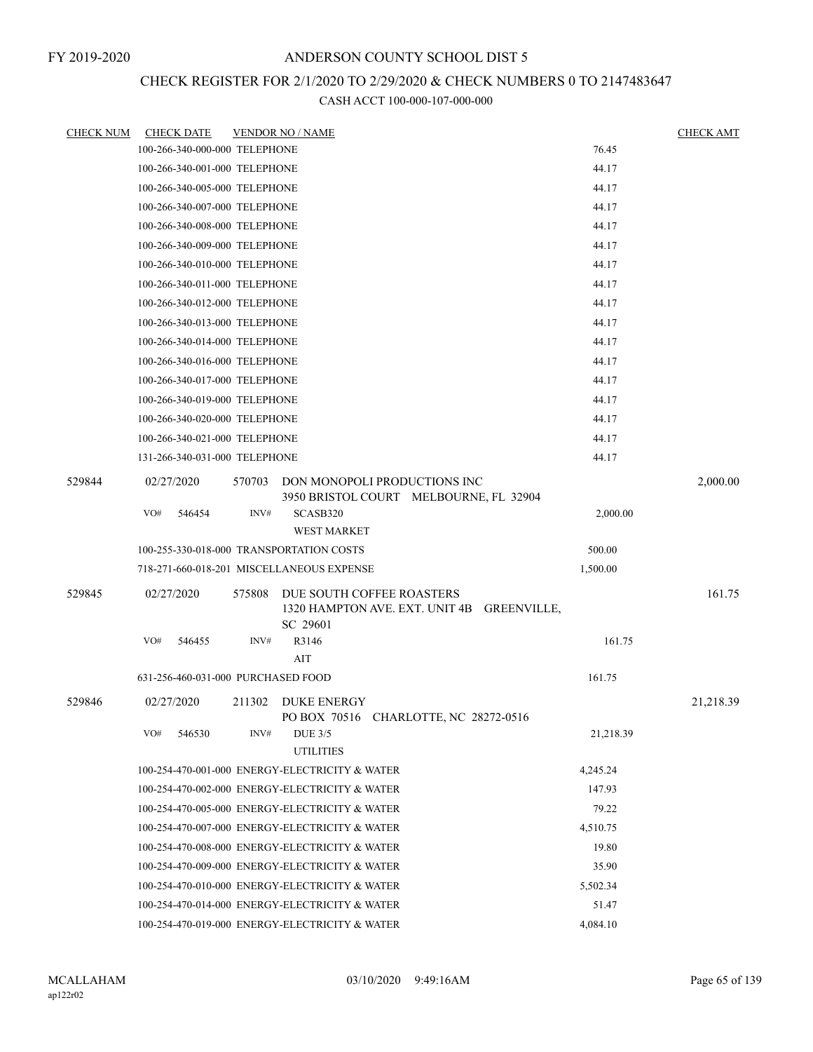# CHECK REGISTER FOR 2/1/2020 TO 2/29/2020 & CHECK NUMBERS 0 TO 2147483647

| <b>CHECK NUM</b> | <b>CHECK DATE</b>                              |          | <b>VENDOR NO / NAME</b>                                                             |           | <b>CHECK AMT</b> |
|------------------|------------------------------------------------|----------|-------------------------------------------------------------------------------------|-----------|------------------|
|                  | 100-266-340-000-000 TELEPHONE                  |          |                                                                                     | 76.45     |                  |
|                  | 100-266-340-001-000 TELEPHONE                  |          |                                                                                     | 44.17     |                  |
|                  | 100-266-340-005-000 TELEPHONE                  |          |                                                                                     | 44.17     |                  |
|                  | 100-266-340-007-000 TELEPHONE                  |          |                                                                                     | 44.17     |                  |
|                  | 100-266-340-008-000 TELEPHONE                  |          |                                                                                     | 44.17     |                  |
|                  | 100-266-340-009-000 TELEPHONE                  |          |                                                                                     | 44.17     |                  |
|                  | 100-266-340-010-000 TELEPHONE                  |          |                                                                                     | 44.17     |                  |
|                  | 100-266-340-011-000 TELEPHONE                  |          | 44.17                                                                               |           |                  |
|                  | 100-266-340-012-000 TELEPHONE                  |          | 44.17                                                                               |           |                  |
|                  | 100-266-340-013-000 TELEPHONE                  |          |                                                                                     | 44.17     |                  |
|                  | 100-266-340-014-000 TELEPHONE                  |          | 44.17                                                                               |           |                  |
|                  | 100-266-340-016-000 TELEPHONE                  |          | 44.17                                                                               |           |                  |
|                  | 100-266-340-017-000 TELEPHONE                  |          |                                                                                     | 44.17     |                  |
|                  | 100-266-340-019-000 TELEPHONE                  |          |                                                                                     | 44.17     |                  |
|                  | 100-266-340-020-000 TELEPHONE                  |          |                                                                                     | 44.17     |                  |
|                  | 100-266-340-021-000 TELEPHONE                  |          |                                                                                     | 44.17     |                  |
|                  | 131-266-340-031-000 TELEPHONE                  |          |                                                                                     | 44.17     |                  |
| 529844           | 02/27/2020                                     | 570703   | DON MONOPOLI PRODUCTIONS INC                                                        |           | 2,000.00         |
|                  | VO#<br>546454                                  | INV#     | 3950 BRISTOL COURT MELBOURNE, FL 32904<br>SCASB320                                  | 2,000.00  |                  |
|                  |                                                |          | <b>WEST MARKET</b>                                                                  |           |                  |
|                  | 100-255-330-018-000 TRANSPORTATION COSTS       |          | 500.00                                                                              |           |                  |
|                  |                                                |          | 718-271-660-018-201 MISCELLANEOUS EXPENSE                                           | 1,500.00  |                  |
|                  |                                                |          |                                                                                     |           | 161.75           |
| 529845           | 02/27/2020                                     | 575808   | DUE SOUTH COFFEE ROASTERS<br>1320 HAMPTON AVE. EXT. UNIT 4B GREENVILLE,<br>SC 29601 |           |                  |
|                  | VO#<br>546455                                  | INV#     | R3146                                                                               | 161.75    |                  |
|                  |                                                |          | AIT                                                                                 |           |                  |
|                  | 631-256-460-031-000 PURCHASED FOOD             |          |                                                                                     | 161.75    |                  |
| 529846           | 02/27/2020                                     | 211302   | <b>DUKE ENERGY</b><br>PO BOX 70516 CHARLOTTE, NC 28272-0516                         |           | 21,218.39        |
|                  | VO#<br>546530                                  | INV#     | <b>DUE 3/5</b><br><b>UTILITIES</b>                                                  | 21,218.39 |                  |
|                  |                                                |          | 100-254-470-001-000 ENERGY-ELECTRICITY & WATER                                      | 4,245.24  |                  |
|                  |                                                |          | 100-254-470-002-000 ENERGY-ELECTRICITY & WATER                                      | 147.93    |                  |
|                  |                                                |          | 100-254-470-005-000 ENERGY-ELECTRICITY & WATER                                      | 79.22     |                  |
|                  | 100-254-470-007-000 ENERGY-ELECTRICITY & WATER | 4,510.75 |                                                                                     |           |                  |
|                  |                                                |          | 100-254-470-008-000 ENERGY-ELECTRICITY & WATER                                      | 19.80     |                  |
|                  |                                                |          | 100-254-470-009-000 ENERGY-ELECTRICITY & WATER                                      | 35.90     |                  |
|                  |                                                |          | 100-254-470-010-000 ENERGY-ELECTRICITY & WATER                                      | 5,502.34  |                  |
|                  | 100-254-470-014-000 ENERGY-ELECTRICITY & WATER |          | 51.47                                                                               |           |                  |
|                  |                                                |          | 100-254-470-019-000 ENERGY-ELECTRICITY & WATER                                      | 4,084.10  |                  |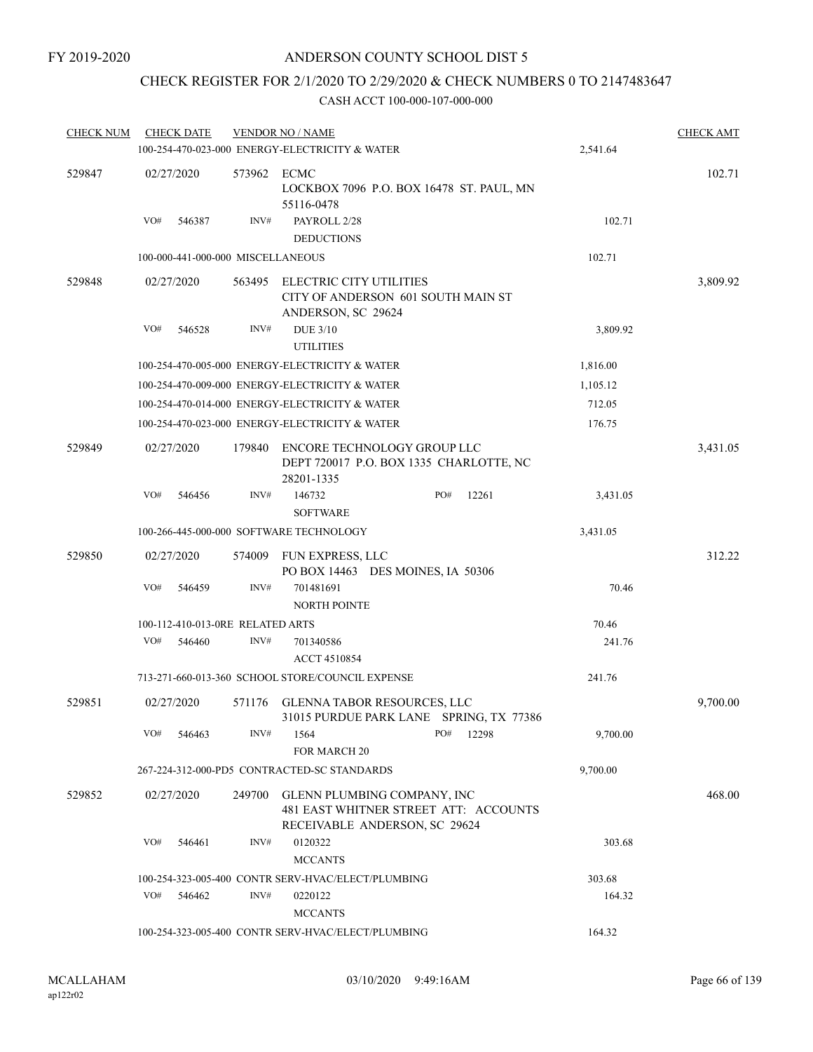# CHECK REGISTER FOR 2/1/2020 TO 2/29/2020 & CHECK NUMBERS 0 TO 2147483647

| <b>CHECK NUM</b> | <b>CHECK DATE</b> |                                   | <b>VENDOR NO / NAME</b>                                                                               |  |     |       |          | <b>CHECK AMT</b> |
|------------------|-------------------|-----------------------------------|-------------------------------------------------------------------------------------------------------|--|-----|-------|----------|------------------|
|                  |                   |                                   | 100-254-470-023-000 ENERGY-ELECTRICITY & WATER                                                        |  |     |       | 2,541.64 |                  |
| 529847           | 02/27/2020        | 573962 ECMC                       | LOCKBOX 7096 P.O. BOX 16478 ST. PAUL, MN<br>55116-0478                                                |  |     |       |          | 102.71           |
|                  | VO#<br>546387     | INV#                              | PAYROLL 2/28<br><b>DEDUCTIONS</b>                                                                     |  |     |       | 102.71   |                  |
|                  |                   | 100-000-441-000-000 MISCELLANEOUS |                                                                                                       |  |     |       | 102.71   |                  |
| 529848           | 02/27/2020        | 563495                            | <b>ELECTRIC CITY UTILITIES</b><br>CITY OF ANDERSON 601 SOUTH MAIN ST<br>ANDERSON, SC 29624            |  |     |       | 3,809.92 |                  |
|                  | VO#<br>546528     | INV#                              | <b>DUE 3/10</b><br><b>UTILITIES</b>                                                                   |  |     |       | 3,809.92 |                  |
|                  |                   |                                   | 100-254-470-005-000 ENERGY-ELECTRICITY & WATER                                                        |  |     |       | 1,816.00 |                  |
|                  |                   |                                   | 100-254-470-009-000 ENERGY-ELECTRICITY & WATER                                                        |  |     |       | 1,105.12 |                  |
|                  |                   |                                   | 100-254-470-014-000 ENERGY-ELECTRICITY & WATER                                                        |  |     |       | 712.05   |                  |
|                  |                   |                                   | 100-254-470-023-000 ENERGY-ELECTRICITY & WATER                                                        |  |     |       | 176.75   |                  |
| 529849           | 02/27/2020        | 179840                            | ENCORE TECHNOLOGY GROUP LLC<br>DEPT 720017 P.O. BOX 1335 CHARLOTTE, NC<br>28201-1335                  |  |     |       |          | 3,431.05         |
|                  | VO#<br>546456     | INV#                              | 146732<br><b>SOFTWARE</b>                                                                             |  | PO# | 12261 | 3,431.05 |                  |
|                  |                   |                                   | 100-266-445-000-000 SOFTWARE TECHNOLOGY                                                               |  |     |       | 3,431.05 |                  |
| 529850           | 02/27/2020        | 574009                            | FUN EXPRESS, LLC<br>PO BOX 14463 DES MOINES, IA 50306                                                 |  |     |       |          | 312.22           |
|                  | VO#<br>546459     | INV#                              | 701481691<br><b>NORTH POINTE</b>                                                                      |  |     |       | 70.46    |                  |
|                  |                   | 100-112-410-013-0RE RELATED ARTS  |                                                                                                       |  |     |       | 70.46    |                  |
|                  | VO#<br>546460     | INV#                              | 701340586<br><b>ACCT 4510854</b>                                                                      |  |     |       | 241.76   |                  |
|                  |                   |                                   | 713-271-660-013-360 SCHOOL STORE/COUNCIL EXPENSE                                                      |  |     |       | 241.76   |                  |
| 529851           | 02/27/2020        | 571176                            | GLENNA TABOR RESOURCES, LLC<br>31015 PURDUE PARK LANE SPRING, TX 77386                                |  |     |       |          | 9,700.00         |
|                  | VO#<br>546463     | INV#                              | 1564                                                                                                  |  | PO# | 12298 | 9,700.00 |                  |
|                  |                   |                                   | <b>FOR MARCH 20</b>                                                                                   |  |     |       |          |                  |
|                  |                   |                                   | 267-224-312-000-PD5 CONTRACTED-SC STANDARDS                                                           |  |     |       | 9,700.00 |                  |
| 529852           | 02/27/2020        | 249700                            | GLENN PLUMBING COMPANY, INC<br>481 EAST WHITNER STREET ATT: ACCOUNTS<br>RECEIVABLE ANDERSON, SC 29624 |  |     |       |          | 468.00           |
|                  | VO#<br>546461     | INV#                              | 0120322<br><b>MCCANTS</b>                                                                             |  |     |       | 303.68   |                  |
|                  |                   |                                   | 100-254-323-005-400 CONTR SERV-HVAC/ELECT/PLUMBING                                                    |  |     |       | 303.68   |                  |
|                  | VO#<br>546462     | INV#                              | 0220122<br><b>MCCANTS</b>                                                                             |  |     |       | 164.32   |                  |
|                  |                   |                                   | 100-254-323-005-400 CONTR SERV-HVAC/ELECT/PLUMBING                                                    |  |     |       | 164.32   |                  |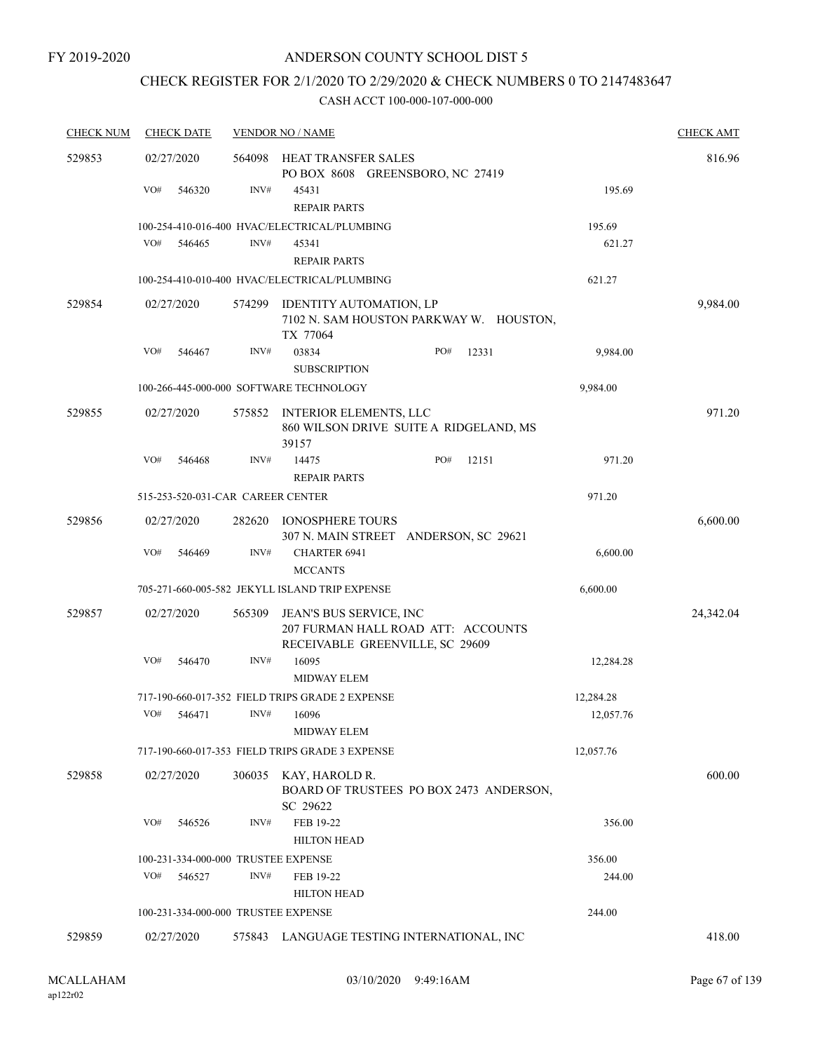### CHECK REGISTER FOR 2/1/2020 TO 2/29/2020 & CHECK NUMBERS 0 TO 2147483647

| <b>CHECK NUM</b> |            | <b>CHECK DATE</b>                 |        | <b>VENDOR NO / NAME</b>                                                                                 |     |       |           | <b>CHECK AMT</b> |
|------------------|------------|-----------------------------------|--------|---------------------------------------------------------------------------------------------------------|-----|-------|-----------|------------------|
| 529853           | 02/27/2020 |                                   | 564098 | HEAT TRANSFER SALES<br>PO BOX 8608 GREENSBORO, NC 27419                                                 |     |       |           | 816.96           |
|                  | VO#        | 546320                            | INV#   | 45431<br><b>REPAIR PARTS</b>                                                                            |     |       | 195.69    |                  |
|                  |            |                                   |        | 100-254-410-016-400 HVAC/ELECTRICAL/PLUMBING                                                            |     |       | 195.69    |                  |
|                  | VO#        | 546465                            | INV#   | 45341<br><b>REPAIR PARTS</b>                                                                            |     |       | 621.27    |                  |
|                  |            |                                   |        | 100-254-410-010-400 HVAC/ELECTRICAL/PLUMBING                                                            |     |       | 621.27    |                  |
| 529854           | 02/27/2020 |                                   | 574299 | IDENTITY AUTOMATION, LP<br>7102 N. SAM HOUSTON PARKWAY W. HOUSTON,<br>TX 77064                          |     |       |           | 9,984.00         |
|                  | VO#        | 546467                            | INV#   | 03834<br><b>SUBSCRIPTION</b>                                                                            | PO# | 12331 | 9,984.00  |                  |
|                  |            |                                   |        | 100-266-445-000-000 SOFTWARE TECHNOLOGY                                                                 |     |       | 9,984.00  |                  |
| 529855           | 02/27/2020 |                                   | 575852 | <b>INTERIOR ELEMENTS, LLC</b><br>860 WILSON DRIVE SUITE A RIDGELAND, MS<br>39157                        |     |       |           | 971.20           |
|                  | VO#        | 546468                            | INV#   | 14475<br><b>REPAIR PARTS</b>                                                                            | PO# | 12151 | 971.20    |                  |
|                  |            | 515-253-520-031-CAR CAREER CENTER |        |                                                                                                         |     |       | 971.20    |                  |
| 529856           |            | 02/27/2020                        | 282620 | <b>IONOSPHERE TOURS</b><br>307 N. MAIN STREET ANDERSON, SC 29621                                        |     |       |           | 6,600.00         |
|                  | VO#        | 546469                            | INV#   | <b>CHARTER 6941</b><br><b>MCCANTS</b>                                                                   |     |       | 6,600.00  |                  |
|                  |            |                                   |        | 705-271-660-005-582 JEKYLL ISLAND TRIP EXPENSE                                                          |     |       | 6,600.00  |                  |
| 529857           |            | 02/27/2020                        | 565309 | <b>JEAN'S BUS SERVICE, INC</b><br>207 FURMAN HALL ROAD ATT: ACCOUNTS<br>RECEIVABLE GREENVILLE, SC 29609 |     |       |           | 24,342.04        |
|                  | VO#        | 546470                            | INV#   | 16095<br><b>MIDWAY ELEM</b>                                                                             |     |       | 12,284.28 |                  |
|                  |            |                                   |        | 717-190-660-017-352 FIELD TRIPS GRADE 2 EXPENSE                                                         |     |       | 12,284.28 |                  |
|                  | VO#        | 546471                            | INV#   | 16096<br><b>MIDWAY ELEM</b>                                                                             |     |       | 12,057.76 |                  |
|                  |            |                                   |        | 717-190-660-017-353 FIELD TRIPS GRADE 3 EXPENSE                                                         |     |       | 12,057.76 |                  |
| 529858           |            | 02/27/2020                        | 306035 | KAY, HAROLD R.<br>BOARD OF TRUSTEES PO BOX 2473 ANDERSON,<br>SC 29622                                   |     |       |           | 600.00           |
|                  | VO#        | 546526                            | INV#   | FEB 19-22<br><b>HILTON HEAD</b>                                                                         |     |       | 356.00    |                  |
|                  |            |                                   |        | 100-231-334-000-000 TRUSTEE EXPENSE                                                                     |     |       | 356.00    |                  |
|                  | VO#        | 546527                            | INV#   | FEB 19-22                                                                                               |     |       | 244.00    |                  |
|                  |            |                                   |        | <b>HILTON HEAD</b>                                                                                      |     |       |           |                  |
|                  |            |                                   |        | 100-231-334-000-000 TRUSTEE EXPENSE                                                                     |     |       | 244.00    |                  |
| 529859           | 02/27/2020 |                                   |        | 575843 LANGUAGE TESTING INTERNATIONAL, INC                                                              |     |       |           | 418.00           |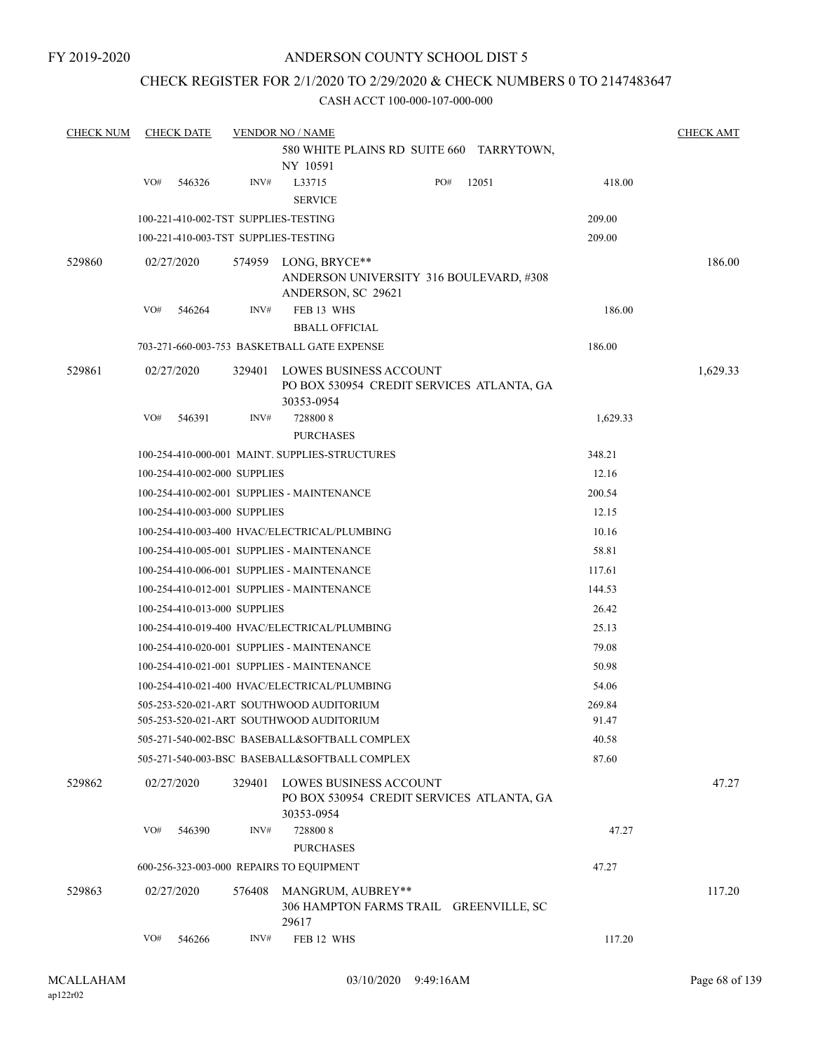FY 2019-2020

### ANDERSON COUNTY SCHOOL DIST 5

### CHECK REGISTER FOR 2/1/2020 TO 2/29/2020 & CHECK NUMBERS 0 TO 2147483647

| <b>CHECK NUM</b> |                                                | <b>CHECK DATE</b>                              |        | <b>VENDOR NO / NAME</b>                       |                                                                     |       |          | <b>CHECK AMT</b> |  |  |  |
|------------------|------------------------------------------------|------------------------------------------------|--------|-----------------------------------------------|---------------------------------------------------------------------|-------|----------|------------------|--|--|--|
|                  |                                                |                                                |        |                                               | 580 WHITE PLAINS RD SUITE 660 TARRYTOWN,                            |       |          |                  |  |  |  |
|                  | VO#                                            |                                                | INV#   | NY 10591                                      | PO#                                                                 |       |          |                  |  |  |  |
|                  |                                                | 546326                                         |        | L33715<br><b>SERVICE</b>                      |                                                                     | 12051 | 418.00   |                  |  |  |  |
|                  | 100-221-410-002-TST SUPPLIES-TESTING<br>209.00 |                                                |        |                                               |                                                                     |       |          |                  |  |  |  |
|                  |                                                |                                                |        | 100-221-410-003-TST SUPPLIES-TESTING          |                                                                     |       | 209.00   |                  |  |  |  |
| 529860           |                                                | 02/27/2020                                     |        | 574959 LONG, BRYCE**                          |                                                                     |       |          | 186.00           |  |  |  |
|                  |                                                |                                                |        |                                               | ANDERSON UNIVERSITY 316 BOULEVARD, #308                             |       |          |                  |  |  |  |
|                  |                                                |                                                |        | ANDERSON, SC 29621                            |                                                                     |       |          |                  |  |  |  |
|                  | VO#                                            | 546264                                         | INV#   | FEB 13 WHS                                    | 186.00                                                              |       |          |                  |  |  |  |
|                  |                                                |                                                |        | <b>BBALL OFFICIAL</b>                         |                                                                     |       |          |                  |  |  |  |
|                  |                                                |                                                |        | 703-271-660-003-753 BASKETBALL GATE EXPENSE   |                                                                     |       | 186.00   |                  |  |  |  |
| 529861           |                                                | 02/27/2020                                     | 329401 |                                               | LOWES BUSINESS ACCOUNT                                              |       |          | 1,629.33         |  |  |  |
|                  |                                                |                                                |        | 30353-0954                                    | PO BOX 530954 CREDIT SERVICES ATLANTA, GA                           |       |          |                  |  |  |  |
|                  | VO#                                            | 546391                                         | INV#   | 7288008                                       |                                                                     |       | 1,629.33 |                  |  |  |  |
|                  |                                                |                                                |        | <b>PURCHASES</b>                              |                                                                     |       |          |                  |  |  |  |
|                  |                                                | 100-254-410-000-001 MAINT. SUPPLIES-STRUCTURES |        | 348.21                                        |                                                                     |       |          |                  |  |  |  |
|                  |                                                | 100-254-410-002-000 SUPPLIES                   | 12.16  |                                               |                                                                     |       |          |                  |  |  |  |
|                  |                                                | 100-254-410-002-001 SUPPLIES - MAINTENANCE     | 200.54 |                                               |                                                                     |       |          |                  |  |  |  |
|                  |                                                | 100-254-410-003-000 SUPPLIES                   |        | 12.15                                         |                                                                     |       |          |                  |  |  |  |
|                  |                                                | 100-254-410-003-400 HVAC/ELECTRICAL/PLUMBING   |        | 10.16                                         |                                                                     |       |          |                  |  |  |  |
|                  |                                                | 100-254-410-005-001 SUPPLIES - MAINTENANCE     | 58.81  |                                               |                                                                     |       |          |                  |  |  |  |
|                  |                                                | 100-254-410-006-001 SUPPLIES - MAINTENANCE     | 117.61 |                                               |                                                                     |       |          |                  |  |  |  |
|                  |                                                | 100-254-410-012-001 SUPPLIES - MAINTENANCE     | 144.53 |                                               |                                                                     |       |          |                  |  |  |  |
|                  |                                                | 100-254-410-013-000 SUPPLIES                   |        | 26.42                                         |                                                                     |       |          |                  |  |  |  |
|                  |                                                | 100-254-410-019-400 HVAC/ELECTRICAL/PLUMBING   |        | 25.13                                         |                                                                     |       |          |                  |  |  |  |
|                  |                                                |                                                |        | 100-254-410-020-001 SUPPLIES - MAINTENANCE    |                                                                     |       | 79.08    |                  |  |  |  |
|                  |                                                |                                                |        | 100-254-410-021-001 SUPPLIES - MAINTENANCE    |                                                                     |       | 50.98    |                  |  |  |  |
|                  |                                                |                                                |        | 100-254-410-021-400 HVAC/ELECTRICAL/PLUMBING  |                                                                     |       | 54.06    |                  |  |  |  |
|                  |                                                |                                                |        | 505-253-520-021-ART SOUTHWOOD AUDITORIUM      |                                                                     |       | 269.84   |                  |  |  |  |
|                  |                                                |                                                |        | 505-253-520-021-ART SOUTHWOOD AUDITORIUM      |                                                                     |       | 91.47    |                  |  |  |  |
|                  |                                                |                                                |        | 505-271-540-002-BSC BASEBALL&SOFTBALL COMPLEX |                                                                     |       | 40.58    |                  |  |  |  |
|                  |                                                |                                                |        | 505-271-540-003-BSC BASEBALL&SOFTBALL COMPLEX |                                                                     |       | 87.60    |                  |  |  |  |
| 529862           |                                                | 02/27/2020                                     | 329401 |                                               | LOWES BUSINESS ACCOUNT<br>PO BOX 530954 CREDIT SERVICES ATLANTA, GA |       |          | 47.27            |  |  |  |
|                  |                                                |                                                |        | 30353-0954                                    |                                                                     |       |          |                  |  |  |  |
|                  | VO#                                            | 546390                                         | INV#   | 7288008                                       |                                                                     |       | 47.27    |                  |  |  |  |
|                  |                                                |                                                |        | <b>PURCHASES</b>                              |                                                                     |       |          |                  |  |  |  |
|                  |                                                |                                                |        | 600-256-323-003-000 REPAIRS TO EQUIPMENT      |                                                                     |       | 47.27    |                  |  |  |  |
| 529863           |                                                | 02/27/2020                                     | 576408 | MANGRUM, AUBREY**<br>29617                    | 306 HAMPTON FARMS TRAIL GREENVILLE, SC                              |       |          | 117.20           |  |  |  |
|                  | VO#                                            | 546266                                         | INV#   | FEB 12 WHS                                    |                                                                     |       | 117.20   |                  |  |  |  |
|                  |                                                |                                                |        |                                               |                                                                     |       |          |                  |  |  |  |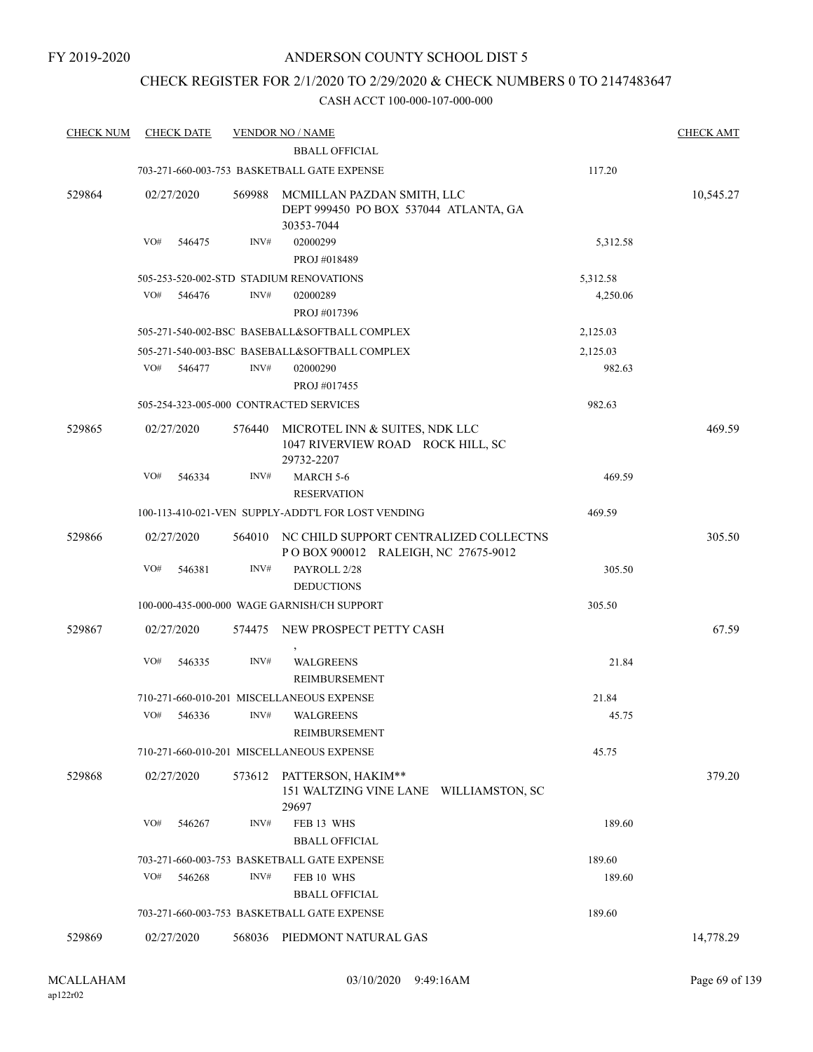### CHECK REGISTER FOR 2/1/2020 TO 2/29/2020 & CHECK NUMBERS 0 TO 2147483647

| <b>CHECK NUM</b> | <b>CHECK DATE</b>                       |        | <b>VENDOR NO / NAME</b>                                                           |          | <b>CHECK AMT</b> |
|------------------|-----------------------------------------|--------|-----------------------------------------------------------------------------------|----------|------------------|
|                  |                                         |        | <b>BBALL OFFICIAL</b>                                                             |          |                  |
|                  |                                         |        | 703-271-660-003-753 BASKETBALL GATE EXPENSE                                       | 117.20   |                  |
| 529864           | 02/27/2020                              | 569988 | MCMILLAN PAZDAN SMITH, LLC<br>DEPT 999450 PO BOX 537044 ATLANTA, GA<br>30353-7044 |          | 10,545.27        |
|                  | VO#<br>546475                           | INV#   | 02000299<br>PROJ #018489                                                          | 5,312.58 |                  |
|                  |                                         |        | 505-253-520-002-STD STADIUM RENOVATIONS                                           | 5,312.58 |                  |
|                  | VO#<br>546476                           | INV#   | 02000289                                                                          | 4,250.06 |                  |
|                  |                                         |        | PROJ #017396                                                                      |          |                  |
|                  |                                         |        | 505-271-540-002-BSC BASEBALL&SOFTBALL COMPLEX                                     | 2,125.03 |                  |
|                  |                                         |        | 505-271-540-003-BSC BASEBALL&SOFTBALL COMPLEX                                     | 2,125.03 |                  |
|                  | VO#<br>546477                           | INV#   | 02000290                                                                          | 982.63   |                  |
|                  |                                         |        | PROJ #017455                                                                      |          |                  |
|                  | 505-254-323-005-000 CONTRACTED SERVICES |        |                                                                                   | 982.63   |                  |
| 529865           | 02/27/2020                              | 576440 | MICROTEL INN & SUITES, NDK LLC<br>1047 RIVERVIEW ROAD ROCK HILL, SC<br>29732-2207 |          | 469.59           |
|                  | VO#<br>546334                           | INV#   | MARCH 5-6<br><b>RESERVATION</b>                                                   | 469.59   |                  |
|                  |                                         |        | 100-113-410-021-VEN SUPPLY-ADDT'L FOR LOST VENDING                                | 469.59   |                  |
| 529866           | 02/27/2020                              |        | 564010 NC CHILD SUPPORT CENTRALIZED COLLECTNS                                     |          | 305.50           |
|                  |                                         |        | POBOX 900012 RALEIGH, NC 27675-9012                                               |          |                  |
|                  | VO#<br>546381                           | INV#   | PAYROLL 2/28<br><b>DEDUCTIONS</b>                                                 | 305.50   |                  |
|                  |                                         |        | 100-000-435-000-000 WAGE GARNISH/CH SUPPORT                                       | 305.50   |                  |
| 529867           | 02/27/2020                              | 574475 | NEW PROSPECT PETTY CASH                                                           |          | 67.59            |
|                  | VO#<br>546335                           | INV#   | <b>WALGREENS</b><br>REIMBURSEMENT                                                 | 21.84    |                  |
|                  |                                         |        | 710-271-660-010-201 MISCELLANEOUS EXPENSE                                         | 21.84    |                  |
|                  | VO#<br>546336                           | INV#   | <b>WALGREENS</b>                                                                  | 45.75    |                  |
|                  |                                         |        | REIMBURSEMENT                                                                     |          |                  |
|                  |                                         |        | 710-271-660-010-201 MISCELLANEOUS EXPENSE                                         | 45.75    |                  |
| 529868           | 02/27/2020                              | 573612 | PATTERSON, HAKIM**<br>151 WALTZING VINE LANE WILLIAMSTON, SC<br>29697             |          | 379.20           |
|                  | VO#<br>546267                           | INV#   | FEB 13 WHS<br><b>BBALL OFFICIAL</b>                                               | 189.60   |                  |
|                  |                                         |        | 703-271-660-003-753 BASKETBALL GATE EXPENSE                                       | 189.60   |                  |
|                  | VO#<br>546268                           | INV#   | FEB 10 WHS                                                                        | 189.60   |                  |
|                  |                                         |        | <b>BBALL OFFICIAL</b>                                                             |          |                  |
|                  |                                         |        | 703-271-660-003-753 BASKETBALL GATE EXPENSE                                       | 189.60   |                  |
| 529869           | 02/27/2020                              | 568036 | PIEDMONT NATURAL GAS                                                              |          | 14,778.29        |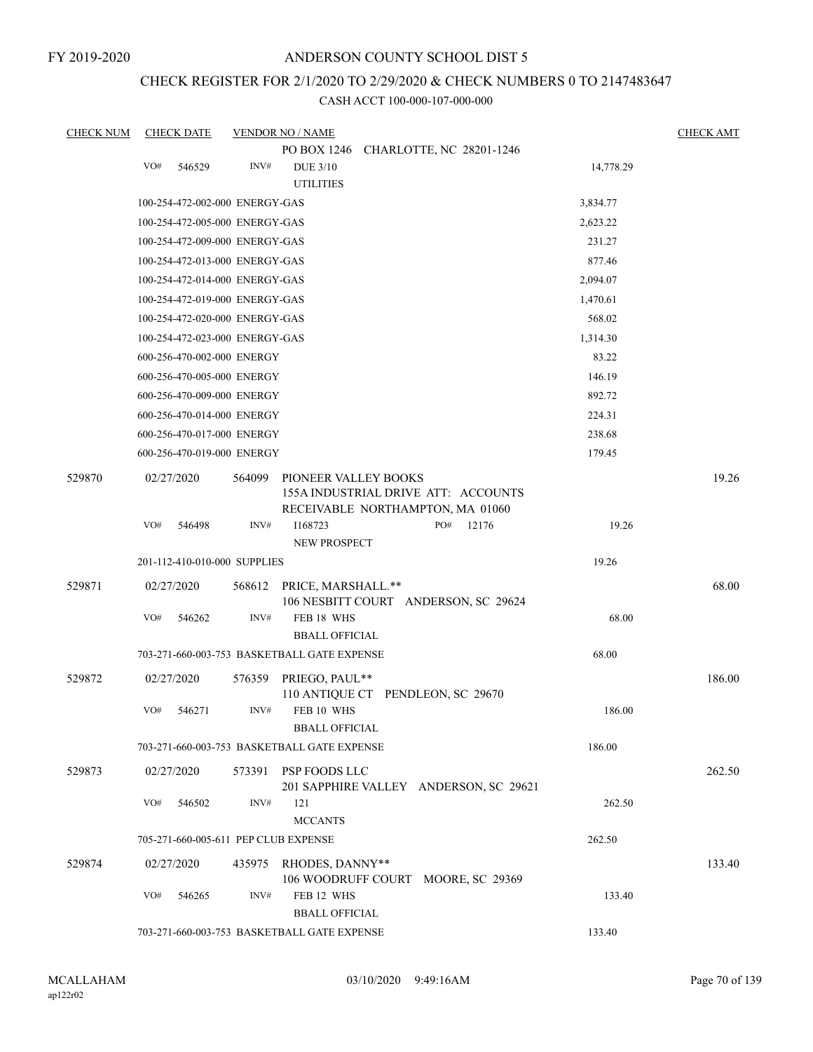FY 2019-2020

### ANDERSON COUNTY SCHOOL DIST 5

# CHECK REGISTER FOR 2/1/2020 TO 2/29/2020 & CHECK NUMBERS 0 TO 2147483647

| <b>CHECK NUM</b> |            | <b>CHECK DATE</b>              |        | <b>VENDOR NO / NAME</b>                     |                                                                         |           | <b>CHECK AMT</b> |
|------------------|------------|--------------------------------|--------|---------------------------------------------|-------------------------------------------------------------------------|-----------|------------------|
|                  | VO#        | 546529                         | INV#   | <b>DUE 3/10</b>                             | PO BOX 1246 CHARLOTTE, NC 28201-1246                                    | 14,778.29 |                  |
|                  |            |                                |        | <b>UTILITIES</b>                            |                                                                         |           |                  |
|                  |            | 100-254-472-002-000 ENERGY-GAS |        |                                             |                                                                         | 3,834.77  |                  |
|                  |            | 100-254-472-005-000 ENERGY-GAS |        |                                             |                                                                         | 2,623.22  |                  |
|                  |            | 100-254-472-009-000 ENERGY-GAS |        |                                             |                                                                         | 231.27    |                  |
|                  |            | 100-254-472-013-000 ENERGY-GAS |        |                                             |                                                                         | 877.46    |                  |
|                  |            | 100-254-472-014-000 ENERGY-GAS |        |                                             |                                                                         | 2,094.07  |                  |
|                  |            | 100-254-472-019-000 ENERGY-GAS |        |                                             |                                                                         | 1,470.61  |                  |
|                  |            | 100-254-472-020-000 ENERGY-GAS |        |                                             |                                                                         | 568.02    |                  |
|                  |            | 100-254-472-023-000 ENERGY-GAS |        |                                             |                                                                         | 1,314.30  |                  |
|                  |            | 600-256-470-002-000 ENERGY     |        |                                             |                                                                         | 83.22     |                  |
|                  |            | 600-256-470-005-000 ENERGY     |        |                                             |                                                                         | 146.19    |                  |
|                  |            | 600-256-470-009-000 ENERGY     |        |                                             |                                                                         | 892.72    |                  |
|                  |            | 600-256-470-014-000 ENERGY     |        |                                             |                                                                         | 224.31    |                  |
|                  |            | 600-256-470-017-000 ENERGY     |        |                                             |                                                                         | 238.68    |                  |
|                  |            | 600-256-470-019-000 ENERGY     |        |                                             |                                                                         | 179.45    |                  |
| 529870           | 02/27/2020 |                                | 564099 | PIONEER VALLEY BOOKS                        | 155A INDUSTRIAL DRIVE ATT: ACCOUNTS<br>RECEIVABLE NORTHAMPTON, MA 01060 |           | 19.26            |
|                  | VO#        | 546498                         | INV#   | I168723<br>NEW PROSPECT                     | PO#<br>12176                                                            | 19.26     |                  |
|                  |            | 201-112-410-010-000 SUPPLIES   |        |                                             |                                                                         | 19.26     |                  |
| 529871           | 02/27/2020 |                                | 568612 | PRICE, MARSHALL.**                          | 106 NESBITT COURT ANDERSON, SC 29624                                    |           | 68.00            |
|                  | VO#        | 546262                         | INV#   | FEB 18 WHS<br><b>BBALL OFFICIAL</b>         |                                                                         | 68.00     |                  |
|                  |            |                                |        | 703-271-660-003-753 BASKETBALL GATE EXPENSE |                                                                         | 68.00     |                  |
| 529872           | 02/27/2020 |                                | 576359 | PRIEGO, PAUL**                              | 110 ANTIQUE CT PENDLEON, SC 29670                                       |           | 186.00           |
|                  | VO#        | 546271                         | INV#   | FEB 10 WHS<br><b>BBALL OFFICIAL</b>         |                                                                         | 186.00    |                  |
|                  |            |                                |        | 703-271-660-003-753 BASKETBALL GATE EXPENSE |                                                                         | 186.00    |                  |
| 529873           | 02/27/2020 |                                | 573391 | PSP FOODS LLC                               | 201 SAPPHIRE VALLEY ANDERSON, SC 29621                                  |           | 262.50           |
|                  | VO#        | 546502                         | INV#   | 121<br><b>MCCANTS</b>                       |                                                                         | 262.50    |                  |
|                  |            |                                |        | 705-271-660-005-611 PEP CLUB EXPENSE        |                                                                         | 262.50    |                  |
| 529874           | 02/27/2020 |                                | 435975 | RHODES, DANNY**                             | 106 WOODRUFF COURT MOORE, SC 29369                                      |           | 133.40           |
|                  | VO#        | 546265                         | INV#   | FEB 12 WHS<br><b>BBALL OFFICIAL</b>         |                                                                         | 133.40    |                  |
|                  |            |                                |        | 703-271-660-003-753 BASKETBALL GATE EXPENSE |                                                                         | 133.40    |                  |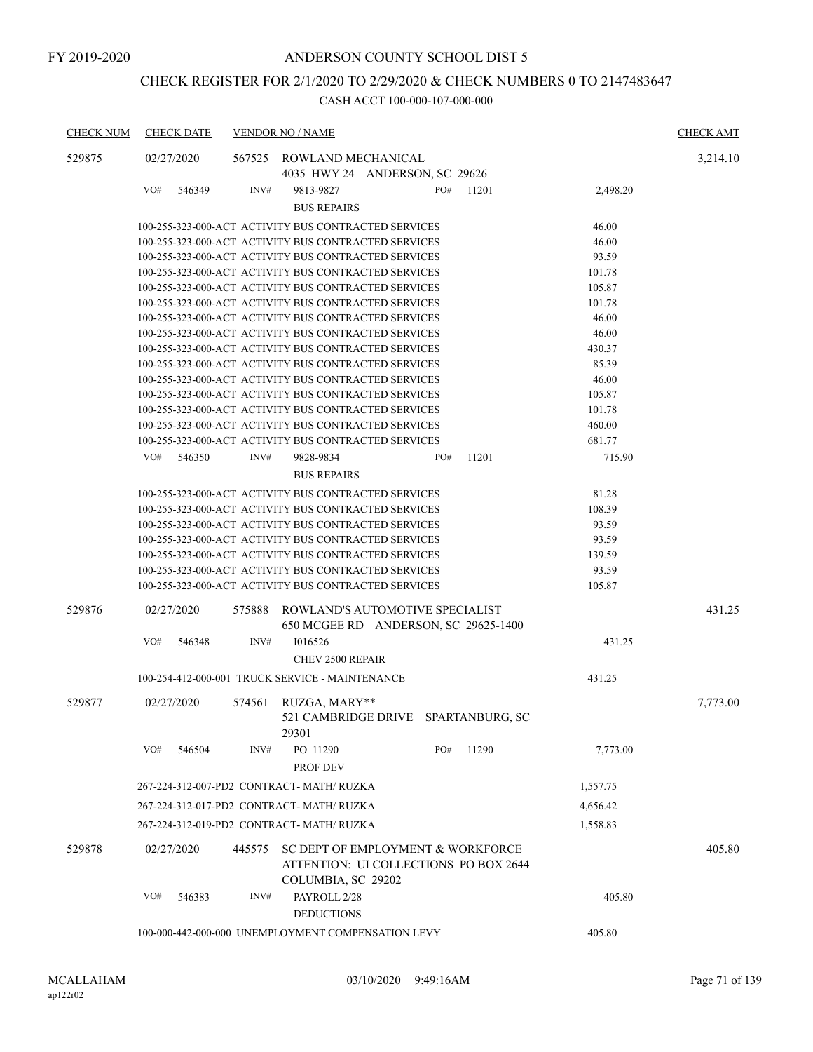# CHECK REGISTER FOR 2/1/2020 TO 2/29/2020 & CHECK NUMBERS 0 TO 2147483647

| <b>CHECK NUM</b> | <b>CHECK DATE</b> |        | <b>VENDOR NO / NAME</b>                                                    |     |       |          | <b>CHECK AMT</b> |
|------------------|-------------------|--------|----------------------------------------------------------------------------|-----|-------|----------|------------------|
| 529875           | 02/27/2020        |        | 567525 ROWLAND MECHANICAL                                                  |     |       |          | 3,214.10         |
|                  |                   |        | 4035 HWY 24 ANDERSON, SC 29626                                             |     |       |          |                  |
|                  | VO#<br>546349     | INV#   | 9813-9827                                                                  | PO# | 11201 | 2,498.20 |                  |
|                  |                   |        | <b>BUS REPAIRS</b>                                                         |     |       |          |                  |
|                  |                   |        | 100-255-323-000-ACT ACTIVITY BUS CONTRACTED SERVICES                       |     |       | 46.00    |                  |
|                  |                   |        | 100-255-323-000-ACT ACTIVITY BUS CONTRACTED SERVICES                       |     |       | 46.00    |                  |
|                  |                   |        | 100-255-323-000-ACT ACTIVITY BUS CONTRACTED SERVICES                       |     |       | 93.59    |                  |
|                  |                   |        | 100-255-323-000-ACT ACTIVITY BUS CONTRACTED SERVICES                       |     |       | 101.78   |                  |
|                  |                   |        | 100-255-323-000-ACT ACTIVITY BUS CONTRACTED SERVICES                       |     |       | 105.87   |                  |
|                  |                   |        | 100-255-323-000-ACT ACTIVITY BUS CONTRACTED SERVICES                       |     |       | 101.78   |                  |
|                  |                   |        | 100-255-323-000-ACT ACTIVITY BUS CONTRACTED SERVICES                       |     |       | 46.00    |                  |
|                  |                   |        | 100-255-323-000-ACT ACTIVITY BUS CONTRACTED SERVICES                       |     |       | 46.00    |                  |
|                  |                   |        | 100-255-323-000-ACT ACTIVITY BUS CONTRACTED SERVICES                       |     |       | 430.37   |                  |
|                  |                   |        | 100-255-323-000-ACT ACTIVITY BUS CONTRACTED SERVICES                       |     |       | 85.39    |                  |
|                  |                   |        | 100-255-323-000-ACT ACTIVITY BUS CONTRACTED SERVICES                       |     |       | 46.00    |                  |
|                  |                   |        | 100-255-323-000-ACT ACTIVITY BUS CONTRACTED SERVICES                       |     |       | 105.87   |                  |
|                  |                   |        | 100-255-323-000-ACT ACTIVITY BUS CONTRACTED SERVICES                       |     |       | 101.78   |                  |
|                  |                   |        | 100-255-323-000-ACT ACTIVITY BUS CONTRACTED SERVICES                       |     |       | 460.00   |                  |
|                  |                   |        | 100-255-323-000-ACT ACTIVITY BUS CONTRACTED SERVICES                       |     |       | 681.77   |                  |
|                  | VO#<br>546350     | INV#   | 9828-9834                                                                  | PO# | 11201 | 715.90   |                  |
|                  |                   |        | <b>BUS REPAIRS</b>                                                         |     |       |          |                  |
|                  |                   |        | 100-255-323-000-ACT ACTIVITY BUS CONTRACTED SERVICES                       |     |       | 81.28    |                  |
|                  |                   |        | 100-255-323-000-ACT ACTIVITY BUS CONTRACTED SERVICES                       |     |       | 108.39   |                  |
|                  |                   |        | 100-255-323-000-ACT ACTIVITY BUS CONTRACTED SERVICES                       |     |       | 93.59    |                  |
|                  |                   |        | 100-255-323-000-ACT ACTIVITY BUS CONTRACTED SERVICES                       |     |       | 93.59    |                  |
|                  |                   |        | 100-255-323-000-ACT ACTIVITY BUS CONTRACTED SERVICES                       |     |       | 139.59   |                  |
|                  |                   |        | 100-255-323-000-ACT ACTIVITY BUS CONTRACTED SERVICES                       |     |       | 93.59    |                  |
|                  |                   |        | 100-255-323-000-ACT ACTIVITY BUS CONTRACTED SERVICES                       |     |       | 105.87   |                  |
|                  |                   |        |                                                                            |     |       |          |                  |
| 529876           | 02/27/2020        | 575888 | ROWLAND'S AUTOMOTIVE SPECIALIST<br>650 MCGEE RD ANDERSON, SC 29625-1400    |     |       |          | 431.25           |
|                  | VO#<br>546348     | INV#   | 1016526                                                                    |     |       | 431.25   |                  |
|                  |                   |        | CHEV 2500 REPAIR                                                           |     |       |          |                  |
|                  |                   |        | 100-254-412-000-001 TRUCK SERVICE - MAINTENANCE                            |     |       | 431.25   |                  |
|                  |                   |        |                                                                            |     |       |          |                  |
| 529877           | 02/27/2020        | 574561 | RUZGA, MARY**                                                              |     |       |          | 7,773.00         |
|                  |                   |        | 521 CAMBRIDGE DRIVE SPARTANBURG, SC<br>29301                               |     |       |          |                  |
|                  |                   |        |                                                                            |     |       |          |                  |
|                  | VO#<br>546504     | INV#   | PO 11290                                                                   | PO# | 11290 | 7,773.00 |                  |
|                  |                   |        | PROF DEV                                                                   |     |       |          |                  |
|                  |                   |        | 267-224-312-007-PD2 CONTRACT- MATH/RUZKA                                   |     |       | 1,557.75 |                  |
|                  |                   |        | 267-224-312-017-PD2 CONTRACT- MATH/RUZKA                                   |     |       | 4,656.42 |                  |
|                  |                   |        | 267-224-312-019-PD2 CONTRACT- MATH/ RUZKA                                  |     |       | 1,558.83 |                  |
| 529878           | 02/27/2020        | 445575 | SC DEPT OF EMPLOYMENT & WORKFORCE<br>ATTENTION: UI COLLECTIONS PO BOX 2644 |     |       |          | 405.80           |
|                  |                   |        | COLUMBIA, SC 29202                                                         |     |       |          |                  |
|                  | VO#<br>546383     | INV#   | PAYROLL 2/28                                                               |     |       | 405.80   |                  |
|                  |                   |        |                                                                            |     |       |          |                  |
|                  |                   |        | <b>DEDUCTIONS</b>                                                          |     |       |          |                  |
|                  |                   |        | 100-000-442-000-000 UNEMPLOYMENT COMPENSATION LEVY                         |     |       | 405.80   |                  |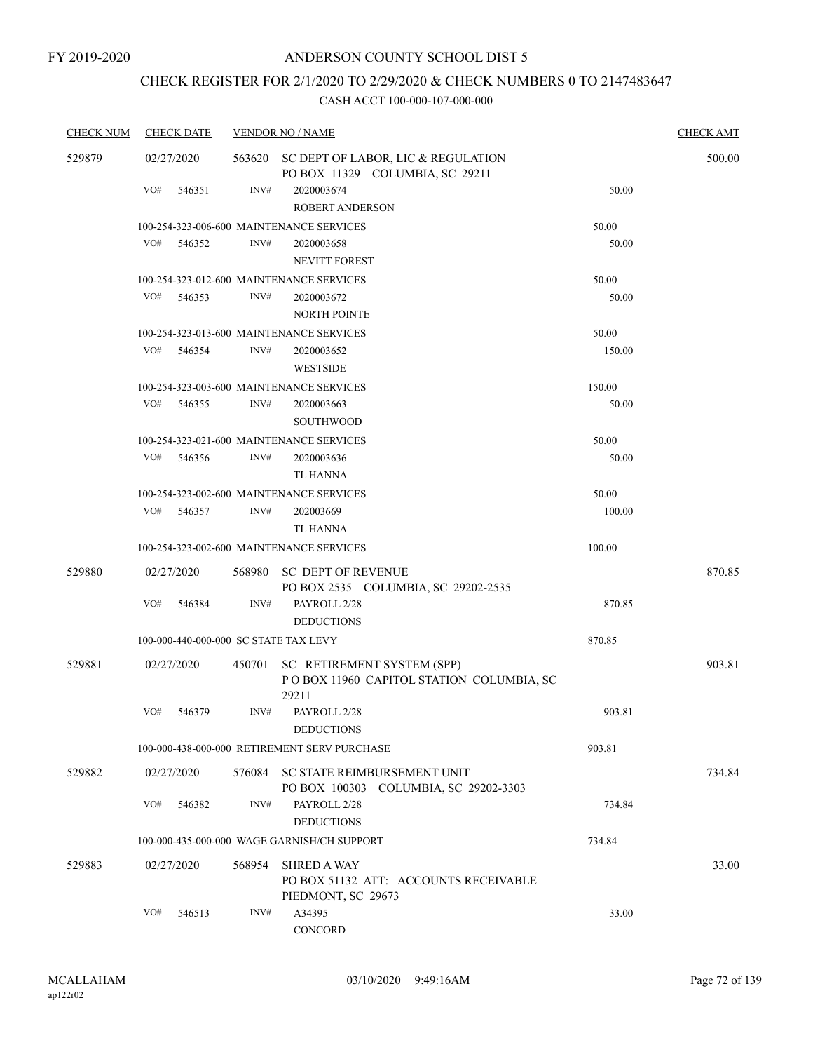# CHECK REGISTER FOR 2/1/2020 TO 2/29/2020 & CHECK NUMBERS 0 TO 2147483647

| <b>CHECK NUM</b> |     | <b>CHECK DATE</b> |        | <b>VENDOR NO / NAME</b>                                                           |        | <b>CHECK AMT</b> |
|------------------|-----|-------------------|--------|-----------------------------------------------------------------------------------|--------|------------------|
| 529879           |     | 02/27/2020        |        | 563620 SC DEPT OF LABOR, LIC & REGULATION<br>PO BOX 11329 COLUMBIA, SC 29211      |        | 500.00           |
|                  | VO# | 546351            | INV#   | 2020003674<br><b>ROBERT ANDERSON</b>                                              | 50.00  |                  |
|                  |     |                   |        | 100-254-323-006-600 MAINTENANCE SERVICES                                          | 50.00  |                  |
|                  | VO# | 546352            | INV#   | 2020003658<br><b>NEVITT FOREST</b>                                                | 50.00  |                  |
|                  |     |                   |        | 100-254-323-012-600 MAINTENANCE SERVICES                                          | 50.00  |                  |
|                  | VO# | 546353            | INV#   | 2020003672<br><b>NORTH POINTE</b>                                                 | 50.00  |                  |
|                  |     |                   |        | 100-254-323-013-600 MAINTENANCE SERVICES                                          | 50.00  |                  |
|                  | VO# | 546354            | INV#   | 2020003652<br><b>WESTSIDE</b>                                                     | 150.00 |                  |
|                  |     |                   |        | 100-254-323-003-600 MAINTENANCE SERVICES                                          | 150.00 |                  |
|                  | VO# | 546355            | INV#   | 2020003663<br><b>SOUTHWOOD</b>                                                    | 50.00  |                  |
|                  |     |                   |        | 100-254-323-021-600 MAINTENANCE SERVICES                                          | 50.00  |                  |
|                  | VO# | 546356            | INV#   | 2020003636<br>TL HANNA                                                            | 50.00  |                  |
|                  |     |                   |        | 100-254-323-002-600 MAINTENANCE SERVICES                                          | 50.00  |                  |
|                  | VO# | 546357            | INV#   | 202003669<br>TL HANNA                                                             | 100.00 |                  |
|                  |     |                   |        | 100-254-323-002-600 MAINTENANCE SERVICES                                          | 100.00 |                  |
| 529880           |     | 02/27/2020        | 568980 | <b>SC DEPT OF REVENUE</b><br>PO BOX 2535 COLUMBIA, SC 29202-2535                  |        | 870.85           |
|                  | VO# | 546384            | INV#   | PAYROLL 2/28<br><b>DEDUCTIONS</b>                                                 | 870.85 |                  |
|                  |     |                   |        | 100-000-440-000-000 SC STATE TAX LEVY                                             | 870.85 |                  |
| 529881           |     | 02/27/2020        | 450701 | SC RETIREMENT SYSTEM (SPP)<br>POBOX 11960 CAPITOL STATION COLUMBIA, SC<br>29211   |        | 903.81           |
|                  | VO# | 546379            | INV#   | PAYROLL 2/28<br><b>DEDUCTIONS</b>                                                 | 903.81 |                  |
|                  |     |                   |        | 100-000-438-000-000 RETIREMENT SERV PURCHASE                                      | 903.81 |                  |
| 529882           |     | 02/27/2020        |        | 576084 SC STATE REIMBURSEMENT UNIT<br>PO BOX 100303 COLUMBIA, SC 29202-3303       |        | 734.84           |
|                  | VO# | 546382            | INV#   | PAYROLL 2/28<br><b>DEDUCTIONS</b>                                                 | 734.84 |                  |
|                  |     |                   |        | 100-000-435-000-000 WAGE GARNISH/CH SUPPORT                                       | 734.84 |                  |
|                  |     |                   |        |                                                                                   |        |                  |
| 529883           |     | 02/27/2020        | 568954 | <b>SHRED A WAY</b><br>PO BOX 51132 ATT: ACCOUNTS RECEIVABLE<br>PIEDMONT, SC 29673 |        | 33.00            |
|                  | VO# | 546513            | INV#   | A34395<br>CONCORD                                                                 | 33.00  |                  |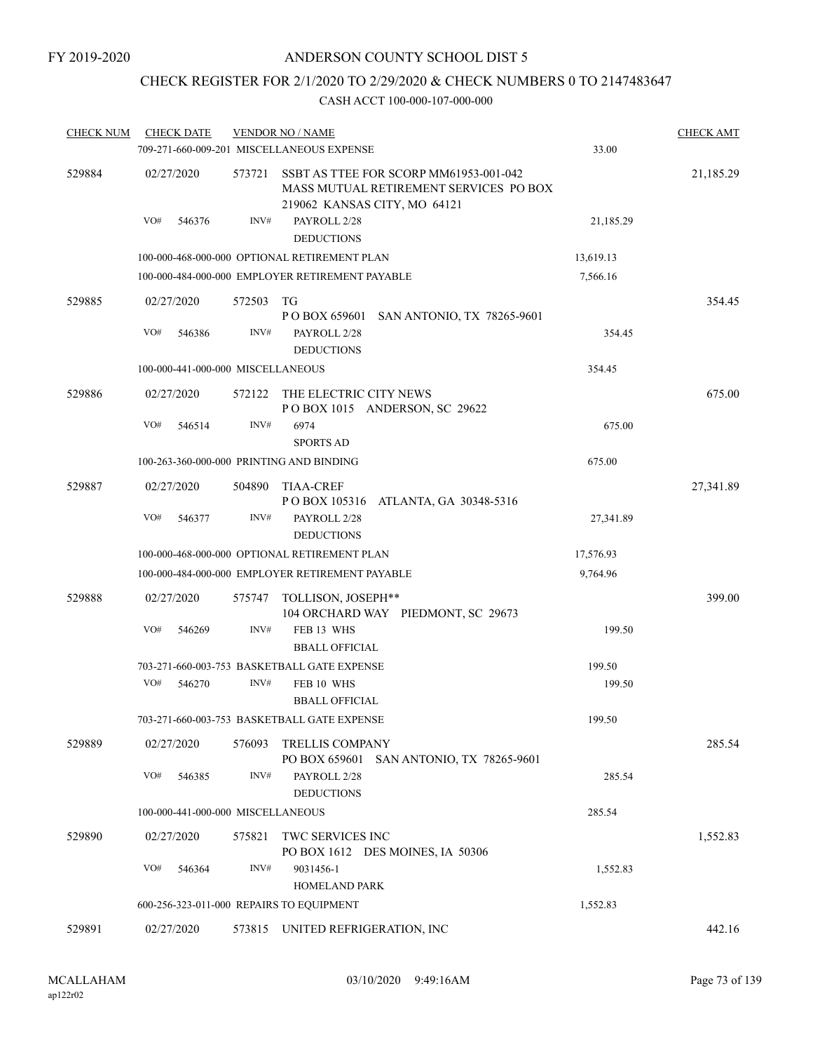# CHECK REGISTER FOR 2/1/2020 TO 2/29/2020 & CHECK NUMBERS 0 TO 2147483647

| <b>CHECK NUM</b> | <b>CHECK DATE</b>                 |        | <b>VENDOR NO / NAME</b>                                                                                          |           | <b>CHECK AMT</b> |
|------------------|-----------------------------------|--------|------------------------------------------------------------------------------------------------------------------|-----------|------------------|
|                  |                                   |        | 709-271-660-009-201 MISCELLANEOUS EXPENSE                                                                        | 33.00     |                  |
| 529884           | 02/27/2020                        | 573721 | SSBT AS TTEE FOR SCORP MM61953-001-042<br>MASS MUTUAL RETIREMENT SERVICES PO BOX<br>219062 KANSAS CITY, MO 64121 |           | 21,185.29        |
|                  | VO#<br>546376                     | INV#   | PAYROLL 2/28<br><b>DEDUCTIONS</b>                                                                                | 21,185.29 |                  |
|                  |                                   |        | 100-000-468-000-000 OPTIONAL RETIREMENT PLAN                                                                     | 13,619.13 |                  |
|                  |                                   |        | 100-000-484-000-000 EMPLOYER RETIREMENT PAYABLE                                                                  | 7,566.16  |                  |
| 529885           | 02/27/2020                        | 572503 | TG<br>P O BOX 659601 SAN ANTONIO, TX 78265-9601                                                                  |           | 354.45           |
|                  | VO#<br>546386                     | INV#   | PAYROLL 2/28<br><b>DEDUCTIONS</b>                                                                                | 354.45    |                  |
|                  | 100-000-441-000-000 MISCELLANEOUS |        |                                                                                                                  | 354.45    |                  |
| 529886           | 02/27/2020                        | 572122 | THE ELECTRIC CITY NEWS<br>POBOX 1015 ANDERSON, SC 29622                                                          |           | 675.00           |
|                  | VO#<br>546514                     | INV#   | 6974<br><b>SPORTS AD</b>                                                                                         | 675.00    |                  |
|                  |                                   |        | 100-263-360-000-000 PRINTING AND BINDING                                                                         | 675.00    |                  |
| 529887           | 02/27/2020                        | 504890 | <b>TIAA-CREF</b><br>P O BOX 105316 ATLANTA, GA 30348-5316                                                        |           | 27,341.89        |
|                  | VO#<br>546377                     | INV#   | PAYROLL 2/28<br><b>DEDUCTIONS</b>                                                                                | 27,341.89 |                  |
|                  |                                   |        | 100-000-468-000-000 OPTIONAL RETIREMENT PLAN                                                                     | 17,576.93 |                  |
|                  |                                   |        | 100-000-484-000-000 EMPLOYER RETIREMENT PAYABLE                                                                  | 9,764.96  |                  |
| 529888           | 02/27/2020                        | 575747 | TOLLISON, JOSEPH**<br>104 ORCHARD WAY PIEDMONT, SC 29673                                                         |           | 399.00           |
|                  | VO#<br>546269                     | INV#   | FEB 13 WHS<br><b>BBALL OFFICIAL</b>                                                                              | 199.50    |                  |
|                  |                                   |        | 703-271-660-003-753 BASKETBALL GATE EXPENSE                                                                      | 199.50    |                  |
|                  | VO#<br>546270                     | INV#   | FEB 10 WHS<br><b>BBALL OFFICIAL</b>                                                                              | 199.50    |                  |
|                  |                                   |        | 703-271-660-003-753 BASKETBALL GATE EXPENSE                                                                      | 199.50    |                  |
| 529889           | 02/27/2020                        | 576093 | <b>TRELLIS COMPANY</b><br>PO BOX 659601 SAN ANTONIO, TX 78265-9601                                               |           | 285.54           |
|                  | VO#<br>546385                     | INV#   | PAYROLL 2/28<br><b>DEDUCTIONS</b>                                                                                | 285.54    |                  |
|                  | 100-000-441-000-000 MISCELLANEOUS |        |                                                                                                                  | 285.54    |                  |
| 529890           | 02/27/2020                        | 575821 | TWC SERVICES INC<br>PO BOX 1612 DES MOINES, IA 50306                                                             |           | 1,552.83         |
|                  | VO#<br>546364                     | INV#   | 9031456-1<br><b>HOMELAND PARK</b>                                                                                | 1,552.83  |                  |
|                  |                                   |        | 600-256-323-011-000 REPAIRS TO EQUIPMENT                                                                         | 1,552.83  |                  |
| 529891           | 02/27/2020                        |        | 573815 UNITED REFRIGERATION, INC                                                                                 |           | 442.16           |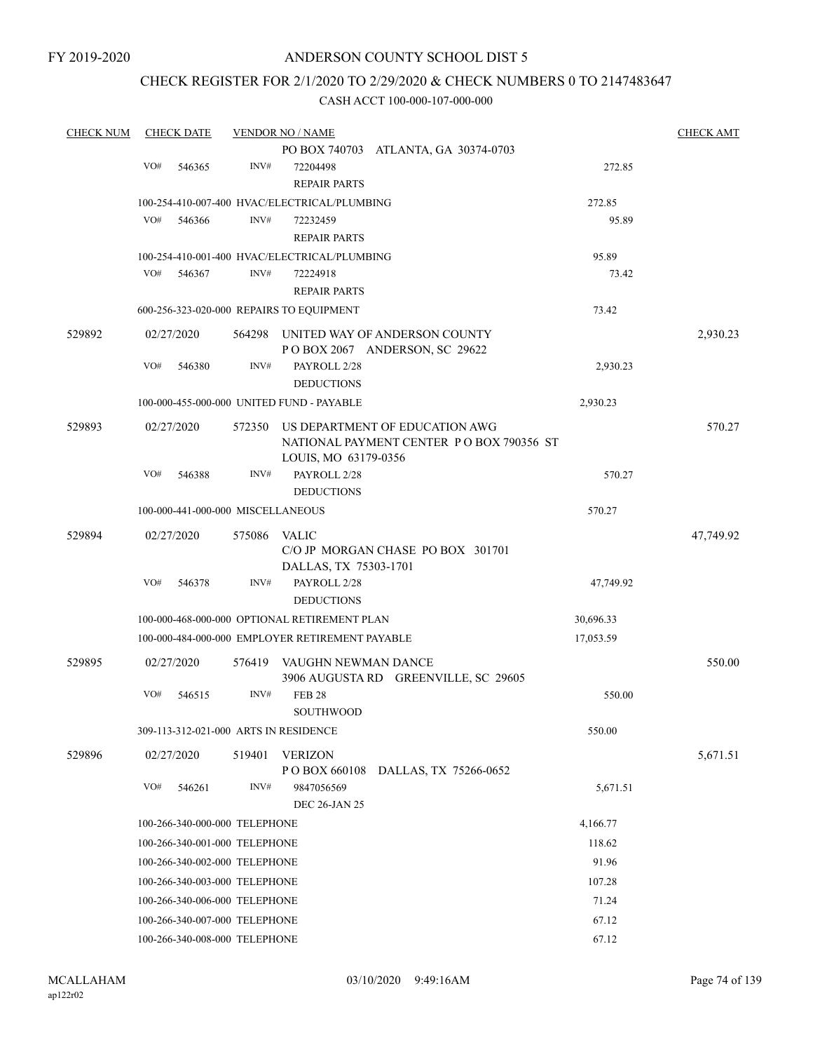# CHECK REGISTER FOR 2/1/2020 TO 2/29/2020 & CHECK NUMBERS 0 TO 2147483647

| <b>CHECK NUM</b> | <b>CHECK DATE</b> |                                       | <b>VENDOR NO / NAME</b>                         |                                                                            |           | <b>CHECK AMT</b> |
|------------------|-------------------|---------------------------------------|-------------------------------------------------|----------------------------------------------------------------------------|-----------|------------------|
|                  |                   |                                       |                                                 | PO BOX 740703 ATLANTA, GA 30374-0703                                       |           |                  |
|                  | VO#               | INV#<br>546365                        | 72204498                                        |                                                                            | 272.85    |                  |
|                  |                   |                                       | <b>REPAIR PARTS</b>                             |                                                                            |           |                  |
|                  |                   |                                       | 100-254-410-007-400 HVAC/ELECTRICAL/PLUMBING    |                                                                            | 272.85    |                  |
|                  | VO#               | INV#<br>546366                        | 72232459                                        |                                                                            | 95.89     |                  |
|                  |                   |                                       | <b>REPAIR PARTS</b>                             |                                                                            |           |                  |
|                  |                   |                                       | 100-254-410-001-400 HVAC/ELECTRICAL/PLUMBING    |                                                                            | 95.89     |                  |
|                  | VO#               | 546367<br>INV#                        | 72224918                                        |                                                                            | 73.42     |                  |
|                  |                   |                                       | <b>REPAIR PARTS</b>                             |                                                                            |           |                  |
|                  |                   |                                       | 600-256-323-020-000 REPAIRS TO EQUIPMENT        |                                                                            | 73.42     |                  |
| 529892           | 02/27/2020        | 564298                                |                                                 | UNITED WAY OF ANDERSON COUNTY<br>POBOX 2067 ANDERSON, SC 29622             |           | 2,930.23         |
|                  | VO#               | INV#<br>546380                        | PAYROLL 2/28                                    |                                                                            | 2,930.23  |                  |
|                  |                   |                                       | <b>DEDUCTIONS</b>                               |                                                                            |           |                  |
|                  |                   |                                       | 100-000-455-000-000 UNITED FUND - PAYABLE       |                                                                            | 2,930.23  |                  |
| 529893           | 02/27/2020        | 572350                                | LOUIS, MO 63179-0356                            | US DEPARTMENT OF EDUCATION AWG<br>NATIONAL PAYMENT CENTER PO BOX 790356 ST |           | 570.27           |
|                  | VO#               | INV#<br>546388                        | PAYROLL 2/28<br><b>DEDUCTIONS</b>               |                                                                            | 570.27    |                  |
|                  |                   | 100-000-441-000-000 MISCELLANEOUS     |                                                 |                                                                            | 570.27    |                  |
| 529894           | 02/27/2020        | 575086                                | <b>VALIC</b><br>DALLAS, TX 75303-1701           | C/O JP MORGAN CHASE PO BOX 301701                                          |           | 47,749.92        |
|                  | VO#               | INV#<br>546378                        | PAYROLL 2/28<br><b>DEDUCTIONS</b>               |                                                                            | 47,749.92 |                  |
|                  |                   |                                       | 100-000-468-000-000 OPTIONAL RETIREMENT PLAN    |                                                                            | 30,696.33 |                  |
|                  |                   |                                       | 100-000-484-000-000 EMPLOYER RETIREMENT PAYABLE |                                                                            | 17,053.59 |                  |
| 529895           | 02/27/2020        | 576419                                | VAUGHN NEWMAN DANCE                             | 3906 AUGUSTA RD GREENVILLE, SC 29605                                       |           | 550.00           |
|                  | VO#               | INV#<br>546515                        | <b>FEB 28</b><br>SOUTHWOOD                      |                                                                            | 550.00    |                  |
|                  |                   | 309-113-312-021-000 ARTS IN RESIDENCE |                                                 |                                                                            | 550.00    |                  |
| 529896           | 02/27/2020        | 519401                                | <b>VERIZON</b><br>P O BOX 660108                | DALLAS, TX 75266-0652                                                      |           | 5,671.51         |
|                  | VO#               | INV#<br>546261                        | 9847056569<br><b>DEC 26-JAN 25</b>              |                                                                            | 5,671.51  |                  |
|                  |                   | 100-266-340-000-000 TELEPHONE         |                                                 |                                                                            | 4,166.77  |                  |
|                  |                   | 100-266-340-001-000 TELEPHONE         |                                                 |                                                                            | 118.62    |                  |
|                  |                   | 100-266-340-002-000 TELEPHONE         |                                                 |                                                                            | 91.96     |                  |
|                  |                   | 100-266-340-003-000 TELEPHONE         |                                                 |                                                                            | 107.28    |                  |
|                  |                   | 100-266-340-006-000 TELEPHONE         |                                                 |                                                                            | 71.24     |                  |
|                  |                   | 100-266-340-007-000 TELEPHONE         |                                                 |                                                                            | 67.12     |                  |
|                  |                   | 100-266-340-008-000 TELEPHONE         |                                                 |                                                                            | 67.12     |                  |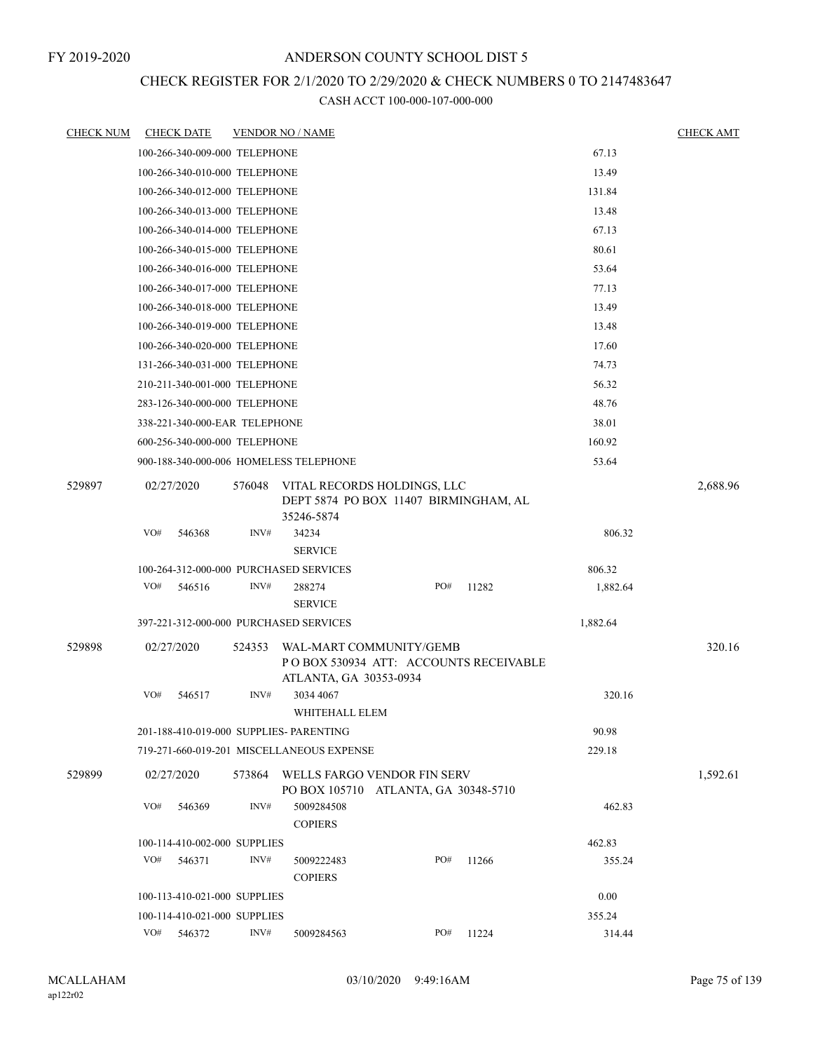# CHECK REGISTER FOR 2/1/2020 TO 2/29/2020 & CHECK NUMBERS 0 TO 2147483647

| <b>CHECK NUM</b> | <b>CHECK DATE</b>                       |        | <b>VENDOR NO / NAME</b>                                                                     |     |       |          | <b>CHECK AMT</b> |
|------------------|-----------------------------------------|--------|---------------------------------------------------------------------------------------------|-----|-------|----------|------------------|
|                  | 100-266-340-009-000 TELEPHONE           |        |                                                                                             |     |       | 67.13    |                  |
|                  | 100-266-340-010-000 TELEPHONE           |        |                                                                                             |     |       | 13.49    |                  |
|                  | 100-266-340-012-000 TELEPHONE           |        |                                                                                             |     |       | 131.84   |                  |
|                  | 100-266-340-013-000 TELEPHONE           |        |                                                                                             |     |       | 13.48    |                  |
|                  | 100-266-340-014-000 TELEPHONE           |        |                                                                                             |     |       | 67.13    |                  |
|                  | 100-266-340-015-000 TELEPHONE           |        |                                                                                             |     |       | 80.61    |                  |
|                  | 100-266-340-016-000 TELEPHONE           |        |                                                                                             |     |       | 53.64    |                  |
|                  | 100-266-340-017-000 TELEPHONE           |        |                                                                                             |     |       | 77.13    |                  |
|                  | 100-266-340-018-000 TELEPHONE           |        |                                                                                             |     |       | 13.49    |                  |
|                  | 100-266-340-019-000 TELEPHONE           |        |                                                                                             |     |       | 13.48    |                  |
|                  | 100-266-340-020-000 TELEPHONE           |        |                                                                                             |     |       | 17.60    |                  |
|                  | 131-266-340-031-000 TELEPHONE           |        |                                                                                             |     |       | 74.73    |                  |
|                  | 210-211-340-001-000 TELEPHONE           |        |                                                                                             |     |       | 56.32    |                  |
|                  | 283-126-340-000-000 TELEPHONE           |        |                                                                                             |     |       | 48.76    |                  |
|                  | 338-221-340-000-EAR TELEPHONE           |        |                                                                                             |     |       | 38.01    |                  |
|                  | 600-256-340-000-000 TELEPHONE           |        |                                                                                             |     |       | 160.92   |                  |
|                  | 900-188-340-000-006 HOMELESS TELEPHONE  |        |                                                                                             |     |       | 53.64    |                  |
| 529897           | 02/27/2020                              | 576048 | VITAL RECORDS HOLDINGS, LLC<br>DEPT 5874 PO BOX 11407 BIRMINGHAM, AL<br>35246-5874          |     |       |          | 2,688.96         |
|                  | VO#<br>546368                           | INV#   | 34234<br><b>SERVICE</b>                                                                     |     |       | 806.32   |                  |
|                  | 100-264-312-000-000 PURCHASED SERVICES  |        |                                                                                             |     |       | 806.32   |                  |
|                  | VO#<br>546516                           | INV#   | 288274<br><b>SERVICE</b>                                                                    | PO# | 11282 | 1,882.64 |                  |
|                  | 397-221-312-000-000 PURCHASED SERVICES  |        |                                                                                             |     |       | 1,882.64 |                  |
| 529898           | 02/27/2020                              | 524353 | WAL-MART COMMUNITY/GEMB<br>PO BOX 530934 ATT: ACCOUNTS RECEIVABLE<br>ATLANTA, GA 30353-0934 |     |       |          | 320.16           |
|                  | VO#<br>546517                           | INV#   | 3034 4067<br>WHITEHALL ELEM                                                                 |     |       | 320.16   |                  |
|                  | 201-188-410-019-000 SUPPLIES- PARENTING |        |                                                                                             |     |       | 90.98    |                  |
|                  |                                         |        | 719-271-660-019-201 MISCELLANEOUS EXPENSE                                                   |     |       | 229.18   |                  |
| 529899           | 02/27/2020                              | 573864 | WELLS FARGO VENDOR FIN SERV<br>PO BOX 105710 ATLANTA, GA 30348-5710                         |     |       |          | 1,592.61         |
|                  | VO#<br>546369                           | INV#   | 5009284508<br><b>COPIERS</b>                                                                |     |       | 462.83   |                  |
|                  | 100-114-410-002-000 SUPPLIES            |        |                                                                                             |     |       | 462.83   |                  |
|                  | VO#<br>546371                           | INV#   | 5009222483<br><b>COPIERS</b>                                                                | PO# | 11266 | 355.24   |                  |
|                  | 100-113-410-021-000 SUPPLIES            |        |                                                                                             |     |       | 0.00     |                  |
|                  | 100-114-410-021-000 SUPPLIES            |        |                                                                                             |     |       | 355.24   |                  |
|                  | VO#<br>546372                           | INV#   | 5009284563                                                                                  | PO# | 11224 | 314.44   |                  |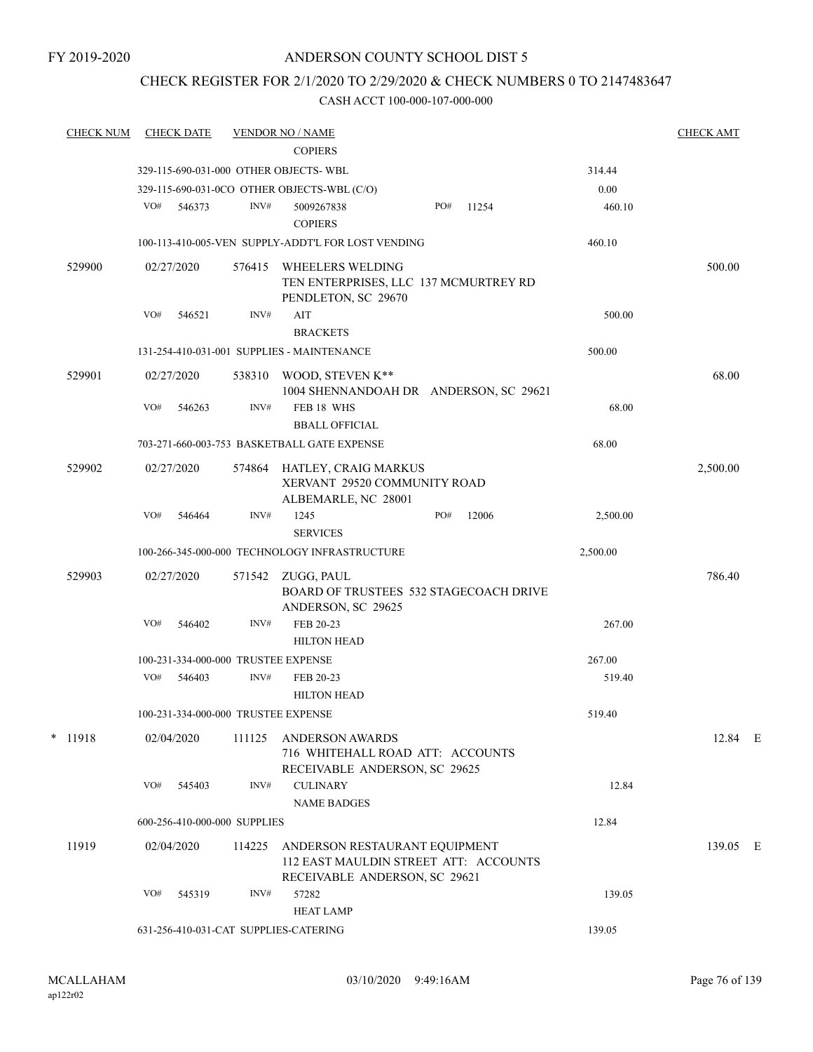# CHECK REGISTER FOR 2/1/2020 TO 2/29/2020 & CHECK NUMBERS 0 TO 2147483647

| <b>CHECK NUM</b> |     | <b>CHECK DATE</b> |                              | <b>VENDOR NO / NAME</b>                                                                                 |     |       |          | <b>CHECK AMT</b> |  |
|------------------|-----|-------------------|------------------------------|---------------------------------------------------------------------------------------------------------|-----|-------|----------|------------------|--|
|                  |     |                   |                              | <b>COPIERS</b>                                                                                          |     |       |          |                  |  |
|                  |     |                   |                              | 329-115-690-031-000 OTHER OBJECTS-WBL                                                                   |     |       | 314.44   |                  |  |
|                  |     |                   |                              | 329-115-690-031-0CO OTHER OBJECTS-WBL (C/O)                                                             |     |       | 0.00     |                  |  |
|                  | VO# | 546373            | INV#                         | 5009267838<br><b>COPIERS</b>                                                                            | PO# | 11254 | 460.10   |                  |  |
|                  |     |                   |                              | 100-113-410-005-VEN SUPPLY-ADDT'L FOR LOST VENDING                                                      |     |       | 460.10   |                  |  |
| 529900           |     | 02/27/2020        | 576415                       | <b>WHEELERS WELDING</b><br>TEN ENTERPRISES, LLC 137 MCMURTREY RD<br>PENDLETON, SC 29670                 |     |       |          | 500.00           |  |
|                  | VO# | 546521            | INV#                         | AIT<br><b>BRACKETS</b>                                                                                  |     |       | 500.00   |                  |  |
|                  |     |                   |                              | 131-254-410-031-001 SUPPLIES - MAINTENANCE                                                              |     |       | 500.00   |                  |  |
| 529901           |     | 02/27/2020        |                              | 538310 WOOD, STEVEN K**<br>1004 SHENNANDOAH DR ANDERSON, SC 29621                                       |     |       |          | 68.00            |  |
|                  | VO# | 546263            | INV#                         | FEB 18 WHS<br><b>BBALL OFFICIAL</b>                                                                     |     |       | 68.00    |                  |  |
|                  |     |                   |                              | 703-271-660-003-753 BASKETBALL GATE EXPENSE                                                             |     |       | 68.00    |                  |  |
| 529902           |     | 02/27/2020        | 574864                       | HATLEY, CRAIG MARKUS<br>XERVANT 29520 COMMUNITY ROAD<br>ALBEMARLE, NC 28001                             |     |       |          | 2,500.00         |  |
|                  | VO# | 546464            | INV#                         | 1245<br><b>SERVICES</b>                                                                                 | PO# | 12006 | 2,500.00 |                  |  |
|                  |     |                   |                              | 100-266-345-000-000 TECHNOLOGY INFRASTRUCTURE                                                           |     |       | 2,500.00 |                  |  |
| 529903           |     | 02/27/2020        |                              | 571542 ZUGG, PAUL<br>BOARD OF TRUSTEES 532 STAGECOACH DRIVE<br>ANDERSON, SC 29625                       |     |       |          | 786.40           |  |
|                  | VO# | 546402            | INV#                         | FEB 20-23<br><b>HILTON HEAD</b>                                                                         |     |       | 267.00   |                  |  |
|                  |     |                   |                              | 100-231-334-000-000 TRUSTEE EXPENSE                                                                     |     |       | 267.00   |                  |  |
|                  | VO# | 546403            | INV#                         | FEB 20-23<br><b>HILTON HEAD</b>                                                                         |     |       | 519.40   |                  |  |
|                  |     |                   |                              | 100-231-334-000-000 TRUSTEE EXPENSE                                                                     |     |       | 519.40   |                  |  |
| * 11918          |     | 02/04/2020        | 111125                       | <b>ANDERSON AWARDS</b><br>716 WHITEHALL ROAD ATT: ACCOUNTS<br>RECEIVABLE ANDERSON, SC 29625             |     |       |          | 12.84 E          |  |
|                  | VO# | 545403            | INV#                         | <b>CULINARY</b><br><b>NAME BADGES</b>                                                                   |     |       | 12.84    |                  |  |
|                  |     |                   | 600-256-410-000-000 SUPPLIES |                                                                                                         |     |       | 12.84    |                  |  |
| 11919            |     | 02/04/2020        | 114225                       | ANDERSON RESTAURANT EQUIPMENT<br>112 EAST MAULDIN STREET ATT: ACCOUNTS<br>RECEIVABLE ANDERSON, SC 29621 |     |       |          | 139.05 E         |  |
|                  | VO# | 545319            | INV#                         | 57282<br><b>HEAT LAMP</b>                                                                               |     |       | 139.05   |                  |  |
|                  |     |                   |                              | 631-256-410-031-CAT SUPPLIES-CATERING                                                                   |     |       | 139.05   |                  |  |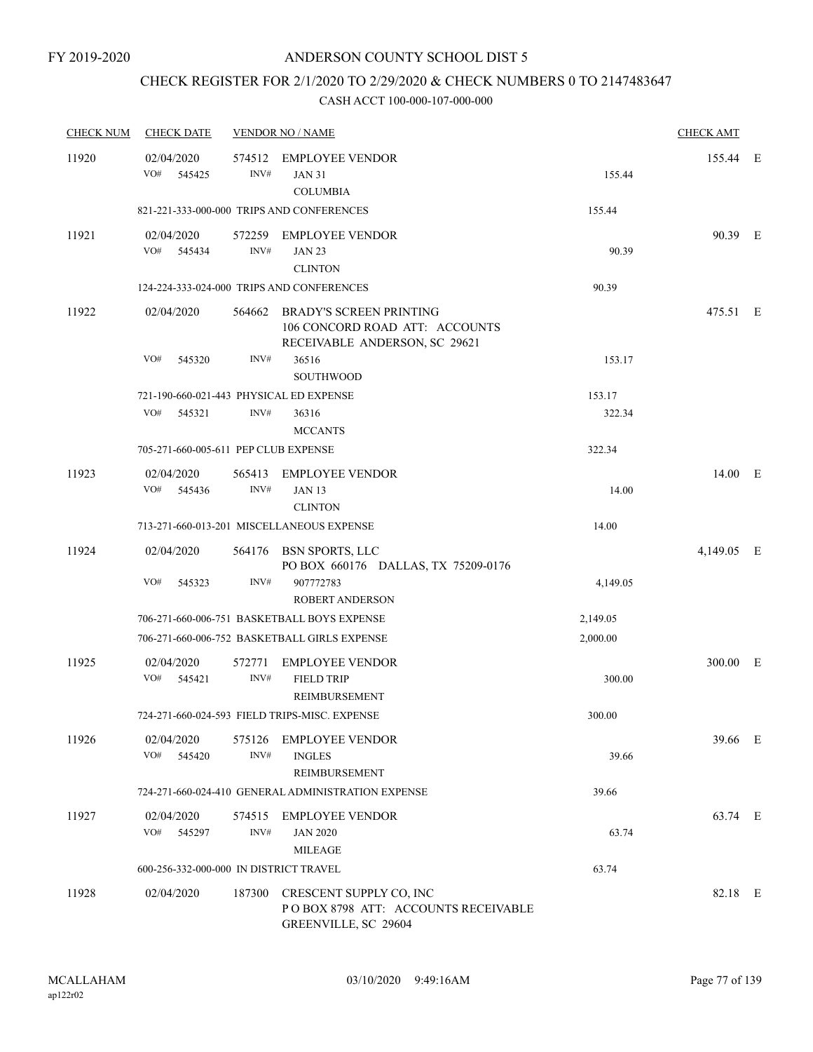# CHECK REGISTER FOR 2/1/2020 TO 2/29/2020 & CHECK NUMBERS 0 TO 2147483647

| <b>CHECK NUM</b> | <b>CHECK DATE</b>                       |                | <b>VENDOR NO / NAME</b>                                                                           |          | <b>CHECK AMT</b> |  |
|------------------|-----------------------------------------|----------------|---------------------------------------------------------------------------------------------------|----------|------------------|--|
| 11920            | 02/04/2020<br>VO#<br>545425             | 574512<br>INV# | <b>EMPLOYEE VENDOR</b><br><b>JAN 31</b><br><b>COLUMBIA</b>                                        | 155.44   | 155.44 E         |  |
|                  |                                         |                | 821-221-333-000-000 TRIPS AND CONFERENCES                                                         | 155.44   |                  |  |
| 11921            | 02/04/2020<br>VO# 545434                | INV#           | 572259 EMPLOYEE VENDOR<br><b>JAN 23</b><br><b>CLINTON</b>                                         | 90.39    | 90.39 E          |  |
|                  |                                         |                | 124-224-333-024-000 TRIPS AND CONFERENCES                                                         | 90.39    |                  |  |
| 11922            | 02/04/2020                              | 564662         | <b>BRADY'S SCREEN PRINTING</b><br>106 CONCORD ROAD ATT: ACCOUNTS<br>RECEIVABLE ANDERSON, SC 29621 |          | 475.51 E         |  |
|                  | VO#<br>545320                           | INV#           | 36516<br><b>SOUTHWOOD</b>                                                                         | 153.17   |                  |  |
|                  | 721-190-660-021-443 PHYSICAL ED EXPENSE |                |                                                                                                   | 153.17   |                  |  |
|                  | VO#<br>545321                           | INV#           | 36316<br><b>MCCANTS</b>                                                                           | 322.34   |                  |  |
|                  | 705-271-660-005-611 PEP CLUB EXPENSE    |                |                                                                                                   | 322.34   |                  |  |
| 11923            | 02/04/2020<br>VO#<br>545436             | 565413<br>INV# | <b>EMPLOYEE VENDOR</b><br><b>JAN 13</b><br><b>CLINTON</b>                                         | 14.00    | 14.00 E          |  |
|                  |                                         |                | 713-271-660-013-201 MISCELLANEOUS EXPENSE                                                         | 14.00    |                  |  |
| 11924            | 02/04/2020                              |                | 564176 BSN SPORTS, LLC<br>PO BOX 660176 DALLAS, TX 75209-0176                                     |          | 4,149.05 E       |  |
|                  | VO#<br>545323                           | INV#           | 907772783<br><b>ROBERT ANDERSON</b>                                                               | 4,149.05 |                  |  |
|                  |                                         |                | 706-271-660-006-751 BASKETBALL BOYS EXPENSE                                                       | 2,149.05 |                  |  |
|                  |                                         |                | 706-271-660-006-752 BASKETBALL GIRLS EXPENSE                                                      | 2,000.00 |                  |  |
| 11925            | 02/04/2020<br>VO#<br>545421             | 572771<br>INV# | <b>EMPLOYEE VENDOR</b><br><b>FIELD TRIP</b><br>REIMBURSEMENT                                      | 300.00   | 300.00 E         |  |
|                  |                                         |                | 724-271-660-024-593 FIELD TRIPS-MISC. EXPENSE                                                     | 300.00   |                  |  |
| 11926            | 02/04/2020<br>VO#<br>545420             | INV#           | 575126 EMPLOYEE VENDOR<br><b>INGLES</b><br>REIMBURSEMENT                                          | 39.66    | 39.66 E          |  |
|                  |                                         |                | 724-271-660-024-410 GENERAL ADMINISTRATION EXPENSE                                                | 39.66    |                  |  |
| 11927            | 02/04/2020<br>VO# 545297                | 574515<br>INV# | <b>EMPLOYEE VENDOR</b><br><b>JAN 2020</b><br><b>MILEAGE</b>                                       | 63.74    | 63.74 E          |  |
|                  | 600-256-332-000-000 IN DISTRICT TRAVEL  |                |                                                                                                   | 63.74    |                  |  |
| 11928            | 02/04/2020                              |                | 187300 CRESCENT SUPPLY CO, INC<br>POBOX 8798 ATT: ACCOUNTS RECEIVABLE<br>GREENVILLE, SC 29604     |          | 82.18 E          |  |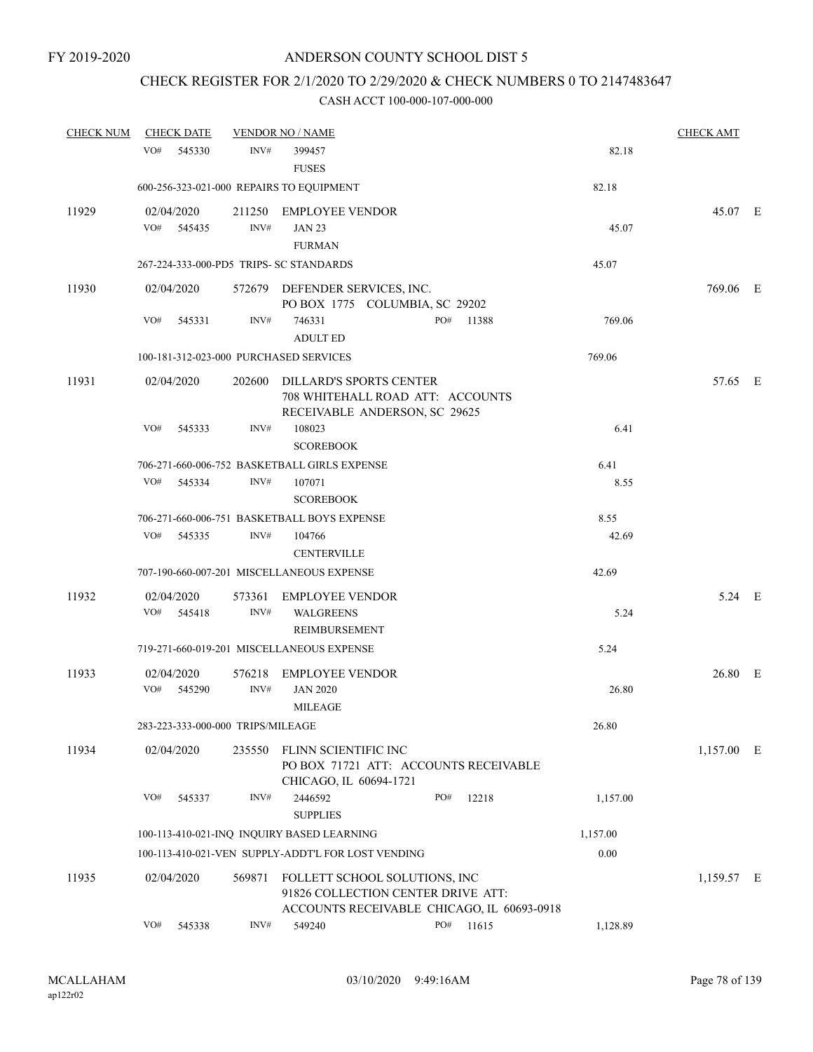# CHECK REGISTER FOR 2/1/2020 TO 2/29/2020 & CHECK NUMBERS 0 TO 2147483647

| <b>CHECK NUM</b> | <b>CHECK DATE</b>                       |                | <b>VENDOR NO / NAME</b>                                     |                                                                                                                   |       |          | <b>CHECK AMT</b> |  |
|------------------|-----------------------------------------|----------------|-------------------------------------------------------------|-------------------------------------------------------------------------------------------------------------------|-------|----------|------------------|--|
|                  | VO#<br>545330                           | INV#           | 399457<br><b>FUSES</b>                                      |                                                                                                                   |       | 82.18    |                  |  |
|                  |                                         |                | 600-256-323-021-000 REPAIRS TO EQUIPMENT                    |                                                                                                                   |       | 82.18    |                  |  |
| 11929            | 02/04/2020<br>VO#<br>545435             | 211250<br>INV# | <b>EMPLOYEE VENDOR</b><br><b>JAN 23</b><br><b>FURMAN</b>    |                                                                                                                   |       | 45.07    | 45.07 E          |  |
|                  | 267-224-333-000-PD5 TRIPS- SC STANDARDS |                |                                                             |                                                                                                                   |       | 45.07    |                  |  |
| 11930            | 02/04/2020                              |                | 572679 DEFENDER SERVICES, INC.                              | PO BOX 1775 COLUMBIA, SC 29202                                                                                    |       |          | 769.06 E         |  |
|                  | VO#<br>545331                           | INV#           | 746331<br><b>ADULT ED</b>                                   | PO#                                                                                                               | 11388 | 769.06   |                  |  |
|                  | 100-181-312-023-000 PURCHASED SERVICES  |                |                                                             |                                                                                                                   |       | 769.06   |                  |  |
| 11931            | 02/04/2020                              | 202600         | DILLARD'S SPORTS CENTER                                     | 708 WHITEHALL ROAD ATT: ACCOUNTS<br>RECEIVABLE ANDERSON, SC 29625                                                 |       |          | 57.65 E          |  |
|                  | VO#<br>545333                           | INV#           | 108023<br><b>SCOREBOOK</b>                                  |                                                                                                                   |       | 6.41     |                  |  |
|                  |                                         |                | 706-271-660-006-752 BASKETBALL GIRLS EXPENSE                |                                                                                                                   |       | 6.41     |                  |  |
|                  | VO#<br>545334                           | INV#           | 107071<br><b>SCOREBOOK</b>                                  |                                                                                                                   |       | 8.55     |                  |  |
|                  |                                         |                | 706-271-660-006-751 BASKETBALL BOYS EXPENSE                 |                                                                                                                   |       | 8.55     |                  |  |
|                  | VO#<br>545335                           | INV#           | 104766<br><b>CENTERVILLE</b>                                |                                                                                                                   |       | 42.69    |                  |  |
|                  |                                         |                | 707-190-660-007-201 MISCELLANEOUS EXPENSE                   |                                                                                                                   |       | 42.69    |                  |  |
| 11932            | 02/04/2020<br>VO#<br>545418             | 573361<br>INV# | <b>EMPLOYEE VENDOR</b><br><b>WALGREENS</b><br>REIMBURSEMENT |                                                                                                                   |       | 5.24     | 5.24 E           |  |
|                  |                                         |                | 719-271-660-019-201 MISCELLANEOUS EXPENSE                   |                                                                                                                   |       | 5.24     |                  |  |
| 11933            | 02/04/2020<br>VO#<br>545290             | INV#           | 576218 EMPLOYEE VENDOR<br><b>JAN 2020</b><br><b>MILEAGE</b> |                                                                                                                   |       | 26.80    | 26.80 E          |  |
|                  | 283-223-333-000-000 TRIPS/MILEAGE       |                |                                                             |                                                                                                                   |       | 26.80    |                  |  |
| 11934            | 02/04/2020                              | 235550         | FLINN SCIENTIFIC INC<br>CHICAGO, IL 60694-1721              | PO BOX 71721 ATT: ACCOUNTS RECEIVABLE                                                                             |       |          | $1,157.00$ E     |  |
|                  | VO#<br>545337                           | INV#           | 2446592<br><b>SUPPLIES</b>                                  | PO#                                                                                                               | 12218 | 1,157.00 |                  |  |
|                  |                                         |                | 100-113-410-021-INQ INQUIRY BASED LEARNING                  |                                                                                                                   |       | 1,157.00 |                  |  |
|                  |                                         |                | 100-113-410-021-VEN SUPPLY-ADDT'L FOR LOST VENDING          |                                                                                                                   |       | 0.00     |                  |  |
| 11935            | 02/04/2020                              | 569871         |                                                             | FOLLETT SCHOOL SOLUTIONS, INC<br>91826 COLLECTION CENTER DRIVE ATT:<br>ACCOUNTS RECEIVABLE CHICAGO, IL 60693-0918 |       |          | 1,159.57 E       |  |
|                  | VO#<br>545338                           | INV#           | 549240                                                      | PO# 11615                                                                                                         |       | 1,128.89 |                  |  |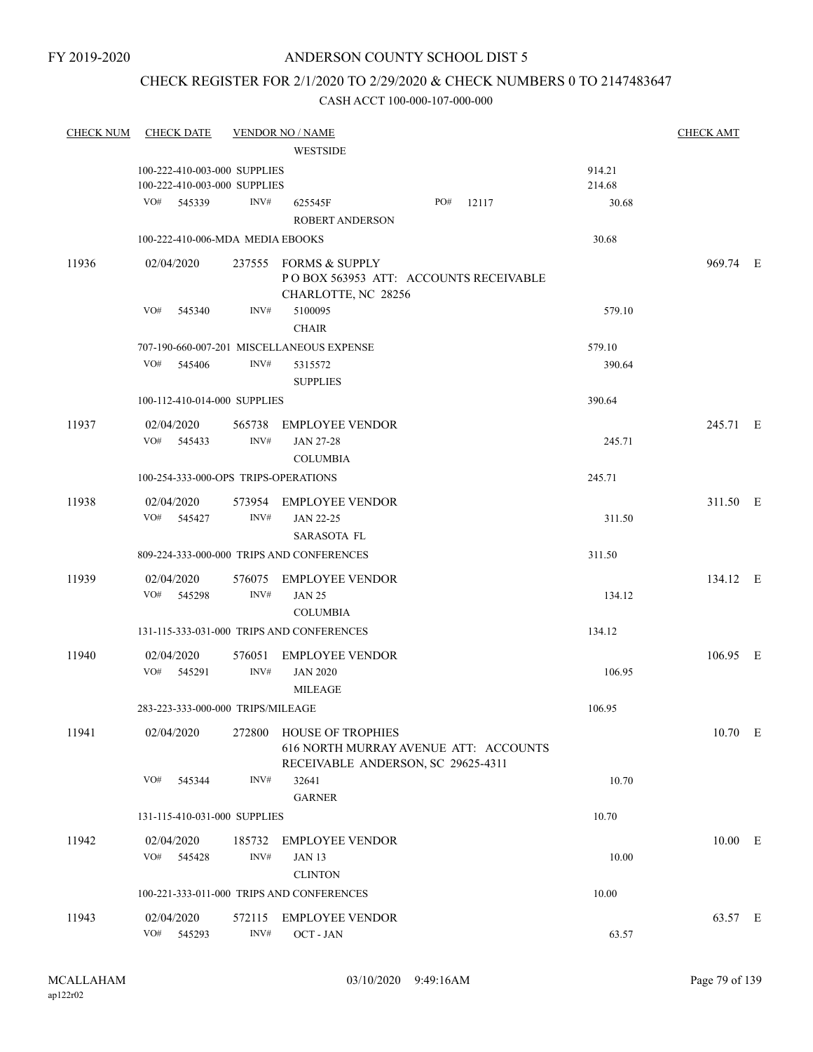# CHECK REGISTER FOR 2/1/2020 TO 2/29/2020 & CHECK NUMBERS 0 TO 2147483647

| <b>CHECK NUM</b> | <b>CHECK DATE</b>                    |                | <b>VENDOR NO / NAME</b>                                                                                 |           |                  | <b>CHECK AMT</b> |  |
|------------------|--------------------------------------|----------------|---------------------------------------------------------------------------------------------------------|-----------|------------------|------------------|--|
|                  |                                      |                | <b>WESTSIDE</b>                                                                                         |           |                  |                  |  |
|                  | 100-222-410-003-000 SUPPLIES         |                |                                                                                                         |           | 914.21           |                  |  |
|                  | 100-222-410-003-000 SUPPLIES         |                |                                                                                                         |           | 214.68           |                  |  |
|                  | VO# 545339                           | INV#           | 625545F<br><b>ROBERT ANDERSON</b>                                                                       | PO# 12117 | 30.68            |                  |  |
|                  | 100-222-410-006-MDA MEDIA EBOOKS     |                |                                                                                                         |           | 30.68            |                  |  |
| 11936            | 02/04/2020                           |                | 237555 FORMS & SUPPLY<br>POBOX 563953 ATT: ACCOUNTS RECEIVABLE<br>CHARLOTTE, NC 28256                   |           |                  | 969.74 E         |  |
|                  | VO#<br>545340                        | INV#           | 5100095<br><b>CHAIR</b>                                                                                 |           | 579.10           |                  |  |
|                  | VO#<br>545406                        | INV#           | 707-190-660-007-201 MISCELLANEOUS EXPENSE<br>5315572<br><b>SUPPLIES</b>                                 |           | 579.10<br>390.64 |                  |  |
|                  | 100-112-410-014-000 SUPPLIES         |                |                                                                                                         |           | 390.64           |                  |  |
| 11937            | 02/04/2020<br>VO# 545433             | INV#           | 565738 EMPLOYEE VENDOR<br><b>JAN 27-28</b>                                                              |           | 245.71           | 245.71 E         |  |
|                  | 100-254-333-000-OPS TRIPS-OPERATIONS |                | <b>COLUMBIA</b>                                                                                         |           | 245.71           |                  |  |
|                  |                                      |                |                                                                                                         |           |                  |                  |  |
| 11938            | 02/04/2020<br>VO# 545427             | INV#           | 573954 EMPLOYEE VENDOR<br><b>JAN 22-25</b><br><b>SARASOTA FL</b>                                        |           | 311.50           | 311.50 E         |  |
|                  |                                      |                | 809-224-333-000-000 TRIPS AND CONFERENCES                                                               |           | 311.50           |                  |  |
| 11939            | 02/04/2020<br>VO# 545298             | INV#           | 576075 EMPLOYEE VENDOR<br><b>JAN 25</b><br><b>COLUMBIA</b>                                              |           | 134.12           | 134.12 E         |  |
|                  |                                      |                | 131-115-333-031-000 TRIPS AND CONFERENCES                                                               |           | 134.12           |                  |  |
| 11940            | 02/04/2020<br>VO# 545291             | INV#           | 576051 EMPLOYEE VENDOR<br><b>JAN 2020</b><br><b>MILEAGE</b>                                             |           | 106.95           | 106.95 E         |  |
|                  | 283-223-333-000-000 TRIPS/MILEAGE    |                |                                                                                                         |           | 106.95           |                  |  |
| 11941            | 02/04/2020                           |                | 272800 HOUSE OF TROPHIES<br>616 NORTH MURRAY AVENUE ATT: ACCOUNTS<br>RECEIVABLE ANDERSON, SC 29625-4311 |           |                  | 10.70 E          |  |
|                  | VO#<br>545344                        | INV#           | 32641<br><b>GARNER</b>                                                                                  |           | 10.70            |                  |  |
|                  | 131-115-410-031-000 SUPPLIES         |                |                                                                                                         |           | 10.70            |                  |  |
| 11942            | 02/04/2020<br>VO# 545428             | 185732<br>INV# | <b>EMPLOYEE VENDOR</b><br><b>JAN 13</b><br><b>CLINTON</b>                                               |           | 10.00            | $10.00$ E        |  |
|                  |                                      |                | 100-221-333-011-000 TRIPS AND CONFERENCES                                                               |           | 10.00            |                  |  |
| 11943            | 02/04/2020<br>VO#<br>545293          | 572115<br>INV# | <b>EMPLOYEE VENDOR</b><br>OCT - JAN                                                                     |           | 63.57            | 63.57 E          |  |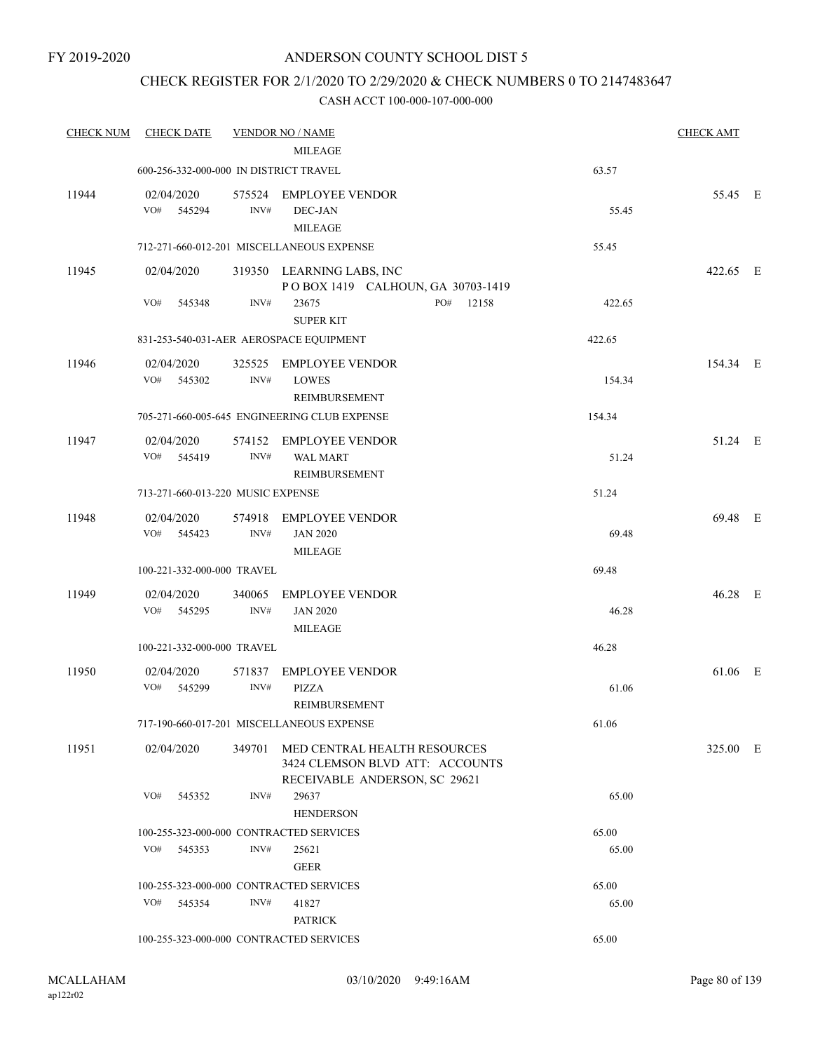### CHECK REGISTER FOR 2/1/2020 TO 2/29/2020 & CHECK NUMBERS 0 TO 2147483647

| <b>CHECK NUM</b> | <b>CHECK DATE</b>                       |                | <b>VENDOR NO / NAME</b>                                                                                 |        | <b>CHECK AMT</b> |  |
|------------------|-----------------------------------------|----------------|---------------------------------------------------------------------------------------------------------|--------|------------------|--|
|                  | 600-256-332-000-000 IN DISTRICT TRAVEL  |                | <b>MILEAGE</b>                                                                                          | 63.57  |                  |  |
|                  |                                         |                |                                                                                                         |        |                  |  |
| 11944            | 02/04/2020<br>VO#<br>545294             | INV#           | 575524 EMPLOYEE VENDOR<br>DEC-JAN<br><b>MILEAGE</b>                                                     | 55.45  | 55.45 E          |  |
|                  |                                         |                | 712-271-660-012-201 MISCELLANEOUS EXPENSE                                                               | 55.45  |                  |  |
| 11945            | 02/04/2020                              |                | 319350 LEARNING LABS, INC<br>POBOX 1419 CALHOUN, GA 30703-1419                                          |        | 422.65 E         |  |
|                  | VO#<br>545348                           | INV#           | 23675<br>PO#<br>12158<br><b>SUPER KIT</b>                                                               | 422.65 |                  |  |
|                  |                                         |                | 831-253-540-031-AER AEROSPACE EQUIPMENT                                                                 | 422.65 |                  |  |
| 11946            | 02/04/2020<br>VO#<br>545302             | 325525<br>INV# | <b>EMPLOYEE VENDOR</b><br><b>LOWES</b><br>REIMBURSEMENT                                                 | 154.34 | 154.34 E         |  |
|                  |                                         |                | 705-271-660-005-645 ENGINEERING CLUB EXPENSE                                                            | 154.34 |                  |  |
| 11947            | 02/04/2020<br>VO# 545419                | INV#           | 574152 EMPLOYEE VENDOR<br><b>WAL MART</b><br>REIMBURSEMENT                                              | 51.24  | 51.24 E          |  |
|                  | 713-271-660-013-220 MUSIC EXPENSE       |                |                                                                                                         | 51.24  |                  |  |
| 11948            | 02/04/2020<br>VO# 545423                | INV#           | 574918 EMPLOYEE VENDOR<br><b>JAN 2020</b><br><b>MILEAGE</b>                                             | 69.48  | 69.48 E          |  |
|                  | 100-221-332-000-000 TRAVEL              |                |                                                                                                         | 69.48  |                  |  |
| 11949            | 02/04/2020                              | 340065         | <b>EMPLOYEE VENDOR</b>                                                                                  |        | 46.28 E          |  |
|                  | VO#<br>545295                           | INV#           | <b>JAN 2020</b><br><b>MILEAGE</b>                                                                       | 46.28  |                  |  |
|                  | 100-221-332-000-000 TRAVEL              |                |                                                                                                         | 46.28  |                  |  |
| 11950            | 02/04/2020<br>VO#<br>545299             | 571837<br>INV# | <b>EMPLOYEE VENDOR</b><br><b>PIZZA</b><br><b>REIMBURSEMENT</b>                                          | 61.06  | 61.06 E          |  |
|                  |                                         |                | 717-190-660-017-201 MISCELLANEOUS EXPENSE                                                               | 61.06  |                  |  |
| 11951            | 02/04/2020                              |                | 349701 MED CENTRAL HEALTH RESOURCES<br>3424 CLEMSON BLVD ATT: ACCOUNTS<br>RECEIVABLE ANDERSON, SC 29621 |        | 325.00 E         |  |
|                  | VO#<br>545352                           | INV#           | 29637<br><b>HENDERSON</b>                                                                               | 65.00  |                  |  |
|                  | 100-255-323-000-000 CONTRACTED SERVICES |                |                                                                                                         | 65.00  |                  |  |
|                  | VO#<br>545353                           | INV#           | 25621<br><b>GEER</b>                                                                                    | 65.00  |                  |  |
|                  | 100-255-323-000-000 CONTRACTED SERVICES |                |                                                                                                         | 65.00  |                  |  |
|                  | VO# 545354                              | INV#           | 41827<br><b>PATRICK</b>                                                                                 | 65.00  |                  |  |
|                  | 100-255-323-000-000 CONTRACTED SERVICES |                |                                                                                                         | 65.00  |                  |  |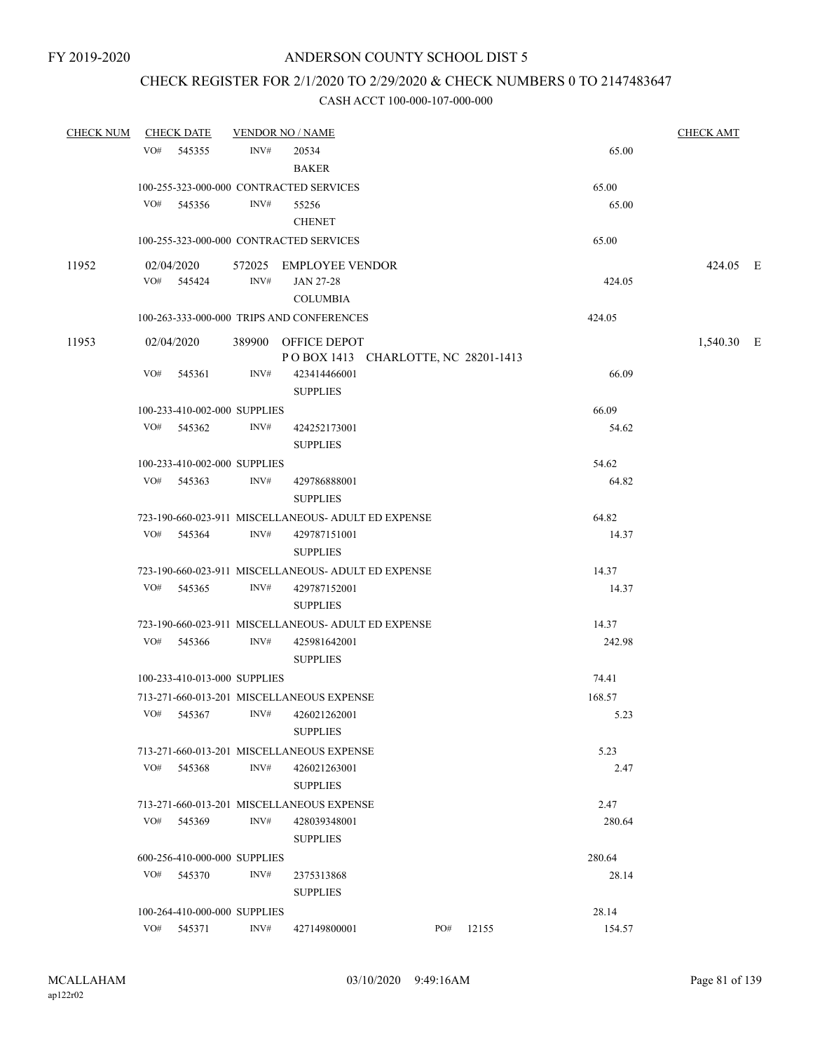# CHECK REGISTER FOR 2/1/2020 TO 2/29/2020 & CHECK NUMBERS 0 TO 2147483647

| <b>CHECK NUM</b> |     | <b>CHECK DATE</b>            |      | <b>VENDOR NO / NAME</b>                             |     |       |        | <b>CHECK AMT</b> |  |
|------------------|-----|------------------------------|------|-----------------------------------------------------|-----|-------|--------|------------------|--|
|                  | VO# | 545355                       | INV# | 20534                                               |     |       | 65.00  |                  |  |
|                  |     |                              |      | <b>BAKER</b>                                        |     |       |        |                  |  |
|                  |     |                              |      | 100-255-323-000-000 CONTRACTED SERVICES             |     |       | 65.00  |                  |  |
|                  | VO# | 545356                       | INV# | 55256                                               |     |       | 65.00  |                  |  |
|                  |     |                              |      | <b>CHENET</b>                                       |     |       |        |                  |  |
|                  |     |                              |      | 100-255-323-000-000 CONTRACTED SERVICES             |     |       | 65.00  |                  |  |
| 11952            |     | 02/04/2020                   |      | 572025 EMPLOYEE VENDOR                              |     |       |        | 424.05 E         |  |
|                  |     | VO# 545424                   | INV# | <b>JAN 27-28</b>                                    |     |       | 424.05 |                  |  |
|                  |     |                              |      | <b>COLUMBIA</b>                                     |     |       |        |                  |  |
|                  |     |                              |      | 100-263-333-000-000 TRIPS AND CONFERENCES           |     |       | 424.05 |                  |  |
| 11953            |     | 02/04/2020                   |      | 389900 OFFICE DEPOT                                 |     |       |        | 1,540.30 E       |  |
|                  |     |                              |      | POBOX 1413 CHARLOTTE, NC 28201-1413                 |     |       |        |                  |  |
|                  | VO# | 545361                       | INV# | 423414466001                                        |     |       | 66.09  |                  |  |
|                  |     |                              |      | <b>SUPPLIES</b>                                     |     |       |        |                  |  |
|                  |     | 100-233-410-002-000 SUPPLIES |      |                                                     |     |       | 66.09  |                  |  |
|                  |     | VO# 545362                   | INV# | 424252173001                                        |     |       | 54.62  |                  |  |
|                  |     |                              |      | <b>SUPPLIES</b>                                     |     |       |        |                  |  |
|                  |     | 100-233-410-002-000 SUPPLIES |      |                                                     |     |       | 54.62  |                  |  |
|                  |     | VO# 545363                   | INV# | 429786888001<br><b>SUPPLIES</b>                     |     |       | 64.82  |                  |  |
|                  |     |                              |      | 723-190-660-023-911 MISCELLANEOUS- ADULT ED EXPENSE |     |       | 64.82  |                  |  |
|                  | VO# | 545364                       | INV# | 429787151001                                        |     |       | 14.37  |                  |  |
|                  |     |                              |      | <b>SUPPLIES</b>                                     |     |       |        |                  |  |
|                  |     |                              |      | 723-190-660-023-911 MISCELLANEOUS- ADULT ED EXPENSE |     |       | 14.37  |                  |  |
|                  |     | VO# 545365                   | INV# | 429787152001                                        |     |       | 14.37  |                  |  |
|                  |     |                              |      | <b>SUPPLIES</b>                                     |     |       |        |                  |  |
|                  |     |                              |      | 723-190-660-023-911 MISCELLANEOUS- ADULT ED EXPENSE |     |       | 14.37  |                  |  |
|                  |     | VO# 545366                   | INV# | 425981642001                                        |     |       | 242.98 |                  |  |
|                  |     |                              |      | <b>SUPPLIES</b>                                     |     |       |        |                  |  |
|                  |     | 100-233-410-013-000 SUPPLIES |      |                                                     |     |       | 74.41  |                  |  |
|                  |     |                              |      | 713-271-660-013-201 MISCELLANEOUS EXPENSE           |     |       | 168.57 |                  |  |
|                  | VO# | 545367                       | INV# | 426021262001                                        |     |       | 5.23   |                  |  |
|                  |     |                              |      | <b>SUPPLIES</b>                                     |     |       |        |                  |  |
|                  |     |                              |      | 713-271-660-013-201 MISCELLANEOUS EXPENSE           |     |       | 5.23   |                  |  |
|                  | VO# | 545368                       | INV# | 426021263001<br><b>SUPPLIES</b>                     |     |       | 2.47   |                  |  |
|                  |     |                              |      | 713-271-660-013-201 MISCELLANEOUS EXPENSE           |     |       | 2.47   |                  |  |
|                  | VO# | 545369                       | INV# | 428039348001                                        |     |       | 280.64 |                  |  |
|                  |     |                              |      | <b>SUPPLIES</b>                                     |     |       |        |                  |  |
|                  |     | 600-256-410-000-000 SUPPLIES |      |                                                     |     |       | 280.64 |                  |  |
|                  | VO# | 545370                       | INV# | 2375313868                                          |     |       | 28.14  |                  |  |
|                  |     |                              |      | <b>SUPPLIES</b>                                     |     |       |        |                  |  |
|                  |     | 100-264-410-000-000 SUPPLIES |      |                                                     |     |       | 28.14  |                  |  |
|                  | VO# | 545371                       | INV# | 427149800001                                        | PO# | 12155 | 154.57 |                  |  |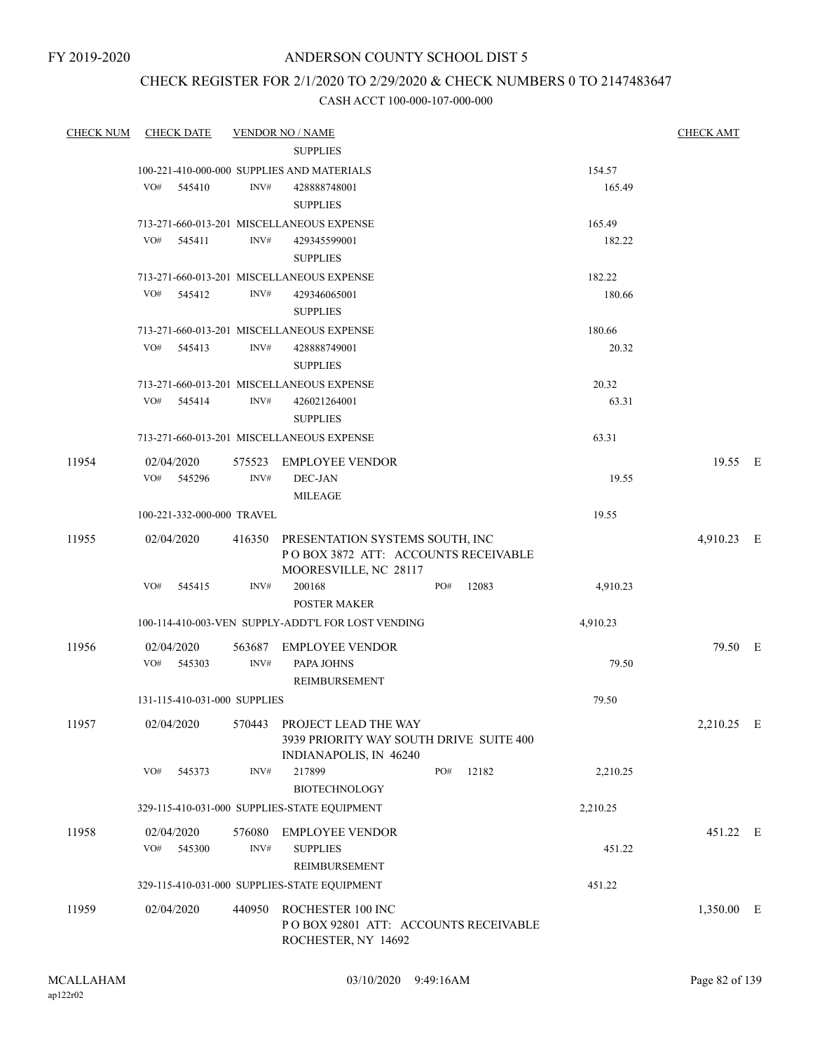FY 2019-2020

# ANDERSON COUNTY SCHOOL DIST 5

# CHECK REGISTER FOR 2/1/2020 TO 2/29/2020 & CHECK NUMBERS 0 TO 2147483647

| <b>CHECK NUM</b> | <b>CHECK DATE</b>            |        | <b>VENDOR NO / NAME</b>                            |     |       |          | <b>CHECK AMT</b> |  |
|------------------|------------------------------|--------|----------------------------------------------------|-----|-------|----------|------------------|--|
|                  |                              |        | <b>SUPPLIES</b>                                    |     |       |          |                  |  |
|                  |                              |        | 100-221-410-000-000 SUPPLIES AND MATERIALS         |     |       | 154.57   |                  |  |
|                  | VO#<br>545410                | INV#   | 428888748001                                       |     |       | 165.49   |                  |  |
|                  |                              |        | <b>SUPPLIES</b>                                    |     |       |          |                  |  |
|                  |                              |        | 713-271-660-013-201 MISCELLANEOUS EXPENSE          |     |       | 165.49   |                  |  |
|                  | VO#<br>545411                | INV#   | 429345599001                                       |     |       | 182.22   |                  |  |
|                  |                              |        | <b>SUPPLIES</b>                                    |     |       |          |                  |  |
|                  |                              |        | 713-271-660-013-201 MISCELLANEOUS EXPENSE          |     |       | 182.22   |                  |  |
|                  | VO#<br>545412                | INV#   | 429346065001                                       |     |       | 180.66   |                  |  |
|                  |                              |        | <b>SUPPLIES</b>                                    |     |       |          |                  |  |
|                  |                              |        | 713-271-660-013-201 MISCELLANEOUS EXPENSE          |     |       | 180.66   |                  |  |
|                  | VO#<br>545413                | INV#   | 428888749001                                       |     |       | 20.32    |                  |  |
|                  |                              |        | <b>SUPPLIES</b>                                    |     |       |          |                  |  |
|                  |                              |        | 713-271-660-013-201 MISCELLANEOUS EXPENSE          |     |       | 20.32    |                  |  |
|                  | VO#<br>545414                | INV#   | 426021264001                                       |     |       | 63.31    |                  |  |
|                  |                              |        | <b>SUPPLIES</b>                                    |     |       |          |                  |  |
|                  |                              |        | 713-271-660-013-201 MISCELLANEOUS EXPENSE          |     |       | 63.31    |                  |  |
| 11954            | 02/04/2020                   |        | 575523 EMPLOYEE VENDOR                             |     |       |          | 19.55 E          |  |
|                  | VO# 545296                   | INV#   | DEC-JAN                                            |     |       | 19.55    |                  |  |
|                  |                              |        | <b>MILEAGE</b>                                     |     |       |          |                  |  |
|                  | 100-221-332-000-000 TRAVEL   |        |                                                    |     |       | 19.55    |                  |  |
| 11955            | 02/04/2020                   |        | 416350 PRESENTATION SYSTEMS SOUTH, INC             |     |       |          | 4,910.23 E       |  |
|                  |                              |        | POBOX 3872 ATT: ACCOUNTS RECEIVABLE                |     |       |          |                  |  |
|                  |                              |        | MOORESVILLE, NC 28117                              |     |       |          |                  |  |
|                  | VO#<br>545415                | INV#   | 200168                                             | PO# | 12083 | 4,910.23 |                  |  |
|                  |                              |        | <b>POSTER MAKER</b>                                |     |       |          |                  |  |
|                  |                              |        | 100-114-410-003-VEN SUPPLY-ADDT'L FOR LOST VENDING |     |       | 4,910.23 |                  |  |
| 11956            | 02/04/2020                   | 563687 | <b>EMPLOYEE VENDOR</b>                             |     |       |          | 79.50 E          |  |
|                  | VO#<br>545303                | INV#   | PAPA JOHNS                                         |     |       | 79.50    |                  |  |
|                  |                              |        | REIMBURSEMENT                                      |     |       |          |                  |  |
|                  | 131-115-410-031-000 SUPPLIES |        |                                                    |     |       | 79.50    |                  |  |
| 11957            | 02/04/2020                   | 570443 | PROJECT LEAD THE WAY                               |     |       |          | 2,210.25 E       |  |
|                  |                              |        | 3939 PRIORITY WAY SOUTH DRIVE SUITE 400            |     |       |          |                  |  |
|                  |                              |        | INDIANAPOLIS, IN 46240                             |     |       |          |                  |  |
|                  | VO#<br>545373                | INV#   | 217899                                             | PO# | 12182 | 2,210.25 |                  |  |
|                  |                              |        | <b>BIOTECHNOLOGY</b>                               |     |       |          |                  |  |
|                  |                              |        | 329-115-410-031-000 SUPPLIES-STATE EQUIPMENT       |     |       | 2,210.25 |                  |  |
| 11958            | 02/04/2020                   | 576080 | <b>EMPLOYEE VENDOR</b>                             |     |       |          | 451.22 E         |  |
|                  | VO#<br>545300                | INV#   | <b>SUPPLIES</b>                                    |     |       | 451.22   |                  |  |
|                  |                              |        | REIMBURSEMENT                                      |     |       |          |                  |  |
|                  |                              |        | 329-115-410-031-000 SUPPLIES-STATE EQUIPMENT       |     |       | 451.22   |                  |  |
| 11959            | 02/04/2020                   | 440950 | ROCHESTER 100 INC                                  |     |       |          | 1,350.00 E       |  |
|                  |                              |        | POBOX 92801 ATT: ACCOUNTS RECEIVABLE               |     |       |          |                  |  |
|                  |                              |        | ROCHESTER, NY 14692                                |     |       |          |                  |  |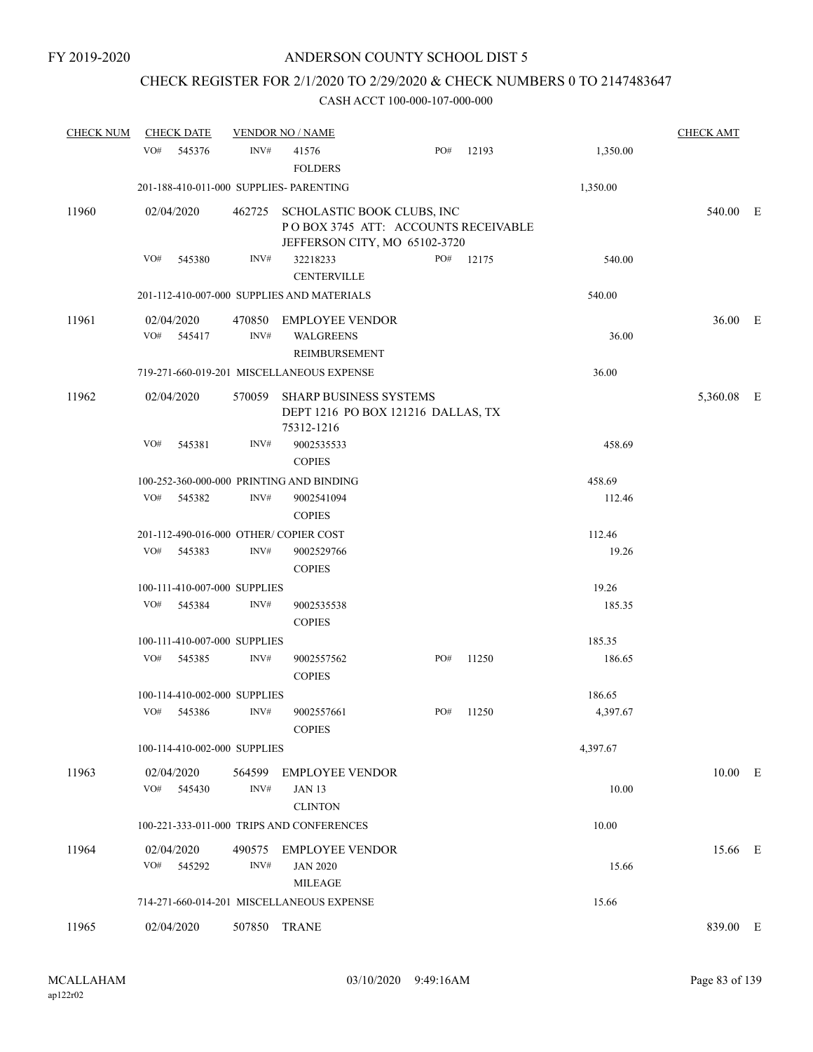# CHECK REGISTER FOR 2/1/2020 TO 2/29/2020 & CHECK NUMBERS 0 TO 2147483647

| <b>CHECK NUM</b> | <b>CHECK DATE</b>                       |                | <b>VENDOR NO / NAME</b>                                                                                   |     |       |          | <b>CHECK AMT</b> |  |
|------------------|-----------------------------------------|----------------|-----------------------------------------------------------------------------------------------------------|-----|-------|----------|------------------|--|
|                  | VO#<br>545376                           | INV#           | 41576<br><b>FOLDERS</b>                                                                                   | PO# | 12193 | 1,350.00 |                  |  |
|                  | 201-188-410-011-000 SUPPLIES- PARENTING |                |                                                                                                           |     |       | 1,350.00 |                  |  |
| 11960            | 02/04/2020                              |                | 462725 SCHOLASTIC BOOK CLUBS, INC<br>POBOX 3745 ATT: ACCOUNTS RECEIVABLE<br>JEFFERSON CITY, MO 65102-3720 |     |       |          | 540.00 E         |  |
|                  | VO#<br>545380                           | INV#           | 32218233<br><b>CENTERVILLE</b>                                                                            | PO# | 12175 | 540.00   |                  |  |
|                  |                                         |                | 201-112-410-007-000 SUPPLIES AND MATERIALS                                                                |     |       | 540.00   |                  |  |
| 11961            | 02/04/2020<br>VO#<br>545417             | INV#           | 470850 EMPLOYEE VENDOR<br><b>WALGREENS</b><br>REIMBURSEMENT                                               |     |       | 36.00    | 36.00 E          |  |
|                  |                                         |                | 719-271-660-019-201 MISCELLANEOUS EXPENSE                                                                 |     |       | 36.00    |                  |  |
| 11962            | 02/04/2020                              | 570059         | <b>SHARP BUSINESS SYSTEMS</b><br>DEPT 1216 PO BOX 121216 DALLAS, TX<br>75312-1216                         |     |       |          | 5,360.08 E       |  |
|                  | VO#<br>545381                           | INV#           | 9002535533<br><b>COPIES</b>                                                                               |     |       | 458.69   |                  |  |
|                  |                                         |                | 100-252-360-000-000 PRINTING AND BINDING                                                                  |     |       | 458.69   |                  |  |
|                  | VO#<br>545382                           | INV#           | 9002541094<br><b>COPIES</b>                                                                               |     |       | 112.46   |                  |  |
|                  | 201-112-490-016-000 OTHER/COPIER COST   |                |                                                                                                           |     |       | 112.46   |                  |  |
|                  | VO#<br>545383                           | INV#           | 9002529766<br><b>COPIES</b>                                                                               |     |       | 19.26    |                  |  |
|                  | 100-111-410-007-000 SUPPLIES            |                |                                                                                                           |     |       | 19.26    |                  |  |
|                  | VO#<br>545384                           | INV#           | 9002535538<br><b>COPIES</b>                                                                               |     |       | 185.35   |                  |  |
|                  | 100-111-410-007-000 SUPPLIES            |                |                                                                                                           |     |       | 185.35   |                  |  |
|                  | VO#<br>545385                           | INV#           | 9002557562<br><b>COPIES</b>                                                                               | PO# | 11250 | 186.65   |                  |  |
|                  | 100-114-410-002-000 SUPPLIES            |                |                                                                                                           |     |       | 186.65   |                  |  |
|                  | VO#<br>545386                           | INV#           | 9002557661<br><b>COPIES</b>                                                                               | PO# | 11250 | 4,397.67 |                  |  |
|                  | 100-114-410-002-000 SUPPLIES            |                |                                                                                                           |     |       | 4,397.67 |                  |  |
| 11963            | 02/04/2020<br>VO#<br>545430             | 564599<br>INV# | <b>EMPLOYEE VENDOR</b><br><b>JAN 13</b><br><b>CLINTON</b>                                                 |     |       | 10.00    | $10.00$ E        |  |
|                  |                                         |                | 100-221-333-011-000 TRIPS AND CONFERENCES                                                                 |     |       | 10.00    |                  |  |
| 11964            | 02/04/2020<br>VO#<br>545292             | 490575<br>INV# | <b>EMPLOYEE VENDOR</b><br><b>JAN 2020</b><br><b>MILEAGE</b>                                               |     |       | 15.66    | 15.66 E          |  |
|                  |                                         |                | 714-271-660-014-201 MISCELLANEOUS EXPENSE                                                                 |     |       | 15.66    |                  |  |
| 11965            | 02/04/2020                              | 507850         | TRANE                                                                                                     |     |       |          | 839.00 E         |  |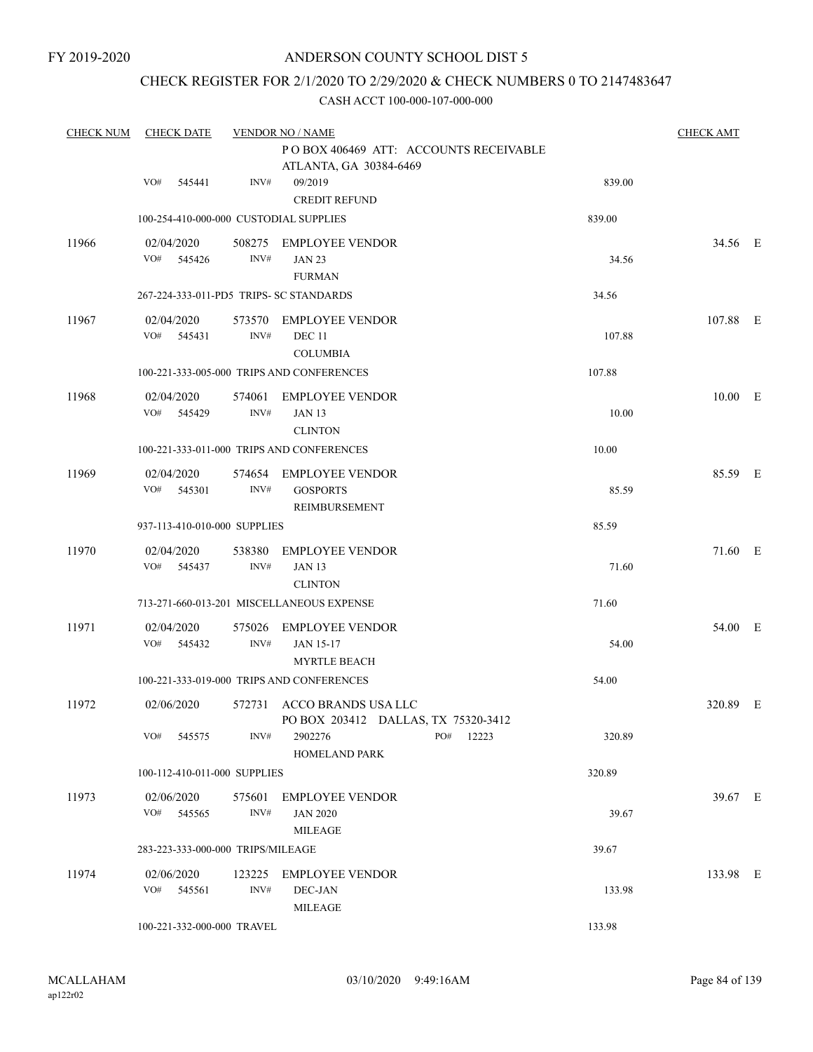# CHECK REGISTER FOR 2/1/2020 TO 2/29/2020 & CHECK NUMBERS 0 TO 2147483647

| <b>CHECK NUM</b> | <b>CHECK DATE</b>                       |                | <b>VENDOR NO / NAME</b>                                           |           |        | <b>CHECK AMT</b> |  |
|------------------|-----------------------------------------|----------------|-------------------------------------------------------------------|-----------|--------|------------------|--|
|                  |                                         |                | PO BOX 406469 ATT: ACCOUNTS RECEIVABLE                            |           |        |                  |  |
|                  | VO#<br>545441                           | INV#           | ATLANTA, GA 30384-6469<br>09/2019                                 |           | 839.00 |                  |  |
|                  |                                         |                | <b>CREDIT REFUND</b>                                              |           |        |                  |  |
|                  | 100-254-410-000-000 CUSTODIAL SUPPLIES  |                |                                                                   |           | 839.00 |                  |  |
| 11966            | 02/04/2020                              |                | 508275 EMPLOYEE VENDOR                                            |           |        | 34.56 E          |  |
|                  | VO#<br>545426                           | INV#           | <b>JAN 23</b>                                                     |           | 34.56  |                  |  |
|                  |                                         |                | <b>FURMAN</b>                                                     |           |        |                  |  |
|                  | 267-224-333-011-PD5 TRIPS- SC STANDARDS |                |                                                                   |           | 34.56  |                  |  |
| 11967            | 02/04/2020                              |                | 573570 EMPLOYEE VENDOR                                            |           |        | 107.88 E         |  |
|                  | VO#<br>545431                           | INV#           | <b>DEC 11</b><br><b>COLUMBIA</b>                                  |           | 107.88 |                  |  |
|                  |                                         |                | 100-221-333-005-000 TRIPS AND CONFERENCES                         |           | 107.88 |                  |  |
| 11968            | 02/04/2020                              |                | 574061 EMPLOYEE VENDOR                                            |           |        | 10.00 E          |  |
|                  | VO# 545429                              | INV#           | <b>JAN 13</b>                                                     |           | 10.00  |                  |  |
|                  |                                         |                | <b>CLINTON</b>                                                    |           |        |                  |  |
|                  |                                         |                | 100-221-333-011-000 TRIPS AND CONFERENCES                         |           | 10.00  |                  |  |
| 11969            | 02/04/2020                              |                | 574654 EMPLOYEE VENDOR                                            |           |        | 85.59 E          |  |
|                  | VO# 545301                              | INV#           | <b>GOSPORTS</b>                                                   |           | 85.59  |                  |  |
|                  | 937-113-410-010-000 SUPPLIES            |                | REIMBURSEMENT                                                     |           | 85.59  |                  |  |
|                  |                                         |                |                                                                   |           |        |                  |  |
| 11970            | 02/04/2020<br>VO#<br>545437             | 538380<br>INV# | EMPLOYEE VENDOR<br><b>JAN 13</b>                                  |           | 71.60  | 71.60 E          |  |
|                  |                                         |                | <b>CLINTON</b>                                                    |           |        |                  |  |
|                  |                                         |                | 713-271-660-013-201 MISCELLANEOUS EXPENSE                         |           | 71.60  |                  |  |
| 11971            | 02/04/2020                              |                | 575026 EMPLOYEE VENDOR                                            |           |        | 54.00 E          |  |
|                  | VO# 545432                              | INV#           | <b>JAN 15-17</b>                                                  |           | 54.00  |                  |  |
|                  |                                         |                | <b>MYRTLE BEACH</b>                                               |           |        |                  |  |
|                  |                                         |                | 100-221-333-019-000 TRIPS AND CONFERENCES                         |           | 54.00  |                  |  |
| 11972            | 02/06/2020                              |                | 572731 ACCO BRANDS USA LLC<br>PO BOX 203412 DALLAS, TX 75320-3412 |           |        | 320.89 E         |  |
|                  | VO# 545575                              | INV#           | 2902276                                                           | PO# 12223 | 320.89 |                  |  |
|                  |                                         |                | <b>HOMELAND PARK</b>                                              |           |        |                  |  |
|                  | 100-112-410-011-000 SUPPLIES            |                |                                                                   |           | 320.89 |                  |  |
| 11973            | 02/06/2020                              |                | 575601 EMPLOYEE VENDOR                                            |           |        | 39.67 E          |  |
|                  | VO# 545565                              | INV#           | <b>JAN 2020</b>                                                   |           | 39.67  |                  |  |
|                  | 283-223-333-000-000 TRIPS/MILEAGE       |                | <b>MILEAGE</b>                                                    |           | 39.67  |                  |  |
|                  |                                         |                |                                                                   |           |        |                  |  |
| 11974            | 02/06/2020<br>VO# 545561                | INV#           | 123225 EMPLOYEE VENDOR<br>DEC-JAN                                 |           | 133.98 | 133.98 E         |  |
|                  |                                         |                | MILEAGE                                                           |           |        |                  |  |
|                  | 100-221-332-000-000 TRAVEL              |                |                                                                   |           | 133.98 |                  |  |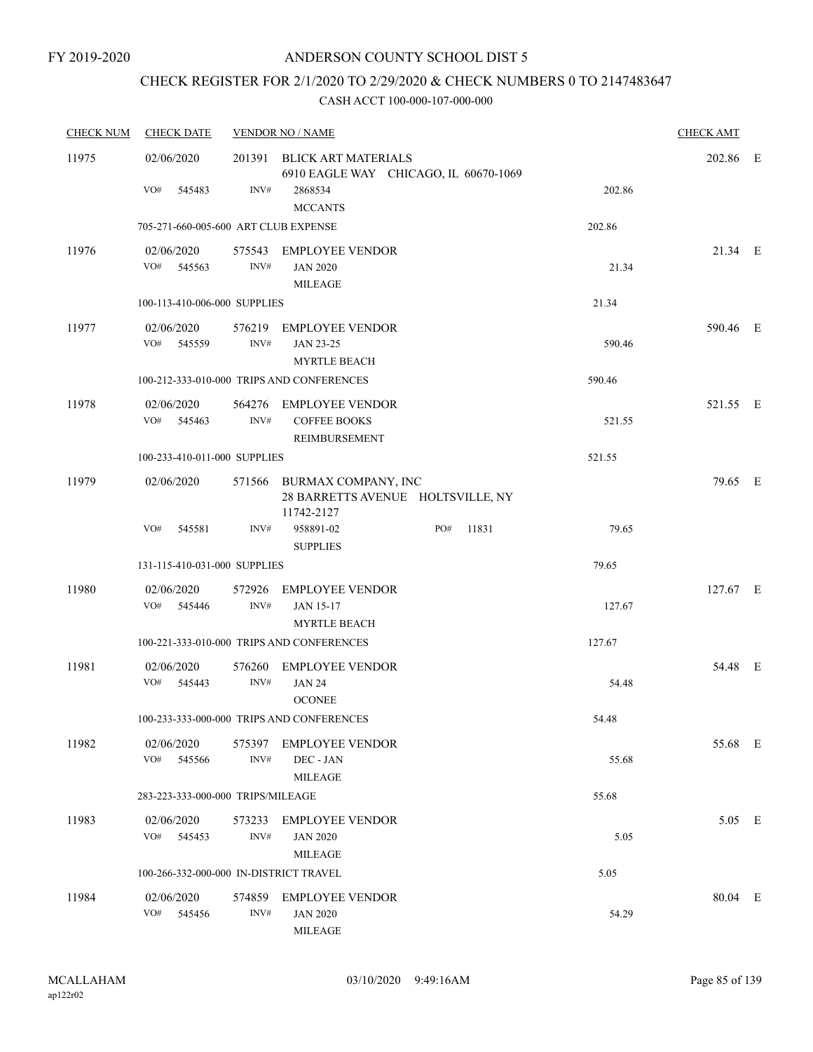# CHECK REGISTER FOR 2/1/2020 TO 2/29/2020 & CHECK NUMBERS 0 TO 2147483647

| <b>CHECK NUM</b> | <b>CHECK DATE</b>                      |                | <b>VENDOR NO / NAME</b>                                                                          |     |       |        | <b>CHECK AMT</b> |  |
|------------------|----------------------------------------|----------------|--------------------------------------------------------------------------------------------------|-----|-------|--------|------------------|--|
| 11975            | 02/06/2020<br>VO#<br>545483            | 201391<br>INV# | <b>BLICK ART MATERIALS</b><br>6910 EAGLE WAY CHICAGO, IL 60670-1069<br>2868534<br><b>MCCANTS</b> |     |       | 202.86 | 202.86 E         |  |
|                  | 705-271-660-005-600 ART CLUB EXPENSE   |                |                                                                                                  |     |       | 202.86 |                  |  |
| 11976            | 02/06/2020<br>VO#<br>545563            | INV#           | 575543 EMPLOYEE VENDOR<br><b>JAN 2020</b><br><b>MILEAGE</b>                                      |     |       | 21.34  | 21.34 E          |  |
|                  | 100-113-410-006-000 SUPPLIES           |                |                                                                                                  |     |       | 21.34  |                  |  |
| 11977            | 02/06/2020<br>VO#<br>545559            | 576219<br>INV# | <b>EMPLOYEE VENDOR</b><br>JAN 23-25<br><b>MYRTLE BEACH</b>                                       |     |       | 590.46 | 590.46 E         |  |
|                  |                                        |                | 100-212-333-010-000 TRIPS AND CONFERENCES                                                        |     |       | 590.46 |                  |  |
| 11978            | 02/06/2020<br>VO#<br>545463            | INV#           | 564276 EMPLOYEE VENDOR<br><b>COFFEE BOOKS</b><br><b>REIMBURSEMENT</b>                            |     |       | 521.55 | 521.55 E         |  |
|                  | 100-233-410-011-000 SUPPLIES           |                |                                                                                                  |     |       | 521.55 |                  |  |
| 11979            | 02/06/2020                             |                | 571566 BURMAX COMPANY, INC<br>28 BARRETTS AVENUE HOLTSVILLE, NY<br>11742-2127                    |     |       |        | 79.65 E          |  |
|                  | VO#<br>545581                          | INV#           | 958891-02<br><b>SUPPLIES</b>                                                                     | PO# | 11831 | 79.65  |                  |  |
|                  | 131-115-410-031-000 SUPPLIES           |                |                                                                                                  |     |       | 79.65  |                  |  |
| 11980            | 02/06/2020<br>VO#<br>545446            | 572926<br>INV# | <b>EMPLOYEE VENDOR</b><br><b>JAN 15-17</b><br><b>MYRTLE BEACH</b>                                |     |       | 127.67 | 127.67 E         |  |
|                  |                                        |                | 100-221-333-010-000 TRIPS AND CONFERENCES                                                        |     |       | 127.67 |                  |  |
| 11981            | 02/06/2020<br>VO# 545443               | 576260<br>INV# | <b>EMPLOYEE VENDOR</b><br><b>JAN 24</b><br><b>OCONEE</b>                                         |     |       | 54.48  | 54.48 E          |  |
|                  |                                        |                | 100-233-333-000-000 TRIPS AND CONFERENCES                                                        |     |       | 54.48  |                  |  |
| 11982            | 02/06/2020<br>VO#<br>545566            | INV#           | 575397 EMPLOYEE VENDOR<br>DEC - JAN<br><b>MILEAGE</b>                                            |     |       | 55.68  | 55.68 E          |  |
|                  | 283-223-333-000-000 TRIPS/MILEAGE      |                |                                                                                                  |     |       | 55.68  |                  |  |
| 11983            | 02/06/2020<br>VO# 545453               | 573233<br>INV# | <b>EMPLOYEE VENDOR</b><br><b>JAN 2020</b><br><b>MILEAGE</b>                                      |     |       | 5.05   | 5.05 E           |  |
|                  | 100-266-332-000-000 IN-DISTRICT TRAVEL |                |                                                                                                  |     |       | 5.05   |                  |  |
| 11984            | 02/06/2020<br>VO# 545456               | 574859<br>INV# | <b>EMPLOYEE VENDOR</b><br><b>JAN 2020</b><br><b>MILEAGE</b>                                      |     |       | 54.29  | 80.04 E          |  |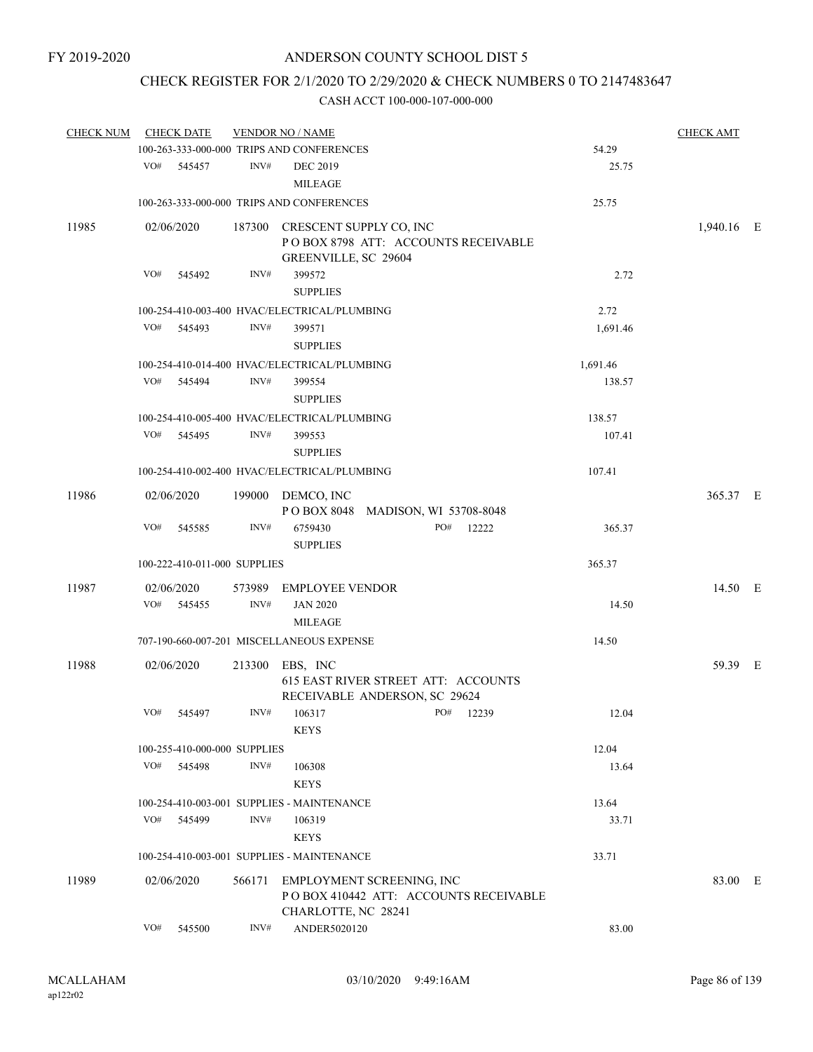# CHECK REGISTER FOR 2/1/2020 TO 2/29/2020 & CHECK NUMBERS 0 TO 2147483647

| <b>CHECK NUM</b> |     | <b>CHECK DATE</b>            |        | <b>VENDOR NO / NAME</b>                                |                                        |          | <b>CHECK AMT</b> |  |
|------------------|-----|------------------------------|--------|--------------------------------------------------------|----------------------------------------|----------|------------------|--|
|                  |     |                              |        | 100-263-333-000-000 TRIPS AND CONFERENCES              |                                        | 54.29    |                  |  |
|                  |     | VO# 545457                   | INV#   | <b>DEC 2019</b><br><b>MILEAGE</b>                      |                                        | 25.75    |                  |  |
|                  |     |                              |        | 100-263-333-000-000 TRIPS AND CONFERENCES              |                                        | 25.75    |                  |  |
| 11985            |     | 02/06/2020                   |        | 187300 CRESCENT SUPPLY CO, INC<br>GREENVILLE, SC 29604 | POBOX 8798 ATT: ACCOUNTS RECEIVABLE    |          | 1,940.16 E       |  |
|                  | VO# | 545492                       | INV#   | 399572<br><b>SUPPLIES</b>                              |                                        | 2.72     |                  |  |
|                  |     |                              |        | 100-254-410-003-400 HVAC/ELECTRICAL/PLUMBING           |                                        | 2.72     |                  |  |
|                  | VO# | 545493                       | INV#   | 399571<br><b>SUPPLIES</b>                              |                                        | 1,691.46 |                  |  |
|                  |     |                              |        | 100-254-410-014-400 HVAC/ELECTRICAL/PLUMBING           |                                        | 1,691.46 |                  |  |
|                  | VO# | 545494                       | INV#   | 399554<br><b>SUPPLIES</b>                              |                                        | 138.57   |                  |  |
|                  |     |                              |        | 100-254-410-005-400 HVAC/ELECTRICAL/PLUMBING           |                                        | 138.57   |                  |  |
|                  |     | VO# 545495                   | INV#   | 399553<br><b>SUPPLIES</b>                              |                                        | 107.41   |                  |  |
|                  |     |                              |        | 100-254-410-002-400 HVAC/ELECTRICAL/PLUMBING           |                                        | 107.41   |                  |  |
| 11986            |     | 02/06/2020                   |        | 199000 DEMCO, INC<br>POBOX 8048 MADISON, WI 53708-8048 |                                        |          | 365.37 E         |  |
|                  | VO# | 545585                       | INV#   | 6759430<br><b>SUPPLIES</b>                             | PO#<br>12222                           | 365.37   |                  |  |
|                  |     | 100-222-410-011-000 SUPPLIES |        |                                                        |                                        | 365.37   |                  |  |
| 11987            |     | 02/06/2020                   | 573989 | <b>EMPLOYEE VENDOR</b>                                 |                                        |          | 14.50 E          |  |
|                  | VO# | 545455                       | INV#   | <b>JAN 2020</b><br><b>MILEAGE</b>                      |                                        | 14.50    |                  |  |
|                  |     |                              |        | 707-190-660-007-201 MISCELLANEOUS EXPENSE              |                                        | 14.50    |                  |  |
| 11988            |     | 02/06/2020                   |        | 213300 EBS, INC<br>RECEIVABLE ANDERSON, SC 29624       | 615 EAST RIVER STREET ATT: ACCOUNTS    |          | 59.39 E          |  |
|                  | VO# | 545497                       | INV#   | 106317<br><b>KEYS</b>                                  | PO# 12239                              | 12.04    |                  |  |
|                  |     | 100-255-410-000-000 SUPPLIES |        |                                                        |                                        | 12.04    |                  |  |
|                  | VO# | 545498                       | INV#   | 106308<br><b>KEYS</b>                                  |                                        | 13.64    |                  |  |
|                  |     |                              |        | 100-254-410-003-001 SUPPLIES - MAINTENANCE             |                                        | 13.64    |                  |  |
|                  | VO# | 545499                       | INV#   | 106319                                                 |                                        | 33.71    |                  |  |
|                  |     |                              |        | <b>KEYS</b>                                            |                                        |          |                  |  |
|                  |     |                              |        | 100-254-410-003-001 SUPPLIES - MAINTENANCE             |                                        | 33.71    |                  |  |
| 11989            |     | 02/06/2020                   | 566171 | EMPLOYMENT SCREENING, INC<br>CHARLOTTE, NC 28241       | PO BOX 410442 ATT: ACCOUNTS RECEIVABLE |          | 83.00 E          |  |
|                  | VO# | 545500                       | INV#   | ANDER5020120                                           |                                        | 83.00    |                  |  |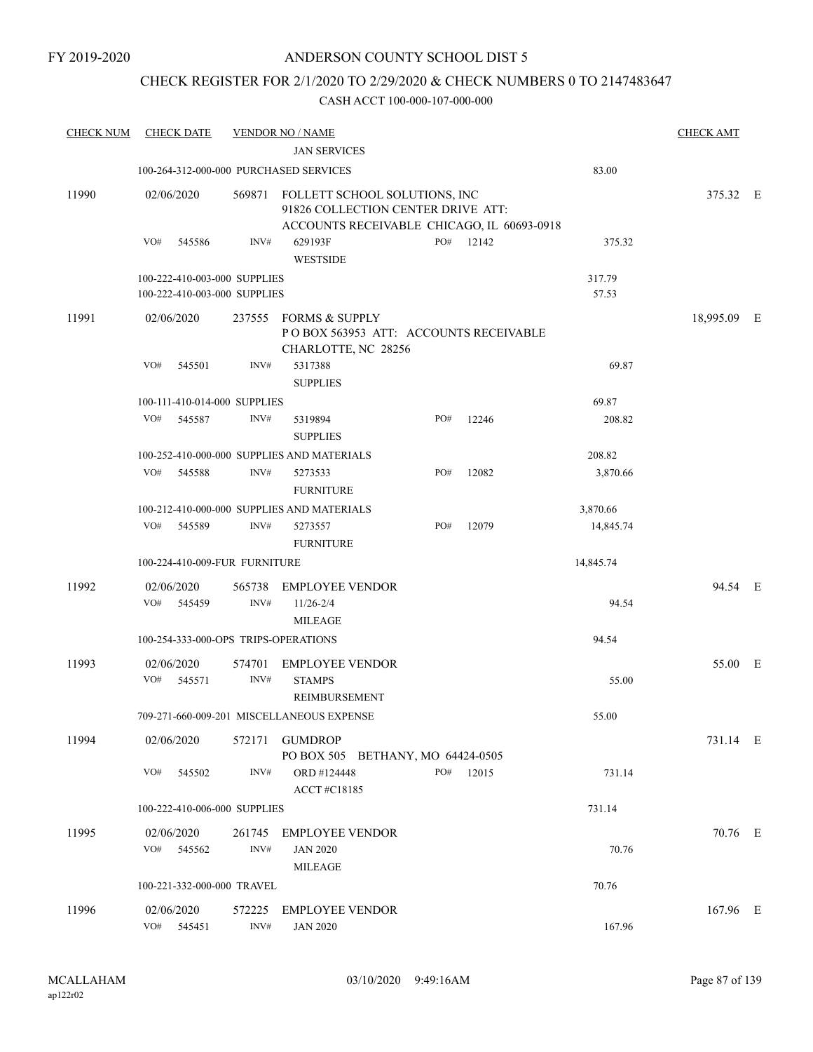# CHECK REGISTER FOR 2/1/2020 TO 2/29/2020 & CHECK NUMBERS 0 TO 2147483647

| <b>CHECK NUM</b> | <b>CHECK DATE</b>                                            |                | <b>VENDOR NO / NAME</b>                                                                                           |     |       |                 | <b>CHECK AMT</b> |  |
|------------------|--------------------------------------------------------------|----------------|-------------------------------------------------------------------------------------------------------------------|-----|-------|-----------------|------------------|--|
|                  |                                                              |                | <b>JAN SERVICES</b>                                                                                               |     |       |                 |                  |  |
|                  | 100-264-312-000-000 PURCHASED SERVICES                       |                |                                                                                                                   |     |       | 83.00           |                  |  |
| 11990            | 02/06/2020                                                   | 569871         | FOLLETT SCHOOL SOLUTIONS, INC<br>91826 COLLECTION CENTER DRIVE ATT:<br>ACCOUNTS RECEIVABLE CHICAGO, IL 60693-0918 |     |       |                 | 375.32 E         |  |
|                  | VO#<br>545586                                                | INV#           | 629193F<br><b>WESTSIDE</b>                                                                                        | PO# | 12142 | 375.32          |                  |  |
|                  | 100-222-410-003-000 SUPPLIES<br>100-222-410-003-000 SUPPLIES |                |                                                                                                                   |     |       | 317.79<br>57.53 |                  |  |
| 11991            | 02/06/2020                                                   |                | 237555 FORMS & SUPPLY<br>PO BOX 563953 ATT: ACCOUNTS RECEIVABLE<br>CHARLOTTE, NC 28256                            |     |       |                 | 18,995.09 E      |  |
|                  | VO#<br>545501                                                | INV#           | 5317388<br><b>SUPPLIES</b>                                                                                        |     |       | 69.87           |                  |  |
|                  | 100-111-410-014-000 SUPPLIES                                 |                |                                                                                                                   |     |       | 69.87           |                  |  |
|                  | VO#<br>545587                                                | INV#           | 5319894<br><b>SUPPLIES</b>                                                                                        | PO# | 12246 | 208.82          |                  |  |
|                  |                                                              |                | 100-252-410-000-000 SUPPLIES AND MATERIALS                                                                        |     |       | 208.82          |                  |  |
|                  | VO#<br>545588                                                | INV#           | 5273533<br><b>FURNITURE</b>                                                                                       | PO# | 12082 | 3,870.66        |                  |  |
|                  |                                                              |                | 100-212-410-000-000 SUPPLIES AND MATERIALS                                                                        |     |       | 3,870.66        |                  |  |
|                  | VO#<br>545589                                                | INV#           | 5273557<br><b>FURNITURE</b>                                                                                       | PO# | 12079 | 14,845.74       |                  |  |
|                  | 100-224-410-009-FUR FURNITURE                                |                |                                                                                                                   |     |       | 14,845.74       |                  |  |
| 11992            | 02/06/2020<br>VO#<br>545459                                  | 565738<br>INV# | <b>EMPLOYEE VENDOR</b><br>$11/26 - 2/4$<br>MILEAGE                                                                |     |       | 94.54           | 94.54 E          |  |
|                  | 100-254-333-000-OPS TRIPS-OPERATIONS                         |                |                                                                                                                   |     |       | 94.54           |                  |  |
| 11993            | 02/06/2020<br>VO#<br>545571                                  | 574701<br>INV# | <b>EMPLOYEE VENDOR</b><br><b>STAMPS</b><br>REIMBURSEMENT                                                          |     |       | 55.00           | 55.00 E          |  |
|                  |                                                              |                | 709-271-660-009-201 MISCELLANEOUS EXPENSE                                                                         |     |       | 55.00           |                  |  |
| 11994            | 02/06/2020                                                   | 572171         | <b>GUMDROP</b><br>PO BOX 505 BETHANY, MO 64424-0505                                                               |     |       |                 | 731.14 E         |  |
|                  | VO#<br>545502                                                | INV#           | ORD #124448<br>ACCT#C18185                                                                                        | PO# | 12015 | 731.14          |                  |  |
|                  | 100-222-410-006-000 SUPPLIES                                 |                |                                                                                                                   |     |       | 731.14          |                  |  |
| 11995            | 02/06/2020<br>VO# 545562                                     | 261745<br>INV# | <b>EMPLOYEE VENDOR</b><br><b>JAN 2020</b><br><b>MILEAGE</b>                                                       |     |       | 70.76           | 70.76 E          |  |
|                  | 100-221-332-000-000 TRAVEL                                   |                |                                                                                                                   |     |       | 70.76           |                  |  |
| 11996            | 02/06/2020<br>VO#<br>545451                                  | 572225<br>INV# | <b>EMPLOYEE VENDOR</b><br><b>JAN 2020</b>                                                                         |     |       | 167.96          | 167.96 E         |  |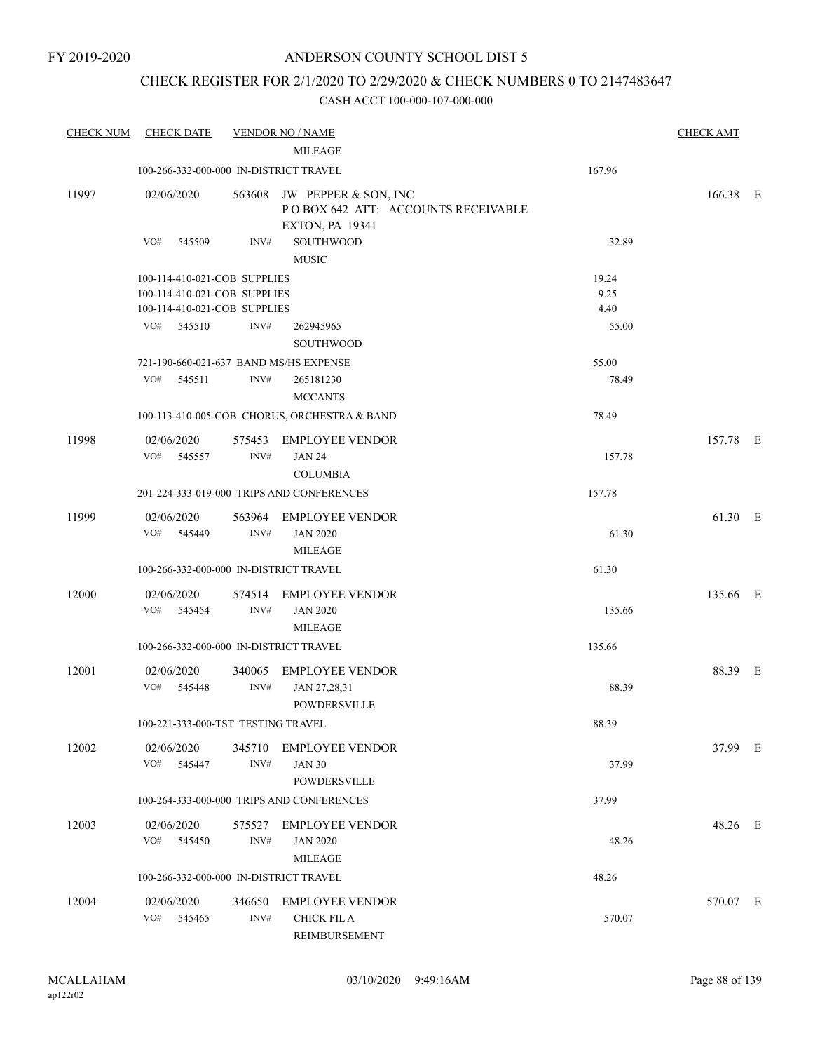# CHECK REGISTER FOR 2/1/2020 TO 2/29/2020 & CHECK NUMBERS 0 TO 2147483647

| <b>CHECK NUM</b> | <b>CHECK DATE</b>                      |                | <b>VENDOR NO / NAME</b><br><b>MILEAGE</b>                                                   |        | <b>CHECK AMT</b> |  |
|------------------|----------------------------------------|----------------|---------------------------------------------------------------------------------------------|--------|------------------|--|
|                  | 100-266-332-000-000 IN-DISTRICT TRAVEL |                |                                                                                             | 167.96 |                  |  |
| 11997            | 02/06/2020                             |                | 563608 JW PEPPER & SON, INC<br>POBOX 642 ATT: ACCOUNTS RECEIVABLE<br><b>EXTON, PA 19341</b> |        | 166.38 E         |  |
|                  | VO#<br>545509                          | INV#           | <b>SOUTHWOOD</b><br><b>MUSIC</b>                                                            | 32.89  |                  |  |
|                  | 100-114-410-021-COB SUPPLIES           |                |                                                                                             | 19.24  |                  |  |
|                  | 100-114-410-021-COB SUPPLIES           |                |                                                                                             | 9.25   |                  |  |
|                  | 100-114-410-021-COB SUPPLIES           |                |                                                                                             | 4.40   |                  |  |
|                  | VO#<br>545510                          | INV#           | 262945965<br>SOUTHWOOD                                                                      | 55.00  |                  |  |
|                  | 721-190-660-021-637 BAND MS/HS EXPENSE |                |                                                                                             | 55.00  |                  |  |
|                  | VO#<br>545511                          | INV#           | 265181230<br><b>MCCANTS</b>                                                                 | 78.49  |                  |  |
|                  |                                        |                | 100-113-410-005-COB CHORUS, ORCHESTRA & BAND                                                | 78.49  |                  |  |
| 11998            | 02/06/2020<br>VO#<br>545557            | 575453<br>INV# | <b>EMPLOYEE VENDOR</b><br><b>JAN 24</b>                                                     | 157.78 | 157.78 E         |  |
|                  |                                        |                | <b>COLUMBIA</b><br>201-224-333-019-000 TRIPS AND CONFERENCES                                | 157.78 |                  |  |
| 11999            | 02/06/2020<br>VO#<br>545449            | INV#           | 563964 EMPLOYEE VENDOR<br><b>JAN 2020</b><br><b>MILEAGE</b>                                 | 61.30  | 61.30 E          |  |
|                  | 100-266-332-000-000 IN-DISTRICT TRAVEL |                |                                                                                             | 61.30  |                  |  |
| 12000            | 02/06/2020<br>VO#<br>545454            | INV#           | 574514 EMPLOYEE VENDOR<br><b>JAN 2020</b><br><b>MILEAGE</b>                                 | 135.66 | 135.66 E         |  |
|                  | 100-266-332-000-000 IN-DISTRICT TRAVEL |                |                                                                                             | 135.66 |                  |  |
| 12001            | 02/06/2020<br>VO#<br>545448            | 340065<br>INV# | <b>EMPLOYEE VENDOR</b><br>JAN 27,28,31<br><b>POWDERSVILLE</b>                               | 88.39  | 88.39 E          |  |
|                  | 100-221-333-000-TST TESTING TRAVEL     |                |                                                                                             | 88.39  |                  |  |
| 12002            | 02/06/2020<br>VO# 545447               | 345710<br>INV# | <b>EMPLOYEE VENDOR</b><br><b>JAN 30</b><br>POWDERSVILLE                                     | 37.99  | 37.99 E          |  |
|                  |                                        |                | 100-264-333-000-000 TRIPS AND CONFERENCES                                                   | 37.99  |                  |  |
| 12003            | 02/06/2020<br>VO#<br>545450            | INV#           | 575527 EMPLOYEE VENDOR<br><b>JAN 2020</b><br><b>MILEAGE</b>                                 | 48.26  | 48.26 E          |  |
|                  | 100-266-332-000-000 IN-DISTRICT TRAVEL |                |                                                                                             | 48.26  |                  |  |
| 12004            | 02/06/2020<br>VO#<br>545465            | 346650<br>INV# | <b>EMPLOYEE VENDOR</b><br><b>CHICK FIL A</b><br>REIMBURSEMENT                               | 570.07 | 570.07 E         |  |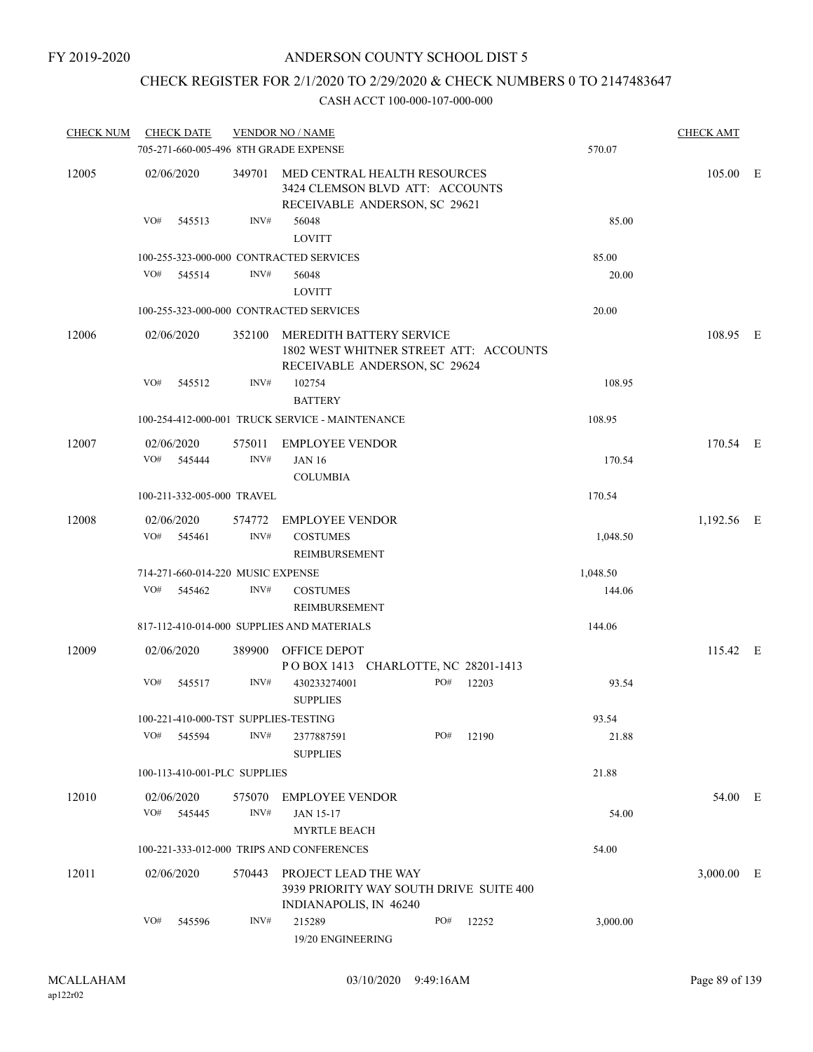# CHECK REGISTER FOR 2/1/2020 TO 2/29/2020 & CHECK NUMBERS 0 TO 2147483647

| <b>CHECK NUM</b> | <b>CHECK DATE</b>                     |                | <b>VENDOR NO / NAME</b>                                                                                 |     |       |          | <b>CHECK AMT</b> |  |
|------------------|---------------------------------------|----------------|---------------------------------------------------------------------------------------------------------|-----|-------|----------|------------------|--|
|                  | 705-271-660-005-496 8TH GRADE EXPENSE |                |                                                                                                         |     |       | 570.07   |                  |  |
| 12005            | 02/06/2020                            |                | 349701 MED CENTRAL HEALTH RESOURCES<br>3424 CLEMSON BLVD ATT: ACCOUNTS<br>RECEIVABLE ANDERSON, SC 29621 |     |       |          | 105.00 E         |  |
|                  | VO#<br>545513                         | INV#           | 56048<br><b>LOVITT</b>                                                                                  |     |       | 85.00    |                  |  |
|                  |                                       |                | 100-255-323-000-000 CONTRACTED SERVICES                                                                 |     |       | 85.00    |                  |  |
|                  | VO# 545514                            | INV#           | 56048                                                                                                   |     |       | 20.00    |                  |  |
|                  |                                       |                | <b>LOVITT</b>                                                                                           |     |       |          |                  |  |
|                  |                                       |                | 100-255-323-000-000 CONTRACTED SERVICES                                                                 |     |       | 20.00    |                  |  |
| 12006            | 02/06/2020                            | 352100         | MEREDITH BATTERY SERVICE<br>1802 WEST WHITNER STREET ATT: ACCOUNTS<br>RECEIVABLE ANDERSON, SC 29624     |     |       |          | 108.95 E         |  |
|                  | VO#<br>545512                         | INV#           | 102754                                                                                                  |     |       | 108.95   |                  |  |
|                  |                                       |                | <b>BATTERY</b>                                                                                          |     |       |          |                  |  |
|                  |                                       |                | 100-254-412-000-001 TRUCK SERVICE - MAINTENANCE                                                         |     |       | 108.95   |                  |  |
| 12007            | 02/06/2020<br>VO# 545444              | 575011<br>INV# | <b>EMPLOYEE VENDOR</b><br><b>JAN 16</b><br><b>COLUMBIA</b>                                              |     |       | 170.54   | 170.54 E         |  |
|                  | 100-211-332-005-000 TRAVEL            |                |                                                                                                         |     |       | 170.54   |                  |  |
| 12008            | 02/06/2020<br>VO#<br>545461           | 574772<br>INV# | <b>EMPLOYEE VENDOR</b><br><b>COSTUMES</b>                                                               |     |       | 1,048.50 | 1,192.56 E       |  |
|                  |                                       |                | REIMBURSEMENT                                                                                           |     |       |          |                  |  |
|                  | 714-271-660-014-220 MUSIC EXPENSE     |                |                                                                                                         |     |       | 1,048.50 |                  |  |
|                  | VO#<br>545462                         | INV#           | <b>COSTUMES</b><br>REIMBURSEMENT                                                                        |     |       | 144.06   |                  |  |
|                  |                                       |                | 817-112-410-014-000 SUPPLIES AND MATERIALS                                                              |     |       | 144.06   |                  |  |
| 12009            | 02/06/2020                            |                | 389900 OFFICE DEPOT<br>POBOX 1413 CHARLOTTE, NC 28201-1413                                              |     |       |          | 115.42 E         |  |
|                  | VO#<br>545517                         | INV#           | 430233274001<br><b>SUPPLIES</b>                                                                         | PO# | 12203 | 93.54    |                  |  |
|                  | 100-221-410-000-TST SUPPLIES-TESTING  |                |                                                                                                         |     |       | 93.54    |                  |  |
|                  | VO#<br>545594                         | INV#           | 2377887591<br><b>SUPPLIES</b>                                                                           | PO# | 12190 | 21.88    |                  |  |
|                  | 100-113-410-001-PLC SUPPLIES          |                |                                                                                                         |     |       | 21.88    |                  |  |
| 12010            | 02/06/2020<br>VO# 545445              | 575070<br>INV# | <b>EMPLOYEE VENDOR</b><br><b>JAN 15-17</b>                                                              |     |       | 54.00    | 54.00 E          |  |
|                  |                                       |                | <b>MYRTLE BEACH</b>                                                                                     |     |       |          |                  |  |
|                  |                                       |                | 100-221-333-012-000 TRIPS AND CONFERENCES                                                               |     |       | 54.00    |                  |  |
| 12011            | 02/06/2020                            | 570443         | PROJECT LEAD THE WAY<br>3939 PRIORITY WAY SOUTH DRIVE SUITE 400<br>INDIANAPOLIS, IN 46240               |     |       |          | 3,000.00 E       |  |
|                  | VO#<br>545596                         | INV#           | 215289<br>19/20 ENGINEERING                                                                             | PO# | 12252 | 3,000.00 |                  |  |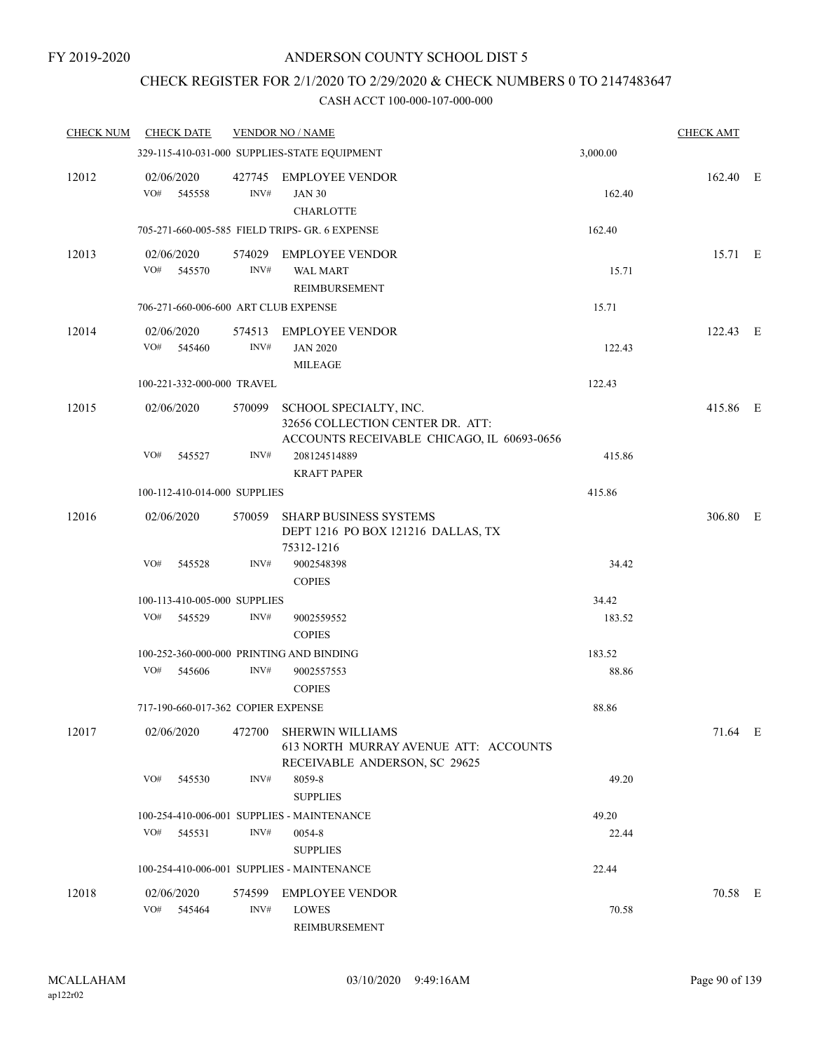# CHECK REGISTER FOR 2/1/2020 TO 2/29/2020 & CHECK NUMBERS 0 TO 2147483647

| <b>CHECK NUM</b> | <b>CHECK DATE</b>                        |        | <b>VENDOR NO / NAME</b>                                                                                  |          | <b>CHECK AMT</b> |  |
|------------------|------------------------------------------|--------|----------------------------------------------------------------------------------------------------------|----------|------------------|--|
|                  |                                          |        | 329-115-410-031-000 SUPPLIES-STATE EQUIPMENT                                                             | 3,000.00 |                  |  |
| 12012            | 02/06/2020<br>VO# 545558                 | INV#   | 427745 EMPLOYEE VENDOR<br><b>JAN 30</b><br><b>CHARLOTTE</b>                                              | 162.40   | 162.40 E         |  |
|                  |                                          |        | 705-271-660-005-585 FIELD TRIPS- GR. 6 EXPENSE                                                           | 162.40   |                  |  |
| 12013            | 02/06/2020<br>VO#<br>545570              | INV#   | 574029 EMPLOYEE VENDOR<br><b>WAL MART</b><br>REIMBURSEMENT                                               | 15.71    | 15.71 E          |  |
|                  | 706-271-660-006-600 ART CLUB EXPENSE     |        |                                                                                                          | 15.71    |                  |  |
| 12014            | 02/06/2020<br>VO# 545460                 | INV#   | 574513 EMPLOYEE VENDOR<br><b>JAN 2020</b><br><b>MILEAGE</b>                                              | 122.43   | 122.43 E         |  |
|                  | 100-221-332-000-000 TRAVEL               |        |                                                                                                          | 122.43   |                  |  |
| 12015            | 02/06/2020                               | 570099 | SCHOOL SPECIALTY, INC.<br>32656 COLLECTION CENTER DR. ATT:<br>ACCOUNTS RECEIVABLE CHICAGO, IL 60693-0656 |          | 415.86 E         |  |
|                  | VO#<br>545527                            | INV#   | 208124514889<br><b>KRAFT PAPER</b>                                                                       | 415.86   |                  |  |
|                  | 100-112-410-014-000 SUPPLIES             |        |                                                                                                          | 415.86   |                  |  |
| 12016            | 02/06/2020                               | 570059 | <b>SHARP BUSINESS SYSTEMS</b><br>DEPT 1216 PO BOX 121216 DALLAS, TX<br>75312-1216                        |          | 306.80 E         |  |
|                  | VO#<br>545528                            | INV#   | 9002548398<br><b>COPIES</b>                                                                              | 34.42    |                  |  |
|                  | 100-113-410-005-000 SUPPLIES             |        |                                                                                                          | 34.42    |                  |  |
|                  | VO#<br>545529                            | INV#   | 9002559552<br><b>COPIES</b>                                                                              | 183.52   |                  |  |
|                  | 100-252-360-000-000 PRINTING AND BINDING |        |                                                                                                          | 183.52   |                  |  |
|                  | VO#<br>545606                            | INV#   | 9002557553<br><b>COPIES</b>                                                                              | 88.86    |                  |  |
|                  | 717-190-660-017-362 COPIER EXPENSE       |        |                                                                                                          | 88.86    |                  |  |
| 12017            | 02/06/2020                               | 472700 | SHERWIN WILLIAMS<br>613 NORTH MURRAY AVENUE ATT: ACCOUNTS<br>RECEIVABLE ANDERSON, SC 29625               |          | 71.64 E          |  |
|                  | VO#<br>545530                            | INV#   | 8059-8<br><b>SUPPLIES</b>                                                                                | 49.20    |                  |  |
|                  |                                          |        | 100-254-410-006-001 SUPPLIES - MAINTENANCE                                                               | 49.20    |                  |  |
|                  | VO#<br>545531                            | INV#   | 0054-8<br><b>SUPPLIES</b>                                                                                | 22.44    |                  |  |
|                  |                                          |        | 100-254-410-006-001 SUPPLIES - MAINTENANCE                                                               | 22.44    |                  |  |
| 12018            | 02/06/2020<br>VO#<br>545464              | INV#   | 574599 EMPLOYEE VENDOR<br>LOWES<br>REIMBURSEMENT                                                         | 70.58    | 70.58 E          |  |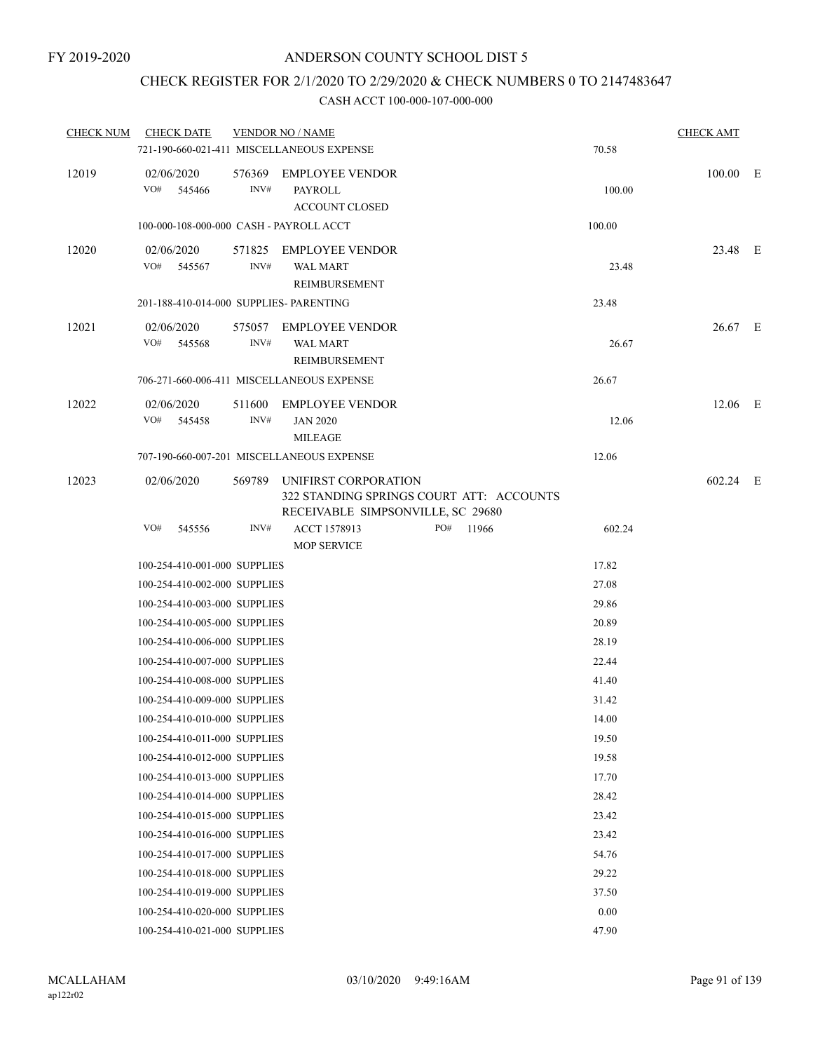# CHECK REGISTER FOR 2/1/2020 TO 2/29/2020 & CHECK NUMBERS 0 TO 2147483647

| <b>CHECK NUM</b> | <b>CHECK DATE</b>                       |                | <b>VENDOR NO / NAME</b>                                                                               |          | <b>CHECK AMT</b> |  |
|------------------|-----------------------------------------|----------------|-------------------------------------------------------------------------------------------------------|----------|------------------|--|
|                  |                                         |                | 721-190-660-021-411 MISCELLANEOUS EXPENSE                                                             | 70.58    |                  |  |
| 12019            | 02/06/2020<br>VO#<br>545466             | 576369<br>INV# | <b>EMPLOYEE VENDOR</b><br>PAYROLL<br><b>ACCOUNT CLOSED</b>                                            | 100.00   | 100.00 E         |  |
|                  | 100-000-108-000-000 CASH - PAYROLL ACCT |                |                                                                                                       | 100.00   |                  |  |
| 12020            | 02/06/2020<br>VO# 545567                | INV#           | 571825 EMPLOYEE VENDOR<br><b>WAL MART</b><br>REIMBURSEMENT                                            | 23.48    | 23.48 E          |  |
|                  | 201-188-410-014-000 SUPPLIES- PARENTING |                |                                                                                                       | 23.48    |                  |  |
| 12021            | 02/06/2020<br>VO# 545568                | INV#           | 575057 EMPLOYEE VENDOR<br><b>WAL MART</b><br>REIMBURSEMENT                                            | 26.67    | $26.67$ E        |  |
|                  |                                         |                | 706-271-660-006-411 MISCELLANEOUS EXPENSE                                                             | 26.67    |                  |  |
| 12022            | 02/06/2020<br>VO#<br>545458             | 511600<br>INV# | <b>EMPLOYEE VENDOR</b><br><b>JAN 2020</b><br><b>MILEAGE</b>                                           | 12.06    | 12.06 E          |  |
|                  |                                         |                | 707-190-660-007-201 MISCELLANEOUS EXPENSE                                                             | 12.06    |                  |  |
| 12023            | 02/06/2020                              | 569789         | UNIFIRST CORPORATION<br>322 STANDING SPRINGS COURT ATT: ACCOUNTS<br>RECEIVABLE SIMPSONVILLE, SC 29680 |          | 602.24 E         |  |
|                  | VO#<br>545556                           | INV#           | ACCT 1578913<br>PO#<br>11966<br><b>MOP SERVICE</b>                                                    | 602.24   |                  |  |
|                  | 100-254-410-001-000 SUPPLIES            |                |                                                                                                       | 17.82    |                  |  |
|                  | 100-254-410-002-000 SUPPLIES            |                |                                                                                                       | 27.08    |                  |  |
|                  | 100-254-410-003-000 SUPPLIES            |                |                                                                                                       | 29.86    |                  |  |
|                  | 100-254-410-005-000 SUPPLIES            |                |                                                                                                       | 20.89    |                  |  |
|                  | 100-254-410-006-000 SUPPLIES            |                |                                                                                                       | 28.19    |                  |  |
|                  | 100-254-410-007-000 SUPPLIES            |                |                                                                                                       | 22.44    |                  |  |
|                  | 100-254-410-008-000 SUPPLIES            |                |                                                                                                       | 41.40    |                  |  |
|                  | 100-254-410-009-000 SUPPLIES            |                |                                                                                                       | 31.42    |                  |  |
|                  | 100-254-410-010-000 SUPPLIES            |                |                                                                                                       | 14.00    |                  |  |
|                  | 100-254-410-011-000 SUPPLIES            |                |                                                                                                       | 19.50    |                  |  |
|                  | 100-254-410-012-000 SUPPLIES            |                |                                                                                                       | 19.58    |                  |  |
|                  | 100-254-410-013-000 SUPPLIES            |                |                                                                                                       | 17.70    |                  |  |
|                  | 100-254-410-014-000 SUPPLIES            |                |                                                                                                       | 28.42    |                  |  |
|                  | 100-254-410-015-000 SUPPLIES            |                |                                                                                                       | 23.42    |                  |  |
|                  | 100-254-410-016-000 SUPPLIES            |                |                                                                                                       | 23.42    |                  |  |
|                  | 100-254-410-017-000 SUPPLIES            |                |                                                                                                       | 54.76    |                  |  |
|                  | 100-254-410-018-000 SUPPLIES            |                |                                                                                                       | 29.22    |                  |  |
|                  | 100-254-410-019-000 SUPPLIES            |                |                                                                                                       | 37.50    |                  |  |
|                  | 100-254-410-020-000 SUPPLIES            |                |                                                                                                       | $0.00\,$ |                  |  |
|                  | 100-254-410-021-000 SUPPLIES            |                |                                                                                                       | 47.90    |                  |  |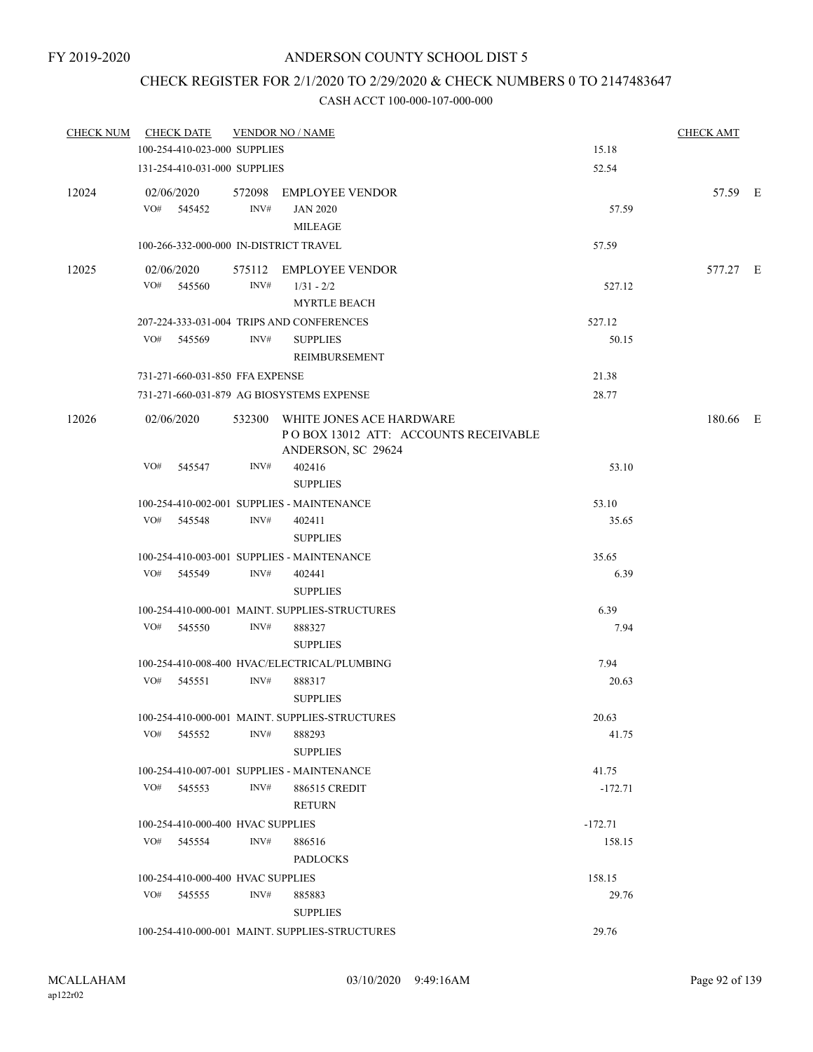# CHECK REGISTER FOR 2/1/2020 TO 2/29/2020 & CHECK NUMBERS 0 TO 2147483647

| CHECK NUM | <b>CHECK DATE</b>                      |      | <b>VENDOR NO / NAME</b>                                                                        |           | <b>CHECK AMT</b> |  |
|-----------|----------------------------------------|------|------------------------------------------------------------------------------------------------|-----------|------------------|--|
|           | 100-254-410-023-000 SUPPLIES           |      |                                                                                                | 15.18     |                  |  |
|           | 131-254-410-031-000 SUPPLIES           |      |                                                                                                | 52.54     |                  |  |
| 12024     | 02/06/2020                             |      | 572098 EMPLOYEE VENDOR                                                                         |           | 57.59 E          |  |
|           | VO# 545452                             | INV# | <b>JAN 2020</b><br><b>MILEAGE</b>                                                              | 57.59     |                  |  |
|           | 100-266-332-000-000 IN-DISTRICT TRAVEL |      |                                                                                                | 57.59     |                  |  |
| 12025     | 02/06/2020                             |      | 575112 EMPLOYEE VENDOR                                                                         |           | 577.27 E         |  |
|           | VO# 545560                             | INV# | $1/31 - 2/2$<br><b>MYRTLE BEACH</b>                                                            | 527.12    |                  |  |
|           |                                        |      | 207-224-333-031-004 TRIPS AND CONFERENCES                                                      | 527.12    |                  |  |
|           | VO# 545569                             | INV# | <b>SUPPLIES</b><br>REIMBURSEMENT                                                               | 50.15     |                  |  |
|           | 731-271-660-031-850 FFA EXPENSE        |      |                                                                                                | 21.38     |                  |  |
|           |                                        |      | 731-271-660-031-879 AG BIOSYSTEMS EXPENSE                                                      | 28.77     |                  |  |
| 12026     | 02/06/2020                             |      | 532300 WHITE JONES ACE HARDWARE<br>PO BOX 13012 ATT: ACCOUNTS RECEIVABLE<br>ANDERSON, SC 29624 |           | 180.66 E         |  |
|           | VO#<br>545547                          | INV# | 402416<br><b>SUPPLIES</b>                                                                      | 53.10     |                  |  |
|           |                                        |      | 100-254-410-002-001 SUPPLIES - MAINTENANCE                                                     | 53.10     |                  |  |
|           | VO# 545548                             | INV# | 402411<br><b>SUPPLIES</b>                                                                      | 35.65     |                  |  |
|           |                                        |      | 100-254-410-003-001 SUPPLIES - MAINTENANCE                                                     | 35.65     |                  |  |
|           | VO# 545549                             | INV# | 402441<br><b>SUPPLIES</b>                                                                      | 6.39      |                  |  |
|           |                                        |      | 100-254-410-000-001 MAINT. SUPPLIES-STRUCTURES                                                 | 6.39      |                  |  |
|           | VO# 545550                             | INV# | 888327                                                                                         | 7.94      |                  |  |
|           |                                        |      | <b>SUPPLIES</b>                                                                                |           |                  |  |
|           |                                        |      | 100-254-410-008-400 HVAC/ELECTRICAL/PLUMBING                                                   | 7.94      |                  |  |
|           | VO# 545551                             | INV# | 888317<br><b>SUPPLIES</b>                                                                      | 20.63     |                  |  |
|           |                                        |      | 100-254-410-000-001 MAINT. SUPPLIES-STRUCTURES                                                 | 20.63     |                  |  |
|           | VO# 545552                             | INV# | 888293<br><b>SUPPLIES</b>                                                                      | 41.75     |                  |  |
|           |                                        |      | 100-254-410-007-001 SUPPLIES - MAINTENANCE                                                     | 41.75     |                  |  |
|           | VO# 545553                             | INV# | 886515 CREDIT<br><b>RETURN</b>                                                                 | $-172.71$ |                  |  |
|           | 100-254-410-000-400 HVAC SUPPLIES      |      |                                                                                                | $-172.71$ |                  |  |
|           | VO# 545554                             | INV# | 886516<br><b>PADLOCKS</b>                                                                      | 158.15    |                  |  |
|           | 100-254-410-000-400 HVAC SUPPLIES      |      |                                                                                                | 158.15    |                  |  |
|           | VO# 545555                             | INV# | 885883                                                                                         | 29.76     |                  |  |
|           |                                        |      | <b>SUPPLIES</b><br>100-254-410-000-001 MAINT. SUPPLIES-STRUCTURES                              | 29.76     |                  |  |
|           |                                        |      |                                                                                                |           |                  |  |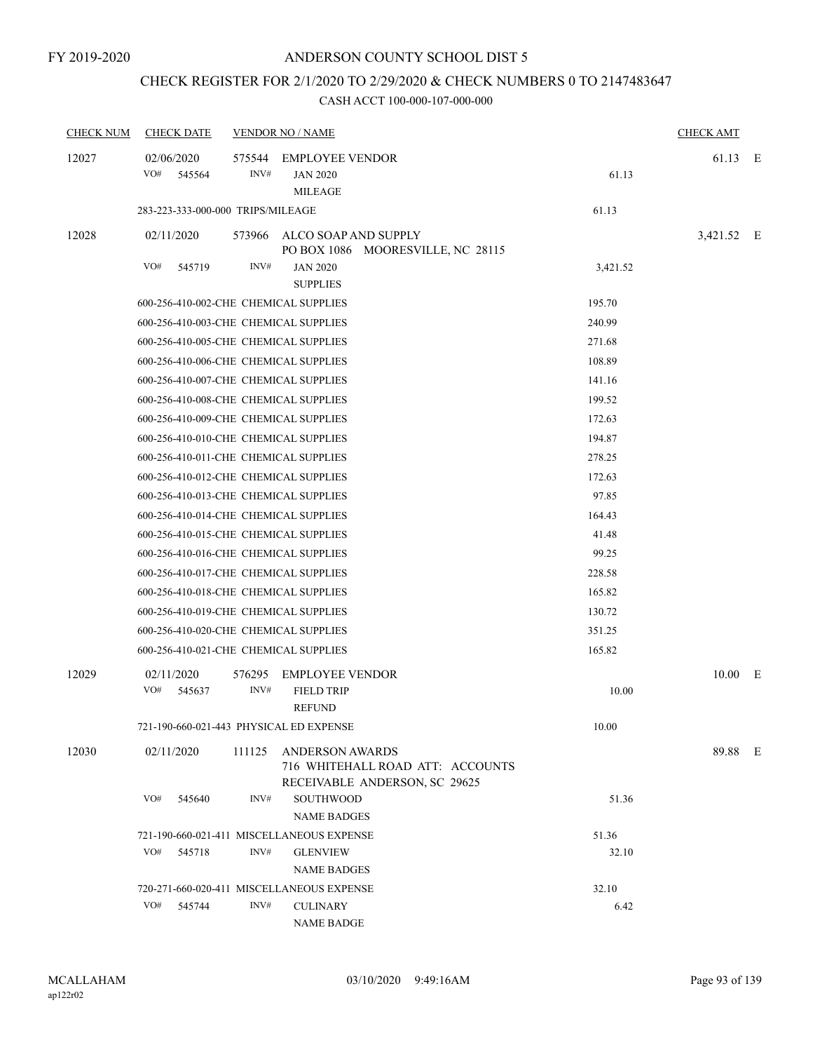# CHECK REGISTER FOR 2/1/2020 TO 2/29/2020 & CHECK NUMBERS 0 TO 2147483647

| <b>CHECK NUM</b> | <b>CHECK DATE</b>                       |                | <b>VENDOR NO / NAME</b>                                                                     |          | <b>CHECK AMT</b> |  |
|------------------|-----------------------------------------|----------------|---------------------------------------------------------------------------------------------|----------|------------------|--|
| 12027            | 02/06/2020<br>VO#<br>545564             | 575544<br>INV# | <b>EMPLOYEE VENDOR</b><br><b>JAN 2020</b><br><b>MILEAGE</b>                                 | 61.13    | 61.13 E          |  |
|                  | 283-223-333-000-000 TRIPS/MILEAGE       |                |                                                                                             | 61.13    |                  |  |
| 12028            | 02/11/2020                              |                | 573966 ALCO SOAP AND SUPPLY<br>PO BOX 1086 MOORESVILLE, NC 28115                            |          | 3,421.52 E       |  |
|                  | VO#<br>545719                           | INV#           | <b>JAN 2020</b><br><b>SUPPLIES</b>                                                          | 3,421.52 |                  |  |
|                  | 600-256-410-002-CHE CHEMICAL SUPPLIES   |                |                                                                                             | 195.70   |                  |  |
|                  | 600-256-410-003-CHE CHEMICAL SUPPLIES   |                |                                                                                             | 240.99   |                  |  |
|                  | 600-256-410-005-CHE CHEMICAL SUPPLIES   |                |                                                                                             | 271.68   |                  |  |
|                  | 600-256-410-006-CHE CHEMICAL SUPPLIES   |                |                                                                                             | 108.89   |                  |  |
|                  | 600-256-410-007-CHE CHEMICAL SUPPLIES   |                |                                                                                             | 141.16   |                  |  |
|                  | 600-256-410-008-CHE CHEMICAL SUPPLIES   |                |                                                                                             | 199.52   |                  |  |
|                  | 600-256-410-009-CHE CHEMICAL SUPPLIES   |                |                                                                                             | 172.63   |                  |  |
|                  | 600-256-410-010-CHE CHEMICAL SUPPLIES   |                |                                                                                             | 194.87   |                  |  |
|                  | 600-256-410-011-CHE CHEMICAL SUPPLIES   |                |                                                                                             | 278.25   |                  |  |
|                  | 600-256-410-012-CHE CHEMICAL SUPPLIES   |                |                                                                                             | 172.63   |                  |  |
|                  | 600-256-410-013-CHE CHEMICAL SUPPLIES   |                |                                                                                             | 97.85    |                  |  |
|                  | 600-256-410-014-CHE CHEMICAL SUPPLIES   |                |                                                                                             | 164.43   |                  |  |
|                  | 600-256-410-015-CHE CHEMICAL SUPPLIES   |                |                                                                                             | 41.48    |                  |  |
|                  | 600-256-410-016-CHE CHEMICAL SUPPLIES   |                |                                                                                             | 99.25    |                  |  |
|                  | 600-256-410-017-CHE CHEMICAL SUPPLIES   |                |                                                                                             | 228.58   |                  |  |
|                  | 600-256-410-018-CHE CHEMICAL SUPPLIES   |                |                                                                                             | 165.82   |                  |  |
|                  | 600-256-410-019-CHE CHEMICAL SUPPLIES   |                |                                                                                             | 130.72   |                  |  |
|                  | 600-256-410-020-CHE CHEMICAL SUPPLIES   |                |                                                                                             | 351.25   |                  |  |
|                  | 600-256-410-021-CHE CHEMICAL SUPPLIES   |                |                                                                                             | 165.82   |                  |  |
| 12029            | 02/11/2020<br>VO#<br>545637             | 576295<br>INV# | <b>EMPLOYEE VENDOR</b><br><b>FIELD TRIP</b><br><b>REFUND</b>                                | 10.00    | $10.00$ E        |  |
|                  | 721-190-660-021-443 PHYSICAL ED EXPENSE |                |                                                                                             | 10.00    |                  |  |
| 12030            |                                         |                |                                                                                             |          |                  |  |
|                  | 02/11/2020                              | 111125         | <b>ANDERSON AWARDS</b><br>716 WHITEHALL ROAD ATT: ACCOUNTS<br>RECEIVABLE ANDERSON, SC 29625 |          | 89.88 E          |  |
|                  | VO#<br>545640                           | INV#           | <b>SOUTHWOOD</b><br><b>NAME BADGES</b>                                                      | 51.36    |                  |  |
|                  |                                         |                | 721-190-660-021-411 MISCELLANEOUS EXPENSE                                                   | 51.36    |                  |  |
|                  | VO#<br>545718                           | INV#           | <b>GLENVIEW</b><br><b>NAME BADGES</b>                                                       | 32.10    |                  |  |
|                  |                                         |                | 720-271-660-020-411 MISCELLANEOUS EXPENSE                                                   | 32.10    |                  |  |
|                  | VO#<br>545744                           | INV#           | <b>CULINARY</b><br><b>NAME BADGE</b>                                                        | 6.42     |                  |  |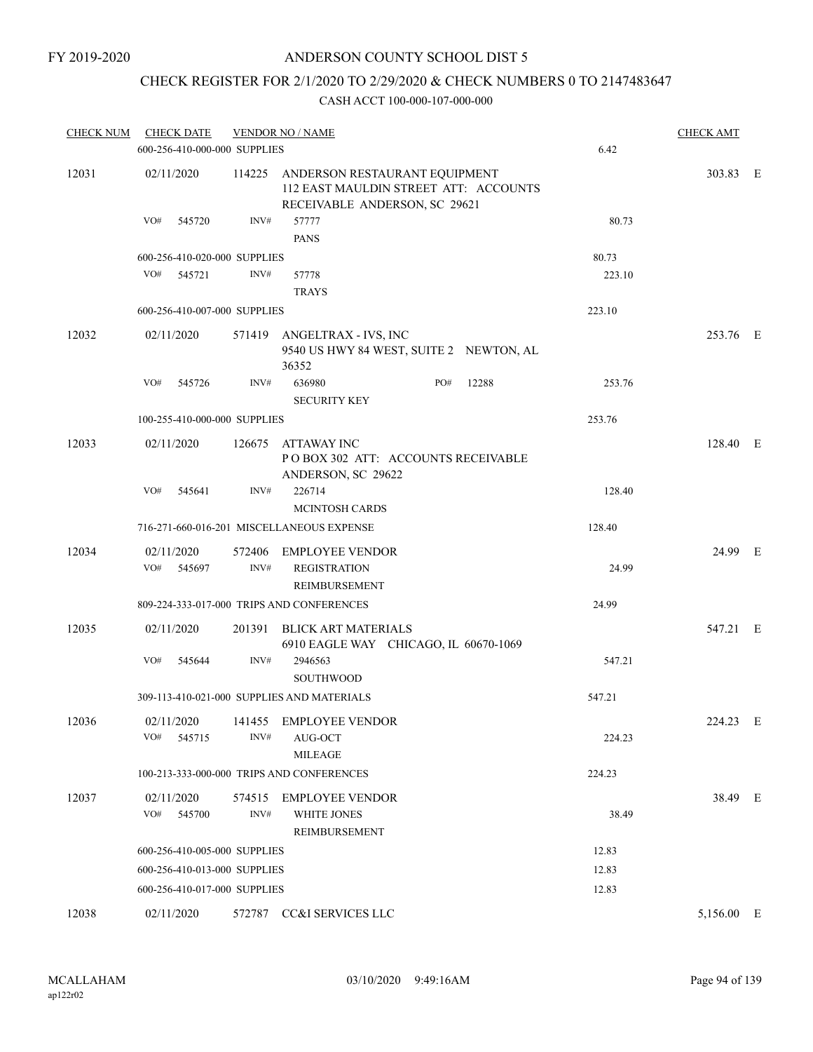# CHECK REGISTER FOR 2/1/2020 TO 2/29/2020 & CHECK NUMBERS 0 TO 2147483647

| <b>CHECK NUM</b> | <b>CHECK DATE</b>            |      | <b>VENDOR NO / NAME</b>                                                                                        |     |       |        | <b>CHECK AMT</b> |  |
|------------------|------------------------------|------|----------------------------------------------------------------------------------------------------------------|-----|-------|--------|------------------|--|
|                  | 600-256-410-000-000 SUPPLIES |      |                                                                                                                |     |       | 6.42   |                  |  |
| 12031            | 02/11/2020                   |      | 114225 ANDERSON RESTAURANT EQUIPMENT<br>112 EAST MAULDIN STREET ATT: ACCOUNTS<br>RECEIVABLE ANDERSON, SC 29621 |     |       |        | 303.83 E         |  |
|                  | VO#<br>545720                | INV# | 57777<br><b>PANS</b>                                                                                           |     |       | 80.73  |                  |  |
|                  | 600-256-410-020-000 SUPPLIES |      |                                                                                                                |     |       | 80.73  |                  |  |
|                  | VO# 545721                   | INV# | 57778<br><b>TRAYS</b>                                                                                          |     |       | 223.10 |                  |  |
|                  | 600-256-410-007-000 SUPPLIES |      |                                                                                                                |     |       | 223.10 |                  |  |
| 12032            | 02/11/2020                   |      | 571419 ANGELTRAX - IVS, INC<br>9540 US HWY 84 WEST, SUITE 2 NEWTON, AL<br>36352                                |     |       |        | 253.76 E         |  |
|                  | VO#<br>545726                | INV# | 636980<br><b>SECURITY KEY</b>                                                                                  | PO# | 12288 | 253.76 |                  |  |
|                  | 100-255-410-000-000 SUPPLIES |      |                                                                                                                |     |       | 253.76 |                  |  |
| 12033            | 02/11/2020                   |      | 126675 ATTAWAY INC<br>POBOX 302 ATT: ACCOUNTS RECEIVABLE<br>ANDERSON, SC 29622                                 |     |       |        | 128.40 E         |  |
|                  | VO#<br>545641                | INV# | 226714<br><b>MCINTOSH CARDS</b>                                                                                |     |       | 128.40 |                  |  |
|                  |                              |      | 716-271-660-016-201 MISCELLANEOUS EXPENSE                                                                      |     |       | 128.40 |                  |  |
| 12034            | 02/11/2020                   |      | 572406 EMPLOYEE VENDOR                                                                                         |     |       |        | 24.99 E          |  |
|                  | VO#<br>545697                | INV# | <b>REGISTRATION</b><br>REIMBURSEMENT                                                                           |     |       | 24.99  |                  |  |
|                  |                              |      | 809-224-333-017-000 TRIPS AND CONFERENCES                                                                      |     |       | 24.99  |                  |  |
| 12035            | 02/11/2020                   |      | 201391 BLICK ART MATERIALS<br>6910 EAGLE WAY CHICAGO, IL 60670-1069                                            |     |       |        | 547.21 E         |  |
|                  | VO#<br>545644                | INV# | 2946563<br>SOUTHWOOD                                                                                           |     |       | 547.21 |                  |  |
|                  |                              |      | 309-113-410-021-000 SUPPLIES AND MATERIALS                                                                     |     |       | 547.21 |                  |  |
| 12036            | VO#<br>545715                | INV# | 02/11/2020 141455 EMPLOYEE VENDOR<br>AUG-OCT<br><b>MILEAGE</b>                                                 |     |       | 224.23 | 224.23 E         |  |
|                  |                              |      | 100-213-333-000-000 TRIPS AND CONFERENCES                                                                      |     |       | 224.23 |                  |  |
| 12037            | 02/11/2020<br>VO#<br>545700  | INV# | 574515 EMPLOYEE VENDOR<br><b>WHITE JONES</b><br>REIMBURSEMENT                                                  |     |       | 38.49  | 38.49 E          |  |
|                  | 600-256-410-005-000 SUPPLIES |      |                                                                                                                |     |       | 12.83  |                  |  |
|                  | 600-256-410-013-000 SUPPLIES |      |                                                                                                                |     |       | 12.83  |                  |  |
|                  | 600-256-410-017-000 SUPPLIES |      |                                                                                                                |     |       | 12.83  |                  |  |
| 12038            | 02/11/2020                   |      | 572787 CC&I SERVICES LLC                                                                                       |     |       |        | 5,156.00 E       |  |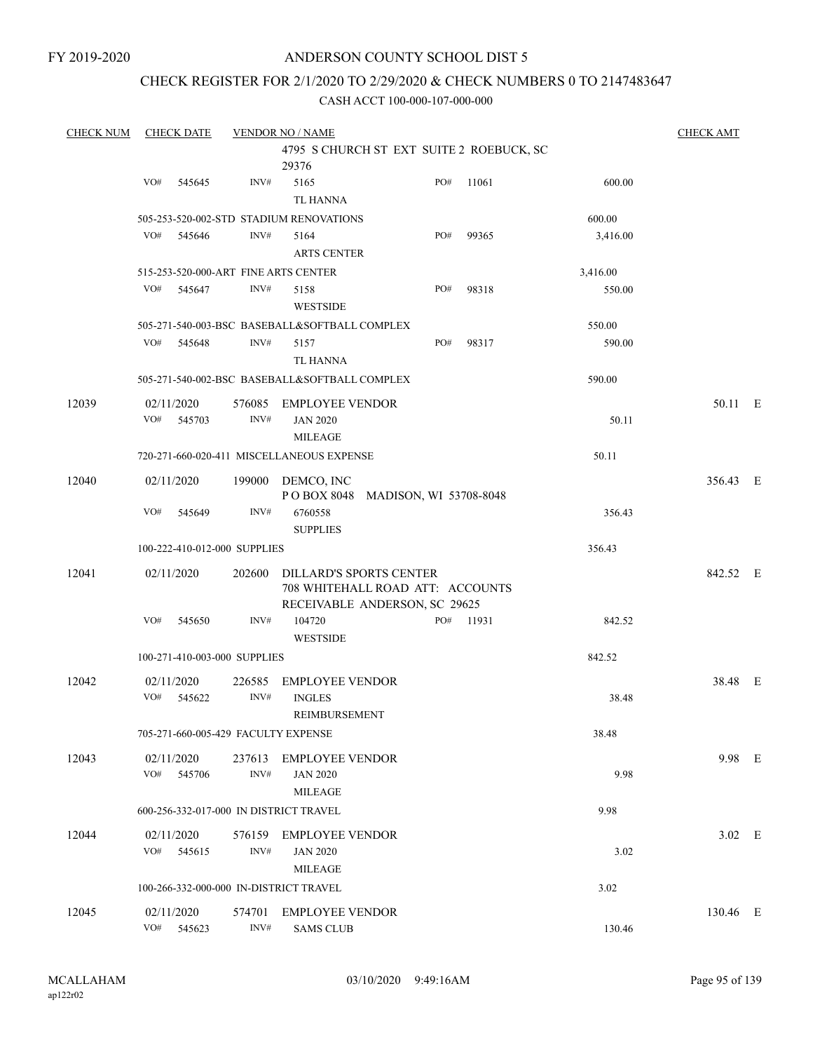FY 2019-2020

# ANDERSON COUNTY SCHOOL DIST 5

# CHECK REGISTER FOR 2/1/2020 TO 2/29/2020 & CHECK NUMBERS 0 TO 2147483647

| <b>CHECK NUM</b> | <b>CHECK DATE</b>           |                                        | <b>VENDOR NO / NAME</b>                                     |     |           |          | <b>CHECK AMT</b> |  |
|------------------|-----------------------------|----------------------------------------|-------------------------------------------------------------|-----|-----------|----------|------------------|--|
|                  |                             |                                        | 4795 S CHURCH ST EXT SUITE 2 ROEBUCK, SC                    |     |           |          |                  |  |
|                  |                             |                                        | 29376                                                       |     |           |          |                  |  |
|                  | VO#<br>545645               | INV#                                   | 5165                                                        | PO# | 11061     | 600.00   |                  |  |
|                  |                             |                                        | TL HANNA                                                    |     |           |          |                  |  |
|                  |                             |                                        | 505-253-520-002-STD STADIUM RENOVATIONS                     |     |           | 600.00   |                  |  |
|                  | VO#<br>545646               | INV#                                   | 5164                                                        | PO# | 99365     | 3,416.00 |                  |  |
|                  |                             |                                        | <b>ARTS CENTER</b>                                          |     |           |          |                  |  |
|                  |                             | 515-253-520-000-ART FINE ARTS CENTER   |                                                             |     |           | 3,416.00 |                  |  |
|                  | VO#<br>545647               | INV#                                   | 5158                                                        | PO# | 98318     | 550.00   |                  |  |
|                  |                             |                                        | <b>WESTSIDE</b>                                             |     |           |          |                  |  |
|                  |                             |                                        | 505-271-540-003-BSC BASEBALL&SOFTBALL COMPLEX               |     |           | 550.00   |                  |  |
|                  | VO# 545648                  | INV#                                   | 5157                                                        | PO# | 98317     | 590.00   |                  |  |
|                  |                             |                                        | <b>TL HANNA</b>                                             |     |           |          |                  |  |
|                  |                             |                                        | 505-271-540-002-BSC BASEBALL&SOFTBALL COMPLEX               |     |           | 590.00   |                  |  |
| 12039            | 02/11/2020                  |                                        | 576085 EMPLOYEE VENDOR                                      |     |           |          | 50.11 E          |  |
|                  | VO#<br>545703               | INV#                                   | <b>JAN 2020</b>                                             |     |           | 50.11    |                  |  |
|                  |                             |                                        | <b>MILEAGE</b>                                              |     |           |          |                  |  |
|                  |                             |                                        | 720-271-660-020-411 MISCELLANEOUS EXPENSE                   |     |           | 50.11    |                  |  |
|                  |                             |                                        |                                                             |     |           |          |                  |  |
| 12040            | 02/11/2020                  | 199000                                 | DEMCO, INC<br>POBOX 8048 MADISON, WI 53708-8048             |     |           |          | 356.43 E         |  |
|                  | VO#<br>545649               | INV#                                   | 6760558                                                     |     |           | 356.43   |                  |  |
|                  |                             |                                        | <b>SUPPLIES</b>                                             |     |           |          |                  |  |
|                  |                             | 100-222-410-012-000 SUPPLIES           |                                                             |     |           | 356.43   |                  |  |
|                  |                             |                                        |                                                             |     |           |          |                  |  |
| 12041            | 02/11/2020                  | 202600                                 | DILLARD'S SPORTS CENTER<br>708 WHITEHALL ROAD ATT: ACCOUNTS |     |           |          | 842.52 E         |  |
|                  |                             |                                        | RECEIVABLE ANDERSON, SC 29625                               |     |           |          |                  |  |
|                  | VO#<br>545650               | INV#                                   | 104720                                                      |     | PO# 11931 | 842.52   |                  |  |
|                  |                             |                                        | <b>WESTSIDE</b>                                             |     |           |          |                  |  |
|                  |                             | 100-271-410-003-000 SUPPLIES           |                                                             |     |           | 842.52   |                  |  |
|                  |                             |                                        |                                                             |     |           |          |                  |  |
| 12042            | 02/11/2020<br>VO#<br>545622 | 226585<br>INV#                         | <b>EMPLOYEE VENDOR</b><br><b>INGLES</b>                     |     |           | 38.48    | 38.48 E          |  |
|                  |                             |                                        | REIMBURSEMENT                                               |     |           |          |                  |  |
|                  |                             | 705-271-660-005-429 FACULTY EXPENSE    |                                                             |     |           | 38.48    |                  |  |
|                  |                             |                                        |                                                             |     |           |          |                  |  |
| 12043            | 02/11/2020                  | 237613                                 | <b>EMPLOYEE VENDOR</b>                                      |     |           |          | 9.98 E           |  |
|                  | VO#<br>545706               | INV#                                   | <b>JAN 2020</b>                                             |     |           | 9.98     |                  |  |
|                  |                             |                                        | MILEAGE                                                     |     |           |          |                  |  |
|                  |                             | 600-256-332-017-000 IN DISTRICT TRAVEL |                                                             |     |           | 9.98     |                  |  |
| 12044            | 02/11/2020                  | 576159                                 | <b>EMPLOYEE VENDOR</b>                                      |     |           |          | $3.02$ E         |  |
|                  | VO#<br>545615               | INV#                                   | <b>JAN 2020</b>                                             |     |           | 3.02     |                  |  |
|                  |                             |                                        | MILEAGE                                                     |     |           |          |                  |  |
|                  |                             | 100-266-332-000-000 IN-DISTRICT TRAVEL |                                                             |     |           | 3.02     |                  |  |
| 12045            | 02/11/2020                  | 574701                                 | <b>EMPLOYEE VENDOR</b>                                      |     |           |          | 130.46 E         |  |
|                  | VO#<br>545623               | INV#                                   | <b>SAMS CLUB</b>                                            |     |           | 130.46   |                  |  |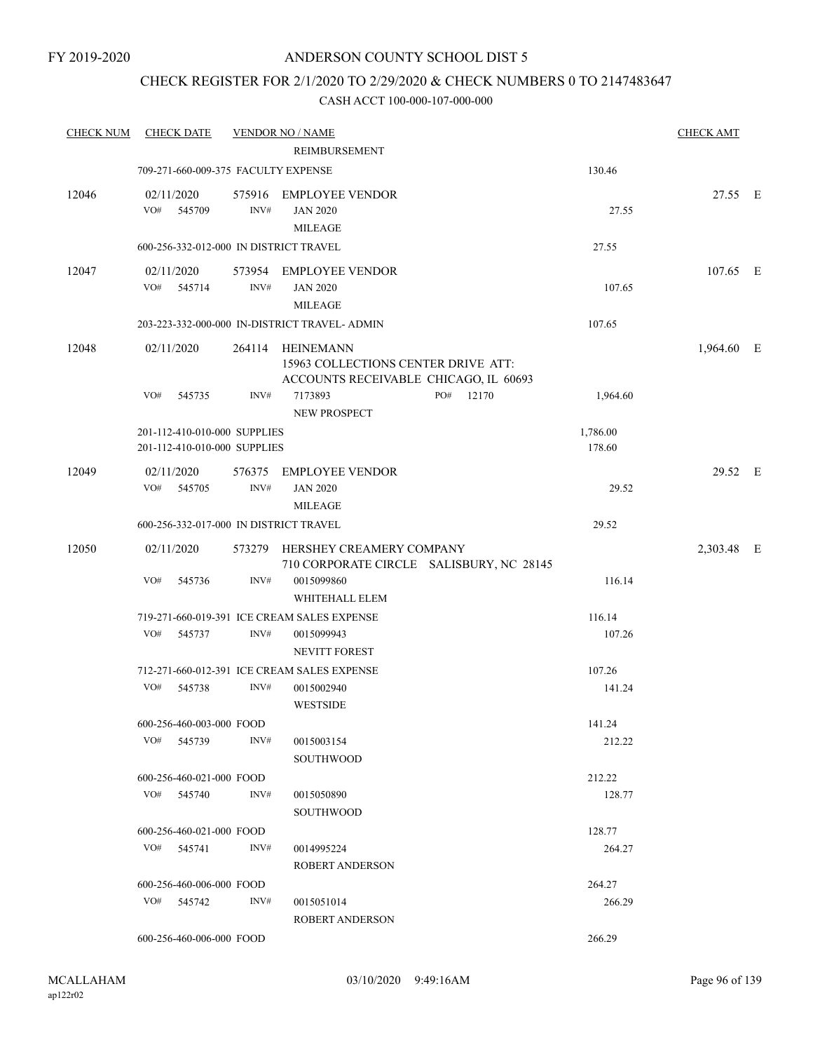# CHECK REGISTER FOR 2/1/2020 TO 2/29/2020 & CHECK NUMBERS 0 TO 2147483647

| <b>CHECK NUM</b> | <b>CHECK DATE</b>                                            |      | <b>VENDOR NO / NAME</b>                                                                          |              |                    | <b>CHECK AMT</b> |  |
|------------------|--------------------------------------------------------------|------|--------------------------------------------------------------------------------------------------|--------------|--------------------|------------------|--|
|                  |                                                              |      | REIMBURSEMENT                                                                                    |              |                    |                  |  |
|                  | 709-271-660-009-375 FACULTY EXPENSE                          |      |                                                                                                  |              | 130.46             |                  |  |
| 12046            | 02/11/2020<br>VO#<br>545709                                  | INV# | 575916 EMPLOYEE VENDOR<br><b>JAN 2020</b><br><b>MILEAGE</b>                                      |              | 27.55              | 27.55 E          |  |
|                  | 600-256-332-012-000 IN DISTRICT TRAVEL                       |      |                                                                                                  |              | 27.55              |                  |  |
| 12047            | 02/11/2020<br>VO# 545714                                     | INV# | 573954 EMPLOYEE VENDOR<br><b>JAN 2020</b><br><b>MILEAGE</b>                                      |              | 107.65             | 107.65 E         |  |
|                  |                                                              |      | 203-223-332-000-000 IN-DISTRICT TRAVEL- ADMIN                                                    |              | 107.65             |                  |  |
| 12048            | 02/11/2020                                                   |      | 264114 HEINEMANN<br>15963 COLLECTIONS CENTER DRIVE ATT:<br>ACCOUNTS RECEIVABLE CHICAGO, IL 60693 |              |                    | 1,964.60 E       |  |
|                  | VO#<br>545735                                                | INV# | 7173893<br>NEW PROSPECT                                                                          | PO#<br>12170 | 1,964.60           |                  |  |
|                  | 201-112-410-010-000 SUPPLIES<br>201-112-410-010-000 SUPPLIES |      |                                                                                                  |              | 1,786.00<br>178.60 |                  |  |
| 12049            | 02/11/2020<br>VO# 545705                                     | INV# | 576375 EMPLOYEE VENDOR<br><b>JAN 2020</b><br><b>MILEAGE</b>                                      |              | 29.52              | 29.52 E          |  |
|                  | 600-256-332-017-000 IN DISTRICT TRAVEL                       |      |                                                                                                  |              | 29.52              |                  |  |
| 12050            | 02/11/2020                                                   |      | 573279 HERSHEY CREAMERY COMPANY<br>710 CORPORATE CIRCLE SALISBURY, NC 28145                      |              |                    | 2,303.48 E       |  |
|                  | VO#<br>545736                                                | INV# | 0015099860<br>WHITEHALL ELEM                                                                     |              | 116.14             |                  |  |
|                  |                                                              |      | 719-271-660-019-391 ICE CREAM SALES EXPENSE                                                      |              | 116.14             |                  |  |
|                  | VO#<br>545737                                                | INV# | 0015099943<br><b>NEVITT FOREST</b>                                                               |              | 107.26             |                  |  |
|                  |                                                              |      | 712-271-660-012-391 ICE CREAM SALES EXPENSE                                                      |              | 107.26             |                  |  |
|                  | VO#<br>545738                                                | INV# | 0015002940<br><b>WESTSIDE</b>                                                                    |              | 141.24             |                  |  |
|                  | 600-256-460-003-000 FOOD                                     |      |                                                                                                  |              | 141.24             |                  |  |
|                  | VO# 545739                                                   | INV# | 0015003154<br><b>SOUTHWOOD</b>                                                                   |              | 212.22             |                  |  |
|                  | 600-256-460-021-000 FOOD                                     |      |                                                                                                  |              | 212.22             |                  |  |
|                  | VO# 545740                                                   | INV# | 0015050890<br><b>SOUTHWOOD</b>                                                                   |              | 128.77             |                  |  |
|                  | 600-256-460-021-000 FOOD                                     |      |                                                                                                  |              | 128.77             |                  |  |
|                  | $VO#$ 545741                                                 | INV# | 0014995224<br><b>ROBERT ANDERSON</b>                                                             |              | 264.27             |                  |  |
|                  | 600-256-460-006-000 FOOD                                     |      |                                                                                                  |              | 264.27             |                  |  |
|                  | VO# 545742                                                   | INV# | 0015051014<br>ROBERT ANDERSON                                                                    |              | 266.29             |                  |  |
|                  | 600-256-460-006-000 FOOD                                     |      |                                                                                                  |              | 266.29             |                  |  |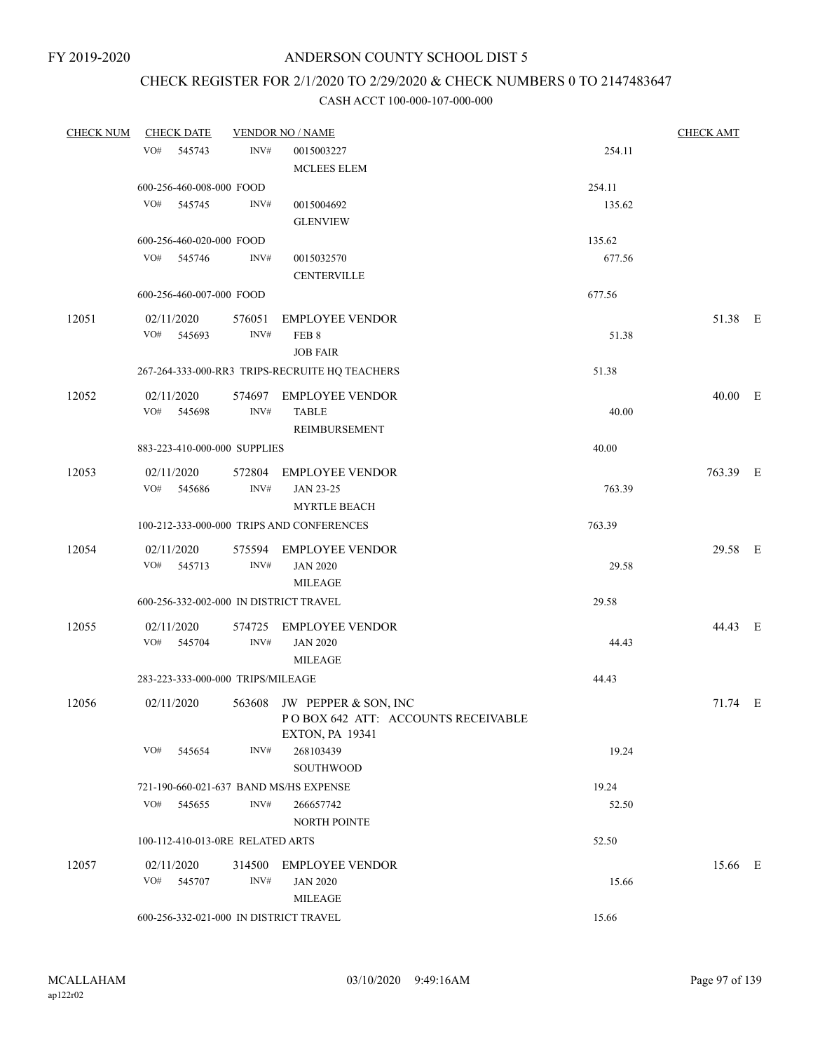# CHECK REGISTER FOR 2/1/2020 TO 2/29/2020 & CHECK NUMBERS 0 TO 2147483647

| <b>CHECK NUM</b> | <b>CHECK DATE</b><br><b>VENDOR NO / NAME</b> |        |                                                |        | <b>CHECK AMT</b> |  |
|------------------|----------------------------------------------|--------|------------------------------------------------|--------|------------------|--|
|                  | VO# 545743                                   | INV#   | 0015003227                                     | 254.11 |                  |  |
|                  |                                              |        | <b>MCLEES ELEM</b>                             |        |                  |  |
|                  | 600-256-460-008-000 FOOD                     |        |                                                | 254.11 |                  |  |
|                  | VO# 545745                                   | INV#   | 0015004692                                     | 135.62 |                  |  |
|                  |                                              |        | <b>GLENVIEW</b>                                |        |                  |  |
|                  | 600-256-460-020-000 FOOD                     |        |                                                | 135.62 |                  |  |
|                  | VO# 545746                                   | INV#   | 0015032570                                     | 677.56 |                  |  |
|                  |                                              |        |                                                |        |                  |  |
|                  |                                              |        | <b>CENTERVILLE</b>                             |        |                  |  |
|                  | 600-256-460-007-000 FOOD                     |        |                                                | 677.56 |                  |  |
| 12051            | 02/11/2020                                   | 576051 | <b>EMPLOYEE VENDOR</b>                         |        | 51.38 E          |  |
|                  | VO#<br>545693                                | INV#   | FEB 8                                          | 51.38  |                  |  |
|                  |                                              |        | <b>JOB FAIR</b>                                |        |                  |  |
|                  |                                              |        | 267-264-333-000-RR3 TRIPS-RECRUITE HQ TEACHERS | 51.38  |                  |  |
| 12052            | 02/11/2020                                   |        | 574697 EMPLOYEE VENDOR                         |        | 40.00 E          |  |
|                  | VO# 545698                                   | INV#   | <b>TABLE</b>                                   | 40.00  |                  |  |
|                  |                                              |        | REIMBURSEMENT                                  |        |                  |  |
|                  | 883-223-410-000-000 SUPPLIES                 |        |                                                | 40.00  |                  |  |
|                  |                                              |        |                                                |        |                  |  |
| 12053            | 02/11/2020<br>VO# 545686                     |        | 572804 EMPLOYEE VENDOR                         |        | 763.39 E         |  |
|                  |                                              | INV#   | JAN 23-25                                      | 763.39 |                  |  |
|                  |                                              |        | <b>MYRTLE BEACH</b>                            |        |                  |  |
|                  |                                              |        | 100-212-333-000-000 TRIPS AND CONFERENCES      | 763.39 |                  |  |
| 12054            | 02/11/2020                                   |        | 575594 EMPLOYEE VENDOR                         |        | 29.58 E          |  |
|                  | VO# 545713                                   | INV#   | <b>JAN 2020</b>                                | 29.58  |                  |  |
|                  |                                              |        | <b>MILEAGE</b>                                 |        |                  |  |
|                  | 600-256-332-002-000 IN DISTRICT TRAVEL       |        |                                                | 29.58  |                  |  |
| 12055            | 02/11/2020                                   |        | 574725 EMPLOYEE VENDOR                         |        | 44.43 E          |  |
|                  | VO# 545704                                   | INV#   | <b>JAN 2020</b>                                | 44.43  |                  |  |
|                  |                                              |        | MILEAGE                                        |        |                  |  |
|                  | 283-223-333-000-000 TRIPS/MILEAGE            |        |                                                | 44.43  |                  |  |
| 12056            | 02/11/2020                                   |        | 563608 JW PEPPER & SON, INC                    |        | $71.74$ E        |  |
|                  |                                              |        | POBOX 642 ATT: ACCOUNTS RECEIVABLE             |        |                  |  |
|                  |                                              |        | <b>EXTON, PA 19341</b>                         |        |                  |  |
|                  | VO#<br>545654                                | INV#   | 268103439                                      | 19.24  |                  |  |
|                  |                                              |        | <b>SOUTHWOOD</b>                               |        |                  |  |
|                  | 721-190-660-021-637 BAND MS/HS EXPENSE       |        |                                                | 19.24  |                  |  |
|                  | VO#<br>545655                                | INV#   | 266657742                                      | 52.50  |                  |  |
|                  |                                              |        | <b>NORTH POINTE</b>                            |        |                  |  |
|                  | 100-112-410-013-0RE RELATED ARTS             |        |                                                | 52.50  |                  |  |
| 12057            | 02/11/2020                                   | 314500 | <b>EMPLOYEE VENDOR</b>                         |        | 15.66 E          |  |
|                  | VO#<br>545707                                | INV#   | <b>JAN 2020</b>                                | 15.66  |                  |  |
|                  |                                              |        | <b>MILEAGE</b>                                 |        |                  |  |
|                  | 600-256-332-021-000 IN DISTRICT TRAVEL       |        |                                                | 15.66  |                  |  |
|                  |                                              |        |                                                |        |                  |  |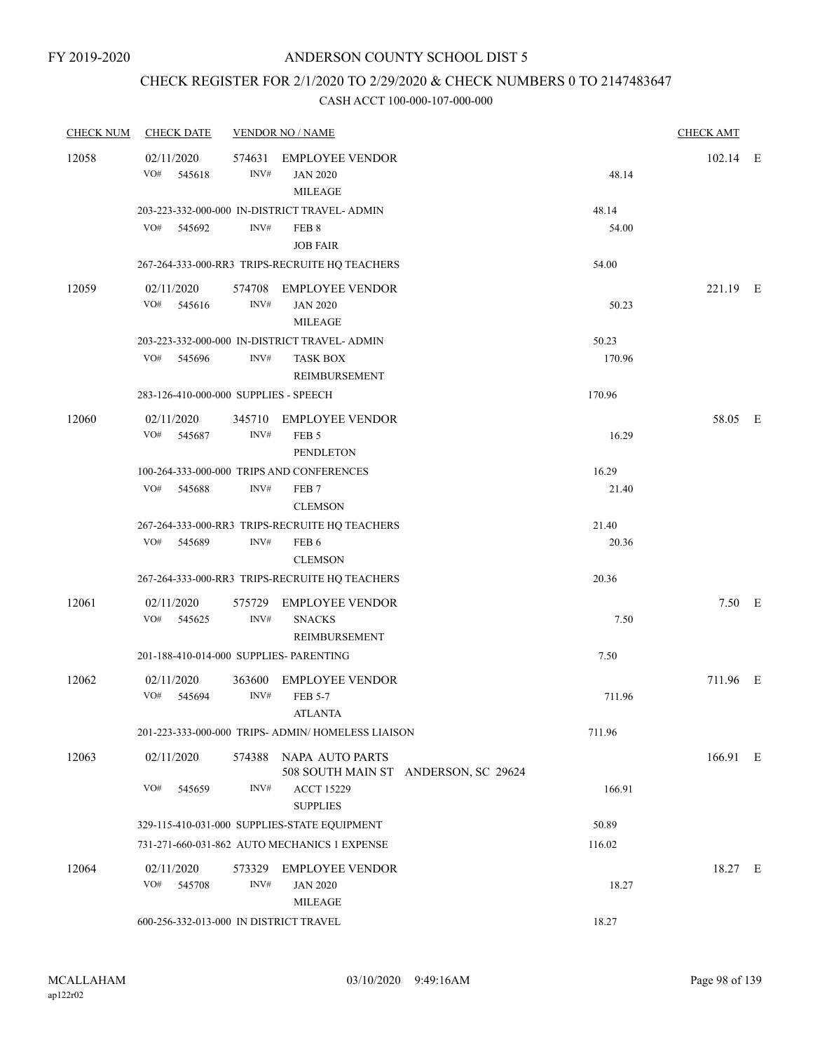# CHECK REGISTER FOR 2/1/2020 TO 2/29/2020 & CHECK NUMBERS 0 TO 2147483647

| <b>CHECK NUM</b> | <b>CHECK DATE</b>                       |                | <b>VENDOR NO / NAME</b>                                                           |                                      |                 | <b>CHECK AMT</b> |  |
|------------------|-----------------------------------------|----------------|-----------------------------------------------------------------------------------|--------------------------------------|-----------------|------------------|--|
| 12058            | 02/11/2020<br>VO#<br>545618             | 574631<br>INV# | <b>EMPLOYEE VENDOR</b><br><b>JAN 2020</b><br><b>MILEAGE</b>                       |                                      | 48.14           | 102.14 E         |  |
|                  | VO# 545692                              | INV#           | 203-223-332-000-000 IN-DISTRICT TRAVEL- ADMIN<br>FEB 8<br><b>JOB FAIR</b>         |                                      | 48.14<br>54.00  |                  |  |
|                  |                                         |                | 267-264-333-000-RR3 TRIPS-RECRUITE HQ TEACHERS                                    |                                      | 54.00           |                  |  |
| 12059            | 02/11/2020<br>VO#<br>545616             | INV#           | 574708 EMPLOYEE VENDOR<br><b>JAN 2020</b><br><b>MILEAGE</b>                       |                                      | 50.23           | 221.19 E         |  |
|                  | VO#<br>545696                           | INV#           | 203-223-332-000-000 IN-DISTRICT TRAVEL- ADMIN<br><b>TASK BOX</b><br>REIMBURSEMENT |                                      | 50.23<br>170.96 |                  |  |
|                  | 283-126-410-000-000 SUPPLIES - SPEECH   |                |                                                                                   |                                      | 170.96          |                  |  |
| 12060            | 02/11/2020<br>VO#<br>545687             | INV#           | 345710 EMPLOYEE VENDOR<br>FEB <sub>5</sub><br><b>PENDLETON</b>                    |                                      | 16.29           | 58.05 E          |  |
|                  | VO#<br>545688                           | INV#           | 100-264-333-000-000 TRIPS AND CONFERENCES<br>FEB <sub>7</sub><br><b>CLEMSON</b>   |                                      | 16.29<br>21.40  |                  |  |
|                  |                                         |                | 267-264-333-000-RR3 TRIPS-RECRUITE HQ TEACHERS                                    |                                      | 21.40           |                  |  |
|                  | VO#<br>545689                           | INV#           | FEB <sub>6</sub><br><b>CLEMSON</b>                                                |                                      | 20.36           |                  |  |
|                  |                                         |                | 267-264-333-000-RR3 TRIPS-RECRUITE HQ TEACHERS                                    |                                      | 20.36           |                  |  |
| 12061            | 02/11/2020<br>VO#<br>545625             | INV#           | 575729 EMPLOYEE VENDOR<br><b>SNACKS</b><br>REIMBURSEMENT                          |                                      | 7.50            | $7.50$ E         |  |
|                  | 201-188-410-014-000 SUPPLIES- PARENTING |                |                                                                                   |                                      | 7.50            |                  |  |
| 12062            | 02/11/2020<br>VO#<br>545694             | INV#           | 363600 EMPLOYEE VENDOR<br>FEB 5-7<br><b>ATLANTA</b>                               |                                      | 711.96          | 711.96 E         |  |
|                  |                                         |                | 201-223-333-000-000 TRIPS- ADMIN/HOMELESS LIAISON                                 |                                      | 711.96          |                  |  |
| 12063            | 02/11/2020                              | 574388         | <b>NAPA AUTO PARTS</b>                                                            | 508 SOUTH MAIN ST ANDERSON, SC 29624 |                 | 166.91 E         |  |
|                  | VO#<br>545659                           | INV#           | <b>ACCT 15229</b><br><b>SUPPLIES</b>                                              |                                      | 166.91          |                  |  |
|                  |                                         |                | 329-115-410-031-000 SUPPLIES-STATE EQUIPMENT                                      |                                      | 50.89           |                  |  |
|                  |                                         |                | 731-271-660-031-862 AUTO MECHANICS 1 EXPENSE                                      |                                      | 116.02          |                  |  |
| 12064            | 02/11/2020<br>VO#<br>545708             | 573329<br>INV# | <b>EMPLOYEE VENDOR</b><br><b>JAN 2020</b><br><b>MILEAGE</b>                       |                                      | 18.27           | 18.27 E          |  |
|                  | 600-256-332-013-000 IN DISTRICT TRAVEL  |                |                                                                                   |                                      | 18.27           |                  |  |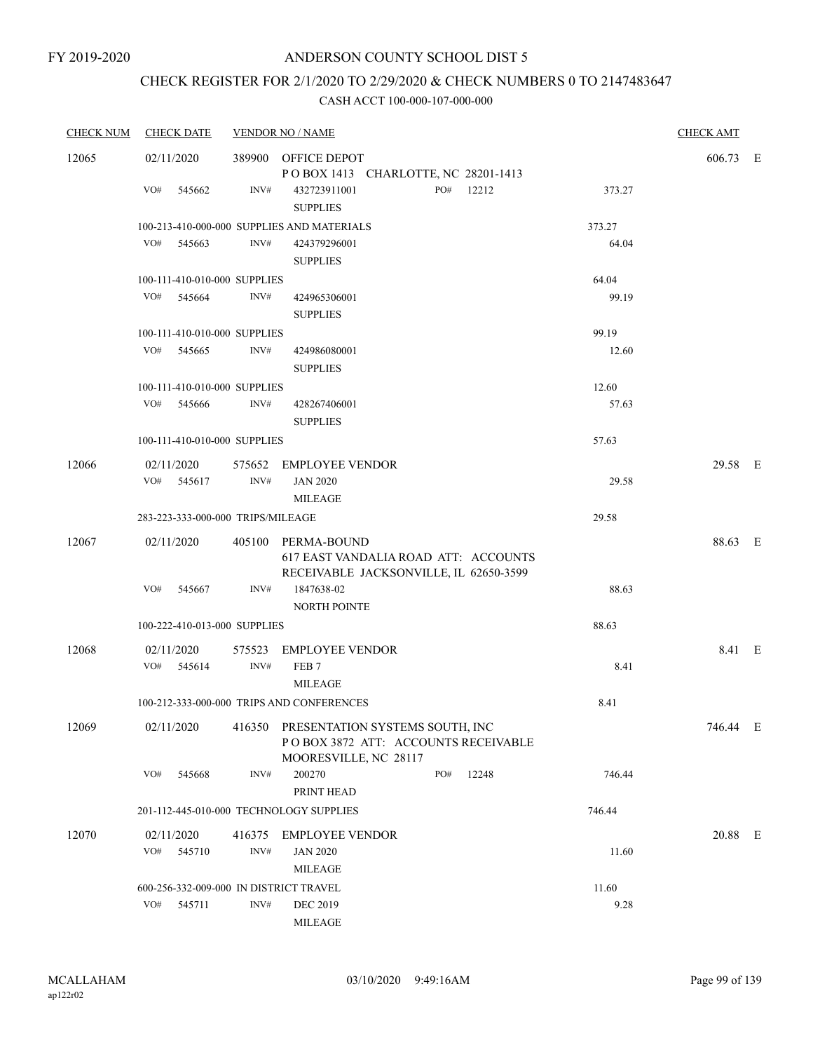# CHECK REGISTER FOR 2/1/2020 TO 2/29/2020 & CHECK NUMBERS 0 TO 2147483647

| <b>CHECK NUM</b> | <b>CHECK DATE</b>                       |        | <b>VENDOR NO / NAME</b>                                                                                |     |           |        | <b>CHECK AMT</b> |  |
|------------------|-----------------------------------------|--------|--------------------------------------------------------------------------------------------------------|-----|-----------|--------|------------------|--|
| 12065            | 02/11/2020                              |        | 389900 OFFICE DEPOT                                                                                    |     |           |        | 606.73 E         |  |
|                  |                                         |        | POBOX 1413 CHARLOTTE, NC 28201-1413                                                                    |     |           |        |                  |  |
|                  | VO#<br>545662                           | INV#   | 432723911001<br><b>SUPPLIES</b>                                                                        |     | PO# 12212 | 373.27 |                  |  |
|                  |                                         |        | 100-213-410-000-000 SUPPLIES AND MATERIALS                                                             |     |           | 373.27 |                  |  |
|                  | VO#<br>545663                           | INV#   | 424379296001<br><b>SUPPLIES</b>                                                                        |     |           | 64.04  |                  |  |
|                  | 100-111-410-010-000 SUPPLIES            |        |                                                                                                        |     |           | 64.04  |                  |  |
|                  | VO#<br>545664                           | INV#   | 424965306001<br><b>SUPPLIES</b>                                                                        |     |           | 99.19  |                  |  |
|                  | 100-111-410-010-000 SUPPLIES            |        |                                                                                                        |     |           | 99.19  |                  |  |
|                  | VO#<br>545665                           | INV#   | 424986080001<br><b>SUPPLIES</b>                                                                        |     |           | 12.60  |                  |  |
|                  | 100-111-410-010-000 SUPPLIES            |        |                                                                                                        |     |           | 12.60  |                  |  |
|                  | VO# 545666                              | INV#   | 428267406001<br><b>SUPPLIES</b>                                                                        |     |           | 57.63  |                  |  |
|                  | 100-111-410-010-000 SUPPLIES            |        |                                                                                                        |     |           | 57.63  |                  |  |
| 12066            | 02/11/2020                              |        | 575652 EMPLOYEE VENDOR                                                                                 |     |           |        | 29.58 E          |  |
|                  | VO# 545617                              | INV#   | <b>JAN 2020</b>                                                                                        |     |           | 29.58  |                  |  |
|                  |                                         |        | MILEAGE                                                                                                |     |           |        |                  |  |
|                  | 283-223-333-000-000 TRIPS/MILEAGE       |        |                                                                                                        |     |           | 29.58  |                  |  |
| 12067            | 02/11/2020                              |        | 405100 PERMA-BOUND<br>617 EAST VANDALIA ROAD ATT: ACCOUNTS                                             |     |           |        | 88.63 E          |  |
|                  | VO# 545667                              | INV#   | RECEIVABLE JACKSONVILLE, IL 62650-3599<br>1847638-02<br>NORTH POINTE                                   |     |           | 88.63  |                  |  |
|                  | 100-222-410-013-000 SUPPLIES            |        |                                                                                                        |     |           | 88.63  |                  |  |
| 12068            | 02/11/2020                              |        | 575523 EMPLOYEE VENDOR                                                                                 |     |           |        | 8.41 E           |  |
|                  | $VO#$ 545614                            | INV#   | FEB <sub>7</sub><br><b>MILEAGE</b>                                                                     |     |           | 8.41   |                  |  |
|                  |                                         |        | 100-212-333-000-000 TRIPS AND CONFERENCES                                                              |     |           | 8.41   |                  |  |
| 12069            | 02/11/2020                              |        | 416350 PRESENTATION SYSTEMS SOUTH, INC<br>POBOX 3872 ATT: ACCOUNTS RECEIVABLE<br>MOORESVILLE, NC 28117 |     |           |        | 746.44 E         |  |
|                  | VO#<br>545668                           | INV#   | 200270<br>PRINT HEAD                                                                                   | PO# | 12248     | 746.44 |                  |  |
|                  | 201-112-445-010-000 TECHNOLOGY SUPPLIES |        |                                                                                                        |     |           | 746.44 |                  |  |
| 12070            | 02/11/2020                              | 416375 | <b>EMPLOYEE VENDOR</b>                                                                                 |     |           |        | 20.88 E          |  |
|                  | VO#<br>545710                           | INV#   | <b>JAN 2020</b>                                                                                        |     |           | 11.60  |                  |  |
|                  |                                         |        | <b>MILEAGE</b>                                                                                         |     |           |        |                  |  |
|                  | 600-256-332-009-000 IN DISTRICT TRAVEL  |        |                                                                                                        |     |           | 11.60  |                  |  |
|                  | VO#<br>545711                           | INV#   | <b>DEC 2019</b>                                                                                        |     |           | 9.28   |                  |  |
|                  |                                         |        | <b>MILEAGE</b>                                                                                         |     |           |        |                  |  |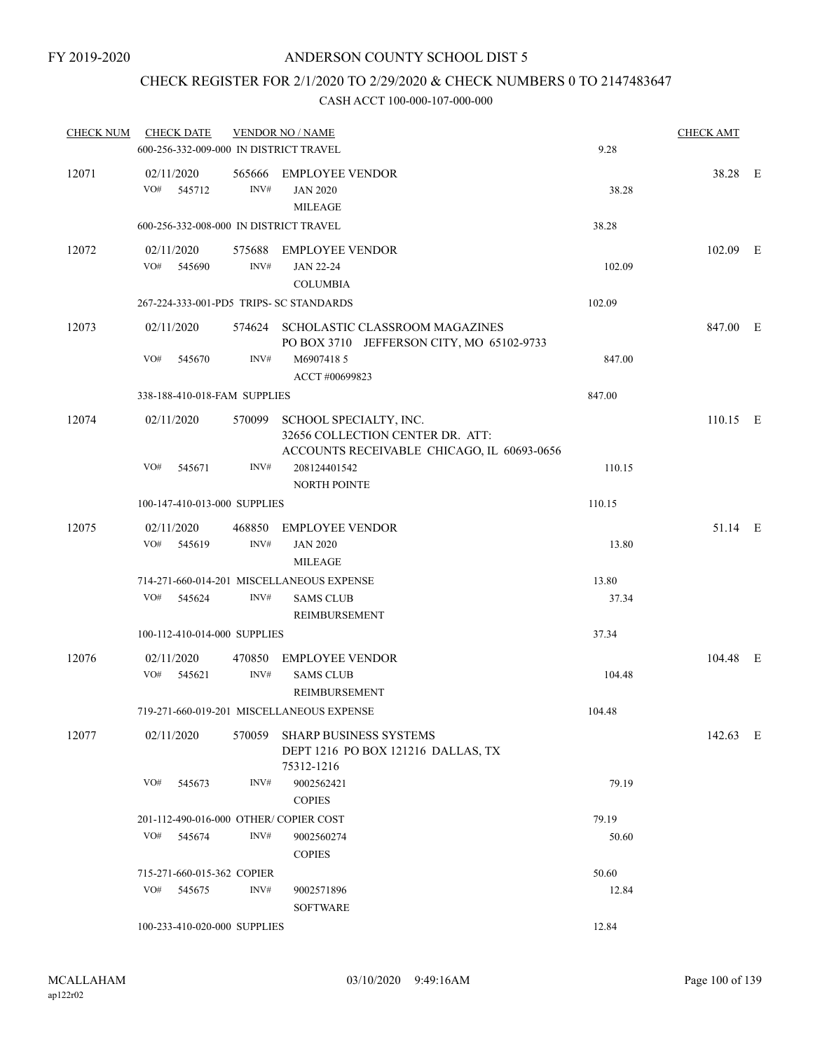# CHECK REGISTER FOR 2/1/2020 TO 2/29/2020 & CHECK NUMBERS 0 TO 2147483647

| <b>CHECK NUM</b> | <b>CHECK DATE</b>                       |                | <b>VENDOR NO / NAME</b>                                                                                  |        | <b>CHECK AMT</b> |  |
|------------------|-----------------------------------------|----------------|----------------------------------------------------------------------------------------------------------|--------|------------------|--|
|                  | 600-256-332-009-000 IN DISTRICT TRAVEL  |                |                                                                                                          | 9.28   |                  |  |
| 12071            | 02/11/2020<br>VO#<br>545712             | INV#           | 565666 EMPLOYEE VENDOR<br><b>JAN 2020</b><br><b>MILEAGE</b>                                              | 38.28  | 38.28 E          |  |
|                  | 600-256-332-008-000 IN DISTRICT TRAVEL  |                |                                                                                                          | 38.28  |                  |  |
| 12072            | 02/11/2020<br>VO#<br>545690             | INV#           | 575688 EMPLOYEE VENDOR<br><b>JAN 22-24</b><br><b>COLUMBIA</b>                                            | 102.09 | 102.09 E         |  |
|                  | 267-224-333-001-PD5 TRIPS- SC STANDARDS |                |                                                                                                          | 102.09 |                  |  |
| 12073            | 02/11/2020                              |                | 574624 SCHOLASTIC CLASSROOM MAGAZINES<br>PO BOX 3710 JEFFERSON CITY, MO 65102-9733                       |        | 847.00 E         |  |
|                  | VO#<br>545670                           | INV#           | M6907418 5                                                                                               | 847.00 |                  |  |
|                  |                                         |                | ACCT #00699823                                                                                           |        |                  |  |
|                  | 338-188-410-018-FAM SUPPLIES            |                |                                                                                                          | 847.00 |                  |  |
| 12074            | 02/11/2020                              | 570099         | SCHOOL SPECIALTY, INC.<br>32656 COLLECTION CENTER DR. ATT:<br>ACCOUNTS RECEIVABLE CHICAGO, IL 60693-0656 |        | $110.15$ E       |  |
|                  | VO#<br>545671                           | INV#           | 208124401542<br><b>NORTH POINTE</b>                                                                      | 110.15 |                  |  |
|                  | 100-147-410-013-000 SUPPLIES            |                |                                                                                                          | 110.15 |                  |  |
| 12075            | 02/11/2020<br>VO#<br>545619             | INV#           | 468850 EMPLOYEE VENDOR<br><b>JAN 2020</b><br><b>MILEAGE</b>                                              | 13.80  | 51.14 E          |  |
|                  |                                         |                | 714-271-660-014-201 MISCELLANEOUS EXPENSE                                                                | 13.80  |                  |  |
|                  | VO#<br>545624                           | INV#           | <b>SAMS CLUB</b><br><b>REIMBURSEMENT</b>                                                                 | 37.34  |                  |  |
|                  | 100-112-410-014-000 SUPPLIES            |                |                                                                                                          | 37.34  |                  |  |
| 12076            | 02/11/2020<br>VO#<br>545621             | 470850<br>INV# | <b>EMPLOYEE VENDOR</b><br><b>SAMS CLUB</b>                                                               | 104.48 | 104.48 E         |  |
|                  |                                         |                | REIMBURSEMENT<br>719-271-660-019-201 MISCELLANEOUS EXPENSE                                               | 104.48 |                  |  |
| 12077            | 02/11/2020                              | 570059         | SHARP BUSINESS SYSTEMS<br>DEPT 1216 PO BOX 121216 DALLAS, TX<br>75312-1216                               |        | 142.63 E         |  |
|                  | VO#<br>545673                           | INV#           | 9002562421<br><b>COPIES</b>                                                                              | 79.19  |                  |  |
|                  | 201-112-490-016-000 OTHER/ COPIER COST  |                |                                                                                                          | 79.19  |                  |  |
|                  | VO#<br>545674                           | INV#           | 9002560274<br><b>COPIES</b>                                                                              | 50.60  |                  |  |
|                  | 715-271-660-015-362 COPIER              |                |                                                                                                          | 50.60  |                  |  |
|                  | VO#<br>545675                           | INV#           | 9002571896<br><b>SOFTWARE</b>                                                                            | 12.84  |                  |  |
|                  | 100-233-410-020-000 SUPPLIES            |                |                                                                                                          | 12.84  |                  |  |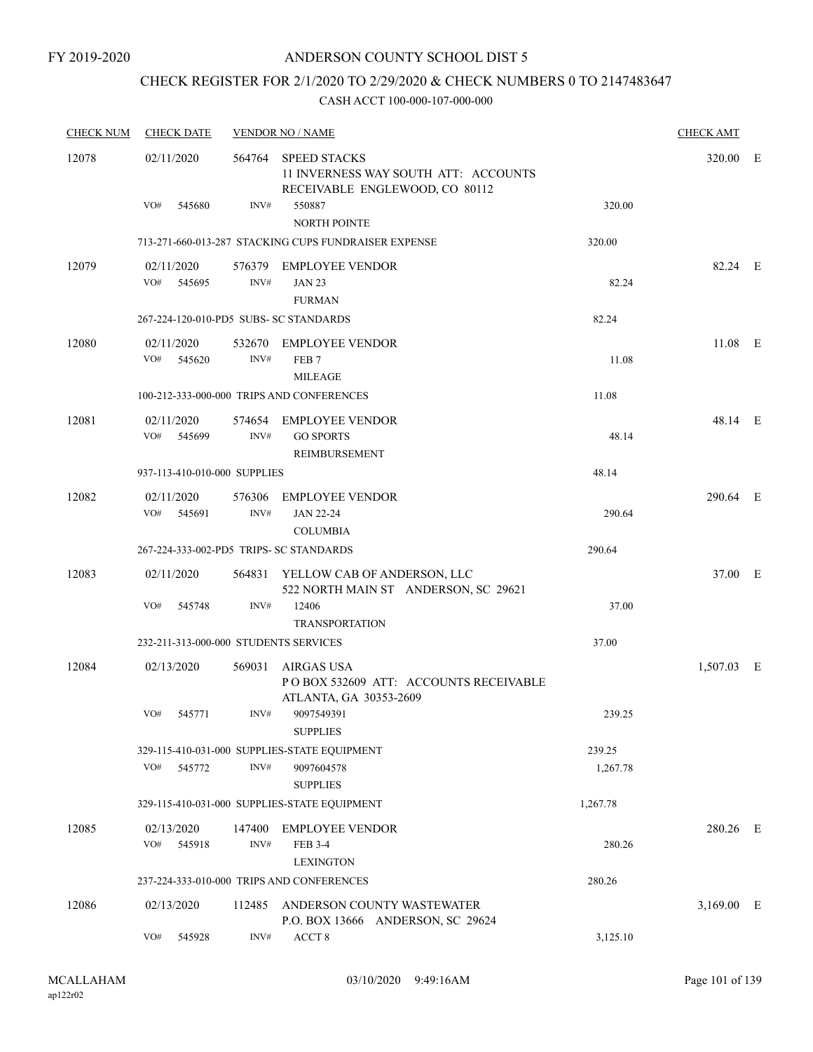# CHECK REGISTER FOR 2/1/2020 TO 2/29/2020 & CHECK NUMBERS 0 TO 2147483647

| <b>CHECK NUM</b> | <b>CHECK DATE</b>                       |                | <b>VENDOR NO / NAME</b>                                                                       |          | <b>CHECK AMT</b> |   |
|------------------|-----------------------------------------|----------------|-----------------------------------------------------------------------------------------------|----------|------------------|---|
| 12078            | 02/11/2020                              | 564764         | <b>SPEED STACKS</b><br>11 INVERNESS WAY SOUTH ATT: ACCOUNTS<br>RECEIVABLE ENGLEWOOD, CO 80112 |          | 320.00 E         |   |
|                  | VO#<br>545680                           | INV#           | 550887<br><b>NORTH POINTE</b>                                                                 | 320.00   |                  |   |
|                  |                                         |                | 713-271-660-013-287 STACKING CUPS FUNDRAISER EXPENSE                                          | 320.00   |                  |   |
| 12079            | 02/11/2020<br>VO#<br>545695             | INV#           | 576379 EMPLOYEE VENDOR<br><b>JAN 23</b><br><b>FURMAN</b>                                      | 82.24    | 82.24 E          |   |
|                  | 267-224-120-010-PD5 SUBS- SC STANDARDS  |                |                                                                                               | 82.24    |                  |   |
| 12080            | 02/11/2020<br>VO#<br>545620             | INV#           | 532670 EMPLOYEE VENDOR<br>FEB <sub>7</sub><br><b>MILEAGE</b>                                  | 11.08    | $11.08$ E        |   |
|                  |                                         |                | 100-212-333-000-000 TRIPS AND CONFERENCES                                                     | 11.08    |                  |   |
| 12081            | 02/11/2020<br>VO#<br>545699             | INV#           | 574654 EMPLOYEE VENDOR<br><b>GO SPORTS</b><br>REIMBURSEMENT                                   | 48.14    | 48.14 E          |   |
|                  | 937-113-410-010-000 SUPPLIES            |                |                                                                                               | 48.14    |                  |   |
| 12082            | 02/11/2020<br>VO#<br>545691             | INV#           | 576306 EMPLOYEE VENDOR<br><b>JAN 22-24</b><br><b>COLUMBIA</b>                                 | 290.64   | 290.64 E         |   |
|                  | 267-224-333-002-PD5 TRIPS- SC STANDARDS |                |                                                                                               | 290.64   |                  |   |
| 12083            | 02/11/2020                              |                | 564831 YELLOW CAB OF ANDERSON, LLC<br>522 NORTH MAIN ST ANDERSON, SC 29621                    |          | 37.00 E          |   |
|                  | VO#<br>545748                           | INV#           | 12406<br><b>TRANSPORTATION</b>                                                                | 37.00    |                  |   |
|                  | 232-211-313-000-000 STUDENTS SERVICES   |                |                                                                                               | 37.00    |                  |   |
| 12084            | 02/13/2020                              | 569031         | <b>AIRGAS USA</b><br>PO BOX 532609 ATT: ACCOUNTS RECEIVABLE<br>ATLANTA, GA 30353-2609         |          | 1,507.03 E       |   |
|                  | VO#<br>545771                           | INV#           | 9097549391<br><b>SUPPLIES</b>                                                                 | 239.25   |                  |   |
|                  |                                         |                | 329-115-410-031-000 SUPPLIES-STATE EQUIPMENT                                                  | 239.25   |                  |   |
|                  | VO#<br>545772                           | INV#           | 9097604578<br><b>SUPPLIES</b>                                                                 | 1,267.78 |                  |   |
|                  |                                         |                | 329-115-410-031-000 SUPPLIES-STATE EQUIPMENT                                                  | 1,267.78 |                  |   |
| 12085            | 02/13/2020<br>VO#<br>545918             | 147400<br>INV# | <b>EMPLOYEE VENDOR</b><br><b>FEB 3-4</b><br><b>LEXINGTON</b>                                  | 280.26   | 280.26 E         |   |
|                  |                                         |                | 237-224-333-010-000 TRIPS AND CONFERENCES                                                     | 280.26   |                  |   |
| 12086            | 02/13/2020                              | 112485         | ANDERSON COUNTY WASTEWATER<br>P.O. BOX 13666 ANDERSON, SC 29624                               |          | 3,169.00         | E |
|                  | VO#<br>545928                           | INV#           | ACCT <sub>8</sub>                                                                             | 3,125.10 |                  |   |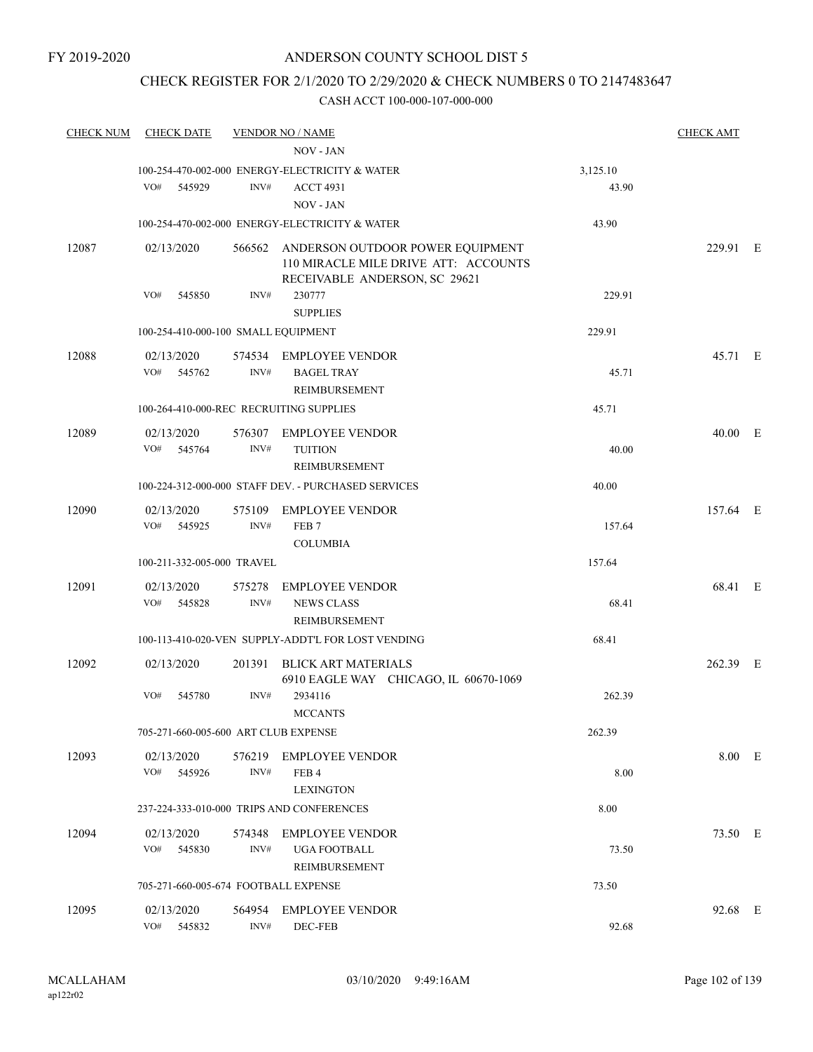# CHECK REGISTER FOR 2/1/2020 TO 2/29/2020 & CHECK NUMBERS 0 TO 2147483647

| <b>CHECK NUM</b> | <b>CHECK DATE</b>                       |                | <b>VENDOR NO / NAME</b><br><b>NOV - JAN</b>                                                                      |          | <b>CHECK AMT</b> |  |
|------------------|-----------------------------------------|----------------|------------------------------------------------------------------------------------------------------------------|----------|------------------|--|
|                  |                                         |                | 100-254-470-002-000 ENERGY-ELECTRICITY & WATER                                                                   | 3,125.10 |                  |  |
|                  | VO#<br>545929                           | INV#           | <b>ACCT 4931</b><br>NOV - JAN                                                                                    | 43.90    |                  |  |
|                  |                                         |                | 100-254-470-002-000 ENERGY-ELECTRICITY & WATER                                                                   | 43.90    |                  |  |
| 12087            | 02/13/2020                              |                | 566562 ANDERSON OUTDOOR POWER EQUIPMENT<br>110 MIRACLE MILE DRIVE ATT: ACCOUNTS<br>RECEIVABLE ANDERSON, SC 29621 |          | 229.91 E         |  |
|                  | VO#<br>545850                           | INV#           | 230777<br><b>SUPPLIES</b>                                                                                        | 229.91   |                  |  |
|                  | 100-254-410-000-100 SMALL EQUIPMENT     |                |                                                                                                                  | 229.91   |                  |  |
| 12088            | 02/13/2020                              |                | 574534 EMPLOYEE VENDOR                                                                                           |          | 45.71 E          |  |
|                  | VO#<br>545762                           | INV#           | <b>BAGEL TRAY</b><br><b>REIMBURSEMENT</b>                                                                        | 45.71    |                  |  |
|                  | 100-264-410-000-REC RECRUITING SUPPLIES |                |                                                                                                                  | 45.71    |                  |  |
| 12089            | 02/13/2020<br>VO#<br>545764             | INV#           | 576307 EMPLOYEE VENDOR<br><b>TUITION</b>                                                                         | 40.00    | 40.00 E          |  |
|                  |                                         |                | REIMBURSEMENT                                                                                                    |          |                  |  |
|                  |                                         |                | 100-224-312-000-000 STAFF DEV. - PURCHASED SERVICES                                                              | 40.00    |                  |  |
| 12090            | 02/13/2020<br>VO#<br>545925             | INV#           | 575109 EMPLOYEE VENDOR<br>FEB <sub>7</sub><br><b>COLUMBIA</b>                                                    | 157.64   | 157.64 E         |  |
|                  | 100-211-332-005-000 TRAVEL              |                |                                                                                                                  | 157.64   |                  |  |
| 12091            | 02/13/2020                              | 575278         | <b>EMPLOYEE VENDOR</b>                                                                                           |          | 68.41 E          |  |
|                  | VO#<br>545828                           | INV#           | <b>NEWS CLASS</b><br>REIMBURSEMENT                                                                               | 68.41    |                  |  |
|                  |                                         |                | 100-113-410-020-VEN SUPPLY-ADDT'L FOR LOST VENDING                                                               | 68.41    |                  |  |
| 12092            | 02/13/2020                              | 201391         | <b>BLICK ART MATERIALS</b><br>6910 EAGLE WAY CHICAGO, IL 60670-1069                                              |          | 262.39 E         |  |
|                  | VO#<br>545780                           | INV#           | 2934116<br><b>MCCANTS</b>                                                                                        | 262.39   |                  |  |
|                  | 705-271-660-005-600 ART CLUB EXPENSE    |                |                                                                                                                  | 262.39   |                  |  |
| 12093            | 02/13/2020<br>VO#<br>545926             | 576219<br>INV# | <b>EMPLOYEE VENDOR</b><br>FEB <sub>4</sub>                                                                       | 8.00     | 8.00 E           |  |
|                  |                                         |                | <b>LEXINGTON</b>                                                                                                 |          |                  |  |
|                  |                                         |                | 237-224-333-010-000 TRIPS AND CONFERENCES                                                                        | 8.00     |                  |  |
| 12094            | 02/13/2020<br>VO#<br>545830             | 574348<br>INV# | <b>EMPLOYEE VENDOR</b><br><b>UGA FOOTBALL</b><br>REIMBURSEMENT                                                   | 73.50    | 73.50 E          |  |
|                  | 705-271-660-005-674 FOOTBALL EXPENSE    |                |                                                                                                                  | 73.50    |                  |  |
| 12095            | 02/13/2020                              | 564954         | <b>EMPLOYEE VENDOR</b>                                                                                           |          | 92.68 E          |  |
|                  | VO#<br>545832                           | INV#           | DEC-FEB                                                                                                          | 92.68    |                  |  |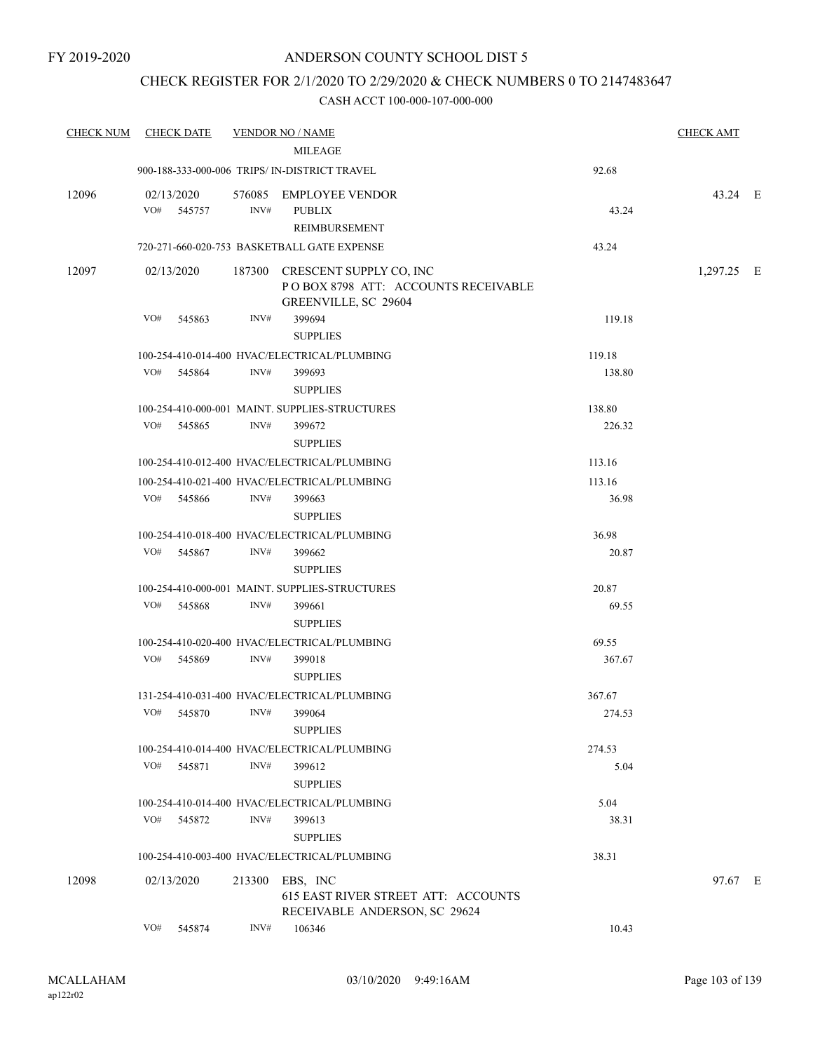### CHECK REGISTER FOR 2/1/2020 TO 2/29/2020 & CHECK NUMBERS 0 TO 2147483647

|       | CHECK NUM CHECK DATE     |        | <b>VENDOR NO / NAME</b>                                                                       |                  | <b>CHECK AMT</b> |  |
|-------|--------------------------|--------|-----------------------------------------------------------------------------------------------|------------------|------------------|--|
|       |                          |        | <b>MILEAGE</b>                                                                                |                  |                  |  |
|       |                          |        | 900-188-333-000-006 TRIPS/ IN-DISTRICT TRAVEL                                                 | 92.68            |                  |  |
| 12096 | 02/13/2020<br>VO# 545757 | INV#   | 576085 EMPLOYEE VENDOR<br><b>PUBLIX</b><br>REIMBURSEMENT                                      | 43.24            | 43.24 E          |  |
|       |                          |        | 720-271-660-020-753 BASKETBALL GATE EXPENSE                                                   | 43.24            |                  |  |
| 12097 | 02/13/2020               |        | 187300 CRESCENT SUPPLY CO, INC<br>POBOX 8798 ATT: ACCOUNTS RECEIVABLE<br>GREENVILLE, SC 29604 |                  | 1,297.25 E       |  |
|       | VO#<br>545863            | INV#   | 399694<br><b>SUPPLIES</b>                                                                     | 119.18           |                  |  |
|       |                          |        | 100-254-410-014-400 HVAC/ELECTRICAL/PLUMBING                                                  | 119.18           |                  |  |
|       | VO#<br>545864            | INV#   | 399693<br><b>SUPPLIES</b>                                                                     | 138.80           |                  |  |
|       | VO#<br>545865            | INV#   | 100-254-410-000-001 MAINT, SUPPLIES-STRUCTURES<br>399672                                      | 138.80<br>226.32 |                  |  |
|       |                          |        | <b>SUPPLIES</b>                                                                               |                  |                  |  |
|       |                          |        | 100-254-410-012-400 HVAC/ELECTRICAL/PLUMBING                                                  | 113.16           |                  |  |
|       |                          |        | 100-254-410-021-400 HVAC/ELECTRICAL/PLUMBING                                                  | 113.16           |                  |  |
|       | VO# 545866               | INV#   | 399663<br><b>SUPPLIES</b>                                                                     | 36.98            |                  |  |
|       |                          |        | 100-254-410-018-400 HVAC/ELECTRICAL/PLUMBING                                                  | 36.98            |                  |  |
|       | VO#<br>545867            | INV#   | 399662<br><b>SUPPLIES</b>                                                                     | 20.87            |                  |  |
|       |                          |        | 100-254-410-000-001 MAINT. SUPPLIES-STRUCTURES                                                | 20.87            |                  |  |
|       | VO#<br>545868            | INV#   | 399661<br><b>SUPPLIES</b>                                                                     | 69.55            |                  |  |
|       |                          |        | 100-254-410-020-400 HVAC/ELECTRICAL/PLUMBING                                                  | 69.55            |                  |  |
|       | VO#<br>545869            | INV#   | 399018<br><b>SUPPLIES</b>                                                                     | 367.67           |                  |  |
|       |                          |        | 131-254-410-031-400 HVAC/ELECTRICAL/PLUMBING                                                  | 367.67           |                  |  |
|       | VO#<br>545870            | INV#   | 399064<br><b>SUPPLIES</b>                                                                     | 274.53           |                  |  |
|       |                          |        | 100-254-410-014-400 HVAC/ELECTRICAL/PLUMBING                                                  | 274.53           |                  |  |
|       | VO#<br>545871            | INV#   | 399612<br><b>SUPPLIES</b>                                                                     | 5.04             |                  |  |
|       |                          |        | 100-254-410-014-400 HVAC/ELECTRICAL/PLUMBING                                                  | 5.04             |                  |  |
|       | VO#<br>545872            | INV#   | 399613<br><b>SUPPLIES</b>                                                                     | 38.31            |                  |  |
|       |                          |        | 100-254-410-003-400 HVAC/ELECTRICAL/PLUMBING                                                  | 38.31            |                  |  |
| 12098 | 02/13/2020               | 213300 | EBS, INC<br>615 EAST RIVER STREET ATT: ACCOUNTS<br>RECEIVABLE ANDERSON, SC 29624              |                  | 97.67 E          |  |
|       | VO#<br>545874            | INV#   | 106346                                                                                        | 10.43            |                  |  |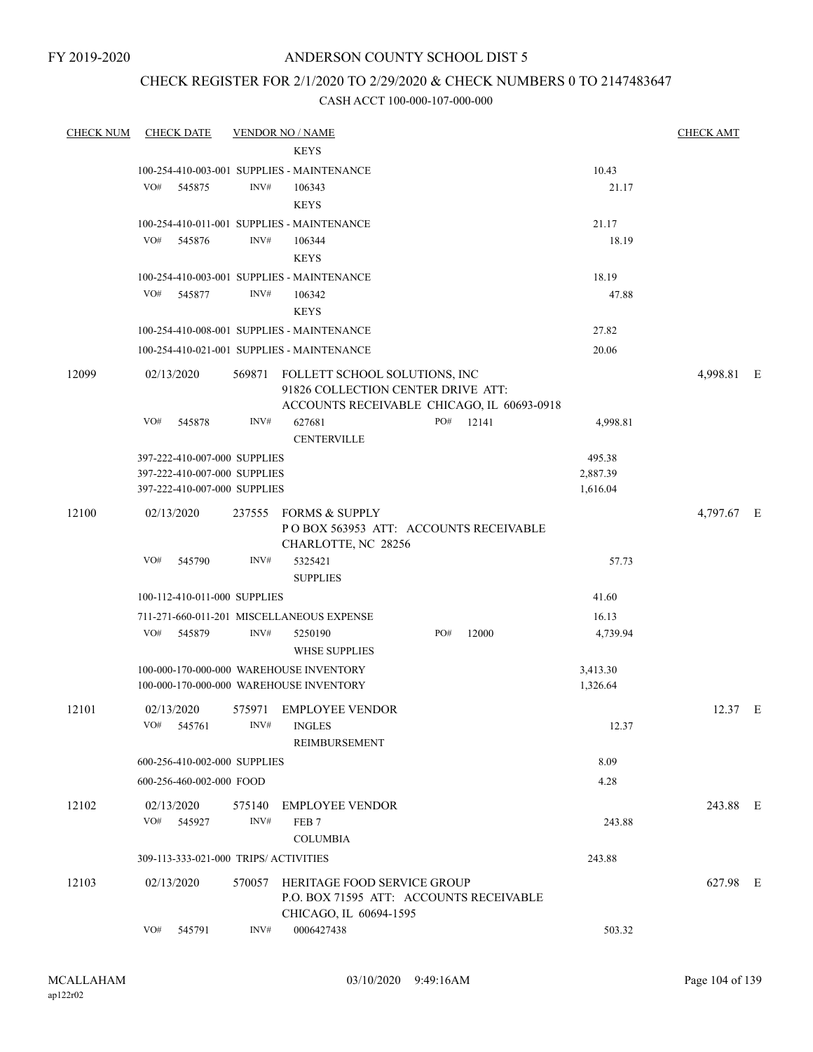# CHECK REGISTER FOR 2/1/2020 TO 2/29/2020 & CHECK NUMBERS 0 TO 2147483647

| <b>CHECK NUM</b> | <b>CHECK DATE</b>                       |        | <b>VENDOR NO / NAME</b>                                                    |     |           |          | <b>CHECK AMT</b> |  |
|------------------|-----------------------------------------|--------|----------------------------------------------------------------------------|-----|-----------|----------|------------------|--|
|                  |                                         |        | <b>KEYS</b>                                                                |     |           |          |                  |  |
|                  |                                         |        | 100-254-410-003-001 SUPPLIES - MAINTENANCE                                 |     |           | 10.43    |                  |  |
|                  | VO#<br>545875                           | INV#   | 106343                                                                     |     |           | 21.17    |                  |  |
|                  |                                         |        | <b>KEYS</b>                                                                |     |           |          |                  |  |
|                  |                                         |        | 100-254-410-011-001 SUPPLIES - MAINTENANCE                                 |     |           | 21.17    |                  |  |
|                  | VO#<br>545876                           | INV#   | 106344                                                                     |     |           | 18.19    |                  |  |
|                  |                                         |        | <b>KEYS</b>                                                                |     |           |          |                  |  |
|                  |                                         |        | 100-254-410-003-001 SUPPLIES - MAINTENANCE                                 |     |           | 18.19    |                  |  |
|                  | VO#<br>545877                           | INV#   | 106342                                                                     |     |           | 47.88    |                  |  |
|                  |                                         |        | <b>KEYS</b>                                                                |     |           |          |                  |  |
|                  |                                         |        | 100-254-410-008-001 SUPPLIES - MAINTENANCE                                 |     |           | 27.82    |                  |  |
|                  |                                         |        | 100-254-410-021-001 SUPPLIES - MAINTENANCE                                 |     |           | 20.06    |                  |  |
|                  |                                         |        |                                                                            |     |           |          |                  |  |
| 12099            | 02/13/2020                              |        | 569871 FOLLETT SCHOOL SOLUTIONS, INC<br>91826 COLLECTION CENTER DRIVE ATT: |     |           |          | 4,998.81 E       |  |
|                  |                                         |        | ACCOUNTS RECEIVABLE CHICAGO, IL 60693-0918                                 |     |           |          |                  |  |
|                  | VO#<br>545878                           | INV#   | 627681                                                                     |     | PO# 12141 | 4,998.81 |                  |  |
|                  |                                         |        | <b>CENTERVILLE</b>                                                         |     |           |          |                  |  |
|                  | 397-222-410-007-000 SUPPLIES            |        |                                                                            |     |           | 495.38   |                  |  |
|                  | 397-222-410-007-000 SUPPLIES            |        |                                                                            |     |           | 2,887.39 |                  |  |
|                  | 397-222-410-007-000 SUPPLIES            |        |                                                                            |     |           | 1,616.04 |                  |  |
| 12100            | 02/13/2020                              |        | 237555 FORMS & SUPPLY                                                      |     |           |          | 4,797.67 E       |  |
|                  |                                         |        | POBOX 563953 ATT: ACCOUNTS RECEIVABLE                                      |     |           |          |                  |  |
|                  |                                         |        | CHARLOTTE, NC 28256                                                        |     |           |          |                  |  |
|                  | VO#<br>545790                           | INV#   | 5325421                                                                    |     |           | 57.73    |                  |  |
|                  |                                         |        | <b>SUPPLIES</b>                                                            |     |           |          |                  |  |
|                  | 100-112-410-011-000 SUPPLIES            |        |                                                                            |     |           | 41.60    |                  |  |
|                  |                                         |        | 711-271-660-011-201 MISCELLANEOUS EXPENSE                                  |     |           | 16.13    |                  |  |
|                  | VO#<br>545879                           | INV#   | 5250190                                                                    | PO# | 12000     | 4,739.94 |                  |  |
|                  |                                         |        | <b>WHSE SUPPLIES</b>                                                       |     |           |          |                  |  |
|                  | 100-000-170-000-000 WAREHOUSE INVENTORY |        |                                                                            |     |           | 3,413.30 |                  |  |
|                  | 100-000-170-000-000 WAREHOUSE INVENTORY |        |                                                                            |     |           | 1,326.64 |                  |  |
| 12101            |                                         |        | 575971 EMPLOYEE VENDOR                                                     |     |           |          | 12.37 E          |  |
|                  | 02/13/2020<br>VO#<br>545761             | INV#   | <b>INGLES</b>                                                              |     |           | 12.37    |                  |  |
|                  |                                         |        | REIMBURSEMENT                                                              |     |           |          |                  |  |
|                  | 600-256-410-002-000 SUPPLIES            |        |                                                                            |     |           | 8.09     |                  |  |
|                  |                                         |        |                                                                            |     |           |          |                  |  |
|                  | 600-256-460-002-000 FOOD                |        |                                                                            |     |           | 4.28     |                  |  |
| 12102            | 02/13/2020                              | 575140 | <b>EMPLOYEE VENDOR</b>                                                     |     |           |          | 243.88 E         |  |
|                  | VO#<br>545927                           | INV#   | FEB <sub>7</sub>                                                           |     |           | 243.88   |                  |  |
|                  |                                         |        | <b>COLUMBIA</b>                                                            |     |           |          |                  |  |
|                  | 309-113-333-021-000 TRIPS/ ACTIVITIES   |        |                                                                            |     |           | 243.88   |                  |  |
| 12103            | 02/13/2020                              |        | 570057 HERITAGE FOOD SERVICE GROUP                                         |     |           |          | 627.98 E         |  |
|                  |                                         |        | P.O. BOX 71595 ATT: ACCOUNTS RECEIVABLE                                    |     |           |          |                  |  |
|                  |                                         |        | CHICAGO, IL 60694-1595                                                     |     |           |          |                  |  |
|                  | VO#<br>545791                           | INV#   | 0006427438                                                                 |     |           | 503.32   |                  |  |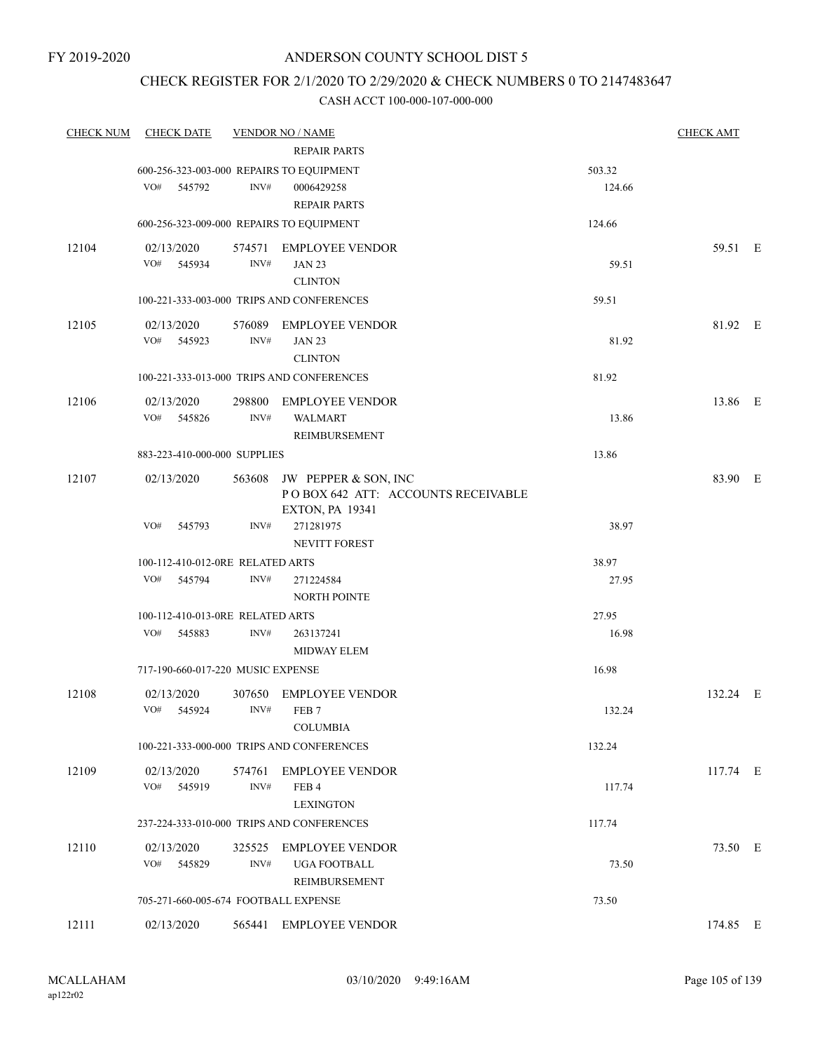# CHECK REGISTER FOR 2/1/2020 TO 2/29/2020 & CHECK NUMBERS 0 TO 2147483647

| <b>CHECK NUM</b> | <b>CHECK DATE</b>                        |                | <b>VENDOR NO / NAME</b>                   |        | <b>CHECK AMT</b> |  |
|------------------|------------------------------------------|----------------|-------------------------------------------|--------|------------------|--|
|                  |                                          |                | <b>REPAIR PARTS</b>                       |        |                  |  |
|                  | 600-256-323-003-000 REPAIRS TO EQUIPMENT |                |                                           | 503.32 |                  |  |
|                  | VO#<br>545792                            | INV#           | 0006429258                                | 124.66 |                  |  |
|                  |                                          |                | <b>REPAIR PARTS</b>                       |        |                  |  |
|                  | 600-256-323-009-000 REPAIRS TO EQUIPMENT |                |                                           | 124.66 |                  |  |
| 12104            | 02/13/2020                               |                | 574571 EMPLOYEE VENDOR                    |        | 59.51 E          |  |
|                  | VO# 545934                               | INV#           | <b>JAN 23</b>                             | 59.51  |                  |  |
|                  |                                          |                | <b>CLINTON</b>                            |        |                  |  |
|                  |                                          |                | 100-221-333-003-000 TRIPS AND CONFERENCES | 59.51  |                  |  |
| 12105            | 02/13/2020                               |                | 576089 EMPLOYEE VENDOR                    |        | 81.92 E          |  |
|                  | VO#<br>545923                            | INV#           | <b>JAN 23</b>                             | 81.92  |                  |  |
|                  |                                          |                | <b>CLINTON</b>                            |        |                  |  |
|                  |                                          |                | 100-221-333-013-000 TRIPS AND CONFERENCES | 81.92  |                  |  |
| 12106            | 02/13/2020                               |                | 298800 EMPLOYEE VENDOR                    |        | 13.86 E          |  |
|                  | VO#<br>545826                            | INV#           | <b>WALMART</b>                            | 13.86  |                  |  |
|                  |                                          |                | <b>REIMBURSEMENT</b>                      |        |                  |  |
|                  | 883-223-410-000-000 SUPPLIES             |                |                                           | 13.86  |                  |  |
| 12107            | 02/13/2020                               | 563608         | JW PEPPER & SON, INC                      |        | 83.90 E          |  |
|                  |                                          |                | POBOX 642 ATT: ACCOUNTS RECEIVABLE        |        |                  |  |
|                  |                                          |                | EXTON, PA 19341                           |        |                  |  |
|                  | VO#<br>545793                            | INV#           | 271281975                                 | 38.97  |                  |  |
|                  |                                          |                | <b>NEVITT FOREST</b>                      |        |                  |  |
|                  | 100-112-410-012-0RE RELATED ARTS         |                |                                           | 38.97  |                  |  |
|                  | VO#<br>545794                            | $\text{INV}\#$ | 271224584                                 | 27.95  |                  |  |
|                  |                                          |                | <b>NORTH POINTE</b>                       |        |                  |  |
|                  | 100-112-410-013-0RE RELATED ARTS         |                |                                           | 27.95  |                  |  |
|                  | VO#<br>545883                            | INV#           | 263137241                                 | 16.98  |                  |  |
|                  |                                          |                | <b>MIDWAY ELEM</b>                        |        |                  |  |
|                  | 717-190-660-017-220 MUSIC EXPENSE        |                |                                           | 16.98  |                  |  |
| 12108            | 02/13/2020                               | 307650         | <b>EMPLOYEE VENDOR</b>                    |        | 132.24 E         |  |
|                  | VO#<br>545924                            | INV#           | FEB <sub>7</sub>                          | 132.24 |                  |  |
|                  |                                          |                | <b>COLUMBIA</b>                           |        |                  |  |
|                  |                                          |                | 100-221-333-000-000 TRIPS AND CONFERENCES | 132.24 |                  |  |
| 12109            | 02/13/2020                               | 574761         | <b>EMPLOYEE VENDOR</b>                    |        | 117.74 E         |  |
|                  | VO#<br>545919                            | INV#           | FEB <sub>4</sub>                          | 117.74 |                  |  |
|                  |                                          |                | <b>LEXINGTON</b>                          |        |                  |  |
|                  |                                          |                | 237-224-333-010-000 TRIPS AND CONFERENCES | 117.74 |                  |  |
| 12110            | 02/13/2020                               | 325525         | <b>EMPLOYEE VENDOR</b>                    |        | 73.50 E          |  |
|                  | VO#<br>545829                            | INV#           | UGA FOOTBALL                              | 73.50  |                  |  |
|                  |                                          |                | REIMBURSEMENT                             |        |                  |  |
|                  | 705-271-660-005-674 FOOTBALL EXPENSE     |                |                                           | 73.50  |                  |  |
|                  |                                          |                |                                           |        |                  |  |
| 12111            | 02/13/2020                               |                | 565441 EMPLOYEE VENDOR                    |        | 174.85 E         |  |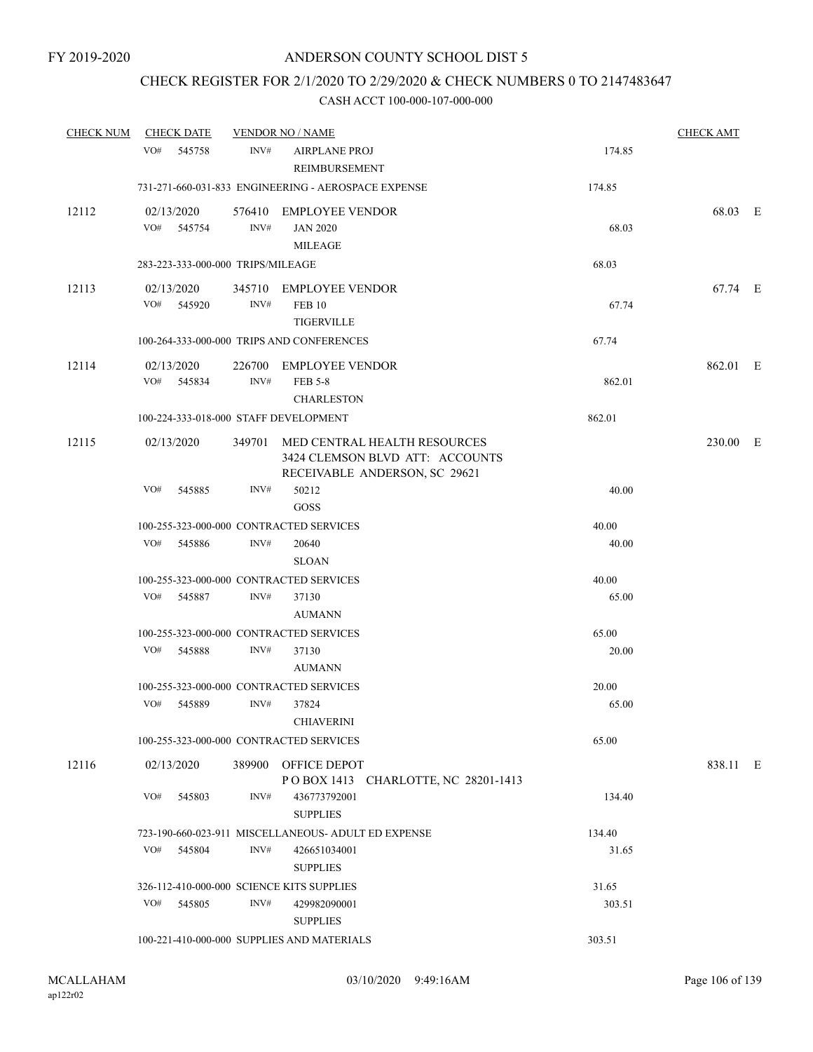# CHECK REGISTER FOR 2/1/2020 TO 2/29/2020 & CHECK NUMBERS 0 TO 2147483647

| <b>CHECK NUM</b> | <b>CHECK DATE</b><br><b>VENDOR NO / NAME</b> |      |                                                                                                         | <b>CHECK AMT</b> |          |  |
|------------------|----------------------------------------------|------|---------------------------------------------------------------------------------------------------------|------------------|----------|--|
|                  | VO#<br>545758                                | INV# | <b>AIRPLANE PROJ</b><br><b>REIMBURSEMENT</b>                                                            | 174.85           |          |  |
|                  |                                              |      | 731-271-660-031-833 ENGINEERING - AEROSPACE EXPENSE                                                     | 174.85           |          |  |
| 12112            | 02/13/2020<br>VO# 545754                     | INV# | 576410 EMPLOYEE VENDOR<br><b>JAN 2020</b><br><b>MILEAGE</b>                                             | 68.03            | 68.03 E  |  |
|                  | 283-223-333-000-000 TRIPS/MILEAGE            |      |                                                                                                         | 68.03            |          |  |
| 12113            | 02/13/2020                                   |      | 345710 EMPLOYEE VENDOR                                                                                  |                  | 67.74 E  |  |
|                  | VO# 545920                                   | INV# | <b>FEB 10</b><br><b>TIGERVILLE</b>                                                                      | 67.74            |          |  |
|                  |                                              |      | 100-264-333-000-000 TRIPS AND CONFERENCES                                                               | 67.74            |          |  |
| 12114            | 02/13/2020<br>VO#<br>545834                  | INV# | 226700 EMPLOYEE VENDOR<br><b>FEB 5-8</b><br><b>CHARLESTON</b>                                           | 862.01           | 862.01 E |  |
|                  | 100-224-333-018-000 STAFF DEVELOPMENT        |      |                                                                                                         | 862.01           |          |  |
| 12115            | 02/13/2020                                   |      | 349701 MED CENTRAL HEALTH RESOURCES<br>3424 CLEMSON BLVD ATT: ACCOUNTS<br>RECEIVABLE ANDERSON, SC 29621 |                  | 230.00 E |  |
|                  | VO#<br>545885                                | INV# | 50212<br>GOSS                                                                                           | 40.00            |          |  |
|                  | 100-255-323-000-000 CONTRACTED SERVICES      |      |                                                                                                         | 40.00            |          |  |
|                  | VO#<br>545886                                | INV# | 20640<br><b>SLOAN</b>                                                                                   | 40.00            |          |  |
|                  | 100-255-323-000-000 CONTRACTED SERVICES      |      |                                                                                                         | 40.00            |          |  |
|                  | VO#<br>545887                                | INV# | 37130<br><b>AUMANN</b>                                                                                  | 65.00            |          |  |
|                  | 100-255-323-000-000 CONTRACTED SERVICES      |      |                                                                                                         | 65.00            |          |  |
|                  | VO#<br>545888                                | INV# | 37130<br><b>AUMANN</b>                                                                                  | 20.00            |          |  |
|                  | 100-255-323-000-000 CONTRACTED SERVICES      |      |                                                                                                         | 20.00            |          |  |
|                  | VO#<br>545889                                | INV# | 37824<br><b>CHIAVERINI</b>                                                                              | 65.00            |          |  |
|                  | 100-255-323-000-000 CONTRACTED SERVICES      |      |                                                                                                         | 65.00            |          |  |
| 12116            | 02/13/2020                                   |      | 389900 OFFICE DEPOT<br>POBOX 1413 CHARLOTTE, NC 28201-1413                                              |                  | 838.11 E |  |
|                  | VO#<br>545803                                | INV# | 436773792001<br><b>SUPPLIES</b>                                                                         | 134.40           |          |  |
|                  |                                              |      | 723-190-660-023-911 MISCELLANEOUS- ADULT ED EXPENSE                                                     | 134.40           |          |  |
|                  | VO#<br>545804                                | INV# | 426651034001<br><b>SUPPLIES</b>                                                                         | 31.65            |          |  |
|                  | 326-112-410-000-000 SCIENCE KITS SUPPLIES    |      |                                                                                                         | 31.65            |          |  |
|                  | VO#<br>545805                                | INV# | 429982090001<br><b>SUPPLIES</b>                                                                         | 303.51           |          |  |
|                  |                                              |      | 100-221-410-000-000 SUPPLIES AND MATERIALS                                                              | 303.51           |          |  |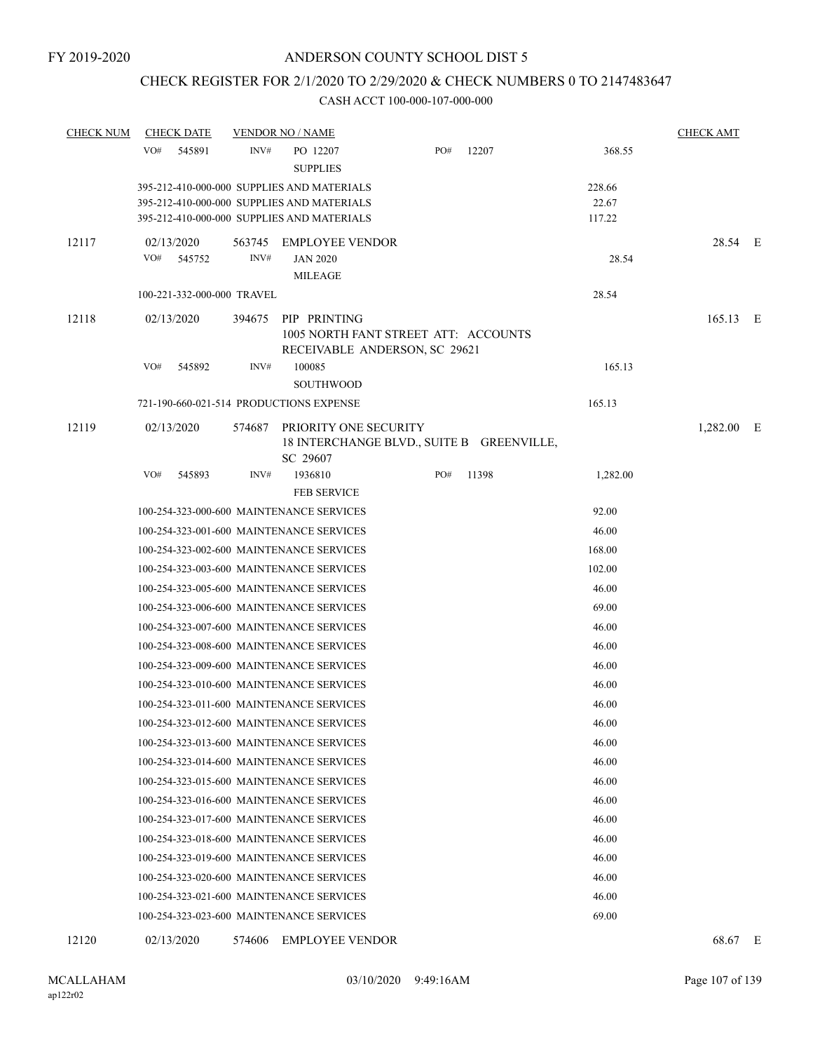# CHECK REGISTER FOR 2/1/2020 TO 2/29/2020 & CHECK NUMBERS 0 TO 2147483647

| <b>CHECK NUM</b> | <b>CHECK DATE</b>                        | <b>VENDOR NO / NAME</b> |                                                                                              |     |       |          | <b>CHECK AMT</b> |  |
|------------------|------------------------------------------|-------------------------|----------------------------------------------------------------------------------------------|-----|-------|----------|------------------|--|
|                  | VO#<br>545891                            | INV#                    | PO 12207<br><b>SUPPLIES</b>                                                                  | PO# | 12207 | 368.55   |                  |  |
|                  |                                          |                         | 395-212-410-000-000 SUPPLIES AND MATERIALS                                                   |     |       | 228.66   |                  |  |
|                  |                                          |                         | 395-212-410-000-000 SUPPLIES AND MATERIALS                                                   |     |       | 22.67    |                  |  |
|                  |                                          |                         | 395-212-410-000-000 SUPPLIES AND MATERIALS                                                   |     |       | 117.22   |                  |  |
| 12117            | 02/13/2020                               | 563745                  | <b>EMPLOYEE VENDOR</b>                                                                       |     |       |          | 28.54 E          |  |
|                  | VO#<br>545752                            | INV#                    | <b>JAN 2020</b>                                                                              |     |       | 28.54    |                  |  |
|                  |                                          |                         | <b>MILEAGE</b>                                                                               |     |       |          |                  |  |
|                  | 100-221-332-000-000 TRAVEL               |                         |                                                                                              |     |       | 28.54    |                  |  |
| 12118            | 02/13/2020                               |                         | 394675 PIP PRINTING<br>1005 NORTH FANT STREET ATT: ACCOUNTS<br>RECEIVABLE ANDERSON, SC 29621 |     |       |          | 165.13 E         |  |
|                  | VO#<br>545892                            | INV#                    | 100085                                                                                       |     |       | 165.13   |                  |  |
|                  |                                          |                         | <b>SOUTHWOOD</b>                                                                             |     |       |          |                  |  |
|                  | 721-190-660-021-514 PRODUCTIONS EXPENSE  |                         |                                                                                              |     |       | 165.13   |                  |  |
| 12119            | 02/13/2020                               | 574687                  | PRIORITY ONE SECURITY<br>18 INTERCHANGE BLVD., SUITE B GREENVILLE,<br>SC 29607               |     |       |          | $1,282.00$ E     |  |
|                  | VO#<br>545893                            | INV#                    | 1936810                                                                                      | PO# | 11398 | 1,282.00 |                  |  |
|                  |                                          |                         | <b>FEB SERVICE</b>                                                                           |     |       |          |                  |  |
|                  | 100-254-323-000-600 MAINTENANCE SERVICES |                         |                                                                                              |     |       | 92.00    |                  |  |
|                  | 100-254-323-001-600 MAINTENANCE SERVICES |                         |                                                                                              |     |       | 46.00    |                  |  |
|                  | 100-254-323-002-600 MAINTENANCE SERVICES |                         |                                                                                              |     |       | 168.00   |                  |  |
|                  | 100-254-323-003-600 MAINTENANCE SERVICES |                         |                                                                                              |     |       | 102.00   |                  |  |
|                  | 100-254-323-005-600 MAINTENANCE SERVICES |                         |                                                                                              |     |       | 46.00    |                  |  |
|                  | 100-254-323-006-600 MAINTENANCE SERVICES |                         |                                                                                              |     |       | 69.00    |                  |  |
|                  | 100-254-323-007-600 MAINTENANCE SERVICES |                         |                                                                                              |     |       | 46.00    |                  |  |
|                  | 100-254-323-008-600 MAINTENANCE SERVICES |                         |                                                                                              |     |       | 46.00    |                  |  |
|                  | 100-254-323-009-600 MAINTENANCE SERVICES |                         |                                                                                              |     |       | 46.00    |                  |  |
|                  | 100-254-323-010-600 MAINTENANCE SERVICES |                         |                                                                                              |     |       | 46.00    |                  |  |
|                  | 100-254-323-011-600 MAINTENANCE SERVICES |                         |                                                                                              |     |       | 46.00    |                  |  |
|                  | 100-254-323-012-600 MAINTENANCE SERVICES |                         |                                                                                              |     |       | 46.00    |                  |  |
|                  | 100-254-323-013-600 MAINTENANCE SERVICES |                         |                                                                                              |     |       | 46.00    |                  |  |
|                  | 100-254-323-014-600 MAINTENANCE SERVICES |                         |                                                                                              |     |       | 46.00    |                  |  |
|                  | 100-254-323-015-600 MAINTENANCE SERVICES |                         |                                                                                              |     |       | 46.00    |                  |  |
|                  | 100-254-323-016-600 MAINTENANCE SERVICES |                         |                                                                                              |     |       | 46.00    |                  |  |
|                  | 100-254-323-017-600 MAINTENANCE SERVICES |                         |                                                                                              |     |       | 46.00    |                  |  |
|                  | 100-254-323-018-600 MAINTENANCE SERVICES |                         |                                                                                              |     |       | 46.00    |                  |  |
|                  | 100-254-323-019-600 MAINTENANCE SERVICES |                         |                                                                                              |     |       | 46.00    |                  |  |
|                  | 100-254-323-020-600 MAINTENANCE SERVICES |                         |                                                                                              |     |       | 46.00    |                  |  |
|                  | 100-254-323-021-600 MAINTENANCE SERVICES |                         |                                                                                              |     |       | 46.00    |                  |  |
|                  | 100-254-323-023-600 MAINTENANCE SERVICES |                         |                                                                                              |     |       | 69.00    |                  |  |
| 12120            | 02/13/2020                               | 574606                  | <b>EMPLOYEE VENDOR</b>                                                                       |     |       |          | 68.67 E          |  |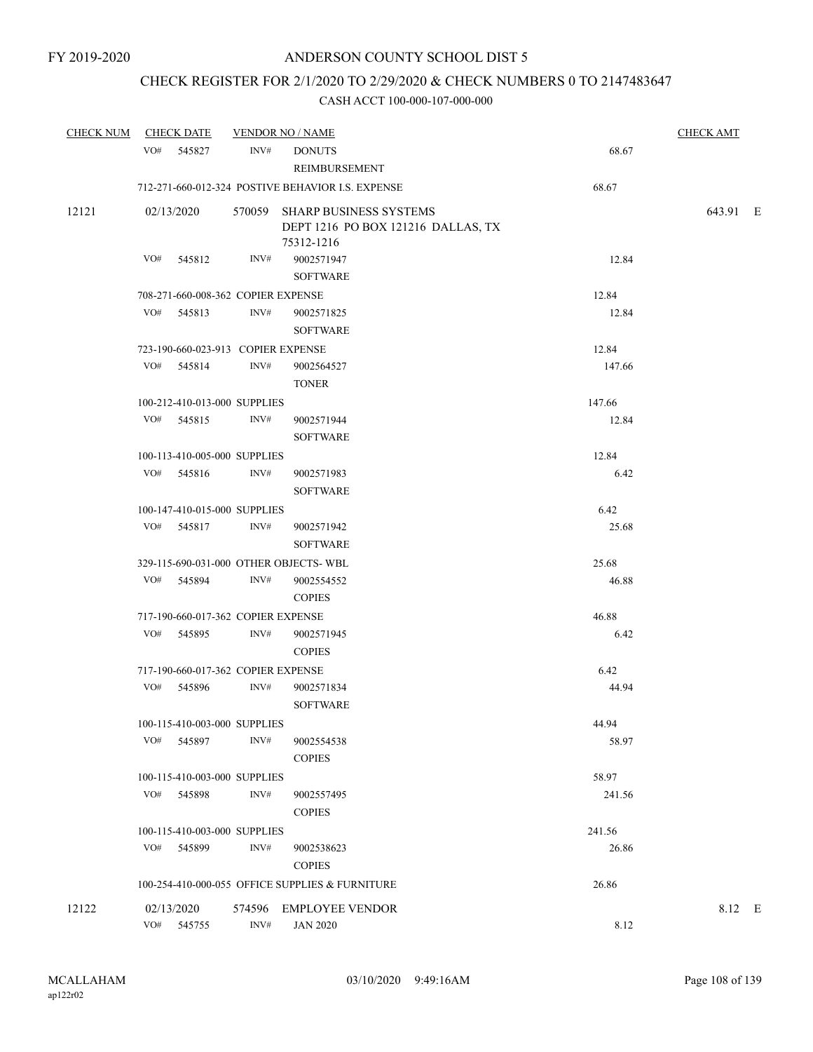# CHECK REGISTER FOR 2/1/2020 TO 2/29/2020 & CHECK NUMBERS 0 TO 2147483647

|       | CHECK NUM CHECK DATE                  |      | <b>VENDOR NO / NAME</b>                                                           |        | <b>CHECK AMT</b> |  |
|-------|---------------------------------------|------|-----------------------------------------------------------------------------------|--------|------------------|--|
|       | VO# 545827                            | INV# | <b>DONUTS</b><br>REIMBURSEMENT                                                    | 68.67  |                  |  |
|       |                                       |      | 712-271-660-012-324 POSTIVE BEHAVIOR I.S. EXPENSE                                 | 68.67  |                  |  |
| 12121 | 02/13/2020                            |      | 570059 SHARP BUSINESS SYSTEMS<br>DEPT 1216 PO BOX 121216 DALLAS, TX<br>75312-1216 |        | 643.91 E         |  |
|       | VO#<br>545812                         | INV# | 9002571947<br><b>SOFTWARE</b>                                                     | 12.84  |                  |  |
|       | 708-271-660-008-362 COPIER EXPENSE    |      |                                                                                   | 12.84  |                  |  |
|       | VO#<br>545813                         | INV# | 9002571825                                                                        | 12.84  |                  |  |
|       |                                       |      | <b>SOFTWARE</b>                                                                   |        |                  |  |
|       | 723-190-660-023-913 COPIER EXPENSE    |      |                                                                                   | 12.84  |                  |  |
|       | VO# 545814                            | INV# | 9002564527<br><b>TONER</b>                                                        | 147.66 |                  |  |
|       | 100-212-410-013-000 SUPPLIES          |      |                                                                                   | 147.66 |                  |  |
|       | VO# 545815                            | INV# | 9002571944<br><b>SOFTWARE</b>                                                     | 12.84  |                  |  |
|       | 100-113-410-005-000 SUPPLIES          |      |                                                                                   | 12.84  |                  |  |
|       | VO#<br>545816                         | INV# | 9002571983<br><b>SOFTWARE</b>                                                     | 6.42   |                  |  |
|       | 100-147-410-015-000 SUPPLIES          |      |                                                                                   | 6.42   |                  |  |
|       | VO# 545817                            | INV# | 9002571942<br><b>SOFTWARE</b>                                                     | 25.68  |                  |  |
|       | 329-115-690-031-000 OTHER OBJECTS-WBL |      |                                                                                   | 25.68  |                  |  |
|       | VO# 545894                            | INV# | 9002554552<br><b>COPIES</b>                                                       | 46.88  |                  |  |
|       | 717-190-660-017-362 COPIER EXPENSE    |      |                                                                                   | 46.88  |                  |  |
|       | VO# 545895                            | INV# | 9002571945<br><b>COPIES</b>                                                       | 6.42   |                  |  |
|       | 717-190-660-017-362 COPIER EXPENSE    |      |                                                                                   | 6.42   |                  |  |
|       | VO#<br>545896                         | INV# | 9002571834<br><b>SOFTWARE</b>                                                     | 44.94  |                  |  |
|       | 100-115-410-003-000 SUPPLIES          |      |                                                                                   | 44.94  |                  |  |
|       | VO#<br>545897                         | INV# | 9002554538<br><b>COPIES</b>                                                       | 58.97  |                  |  |
|       | 100-115-410-003-000 SUPPLIES          |      |                                                                                   | 58.97  |                  |  |
|       | VO# 545898                            | INV# | 9002557495<br><b>COPIES</b>                                                       | 241.56 |                  |  |
|       | 100-115-410-003-000 SUPPLIES          |      |                                                                                   | 241.56 |                  |  |
|       | VO#<br>545899                         | INV# | 9002538623<br><b>COPIES</b>                                                       | 26.86  |                  |  |
|       |                                       |      | 100-254-410-000-055 OFFICE SUPPLIES & FURNITURE                                   | 26.86  |                  |  |
| 12122 | 02/13/2020                            |      | 574596 EMPLOYEE VENDOR                                                            |        | 8.12 E           |  |
|       | VO# 545755                            | INV# | <b>JAN 2020</b>                                                                   | 8.12   |                  |  |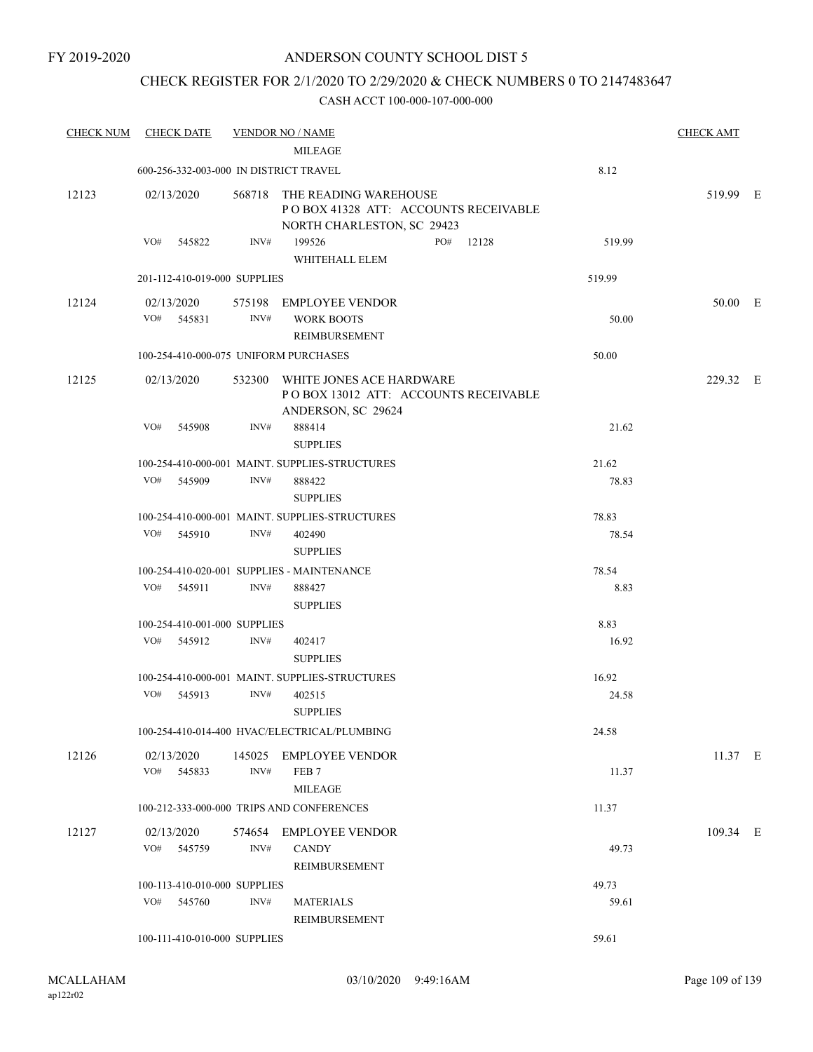### CHECK REGISTER FOR 2/1/2020 TO 2/29/2020 & CHECK NUMBERS 0 TO 2147483647

| <b>CHECK NUM</b> | <b>CHECK DATE</b>                          |                | <b>VENDOR NO / NAME</b>                                                                            |                | <b>CHECK AMT</b> |  |
|------------------|--------------------------------------------|----------------|----------------------------------------------------------------------------------------------------|----------------|------------------|--|
|                  |                                            |                | <b>MILEAGE</b>                                                                                     |                |                  |  |
|                  | 600-256-332-003-000 IN DISTRICT TRAVEL     |                |                                                                                                    | 8.12           |                  |  |
| 12123            | 02/13/2020                                 |                | 568718 THE READING WAREHOUSE<br>POBOX 41328 ATT: ACCOUNTS RECEIVABLE<br>NORTH CHARLESTON, SC 29423 |                | 519.99 E         |  |
|                  | VO#<br>545822                              | INV#           | 199526<br>PO#<br>12128<br>WHITEHALL ELEM                                                           | 519.99         |                  |  |
|                  | 201-112-410-019-000 SUPPLIES               |                |                                                                                                    | 519.99         |                  |  |
| 12124            | 02/13/2020<br>VO# 545831                   | INV#           | 575198 EMPLOYEE VENDOR<br><b>WORK BOOTS</b><br>REIMBURSEMENT                                       | 50.00          | 50.00 E          |  |
|                  | 100-254-410-000-075 UNIFORM PURCHASES      |                |                                                                                                    | 50.00          |                  |  |
| 12125            | 02/13/2020                                 |                | 532300 WHITE JONES ACE HARDWARE<br>PO BOX 13012 ATT: ACCOUNTS RECEIVABLE<br>ANDERSON, SC 29624     |                | 229.32 E         |  |
|                  | VO#<br>545908                              | INV#           | 888414<br><b>SUPPLIES</b>                                                                          | 21.62          |                  |  |
|                  |                                            |                | 100-254-410-000-001 MAINT. SUPPLIES-STRUCTURES                                                     | 21.62          |                  |  |
|                  | VO# 545909                                 | INV#           | 888422<br><b>SUPPLIES</b>                                                                          | 78.83          |                  |  |
|                  |                                            |                | 100-254-410-000-001 MAINT. SUPPLIES-STRUCTURES                                                     | 78.83          |                  |  |
|                  | VO# 545910                                 | INV#           | 402490<br><b>SUPPLIES</b>                                                                          | 78.54          |                  |  |
|                  |                                            |                | 100-254-410-020-001 SUPPLIES - MAINTENANCE                                                         | 78.54          |                  |  |
|                  | VO# 545911                                 | INV#           | 888427<br><b>SUPPLIES</b>                                                                          | 8.83           |                  |  |
|                  | 100-254-410-001-000 SUPPLIES               |                |                                                                                                    | 8.83           |                  |  |
|                  | VO# 545912                                 | INV#           | 402417<br><b>SUPPLIES</b>                                                                          | 16.92          |                  |  |
|                  |                                            |                | 100-254-410-000-001 MAINT. SUPPLIES-STRUCTURES                                                     | 16.92          |                  |  |
|                  | VO#<br>545913                              | INV#           | 402515<br><b>SUPPLIES</b>                                                                          | 24.58          |                  |  |
|                  |                                            |                | 100-254-410-014-400 HVAC/ELECTRICAL/PLUMBING                                                       | 24.58          |                  |  |
| 12126            | 02/13/2020<br>VO#<br>545833                | 145025<br>INV# | EMPLOYEE VENDOR<br>FEB <sub>7</sub><br>MILEAGE                                                     | 11.37          | 11.37 E          |  |
|                  |                                            |                | 100-212-333-000-000 TRIPS AND CONFERENCES                                                          | 11.37          |                  |  |
| 12127            | 02/13/2020<br>VO# 545759                   | INV#           | 574654 EMPLOYEE VENDOR<br><b>CANDY</b>                                                             | 49.73          | 109.34 E         |  |
|                  |                                            |                | REIMBURSEMENT                                                                                      |                |                  |  |
|                  | 100-113-410-010-000 SUPPLIES<br>VO# 545760 | INV#           | <b>MATERIALS</b><br>REIMBURSEMENT                                                                  | 49.73<br>59.61 |                  |  |
|                  | 100-111-410-010-000 SUPPLIES               |                |                                                                                                    | 59.61          |                  |  |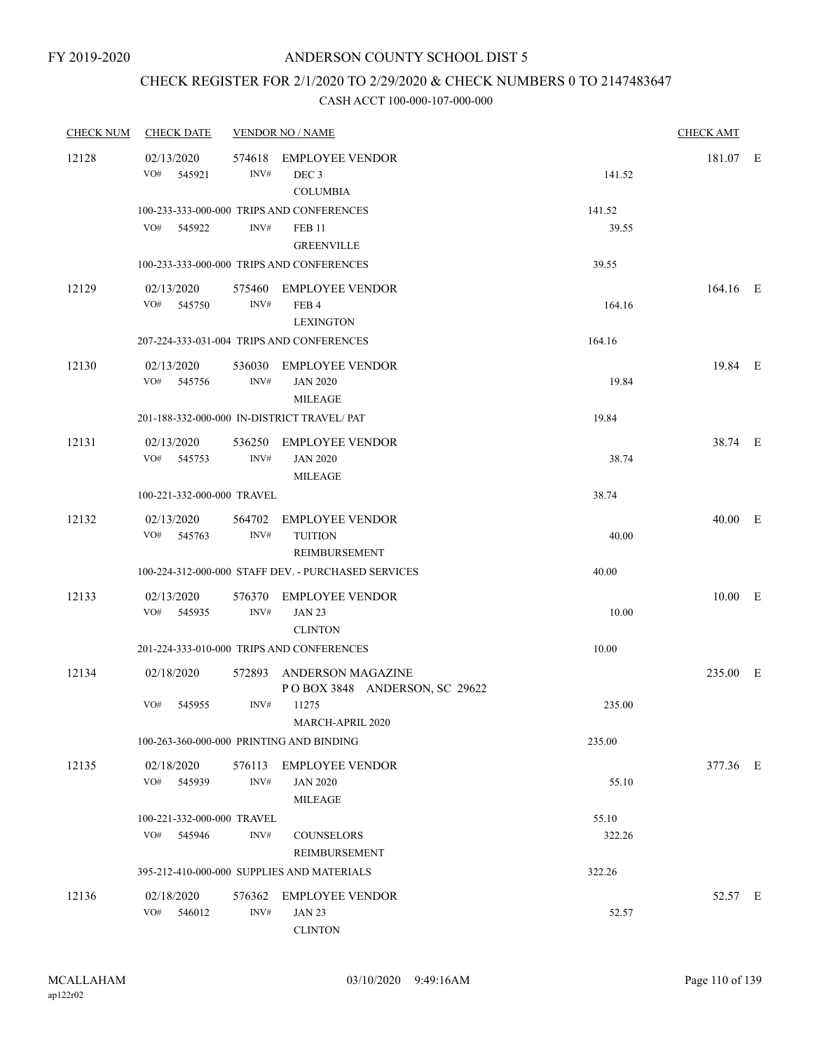### CHECK REGISTER FOR 2/1/2020 TO 2/29/2020 & CHECK NUMBERS 0 TO 2147483647

| <b>CHECK NUM</b> | <b>CHECK DATE</b>                           |                | <b>VENDOR NO / NAME</b>                                                                                                      |                          | <b>CHECK AMT</b> |  |
|------------------|---------------------------------------------|----------------|------------------------------------------------------------------------------------------------------------------------------|--------------------------|------------------|--|
| 12128            | 02/13/2020<br>VO#<br>545921                 | 574618<br>INV# | <b>EMPLOYEE VENDOR</b><br>DEC <sub>3</sub><br><b>COLUMBIA</b>                                                                | 141.52                   | 181.07 E         |  |
|                  | VO# 545922                                  | INV#           | 100-233-333-000-000 TRIPS AND CONFERENCES<br><b>FEB 11</b><br><b>GREENVILLE</b><br>100-233-333-000-000 TRIPS AND CONFERENCES | 141.52<br>39.55<br>39.55 |                  |  |
| 12129            | 02/13/2020<br>VO# 545750                    | INV#           | 575460 EMPLOYEE VENDOR<br>FEB <sub>4</sub><br><b>LEXINGTON</b>                                                               | 164.16                   | 164.16 E         |  |
|                  |                                             |                | 207-224-333-031-004 TRIPS AND CONFERENCES                                                                                    | 164.16                   |                  |  |
| 12130            | 02/13/2020<br>VO#<br>545756                 | 536030<br>INV# | EMPLOYEE VENDOR<br><b>JAN 2020</b><br>MILEAGE                                                                                | 19.84                    | 19.84 E          |  |
|                  |                                             |                | 201-188-332-000-000 IN-DISTRICT TRAVEL/PAT                                                                                   | 19.84                    |                  |  |
| 12131            | 02/13/2020<br>VO# 545753                    | INV#           | 536250 EMPLOYEE VENDOR<br><b>JAN 2020</b><br><b>MILEAGE</b>                                                                  | 38.74                    | 38.74 E          |  |
|                  | 100-221-332-000-000 TRAVEL                  |                |                                                                                                                              | 38.74                    |                  |  |
| 12132            | 02/13/2020<br>VO# 545763                    | INV#           | 564702 EMPLOYEE VENDOR<br><b>TUITION</b><br>REIMBURSEMENT                                                                    | 40.00                    | 40.00 E          |  |
|                  |                                             |                | 100-224-312-000-000 STAFF DEV. - PURCHASED SERVICES                                                                          | 40.00                    |                  |  |
| 12133            | 02/13/2020<br>VO# 545935                    | INV#           | 576370 EMPLOYEE VENDOR<br><b>JAN 23</b><br><b>CLINTON</b>                                                                    | 10.00                    | $10.00$ E        |  |
|                  |                                             |                | 201-224-333-010-000 TRIPS AND CONFERENCES                                                                                    | 10.00                    |                  |  |
| 12134            | 02/18/2020                                  |                | 572893 ANDERSON MAGAZINE<br>POBOX 3848 ANDERSON, SC 29622                                                                    |                          | 235.00 E         |  |
|                  | VO#<br>545955                               | INV#           | 11275<br>MARCH-APRIL 2020                                                                                                    | 235.00                   |                  |  |
|                  | 100-263-360-000-000 PRINTING AND BINDING    |                |                                                                                                                              | 235.00                   |                  |  |
| 12135            | 02/18/2020<br>VO#<br>545939                 | INV#           | 576113 EMPLOYEE VENDOR<br><b>JAN 2020</b><br>MILEAGE                                                                         | 55.10                    | 377.36 E         |  |
|                  | 100-221-332-000-000 TRAVEL<br>VO#<br>545946 | INV#           | <b>COUNSELORS</b><br>REIMBURSEMENT                                                                                           | 55.10<br>322.26          |                  |  |
|                  |                                             |                | 395-212-410-000-000 SUPPLIES AND MATERIALS                                                                                   | 322.26                   |                  |  |
| 12136            | 02/18/2020<br>VO#<br>546012                 | INV#           | 576362 EMPLOYEE VENDOR<br><b>JAN 23</b><br><b>CLINTON</b>                                                                    | 52.57                    | 52.57 E          |  |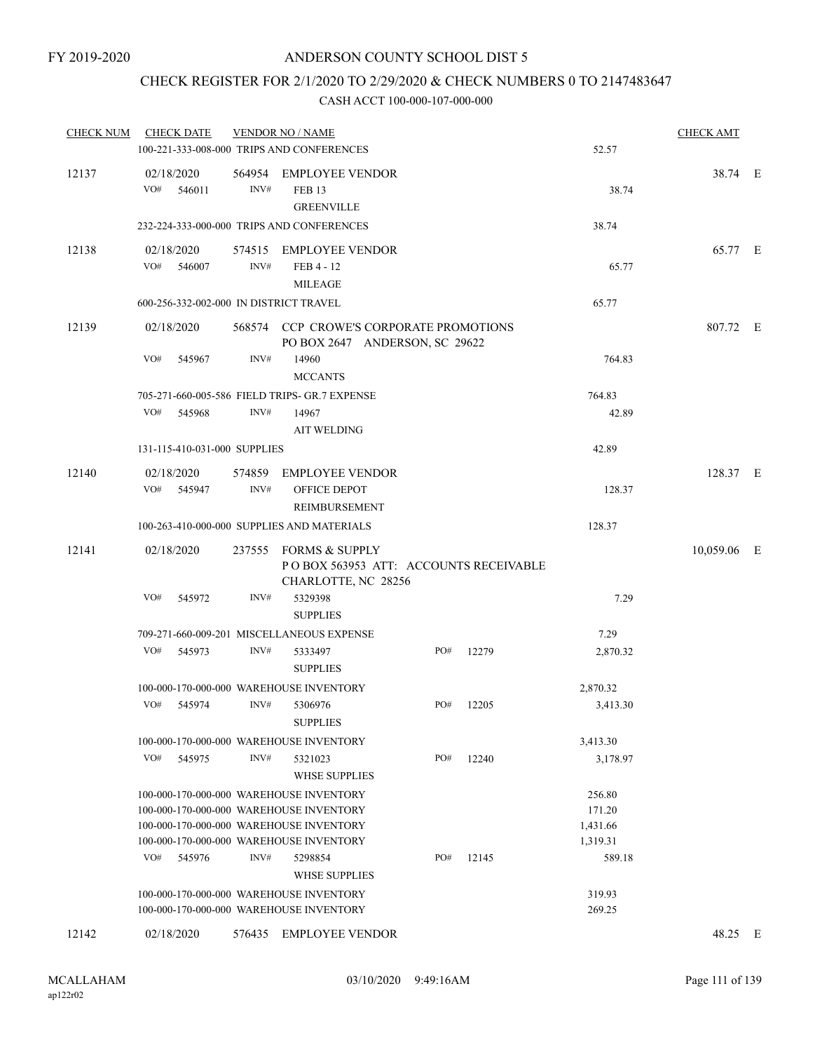### CHECK REGISTER FOR 2/1/2020 TO 2/29/2020 & CHECK NUMBERS 0 TO 2147483647

| <b>CHECK NUM</b> | <b>CHECK DATE</b>                      |        | <b>VENDOR NO / NAME</b><br>100-221-333-008-000 TRIPS AND CONFERENCES                                                                                                     |     | <b>CHECK AMT</b><br>52.57 |                                          |             |  |
|------------------|----------------------------------------|--------|--------------------------------------------------------------------------------------------------------------------------------------------------------------------------|-----|---------------------------|------------------------------------------|-------------|--|
| 12137            | 02/18/2020<br>VO#<br>546011            | INV#   | 564954 EMPLOYEE VENDOR<br><b>FEB 13</b><br><b>GREENVILLE</b>                                                                                                             |     |                           | 38.74                                    | 38.74 E     |  |
|                  |                                        |        | 232-224-333-000-000 TRIPS AND CONFERENCES                                                                                                                                |     |                           | 38.74                                    |             |  |
| 12138            | 02/18/2020<br>VO#<br>546007            | INV#   | 574515 EMPLOYEE VENDOR<br>FEB 4 - 12<br><b>MILEAGE</b>                                                                                                                   |     |                           | 65.77                                    | 65.77 E     |  |
|                  | 600-256-332-002-000 IN DISTRICT TRAVEL |        |                                                                                                                                                                          |     |                           | 65.77                                    |             |  |
| 12139            | 02/18/2020                             |        | 568574 CCP CROWE'S CORPORATE PROMOTIONS<br>PO BOX 2647 ANDERSON, SC 29622                                                                                                |     |                           |                                          | 807.72 E    |  |
|                  | VO#<br>545967                          | INV#   | 14960<br><b>MCCANTS</b>                                                                                                                                                  |     |                           | 764.83                                   |             |  |
|                  |                                        |        | 705-271-660-005-586 FIELD TRIPS- GR.7 EXPENSE                                                                                                                            |     |                           | 764.83                                   |             |  |
|                  | VO#<br>545968                          | INV#   | 14967<br><b>AIT WELDING</b>                                                                                                                                              |     |                           | 42.89                                    |             |  |
|                  | 131-115-410-031-000 SUPPLIES           |        |                                                                                                                                                                          |     |                           | 42.89                                    |             |  |
| 12140            | 02/18/2020<br>VO# 545947               | INV#   | 574859 EMPLOYEE VENDOR<br>OFFICE DEPOT<br>REIMBURSEMENT                                                                                                                  |     |                           | 128.37                                   | 128.37 E    |  |
|                  |                                        |        | 100-263-410-000-000 SUPPLIES AND MATERIALS                                                                                                                               |     |                           | 128.37                                   |             |  |
| 12141            | 02/18/2020                             |        | 237555 FORMS & SUPPLY<br>POBOX 563953 ATT: ACCOUNTS RECEIVABLE<br>CHARLOTTE, NC 28256                                                                                    |     |                           |                                          | 10,059.06 E |  |
|                  | VO#<br>545972                          | INV#   | 5329398<br><b>SUPPLIES</b>                                                                                                                                               |     |                           | 7.29                                     |             |  |
|                  |                                        |        | 709-271-660-009-201 MISCELLANEOUS EXPENSE                                                                                                                                |     |                           | 7.29                                     |             |  |
|                  | VO#<br>545973                          | INV#   | 5333497<br><b>SUPPLIES</b>                                                                                                                                               | PO# | 12279                     | 2,870.32                                 |             |  |
|                  |                                        |        | 100-000-170-000-000 WAREHOUSE INVENTORY                                                                                                                                  |     |                           | 2,870.32                                 |             |  |
|                  | VO# 545974                             | INV#   | 5306976<br><b>SUPPLIES</b>                                                                                                                                               | PO# | 12205                     | 3,413.30                                 |             |  |
|                  |                                        |        | 100-000-170-000-000 WAREHOUSE INVENTORY                                                                                                                                  |     |                           | 3,413.30                                 |             |  |
|                  | VO#<br>545975                          | INV#   | 5321023<br><b>WHSE SUPPLIES</b>                                                                                                                                          | PO# | 12240                     | 3,178.97                                 |             |  |
|                  |                                        |        | 100-000-170-000-000 WAREHOUSE INVENTORY<br>100-000-170-000-000 WAREHOUSE INVENTORY<br>100-000-170-000-000 WAREHOUSE INVENTORY<br>100-000-170-000-000 WAREHOUSE INVENTORY |     |                           | 256.80<br>171.20<br>1,431.66<br>1,319.31 |             |  |
|                  | VO#<br>545976                          | INV#   | 5298854<br><b>WHSE SUPPLIES</b>                                                                                                                                          | PO# | 12145                     | 589.18                                   |             |  |
|                  |                                        |        | 100-000-170-000-000 WAREHOUSE INVENTORY<br>100-000-170-000-000 WAREHOUSE INVENTORY                                                                                       |     |                           | 319.93<br>269.25                         |             |  |
| 12142            | 02/18/2020                             | 576435 | <b>EMPLOYEE VENDOR</b>                                                                                                                                                   |     |                           |                                          | 48.25 E     |  |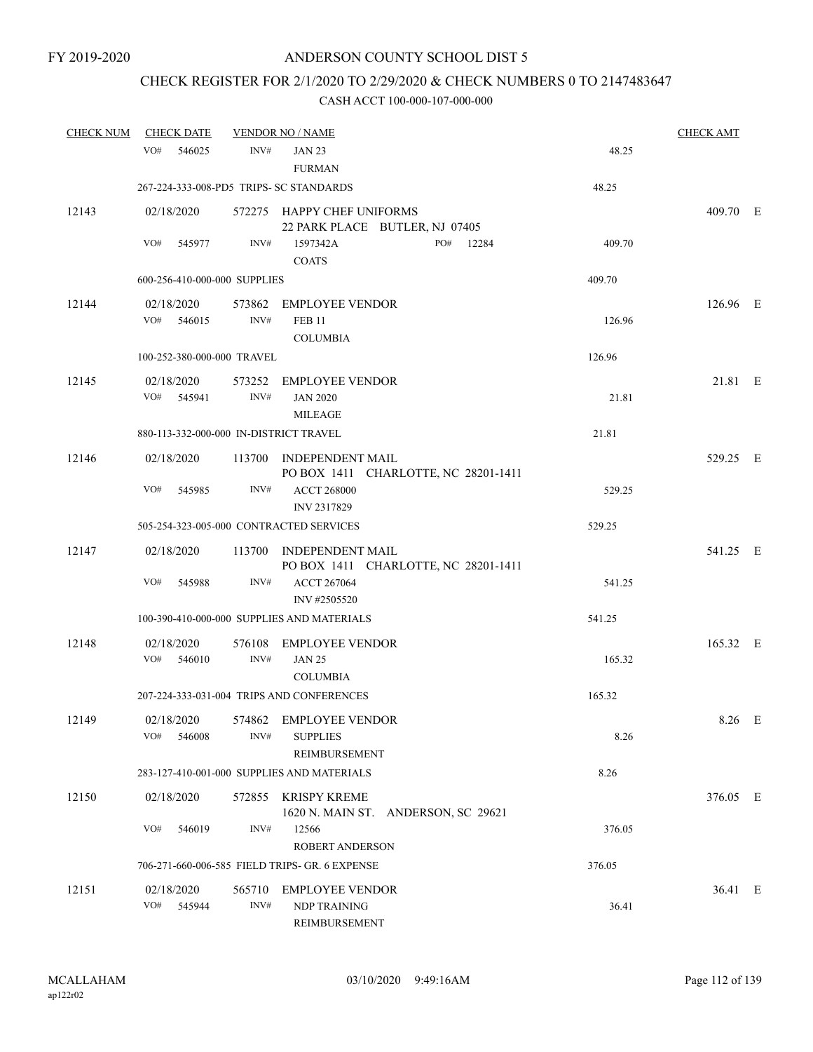# CHECK REGISTER FOR 2/1/2020 TO 2/29/2020 & CHECK NUMBERS 0 TO 2147483647

| <b>CHECK NUM</b> | <b>CHECK DATE</b>                       |                | <b>VENDOR NO / NAME</b>                                         |        | <b>CHECK AMT</b> |  |
|------------------|-----------------------------------------|----------------|-----------------------------------------------------------------|--------|------------------|--|
|                  | VO#<br>546025                           | INV#           | <b>JAN 23</b><br><b>FURMAN</b>                                  | 48.25  |                  |  |
|                  | 267-224-333-008-PD5 TRIPS- SC STANDARDS |                |                                                                 | 48.25  |                  |  |
| 12143            | 02/18/2020                              |                | 572275 HAPPY CHEF UNIFORMS<br>22 PARK PLACE BUTLER, NJ 07405    |        | 409.70 E         |  |
|                  | VO#<br>545977                           | INV#           | 1597342A<br>PO# 12284<br><b>COATS</b>                           | 409.70 |                  |  |
|                  | 600-256-410-000-000 SUPPLIES            |                |                                                                 | 409.70 |                  |  |
| 12144            | 02/18/2020<br>VO# 546015                | INV#           | 573862 EMPLOYEE VENDOR<br><b>FEB 11</b><br><b>COLUMBIA</b>      | 126.96 | 126.96 E         |  |
|                  | 100-252-380-000-000 TRAVEL              |                |                                                                 | 126.96 |                  |  |
| 12145            | 02/18/2020<br>VO# 545941                | INV#           | 573252 EMPLOYEE VENDOR<br><b>JAN 2020</b><br><b>MILEAGE</b>     | 21.81  | 21.81 E          |  |
|                  | 880-113-332-000-000 IN-DISTRICT TRAVEL  |                |                                                                 | 21.81  |                  |  |
| 12146            | 02/18/2020                              |                | 113700 INDEPENDENT MAIL<br>PO BOX 1411 CHARLOTTE, NC 28201-1411 |        | 529.25 E         |  |
|                  | VO#<br>545985                           | INV#           | <b>ACCT 268000</b><br>INV 2317829                               | 529.25 |                  |  |
|                  | 505-254-323-005-000 CONTRACTED SERVICES |                |                                                                 | 529.25 |                  |  |
| 12147            | 02/18/2020                              |                | 113700 INDEPENDENT MAIL<br>PO BOX 1411 CHARLOTTE, NC 28201-1411 |        | 541.25 E         |  |
|                  | VO#<br>545988                           | INV#           | <b>ACCT 267064</b><br>INV #2505520                              | 541.25 |                  |  |
|                  |                                         |                | 100-390-410-000-000 SUPPLIES AND MATERIALS                      | 541.25 |                  |  |
| 12148            | 02/18/2020<br>VO#<br>546010             | INV#           | 576108 EMPLOYEE VENDOR<br><b>JAN 25</b><br><b>COLUMBIA</b>      | 165.32 | 165.32 E         |  |
|                  |                                         |                | 207-224-333-031-004 TRIPS AND CONFERENCES                       | 165.32 |                  |  |
| 12149            | VO#<br>546008                           | INV#           | 02/18/2020 574862 EMPLOYEE VENDOR<br><b>SUPPLIES</b>            | 8.26   | 8.26 E           |  |
|                  |                                         |                | REIMBURSEMENT<br>283-127-410-001-000 SUPPLIES AND MATERIALS     | 8.26   |                  |  |
| 12150            | 02/18/2020                              |                | 572855 KRISPY KREME<br>1620 N. MAIN ST. ANDERSON, SC 29621      |        | 376.05 E         |  |
|                  | VO#<br>546019                           | INV#           | 12566<br><b>ROBERT ANDERSON</b>                                 | 376.05 |                  |  |
|                  |                                         |                | 706-271-660-006-585 FIELD TRIPS- GR. 6 EXPENSE                  | 376.05 |                  |  |
| 12151            | 02/18/2020<br>VO#<br>545944             | 565710<br>INV# | <b>EMPLOYEE VENDOR</b><br>NDP TRAINING<br>REIMBURSEMENT         | 36.41  | 36.41 E          |  |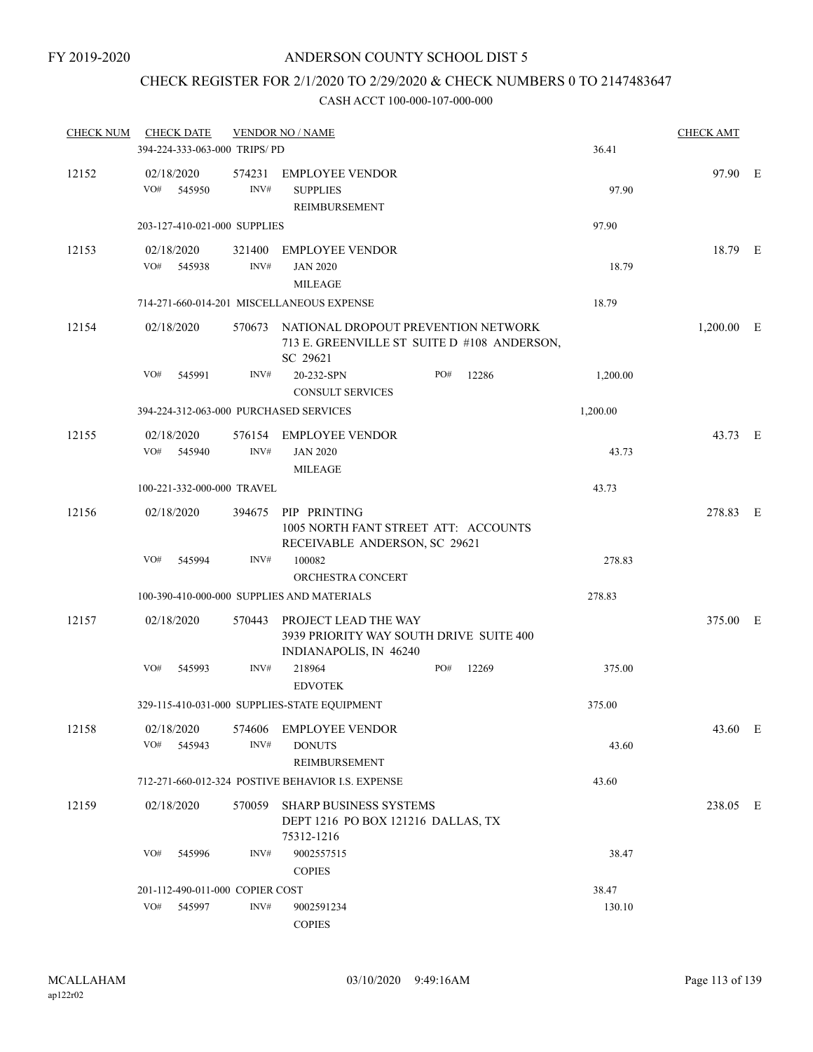# CHECK REGISTER FOR 2/1/2020 TO 2/29/2020 & CHECK NUMBERS 0 TO 2147483647

| <b>CHECK NUM</b> |     | <b>CHECK DATE</b>               |                | <b>VENDOR NO / NAME</b>                                                                               |     |       |          | <b>CHECK AMT</b> |  |
|------------------|-----|---------------------------------|----------------|-------------------------------------------------------------------------------------------------------|-----|-------|----------|------------------|--|
|                  |     | 394-224-333-063-000 TRIPS/PD    |                |                                                                                                       |     |       | 36.41    |                  |  |
| 12152            | VO# | 02/18/2020<br>545950            | 574231<br>INV# | <b>EMPLOYEE VENDOR</b><br><b>SUPPLIES</b><br>REIMBURSEMENT                                            |     |       | 97.90    | 97.90 E          |  |
|                  |     | 203-127-410-021-000 SUPPLIES    |                |                                                                                                       |     |       | 97.90    |                  |  |
| 12153            | VO# | 02/18/2020<br>545938            | 321400<br>INV# | <b>EMPLOYEE VENDOR</b><br><b>JAN 2020</b><br><b>MILEAGE</b>                                           |     |       | 18.79    | 18.79 E          |  |
|                  |     |                                 |                | 714-271-660-014-201 MISCELLANEOUS EXPENSE                                                             |     |       | 18.79    |                  |  |
| 12154            |     | 02/18/2020                      |                | 570673 NATIONAL DROPOUT PREVENTION NETWORK<br>713 E. GREENVILLE ST SUITE D #108 ANDERSON,<br>SC 29621 |     |       |          | $1,200.00$ E     |  |
|                  | VO# | 545991                          | INV#           | 20-232-SPN<br><b>CONSULT SERVICES</b>                                                                 | PO# | 12286 | 1,200.00 |                  |  |
|                  |     |                                 |                | 394-224-312-063-000 PURCHASED SERVICES                                                                |     |       | 1,200.00 |                  |  |
| 12155            | VO# | 02/18/2020<br>545940            | INV#           | 576154 EMPLOYEE VENDOR<br><b>JAN 2020</b><br><b>MILEAGE</b>                                           |     |       | 43.73    | 43.73 E          |  |
|                  |     | 100-221-332-000-000 TRAVEL      |                |                                                                                                       |     |       | 43.73    |                  |  |
| 12156            |     | 02/18/2020                      | 394675         | PIP PRINTING<br>1005 NORTH FANT STREET ATT: ACCOUNTS<br>RECEIVABLE ANDERSON, SC 29621                 |     |       |          | 278.83 E         |  |
|                  | VO# | 545994                          | INV#           | 100082                                                                                                |     |       | 278.83   |                  |  |
|                  |     |                                 |                | ORCHESTRA CONCERT<br>100-390-410-000-000 SUPPLIES AND MATERIALS                                       |     |       | 278.83   |                  |  |
| 12157            |     | 02/18/2020                      | 570443         | PROJECT LEAD THE WAY<br>3939 PRIORITY WAY SOUTH DRIVE SUITE 400<br>INDIANAPOLIS, IN 46240             |     |       |          | 375.00 E         |  |
|                  | VO# | 545993                          | INV#           | 218964<br><b>EDVOTEK</b>                                                                              | PO# | 12269 | 375.00   |                  |  |
|                  |     |                                 |                | 329-115-410-031-000 SUPPLIES-STATE EQUIPMENT                                                          |     |       | 375.00   |                  |  |
| 12158            | VO# | 02/18/2020<br>545943            | 574606<br>INV# | <b>EMPLOYEE VENDOR</b><br><b>DONUTS</b><br>REIMBURSEMENT                                              |     |       | 43.60    | 43.60 E          |  |
|                  |     |                                 |                | 712-271-660-012-324 POSTIVE BEHAVIOR I.S. EXPENSE                                                     |     |       | 43.60    |                  |  |
| 12159            |     | 02/18/2020                      | 570059         | <b>SHARP BUSINESS SYSTEMS</b><br>DEPT 1216 PO BOX 121216 DALLAS, TX<br>75312-1216                     |     |       |          | 238.05 E         |  |
|                  | VO# | 545996                          | INV#           | 9002557515<br><b>COPIES</b>                                                                           |     |       | 38.47    |                  |  |
|                  |     | 201-112-490-011-000 COPIER COST |                |                                                                                                       |     |       | 38.47    |                  |  |
|                  | VO# | 545997                          | INV#           | 9002591234<br><b>COPIES</b>                                                                           |     |       | 130.10   |                  |  |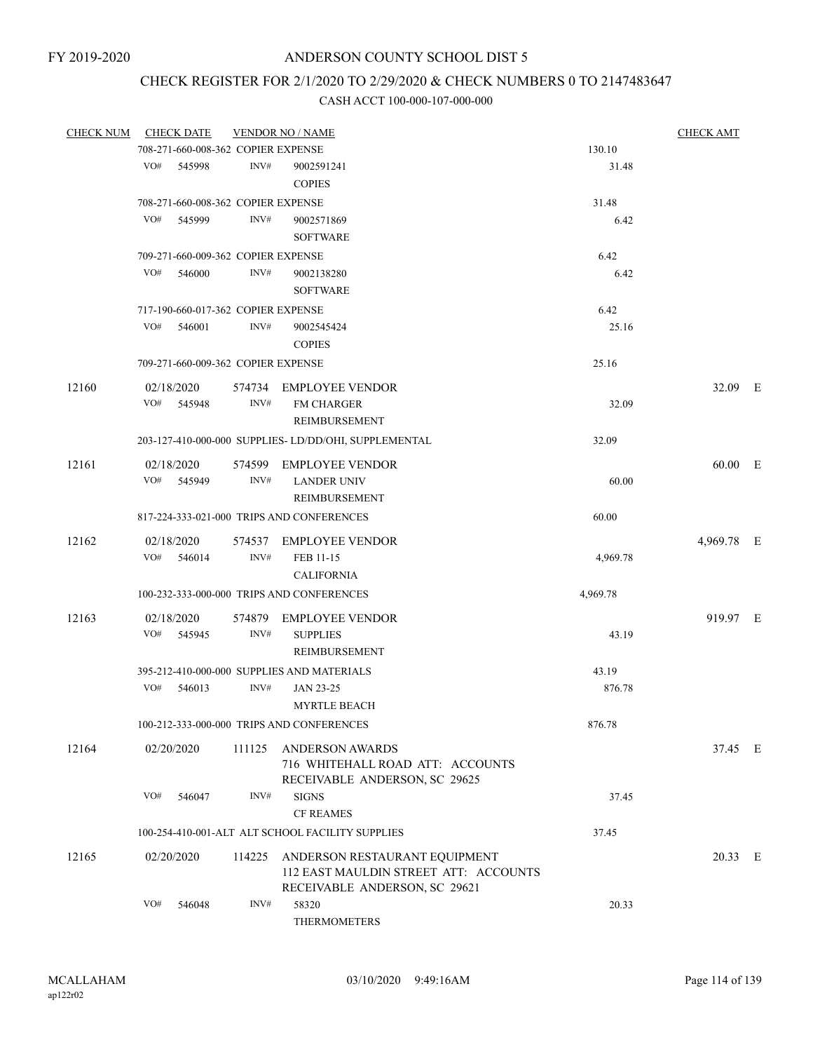# CHECK REGISTER FOR 2/1/2020 TO 2/29/2020 & CHECK NUMBERS 0 TO 2147483647

| <b>CHECK NUM</b> | <b>CHECK DATE</b>                  |        | <b>VENDOR NO / NAME</b>                                           |          | <b>CHECK AMT</b> |  |
|------------------|------------------------------------|--------|-------------------------------------------------------------------|----------|------------------|--|
|                  | 708-271-660-008-362 COPIER EXPENSE |        |                                                                   | 130.10   |                  |  |
|                  | VO#<br>545998                      | INV#   | 9002591241                                                        | 31.48    |                  |  |
|                  |                                    |        | <b>COPIES</b>                                                     |          |                  |  |
|                  | 708-271-660-008-362 COPIER EXPENSE |        |                                                                   | 31.48    |                  |  |
|                  | VO#<br>545999                      | INV#   | 9002571869                                                        | 6.42     |                  |  |
|                  |                                    |        | <b>SOFTWARE</b>                                                   |          |                  |  |
|                  | 709-271-660-009-362 COPIER EXPENSE |        |                                                                   | 6.42     |                  |  |
|                  | VO#<br>546000                      | INV#   | 9002138280                                                        | 6.42     |                  |  |
|                  |                                    |        | <b>SOFTWARE</b>                                                   |          |                  |  |
|                  | 717-190-660-017-362 COPIER EXPENSE |        |                                                                   | 6.42     |                  |  |
|                  | VO#<br>546001                      | INV#   | 9002545424<br><b>COPIES</b>                                       | 25.16    |                  |  |
|                  | 709-271-660-009-362 COPIER EXPENSE |        |                                                                   | 25.16    |                  |  |
| 12160            | 02/18/2020                         |        | 574734 EMPLOYEE VENDOR                                            |          | 32.09 E          |  |
|                  | VO#<br>545948                      | INV#   | <b>FM CHARGER</b>                                                 | 32.09    |                  |  |
|                  |                                    |        | <b>REIMBURSEMENT</b>                                              |          |                  |  |
|                  |                                    |        | 203-127-410-000-000 SUPPLIES-LD/DD/OHI, SUPPLEMENTAL              | 32.09    |                  |  |
| 12161            | 02/18/2020                         | 574599 | <b>EMPLOYEE VENDOR</b>                                            |          | 60.00 E          |  |
|                  | VO#<br>545949                      | INV#   | <b>LANDER UNIV</b>                                                | 60.00    |                  |  |
|                  |                                    |        | <b>REIMBURSEMENT</b>                                              |          |                  |  |
|                  |                                    |        | 817-224-333-021-000 TRIPS AND CONFERENCES                         | 60.00    |                  |  |
| 12162            | 02/18/2020                         |        | 574537 EMPLOYEE VENDOR                                            |          | 4,969.78 E       |  |
|                  | VO#<br>546014                      | INV#   | FEB 11-15                                                         | 4,969.78 |                  |  |
|                  |                                    |        | <b>CALIFORNIA</b>                                                 |          |                  |  |
|                  |                                    |        | 100-232-333-000-000 TRIPS AND CONFERENCES                         | 4,969.78 |                  |  |
| 12163            | 02/18/2020                         | 574879 | <b>EMPLOYEE VENDOR</b>                                            |          | 919.97 E         |  |
|                  | VO#<br>545945                      | INV#   | <b>SUPPLIES</b>                                                   | 43.19    |                  |  |
|                  |                                    |        | <b>REIMBURSEMENT</b>                                              |          |                  |  |
|                  |                                    |        | 395-212-410-000-000 SUPPLIES AND MATERIALS                        | 43.19    |                  |  |
|                  | VO#<br>546013                      | INV#   | JAN 23-25                                                         | 876.78   |                  |  |
|                  |                                    |        | <b>MYRTLE BEACH</b>                                               |          |                  |  |
|                  |                                    |        |                                                                   |          |                  |  |
|                  |                                    |        | 100-212-333-000-000 TRIPS AND CONFERENCES                         | 876.78   |                  |  |
| 12164            | 02/20/2020                         | 111125 | <b>ANDERSON AWARDS</b>                                            |          | 37.45 E          |  |
|                  |                                    |        | 716 WHITEHALL ROAD ATT: ACCOUNTS<br>RECEIVABLE ANDERSON, SC 29625 |          |                  |  |
|                  | VO#<br>546047                      | INV#   | <b>SIGNS</b>                                                      | 37.45    |                  |  |
|                  |                                    |        | <b>CF REAMES</b>                                                  |          |                  |  |
|                  |                                    |        | 100-254-410-001-ALT ALT SCHOOL FACILITY SUPPLIES                  | 37.45    |                  |  |
|                  |                                    |        |                                                                   |          |                  |  |
| 12165            | 02/20/2020                         |        | 114225 ANDERSON RESTAURANT EQUIPMENT                              |          | 20.33 E          |  |
|                  |                                    |        | 112 EAST MAULDIN STREET ATT: ACCOUNTS                             |          |                  |  |
|                  |                                    |        | RECEIVABLE ANDERSON, SC 29621                                     |          |                  |  |
|                  | VO#<br>546048                      | INV#   | 58320                                                             | 20.33    |                  |  |
|                  |                                    |        | <b>THERMOMETERS</b>                                               |          |                  |  |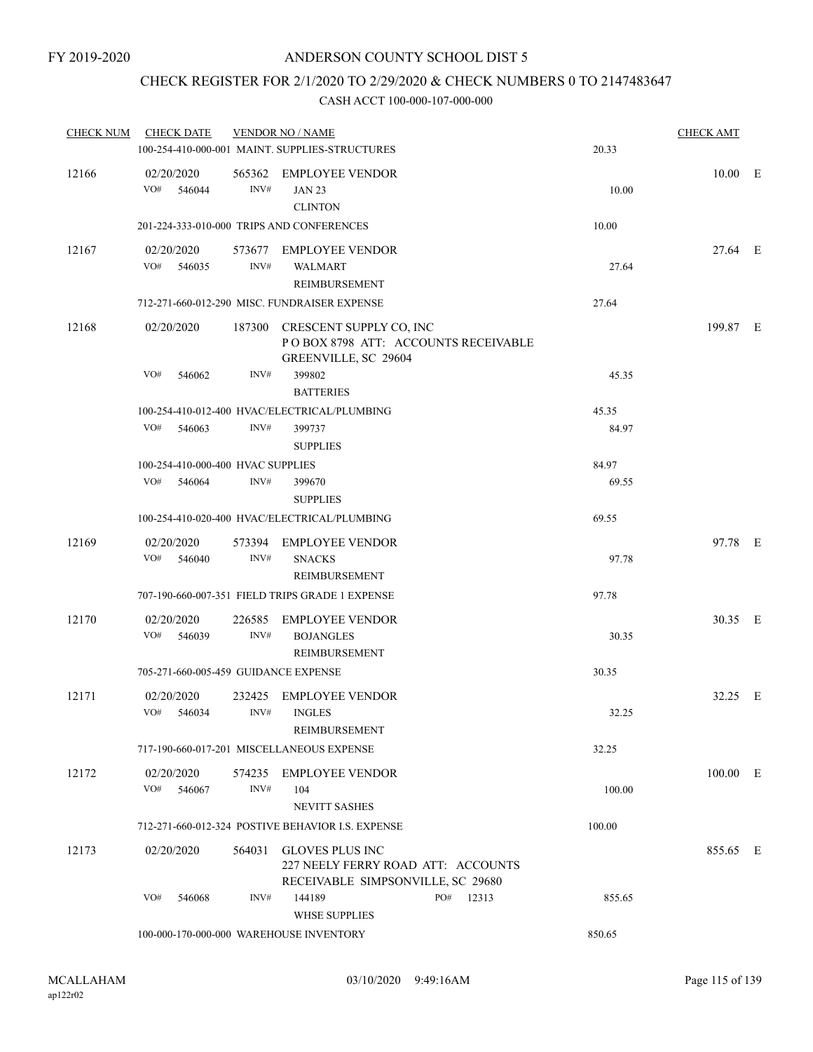# CHECK REGISTER FOR 2/1/2020 TO 2/29/2020 & CHECK NUMBERS 0 TO 2147483647

| <b>CHECK NUM</b> | <b>CHECK DATE</b>                       |                | <b>VENDOR NO / NAME</b><br>100-254-410-000-001 MAINT. SUPPLIES-STRUCTURES                         |           | 20.33  | <b>CHECK AMT</b> |  |
|------------------|-----------------------------------------|----------------|---------------------------------------------------------------------------------------------------|-----------|--------|------------------|--|
| 12166            | 02/20/2020<br>VO#<br>546044             | INV#           | 565362 EMPLOYEE VENDOR<br><b>JAN 23</b><br><b>CLINTON</b>                                         |           | 10.00  | $10.00$ E        |  |
|                  |                                         |                | 201-224-333-010-000 TRIPS AND CONFERENCES                                                         |           | 10.00  |                  |  |
| 12167            | 02/20/2020<br>VO#<br>546035             | INV#           | 573677 EMPLOYEE VENDOR<br><b>WALMART</b><br>REIMBURSEMENT                                         |           | 27.64  | 27.64 E          |  |
|                  |                                         |                | 712-271-660-012-290 MISC. FUNDRAISER EXPENSE                                                      |           | 27.64  |                  |  |
| 12168            | 02/20/2020                              |                | 187300 CRESCENT SUPPLY CO, INC<br>POBOX 8798 ATT: ACCOUNTS RECEIVABLE<br>GREENVILLE, SC 29604     |           |        | 199.87 E         |  |
|                  | VO#<br>546062                           | INV#           | 399802<br><b>BATTERIES</b>                                                                        |           | 45.35  |                  |  |
|                  |                                         |                | 100-254-410-012-400 HVAC/ELECTRICAL/PLUMBING                                                      |           | 45.35  |                  |  |
|                  | VO#<br>546063                           | INV#           | 399737<br><b>SUPPLIES</b>                                                                         |           | 84.97  |                  |  |
|                  | 100-254-410-000-400 HVAC SUPPLIES       |                |                                                                                                   |           | 84.97  |                  |  |
|                  | VO#<br>546064                           | INV#           | 399670<br><b>SUPPLIES</b>                                                                         |           | 69.55  |                  |  |
|                  |                                         |                | 100-254-410-020-400 HVAC/ELECTRICAL/PLUMBING                                                      |           | 69.55  |                  |  |
| 12169            | 02/20/2020<br>VO#<br>546040             | 573394<br>INV# | EMPLOYEE VENDOR<br><b>SNACKS</b><br>REIMBURSEMENT                                                 |           | 97.78  | 97.78 E          |  |
|                  |                                         |                | 707-190-660-007-351 FIELD TRIPS GRADE 1 EXPENSE                                                   |           | 97.78  |                  |  |
| 12170            | 02/20/2020<br>VO#<br>546039             | 226585<br>INV# | <b>EMPLOYEE VENDOR</b><br><b>BOJANGLES</b><br>REIMBURSEMENT                                       |           | 30.35  | 30.35 E          |  |
|                  | 705-271-660-005-459 GUIDANCE EXPENSE    |                |                                                                                                   |           | 30.35  |                  |  |
| 12171            | 02/20/2020<br>VO#<br>546034             | 232425<br>INV# | <b>EMPLOYEE VENDOR</b><br><b>INGLES</b><br>REIMBURSEMENT                                          |           | 32.25  | 32.25 E          |  |
|                  |                                         |                | 717-190-660-017-201 MISCELLANEOUS EXPENSE                                                         |           | 32.25  |                  |  |
| 12172            | 02/20/2020<br>VO#<br>546067             | 574235<br>INV# | <b>EMPLOYEE VENDOR</b><br>104<br><b>NEVITT SASHES</b>                                             |           | 100.00 | 100.00 E         |  |
|                  |                                         |                | 712-271-660-012-324 POSTIVE BEHAVIOR I.S. EXPENSE                                                 |           | 100.00 |                  |  |
| 12173            | 02/20/2020                              |                | 564031 GLOVES PLUS INC<br>227 NEELY FERRY ROAD ATT: ACCOUNTS<br>RECEIVABLE SIMPSONVILLE, SC 29680 |           |        | 855.65 E         |  |
|                  | VO#<br>546068                           | INV#           | 144189<br><b>WHSE SUPPLIES</b>                                                                    | PO# 12313 | 855.65 |                  |  |
|                  | 100-000-170-000-000 WAREHOUSE INVENTORY |                |                                                                                                   |           | 850.65 |                  |  |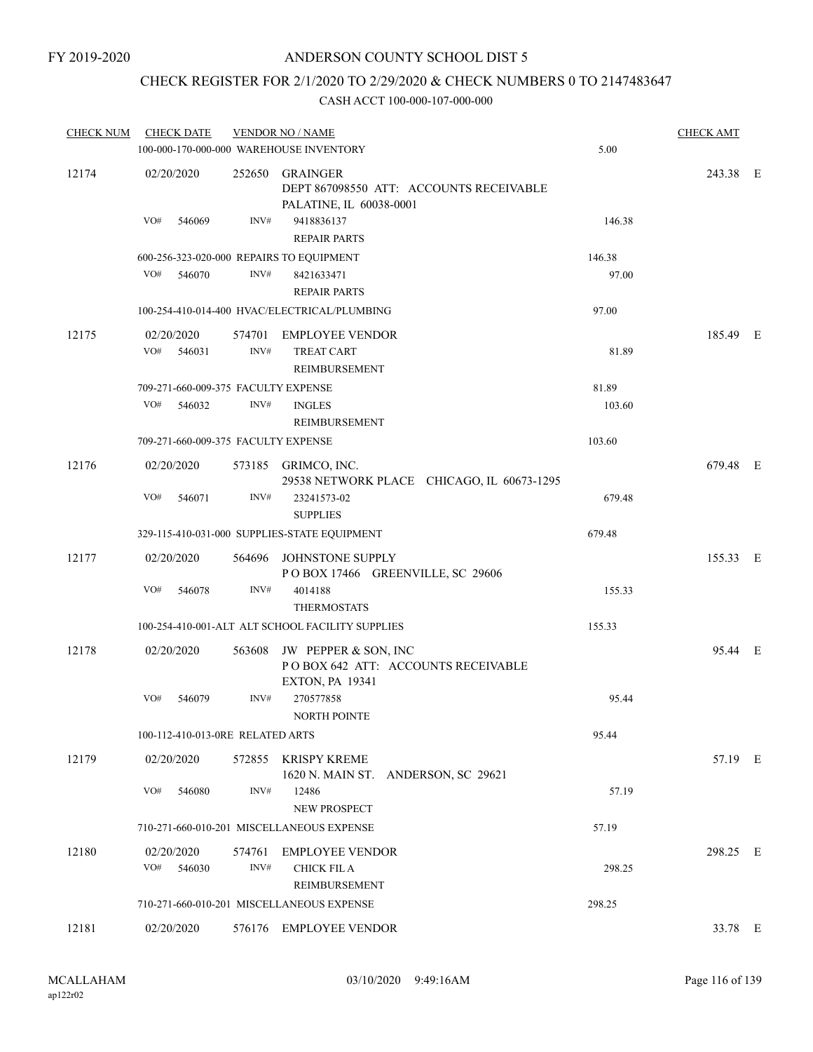## CHECK REGISTER FOR 2/1/2020 TO 2/29/2020 & CHECK NUMBERS 0 TO 2147483647

| <b>CHECK NUM</b> | <b>CHECK DATE</b>                        |                | <b>VENDOR NO / NAME</b>                                                              |        | <b>CHECK AMT</b> |  |
|------------------|------------------------------------------|----------------|--------------------------------------------------------------------------------------|--------|------------------|--|
|                  | 100-000-170-000-000 WAREHOUSE INVENTORY  |                |                                                                                      | 5.00   |                  |  |
| 12174            | 02/20/2020                               | 252650         | GRAINGER<br>DEPT 867098550 ATT: ACCOUNTS RECEIVABLE<br>PALATINE, IL 60038-0001       |        | 243.38 E         |  |
|                  | VO#<br>546069                            | INV#           | 9418836137<br><b>REPAIR PARTS</b>                                                    | 146.38 |                  |  |
|                  | 600-256-323-020-000 REPAIRS TO EQUIPMENT |                |                                                                                      | 146.38 |                  |  |
|                  | VO# 546070                               | INV#           | 8421633471<br><b>REPAIR PARTS</b>                                                    | 97.00  |                  |  |
|                  |                                          |                | 100-254-410-014-400 HVAC/ELECTRICAL/PLUMBING                                         | 97.00  |                  |  |
| 12175            | 02/20/2020<br>VO#<br>546031              | INV#           | 574701 EMPLOYEE VENDOR<br><b>TREAT CART</b><br>REIMBURSEMENT                         | 81.89  | 185.49 E         |  |
|                  | 709-271-660-009-375 FACULTY EXPENSE      |                |                                                                                      | 81.89  |                  |  |
|                  | VO#<br>546032                            | INV#           | <b>INGLES</b><br>REIMBURSEMENT                                                       | 103.60 |                  |  |
|                  | 709-271-660-009-375 FACULTY EXPENSE      |                |                                                                                      | 103.60 |                  |  |
| 12176            | 02/20/2020                               |                | 573185 GRIMCO, INC.<br>29538 NETWORK PLACE CHICAGO, IL 60673-1295                    |        | 679.48 E         |  |
|                  | VO#<br>546071                            | INV#           | 23241573-02<br><b>SUPPLIES</b>                                                       | 679.48 |                  |  |
|                  |                                          |                | 329-115-410-031-000 SUPPLIES-STATE EQUIPMENT                                         | 679.48 |                  |  |
| 12177            | 02/20/2020                               | 564696         | JOHNSTONE SUPPLY<br>POBOX 17466 GREENVILLE, SC 29606                                 |        | 155.33 E         |  |
|                  | VO#<br>546078                            | INV#           | 4014188<br><b>THERMOSTATS</b>                                                        | 155.33 |                  |  |
|                  |                                          |                | 100-254-410-001-ALT ALT SCHOOL FACILITY SUPPLIES                                     | 155.33 |                  |  |
| 12178            | 02/20/2020                               | 563608         | JW PEPPER & SON, INC<br>POBOX 642 ATT: ACCOUNTS RECEIVABLE<br><b>EXTON, PA 19341</b> |        | 95.44 E          |  |
|                  | VO#<br>546079                            | INV#           | 270577858<br><b>NORTH POINTE</b>                                                     | 95.44  |                  |  |
|                  | 100-112-410-013-0RE RELATED ARTS         |                |                                                                                      | 95.44  |                  |  |
| 12179            | 02/20/2020                               |                | 572855 KRISPY KREME<br>1620 N. MAIN ST. ANDERSON, SC 29621                           |        | 57.19 E          |  |
|                  | VO#<br>546080                            | INV#           | 12486<br><b>NEW PROSPECT</b>                                                         | 57.19  |                  |  |
|                  |                                          |                | 710-271-660-010-201 MISCELLANEOUS EXPENSE                                            | 57.19  |                  |  |
| 12180            | 02/20/2020<br>VO#<br>546030              | 574761<br>INV# | <b>EMPLOYEE VENDOR</b><br>CHICK FIL A<br>REIMBURSEMENT                               | 298.25 | 298.25 E         |  |
|                  |                                          |                | 710-271-660-010-201 MISCELLANEOUS EXPENSE                                            | 298.25 |                  |  |
| 12181            | 02/20/2020                               |                | 576176 EMPLOYEE VENDOR                                                               |        | 33.78 E          |  |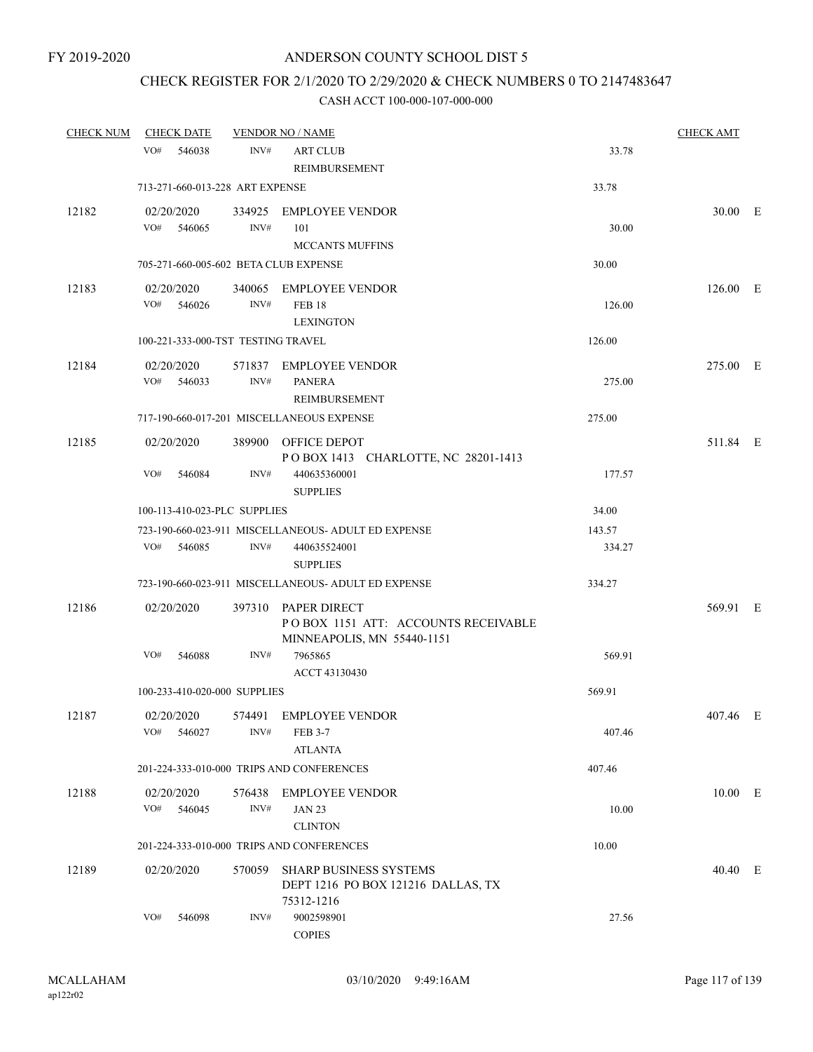### CHECK REGISTER FOR 2/1/2020 TO 2/29/2020 & CHECK NUMBERS 0 TO 2147483647

| <b>CHECK NUM</b> | <b>CHECK DATE</b>                     |                | <b>VENDOR NO / NAME</b>                                                                  |        | <b>CHECK AMT</b> |  |
|------------------|---------------------------------------|----------------|------------------------------------------------------------------------------------------|--------|------------------|--|
|                  | VO#<br>546038                         | INV#           | <b>ART CLUB</b><br>REIMBURSEMENT                                                         | 33.78  |                  |  |
|                  | 713-271-660-013-228 ART EXPENSE       |                |                                                                                          | 33.78  |                  |  |
| 12182            | 02/20/2020<br>VO#<br>546065           | INV#           | 334925 EMPLOYEE VENDOR<br>101<br><b>MCCANTS MUFFINS</b>                                  | 30.00  | 30.00 E          |  |
|                  | 705-271-660-005-602 BETA CLUB EXPENSE |                |                                                                                          | 30.00  |                  |  |
| 12183            | 02/20/2020<br>VO#<br>546026           | INV#           | 340065 EMPLOYEE VENDOR<br><b>FEB 18</b><br><b>LEXINGTON</b>                              | 126.00 | $126.00$ E       |  |
|                  | 100-221-333-000-TST TESTING TRAVEL    |                |                                                                                          | 126.00 |                  |  |
| 12184            | 02/20/2020<br>VO#<br>546033           | INV#           | 571837 EMPLOYEE VENDOR<br><b>PANERA</b><br><b>REIMBURSEMENT</b>                          | 275.00 | 275.00 E         |  |
|                  |                                       |                | 717-190-660-017-201 MISCELLANEOUS EXPENSE                                                | 275.00 |                  |  |
| 12185            | 02/20/2020                            |                | 389900 OFFICE DEPOT<br>POBOX 1413 CHARLOTTE, NC 28201-1413                               |        | 511.84 E         |  |
|                  | VO#<br>546084                         | INV#           | 440635360001<br><b>SUPPLIES</b>                                                          | 177.57 |                  |  |
|                  | 100-113-410-023-PLC SUPPLIES          |                |                                                                                          | 34.00  |                  |  |
|                  |                                       |                | 723-190-660-023-911 MISCELLANEOUS- ADULT ED EXPENSE                                      | 143.57 |                  |  |
|                  | VO#<br>546085                         | INV#           | 440635524001<br><b>SUPPLIES</b>                                                          | 334.27 |                  |  |
|                  |                                       |                | 723-190-660-023-911 MISCELLANEOUS- ADULT ED EXPENSE                                      | 334.27 |                  |  |
| 12186            | 02/20/2020                            |                | 397310 PAPER DIRECT<br>POBOX 1151 ATT: ACCOUNTS RECEIVABLE<br>MINNEAPOLIS, MN 55440-1151 |        | 569.91 E         |  |
|                  | VO#<br>546088                         | INV#           | 7965865<br>ACCT 43130430                                                                 | 569.91 |                  |  |
|                  | 100-233-410-020-000 SUPPLIES          |                |                                                                                          | 569.91 |                  |  |
| 12187            | 02/20/2020<br>VO#<br>546027           | INV#           | 574491 EMPLOYEE VENDOR<br><b>FEB 3-7</b><br><b>ATLANTA</b>                               | 407.46 | 407.46 E         |  |
|                  |                                       |                | 201-224-333-010-000 TRIPS AND CONFERENCES                                                | 407.46 |                  |  |
| 12188            | 02/20/2020<br>VO#<br>546045           | 576438<br>INV# | <b>EMPLOYEE VENDOR</b><br><b>JAN 23</b>                                                  | 10.00  | 10.00 E          |  |
|                  |                                       |                | <b>CLINTON</b>                                                                           |        |                  |  |
|                  |                                       |                | 201-224-333-010-000 TRIPS AND CONFERENCES                                                | 10.00  |                  |  |
| 12189            | 02/20/2020                            | 570059         | <b>SHARP BUSINESS SYSTEMS</b><br>DEPT 1216 PO BOX 121216 DALLAS, TX<br>75312-1216        |        | 40.40 E          |  |
|                  | VO#<br>546098                         | INV#           | 9002598901<br><b>COPIES</b>                                                              | 27.56  |                  |  |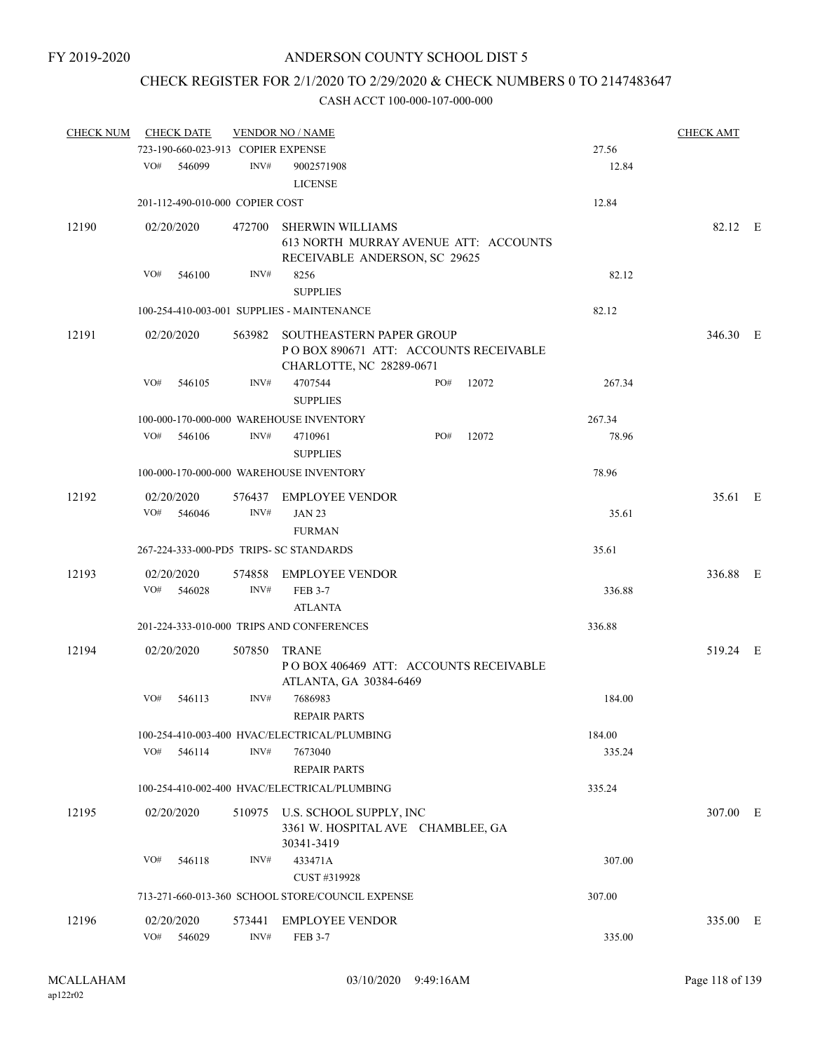# CHECK REGISTER FOR 2/1/2020 TO 2/29/2020 & CHECK NUMBERS 0 TO 2147483647

| <b>CHECK NUM</b> |            | <b>CHECK DATE</b>                  |        | <b>VENDOR NO / NAME</b>                                                                              |     |       |        | <b>CHECK AMT</b> |  |
|------------------|------------|------------------------------------|--------|------------------------------------------------------------------------------------------------------|-----|-------|--------|------------------|--|
|                  |            | 723-190-660-023-913 COPIER EXPENSE |        |                                                                                                      |     |       | 27.56  |                  |  |
|                  | VO#        | 546099                             | INV#   | 9002571908<br><b>LICENSE</b>                                                                         |     |       | 12.84  |                  |  |
|                  |            | 201-112-490-010-000 COPIER COST    |        |                                                                                                      |     |       | 12.84  |                  |  |
| 12190            |            | 02/20/2020                         | 472700 | <b>SHERWIN WILLIAMS</b><br>613 NORTH MURRAY AVENUE ATT: ACCOUNTS<br>RECEIVABLE ANDERSON, SC 29625    |     |       |        | 82.12 E          |  |
|                  | VO#        | 546100                             | INV#   | 8256<br><b>SUPPLIES</b>                                                                              |     |       | 82.12  |                  |  |
|                  |            |                                    |        | 100-254-410-003-001 SUPPLIES - MAINTENANCE                                                           |     |       | 82.12  |                  |  |
| 12191            |            | 02/20/2020                         | 563982 | <b>SOUTHEASTERN PAPER GROUP</b><br>POBOX 890671 ATT: ACCOUNTS RECEIVABLE<br>CHARLOTTE, NC 28289-0671 |     |       |        | 346.30 E         |  |
|                  | VO#        | 546105                             | INV#   | 4707544<br><b>SUPPLIES</b>                                                                           | PO# | 12072 | 267.34 |                  |  |
|                  |            |                                    |        | 100-000-170-000-000 WAREHOUSE INVENTORY                                                              |     |       | 267.34 |                  |  |
|                  | VO#        | 546106                             | INV#   | 4710961<br><b>SUPPLIES</b>                                                                           | PO# | 12072 | 78.96  |                  |  |
|                  |            |                                    |        | 100-000-170-000-000 WAREHOUSE INVENTORY                                                              |     |       | 78.96  |                  |  |
| 12192            |            | 02/20/2020                         |        | 576437 EMPLOYEE VENDOR                                                                               |     |       |        | 35.61 E          |  |
|                  | VO#        | 546046                             | INV#   | <b>JAN 23</b><br><b>FURMAN</b>                                                                       |     |       | 35.61  |                  |  |
|                  |            |                                    |        | 267-224-333-000-PD5 TRIPS- SC STANDARDS                                                              |     |       | 35.61  |                  |  |
| 12193            | VO#        | 02/20/2020<br>546028               | INV#   | 574858 EMPLOYEE VENDOR<br><b>FEB 3-7</b><br><b>ATLANTA</b>                                           |     |       | 336.88 | 336.88 E         |  |
|                  |            |                                    |        | 201-224-333-010-000 TRIPS AND CONFERENCES                                                            |     |       | 336.88 |                  |  |
| 12194            | 02/20/2020 |                                    | 507850 | TRANE<br>POBOX 406469 ATT: ACCOUNTS RECEIVABLE<br>ATLANTA, GA 30384-6469                             |     |       |        | 519.24 E         |  |
|                  | VO#        | 546113                             | INV#   | 7686983<br>REPAIR PARTS                                                                              |     |       | 184.00 |                  |  |
|                  |            |                                    |        | 100-254-410-003-400 HVAC/ELECTRICAL/PLUMBING                                                         |     |       | 184.00 |                  |  |
|                  | VO#        | 546114                             | INV#   | 7673040<br><b>REPAIR PARTS</b>                                                                       |     |       | 335.24 |                  |  |
|                  |            |                                    |        | 100-254-410-002-400 HVAC/ELECTRICAL/PLUMBING                                                         |     |       | 335.24 |                  |  |
| 12195            |            | 02/20/2020                         |        | 510975 U.S. SCHOOL SUPPLY, INC<br>3361 W. HOSPITAL AVE CHAMBLEE, GA<br>30341-3419                    |     |       |        | 307.00 E         |  |
|                  | VO#        | 546118                             | INV#   | 433471A<br>CUST #319928                                                                              |     |       | 307.00 |                  |  |
|                  |            |                                    |        | 713-271-660-013-360 SCHOOL STORE/COUNCIL EXPENSE                                                     |     |       | 307.00 |                  |  |
| 12196            |            | 02/20/2020                         |        | 573441 EMPLOYEE VENDOR                                                                               |     |       |        | 335.00 E         |  |
|                  |            | VO# 546029                         | INV#   | <b>FEB 3-7</b>                                                                                       |     |       | 335.00 |                  |  |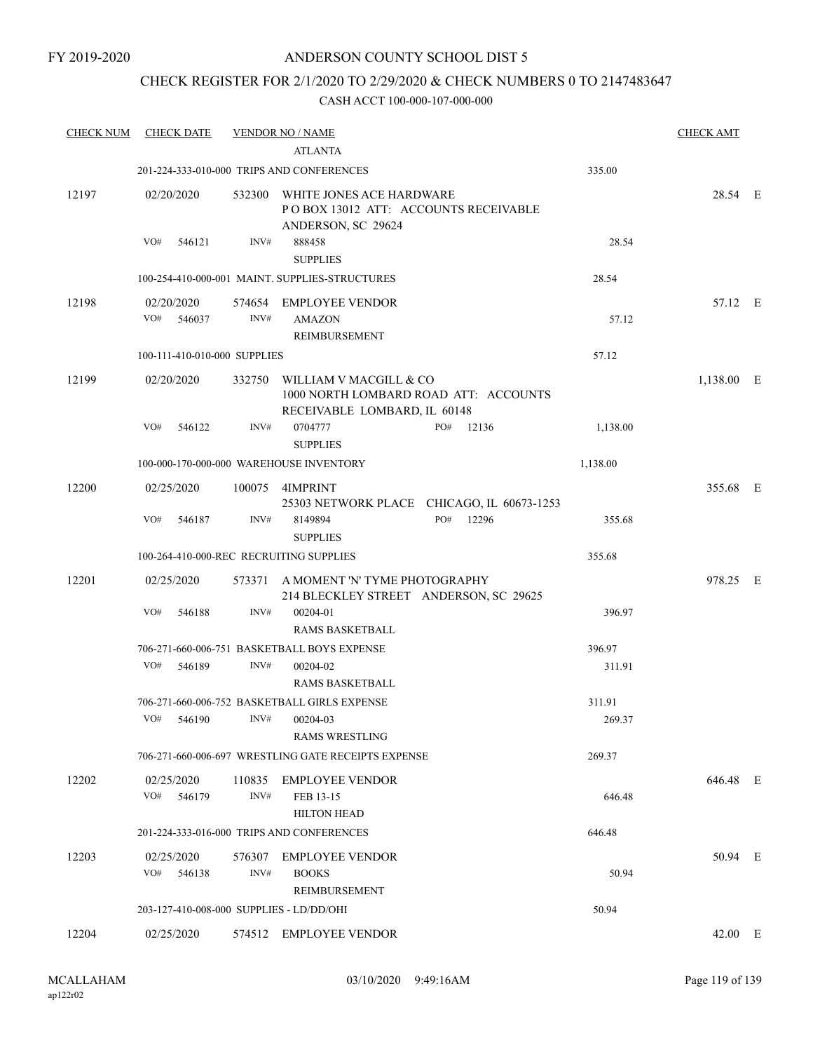### CHECK REGISTER FOR 2/1/2020 TO 2/29/2020 & CHECK NUMBERS 0 TO 2147483647

| <b>CHECK NUM</b> | <b>CHECK DATE</b>                        |        | <b>VENDOR NO / NAME</b>                                                                         |                                            |          | <b>CHECK AMT</b> |  |
|------------------|------------------------------------------|--------|-------------------------------------------------------------------------------------------------|--------------------------------------------|----------|------------------|--|
|                  |                                          |        | <b>ATLANTA</b>                                                                                  |                                            |          |                  |  |
|                  |                                          |        | 201-224-333-010-000 TRIPS AND CONFERENCES                                                       |                                            | 335.00   |                  |  |
| 12197            | 02/20/2020                               |        | 532300 WHITE JONES ACE HARDWARE<br>PO BOX 13012 ATT: ACCOUNTS RECEIVABLE<br>ANDERSON, SC 29624  |                                            |          | 28.54 E          |  |
|                  | VO#<br>546121                            | INV#   | 888458<br><b>SUPPLIES</b>                                                                       |                                            | 28.54    |                  |  |
|                  |                                          |        | 100-254-410-000-001 MAINT. SUPPLIES-STRUCTURES                                                  |                                            | 28.54    |                  |  |
| 12198            | 02/20/2020<br>VO#<br>546037              | INV#   | 574654 EMPLOYEE VENDOR<br><b>AMAZON</b><br>REIMBURSEMENT                                        |                                            | 57.12    | 57.12 E          |  |
|                  | 100-111-410-010-000 SUPPLIES             |        |                                                                                                 |                                            | 57.12    |                  |  |
| 12199            | 02/20/2020                               | 332750 | WILLIAM V MACGILL & CO<br>1000 NORTH LOMBARD ROAD ATT: ACCOUNTS<br>RECEIVABLE LOMBARD, IL 60148 |                                            |          | 1,138.00 E       |  |
|                  | VO#<br>546122                            | INV#   | 0704777<br><b>SUPPLIES</b>                                                                      | PO#<br>12136                               | 1,138.00 |                  |  |
|                  |                                          |        | 100-000-170-000-000 WAREHOUSE INVENTORY                                                         |                                            | 1,138.00 |                  |  |
| 12200            | 02/25/2020                               |        | 100075 4IMPRINT                                                                                 | 25303 NETWORK PLACE CHICAGO, IL 60673-1253 |          | 355.68 E         |  |
|                  | VO#<br>546187                            | INV#   | 8149894<br><b>SUPPLIES</b>                                                                      | PO#<br>12296                               | 355.68   |                  |  |
|                  | 100-264-410-000-REC RECRUITING SUPPLIES  |        |                                                                                                 |                                            | 355.68   |                  |  |
| 12201            | 02/25/2020                               |        | 573371 A MOMENT 'N' TYME PHOTOGRAPHY<br>214 BLECKLEY STREET ANDERSON, SC 29625                  |                                            |          | 978.25 E         |  |
|                  | VO#<br>546188                            | INV#   | 00204-01<br><b>RAMS BASKETBALL</b>                                                              |                                            | 396.97   |                  |  |
|                  |                                          |        | 706-271-660-006-751 BASKETBALL BOYS EXPENSE                                                     |                                            | 396.97   |                  |  |
|                  | VO#<br>546189                            | INV#   | 00204-02<br><b>RAMS BASKETBALL</b>                                                              |                                            | 311.91   |                  |  |
|                  |                                          |        | 706-271-660-006-752 BASKETBALL GIRLS EXPENSE                                                    |                                            | 311.91   |                  |  |
|                  | VO# 546190 INV# 00204-03                 |        | <b>RAMS WRESTLING</b>                                                                           |                                            | 269.37   |                  |  |
|                  |                                          |        | 706-271-660-006-697 WRESTLING GATE RECEIPTS EXPENSE                                             |                                            | 269.37   |                  |  |
| 12202            | 02/25/2020<br>VO# 546179                 | INV#   | 110835 EMPLOYEE VENDOR<br>FEB 13-15<br><b>HILTON HEAD</b>                                       |                                            | 646.48   | 646.48 E         |  |
|                  |                                          |        | 201-224-333-016-000 TRIPS AND CONFERENCES                                                       |                                            | 646.48   |                  |  |
| 12203            | 02/25/2020<br>VO# 546138                 | INV#   | 576307 EMPLOYEE VENDOR<br><b>BOOKS</b>                                                          |                                            | 50.94    | 50.94 E          |  |
|                  | 203-127-410-008-000 SUPPLIES - LD/DD/OHI |        | REIMBURSEMENT                                                                                   |                                            | 50.94    |                  |  |
|                  |                                          |        |                                                                                                 |                                            |          |                  |  |
| 12204            | 02/25/2020                               |        | 574512 EMPLOYEE VENDOR                                                                          |                                            |          | 42.00 E          |  |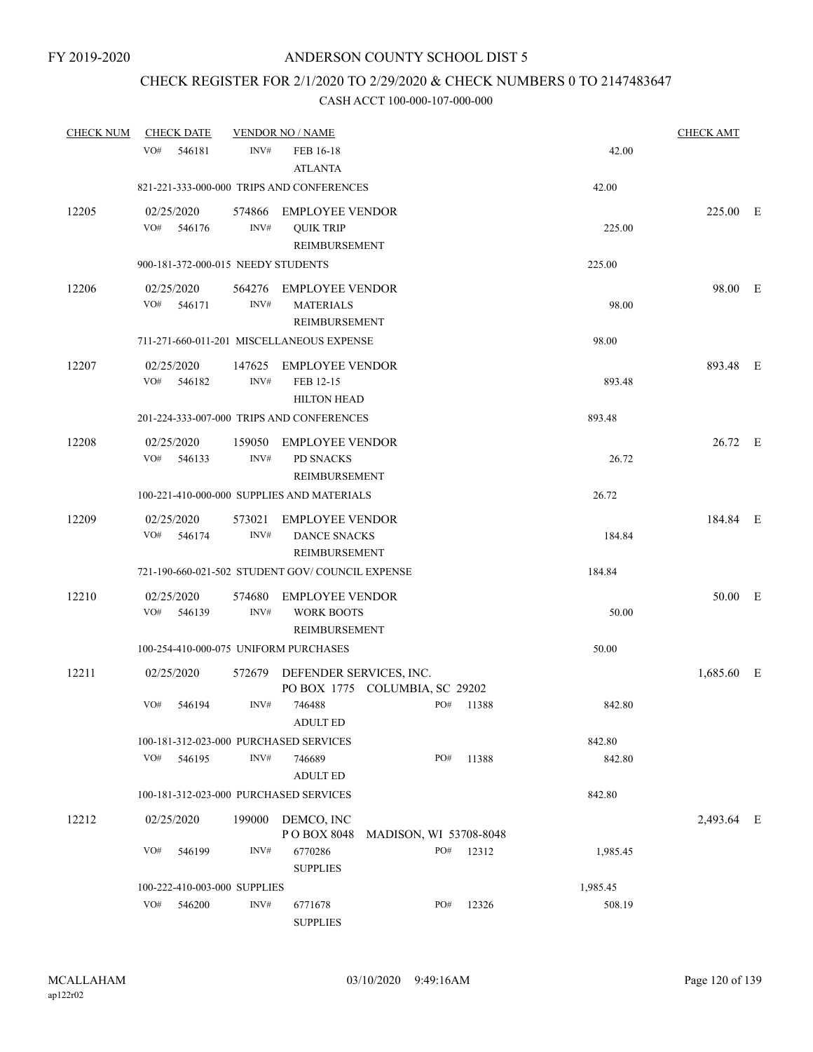### CHECK REGISTER FOR 2/1/2020 TO 2/29/2020 & CHECK NUMBERS 0 TO 2147483647

| <b>CHECK NUM</b> | <b>CHECK DATE</b>                               |                | <b>VENDOR NO / NAME</b>                                        |                                |       |          | <b>CHECK AMT</b> |  |
|------------------|-------------------------------------------------|----------------|----------------------------------------------------------------|--------------------------------|-------|----------|------------------|--|
|                  | VO#<br>546181                                   | INV#           | FEB 16-18<br><b>ATLANTA</b>                                    |                                |       | 42.00    |                  |  |
|                  | 821-221-333-000-000 TRIPS AND CONFERENCES       |                |                                                                |                                |       | 42.00    |                  |  |
| 12205            | 02/25/2020<br>VO#<br>546176                     | INV#           | 574866 EMPLOYEE VENDOR<br><b>QUIK TRIP</b><br>REIMBURSEMENT    |                                |       | 225.00   | 225.00 E         |  |
|                  | 900-181-372-000-015 NEEDY STUDENTS              |                |                                                                |                                |       | 225.00   |                  |  |
| 12206            | 02/25/2020<br>VO#<br>546171                     | INV#           | 564276 EMPLOYEE VENDOR<br><b>MATERIALS</b><br>REIMBURSEMENT    |                                |       | 98.00    | 98.00 E          |  |
|                  | 711-271-660-011-201 MISCELLANEOUS EXPENSE       |                |                                                                |                                |       | 98.00    |                  |  |
| 12207            | 02/25/2020<br>VO#<br>546182                     | 147625<br>INV# | EMPLOYEE VENDOR<br>FEB 12-15<br><b>HILTON HEAD</b>             |                                |       | 893.48   | 893.48 E         |  |
|                  | 201-224-333-007-000 TRIPS AND CONFERENCES       |                |                                                                |                                |       | 893.48   |                  |  |
| 12208            | 02/25/2020<br>VO#<br>546133                     | INV#           | 159050 EMPLOYEE VENDOR<br><b>PD SNACKS</b><br>REIMBURSEMENT    |                                |       | 26.72    | 26.72 E          |  |
|                  | 100-221-410-000-000 SUPPLIES AND MATERIALS      |                |                                                                |                                |       | 26.72    |                  |  |
| 12209            | 02/25/2020<br>VO#<br>546174                     | 573021<br>INV# | <b>EMPLOYEE VENDOR</b><br><b>DANCE SNACKS</b><br>REIMBURSEMENT |                                |       | 184.84   | 184.84 E         |  |
|                  | 721-190-660-021-502 STUDENT GOV/COUNCIL EXPENSE |                |                                                                |                                |       | 184.84   |                  |  |
| 12210            | 02/25/2020<br>VO#<br>546139                     | 574680<br>INV# | <b>EMPLOYEE VENDOR</b><br><b>WORK BOOTS</b><br>REIMBURSEMENT   |                                |       | 50.00    | 50.00 E          |  |
|                  | 100-254-410-000-075 UNIFORM PURCHASES           |                |                                                                |                                |       | 50.00    |                  |  |
| 12211            | 02/25/2020                                      |                | 572679 DEFENDER SERVICES, INC.                                 | PO BOX 1775 COLUMBIA, SC 29202 |       |          | 1,685.60 E       |  |
|                  | VO#<br>546194                                   | INV#           | 746488<br><b>ADULT ED</b>                                      | PO#                            | 11388 | 842.80   |                  |  |
|                  | 100-181-312-023-000 PURCHASED SERVICES          |                |                                                                |                                |       | 842.80   |                  |  |
|                  | VO#<br>546195                                   | INV#           | 746689<br><b>ADULT ED</b>                                      | PO#                            | 11388 | 842.80   |                  |  |
|                  | 100-181-312-023-000 PURCHASED SERVICES          |                |                                                                |                                |       | 842.80   |                  |  |
| 12212            | 02/25/2020                                      | 199000         | DEMCO, INC<br>PO BOX 8048                                      | MADISON, WI 53708-8048         |       |          | 2,493.64 E       |  |
|                  | VO#<br>546199                                   | INV#           | 6770286<br><b>SUPPLIES</b>                                     | PO#                            | 12312 | 1,985.45 |                  |  |
|                  | 100-222-410-003-000 SUPPLIES                    |                |                                                                |                                |       | 1,985.45 |                  |  |
|                  | VO#<br>546200                                   | INV#           | 6771678<br><b>SUPPLIES</b>                                     | PO#                            | 12326 | 508.19   |                  |  |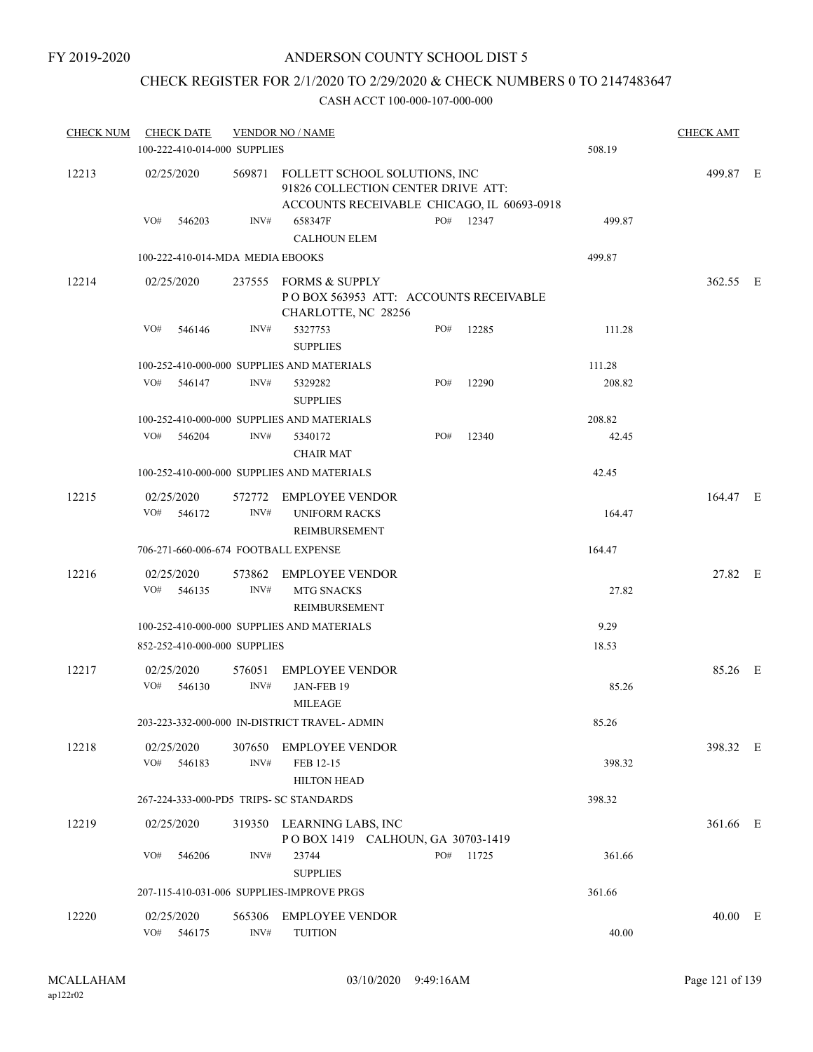# CHECK REGISTER FOR 2/1/2020 TO 2/29/2020 & CHECK NUMBERS 0 TO 2147483647

| <b>CHECK NUM</b> | <b>CHECK DATE</b>           | 100-222-410-014-000 SUPPLIES            | <b>VENDOR NO / NAME</b>                                                                                                  |     |           | 508.19 | <b>CHECK AMT</b> |  |
|------------------|-----------------------------|-----------------------------------------|--------------------------------------------------------------------------------------------------------------------------|-----|-----------|--------|------------------|--|
| 12213            | 02/25/2020                  |                                         | 569871 FOLLETT SCHOOL SOLUTIONS, INC<br>91826 COLLECTION CENTER DRIVE ATT:<br>ACCOUNTS RECEIVABLE CHICAGO, IL 60693-0918 |     |           |        | 499.87 E         |  |
|                  | VO#<br>546203               | INV#                                    | 658347F<br><b>CALHOUN ELEM</b>                                                                                           |     | PO# 12347 | 499.87 |                  |  |
|                  |                             | 100-222-410-014-MDA MEDIA EBOOKS        |                                                                                                                          |     |           | 499.87 |                  |  |
| 12214            | 02/25/2020                  |                                         | 237555 FORMS & SUPPLY<br>POBOX 563953 ATT: ACCOUNTS RECEIVABLE<br>CHARLOTTE, NC 28256                                    |     |           |        | 362.55 E         |  |
|                  | VO#<br>546146               | INV#                                    | 5327753<br><b>SUPPLIES</b>                                                                                               | PO# | 12285     | 111.28 |                  |  |
|                  |                             |                                         | 100-252-410-000-000 SUPPLIES AND MATERIALS                                                                               |     |           | 111.28 |                  |  |
|                  | VO#<br>546147               | INV#                                    | 5329282<br><b>SUPPLIES</b>                                                                                               | PO# | 12290     | 208.82 |                  |  |
|                  |                             |                                         | 100-252-410-000-000 SUPPLIES AND MATERIALS                                                                               |     |           | 208.82 |                  |  |
|                  | VO# 546204                  | INV#                                    | 5340172<br><b>CHAIR MAT</b>                                                                                              | PO# | 12340     | 42.45  |                  |  |
|                  |                             |                                         | 100-252-410-000-000 SUPPLIES AND MATERIALS                                                                               |     |           | 42.45  |                  |  |
| 12215            | 02/25/2020<br>VO#<br>546172 | INV#                                    | 572772 EMPLOYEE VENDOR<br><b>UNIFORM RACKS</b>                                                                           |     |           | 164.47 | 164.47 E         |  |
|                  |                             |                                         | REIMBURSEMENT                                                                                                            |     |           |        |                  |  |
|                  |                             | 706-271-660-006-674 FOOTBALL EXPENSE    |                                                                                                                          |     |           | 164.47 |                  |  |
| 12216            | 02/25/2020<br>VO#<br>546135 | 573862<br>INV#                          | <b>EMPLOYEE VENDOR</b><br>MTG SNACKS<br>REIMBURSEMENT                                                                    |     |           | 27.82  | 27.82 E          |  |
|                  |                             |                                         | 100-252-410-000-000 SUPPLIES AND MATERIALS                                                                               |     |           | 9.29   |                  |  |
|                  |                             | 852-252-410-000-000 SUPPLIES            |                                                                                                                          |     |           | 18.53  |                  |  |
| 12217            | 02/25/2020                  |                                         | <b>EMPLOYEE VENDOR</b>                                                                                                   |     |           |        | 85.26 E          |  |
|                  | VO#<br>546130               | 576051<br>INV#                          | JAN-FEB 19<br><b>MILEAGE</b>                                                                                             |     |           | 85.26  |                  |  |
|                  |                             |                                         | 203-223-332-000-000 IN-DISTRICT TRAVEL- ADMIN                                                                            |     |           | 85.26  |                  |  |
| 12218            | 02/25/2020<br>VO#<br>546183 | 307650<br>INV#                          | <b>EMPLOYEE VENDOR</b><br>FEB 12-15<br>HILTON HEAD                                                                       |     |           | 398.32 | 398.32 E         |  |
|                  |                             | 267-224-333-000-PD5 TRIPS- SC STANDARDS |                                                                                                                          |     |           | 398.32 |                  |  |
| 12219            | 02/25/2020                  |                                         | 319350 LEARNING LABS, INC                                                                                                |     |           |        | 361.66 E         |  |
|                  |                             |                                         | POBOX 1419 CALHOUN, GA 30703-1419                                                                                        |     |           |        |                  |  |
|                  | VO#<br>546206               | INV#                                    | 23744<br><b>SUPPLIES</b>                                                                                                 | PO# | 11725     | 361.66 |                  |  |
|                  |                             |                                         | 207-115-410-031-006 SUPPLIES-IMPROVE PRGS                                                                                |     |           | 361.66 |                  |  |
| 12220            | 02/25/2020                  | 565306                                  | <b>EMPLOYEE VENDOR</b>                                                                                                   |     |           |        | 40.00 E          |  |
|                  | VO# 546175                  | INV#                                    | <b>TUITION</b>                                                                                                           |     |           | 40.00  |                  |  |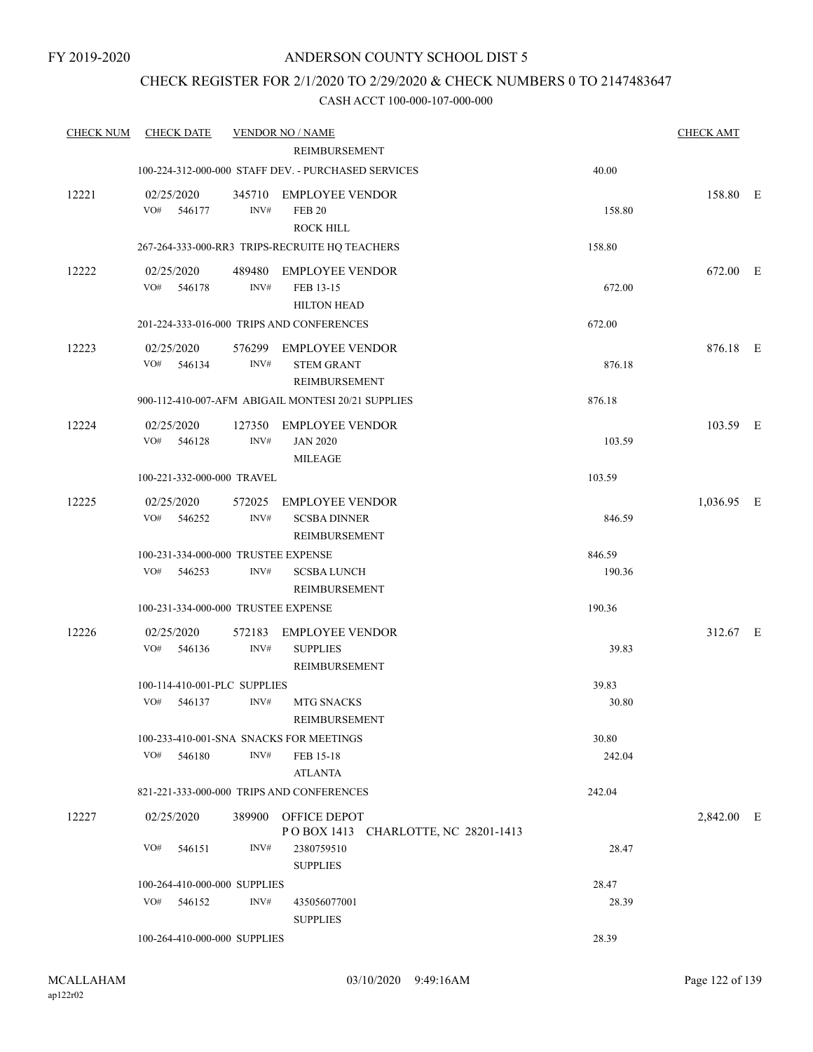### CHECK REGISTER FOR 2/1/2020 TO 2/29/2020 & CHECK NUMBERS 0 TO 2147483647

| <b>CHECK NUM</b> | <b>CHECK DATE</b>                   |                | <b>VENDOR NO / NAME</b>                                      |        | <b>CHECK AMT</b> |  |
|------------------|-------------------------------------|----------------|--------------------------------------------------------------|--------|------------------|--|
|                  |                                     |                | REIMBURSEMENT                                                |        |                  |  |
|                  |                                     |                | 100-224-312-000-000 STAFF DEV. - PURCHASED SERVICES          | 40.00  |                  |  |
| 12221            | 02/25/2020<br>VO#<br>546177         | INV#           | 345710 EMPLOYEE VENDOR<br><b>FEB 20</b><br><b>ROCK HILL</b>  | 158.80 | 158.80 E         |  |
|                  |                                     |                | 267-264-333-000-RR3 TRIPS-RECRUITE HQ TEACHERS               | 158.80 |                  |  |
| 12222            | 02/25/2020<br>VO#<br>546178         | INV#           | 489480 EMPLOYEE VENDOR<br>FEB 13-15<br><b>HILTON HEAD</b>    | 672.00 | 672.00 E         |  |
|                  |                                     |                | 201-224-333-016-000 TRIPS AND CONFERENCES                    | 672.00 |                  |  |
| 12223            | 02/25/2020<br>VO#<br>546134         | INV#           | 576299 EMPLOYEE VENDOR<br><b>STEM GRANT</b><br>REIMBURSEMENT | 876.18 | 876.18 E         |  |
|                  |                                     |                | 900-112-410-007-AFM ABIGAIL MONTESI 20/21 SUPPLIES           | 876.18 |                  |  |
| 12224            | 02/25/2020<br>VO# 546128            | INV#           | 127350 EMPLOYEE VENDOR<br><b>JAN 2020</b><br><b>MILEAGE</b>  | 103.59 | 103.59 E         |  |
|                  | 100-221-332-000-000 TRAVEL          |                |                                                              | 103.59 |                  |  |
| 12225            | 02/25/2020<br>VO#<br>546252         | 572025<br>INV# | EMPLOYEE VENDOR<br><b>SCSBA DINNER</b><br>REIMBURSEMENT      | 846.59 | 1,036.95 E       |  |
|                  | 100-231-334-000-000 TRUSTEE EXPENSE |                |                                                              | 846.59 |                  |  |
|                  | VO#<br>546253                       | INV#           | <b>SCSBA LUNCH</b><br>REIMBURSEMENT                          | 190.36 |                  |  |
|                  | 100-231-334-000-000 TRUSTEE EXPENSE |                |                                                              | 190.36 |                  |  |
| 12226            | 02/25/2020<br>VO#<br>546136         | 572183<br>INV# | <b>EMPLOYEE VENDOR</b><br><b>SUPPLIES</b><br>REIMBURSEMENT   | 39.83  | 312.67 E         |  |
|                  | 100-114-410-001-PLC SUPPLIES        |                |                                                              | 39.83  |                  |  |
|                  | VO#<br>546137                       | INV#           | <b>MTG SNACKS</b><br>REIMBURSEMENT                           | 30.80  |                  |  |
|                  |                                     |                | 100-233-410-001-SNA SNACKS FOR MEETINGS                      | 30.80  |                  |  |
|                  | VO# 546180                          | INV#           | FEB 15-18<br><b>ATLANTA</b>                                  | 242.04 |                  |  |
|                  |                                     |                | 821-221-333-000-000 TRIPS AND CONFERENCES                    | 242.04 |                  |  |
| 12227            | 02/25/2020                          |                | 389900 OFFICE DEPOT<br>POBOX 1413 CHARLOTTE, NC 28201-1413   |        | 2,842.00 E       |  |
|                  | VO# 546151                          | INV#           | 2380759510<br><b>SUPPLIES</b>                                | 28.47  |                  |  |
|                  | 100-264-410-000-000 SUPPLIES        |                |                                                              | 28.47  |                  |  |
|                  | VO# 546152                          | INV#           | 435056077001<br><b>SUPPLIES</b>                              | 28.39  |                  |  |
|                  | 100-264-410-000-000 SUPPLIES        |                |                                                              | 28.39  |                  |  |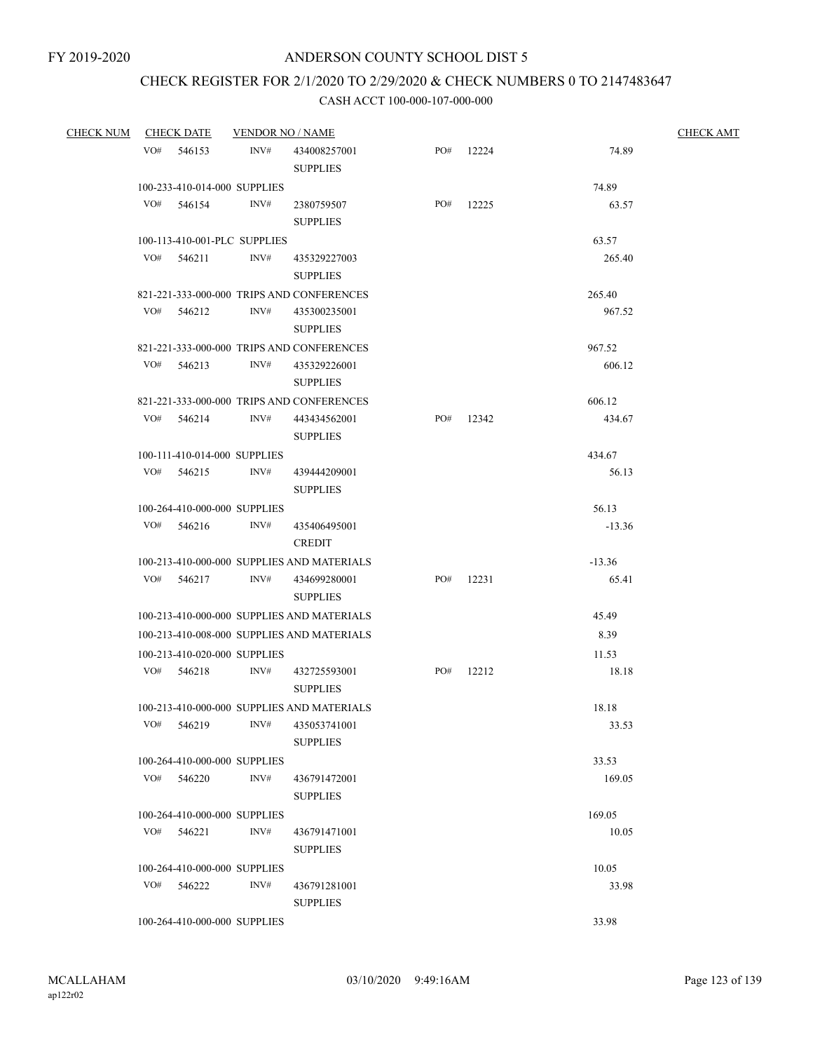# CHECK REGISTER FOR 2/1/2020 TO 2/29/2020 & CHECK NUMBERS 0 TO 2147483647

| CHECK NUM CHECK DATE |                              | <b>VENDOR NO / NAME</b> |                                            |     |           |          | <b>CHECK AMT</b> |
|----------------------|------------------------------|-------------------------|--------------------------------------------|-----|-----------|----------|------------------|
|                      | VO# 546153                   | INV#                    | 434008257001<br><b>SUPPLIES</b>            | PO# | 12224     | 74.89    |                  |
|                      | 100-233-410-014-000 SUPPLIES |                         |                                            |     |           | 74.89    |                  |
|                      | VO# 546154                   | INV#                    | 2380759507<br><b>SUPPLIES</b>              | PO# | 12225     | 63.57    |                  |
|                      | 100-113-410-001-PLC SUPPLIES |                         |                                            |     |           | 63.57    |                  |
|                      | $VO#$ 546211                 | INV#                    | 435329227003<br><b>SUPPLIES</b>            |     |           | 265.40   |                  |
|                      |                              |                         | 821-221-333-000-000 TRIPS AND CONFERENCES  |     |           | 265.40   |                  |
|                      | VO# 546212                   | INV#                    | 435300235001<br><b>SUPPLIES</b>            |     |           | 967.52   |                  |
|                      |                              |                         | 821-221-333-000-000 TRIPS AND CONFERENCES  |     |           | 967.52   |                  |
|                      | VO# 546213                   | INV#                    | 435329226001<br><b>SUPPLIES</b>            |     |           | 606.12   |                  |
|                      |                              |                         | 821-221-333-000-000 TRIPS AND CONFERENCES  |     |           | 606.12   |                  |
|                      | VO# 546214                   | INV#                    | 443434562001<br><b>SUPPLIES</b>            |     | PO# 12342 | 434.67   |                  |
|                      | 100-111-410-014-000 SUPPLIES |                         |                                            |     |           | 434.67   |                  |
|                      | VO# 546215                   | INV#                    | 439444209001<br><b>SUPPLIES</b>            |     |           | 56.13    |                  |
|                      | 100-264-410-000-000 SUPPLIES |                         |                                            |     |           | 56.13    |                  |
|                      | $VO#$ 546216                 | INV#                    | 435406495001<br><b>CREDIT</b>              |     |           | $-13.36$ |                  |
|                      |                              |                         | 100-213-410-000-000 SUPPLIES AND MATERIALS |     |           | $-13.36$ |                  |
|                      | VO# 546217                   | INV#                    | 434699280001<br><b>SUPPLIES</b>            |     | PO# 12231 | 65.41    |                  |
|                      |                              |                         | 100-213-410-000-000 SUPPLIES AND MATERIALS |     |           | 45.49    |                  |
|                      |                              |                         | 100-213-410-008-000 SUPPLIES AND MATERIALS |     |           | 8.39     |                  |
|                      | 100-213-410-020-000 SUPPLIES |                         |                                            |     |           | 11.53    |                  |
|                      | VO# 546218                   | INV#                    | 432725593001<br><b>SUPPLIES</b>            | PO# | 12212     | 18.18    |                  |
|                      |                              |                         | 100-213-410-000-000 SUPPLIES AND MATERIALS |     |           | 18.18    |                  |
|                      | VO# 546219                   |                         | INV# 435053741001<br><b>SUPPLIES</b>       |     |           | 33.53    |                  |
|                      | 100-264-410-000-000 SUPPLIES |                         |                                            |     |           | 33.53    |                  |
|                      | VO# 546220                   | INV#                    | 436791472001<br><b>SUPPLIES</b>            |     |           | 169.05   |                  |
|                      | 100-264-410-000-000 SUPPLIES |                         |                                            |     |           | 169.05   |                  |
|                      | VO# 546221                   | INV#                    | 436791471001<br><b>SUPPLIES</b>            |     |           | 10.05    |                  |
|                      | 100-264-410-000-000 SUPPLIES |                         |                                            |     |           | 10.05    |                  |
|                      | VO# 546222                   | INV#                    | 436791281001<br><b>SUPPLIES</b>            |     |           | 33.98    |                  |
|                      | 100-264-410-000-000 SUPPLIES |                         |                                            |     |           | 33.98    |                  |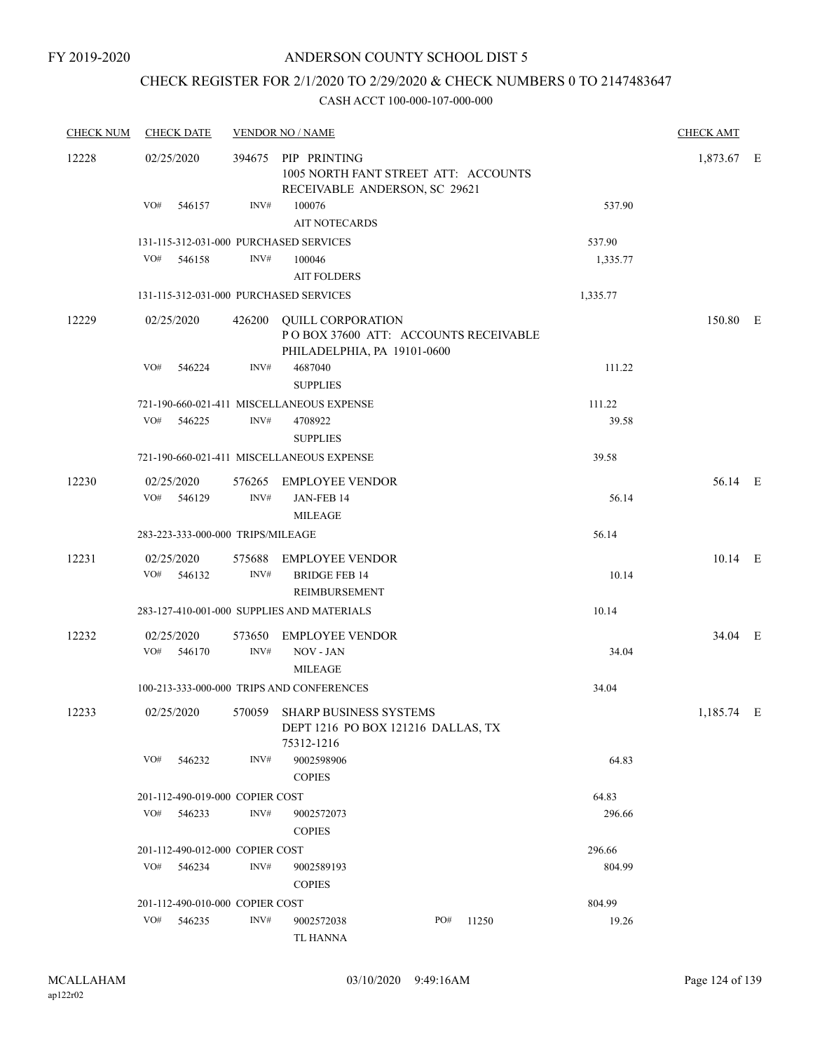### CHECK REGISTER FOR 2/1/2020 TO 2/29/2020 & CHECK NUMBERS 0 TO 2147483647

| <b>CHECK NUM</b> | <b>CHECK DATE</b>                 |        |                | <b>VENDOR NO / NAME</b>                                                                         |     |       |          | <b>CHECK AMT</b> |  |
|------------------|-----------------------------------|--------|----------------|-------------------------------------------------------------------------------------------------|-----|-------|----------|------------------|--|
| 12228            | 02/25/2020                        |        |                | 394675 PIP PRINTING<br>1005 NORTH FANT STREET ATT: ACCOUNTS<br>RECEIVABLE ANDERSON, SC 29621    |     |       |          | 1,873.67 E       |  |
|                  | VO#                               | 546157 | INV#           | 100076<br><b>AIT NOTECARDS</b>                                                                  |     |       | 537.90   |                  |  |
|                  |                                   |        |                | 131-115-312-031-000 PURCHASED SERVICES                                                          |     |       | 537.90   |                  |  |
|                  | VO#                               | 546158 | INV#           | 100046                                                                                          |     |       | 1,335.77 |                  |  |
|                  |                                   |        |                | <b>AIT FOLDERS</b>                                                                              |     |       |          |                  |  |
|                  |                                   |        |                | 131-115-312-031-000 PURCHASED SERVICES                                                          |     |       | 1,335.77 |                  |  |
| 12229            | 02/25/2020                        |        | 426200         | <b>QUILL CORPORATION</b><br>POBOX 37600 ATT: ACCOUNTS RECEIVABLE<br>PHILADELPHIA, PA 19101-0600 |     |       |          | 150.80 E         |  |
|                  | VO#                               | 546224 | INV#           | 4687040<br><b>SUPPLIES</b>                                                                      |     |       | 111.22   |                  |  |
|                  |                                   |        |                | 721-190-660-021-411 MISCELLANEOUS EXPENSE                                                       |     |       | 111.22   |                  |  |
|                  | VO#                               | 546225 | INV#           | 4708922<br><b>SUPPLIES</b>                                                                      |     |       | 39.58    |                  |  |
|                  |                                   |        |                | 721-190-660-021-411 MISCELLANEOUS EXPENSE                                                       |     |       | 39.58    |                  |  |
| 12230            | 02/25/2020<br>VO#                 |        | INV#           | 576265 EMPLOYEE VENDOR                                                                          |     |       |          | 56.14 E          |  |
|                  |                                   | 546129 |                | JAN-FEB 14<br><b>MILEAGE</b>                                                                    |     |       | 56.14    |                  |  |
|                  | 283-223-333-000-000 TRIPS/MILEAGE |        |                |                                                                                                 |     |       | 56.14    |                  |  |
| 12231            | 02/25/2020                        |        |                | 575688 EMPLOYEE VENDOR                                                                          |     |       |          | 10.14 E          |  |
|                  | VO#                               | 546132 | INV#           | <b>BRIDGE FEB 14</b><br>REIMBURSEMENT                                                           |     |       | 10.14    |                  |  |
|                  |                                   |        |                | 283-127-410-001-000 SUPPLIES AND MATERIALS                                                      |     |       | 10.14    |                  |  |
| 12232            | 02/25/2020<br>VO#                 | 546170 | 573650<br>INV# | <b>EMPLOYEE VENDOR</b><br>NOV - JAN<br><b>MILEAGE</b>                                           |     |       | 34.04    | 34.04 E          |  |
|                  |                                   |        |                | 100-213-333-000-000 TRIPS AND CONFERENCES                                                       |     |       | 34.04    |                  |  |
| 12233            | 02/25/2020                        |        | 570059         | SHARP BUSINESS SYSTEMS<br>DEPT 1216 PO BOX 121216 DALLAS, TX<br>75312-1216                      |     |       |          | 1,185.74 E       |  |
|                  | VO#                               | 546232 | INV#           | 9002598906<br><b>COPIES</b>                                                                     |     |       | 64.83    |                  |  |
|                  | 201-112-490-019-000 COPIER COST   |        |                |                                                                                                 |     |       | 64.83    |                  |  |
|                  | VO#                               | 546233 | INV#           | 9002572073<br><b>COPIES</b>                                                                     |     |       | 296.66   |                  |  |
|                  | 201-112-490-012-000 COPIER COST   |        |                |                                                                                                 |     |       | 296.66   |                  |  |
|                  | VO#                               | 546234 | INV#           | 9002589193<br><b>COPIES</b>                                                                     |     |       | 804.99   |                  |  |
|                  | 201-112-490-010-000 COPIER COST   |        |                |                                                                                                 |     |       | 804.99   |                  |  |
|                  | VO#                               | 546235 | INV#           | 9002572038                                                                                      | PO# | 11250 | 19.26    |                  |  |
|                  |                                   |        |                | TL HANNA                                                                                        |     |       |          |                  |  |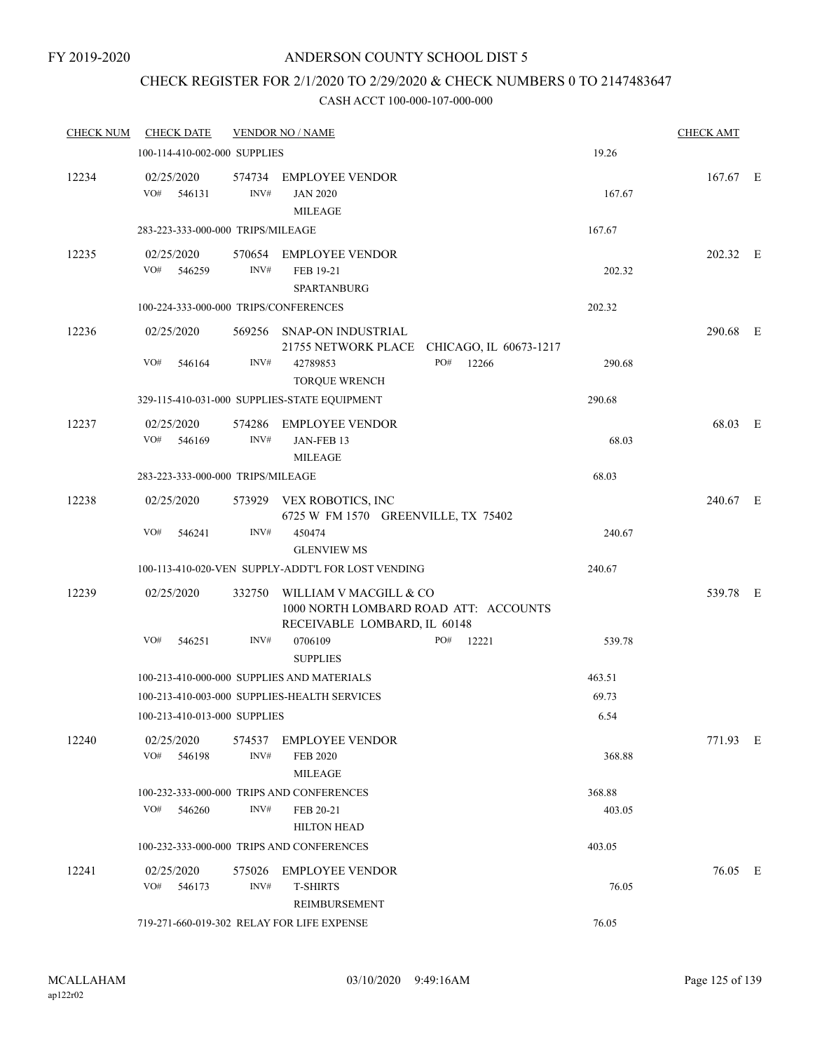# CHECK REGISTER FOR 2/1/2020 TO 2/29/2020 & CHECK NUMBERS 0 TO 2147483647

| <b>CHECK NUM</b> | <b>CHECK DATE</b>                     |                | <b>VENDOR NO / NAME</b>                                         |                                            |        | <b>CHECK AMT</b> |  |
|------------------|---------------------------------------|----------------|-----------------------------------------------------------------|--------------------------------------------|--------|------------------|--|
|                  | 100-114-410-002-000 SUPPLIES          |                |                                                                 |                                            | 19.26  |                  |  |
| 12234            | 02/25/2020<br>VO#<br>546131           | INV#           | 574734 EMPLOYEE VENDOR<br><b>JAN 2020</b><br><b>MILEAGE</b>     |                                            | 167.67 | $167.67$ E       |  |
|                  | 283-223-333-000-000 TRIPS/MILEAGE     |                |                                                                 |                                            | 167.67 |                  |  |
| 12235            | 02/25/2020<br>VO#<br>546259           | INV#           | 570654 EMPLOYEE VENDOR<br>FEB 19-21<br><b>SPARTANBURG</b>       |                                            | 202.32 | 202.32 E         |  |
|                  | 100-224-333-000-000 TRIPS/CONFERENCES |                |                                                                 |                                            | 202.32 |                  |  |
| 12236            | 02/25/2020                            |                | 569256 SNAP-ON INDUSTRIAL                                       | 21755 NETWORK PLACE CHICAGO, IL 60673-1217 |        | 290.68 E         |  |
|                  | VO#<br>546164                         | INV#           | 42789853<br><b>TORQUE WRENCH</b>                                | PO# 12266                                  | 290.68 |                  |  |
|                  |                                       |                | 329-115-410-031-000 SUPPLIES-STATE EQUIPMENT                    |                                            | 290.68 |                  |  |
| 12237            | 02/25/2020<br>VO#<br>546169           | INV#           | 574286 EMPLOYEE VENDOR<br>JAN-FEB 13<br><b>MILEAGE</b>          |                                            | 68.03  | 68.03 E          |  |
|                  | 283-223-333-000-000 TRIPS/MILEAGE     |                |                                                                 |                                            | 68.03  |                  |  |
| 12238            | 02/25/2020                            |                | 573929 VEX ROBOTICS, INC<br>6725 W FM 1570 GREENVILLE, TX 75402 |                                            |        | 240.67 E         |  |
|                  | VO#<br>546241                         | INV#           | 450474<br><b>GLENVIEW MS</b>                                    |                                            | 240.67 |                  |  |
|                  |                                       |                | 100-113-410-020-VEN SUPPLY-ADDT'L FOR LOST VENDING              |                                            | 240.67 |                  |  |
| 12239            | 02/25/2020                            | 332750         | WILLIAM V MACGILL & CO<br>RECEIVABLE LOMBARD, IL 60148          | 1000 NORTH LOMBARD ROAD ATT: ACCOUNTS      |        | 539.78 E         |  |
|                  | VO#<br>546251                         | INV#           | 0706109<br><b>SUPPLIES</b>                                      | PO#<br>12221                               | 539.78 |                  |  |
|                  |                                       |                | 100-213-410-000-000 SUPPLIES AND MATERIALS                      |                                            | 463.51 |                  |  |
|                  |                                       |                | 100-213-410-003-000 SUPPLIES-HEALTH SERVICES                    |                                            | 69.73  |                  |  |
|                  | 100-213-410-013-000 SUPPLIES          |                |                                                                 |                                            | 6.54   |                  |  |
| 12240            | 02/25/2020<br>VO#<br>546198           | 574537<br>INV# | <b>EMPLOYEE VENDOR</b><br><b>FEB 2020</b><br><b>MILEAGE</b>     |                                            | 368.88 | 771.93 E         |  |
|                  |                                       |                | 100-232-333-000-000 TRIPS AND CONFERENCES                       |                                            | 368.88 |                  |  |
|                  | VO#<br>546260                         | INV#           | FEB 20-21<br><b>HILTON HEAD</b>                                 |                                            | 403.05 |                  |  |
|                  |                                       |                | 100-232-333-000-000 TRIPS AND CONFERENCES                       |                                            | 403.05 |                  |  |
| 12241            | 02/25/2020<br>VO#<br>546173           | 575026<br>INV# | <b>EMPLOYEE VENDOR</b><br><b>T-SHIRTS</b><br>REIMBURSEMENT      |                                            | 76.05  | 76.05 E          |  |
|                  |                                       |                | 719-271-660-019-302 RELAY FOR LIFE EXPENSE                      |                                            | 76.05  |                  |  |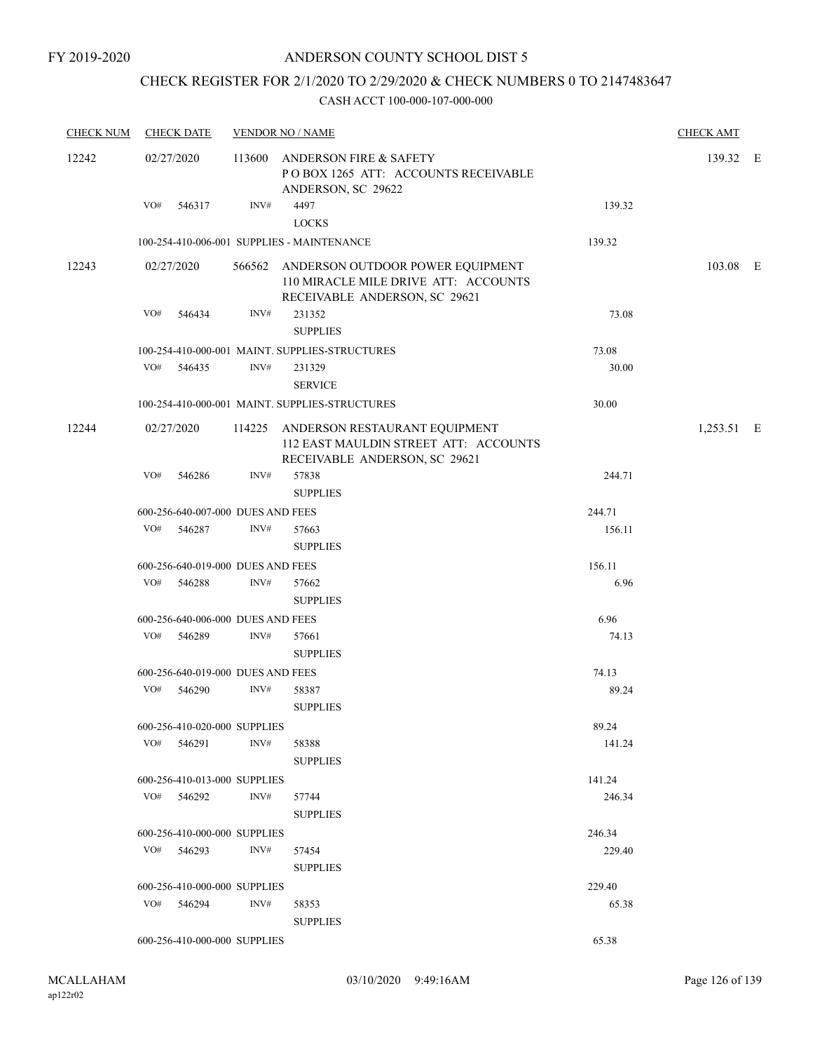# CHECK REGISTER FOR 2/1/2020 TO 2/29/2020 & CHECK NUMBERS 0 TO 2147483647

| <b>CHECK NUM</b> | <b>CHECK DATE</b>                 |      | <b>VENDOR NO / NAME</b>                                                                                          |        |            |  |  |
|------------------|-----------------------------------|------|------------------------------------------------------------------------------------------------------------------|--------|------------|--|--|
| 12242            | 02/27/2020                        |      | 113600 ANDERSON FIRE & SAFETY<br>POBOX 1265 ATT: ACCOUNTS RECEIVABLE<br>ANDERSON, SC 29622                       |        | 139.32 E   |  |  |
|                  | VO# 546317                        | INV# | 4497<br><b>LOCKS</b>                                                                                             | 139.32 |            |  |  |
|                  |                                   |      | 100-254-410-006-001 SUPPLIES - MAINTENANCE                                                                       | 139.32 |            |  |  |
| 12243            | 02/27/2020                        |      | 566562 ANDERSON OUTDOOR POWER EQUIPMENT<br>110 MIRACLE MILE DRIVE ATT: ACCOUNTS<br>RECEIVABLE ANDERSON, SC 29621 |        | 103.08 E   |  |  |
|                  | VO# 546434                        | INV# | 231352<br><b>SUPPLIES</b>                                                                                        | 73.08  |            |  |  |
|                  |                                   |      |                                                                                                                  | 73.08  |            |  |  |
|                  | VO# 546435                        | INV# | 100-254-410-000-001 MAINT. SUPPLIES-STRUCTURES<br>231329<br><b>SERVICE</b>                                       | 30.00  |            |  |  |
|                  |                                   |      | 100-254-410-000-001 MAINT. SUPPLIES-STRUCTURES                                                                   | 30.00  |            |  |  |
| 12244            | 02/27/2020                        |      | 114225 ANDERSON RESTAURANT EQUIPMENT<br>112 EAST MAULDIN STREET ATT: ACCOUNTS<br>RECEIVABLE ANDERSON, SC 29621   |        | 1,253.51 E |  |  |
|                  | VO# 546286                        | INV# | 57838<br><b>SUPPLIES</b>                                                                                         | 244.71 |            |  |  |
|                  | 600-256-640-007-000 DUES AND FEES |      |                                                                                                                  | 244.71 |            |  |  |
|                  | VO# 546287                        | INV# | 57663<br><b>SUPPLIES</b>                                                                                         | 156.11 |            |  |  |
|                  | 600-256-640-019-000 DUES AND FEES |      |                                                                                                                  | 156.11 |            |  |  |
|                  | VO# 546288                        | INV# | 57662<br><b>SUPPLIES</b>                                                                                         | 6.96   |            |  |  |
|                  | 600-256-640-006-000 DUES AND FEES |      |                                                                                                                  | 6.96   |            |  |  |
|                  | VO# 546289                        | INV# | 57661<br><b>SUPPLIES</b>                                                                                         | 74.13  |            |  |  |
|                  | 600-256-640-019-000 DUES AND FEES |      |                                                                                                                  | 74.13  |            |  |  |
|                  | VO# 546290                        | INV# | 58387<br><b>SUPPLIES</b>                                                                                         | 89.24  |            |  |  |
|                  | 600-256-410-020-000 SUPPLIES      |      |                                                                                                                  | 89.24  |            |  |  |
|                  | VO# 546291                        | INV# | 58388<br><b>SUPPLIES</b>                                                                                         | 141.24 |            |  |  |
|                  | 600-256-410-013-000 SUPPLIES      |      |                                                                                                                  | 141.24 |            |  |  |
|                  | VO# 546292                        | INV# | 57744<br><b>SUPPLIES</b>                                                                                         | 246.34 |            |  |  |
|                  | 600-256-410-000-000 SUPPLIES      |      |                                                                                                                  | 246.34 |            |  |  |
|                  | VO# 546293                        | INV# | 57454<br><b>SUPPLIES</b>                                                                                         | 229.40 |            |  |  |
|                  | 600-256-410-000-000 SUPPLIES      |      |                                                                                                                  | 229.40 |            |  |  |
|                  | VO# 546294                        | INV# | 58353<br><b>SUPPLIES</b>                                                                                         | 65.38  |            |  |  |
|                  | 600-256-410-000-000 SUPPLIES      |      |                                                                                                                  | 65.38  |            |  |  |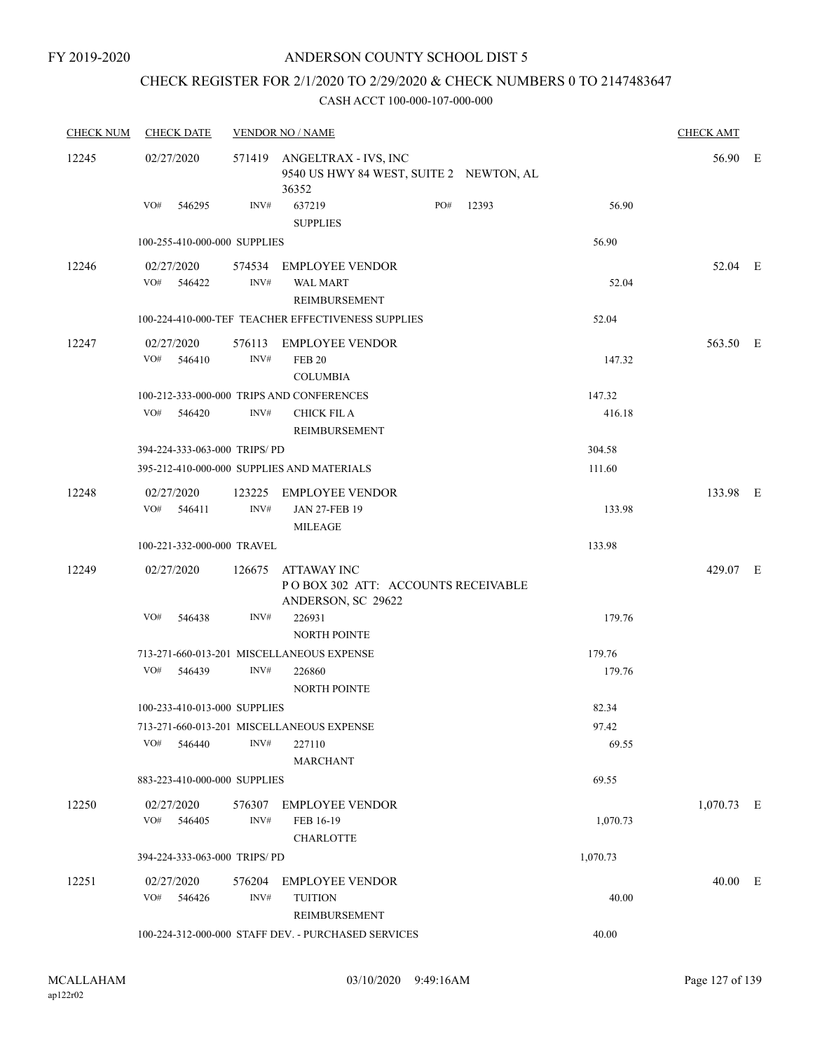### CHECK REGISTER FOR 2/1/2020 TO 2/29/2020 & CHECK NUMBERS 0 TO 2147483647

| <b>CHECK NUM</b> | <b>CHECK DATE</b>            |                | <b>VENDOR NO / NAME</b>                                                          |     |       |                  | <b>CHECK AMT</b> |  |
|------------------|------------------------------|----------------|----------------------------------------------------------------------------------|-----|-------|------------------|------------------|--|
| 12245            | 02/27/2020                   |                | 571419 ANGELTRAX - IVS, INC<br>9540 US HWY 84 WEST, SUITE 2 NEWTON, AL<br>36352  |     |       |                  | 56.90 E          |  |
|                  | VO# 546295                   | INV#           | 637219<br><b>SUPPLIES</b>                                                        | PO# | 12393 | 56.90            |                  |  |
|                  | 100-255-410-000-000 SUPPLIES |                |                                                                                  |     |       | 56.90            |                  |  |
| 12246            | 02/27/2020<br>VO# 546422     | INV#           | 574534 EMPLOYEE VENDOR<br><b>WAL MART</b><br><b>REIMBURSEMENT</b>                |     |       | 52.04            | 52.04 E          |  |
|                  |                              |                | 100-224-410-000-TEF TEACHER EFFECTIVENESS SUPPLIES                               |     |       | 52.04            |                  |  |
| 12247            | 02/27/2020<br>VO# 546410     | INV#           | 576113 EMPLOYEE VENDOR<br><b>FEB 20</b><br><b>COLUMBIA</b>                       |     |       | 147.32           | 563.50 E         |  |
|                  | VO# 546420                   | INV#           | 100-212-333-000-000 TRIPS AND CONFERENCES<br><b>CHICK FIL A</b><br>REIMBURSEMENT |     |       | 147.32<br>416.18 |                  |  |
|                  | 394-224-333-063-000 TRIPS/PD |                |                                                                                  |     |       | 304.58           |                  |  |
|                  |                              |                | 395-212-410-000-000 SUPPLIES AND MATERIALS                                       |     |       | 111.60           |                  |  |
| 12248            | 02/27/2020<br>VO# 546411     | INV#           | 123225 EMPLOYEE VENDOR<br><b>JAN 27-FEB 19</b><br><b>MILEAGE</b>                 |     |       | 133.98           | 133.98 E         |  |
|                  | 100-221-332-000-000 TRAVEL   |                |                                                                                  |     |       | 133.98           |                  |  |
| 12249            | 02/27/2020                   |                | 126675 ATTAWAY INC<br>POBOX 302 ATT: ACCOUNTS RECEIVABLE<br>ANDERSON, SC 29622   |     |       |                  | 429.07 E         |  |
|                  | VO#<br>546438                | INV#           | 226931<br><b>NORTH POINTE</b>                                                    |     |       | 179.76           |                  |  |
|                  |                              |                | 713-271-660-013-201 MISCELLANEOUS EXPENSE                                        |     |       | 179.76           |                  |  |
|                  | VO# 546439                   | INV#           | 226860<br><b>NORTH POINTE</b>                                                    |     |       | 179.76           |                  |  |
|                  | 100-233-410-013-000 SUPPLIES |                |                                                                                  |     |       | 82.34            |                  |  |
|                  | VO#<br>546440                | INV#           | 713-271-660-013-201 MISCELLANEOUS EXPENSE<br>227110<br><b>MARCHANT</b>           |     |       | 97.42<br>69.55   |                  |  |
|                  | 883-223-410-000-000 SUPPLIES |                |                                                                                  |     |       | 69.55            |                  |  |
| 12250            | 02/27/2020<br>VO# 546405     | 576307<br>INV# | <b>EMPLOYEE VENDOR</b><br>FEB 16-19<br><b>CHARLOTTE</b>                          |     |       | 1,070.73         | $1,070.73$ E     |  |
|                  | 394-224-333-063-000 TRIPS/PD |                |                                                                                  |     |       | 1,070.73         |                  |  |
| 12251            | 02/27/2020<br>VO# 546426     | 576204<br>INV# | <b>EMPLOYEE VENDOR</b><br><b>TUITION</b><br>REIMBURSEMENT                        |     |       | 40.00            | 40.00 E          |  |
|                  |                              |                | 100-224-312-000-000 STAFF DEV. - PURCHASED SERVICES                              |     |       | 40.00            |                  |  |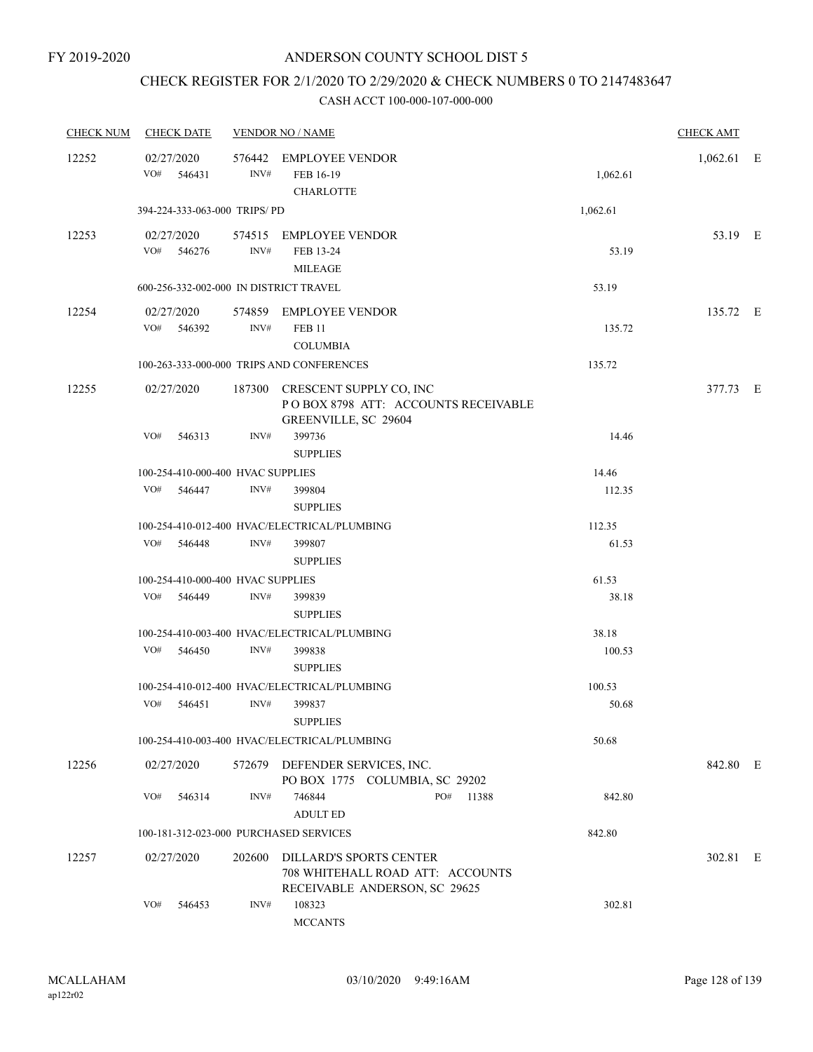## CHECK REGISTER FOR 2/1/2020 TO 2/29/2020 & CHECK NUMBERS 0 TO 2147483647

| <b>CHECK NUM</b> | <b>CHECK DATE</b>                      |                | <b>VENDOR NO / NAME</b>                                                                             |          | <b>CHECK AMT</b> |  |
|------------------|----------------------------------------|----------------|-----------------------------------------------------------------------------------------------------|----------|------------------|--|
| 12252            | 02/27/2020<br>VO#<br>546431            | 576442<br>INV# | EMPLOYEE VENDOR<br>FEB 16-19<br><b>CHARLOTTE</b>                                                    | 1,062.61 | $1,062.61$ E     |  |
|                  | 394-224-333-063-000 TRIPS/PD           |                |                                                                                                     | 1,062.61 |                  |  |
| 12253            | 02/27/2020<br>VO# 546276               | INV#           | 574515 EMPLOYEE VENDOR<br>FEB 13-24<br><b>MILEAGE</b>                                               | 53.19    | 53.19 E          |  |
|                  | 600-256-332-002-000 IN DISTRICT TRAVEL |                |                                                                                                     | 53.19    |                  |  |
| 12254            | 02/27/2020<br>VO# 546392               | INV#           | 574859 EMPLOYEE VENDOR<br><b>FEB 11</b><br><b>COLUMBIA</b>                                          | 135.72   | 135.72 E         |  |
|                  |                                        |                | 100-263-333-000-000 TRIPS AND CONFERENCES                                                           | 135.72   |                  |  |
| 12255            | 02/27/2020                             |                | 187300 CRESCENT SUPPLY CO, INC<br>POBOX 8798 ATT: ACCOUNTS RECEIVABLE<br>GREENVILLE, SC 29604       |          | 377.73 E         |  |
|                  | VO#<br>546313                          | INV#           | 399736<br><b>SUPPLIES</b>                                                                           | 14.46    |                  |  |
|                  | 100-254-410-000-400 HVAC SUPPLIES      |                |                                                                                                     | 14.46    |                  |  |
|                  | VO# 546447                             | INV#           | 399804<br><b>SUPPLIES</b>                                                                           | 112.35   |                  |  |
|                  |                                        |                | 100-254-410-012-400 HVAC/ELECTRICAL/PLUMBING                                                        | 112.35   |                  |  |
|                  | VO# 546448                             | INV#           | 399807<br><b>SUPPLIES</b>                                                                           | 61.53    |                  |  |
|                  | 100-254-410-000-400 HVAC SUPPLIES      |                |                                                                                                     | 61.53    |                  |  |
|                  | VO#<br>546449                          | INV#           | 399839<br><b>SUPPLIES</b>                                                                           | 38.18    |                  |  |
|                  |                                        |                | 100-254-410-003-400 HVAC/ELECTRICAL/PLUMBING                                                        | 38.18    |                  |  |
|                  | VO#<br>546450                          | INV#           | 399838<br><b>SUPPLIES</b>                                                                           | 100.53   |                  |  |
|                  |                                        |                | 100-254-410-012-400 HVAC/ELECTRICAL/PLUMBING                                                        | 100.53   |                  |  |
|                  | VO# 546451                             | INV#           | 399837<br><b>SUPPLIES</b>                                                                           | 50.68    |                  |  |
|                  |                                        |                | 100-254-410-003-400 HVAC/ELECTRICAL/PLUMBING                                                        | 50.68    |                  |  |
| 12256            | 02/27/2020                             |                | 572679 DEFENDER SERVICES, INC.<br>PO BOX 1775 COLUMBIA, SC 29202                                    |          | 842.80 E         |  |
|                  | VO#<br>546314                          | INV#           | 746844<br>PO#<br>11388<br><b>ADULT ED</b>                                                           | 842.80   |                  |  |
|                  | 100-181-312-023-000 PURCHASED SERVICES |                |                                                                                                     | 842.80   |                  |  |
| 12257            | 02/27/2020                             |                | 202600 DILLARD'S SPORTS CENTER<br>708 WHITEHALL ROAD ATT: ACCOUNTS<br>RECEIVABLE ANDERSON, SC 29625 |          | 302.81 E         |  |
|                  | VO#<br>546453                          | INV#           | 108323<br><b>MCCANTS</b>                                                                            | 302.81   |                  |  |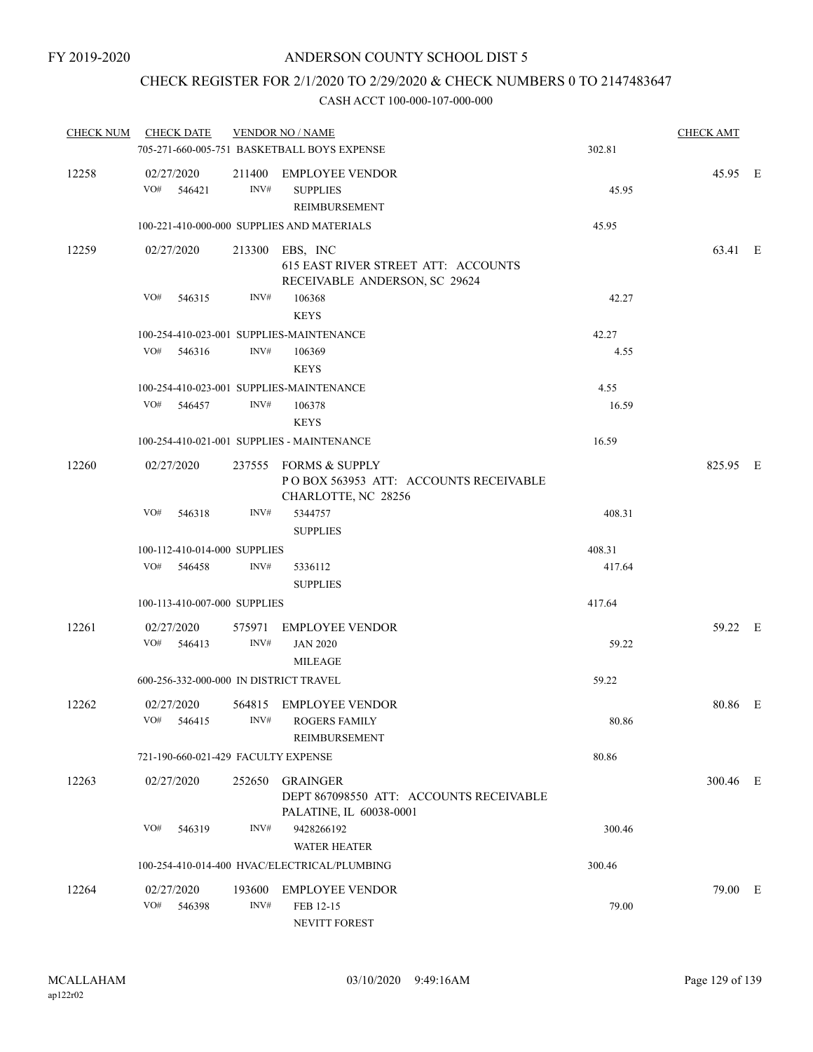# CHECK REGISTER FOR 2/1/2020 TO 2/29/2020 & CHECK NUMBERS 0 TO 2147483647

| <b>CHECK NUM</b> | <b>CHECK DATE</b>                        |        | <b>VENDOR NO / NAME</b>                                                                 |        | <b>CHECK AMT</b> |  |
|------------------|------------------------------------------|--------|-----------------------------------------------------------------------------------------|--------|------------------|--|
|                  |                                          |        | 705-271-660-005-751 BASKETBALL BOYS EXPENSE                                             | 302.81 |                  |  |
| 12258            | 02/27/2020<br>VO#<br>546421              | INV#   | 211400 EMPLOYEE VENDOR<br><b>SUPPLIES</b><br>REIMBURSEMENT                              | 45.95  | 45.95 E          |  |
|                  |                                          |        | 100-221-410-000-000 SUPPLIES AND MATERIALS                                              | 45.95  |                  |  |
| 12259            | 02/27/2020                               |        | 213300 EBS, INC<br>615 EAST RIVER STREET ATT: ACCOUNTS<br>RECEIVABLE ANDERSON, SC 29624 |        | 63.41 E          |  |
|                  | VO#<br>546315                            | INV#   | 106368<br><b>KEYS</b>                                                                   | 42.27  |                  |  |
|                  | 100-254-410-023-001 SUPPLIES-MAINTENANCE |        |                                                                                         | 42.27  |                  |  |
|                  | VO#<br>546316                            | INV#   | 106369<br><b>KEYS</b>                                                                   | 4.55   |                  |  |
|                  | 100-254-410-023-001 SUPPLIES-MAINTENANCE |        |                                                                                         | 4.55   |                  |  |
|                  | VO#<br>546457                            | INV#   | 106378<br><b>KEYS</b>                                                                   | 16.59  |                  |  |
|                  |                                          |        | 100-254-410-021-001 SUPPLIES - MAINTENANCE                                              | 16.59  |                  |  |
| 12260            | 02/27/2020                               |        | 237555 FORMS & SUPPLY<br>POBOX 563953 ATT: ACCOUNTS RECEIVABLE<br>CHARLOTTE, NC 28256   |        | 825.95 E         |  |
|                  | VO#<br>546318                            | INV#   | 5344757<br><b>SUPPLIES</b>                                                              | 408.31 |                  |  |
|                  | 100-112-410-014-000 SUPPLIES             |        |                                                                                         | 408.31 |                  |  |
|                  | VO#<br>546458                            | INV#   | 5336112<br><b>SUPPLIES</b>                                                              | 417.64 |                  |  |
|                  | 100-113-410-007-000 SUPPLIES             |        |                                                                                         | 417.64 |                  |  |
| 12261            | 02/27/2020                               | 575971 | <b>EMPLOYEE VENDOR</b>                                                                  |        | 59.22 E          |  |
|                  | VO#<br>546413                            | INV#   | <b>JAN 2020</b><br><b>MILEAGE</b>                                                       | 59.22  |                  |  |
|                  | 600-256-332-000-000 IN DISTRICT TRAVEL   |        |                                                                                         | 59.22  |                  |  |
| 12262            | 02/27/2020                               |        | 564815 EMPLOYEE VENDOR<br>VO# 546415 INV# ROGERS FAMILY<br>REIMBURSEMENT                | 80.86  | 80.86 E          |  |
|                  | 721-190-660-021-429 FACULTY EXPENSE      |        |                                                                                         | 80.86  |                  |  |
| 12263            | 02/27/2020                               |        | 252650 GRAINGER<br>DEPT 867098550 ATT: ACCOUNTS RECEIVABLE<br>PALATINE, IL 60038-0001   |        | 300.46 E         |  |
|                  | VO#<br>546319                            | INV#   | 9428266192<br><b>WATER HEATER</b>                                                       | 300.46 |                  |  |
|                  |                                          |        | 100-254-410-014-400 HVAC/ELECTRICAL/PLUMBING                                            | 300.46 |                  |  |
| 12264            | 02/27/2020<br>VO#<br>546398              | INV#   | 193600 EMPLOYEE VENDOR<br>FEB 12-15<br>NEVITT FOREST                                    | 79.00  | 79.00 E          |  |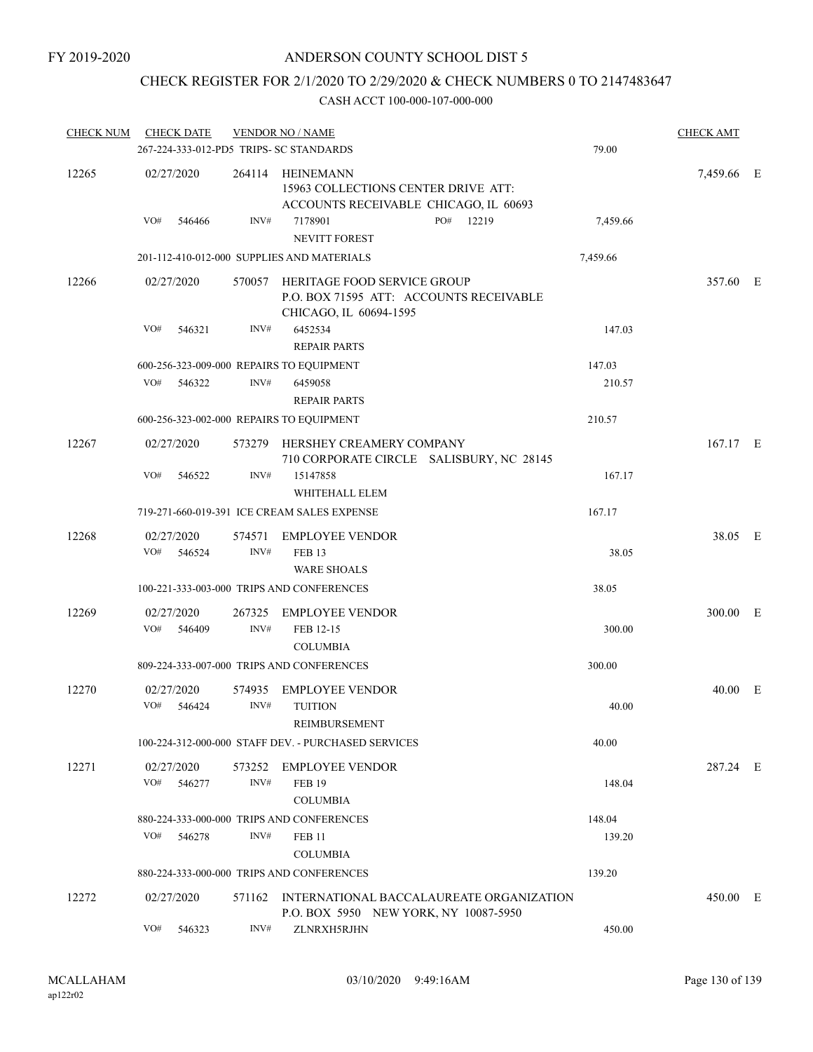## CHECK REGISTER FOR 2/1/2020 TO 2/29/2020 & CHECK NUMBERS 0 TO 2147483647

| <b>CHECK NUM</b> | <b>CHECK DATE</b> |                                         | <b>VENDOR NO / NAME</b>                                                                                 |              |          | <b>CHECK AMT</b> |   |
|------------------|-------------------|-----------------------------------------|---------------------------------------------------------------------------------------------------------|--------------|----------|------------------|---|
|                  |                   | 267-224-333-012-PD5 TRIPS- SC STANDARDS |                                                                                                         |              | 79.00    |                  |   |
| 12265            | 02/27/2020        |                                         | 264114 HEINEMANN<br>15963 COLLECTIONS CENTER DRIVE ATT:<br>ACCOUNTS RECEIVABLE CHICAGO, IL 60693        |              |          | 7,459.66 E       |   |
|                  | VO#<br>546466     | INV#                                    | 7178901<br><b>NEVITT FOREST</b>                                                                         | PO#<br>12219 | 7,459.66 |                  |   |
|                  |                   |                                         | 201-112-410-012-000 SUPPLIES AND MATERIALS                                                              |              | 7,459.66 |                  |   |
| 12266            | 02/27/2020        |                                         | 570057 HERITAGE FOOD SERVICE GROUP<br>P.O. BOX 71595 ATT: ACCOUNTS RECEIVABLE<br>CHICAGO, IL 60694-1595 |              |          | 357.60 E         |   |
|                  | VO#<br>546321     | INV#                                    | 6452534<br><b>REPAIR PARTS</b>                                                                          |              | 147.03   |                  |   |
|                  |                   |                                         | 600-256-323-009-000 REPAIRS TO EQUIPMENT                                                                |              | 147.03   |                  |   |
|                  | VO#               | 546322<br>INV#                          | 6459058                                                                                                 |              | 210.57   |                  |   |
|                  |                   |                                         | <b>REPAIR PARTS</b>                                                                                     |              |          |                  |   |
|                  |                   |                                         | 600-256-323-002-000 REPAIRS TO EQUIPMENT                                                                |              | 210.57   |                  |   |
| 12267            | 02/27/2020        |                                         | 573279 HERSHEY CREAMERY COMPANY<br>710 CORPORATE CIRCLE SALISBURY, NC 28145                             |              |          | 167.17 E         |   |
|                  | VO#               | INV#<br>546522                          | 15147858<br>WHITEHALL ELEM                                                                              |              | 167.17   |                  |   |
|                  |                   |                                         | 719-271-660-019-391 ICE CREAM SALES EXPENSE                                                             |              | 167.17   |                  |   |
| 12268            | 02/27/2020        | 574571                                  | <b>EMPLOYEE VENDOR</b>                                                                                  |              |          | 38.05 E          |   |
|                  | VO#<br>546524     | INV#                                    | <b>FEB 13</b>                                                                                           |              | 38.05    |                  |   |
|                  |                   |                                         | <b>WARE SHOALS</b>                                                                                      |              |          |                  |   |
|                  |                   |                                         | 100-221-333-003-000 TRIPS AND CONFERENCES                                                               |              | 38.05    |                  |   |
|                  |                   |                                         |                                                                                                         |              |          |                  |   |
| 12269            | 02/27/2020        | 267325                                  | <b>EMPLOYEE VENDOR</b>                                                                                  |              |          | 300.00           | E |
|                  | VO#<br>546409     | INV#                                    | FEB 12-15                                                                                               |              | 300.00   |                  |   |
|                  |                   |                                         | <b>COLUMBIA</b>                                                                                         |              |          |                  |   |
|                  |                   |                                         | 809-224-333-007-000 TRIPS AND CONFERENCES                                                               |              | 300.00   |                  |   |
| 12270            | 02/27/2020        | 574935                                  | <b>EMPLOYEE VENDOR</b>                                                                                  |              |          | 40.00 E          |   |
|                  | VO#<br>546424     | INV#                                    | <b>TUITION</b>                                                                                          |              | 40.00    |                  |   |
|                  |                   |                                         | REIMBURSEMENT                                                                                           |              |          |                  |   |
|                  |                   |                                         | 100-224-312-000-000 STAFF DEV. - PURCHASED SERVICES                                                     |              | 40.00    |                  |   |
| 12271            | 02/27/2020        | 573252                                  | EMPLOYEE VENDOR                                                                                         |              |          | 287.24 E         |   |
|                  | VO#<br>546277     | INV#                                    | <b>FEB 19</b>                                                                                           |              | 148.04   |                  |   |
|                  |                   |                                         | <b>COLUMBIA</b>                                                                                         |              |          |                  |   |
|                  |                   |                                         | 880-224-333-000-000 TRIPS AND CONFERENCES                                                               |              | 148.04   |                  |   |
|                  | VO#               | INV#<br>546278                          | <b>FEB 11</b>                                                                                           |              | 139.20   |                  |   |
|                  |                   |                                         | <b>COLUMBIA</b>                                                                                         |              |          |                  |   |
|                  |                   |                                         | 880-224-333-000-000 TRIPS AND CONFERENCES                                                               |              | 139.20   |                  |   |
| 12272            | 02/27/2020        |                                         | 571162 INTERNATIONAL BACCALAUREATE ORGANIZATION<br>P.O. BOX 5950 NEW YORK, NY 10087-5950                |              |          | 450.00 E         |   |
|                  | VO#               | INV#<br>546323                          | ZLNRXH5RJHN                                                                                             |              | 450.00   |                  |   |
|                  |                   |                                         |                                                                                                         |              |          |                  |   |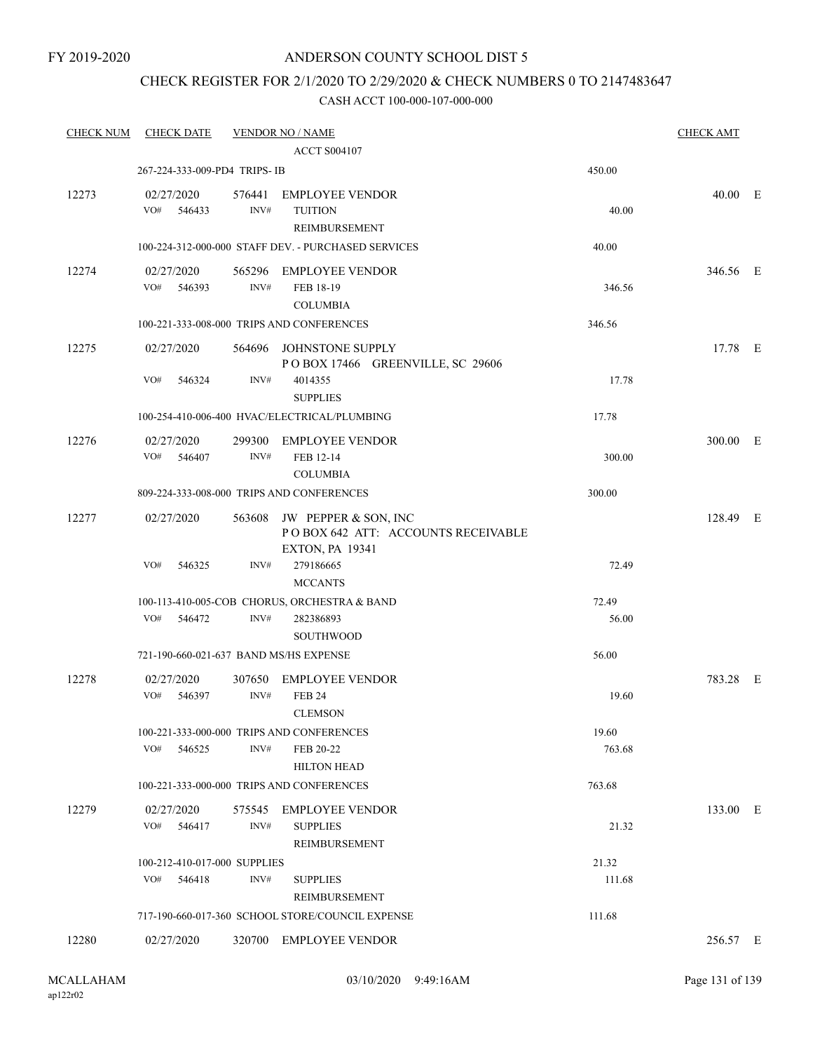### CHECK REGISTER FOR 2/1/2020 TO 2/29/2020 & CHECK NUMBERS 0 TO 2147483647

| <b>CHECK NUM</b> | <b>CHECK DATE</b>                      |                | <b>VENDOR NO / NAME</b>                                                                     |                 | <b>CHECK AMT</b> |  |
|------------------|----------------------------------------|----------------|---------------------------------------------------------------------------------------------|-----------------|------------------|--|
|                  |                                        |                | <b>ACCT S004107</b>                                                                         |                 |                  |  |
|                  | 267-224-333-009-PD4 TRIPS-IB           |                |                                                                                             | 450.00          |                  |  |
| 12273            | 02/27/2020<br>VO#<br>546433            | INV#           | 576441 EMPLOYEE VENDOR<br><b>TUITION</b><br>REIMBURSEMENT                                   | 40.00           | 40.00 E          |  |
|                  |                                        |                | 100-224-312-000-000 STAFF DEV. - PURCHASED SERVICES                                         | 40.00           |                  |  |
| 12274            | 02/27/2020<br>VO#<br>546393            | INV#           | 565296 EMPLOYEE VENDOR<br>FEB 18-19<br><b>COLUMBIA</b>                                      | 346.56          | 346.56 E         |  |
|                  |                                        |                | 100-221-333-008-000 TRIPS AND CONFERENCES                                                   | 346.56          |                  |  |
| 12275            | 02/27/2020<br>VO#<br>546324            | 564696<br>INV# | JOHNSTONE SUPPLY<br>POBOX 17466 GREENVILLE, SC 29606<br>4014355                             | 17.78           | 17.78 E          |  |
|                  |                                        |                | <b>SUPPLIES</b><br>100-254-410-006-400 HVAC/ELECTRICAL/PLUMBING                             | 17.78           |                  |  |
| 12276            | 02/27/2020<br>VO# 546407               | INV#           | 299300 EMPLOYEE VENDOR<br>FEB 12-14<br><b>COLUMBIA</b>                                      | 300.00          | 300.00 E         |  |
|                  |                                        |                | 809-224-333-008-000 TRIPS AND CONFERENCES                                                   | 300.00          |                  |  |
| 12277            | 02/27/2020                             |                | 563608 JW PEPPER & SON, INC<br>POBOX 642 ATT: ACCOUNTS RECEIVABLE<br><b>EXTON, PA 19341</b> |                 | 128.49 E         |  |
|                  | VO#<br>546325                          | INV#           | 279186665<br><b>MCCANTS</b>                                                                 | 72.49           |                  |  |
|                  | VO#<br>546472                          | INV#           | 100-113-410-005-COB CHORUS, ORCHESTRA & BAND<br>282386893<br><b>SOUTHWOOD</b>               | 72.49<br>56.00  |                  |  |
|                  | 721-190-660-021-637 BAND MS/HS EXPENSE |                |                                                                                             | 56.00           |                  |  |
| 12278            | 02/27/2020<br>VO#<br>546397            | INV#           | 307650 EMPLOYEE VENDOR<br><b>FEB 24</b><br><b>CLEMSON</b>                                   | 19.60           | 783.28 E         |  |
|                  | VO#<br>546525                          | INV#           | 100-221-333-000-000 TRIPS AND CONFERENCES<br>FEB 20-22<br><b>HILTON HEAD</b>                | 19.60<br>763.68 |                  |  |
|                  |                                        |                | 100-221-333-000-000 TRIPS AND CONFERENCES                                                   | 763.68          |                  |  |
| 12279            | 02/27/2020<br>VO# 546417               | INV#           | 575545 EMPLOYEE VENDOR<br><b>SUPPLIES</b><br>REIMBURSEMENT                                  | 21.32           | 133.00 E         |  |
|                  | 100-212-410-017-000 SUPPLIES           |                |                                                                                             | 21.32           |                  |  |
|                  | VO#<br>546418                          | INV#           | <b>SUPPLIES</b><br>REIMBURSEMENT                                                            | 111.68          |                  |  |
|                  |                                        |                | 717-190-660-017-360 SCHOOL STORE/COUNCIL EXPENSE                                            | 111.68          |                  |  |
| 12280            | 02/27/2020                             |                | 320700 EMPLOYEE VENDOR                                                                      |                 | 256.57 E         |  |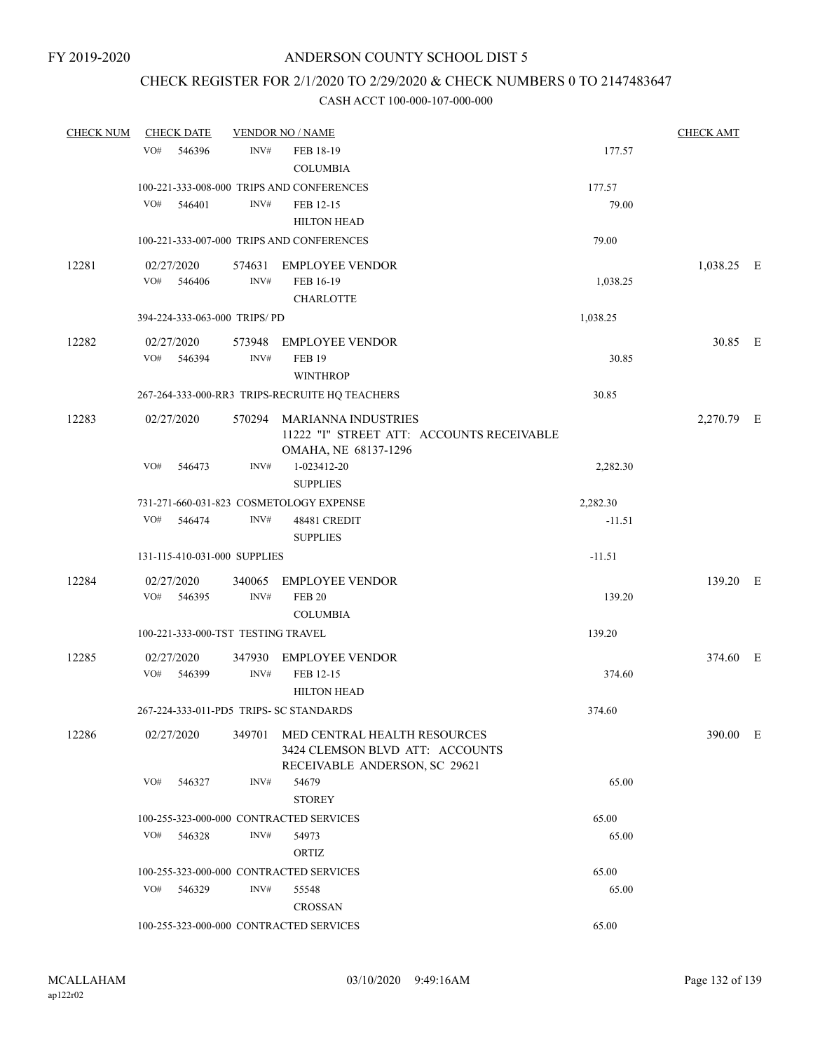### CHECK REGISTER FOR 2/1/2020 TO 2/29/2020 & CHECK NUMBERS 0 TO 2147483647

| <b>CHECK NUM</b> |            | <b>CHECK DATE</b> |                                    | <b>VENDOR NO / NAME</b>                                                                                 |          | <b>CHECK AMT</b> |  |
|------------------|------------|-------------------|------------------------------------|---------------------------------------------------------------------------------------------------------|----------|------------------|--|
|                  | VO#        | 546396            | INV#                               | FEB 18-19                                                                                               | 177.57   |                  |  |
|                  |            |                   |                                    | <b>COLUMBIA</b>                                                                                         |          |                  |  |
|                  |            |                   |                                    | 100-221-333-008-000 TRIPS AND CONFERENCES                                                               | 177.57   |                  |  |
|                  | VO#        | 546401            | INV#                               | FEB 12-15                                                                                               | 79.00    |                  |  |
|                  |            |                   |                                    | <b>HILTON HEAD</b>                                                                                      |          |                  |  |
|                  |            |                   |                                    | 100-221-333-007-000 TRIPS AND CONFERENCES                                                               | 79.00    |                  |  |
| 12281            | 02/27/2020 |                   |                                    | 574631 EMPLOYEE VENDOR                                                                                  |          | 1,038.25 E       |  |
|                  |            | VO# 546406        | INV#                               | FEB 16-19                                                                                               | 1,038.25 |                  |  |
|                  |            |                   |                                    | <b>CHARLOTTE</b>                                                                                        |          |                  |  |
|                  |            |                   | 394-224-333-063-000 TRIPS/PD       |                                                                                                         | 1,038.25 |                  |  |
| 12282            | 02/27/2020 |                   |                                    | 573948 EMPLOYEE VENDOR                                                                                  |          | 30.85 E          |  |
|                  | VO#        | 546394            | INV#                               | <b>FEB 19</b>                                                                                           | 30.85    |                  |  |
|                  |            |                   |                                    | <b>WINTHROP</b>                                                                                         |          |                  |  |
|                  |            |                   |                                    | 267-264-333-000-RR3 TRIPS-RECRUITE HQ TEACHERS                                                          | 30.85    |                  |  |
| 12283            | 02/27/2020 |                   |                                    | 570294 MARIANNA INDUSTRIES<br>11222 "I" STREET ATT: ACCOUNTS RECEIVABLE                                 |          | 2,270.79 E       |  |
|                  |            |                   |                                    | OMAHA, NE 68137-1296                                                                                    |          |                  |  |
|                  | VO#        | 546473            | INV#                               | 1-023412-20<br><b>SUPPLIES</b>                                                                          | 2,282.30 |                  |  |
|                  |            |                   |                                    | 731-271-660-031-823 COSMETOLOGY EXPENSE                                                                 | 2,282.30 |                  |  |
|                  | VO#        | 546474            | INV#                               | 48481 CREDIT<br><b>SUPPLIES</b>                                                                         | $-11.51$ |                  |  |
|                  |            |                   | 131-115-410-031-000 SUPPLIES       |                                                                                                         | $-11.51$ |                  |  |
| 12284            | 02/27/2020 |                   |                                    | 340065 EMPLOYEE VENDOR                                                                                  |          | 139.20 E         |  |
|                  | VO#        | 546395            | INV#                               | <b>FEB 20</b>                                                                                           | 139.20   |                  |  |
|                  |            |                   |                                    | <b>COLUMBIA</b>                                                                                         |          |                  |  |
|                  |            |                   | 100-221-333-000-TST TESTING TRAVEL |                                                                                                         | 139.20   |                  |  |
| 12285            | 02/27/2020 |                   | 347930                             | EMPLOYEE VENDOR                                                                                         |          | 374.60 E         |  |
|                  | VO#        | 546399            | INV#                               | FEB 12-15                                                                                               | 374.60   |                  |  |
|                  |            |                   |                                    | <b>HILTON HEAD</b>                                                                                      |          |                  |  |
|                  |            |                   |                                    | 267-224-333-011-PD5 TRIPS- SC STANDARDS                                                                 | 374.60   |                  |  |
| 12286            | 02/27/2020 |                   |                                    | 349701 MED CENTRAL HEALTH RESOURCES<br>3424 CLEMSON BLVD ATT: ACCOUNTS<br>RECEIVABLE ANDERSON, SC 29621 |          | 390.00 E         |  |
|                  | VO#        | 546327            | INV#                               | 54679                                                                                                   | 65.00    |                  |  |
|                  |            |                   |                                    | <b>STOREY</b>                                                                                           |          |                  |  |
|                  |            |                   |                                    | 100-255-323-000-000 CONTRACTED SERVICES                                                                 | 65.00    |                  |  |
|                  | VO#        | 546328            | INV#                               | 54973                                                                                                   | 65.00    |                  |  |
|                  |            |                   |                                    | ORTIZ                                                                                                   |          |                  |  |
|                  |            |                   |                                    | 100-255-323-000-000 CONTRACTED SERVICES                                                                 | 65.00    |                  |  |
|                  | VO#        | 546329            | INV#                               | 55548                                                                                                   | 65.00    |                  |  |
|                  |            |                   |                                    | <b>CROSSAN</b>                                                                                          |          |                  |  |
|                  |            |                   |                                    | 100-255-323-000-000 CONTRACTED SERVICES                                                                 | 65.00    |                  |  |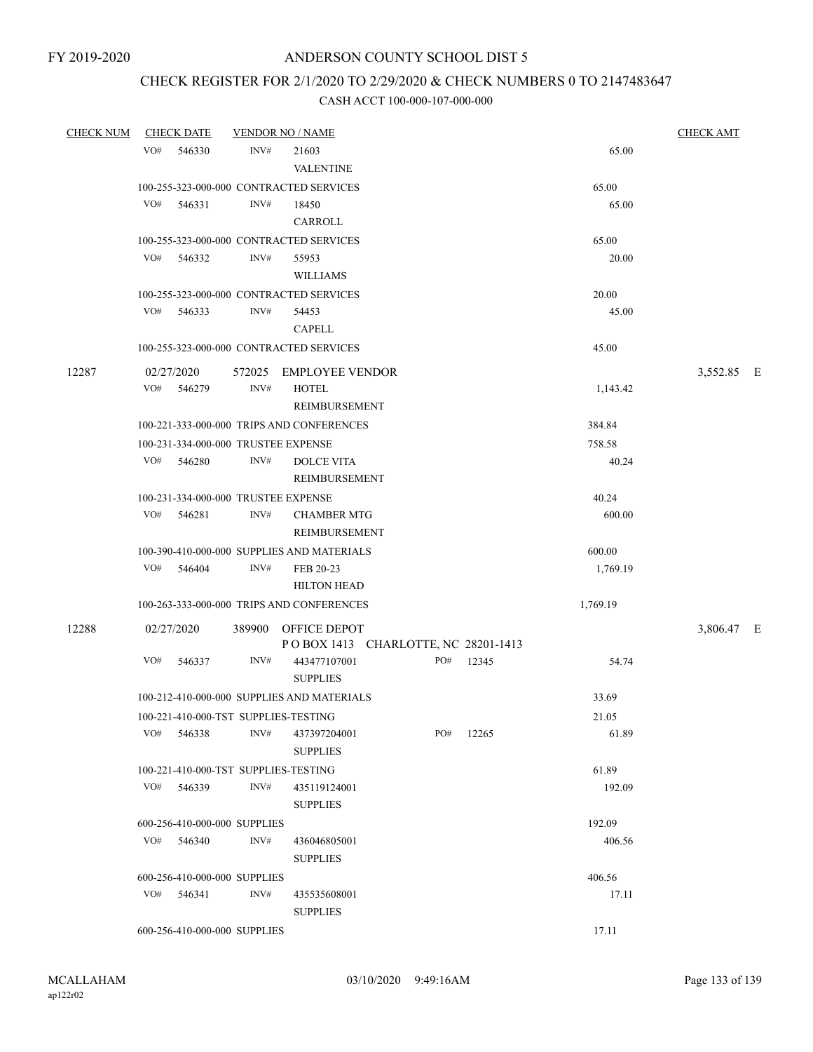# CHECK REGISTER FOR 2/1/2020 TO 2/29/2020 & CHECK NUMBERS 0 TO 2147483647

| <b>CHECK NUM</b> | <b>CHECK DATE</b>                    | <b>VENDOR NO / NAME</b> |                                                            |     |           |          | <b>CHECK AMT</b> |  |
|------------------|--------------------------------------|-------------------------|------------------------------------------------------------|-----|-----------|----------|------------------|--|
|                  | VO#<br>546330                        | INV#                    | 21603<br><b>VALENTINE</b>                                  |     |           | 65.00    |                  |  |
|                  |                                      |                         | 100-255-323-000-000 CONTRACTED SERVICES                    |     |           | 65.00    |                  |  |
|                  | VO#<br>546331                        | INV#                    | 18450                                                      |     |           | 65.00    |                  |  |
|                  |                                      |                         | CARROLL                                                    |     |           |          |                  |  |
|                  |                                      |                         | 100-255-323-000-000 CONTRACTED SERVICES                    |     |           | 65.00    |                  |  |
|                  | VO# 546332                           | INV#                    | 55953                                                      |     |           | 20.00    |                  |  |
|                  |                                      |                         | <b>WILLIAMS</b>                                            |     |           |          |                  |  |
|                  |                                      |                         | 100-255-323-000-000 CONTRACTED SERVICES                    |     |           | 20.00    |                  |  |
|                  | VO#<br>546333                        | INV#                    | 54453                                                      |     |           | 45.00    |                  |  |
|                  |                                      |                         | <b>CAPELL</b>                                              |     |           |          |                  |  |
|                  |                                      |                         | 100-255-323-000-000 CONTRACTED SERVICES                    |     |           | 45.00    |                  |  |
| 12287            | 02/27/2020                           |                         | 572025 EMPLOYEE VENDOR                                     |     |           |          | 3,552.85 E       |  |
|                  | VO#<br>546279                        | INV#                    | <b>HOTEL</b>                                               |     |           | 1,143.42 |                  |  |
|                  |                                      |                         | REIMBURSEMENT                                              |     |           |          |                  |  |
|                  |                                      |                         | 100-221-333-000-000 TRIPS AND CONFERENCES                  |     |           | 384.84   |                  |  |
|                  | 100-231-334-000-000 TRUSTEE EXPENSE  |                         |                                                            |     |           | 758.58   |                  |  |
|                  | VO# 546280                           | INV#                    | <b>DOLCE VITA</b>                                          |     |           | 40.24    |                  |  |
|                  |                                      |                         | REIMBURSEMENT                                              |     |           |          |                  |  |
|                  | 100-231-334-000-000 TRUSTEE EXPENSE  |                         |                                                            |     |           | 40.24    |                  |  |
|                  | VO#<br>546281                        | INV#                    | <b>CHAMBER MTG</b><br>REIMBURSEMENT                        |     |           | 600.00   |                  |  |
|                  |                                      |                         | 100-390-410-000-000 SUPPLIES AND MATERIALS                 |     |           | 600.00   |                  |  |
|                  | VO# 546404                           | INV#                    | FEB 20-23                                                  |     |           | 1,769.19 |                  |  |
|                  |                                      |                         | <b>HILTON HEAD</b>                                         |     |           |          |                  |  |
|                  |                                      |                         | 100-263-333-000-000 TRIPS AND CONFERENCES                  |     |           | 1,769.19 |                  |  |
| 12288            | 02/27/2020                           |                         | 389900 OFFICE DEPOT<br>POBOX 1413 CHARLOTTE, NC 28201-1413 |     |           |          | 3,806.47 E       |  |
|                  | VO#<br>546337                        | INV#                    | 443477107001<br><b>SUPPLIES</b>                            |     | PO# 12345 | 54.74    |                  |  |
|                  |                                      |                         | 100-212-410-000-000 SUPPLIES AND MATERIALS                 |     |           | 33.69    |                  |  |
|                  | 100-221-410-000-TST SUPPLIES-TESTING |                         |                                                            |     |           | 21.05    |                  |  |
|                  | VO#<br>546338                        | INV#                    | 437397204001<br><b>SUPPLIES</b>                            | PO# | 12265     | 61.89    |                  |  |
|                  | 100-221-410-000-TST SUPPLIES-TESTING |                         |                                                            |     |           | 61.89    |                  |  |
|                  | VO#<br>546339                        | $\text{INV}\#$          | 435119124001                                               |     |           | 192.09   |                  |  |
|                  |                                      |                         | <b>SUPPLIES</b>                                            |     |           |          |                  |  |
|                  | 600-256-410-000-000 SUPPLIES         |                         |                                                            |     |           | 192.09   |                  |  |
|                  | $VO#$ 546340                         | INV#                    | 436046805001<br><b>SUPPLIES</b>                            |     |           | 406.56   |                  |  |
|                  | 600-256-410-000-000 SUPPLIES         |                         |                                                            |     |           | 406.56   |                  |  |
|                  | VO# 546341                           | INV#                    | 435535608001<br><b>SUPPLIES</b>                            |     |           | 17.11    |                  |  |
|                  | 600-256-410-000-000 SUPPLIES         |                         |                                                            |     |           | 17.11    |                  |  |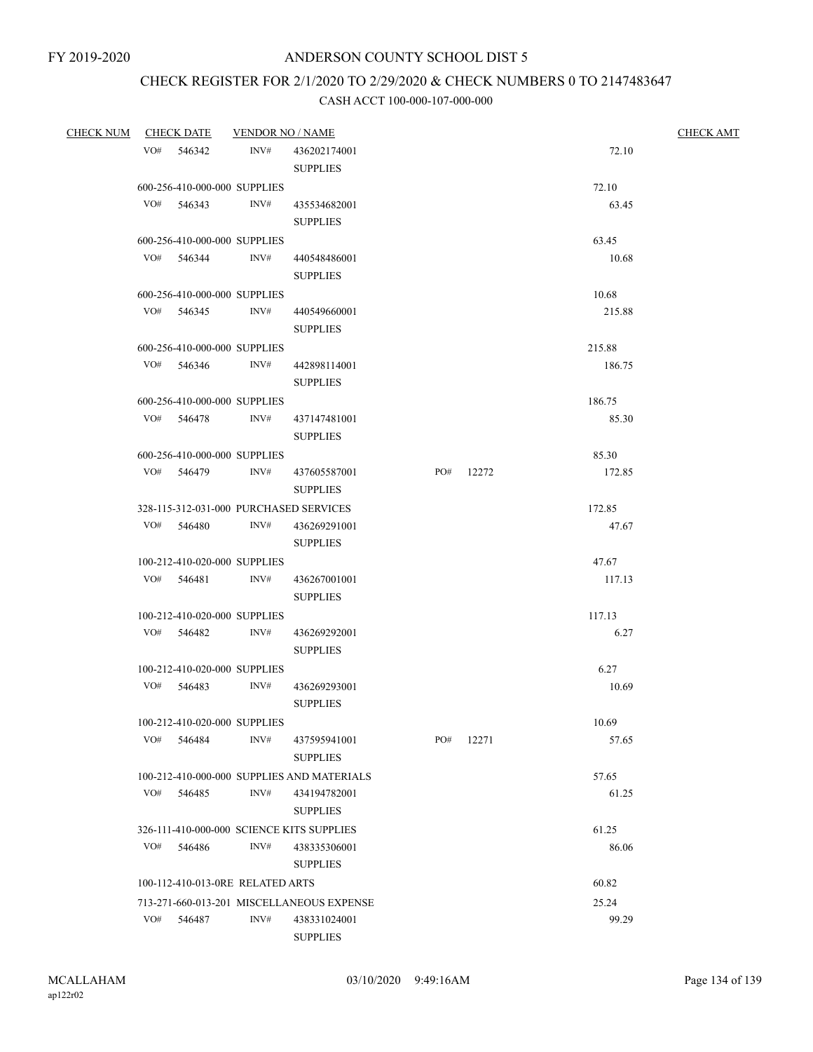# CHECK REGISTER FOR 2/1/2020 TO 2/29/2020 & CHECK NUMBERS 0 TO 2147483647

| <b>CHECK NUM</b> |     | <u>CHECK DATE</u>                          | <b>VENDOR NO / NAME</b> |                                            |     |           |        | <b>CHECK AMT</b> |
|------------------|-----|--------------------------------------------|-------------------------|--------------------------------------------|-----|-----------|--------|------------------|
|                  |     | VO# 546342                                 | INV#                    | 436202174001                               |     |           | 72.10  |                  |
|                  |     |                                            |                         | <b>SUPPLIES</b>                            |     |           |        |                  |
|                  |     | 600-256-410-000-000 SUPPLIES               |                         |                                            |     |           | 72.10  |                  |
|                  |     | $VO#$ 546343                               | INV#                    | 435534682001                               |     |           | 63.45  |                  |
|                  |     |                                            |                         | <b>SUPPLIES</b>                            |     |           |        |                  |
|                  |     | 600-256-410-000-000 SUPPLIES               |                         |                                            |     |           | 63.45  |                  |
|                  |     | VO# 546344 INV#                            |                         | 440548486001                               |     |           | 10.68  |                  |
|                  |     |                                            |                         | <b>SUPPLIES</b>                            |     |           |        |                  |
|                  |     |                                            |                         |                                            |     |           | 10.68  |                  |
|                  |     | 600-256-410-000-000 SUPPLIES<br>VO# 546345 | INV#                    | 440549660001                               |     |           | 215.88 |                  |
|                  |     |                                            |                         | <b>SUPPLIES</b>                            |     |           |        |                  |
|                  |     |                                            |                         |                                            |     |           |        |                  |
|                  |     | 600-256-410-000-000 SUPPLIES               |                         |                                            |     |           | 215.88 |                  |
|                  |     | VO# 546346                                 | INV#                    | 442898114001                               |     |           | 186.75 |                  |
|                  |     |                                            |                         | <b>SUPPLIES</b>                            |     |           |        |                  |
|                  |     | 600-256-410-000-000 SUPPLIES               |                         |                                            |     |           | 186.75 |                  |
|                  |     | VO# 546478                                 | INV#                    | 437147481001                               |     |           | 85.30  |                  |
|                  |     |                                            |                         | <b>SUPPLIES</b>                            |     |           |        |                  |
|                  |     | 600-256-410-000-000 SUPPLIES               |                         |                                            |     |           | 85.30  |                  |
|                  |     | VO# 546479                                 | INV#                    | 437605587001                               |     | PO# 12272 | 172.85 |                  |
|                  |     |                                            |                         | <b>SUPPLIES</b>                            |     |           |        |                  |
|                  |     |                                            |                         | 328-115-312-031-000 PURCHASED SERVICES     |     |           | 172.85 |                  |
|                  |     | VO# 546480                                 | INV#                    | 436269291001                               |     |           | 47.67  |                  |
|                  |     |                                            |                         | <b>SUPPLIES</b>                            |     |           |        |                  |
|                  |     | 100-212-410-020-000 SUPPLIES               |                         |                                            |     |           | 47.67  |                  |
|                  |     | VO# 546481                                 | INV#                    | 436267001001                               |     |           | 117.13 |                  |
|                  |     |                                            |                         | <b>SUPPLIES</b>                            |     |           |        |                  |
|                  |     | 100-212-410-020-000 SUPPLIES               |                         |                                            |     |           | 117.13 |                  |
|                  |     | VO# 546482                                 | INV#                    | 436269292001                               |     |           | 6.27   |                  |
|                  |     |                                            |                         | <b>SUPPLIES</b>                            |     |           |        |                  |
|                  |     | 100-212-410-020-000 SUPPLIES               |                         |                                            |     |           | 6.27   |                  |
|                  |     | VO# 546483                                 | INV#                    | 436269293001                               |     |           | 10.69  |                  |
|                  |     |                                            |                         | <b>SUPPLIES</b>                            |     |           |        |                  |
|                  |     | 100-212-410-020-000 SUPPLIES               |                         |                                            |     |           | 10.69  |                  |
|                  | VO# | 546484                                     | INV#                    | 437595941001                               | PO# | 12271     | 57.65  |                  |
|                  |     |                                            |                         | <b>SUPPLIES</b>                            |     |           |        |                  |
|                  |     |                                            |                         | 100-212-410-000-000 SUPPLIES AND MATERIALS |     |           | 57.65  |                  |
|                  |     | VO# 546485                                 | INV#                    | 434194782001                               |     |           | 61.25  |                  |
|                  |     |                                            |                         | <b>SUPPLIES</b>                            |     |           |        |                  |
|                  |     |                                            |                         | 326-111-410-000-000 SCIENCE KITS SUPPLIES  |     |           | 61.25  |                  |
|                  | VO# | 546486                                     | INV#                    | 438335306001                               |     |           | 86.06  |                  |
|                  |     |                                            |                         | <b>SUPPLIES</b>                            |     |           |        |                  |
|                  |     | 100-112-410-013-0RE RELATED ARTS           |                         |                                            |     |           | 60.82  |                  |
|                  |     |                                            |                         | 713-271-660-013-201 MISCELLANEOUS EXPENSE  |     |           | 25.24  |                  |
|                  | VO# | 546487                                     | INV#                    | 438331024001                               |     |           | 99.29  |                  |
|                  |     |                                            |                         | <b>SUPPLIES</b>                            |     |           |        |                  |
|                  |     |                                            |                         |                                            |     |           |        |                  |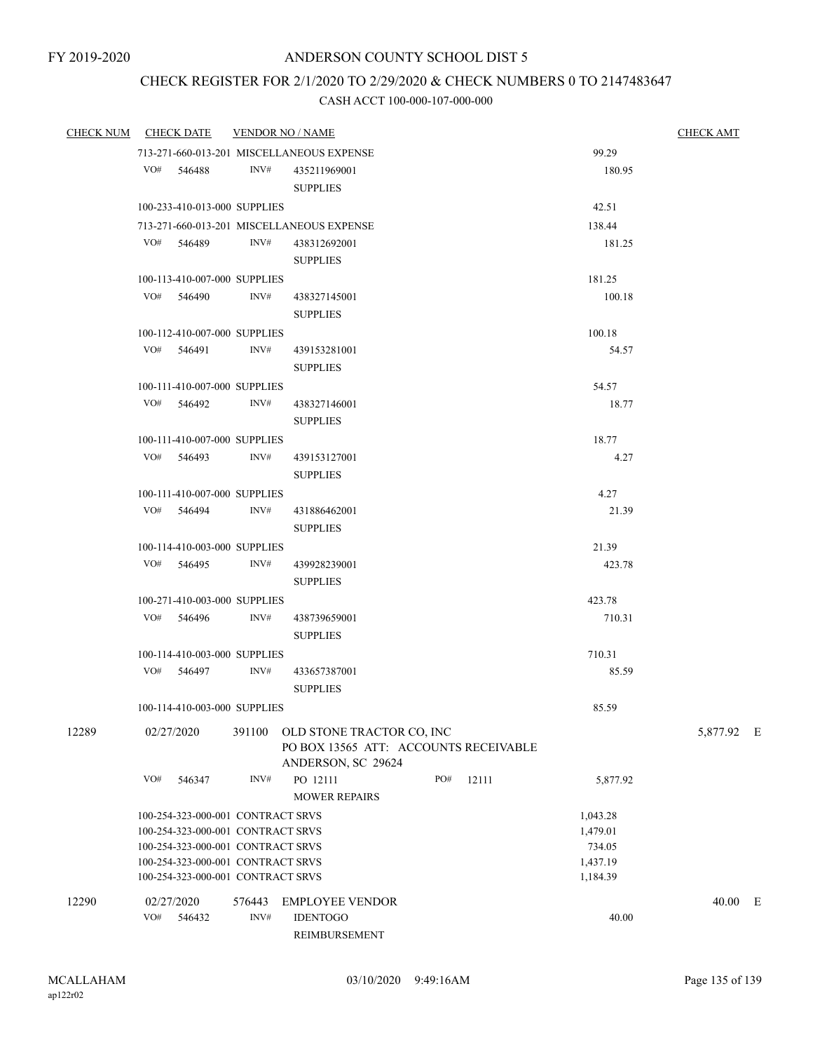# CHECK REGISTER FOR 2/1/2020 TO 2/29/2020 & CHECK NUMBERS 0 TO 2147483647

| 99.29<br>713-271-660-013-201 MISCELLANEOUS EXPENSE<br>VO# 546488<br>INV#<br>435211969001<br>180.95<br><b>SUPPLIES</b><br>100-233-410-013-000 SUPPLIES<br>42.51<br>713-271-660-013-201 MISCELLANEOUS EXPENSE<br>138.44<br>INV#<br>VO# 546489<br>438312692001<br>181.25<br><b>SUPPLIES</b><br>181.25<br>100-113-410-007-000 SUPPLIES<br>VO# 546490<br>INV#<br>100.18<br>438327145001<br><b>SUPPLIES</b><br>100-112-410-007-000 SUPPLIES<br>100.18<br>VO# 546491<br>INV#<br>439153281001<br>54.57<br><b>SUPPLIES</b><br>54.57<br>100-111-410-007-000 SUPPLIES<br>INV#<br>VO# 546492<br>18.77<br>438327146001<br><b>SUPPLIES</b><br>18.77<br>100-111-410-007-000 SUPPLIES<br>VO# 546493<br>INV#<br>4.27<br>439153127001<br><b>SUPPLIES</b><br>100-111-410-007-000 SUPPLIES<br>4.27<br>VO# 546494<br>INV#<br>21.39<br>431886462001<br><b>SUPPLIES</b><br>21.39<br>100-114-410-003-000 SUPPLIES<br>VO# 546495<br>INV#<br>423.78<br>439928239001<br><b>SUPPLIES</b><br>100-271-410-003-000 SUPPLIES<br>423.78<br>VO# 546496 INV#<br>710.31<br>438739659001<br><b>SUPPLIES</b><br>100-114-410-003-000 SUPPLIES<br>710.31<br>VO# 546497<br>INV#<br>433657387001<br>85.59<br><b>SUPPLIES</b><br>100-114-410-003-000 SUPPLIES<br>85.59<br>12289<br>02/27/2020<br>391100 OLD STONE TRACTOR CO, INC<br>5,877.92 E<br>PO BOX 13565 ATT: ACCOUNTS RECEIVABLE<br>ANDERSON, SC 29624<br>PO 12111<br>VO#<br>546347<br>INV#<br>PO#<br>12111<br>5,877.92<br><b>MOWER REPAIRS</b><br>100-254-323-000-001 CONTRACT SRVS<br>1,043.28<br>100-254-323-000-001 CONTRACT SRVS<br>1,479.01<br>100-254-323-000-001 CONTRACT SRVS<br>734.05<br>100-254-323-000-001 CONTRACT SRVS<br>1,437.19<br>100-254-323-000-001 CONTRACT SRVS<br>1,184.39<br>12290<br>02/27/2020<br><b>EMPLOYEE VENDOR</b><br>40.00 E<br>576443<br>VO#<br>INV#<br><b>IDENTOGO</b><br>546432<br>40.00 | CHECK NUM CHECK DATE | <b>VENDOR NO / NAME</b> | <b>CHECK AMT</b> |  |  |  |  |
|--------------------------------------------------------------------------------------------------------------------------------------------------------------------------------------------------------------------------------------------------------------------------------------------------------------------------------------------------------------------------------------------------------------------------------------------------------------------------------------------------------------------------------------------------------------------------------------------------------------------------------------------------------------------------------------------------------------------------------------------------------------------------------------------------------------------------------------------------------------------------------------------------------------------------------------------------------------------------------------------------------------------------------------------------------------------------------------------------------------------------------------------------------------------------------------------------------------------------------------------------------------------------------------------------------------------------------------------------------------------------------------------------------------------------------------------------------------------------------------------------------------------------------------------------------------------------------------------------------------------------------------------------------------------------------------------------------------------------------------------------------------------------------------------------------------------------------------------|----------------------|-------------------------|------------------|--|--|--|--|
|                                                                                                                                                                                                                                                                                                                                                                                                                                                                                                                                                                                                                                                                                                                                                                                                                                                                                                                                                                                                                                                                                                                                                                                                                                                                                                                                                                                                                                                                                                                                                                                                                                                                                                                                                                                                                                            |                      |                         |                  |  |  |  |  |
|                                                                                                                                                                                                                                                                                                                                                                                                                                                                                                                                                                                                                                                                                                                                                                                                                                                                                                                                                                                                                                                                                                                                                                                                                                                                                                                                                                                                                                                                                                                                                                                                                                                                                                                                                                                                                                            |                      |                         |                  |  |  |  |  |
|                                                                                                                                                                                                                                                                                                                                                                                                                                                                                                                                                                                                                                                                                                                                                                                                                                                                                                                                                                                                                                                                                                                                                                                                                                                                                                                                                                                                                                                                                                                                                                                                                                                                                                                                                                                                                                            |                      |                         |                  |  |  |  |  |
|                                                                                                                                                                                                                                                                                                                                                                                                                                                                                                                                                                                                                                                                                                                                                                                                                                                                                                                                                                                                                                                                                                                                                                                                                                                                                                                                                                                                                                                                                                                                                                                                                                                                                                                                                                                                                                            |                      |                         |                  |  |  |  |  |
|                                                                                                                                                                                                                                                                                                                                                                                                                                                                                                                                                                                                                                                                                                                                                                                                                                                                                                                                                                                                                                                                                                                                                                                                                                                                                                                                                                                                                                                                                                                                                                                                                                                                                                                                                                                                                                            |                      |                         |                  |  |  |  |  |
|                                                                                                                                                                                                                                                                                                                                                                                                                                                                                                                                                                                                                                                                                                                                                                                                                                                                                                                                                                                                                                                                                                                                                                                                                                                                                                                                                                                                                                                                                                                                                                                                                                                                                                                                                                                                                                            |                      |                         |                  |  |  |  |  |
|                                                                                                                                                                                                                                                                                                                                                                                                                                                                                                                                                                                                                                                                                                                                                                                                                                                                                                                                                                                                                                                                                                                                                                                                                                                                                                                                                                                                                                                                                                                                                                                                                                                                                                                                                                                                                                            |                      |                         |                  |  |  |  |  |
|                                                                                                                                                                                                                                                                                                                                                                                                                                                                                                                                                                                                                                                                                                                                                                                                                                                                                                                                                                                                                                                                                                                                                                                                                                                                                                                                                                                                                                                                                                                                                                                                                                                                                                                                                                                                                                            |                      |                         |                  |  |  |  |  |
|                                                                                                                                                                                                                                                                                                                                                                                                                                                                                                                                                                                                                                                                                                                                                                                                                                                                                                                                                                                                                                                                                                                                                                                                                                                                                                                                                                                                                                                                                                                                                                                                                                                                                                                                                                                                                                            |                      |                         |                  |  |  |  |  |
|                                                                                                                                                                                                                                                                                                                                                                                                                                                                                                                                                                                                                                                                                                                                                                                                                                                                                                                                                                                                                                                                                                                                                                                                                                                                                                                                                                                                                                                                                                                                                                                                                                                                                                                                                                                                                                            |                      |                         |                  |  |  |  |  |
|                                                                                                                                                                                                                                                                                                                                                                                                                                                                                                                                                                                                                                                                                                                                                                                                                                                                                                                                                                                                                                                                                                                                                                                                                                                                                                                                                                                                                                                                                                                                                                                                                                                                                                                                                                                                                                            |                      |                         |                  |  |  |  |  |
|                                                                                                                                                                                                                                                                                                                                                                                                                                                                                                                                                                                                                                                                                                                                                                                                                                                                                                                                                                                                                                                                                                                                                                                                                                                                                                                                                                                                                                                                                                                                                                                                                                                                                                                                                                                                                                            |                      |                         |                  |  |  |  |  |
|                                                                                                                                                                                                                                                                                                                                                                                                                                                                                                                                                                                                                                                                                                                                                                                                                                                                                                                                                                                                                                                                                                                                                                                                                                                                                                                                                                                                                                                                                                                                                                                                                                                                                                                                                                                                                                            |                      |                         |                  |  |  |  |  |
|                                                                                                                                                                                                                                                                                                                                                                                                                                                                                                                                                                                                                                                                                                                                                                                                                                                                                                                                                                                                                                                                                                                                                                                                                                                                                                                                                                                                                                                                                                                                                                                                                                                                                                                                                                                                                                            |                      |                         |                  |  |  |  |  |
|                                                                                                                                                                                                                                                                                                                                                                                                                                                                                                                                                                                                                                                                                                                                                                                                                                                                                                                                                                                                                                                                                                                                                                                                                                                                                                                                                                                                                                                                                                                                                                                                                                                                                                                                                                                                                                            |                      |                         |                  |  |  |  |  |
|                                                                                                                                                                                                                                                                                                                                                                                                                                                                                                                                                                                                                                                                                                                                                                                                                                                                                                                                                                                                                                                                                                                                                                                                                                                                                                                                                                                                                                                                                                                                                                                                                                                                                                                                                                                                                                            |                      |                         |                  |  |  |  |  |
|                                                                                                                                                                                                                                                                                                                                                                                                                                                                                                                                                                                                                                                                                                                                                                                                                                                                                                                                                                                                                                                                                                                                                                                                                                                                                                                                                                                                                                                                                                                                                                                                                                                                                                                                                                                                                                            |                      |                         |                  |  |  |  |  |
|                                                                                                                                                                                                                                                                                                                                                                                                                                                                                                                                                                                                                                                                                                                                                                                                                                                                                                                                                                                                                                                                                                                                                                                                                                                                                                                                                                                                                                                                                                                                                                                                                                                                                                                                                                                                                                            |                      |                         |                  |  |  |  |  |
|                                                                                                                                                                                                                                                                                                                                                                                                                                                                                                                                                                                                                                                                                                                                                                                                                                                                                                                                                                                                                                                                                                                                                                                                                                                                                                                                                                                                                                                                                                                                                                                                                                                                                                                                                                                                                                            |                      |                         |                  |  |  |  |  |
|                                                                                                                                                                                                                                                                                                                                                                                                                                                                                                                                                                                                                                                                                                                                                                                                                                                                                                                                                                                                                                                                                                                                                                                                                                                                                                                                                                                                                                                                                                                                                                                                                                                                                                                                                                                                                                            |                      |                         |                  |  |  |  |  |
|                                                                                                                                                                                                                                                                                                                                                                                                                                                                                                                                                                                                                                                                                                                                                                                                                                                                                                                                                                                                                                                                                                                                                                                                                                                                                                                                                                                                                                                                                                                                                                                                                                                                                                                                                                                                                                            |                      |                         |                  |  |  |  |  |
|                                                                                                                                                                                                                                                                                                                                                                                                                                                                                                                                                                                                                                                                                                                                                                                                                                                                                                                                                                                                                                                                                                                                                                                                                                                                                                                                                                                                                                                                                                                                                                                                                                                                                                                                                                                                                                            |                      |                         |                  |  |  |  |  |
|                                                                                                                                                                                                                                                                                                                                                                                                                                                                                                                                                                                                                                                                                                                                                                                                                                                                                                                                                                                                                                                                                                                                                                                                                                                                                                                                                                                                                                                                                                                                                                                                                                                                                                                                                                                                                                            |                      |                         |                  |  |  |  |  |
|                                                                                                                                                                                                                                                                                                                                                                                                                                                                                                                                                                                                                                                                                                                                                                                                                                                                                                                                                                                                                                                                                                                                                                                                                                                                                                                                                                                                                                                                                                                                                                                                                                                                                                                                                                                                                                            |                      |                         |                  |  |  |  |  |
|                                                                                                                                                                                                                                                                                                                                                                                                                                                                                                                                                                                                                                                                                                                                                                                                                                                                                                                                                                                                                                                                                                                                                                                                                                                                                                                                                                                                                                                                                                                                                                                                                                                                                                                                                                                                                                            |                      |                         |                  |  |  |  |  |
|                                                                                                                                                                                                                                                                                                                                                                                                                                                                                                                                                                                                                                                                                                                                                                                                                                                                                                                                                                                                                                                                                                                                                                                                                                                                                                                                                                                                                                                                                                                                                                                                                                                                                                                                                                                                                                            |                      |                         |                  |  |  |  |  |
|                                                                                                                                                                                                                                                                                                                                                                                                                                                                                                                                                                                                                                                                                                                                                                                                                                                                                                                                                                                                                                                                                                                                                                                                                                                                                                                                                                                                                                                                                                                                                                                                                                                                                                                                                                                                                                            |                      |                         |                  |  |  |  |  |
|                                                                                                                                                                                                                                                                                                                                                                                                                                                                                                                                                                                                                                                                                                                                                                                                                                                                                                                                                                                                                                                                                                                                                                                                                                                                                                                                                                                                                                                                                                                                                                                                                                                                                                                                                                                                                                            |                      |                         |                  |  |  |  |  |
|                                                                                                                                                                                                                                                                                                                                                                                                                                                                                                                                                                                                                                                                                                                                                                                                                                                                                                                                                                                                                                                                                                                                                                                                                                                                                                                                                                                                                                                                                                                                                                                                                                                                                                                                                                                                                                            |                      |                         |                  |  |  |  |  |
|                                                                                                                                                                                                                                                                                                                                                                                                                                                                                                                                                                                                                                                                                                                                                                                                                                                                                                                                                                                                                                                                                                                                                                                                                                                                                                                                                                                                                                                                                                                                                                                                                                                                                                                                                                                                                                            |                      |                         |                  |  |  |  |  |
|                                                                                                                                                                                                                                                                                                                                                                                                                                                                                                                                                                                                                                                                                                                                                                                                                                                                                                                                                                                                                                                                                                                                                                                                                                                                                                                                                                                                                                                                                                                                                                                                                                                                                                                                                                                                                                            |                      |                         |                  |  |  |  |  |
|                                                                                                                                                                                                                                                                                                                                                                                                                                                                                                                                                                                                                                                                                                                                                                                                                                                                                                                                                                                                                                                                                                                                                                                                                                                                                                                                                                                                                                                                                                                                                                                                                                                                                                                                                                                                                                            |                      |                         |                  |  |  |  |  |
|                                                                                                                                                                                                                                                                                                                                                                                                                                                                                                                                                                                                                                                                                                                                                                                                                                                                                                                                                                                                                                                                                                                                                                                                                                                                                                                                                                                                                                                                                                                                                                                                                                                                                                                                                                                                                                            |                      |                         |                  |  |  |  |  |
|                                                                                                                                                                                                                                                                                                                                                                                                                                                                                                                                                                                                                                                                                                                                                                                                                                                                                                                                                                                                                                                                                                                                                                                                                                                                                                                                                                                                                                                                                                                                                                                                                                                                                                                                                                                                                                            |                      |                         |                  |  |  |  |  |
|                                                                                                                                                                                                                                                                                                                                                                                                                                                                                                                                                                                                                                                                                                                                                                                                                                                                                                                                                                                                                                                                                                                                                                                                                                                                                                                                                                                                                                                                                                                                                                                                                                                                                                                                                                                                                                            |                      |                         |                  |  |  |  |  |
|                                                                                                                                                                                                                                                                                                                                                                                                                                                                                                                                                                                                                                                                                                                                                                                                                                                                                                                                                                                                                                                                                                                                                                                                                                                                                                                                                                                                                                                                                                                                                                                                                                                                                                                                                                                                                                            |                      |                         |                  |  |  |  |  |
|                                                                                                                                                                                                                                                                                                                                                                                                                                                                                                                                                                                                                                                                                                                                                                                                                                                                                                                                                                                                                                                                                                                                                                                                                                                                                                                                                                                                                                                                                                                                                                                                                                                                                                                                                                                                                                            |                      |                         |                  |  |  |  |  |
|                                                                                                                                                                                                                                                                                                                                                                                                                                                                                                                                                                                                                                                                                                                                                                                                                                                                                                                                                                                                                                                                                                                                                                                                                                                                                                                                                                                                                                                                                                                                                                                                                                                                                                                                                                                                                                            |                      |                         |                  |  |  |  |  |
|                                                                                                                                                                                                                                                                                                                                                                                                                                                                                                                                                                                                                                                                                                                                                                                                                                                                                                                                                                                                                                                                                                                                                                                                                                                                                                                                                                                                                                                                                                                                                                                                                                                                                                                                                                                                                                            |                      |                         |                  |  |  |  |  |
|                                                                                                                                                                                                                                                                                                                                                                                                                                                                                                                                                                                                                                                                                                                                                                                                                                                                                                                                                                                                                                                                                                                                                                                                                                                                                                                                                                                                                                                                                                                                                                                                                                                                                                                                                                                                                                            |                      |                         |                  |  |  |  |  |
|                                                                                                                                                                                                                                                                                                                                                                                                                                                                                                                                                                                                                                                                                                                                                                                                                                                                                                                                                                                                                                                                                                                                                                                                                                                                                                                                                                                                                                                                                                                                                                                                                                                                                                                                                                                                                                            |                      |                         |                  |  |  |  |  |
|                                                                                                                                                                                                                                                                                                                                                                                                                                                                                                                                                                                                                                                                                                                                                                                                                                                                                                                                                                                                                                                                                                                                                                                                                                                                                                                                                                                                                                                                                                                                                                                                                                                                                                                                                                                                                                            |                      |                         |                  |  |  |  |  |
|                                                                                                                                                                                                                                                                                                                                                                                                                                                                                                                                                                                                                                                                                                                                                                                                                                                                                                                                                                                                                                                                                                                                                                                                                                                                                                                                                                                                                                                                                                                                                                                                                                                                                                                                                                                                                                            |                      |                         | REIMBURSEMENT    |  |  |  |  |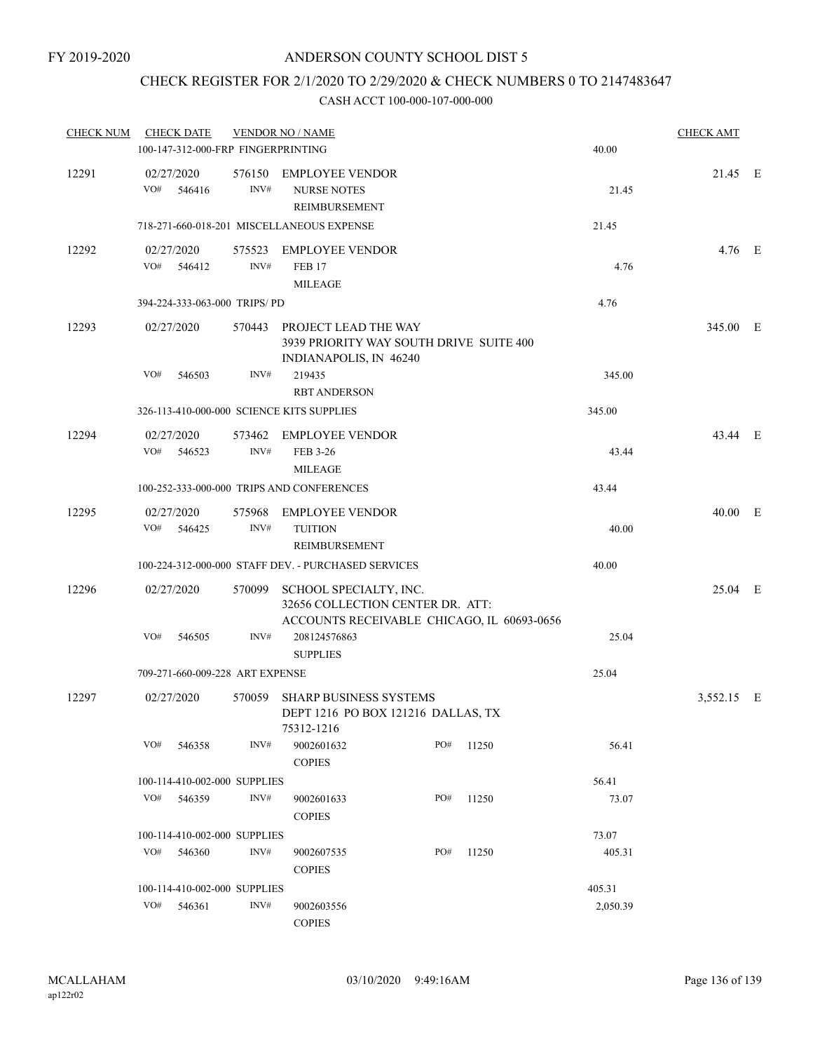### CHECK REGISTER FOR 2/1/2020 TO 2/29/2020 & CHECK NUMBERS 0 TO 2147483647

| <b>CHECK NUM</b> |                              | <b>CHECK DATE</b>    |                                    | <b>VENDOR NO / NAME</b>                                                                                  |  |     |       |          | <b>CHECK AMT</b> |  |
|------------------|------------------------------|----------------------|------------------------------------|----------------------------------------------------------------------------------------------------------|--|-----|-------|----------|------------------|--|
|                  |                              |                      | 100-147-312-000-FRP FINGERPRINTING |                                                                                                          |  |     |       | 40.00    |                  |  |
| 12291            | VO#                          | 02/27/2020<br>546416 | INV#                               | 576150 EMPLOYEE VENDOR<br><b>NURSE NOTES</b><br>REIMBURSEMENT                                            |  |     |       | 21.45    | 21.45 E          |  |
|                  |                              |                      |                                    | 718-271-660-018-201 MISCELLANEOUS EXPENSE                                                                |  |     |       | 21.45    |                  |  |
| 12292            | VO#                          | 02/27/2020<br>546412 | INV#                               | 575523 EMPLOYEE VENDOR<br><b>FEB 17</b><br><b>MILEAGE</b>                                                |  |     |       | 4.76     | $4.76$ E         |  |
|                  |                              |                      | 394-224-333-063-000 TRIPS/PD       |                                                                                                          |  |     |       | 4.76     |                  |  |
| 12293            |                              | 02/27/2020           |                                    | 570443 PROJECT LEAD THE WAY<br>3939 PRIORITY WAY SOUTH DRIVE SUITE 400<br>INDIANAPOLIS, IN 46240         |  |     |       |          | 345.00 E         |  |
|                  | VO#                          | 546503               | INV#                               | 219435<br><b>RBT ANDERSON</b>                                                                            |  |     |       | 345.00   |                  |  |
|                  |                              |                      |                                    | 326-113-410-000-000 SCIENCE KITS SUPPLIES                                                                |  |     |       | 345.00   |                  |  |
| 12294            | VO#                          | 02/27/2020<br>546523 | INV#                               | 573462 EMPLOYEE VENDOR<br>FEB 3-26                                                                       |  |     |       | 43.44    | 43.44 E          |  |
|                  |                              |                      |                                    | <b>MILEAGE</b>                                                                                           |  |     |       |          |                  |  |
|                  |                              |                      |                                    | 100-252-333-000-000 TRIPS AND CONFERENCES                                                                |  |     |       | 43.44    |                  |  |
| 12295            | VO#                          | 02/27/2020<br>546425 | 575968<br>INV#                     | <b>EMPLOYEE VENDOR</b><br><b>TUITION</b><br>REIMBURSEMENT                                                |  |     |       | 40.00    | 40.00 E          |  |
|                  |                              |                      |                                    | 100-224-312-000-000 STAFF DEV. - PURCHASED SERVICES                                                      |  |     |       | 40.00    |                  |  |
| 12296            |                              | 02/27/2020           | 570099                             | SCHOOL SPECIALTY, INC.<br>32656 COLLECTION CENTER DR. ATT:<br>ACCOUNTS RECEIVABLE CHICAGO, IL 60693-0656 |  |     |       |          | 25.04 E          |  |
|                  | VO#                          | 546505               | INV#                               | 208124576863<br><b>SUPPLIES</b>                                                                          |  |     |       | 25.04    |                  |  |
|                  |                              |                      | 709-271-660-009-228 ART EXPENSE    |                                                                                                          |  |     |       | 25.04    |                  |  |
| 12297            |                              | 02/27/2020           | 570059                             | <b>SHARP BUSINESS SYSTEMS</b><br>DEPT 1216 PO BOX 121216 DALLAS, TX<br>75312-1216                        |  |     |       |          | 3,552.15 E       |  |
|                  | VO#                          | 546358               | INV#                               | 9002601632<br><b>COPIES</b>                                                                              |  | PO# | 11250 | 56.41    |                  |  |
|                  | 100-114-410-002-000 SUPPLIES |                      |                                    |                                                                                                          |  |     |       | 56.41    |                  |  |
|                  | VO#                          | 546359               | INV#                               | 9002601633<br><b>COPIES</b>                                                                              |  | PO# | 11250 | 73.07    |                  |  |
|                  |                              |                      | 100-114-410-002-000 SUPPLIES       |                                                                                                          |  |     |       | 73.07    |                  |  |
|                  | VO#                          | 546360               | INV#                               | 9002607535<br><b>COPIES</b>                                                                              |  | PO# | 11250 | 405.31   |                  |  |
|                  |                              |                      | 100-114-410-002-000 SUPPLIES       |                                                                                                          |  |     |       | 405.31   |                  |  |
|                  | VO#                          | 546361               | INV#                               | 9002603556<br><b>COPIES</b>                                                                              |  |     |       | 2,050.39 |                  |  |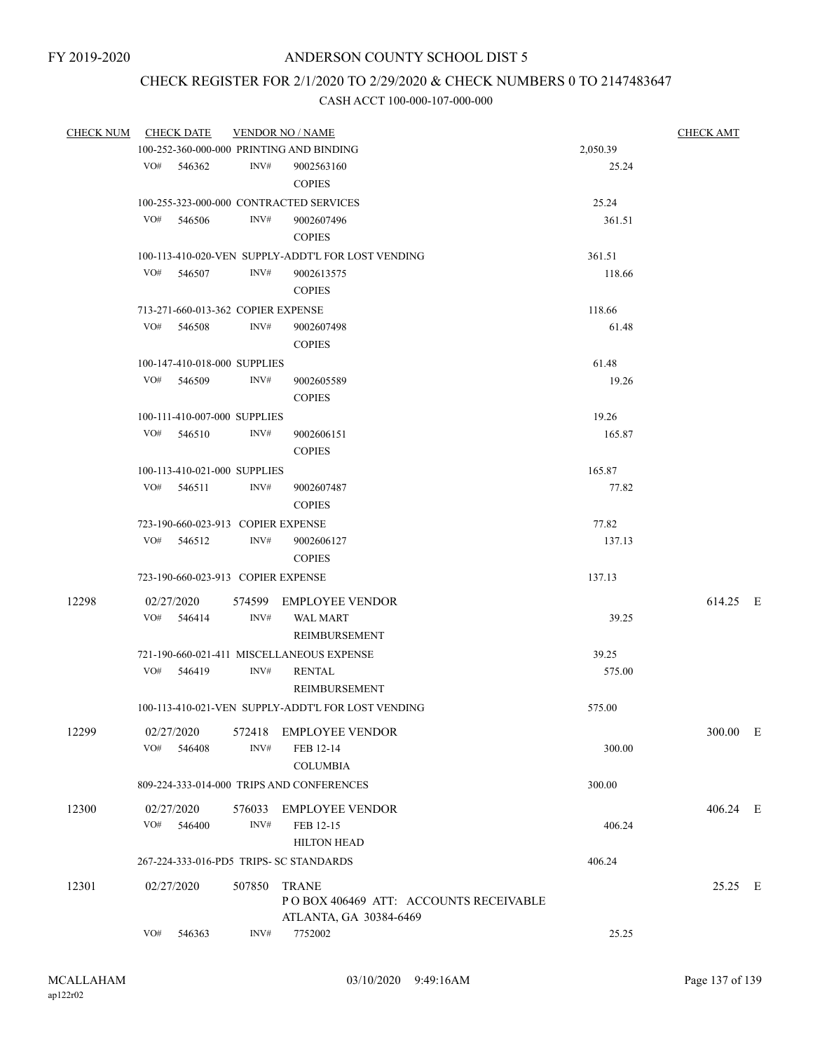# CHECK REGISTER FOR 2/1/2020 TO 2/29/2020 & CHECK NUMBERS 0 TO 2147483647

|       | CHECK NUM CHECK DATE                     | <b>VENDOR NO / NAME</b> |                                                    | <b>CHECK AMT</b> |          |
|-------|------------------------------------------|-------------------------|----------------------------------------------------|------------------|----------|
|       | 100-252-360-000-000 PRINTING AND BINDING |                         |                                                    | 2,050.39         |          |
|       | VO# 546362                               | INV#                    | 9002563160                                         | 25.24            |          |
|       |                                          |                         | <b>COPIES</b>                                      |                  |          |
|       | 100-255-323-000-000 CONTRACTED SERVICES  |                         |                                                    | 25.24            |          |
|       | VO# 546506                               | INV#                    | 9002607496                                         | 361.51           |          |
|       |                                          |                         | <b>COPIES</b>                                      |                  |          |
|       |                                          |                         | 100-113-410-020-VEN SUPPLY-ADDT'L FOR LOST VENDING | 361.51           |          |
|       | VO# 546507                               | INV#                    | 9002613575                                         | 118.66           |          |
|       |                                          |                         | <b>COPIES</b>                                      |                  |          |
|       | 713-271-660-013-362 COPIER EXPENSE       |                         |                                                    | 118.66           |          |
|       | VO# 546508                               | INV#                    | 9002607498                                         | 61.48            |          |
|       |                                          |                         | <b>COPIES</b>                                      |                  |          |
|       | 100-147-410-018-000 SUPPLIES             |                         |                                                    | 61.48            |          |
|       | VO# 546509                               | INV#                    | 9002605589                                         | 19.26            |          |
|       |                                          |                         | <b>COPIES</b>                                      |                  |          |
|       | 100-111-410-007-000 SUPPLIES             |                         |                                                    | 19.26            |          |
|       | $VO#$ 546510                             | INV#                    |                                                    | 165.87           |          |
|       |                                          |                         | 9002606151<br><b>COPIES</b>                        |                  |          |
|       |                                          |                         |                                                    |                  |          |
|       | 100-113-410-021-000 SUPPLIES             |                         |                                                    | 165.87           |          |
|       | VO# 546511                               | INV#                    | 9002607487                                         | 77.82            |          |
|       |                                          |                         | <b>COPIES</b>                                      |                  |          |
|       | 723-190-660-023-913 COPIER EXPENSE       |                         |                                                    | 77.82            |          |
|       | VO# 546512                               | INV#                    | 9002606127                                         | 137.13           |          |
|       |                                          |                         | <b>COPIES</b>                                      |                  |          |
|       | 723-190-660-023-913 COPIER EXPENSE       |                         |                                                    | 137.13           |          |
| 12298 | 02/27/2020                               |                         | 574599 EMPLOYEE VENDOR                             |                  | 614.25 E |
|       | VO# 546414                               | INV#                    | <b>WAL MART</b>                                    | 39.25            |          |
|       |                                          |                         | REIMBURSEMENT                                      |                  |          |
|       |                                          |                         | 721-190-660-021-411 MISCELLANEOUS EXPENSE          | 39.25            |          |
|       | VO# 546419                               | INV#                    | <b>RENTAL</b>                                      | 575.00           |          |
|       |                                          |                         | REIMBURSEMENT                                      |                  |          |
|       |                                          |                         | 100-113-410-021-VEN SUPPLY-ADDT'L FOR LOST VENDING | 575.00           |          |
|       |                                          |                         |                                                    |                  |          |
| 12299 | 02/27/2020                               | 572418                  | <b>EMPLOYEE VENDOR</b>                             |                  | 300.00 E |
|       | VO#<br>546408                            | INV#                    | FEB 12-14                                          | 300.00           |          |
|       |                                          |                         | <b>COLUMBIA</b>                                    |                  |          |
|       |                                          |                         | 809-224-333-014-000 TRIPS AND CONFERENCES          | 300.00           |          |
| 12300 | 02/27/2020                               | 576033                  | <b>EMPLOYEE VENDOR</b>                             |                  | 406.24 E |
|       | VO#<br>546400                            | INV#                    | FEB 12-15                                          | 406.24           |          |
|       |                                          |                         | <b>HILTON HEAD</b>                                 |                  |          |
|       | 267-224-333-016-PD5 TRIPS- SC STANDARDS  |                         |                                                    | 406.24           |          |
| 12301 | 02/27/2020                               | 507850                  | <b>TRANE</b>                                       |                  | 25.25 E  |
|       |                                          |                         | POBOX 406469 ATT: ACCOUNTS RECEIVABLE              |                  |          |
|       |                                          |                         | ATLANTA, GA 30384-6469                             |                  |          |
|       | VO#<br>546363                            | INV#                    | 7752002                                            | 25.25            |          |
|       |                                          |                         |                                                    |                  |          |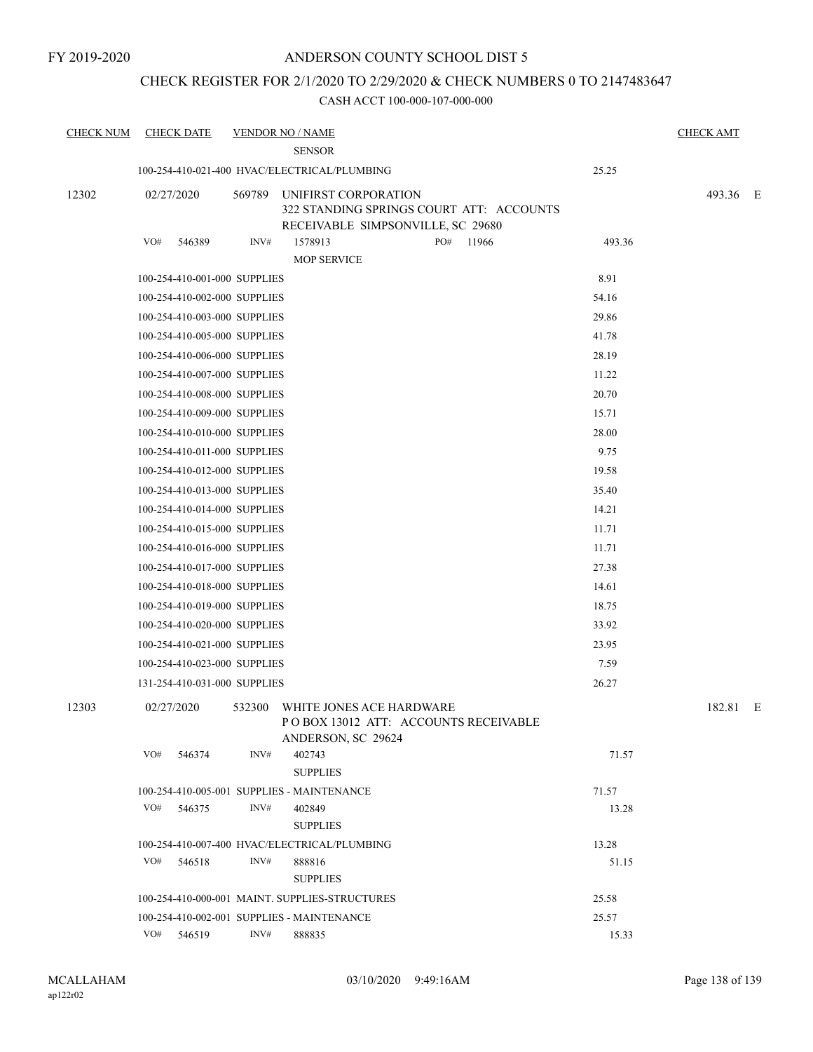### CHECK REGISTER FOR 2/1/2020 TO 2/29/2020 & CHECK NUMBERS 0 TO 2147483647

| <b>CHECK NUM</b> | <b>CHECK DATE</b>            |        | <b>VENDOR NO / NAME</b>                        |                                                                               |        | <b>CHECK AMT</b> |  |
|------------------|------------------------------|--------|------------------------------------------------|-------------------------------------------------------------------------------|--------|------------------|--|
|                  |                              |        | <b>SENSOR</b>                                  |                                                                               |        |                  |  |
|                  |                              |        | 100-254-410-021-400 HVAC/ELECTRICAL/PLUMBING   |                                                                               | 25.25  |                  |  |
| 12302            | 02/27/2020                   |        | 569789 UNIFIRST CORPORATION                    | 322 STANDING SPRINGS COURT ATT: ACCOUNTS<br>RECEIVABLE SIMPSONVILLE, SC 29680 |        | 493.36 E         |  |
|                  | VO#<br>546389                | INV#   | 1578913<br><b>MOP SERVICE</b>                  | PO#<br>11966                                                                  | 493.36 |                  |  |
|                  | 100-254-410-001-000 SUPPLIES |        |                                                |                                                                               | 8.91   |                  |  |
|                  | 100-254-410-002-000 SUPPLIES |        |                                                |                                                                               | 54.16  |                  |  |
|                  | 100-254-410-003-000 SUPPLIES |        |                                                |                                                                               | 29.86  |                  |  |
|                  | 100-254-410-005-000 SUPPLIES |        |                                                |                                                                               | 41.78  |                  |  |
|                  | 100-254-410-006-000 SUPPLIES |        |                                                |                                                                               | 28.19  |                  |  |
|                  | 100-254-410-007-000 SUPPLIES |        |                                                |                                                                               | 11.22  |                  |  |
|                  | 100-254-410-008-000 SUPPLIES |        |                                                |                                                                               | 20.70  |                  |  |
|                  | 100-254-410-009-000 SUPPLIES |        |                                                |                                                                               | 15.71  |                  |  |
|                  | 100-254-410-010-000 SUPPLIES |        |                                                |                                                                               | 28.00  |                  |  |
|                  | 100-254-410-011-000 SUPPLIES |        |                                                |                                                                               | 9.75   |                  |  |
|                  | 100-254-410-012-000 SUPPLIES |        |                                                |                                                                               | 19.58  |                  |  |
|                  | 100-254-410-013-000 SUPPLIES |        |                                                |                                                                               | 35.40  |                  |  |
|                  | 100-254-410-014-000 SUPPLIES |        |                                                |                                                                               | 14.21  |                  |  |
|                  | 100-254-410-015-000 SUPPLIES |        |                                                |                                                                               | 11.71  |                  |  |
|                  | 100-254-410-016-000 SUPPLIES |        |                                                |                                                                               | 11.71  |                  |  |
|                  | 100-254-410-017-000 SUPPLIES |        |                                                |                                                                               | 27.38  |                  |  |
|                  | 100-254-410-018-000 SUPPLIES |        |                                                |                                                                               | 14.61  |                  |  |
|                  | 100-254-410-019-000 SUPPLIES |        |                                                |                                                                               | 18.75  |                  |  |
|                  | 100-254-410-020-000 SUPPLIES |        |                                                |                                                                               | 33.92  |                  |  |
|                  | 100-254-410-021-000 SUPPLIES |        |                                                |                                                                               | 23.95  |                  |  |
|                  | 100-254-410-023-000 SUPPLIES |        |                                                |                                                                               | 7.59   |                  |  |
|                  | 131-254-410-031-000 SUPPLIES |        |                                                |                                                                               | 26.27  |                  |  |
| 12303            | 02/27/2020                   | 532300 | WHITE JONES ACE HARDWARE<br>ANDERSON, SC 29624 | PO BOX 13012 ATT: ACCOUNTS RECEIVABLE                                         |        | 182.81 E         |  |
|                  | VO#<br>546374                | INV#   | 402743                                         |                                                                               | 71.57  |                  |  |
|                  |                              |        | <b>SUPPLIES</b>                                |                                                                               |        |                  |  |
|                  |                              |        | 100-254-410-005-001 SUPPLIES - MAINTENANCE     |                                                                               | 71.57  |                  |  |
|                  | VO#<br>546375                | INV#   | 402849<br><b>SUPPLIES</b>                      |                                                                               | 13.28  |                  |  |
|                  |                              |        | 100-254-410-007-400 HVAC/ELECTRICAL/PLUMBING   |                                                                               | 13.28  |                  |  |
|                  | VO#<br>546518                | INV#   | 888816<br><b>SUPPLIES</b>                      |                                                                               | 51.15  |                  |  |
|                  |                              |        | 100-254-410-000-001 MAINT. SUPPLIES-STRUCTURES |                                                                               | 25.58  |                  |  |
|                  |                              |        | 100-254-410-002-001 SUPPLIES - MAINTENANCE     |                                                                               | 25.57  |                  |  |
|                  | VO# 546519                   | INV#   | 888835                                         |                                                                               | 15.33  |                  |  |